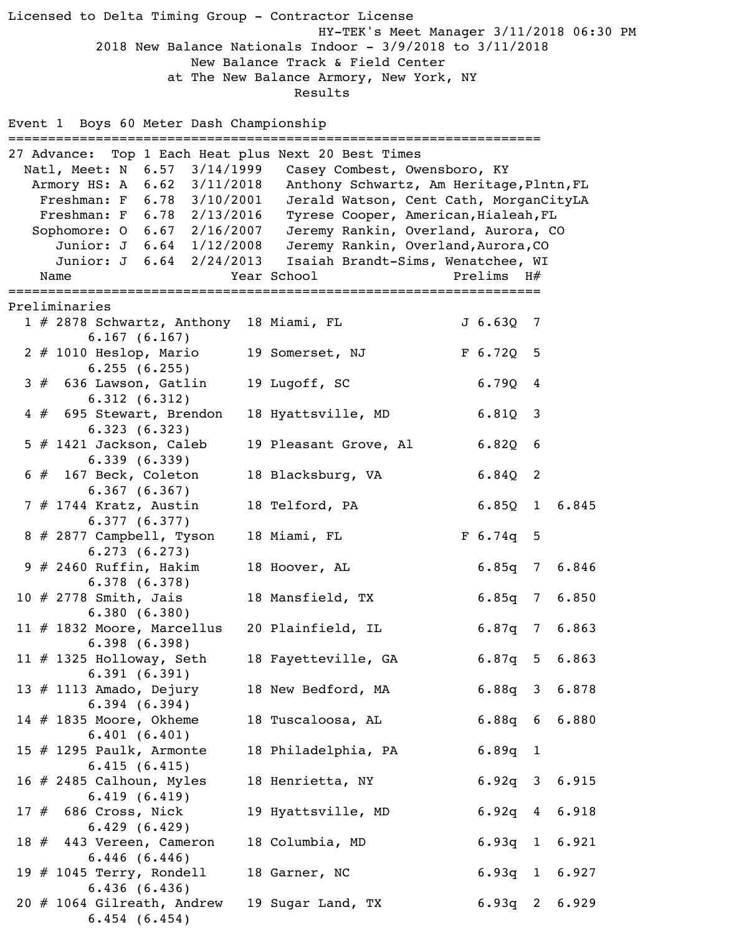Licensed to Delta Timing Group - Contractor License HY-TEK's Meet Manager 3/11/2018 06:30 PM 2018 New Balance Nationals Indoor - 3/9/2018 to 3/11/2018 New Balance Track & Field Center at The New Balance Armory, New York, NY Results Event 1 Boys 60 Meter Dash Championship =================================================================== 27 Advance: Top 1 Each Heat plus Next 20 Best Times Natl, Meet: N 6.57 3/14/1999 Casey Combest, Owensboro, KY Armory HS: A 6.62 3/11/2018 Anthony Schwartz, Am Heritage,Plntn,FL Freshman: F 6.78 3/10/2001 Jerald Watson, Cent Cath, MorganCityLA Freshman: F 6.78 2/13/2016 Tyrese Cooper, American, Hialeah, FL Sophomore: O 6.67 2/16/2007 Jeremy Rankin, Overland, Aurora, CO Junior: J 6.64 1/12/2008 Jeremy Rankin, Overland, Aurora, CO Junior: J 6.64 2/24/2013 Isaiah Brandt-Sims, Wenatchee, WI Name  $Year School$  Prelims H# =================================================================== Preliminaries 1 # 2878 Schwartz, Anthony 18 Miami, FL J 6.63Q 7 6.167 (6.167) 2 # 1010 Heslop, Mario 19 Somerset, NJ F 6.720 5 6.255 (6.255) 3 # 636 Lawson, Gatlin 19 Lugoff, SC 6.79Q 4 6.312 (6.312) 4 # 695 Stewart, Brendon 18 Hyattsville, MD 6.81Q 3 6.323 (6.323) 5 # 1421 Jackson, Caleb 19 Pleasant Grove, Al 6.82Q 6 6.339 (6.339) 6 # 167 Beck, Coleton 18 Blacksburg, VA 6.84Q 2 6.367 (6.367) 7 # 1744 Kratz, Austin 18 Telford, PA 6.85Q 1 6.845 6.377 (6.377) 8 # 2877 Campbell, Tyson 18 Miami, FL F 6.74q 5 6.273 (6.273) 9 # 2460 Ruffin, Hakim 18 Hoover, AL 6.85q 7 6.846 6.378 (6.378) 10 # 2778 Smith, Jais 18 Mansfield, TX 6.85q 7 6.850 6.380 (6.380) 11 # 1832 Moore, Marcellus 20 Plainfield, IL 6.87q 7 6.863 6.398 (6.398) 11 # 1325 Holloway, Seth 18 Fayetteville, GA 6.87q 5 6.863 6.391 (6.391) 13 # 1113 Amado, Dejury 18 New Bedford, MA 6.88q 3 6.878 6.394 (6.394) 14 # 1835 Moore, Okheme 18 Tuscaloosa, AL 6.88q 6 6.880 6.401 (6.401) 15 # 1295 Paulk, Armonte 18 Philadelphia, PA 6.89q 1 6.415 (6.415) 16 # 2485 Calhoun, Myles 18 Henrietta, NY 6.92q 3 6.915 6.419 (6.419) 17 # 686 Cross, Nick 19 Hyattsville, MD 6.92q 4 6.918 6.429 (6.429) 18 # 443 Vereen, Cameron 18 Columbia, MD 6.93q 1 6.921 6.446 (6.446) 19 # 1045 Terry, Rondell 18 Garner, NC 6.93q 1 6.927 6.436 (6.436) 20 # 1064 Gilreath, Andrew 19 Sugar Land, TX 6.93q 2 6.929 6.454 (6.454)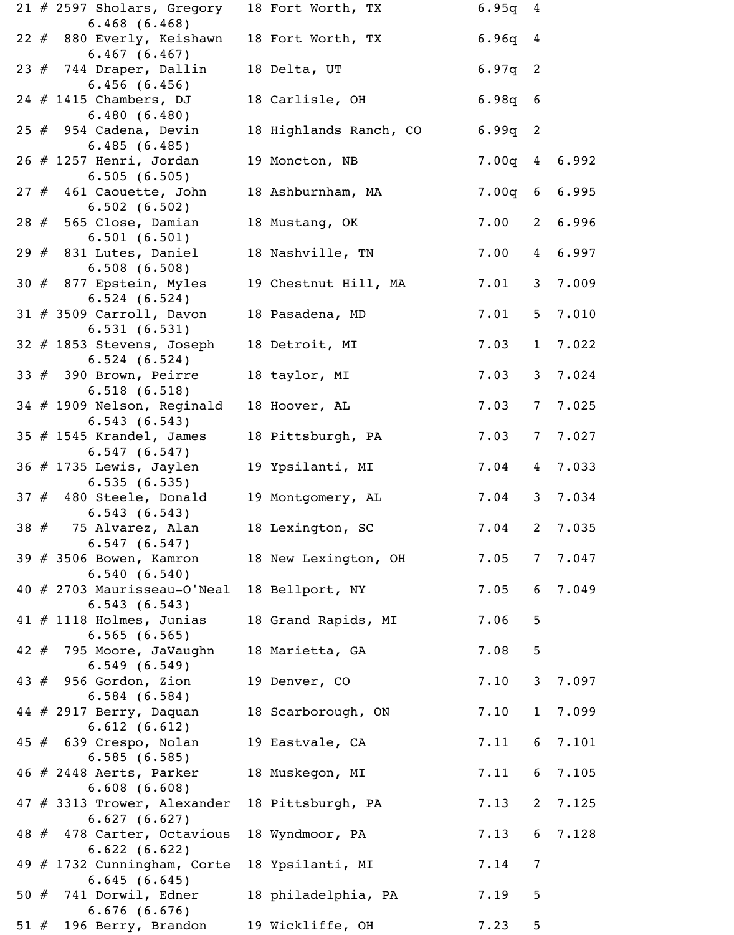|     | $21$ # 2597 Sholars, Gregory                                   | 18 Fort Worth, TX      | $6.95q$ 4 |                 |                 |
|-----|----------------------------------------------------------------|------------------------|-----------|-----------------|-----------------|
|     | $6.468$ $(6.468)$<br>22 # 880 Everly, Keishawn<br>6.467(6.467) | 18 Fort Worth, TX      | $6.96q$ 4 |                 |                 |
|     | $23$ # 744 Draper, Dallin<br>6.456(6.456)                      | 18 Delta, UT           | $6.97q$ 2 |                 |                 |
|     | $24$ # 1415 Chambers, DJ<br>6.480(6.480)                       | 18 Carlisle, OH        | $6.98q$ 6 |                 |                 |
|     | $25$ $\#$ 954 Cadena, Devin<br>6.485(6.485)                    | 18 Highlands Ranch, CO | $6.99q$ 2 |                 |                 |
|     | $26$ # 1257 Henri, Jordan<br>6.505(6.505)                      | 19 Moncton, NB         |           |                 | $7.00q$ 4 6.992 |
|     | $27$ # 461 Caouette, John<br>6.502(6.502)                      | 18 Ashburnham, MA      | $7.00q$ 6 |                 | 6.995           |
|     | $28$ $\#$ 565 Close, Damian<br>6.501(6.501)                    | 18 Mustang, OK         | 7.00      |                 | 2 6.996         |
|     | $29$ $#$ 831 Lutes, Daniel<br>6.508(6.508)                     | 18 Nashville, TN       | 7.00      | $\overline{4}$  | 6.997           |
|     | 30 $#$ 877 Epstein, Myles<br>6.524(6.524)                      | 19 Chestnut Hill, MA   | 7.01      | 3 <sup>1</sup>  | 7.009           |
|     | $31$ # 3509 Carroll, Davon<br>6.531(6.531)                     | 18 Pasadena, MD        | 7.01      | 5 <sub>1</sub>  | 7.010           |
|     | 32 # 1853 Stevens, Joseph<br>6.524(6.524)                      | 18 Detroit, MI         | 7.03      | $\mathbf{1}$    | 7.022           |
|     | $33 \# 390$ Brown, Peirre<br>6.518(6.518)                      | 18 taylor, MI          | 7.03      | 3 <sup>7</sup>  | 7.024           |
|     | 34 # 1909 Nelson, Reginald<br>6.543(6.543)                     | 18 Hoover, AL          | 7.03      | $7\overline{ }$ | 7.025           |
|     | 35 $#$ 1545 Krandel, James<br>6.547(6.547)                     | 18 Pittsburgh, PA      | 7.03      | $7\overline{ }$ | 7.027           |
|     | $36$ # 1735 Lewis, Jaylen<br>6.535(6.535)                      | 19 Ypsilanti, MI       | 7.04      | $4\overline{ }$ | 7.033           |
|     | $37$ # 480 Steele, Donald<br>6.543(6.543)                      | 19 Montgomery, AL      | 7.04      | 3 <sup>1</sup>  | 7.034           |
|     | $38$ $#$ 75 Alvarez, Alan<br>6.547(6.547)                      | 18 Lexington, SC       | 7.04      | $\overline{2}$  | 7.035           |
|     | $39$ # 3506 Bowen, Kamron<br>6.540(6.540)                      | 18 New Lexington, OH   | 7.05      | $7\phantom{.0}$ | 7.047           |
|     | 40 # 2703 Maurisseau-O'Neal<br>6.543(6.543)                    | 18 Bellport, NY        | 7.05      | 6               | 7.049           |
|     | 41 $#$ 1118 Holmes, Junias<br>6.565(6.565)                     | 18 Grand Rapids, MI    | 7.06      | 5               |                 |
|     | 42 # 795 Moore, JaVaughn<br>6.549(6.549)                       | 18 Marietta, GA        | 7.08      | 5               |                 |
|     | $43 \# 956$ Gordon, Zion<br>6.584(6.584)                       | 19 Denver, CO          | 7.10      | $\mathsf{3}$    | 7.097           |
|     | $44$ # 2917 Berry, Daquan<br>6.612(6.612)                      | 18 Scarborough, ON     | 7.10      | $\mathbf{1}$    | 7.099           |
|     | 45 # 639 Crespo, Nolan<br>6.585(6.585)                         | 19 Eastvale, CA        | 7.11      | 6               | 7.101           |
|     | 46 # 2448 Aerts, Parker<br>6.608(6.608)                        | 18 Muskegon, MI        | 7.11      | 6               | 7.105           |
|     | 47 # 3313 Trower, Alexander<br>6.627(6.627)                    | 18 Pittsburgh, PA      | 7.13      | $2^{\circ}$     | 7.125           |
|     | 48 # 478 Carter, Octavious<br>6.622(6.622)                     | 18 Wyndmoor, PA        | 7.13      | 6               | 7.128           |
|     | 49 # 1732 Cunningham, Corte<br>6.645(6.645)                    | 18 Ypsilanti, MI       | 7.14      | $7\phantom{.0}$ |                 |
|     | 50 $#$ 741 Dorwil, Edner<br>6.676(6.676)                       | 18 philadelphia, PA    | 7.19      | 5               |                 |
| 51# | 196 Berry, Brandon                                             | 19 Wickliffe, OH       | 7.23      | 5               |                 |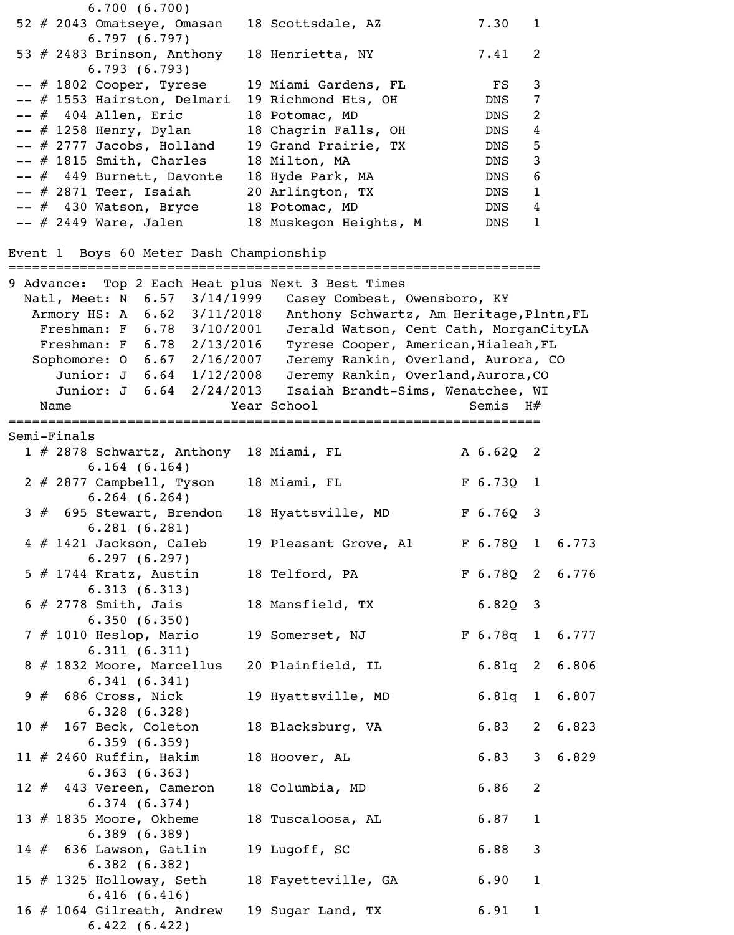|  |             |                        | 6.700(6.700)                                  |  |                                         |                                                   |                           |                 |                |               |
|--|-------------|------------------------|-----------------------------------------------|--|-----------------------------------------|---------------------------------------------------|---------------------------|-----------------|----------------|---------------|
|  |             |                        | 52 # 2043 Omatseye, Omasan<br>6.797(6.797)    |  | 18 Scottsdale, AZ                       |                                                   |                           | 7.30            | $\mathbf 1$    |               |
|  |             |                        | 53 $#$ 2483 Brinson, Anthony<br>6.793(6.793)  |  | 18 Henrietta, NY                        |                                                   |                           | 7.41            | 2              |               |
|  |             |                        | -- # 1802 Cooper, Tyrese                      |  |                                         | 19 Miami Gardens, FL                              |                           | $_{\rm FS}$     | 3              |               |
|  |             |                        | -- # 1553 Hairston, Delmari                   |  |                                         | 19 Richmond Hts, OH                               |                           | DNS             | 7              |               |
|  |             | $--$ # 404 Allen, Eric |                                               |  | 18 Potomac, MD                          |                                                   |                           | DNS             | 2              |               |
|  |             |                        | $--$ # 1258 Henry, Dylan                      |  |                                         | 18 Chagrin Falls, OH                              |                           | DNS             | $\overline{4}$ |               |
|  |             |                        | $--$ # 2777 Jacobs, Holland                   |  |                                         | 19 Grand Prairie, TX                              |                           | DNS             | 5              |               |
|  |             |                        |                                               |  |                                         |                                                   |                           |                 |                |               |
|  |             |                        | $--$ # 1815 Smith, Charles                    |  | 18 Milton, MA                           |                                                   |                           | DNS             | 3              |               |
|  |             |                        | -- # 449 Burnett, Davonte                     |  | 18 Hyde Park, MA                        |                                                   |                           | DNS             | 6              |               |
|  |             |                        | $--$ # 2871 Teer, Isaiah                      |  | 20 Arlington, TX                        |                                                   |                           | DNS             | $\mathbf{1}$   |               |
|  |             |                        | -- # 430 Watson, Bryce                        |  | 18 Potomac, MD                          |                                                   |                           | DNS             | 4              |               |
|  |             |                        | -- # 2449 Ware, Jalen                         |  |                                         | 18 Muskegon Heights, M                            |                           | DNS             | $\mathbf{1}$   |               |
|  |             |                        | ======================================        |  | Event 1 Boys 60 Meter Dash Championship |                                                   |                           |                 |                |               |
|  |             |                        |                                               |  |                                         | 9 Advance: Top 2 Each Heat plus Next 3 Best Times |                           |                 |                |               |
|  |             |                        | Natl, Meet: N 6.57 3/14/1999                  |  |                                         | Casey Combest, Owensboro, KY                      |                           |                 |                |               |
|  |             |                        | Armory HS: A 6.62 3/11/2018                   |  |                                         | Anthony Schwartz, Am Heritage, Plntn, FL          |                           |                 |                |               |
|  |             |                        | Freshman: F 6.78 3/10/2001                    |  |                                         | Jerald Watson, Cent Cath, MorganCityLA            |                           |                 |                |               |
|  |             |                        | Freshman: F 6.78 2/13/2016                    |  |                                         | Tyrese Cooper, American, Hialeah, FL              |                           |                 |                |               |
|  |             |                        | Sophomore: 0 6.67 2/16/2007                   |  |                                         | Jeremy Rankin, Overland, Aurora, CO               |                           |                 |                |               |
|  |             |                        | Junior: J 6.64 1/12/2008                      |  |                                         | Jeremy Rankin, Overland, Aurora, CO               |                           |                 |                |               |
|  |             |                        | Junior: J 6.64 2/24/2013                      |  |                                         | Isaiah Brandt-Sims, Wenatchee, WI                 |                           |                 |                |               |
|  | Name        |                        |                                               |  | Year School                             |                                                   | ========================= | Semis $H#$      |                |               |
|  | Semi-Finals |                        |                                               |  |                                         |                                                   |                           |                 |                |               |
|  |             |                        |                                               |  | 1 # 2878 Schwartz, Anthony 18 Miami, FL |                                                   |                           | A 6.62Q         | 2              |               |
|  |             |                        |                                               |  |                                         |                                                   |                           |                 |                |               |
|  |             |                        | $6.164$ $(6.164)$<br>2 # 2877 Campbell, Tyson |  | 18 Miami, FL                            |                                                   |                           | F 6.73Q 1       |                |               |
|  |             |                        | $6.264$ $(6.264)$<br>3 # 695 Stewart, Brendon |  |                                         | 18 Hyattsville, MD F 6.76Q 3                      |                           |                 |                |               |
|  |             |                        | 6.281(6.281)<br>$4$ # 1421 Jackson, Caleb     |  |                                         | 19 Pleasant Grove, Al                             |                           | F 6.78Q 1 6.773 |                |               |
|  |             |                        | 6.297(6.297)                                  |  |                                         |                                                   |                           |                 |                |               |
|  |             |                        | $5$ $\#$ 1744 Kratz, Austin<br>6.313(6.313)   |  |                                         | 18 Telford, PA                                    |                           | F 6.78Q 2 6.776 |                |               |
|  |             |                        | $6$ # 2778 Smith, Jais                        |  | 18 Mansfield, TX                        |                                                   |                           | $6.82Q$ 3       |                |               |
|  |             |                        | 6.350(6.350)                                  |  |                                         |                                                   |                           |                 |                |               |
|  |             |                        | 7 # 1010 Heslop, Mario<br>6.311(6.311)        |  |                                         | 19 Somerset, NJ                                   |                           | F 6.78q 1 6.777 |                |               |
|  |             |                        | 8 # 1832 Moore, Marcellus                     |  |                                         | 20 Plainfield, IL                                 |                           |                 |                | 6.81q 2 6.806 |
|  |             |                        | 6.341(6.341)                                  |  |                                         |                                                   |                           |                 |                |               |
|  |             |                        | $9$ $\#$ 686 Cross, Nick                      |  |                                         | 19 Hyattsville, MD                                |                           |                 |                | 6.81q 1 6.807 |
|  |             |                        | 6.328(6.328)                                  |  |                                         |                                                   |                           |                 |                |               |
|  |             |                        | 10 # 167 Beck, Coleton                        |  | 18 Blacksburg, VA                       |                                                   |                           | 6.83            |                | 2 6.823       |
|  |             |                        | 6.359(6.359)<br>$11$ # 2460 Ruffin, Hakim     |  | 18 Hoover, AL                           |                                                   |                           | 6.83            |                | 3 6.829       |
|  |             |                        | 6.363(6.363)                                  |  |                                         |                                                   |                           |                 |                |               |
|  |             |                        | 12 # 443 Vereen, Cameron                      |  | 18 Columbia, MD                         |                                                   |                           | 6.86            | 2              |               |
|  |             |                        | 6.374(6.374)                                  |  |                                         |                                                   |                           |                 |                |               |
|  |             |                        | 13 $#$ 1835 Moore, Okheme<br>6.389(6.389)     |  | 18 Tuscaloosa, AL                       |                                                   |                           | 6.87            | $\mathbf{1}$   |               |
|  |             |                        |                                               |  |                                         |                                                   |                           | 6.88            | $\mathsf{3}$   |               |
|  |             |                        | $14 \# 636$ Lawson, Gatlin                    |  | 19 Lugoff, SC                           |                                                   |                           |                 |                |               |
|  |             |                        | 6.382(6.382)                                  |  |                                         |                                                   |                           |                 |                |               |
|  |             |                        | 15 $\#$ 1325 Holloway, Seth                   |  |                                         | 18 Fayetteville, GA                               |                           | 6.90            | $\mathbf{1}$   |               |
|  |             |                        | 6.416(6.416)<br>16 # 1064 Gilreath, Andrew    |  |                                         | 19 Sugar Land, TX                                 |                           | 6.91            | $\mathbf{1}$   |               |
|  |             |                        | 6.422(6.422)                                  |  |                                         |                                                   |                           |                 |                |               |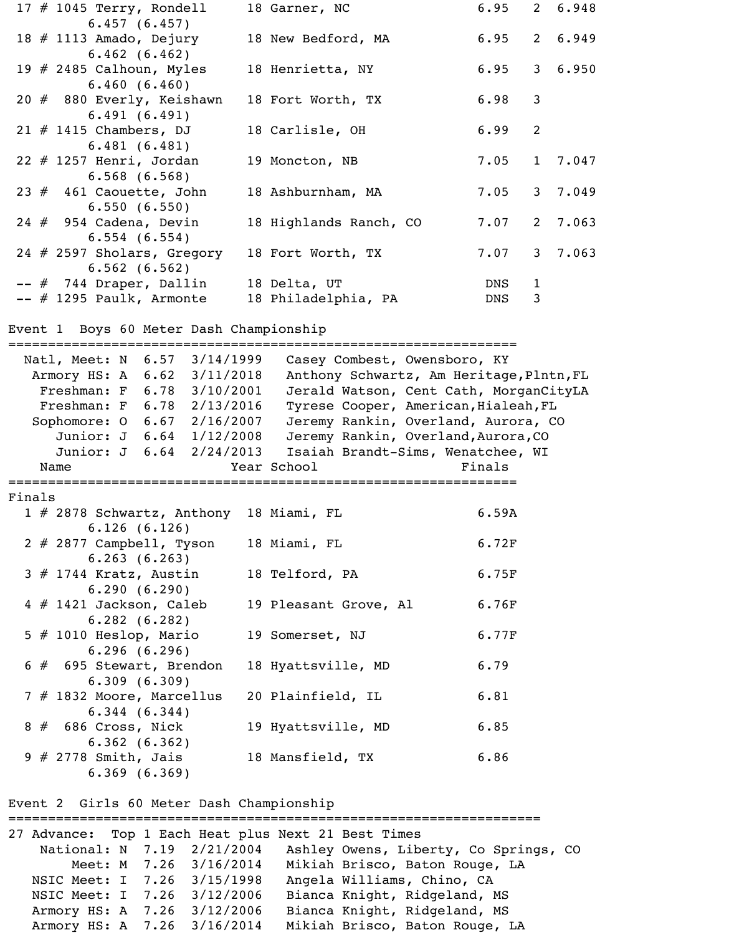| 17 $\#$ 1045 Terry, Rondell          | 18 Garner, NC          |                  |              | $6.95$ 2 $6.948$ |
|--------------------------------------|------------------------|------------------|--------------|------------------|
| 6.457(6.457)                         |                        |                  |              |                  |
| 18 # 1113 Amado, Dejury              | 18 New Bedford, MA     | $6.95$ 2 $6.949$ |              |                  |
| 6.462(6.462)                         |                        |                  |              |                  |
| 19 $\#$ 2485 Calhoun, Myles          | 18 Henrietta, NY       | $6.95$ 3 $6.950$ |              |                  |
| 6.460(6.460)                         |                        |                  |              |                  |
| 20 # 880 Everly, Keishawn            | 18 Fort Worth, TX      | $6.98$ 3         |              |                  |
| 6.491(6.491)                         |                        |                  |              |                  |
| $21$ # 1415 Chambers, DJ             | 18 Carlisle, OH        | 6.99             | 2            |                  |
| 6.481(6.481)                         |                        |                  |              |                  |
| $22$ # 1257 Henri, Jordan            | 19 Moncton, NB         |                  |              | $7.05$ 1 7.047   |
| $6.568$ $(6.568)$                    |                        |                  |              |                  |
| 23 # 461 Caouette, John              | 18 Ashburnham, MA      |                  |              | $7.05$ 3 $7.049$ |
| 6.550(6.550)                         |                        |                  |              |                  |
| $24$ # 954 Cadena, Devin             | 18 Highlands Ranch, CO | 7.07             |              | 2 7.063          |
| 6.554(6.554)                         |                        |                  |              |                  |
| 24 # 2597 Sholars, Gregory           | 18 Fort Worth, TX      | 7.07             |              | 3, 7.063         |
| 6.562(6.562)                         |                        |                  |              |                  |
|                                      |                        |                  |              |                  |
| -- # 744 Draper, Dallin 18 Delta, UT |                        | DNS              | $\mathbf{1}$ |                  |
| $--$ # 1295 Paulk, Armonte           | 18 Philadelphia, PA    | DNS              | 3            |                  |
|                                      |                        |                  |              |                  |

## Event 1 Boys 60 Meter Dash Championship

================================================================ Natl, Meet: N 6.57 3/14/1999 Casey Combest, Owensboro, KY Armory HS: A 6.62 3/11/2018 Anthony Schwartz, Am Heritage,Plntn,FL Freshman: F 6.78 3/10/2001 Jerald Watson, Cent Cath, MorganCityLA<br>Freshman: F 6.78 2/13/2016 Tyrese Cooper, American, Hialeah, FL Tyrese Cooper, American, Hialeah, FL Sophomore: O 6.67 2/16/2007 Jeremy Rankin, Overland, Aurora, CO Junior: J 6.64 1/12/2008 Jeremy Rankin, Overland, Aurora, CO Junior: J 6.64 2/24/2013 Isaiah Brandt-Sims, Wenatchee, WI Name The Year School Team Prinals ================================================================ Finals 1 # 2878 Schwartz, Anthony 18 Miami, FL 6.59A 6.126 (6.126) 2 # 2877 Campbell, Tyson 18 Miami, FL 6.72F 6.263 (6.263) 3 # 1744 Kratz, Austin 18 Telford, PA 6.75F 6.290 (6.290) 4 # 1421 Jackson, Caleb 19 Pleasant Grove, Al 6.76F 6.282 (6.282) 5 # 1010 Heslop, Mario 19 Somerset, NJ 6.77F 6.296 (6.296) # 695 Stewart, Brendon 18 Hyattsville, MD 6.79 6.309 (6.309) 7 # 1832 Moore, Marcellus 20 Plainfield, IL 6.81 6.344 (6.344) 8 # 686 Cross, Nick 19 Hyattsville, MD 6.85 6.362 (6.362) 9 # 2778 Smith, Jais 18 Mansfield, TX 6.86 6.369 (6.369)

Event 2 Girls 60 Meter Dash Championship

=================================================================== 27 Advance: Top 1 Each Heat plus Next 21 Best Times National: N 7.19 2/21/2004 Ashley Owens, Liberty, Co Springs, CO Meet: M 7.26 3/16/2014 Mikiah Brisco, Baton Rouge, LA NSIC Meet: I 7.26 3/15/1998 Angela Williams, Chino, CA NSIC Meet: I 7.26 3/12/2006 Bianca Knight, Ridgeland, MS Armory HS: A 7.26 3/12/2006 Bianca Knight, Ridgeland, MS Armory HS: A 7.26 3/16/2014 Mikiah Brisco, Baton Rouge, LA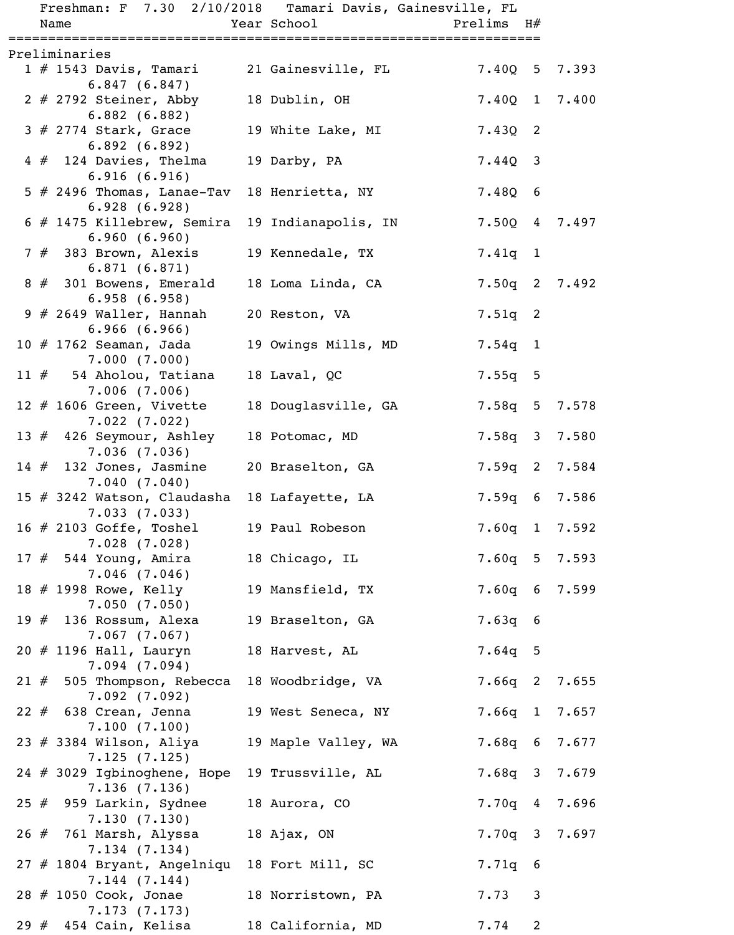|     | Freshman: F 7.30 2/10/2018 Tamari Davis, Gainesville, FL |                     |                            |              |  |
|-----|----------------------------------------------------------|---------------------|----------------------------|--------------|--|
|     | Name                                                     | Year School         | Prelims H#                 |              |  |
|     | ==================================<br>Preliminaries      |                     | ========================== |              |  |
|     | 1 # 1543 Davis, Tamari<br>6.847(6.847)                   | 21 Gainesville, FL  | $7.40Q$ 5 7.393            |              |  |
|     | $2 \# 2792$ Steiner, Abby<br>6.882(6.882)                | 18 Dublin, OH       | 7.400 1 7.400              |              |  |
|     | $3$ # 2774 Stark, Grace<br>6.892(6.892)                  | 19 White Lake, MI   | $7.43Q$ 2                  |              |  |
|     | $4 \# 124$ Davies, Thelma<br>6.916(6.916)                | 19 Darby, PA        | $7.44Q$ 3                  |              |  |
|     | $5$ # 2496 Thomas, Lanae-Tav<br>6.928(6.928)             | 18 Henrietta, NY    | $7.48Q$ 6                  |              |  |
|     | $6$ # 1475 Killebrew, Semira<br>6.960(6.960)             | 19 Indianapolis, IN | 7.50Q 4 7.497              |              |  |
|     | $7$ # 383 Brown, Alexis<br>6.871(6.871)                  | 19 Kennedale, TX    | $7.41q$ 1                  |              |  |
|     | $8 \# 301$ Bowens, Emerald<br>6.958(6.958)               | 18 Loma Linda, CA   | $7.50q$ 2 $7.492$          |              |  |
|     | $9$ # 2649 Waller, Hannah<br>6.966(6.966)                | 20 Reston, VA       | $7.51q$ 2                  |              |  |
|     | 10 $#$ 1762 Seaman, Jada<br>7.000(7.000)                 | 19 Owings Mills, MD | $7.54q$ 1                  |              |  |
|     | 11 $#$ 54 Aholou, Tatiana<br>7.006(7.006)                | 18 Laval, QC        | $7.55q$ 5                  |              |  |
|     | 12 $#$ 1606 Green, Vivette<br>7.022(7.022)               | 18 Douglasville, GA | 7.58q 5 7.578              |              |  |
|     | 13 $#$ 426 Seymour, Ashley<br>7.036(7.036)               | 18 Potomac, MD      | $7.58q$ 3 $7.580$          |              |  |
|     | $14 \# 132$ Jones, Jasmine<br>7.040(7.040)               | 20 Braselton, GA    | $7.59q$ 2 7.584            |              |  |
|     | 15 # 3242 Watson, Claudasha<br>7.033(7.033)              | 18 Lafayette, LA    | 7.59q 6 7.586              |              |  |
|     | 16 $\#$ 2103 Goffe, Toshel<br>7.028(7.028)               | 19 Paul Robeson     | 7.60q 1 7.592              |              |  |
|     | $17#$ 544 Young, Amira<br>$7.046$ (7.046)                | 18 Chicago, IL      | $7.60q$ 5 $7.593$          |              |  |
|     | 18 # 1998 Rowe, Kelly<br>7.050(7.050)                    | 19 Mansfield, TX    | $7.60q$ 6 7.599            |              |  |
|     | 19 $#$ 136 Rossum, Alexa<br>$7.067$ $(7.067)$            | 19 Braselton, GA    | $7.63q$ 6                  |              |  |
|     | $20$ # 1196 Hall, Lauryn<br>7.094(7.094)                 | 18 Harvest, AL      | $7.64q$ 5                  |              |  |
|     | 21 $#$ 505 Thompson, Rebecca<br>7.092(7.092)             | 18 Woodbridge, VA   | $7.66q$ 2 7.655            |              |  |
|     | $22 \# 638$ Crean, Jenna<br>7.100(7.100)                 | 19 West Seneca, NY  | $7.66q$ 1 $7.657$          |              |  |
|     | 23 $#$ 3384 Wilson, Aliya<br>7.125(7.125)                | 19 Maple Valley, WA | 7.68q 6 7.677              |              |  |
|     | 24 # 3029 Igbinoghene, Hope<br>7.136(7.136)              | 19 Trussville, AL   | 7.68q 3 7.679              |              |  |
|     | $25$ # 959 Larkin, Sydnee<br>7.130(7.130)                | 18 Aurora, CO       | $7.70q$ 4 7.696            |              |  |
|     | 26 # 761 Marsh, Alyssa<br>7.134(7.134)                   | 18 Ajax, ON         | $7.70q$ 3 7.697            |              |  |
|     | 27 # 1804 Bryant, Angelniqu<br>7.144(7.144)              | 18 Fort Mill, SC    | $7.71q$ 6                  |              |  |
|     | 28 # 1050 Cook, Jonae<br>7.173(7.173)                    | 18 Norristown, PA   | 7.73                       | $\mathbf{3}$ |  |
| 29# | 454 Cain, Kelisa                                         | 18 California, MD   | 7.74                       | 2            |  |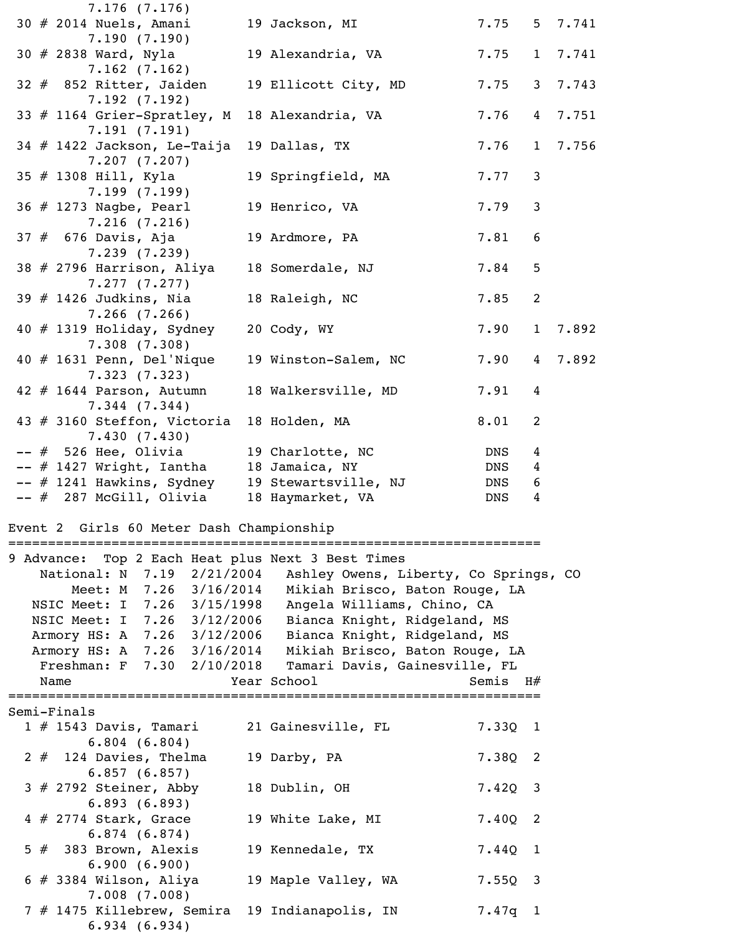|  |             | $7.176$ (7.176)                                                                |                     |                                                                  |            |                 |                  |
|--|-------------|--------------------------------------------------------------------------------|---------------------|------------------------------------------------------------------|------------|-----------------|------------------|
|  |             | 30 # 2014 Nuels, Amani<br>7.190(7.190)                                         | 19 Jackson, MI      |                                                                  |            |                 | $7.75$ 5 $7.741$ |
|  |             | 30 # 2838 Ward, Nyla                                                           |                     | 19 Alexandria, VA                                                | 7.75       |                 | 1 7.741          |
|  |             | $7.162$ (7.162)<br>$32$ $#$ 852 Ritter, Jaiden                                 |                     | 19 Ellicott City, MD                                             | 7.75       |                 | 3 7.743          |
|  |             | 7.192(7.192)<br>33 # 1164 Grier-Spratley, M                                    |                     | 18 Alexandria, VA                                                | 7.76       | $4\overline{ }$ | 7.751            |
|  |             | 7.191(7.191)                                                                   |                     |                                                                  |            |                 |                  |
|  |             | 34 # 1422 Jackson, Le-Taija<br>7.207(7.207)                                    | 19 Dallas, TX       |                                                                  | 7.76       | $\mathbf{1}$    | 7.756            |
|  |             | 35 # 1308 Hill, Kyla<br>7.199(7.199)                                           |                     | 19 Springfield, MA                                               | 7.77       | 3               |                  |
|  |             | 36 # 1273 Nagbe, Pearl<br>7.216(7.216)                                         | 19 Henrico, VA      |                                                                  | 7.79       | 3               |                  |
|  |             | 37 # 676 Davis, Aja                                                            | 19 Ardmore, PA      |                                                                  | 7.81       | 6               |                  |
|  |             | 7.239(7.239)<br>38 # 2796 Harrison, Aliya                                      | 18 Somerdale, NJ    |                                                                  | 7.84       | 5               |                  |
|  |             | 7.277(7.277)<br>$39$ # 1426 Judkins, Nia                                       | 18 Raleigh, NC      |                                                                  | 7.85       | 2               |                  |
|  |             | $7.266$ $(7.266)$                                                              |                     |                                                                  |            |                 |                  |
|  |             | $40 \# 1319$ Holiday, Sydney<br>7.308(7.308)                                   | 20 Cody, WY         |                                                                  | 7.90       | $\mathbf{1}$    | 7.892            |
|  |             | $40$ # 1631 Penn, Del'Nique<br>7.323(7.323)                                    |                     | 19 Winston-Salem, NC                                             | 7.90       | $\overline{4}$  | 7.892            |
|  |             | $42$ # 1644 Parson, Autumn                                                     | 18 Walkersville, MD |                                                                  | 7.91       | 4               |                  |
|  |             | $7.344$ $(7.344)$<br>43 # 3160 Steffon, Victoria                               | 18 Holden, MA       |                                                                  | 8.01       | 2               |                  |
|  |             | 7.430(7.430)<br>-- # 526 Hee, Olivia                                           | 19 Charlotte, NC    |                                                                  | <b>DNS</b> | 4               |                  |
|  |             | -- # 1427 Wright, Iantha                                                       | 18 Jamaica, NY      |                                                                  | DNS        | 4               |                  |
|  |             |                                                                                |                     | -- # 1241 Hawkins, Sydney 19 Stewartsville, NJ                   | DNS 6      |                 |                  |
|  |             | -- # 287 McGill, Olivia                                                        | 18 Haymarket, VA    |                                                                  | DNS        | 4               |                  |
|  |             | Event 2 Girls 60 Meter Dash Championship<br>================================== |                     |                                                                  |            |                 |                  |
|  |             | 9 Advance: Top 2 Each Heat plus Next 3 Best Times                              |                     |                                                                  |            |                 |                  |
|  |             |                                                                                |                     | National: N 7.19 2/21/2004 Ashley Owens, Liberty, Co Springs, CO |            |                 |                  |
|  |             |                                                                                |                     | Meet: M 7.26 3/16/2014 Mikiah Brisco, Baton Rouge, LA            |            |                 |                  |
|  |             |                                                                                |                     | NSIC Meet: I 7.26 3/15/1998 Angela Williams, Chino, CA           |            |                 |                  |
|  |             |                                                                                |                     | NSIC Meet: I 7.26 3/12/2006 Bianca Knight, Ridgeland, MS         |            |                 |                  |
|  |             |                                                                                |                     | Armory HS: A 7.26 3/12/2006 Bianca Knight, Ridgeland, MS         |            |                 |                  |
|  |             |                                                                                |                     | Armory HS: A 7.26 3/16/2014 Mikiah Brisco, Baton Rouge, LA       |            |                 |                  |
|  |             |                                                                                |                     | Freshman: F 7.30 2/10/2018 Tamari Davis, Gainesville, FL         |            |                 |                  |
|  | Name        |                                                                                | Year School         |                                                                  | Semis $H#$ |                 |                  |
|  | Semi-Finals |                                                                                | ======              |                                                                  |            |                 |                  |
|  |             | 1 # 1543 Davis, Tamari 21 Gainesville, FL                                      |                     |                                                                  | $7.33Q$ 1  |                 |                  |
|  |             | 6.804(6.804)<br>$2 \#$ 124 Davies, Thelma                                      | 19 Darby, PA        |                                                                  | $7.38Q$ 2  |                 |                  |
|  |             | 6.857(6.857)<br>$3$ # 2792 Steiner, Abby                                       | 18 Dublin, OH       |                                                                  | $7.42Q$ 3  |                 |                  |
|  |             | 6.893(6.893)<br>$4$ # 2774 Stark, Grace                                        |                     | 19 White Lake, MI                                                | $7.40Q$ 2  |                 |                  |
|  |             | 6.874(6.874)                                                                   |                     |                                                                  |            |                 |                  |
|  |             | $5$ # 383 Brown, Alexis<br>6.900(6.900)                                        | 19 Kennedale, TX    |                                                                  | $7.44Q$ 1  |                 |                  |
|  |             | 6 # 3384 Wilson, Aliya<br>$7.008$ $(7.008)$                                    |                     | 19 Maple Valley, WA                                              | $7.55Q$ 3  |                 |                  |
|  |             | 6.934(6.934)                                                                   |                     | 7 # 1475 Killebrew, Semira 19 Indianapolis, IN                   | $7.47q$ 1  |                 |                  |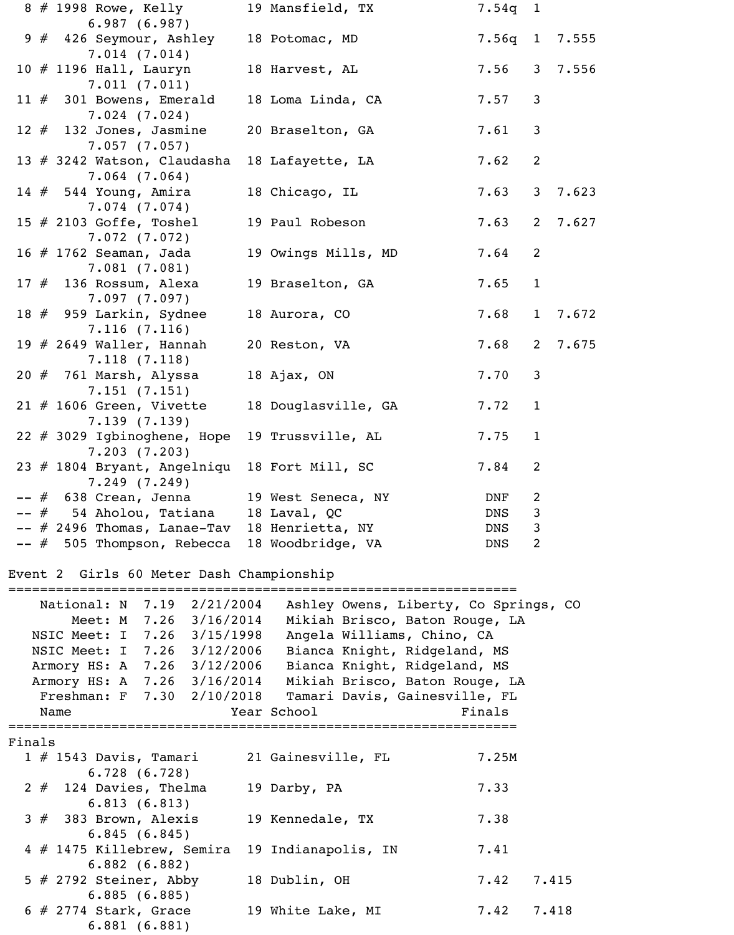|        |      |                            | 8 # 1998 Rowe, Kelly                                        | 19 Mansfield, TX                               | 7.54q 1       |                |         |
|--------|------|----------------------------|-------------------------------------------------------------|------------------------------------------------|---------------|----------------|---------|
|        |      |                            | 6.987(6.987)<br>9 # 426 Seymour, Ashley                     | 18 Potomac, MD                                 | 7.56q 1 7.555 |                |         |
|        |      |                            | 7.014(7.014)                                                |                                                |               |                |         |
|        |      | 10 $\#$ 1196 Hall, Lauryn  | 7.011(7.011)                                                | 18 Harvest, AL                                 | 7.56          |                | 3 7.556 |
|        |      |                            | 11 $#$ 301 Bowens, Emerald<br>$7.024$ $(7.024)$             | 18 Loma Linda, CA                              | 7.57          | 3              |         |
|        |      |                            | 12 $#$ 132 Jones, Jasmine<br>7.057(7.057)                   | 20 Braselton, GA                               | 7.61          | 3              |         |
|        |      |                            | 13 # 3242 Watson, Claudasha                                 | 18 Lafayette, LA                               | 7.62          | $\overline{2}$ |         |
|        |      | $14#544$ Young, Amira      | $7.064$ $(7.064)$                                           | 18 Chicago, IL                                 | 7.63          | 3 <sup>7</sup> | 7.623   |
|        |      | 15 $\#$ 2103 Goffe, Toshel | $7.074$ $(7.074)$                                           | 19 Paul Robeson                                | 7.63          | $2^{\circ}$    | 7.627   |
|        |      | 16 # 1762 Seaman, Jada     | 7.072(7.072)                                                | 19 Owings Mills, MD                            | 7.64          | 2              |         |
|        |      | 17 $#$ 136 Rossum, Alexa   | 7.081(7.081)                                                | 19 Braselton, GA                               | 7.65          | $\mathbf{1}$   |         |
|        |      |                            | 7.097(7.097)<br>18 # 959 Larkin, Sydnee                     | 18 Aurora, CO                                  | 7.68          | 1              | 7.672   |
|        |      |                            | 7.116(7.116)<br>19 $#$ 2649 Waller, Hannah                  | 20 Reston, VA                                  | 7.68          | $2^{\circ}$    | 7.675   |
|        |      | $20$ # 761 Marsh, Alyssa   | 7.118(7.118)                                                | 18 Ajax, ON                                    | 7.70          | 3              |         |
|        |      |                            | 7.151(7.151)<br>$21$ # 1606 Green, Vivette                  | 18 Douglasville, GA                            | 7.72          | $\mathbf{1}$   |         |
|        |      |                            | 7.139(7.139)<br>22 # 3029 Igbinoghene, Hope<br>7.203(7.203) | 19 Trussville, AL                              | 7.75          | $\mathbf{1}$   |         |
|        |      |                            |                                                             | 23 # 1804 Bryant, Angelniqu 18 Fort Mill, SC   | 7.84          | 2              |         |
|        |      |                            | 7.249(7.249)                                                | -- # 638 Crean, Jenna 19 West Seneca, NY       | DNF           | $\overline{2}$ |         |
|        |      |                            | -- # 54 Aholou, Tatiana 18 Laval, QC                        |                                                | DNS           | 3              |         |
|        |      |                            |                                                             | -- # 2496 Thomas, Lanae-Tav 18 Henrietta, NY   | DNS           | $\mathfrak{Z}$ |         |
|        |      |                            |                                                             | -- # 505 Thompson, Rebecca 18 Woodbridge, VA   | DNS           | 2              |         |
|        |      |                            | Event 2 Girls 60 Meter Dash Championship                    |                                                |               |                |         |
|        |      |                            | National: N 7.19 2/21/2004                                  | Ashley Owens, Liberty, Co Springs, CO          |               |                |         |
|        |      |                            | Meet: M 7.26 3/16/2014                                      | Mikiah Brisco, Baton Rouge, LA                 |               |                |         |
|        |      |                            | NSIC Meet: I 7.26 3/15/1998                                 | Angela Williams, Chino, CA                     |               |                |         |
|        |      |                            | NSIC Meet: I 7.26 3/12/2006                                 | Bianca Knight, Ridgeland, MS                   |               |                |         |
|        |      |                            | Armory HS: A 7.26 3/12/2006                                 | Bianca Knight, Ridgeland, MS                   |               |                |         |
|        |      |                            | Armory HS: A 7.26 3/16/2014                                 | Mikiah Brisco, Baton Rouge, LA                 |               |                |         |
|        |      |                            | Freshman: F 7.30 2/10/2018                                  | Tamari Davis, Gainesville, FL                  |               |                |         |
|        | Name |                            |                                                             | Year School                                    | Finals        |                |         |
| Finals |      |                            |                                                             |                                                |               |                |         |
|        |      |                            | $1 \# 1543$ Davis, Tamari                                   | 21 Gainesville, FL                             | 7.25M         |                |         |
|        |      |                            | 6.728(6.728)                                                |                                                |               |                |         |
|        |      |                            | $2 \#$ 124 Davies, Thelma<br>6.813(6.813)                   | 19 Darby, PA                                   | 7.33          |                |         |
|        |      | $3#$ 383 Brown, Alexis     | 6.845(6.845)                                                | 19 Kennedale, TX                               | 7.38          |                |         |
|        |      |                            | 6.882(6.882)                                                | 4 # 1475 Killebrew, Semira 19 Indianapolis, IN | 7.41          |                |         |
|        |      |                            | $5$ # 2792 Steiner, Abby<br>6.885(6.885)                    | 18 Dublin, OH                                  | 7.42          |                | 7.415   |
|        |      | $6$ # 2774 Stark, Grace    | 6.881(6.881)                                                | 19 White Lake, MI                              | 7.42          |                | 7.418   |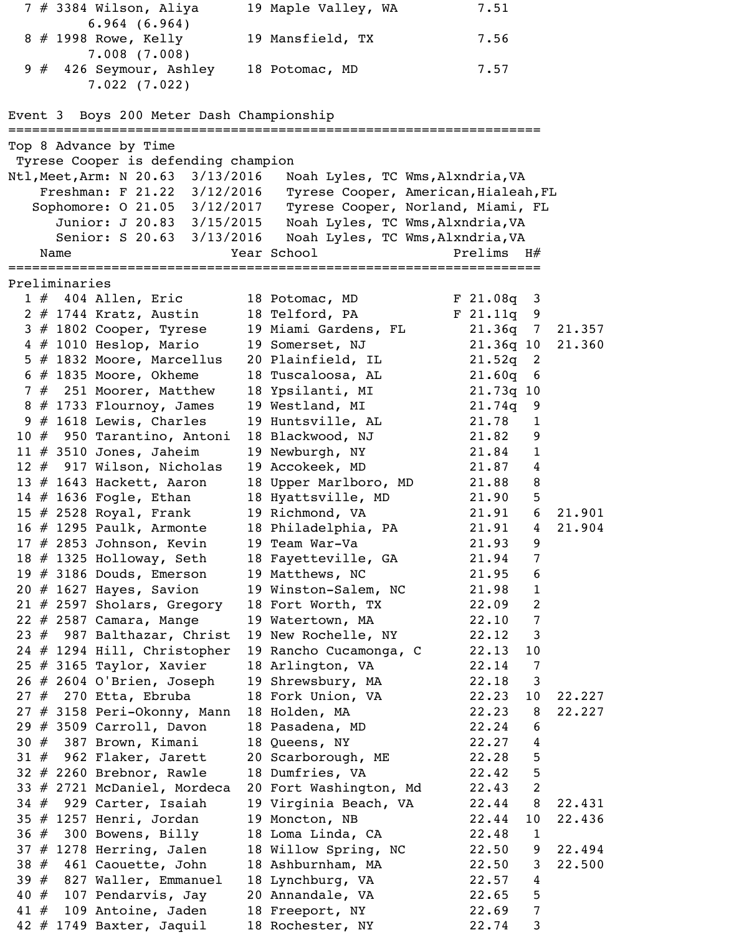|     |    |               | $7$ # 3384 Wilson, Aliya                                                 |                 | 19 Maple Valley, WA                       |  | 7.51           |                   |        |
|-----|----|---------------|--------------------------------------------------------------------------|-----------------|-------------------------------------------|--|----------------|-------------------|--------|
|     |    |               | $6.964$ $(6.964)$                                                        |                 |                                           |  |                |                   |        |
|     |    |               | 8 # 1998 Rowe, Kelly<br>7.008(7.008)                                     |                 | 19 Mansfield, TX                          |  | 7.56           |                   |        |
|     | 9# |               | 426 Seymour, Ashley                                                      | 18 Potomac, MD  |                                           |  | 7.57           |                   |        |
|     |    |               | 7.022(7.022)                                                             |                 |                                           |  |                |                   |        |
|     |    |               |                                                                          |                 |                                           |  |                |                   |        |
|     |    |               | Event 3 Boys 200 Meter Dash Championship                                 |                 |                                           |  |                |                   |        |
|     |    |               |                                                                          |                 |                                           |  |                |                   |        |
|     |    |               | Top 8 Advance by Time                                                    |                 |                                           |  |                |                   |        |
|     |    |               | Tyrese Cooper is defending champion<br>Ntl, Meet, Arm: N 20.63 3/13/2016 |                 | Noah Lyles, TC Wms, Alxndria, VA          |  |                |                   |        |
|     |    |               | Freshman: F 21.22 3/12/2016                                              |                 | Tyrese Cooper, American, Hialeah, FL      |  |                |                   |        |
|     |    |               | Sophomore: 0 21.05 3/12/2017                                             |                 | Tyrese Cooper, Norland, Miami, FL         |  |                |                   |        |
|     |    |               | Junior: J 20.83 3/15/2015                                                |                 | Noah Lyles, TC Wms, Alxndria, VA          |  |                |                   |        |
|     |    |               | Senior: S 20.63 3/13/2016                                                |                 | Noah Lyles, TC Wms, Alxndria, VA          |  |                |                   |        |
|     |    | Name          |                                                                          | Year School     |                                           |  | Prelims H#     |                   |        |
|     |    |               |                                                                          |                 |                                           |  |                |                   |        |
|     |    | Preliminaries |                                                                          |                 |                                           |  |                |                   |        |
|     |    |               | $1 \# 404$ Allen, Eric                                                   |                 | 18 Potomac, MD                            |  | $F$ 21.08q 3   |                   |        |
|     |    |               | 2 # 1744 Kratz, Austin                                                   | 18 Telford, PA  |                                           |  | $F$ 21.11q 9   |                   |        |
|     |    |               | $3$ # 1802 Cooper, Tyrese                                                |                 | 19 Miami Gardens, FL                      |  | $21.36q$ 7     |                   | 21.357 |
|     |    |               | $4 \# 1010$ Heslop, Mario                                                | 19 Somerset, NJ |                                           |  | 21.36q 10      |                   | 21.360 |
|     |    |               | 5 # 1832 Moore, Marcellus                                                |                 | 20 Plainfield, IL                         |  | $21.52q$ 2     |                   |        |
|     |    |               | $6$ # 1835 Moore, Okheme                                                 |                 | 18 Tuscaloosa, AL                         |  | $21.60q$ 6     |                   |        |
|     |    |               | 7 # 251 Moorer, Matthew                                                  |                 | 18 Ypsilanti, MI                          |  | 21.73q 10      |                   |        |
|     |    |               | $8 \# 1733$ Flournoy, James                                              | 19 Westland, MI |                                           |  | $21.74q$ 9     |                   |        |
|     |    |               | $9$ # 1618 Lewis, Charles                                                |                 | 19 Huntsville, AL                         |  | 21.78          | $\mathbf{1}$      |        |
|     |    |               | 10 # 950 Tarantino, Antoni                                               |                 | 18 Blackwood, NJ<br>19 Newburgh, NY       |  | 21.82<br>21.84 | 9<br>$\mathbf{1}$ |        |
|     |    |               | 11 $#$ 3510 Jones, Jaheim<br>12 # 917 Wilson, Nicholas                   | 19 Accokeek, MD |                                           |  | 21.87          |                   |        |
|     |    |               | 13 $#$ 1643 Hackett, Aaron                                               |                 | 18 Upper Marlboro, MD                     |  | 21.88          | 4<br>8            |        |
|     |    |               | 14 $\#$ 1636 Fogle, Ethan                                                |                 | 18 Hyattsville, MD                        |  | 21.90          | 5                 |        |
|     |    |               | 15 $#$ 2528 Royal, Frank                                                 |                 | 19 Richmond, VA                           |  | 21.91          | 6                 | 21.901 |
|     |    |               | 16 $\#$ 1295 Paulk, Armonte                                              |                 | 18 Philadelphia, PA                       |  | 21.91          | $\overline{4}$    | 21.904 |
|     |    |               | $17$ # 2853 Johnson, Kevin                                               | 19 Team War-Va  |                                           |  | 21.93          | 9                 |        |
|     |    |               | 18 $#$ 1325 Holloway, Seth                                               |                 | 18 Fayetteville, GA                       |  | 21.94          | $\overline{7}$    |        |
|     |    |               | 19 $#$ 3186 Douds, Emerson                                               | 19 Matthews, NC |                                           |  | 21.95          | 6                 |        |
|     |    |               | $20$ # 1627 Hayes, Savion                                                |                 | 19 Winston-Salem, NC                      |  | 21.98          | $\mathbf{1}$      |        |
|     |    |               | $21$ # 2597 Sholars, Gregory                                             |                 | 18 Fort Worth, TX                         |  | 22.09          | $\overline{2}$    |        |
|     |    |               | 22 # 2587 Camara, Mange                                                  |                 | 19 Watertown, MA                          |  | 22.10          | $\overline{7}$    |        |
|     |    |               | 23 # 987 Balthazar, Christ                                               |                 | 19 New Rochelle, NY                       |  | 22.12          | $\mathbf{3}$      |        |
|     |    |               | $24$ # 1294 Hill, Christopher                                            |                 | 19 Rancho Cucamonga, C                    |  | 22.13          | 10                |        |
|     |    |               | $25$ # 3165 Taylor, Xavier                                               |                 | 18 Arlington, VA                          |  | 22.14          | $\overline{7}$    |        |
|     |    |               | 26 # 2604 O'Brien, Joseph                                                |                 | 19 Shrewsbury, MA                         |  | 22.18          | 3                 |        |
|     |    |               | $27$ $#$ 270 Etta, Ebruba                                                |                 | 18 Fork Union, VA                         |  | 22.23          | 10                | 22.227 |
|     |    |               | $27$ # 3158 Peri-Okonny, Mann                                            | 18 Holden, MA   |                                           |  | 22.23          | 8                 | 22.227 |
|     |    |               | $29$ # 3509 Carroll, Davon                                               |                 | 18 Pasadena, MD                           |  | 22.24          | 6                 |        |
|     |    |               | $30 \# 387$ Brown, Kimani                                                | 18 Queens, NY   |                                           |  | 22.27          | $\overline{4}$    |        |
|     |    |               | $31$ $#$ 962 Flaker, Jarett                                              |                 | 20 Scarborough, ME                        |  | 22.28          | 5                 |        |
|     |    |               | $32$ # 2260 Brebnor, Rawle                                               | 18 Dumfries, VA |                                           |  | 22.42          | 5                 |        |
|     |    |               | 33 # 2721 McDaniel, Mordeca                                              |                 | 20 Fort Washington, Md                    |  | 22.43          | $\overline{2}$    |        |
|     |    |               | $34$ # 929 Carter, Isaiah                                                |                 | 19 Virginia Beach, VA                     |  | 22.44          | 8                 | 22.431 |
|     |    |               | $35$ # 1257 Henri, Jordan                                                | 19 Moncton, NB  |                                           |  | 22.44          | 10                | 22.436 |
|     |    |               | $36$ $#$ 300 Bowens, Billy<br>$37$ # 1278 Herring, Jalen                 |                 | 18 Loma Linda, CA                         |  | 22.48<br>22.50 | $\mathbf{1}$<br>9 | 22.494 |
|     |    |               | 38 # 461 Caouette, John                                                  |                 | 18 Willow Spring, NC<br>18 Ashburnham, MA |  | 22.50          | 3                 | 22.500 |
|     |    |               | 39 # 827 Waller, Emmanuel                                                |                 | 18 Lynchburg, VA                          |  | 22.57          | 4                 |        |
|     |    |               | 40 $#$ 107 Pendarvis, Jay                                                |                 | 20 Annandale, VA                          |  | 22.65          | 5                 |        |
| 41# |    |               | 109 Antoine, Jaden                                                       | 18 Freeport, NY |                                           |  | 22.69          | $\overline{7}$    |        |
|     |    |               | 42 $#$ 1749 Baxter, Jaquil                                               |                 | 18 Rochester, NY                          |  | 22.74          | 3                 |        |
|     |    |               |                                                                          |                 |                                           |  |                |                   |        |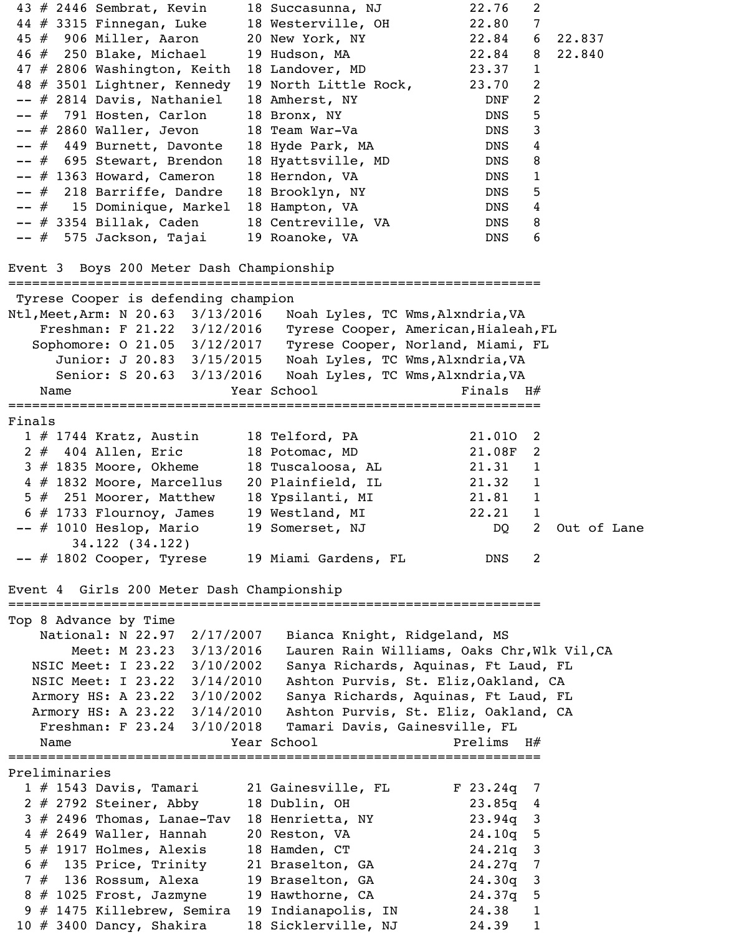43 # 2446 Sembrat, Kevin 18 Succasunna, NJ 22.76 2<br>
44 # 3315 Finnegan, Luke 18 Westerville, OH 22.80 7<br>
45 # 906 Miller, Aaron 20 New York, NY 22.84 6 22.837<br>
46 # 250 Blake, Michael 19 Hudson, MA 22.84 8 22.840 44 # 3315 Finnegan, Luke 18 Westerville, OH 22.80 7 45 # 906 Miller, Aaron 20 New York, NY 22.84 6 22.837 46 # 250 Blake, Michael 19 Hudson, MA 22.84 8 22.840 47 # 2806 Washington, Keith 18 Landover, MD 23.37 1 48 # 3501 Lightner, Kennedy 19 North Little Rock, 23.70 2 -- # 2814 Davis, Nathaniel 18 Amherst, NY MONF 2 -- # 791 Hosten, Carlon 18 Bronx, NY DNS 5 -- # 2860 Waller, Jevon 18 Team War-Va DNS 3 -- # 449 Burnett, Davonte 18 Hyde Park, MA BONS 4 -- # 695 Stewart, Brendon 18 Hyattsville, MD DNS 8 -- # 1363 Howard, Cameron 18 Herndon, VA DNS 1 -- # 218 Barriffe, Dandre 18 Brooklyn, NY DNS 5 -- # 15 Dominique, Markel 18 Hampton, VA DNS 4 -- # 3354 Billak, Caden 18 Centreville, VA DNS 8 -- # 575 Jackson, Tajai 19 Roanoke, VA DNS 6 Event 3 Boys 200 Meter Dash Championship =================================================================== Tyrese Cooper is defending champion Ntl,Meet,Arm: N 20.63 3/13/2016 Noah Lyles, TC Wms,Alxndria,VA Freshman: F 21.22 3/12/2016 Tyrese Cooper, American,Hialeah,FL Sophomore: O 21.05 3/12/2017 Tyrese Cooper, Norland, Miami, FL Junior: J 20.83 3/15/2015 Noah Lyles, TC Wms, Alxndria, VA Senior: S 20.63 3/13/2016 Noah Lyles, TC Wms,Alxndria,VA Name Year School Finals H# =================================================================== Finals 1 # 1744 Kratz, Austin 18 Telford, PA 21.01O 2 2 # 404 Allen, Eric 18 Potomac, MD 21.08F 2 3 # 1835 Moore, Okheme 18 Tuscaloosa, AL 21.31 1 4 # 1832 Moore, Marcellus 20 Plainfield, IL 21.32 1 5 # 251 Moorer, Matthew 18 Ypsilanti, MI 21.81 1  $6$  # 1733 Flournoy, James 19 Westland, MI  $22.21$  1 -- # 1010 Heslop, Mario 19 Somerset, NJ 100 2 Out of Lane 34.122 (34.122) -- # 1802 Cooper, Tyrese 19 Miami Gardens, FL MONS 2 Event 4 Girls 200 Meter Dash Championship =================================================================== Top 8 Advance by Time National: N 22.97 2/17/2007 Bianca Knight, Ridgeland, MS Meet: M 23.23 3/13/2016 Lauren Rain Williams, Oaks Chr, Wlk Vil, CA NSIC Meet: I 23.22 3/10/2002 Sanya Richards, Aquinas, Ft Laud, FL NSIC Meet: I 23.22 3/14/2010 Ashton Purvis, St. Eliz,Oakland, CA Armory HS: A 23.22 3/10/2002 Sanya Richards, Aquinas, Ft Laud, FL Armory HS: A 23.22 3/14/2010 Ashton Purvis, St. Eliz, Oakland, CA Freshman: F 23.24 3/10/2018 Tamari Davis, Gainesville, FL Name  $Year$  School  $Year$  Prelims  $H#$ =================================================================== Preliminaries 1 # 1543 Davis, Tamari 21 Gainesville, FL F 23.24q 7 2 # 2792 Steiner, Abby 18 Dublin, OH 23.85q 4  $3$   $\#$  2496 Thomas, Lanae-Tav 18 Henrietta, NY 23.94q 3 4 # 2649 Waller, Hannah 20 Reston, VA 24.10q 5 5 # 1917 Holmes, Alexis 18 Hamden, CT 24.21q 3 6 # 135 Price, Trinity 21 Braselton, GA 24.27q 7 7 # 136 Rossum, Alexa 19 Braselton, GA 24.30q 3 8 # 1025 Frost, Jazmyne 19 Hawthorne, CA 24.37q 5 9 # 1475 Killebrew, Semira 19 Indianapolis, IN 24.38 1 10 # 3400 Dancy, Shakira 18 Sicklerville, NJ 24.39 1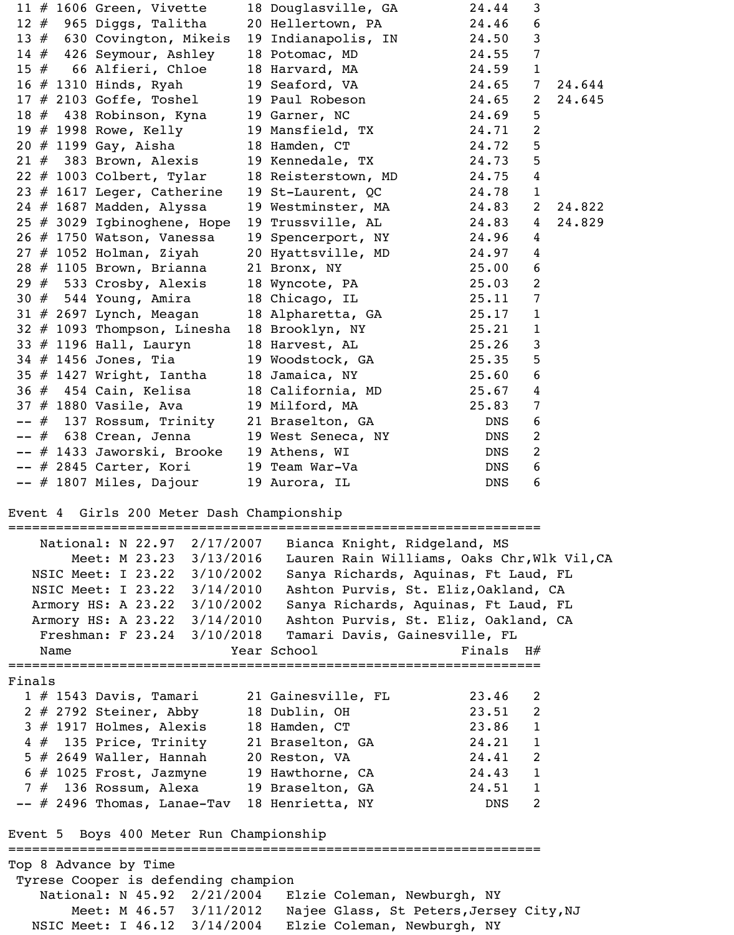| 11 $#$ 1606 Green, Vivette                                                                                           | 18 Douglasville, GA                            | 24.44       | 3               |        |
|----------------------------------------------------------------------------------------------------------------------|------------------------------------------------|-------------|-----------------|--------|
| $12$ $#$ 965 Diggs, Talitha                                                                                          | 20 Hellertown, PA                              | 24.46       | 6               |        |
| 13 # 630 Covington, Mikeis                                                                                           | 19 Indianapolis, IN 24.50                      |             | $\mathbf{3}$    |        |
| 14 # 426 Seymour, Ashley                                                                                             | 18 Potomac, MD 24.55                           |             | $\overline{7}$  |        |
| 15 # 66 Alfieri, Chloe                                                                                               | 18 Harvard, MA 24.59                           |             | $\mathbf{1}$    |        |
| 16 # 1310 Hinds, Ryah                                                                                                | 19 Seaford, VA 24.65                           |             | $7\overline{ }$ | 24.644 |
| $17 \# 2103$ Goffe, Toshel $19$ Paul Robeson $24.65$                                                                 |                                                |             | $\mathbf{2}$    | 24.645 |
| 18 # 438 Robinson, Kyna 19 Garner, NC                                                                                | 24.69                                          |             | $5\overline{)}$ |        |
| 19 # 1998 Rowe, Kelly 19 Mansfield, TX 24.71<br>20 # 1199 Gay, Aisha 18 Hamden, CT 24.72                             |                                                |             | $\overline{2}$  |        |
|                                                                                                                      |                                                |             | 5               |        |
| 21 # 383 Brown, Alexis 19 Kennedale, TX 24.73                                                                        |                                                |             | $5\overline{)}$ |        |
| $22$ # 1003 Colbert, Tylar                                                                                           | 18 Reisterstown, MD 24.75                      |             | $\overline{4}$  |        |
| 23 $#$ 1617 Leger, Catherine                                                                                         | 19 St-Laurent, QC 24.78                        |             | $\mathbf{1}$    |        |
| $24$ # 1687 Madden, Alyssa                                                                                           | 19 Westminster, MA 24.83                       |             | $\overline{2}$  | 24.822 |
| $25$ # 3029 Igbinoghene, Hope                                                                                        | 19 Trussville, AL 24.83                        |             | $4\overline{ }$ | 24.829 |
| 26 # 1750 Watson, Vanessa                                                                                            | 19 Spencerport, NY 24.96                       |             | $\overline{4}$  |        |
| $27$ # 1052 Holman, Ziyah                                                                                            | 20 Hyattsville, MD 24.97<br>21 Bronx, NY 25.00 |             | $\overline{4}$  |        |
| 28 # 1105 Brown, Brianna                                                                                             | 18 Wyncote, PA 25.03                           |             | 6<br>2          |        |
| $29$ $\#$ 533 Crosby, Alexis<br>$30 \# 544$ Young, Amira                                                             | 18 Chicago, IL 25.11                           |             | $\overline{7}$  |        |
|                                                                                                                      |                                                |             | $\mathbf{1}$    |        |
| 31 # 2697 Lynch, Meagan 18 Alpharetta, GA 25.17<br>32 # 1093 Thompson, Linesha 18 Brooklyn, NY 25.21                 |                                                |             | $\mathbf{1}$    |        |
|                                                                                                                      | 18 Harvest, AL 25.26                           |             | $\mathbf{3}$    |        |
| $33$ # 1196 Hall, Lauryn                                                                                             | 19 Woodstock, GA 25.35                         |             | 5               |        |
| 34 # 1456 Jones, Tia<br>$35$ # 1427 Wright, Iantha                                                                   | 18 Jamaica, NY 25.60                           |             | 6               |        |
|                                                                                                                      |                                                |             | $\overline{4}$  |        |
| $36 \# 454 \text{ Cain}$ , Kelisa $18 \text{ California}$ , MD $25.67$<br>37 # 1880 Vasile, Ava 19 Milford, MA 25.83 |                                                |             | $\overline{7}$  |        |
| -- # 137 Rossum, Trinity 21 Braselton, GA DNS                                                                        |                                                |             | 6               |        |
| -- # 638 Crean, Jenna                                                                                                | 19 West Seneca, NY DNS                         |             | 2               |        |
| -- # 1433 Jaworski, Brooke 19 Athens, WI                                                                             |                                                | DNS         | 2               |        |
| $--$ # 2845 Carter, Kori 19 Team War-Va                                                                              |                                                | DNS         | 6               |        |
| -- # 1807 Miles, Dajour 19 Aurora, IL                                                                                |                                                | DNS         | 6               |        |
|                                                                                                                      |                                                |             |                 |        |
| Event 4 Girls 200 Meter Dash Championship<br>==============================                                          | ==========================                     |             |                 |        |
| National: N 22.97 2/17/2007                                                                                          | Bianca Knight, Ridgeland, MS                   |             |                 |        |
| Meet: M 23.23 3/13/2016                                                                                              | Lauren Rain Williams, Oaks Chr, Wlk Vil, CA    |             |                 |        |
| NSIC Meet: I 23.22 3/10/2002                                                                                         | Sanya Richards, Aquinas, Ft Laud, FL           |             |                 |        |
| NSIC Meet: I 23.22 3/14/2010                                                                                         | Ashton Purvis, St. Eliz, Oakland, CA           |             |                 |        |
| Armory HS: A 23.22 3/10/2002                                                                                         | Sanya Richards, Aquinas, Ft Laud, FL           |             |                 |        |
| Armory HS: A 23.22 3/14/2010                                                                                         | Ashton Purvis, St. Eliz, Oakland, CA           |             |                 |        |
| Freshman: F 23.24 3/10/2018                                                                                          | Tamari Davis, Gainesville, FL                  |             |                 |        |
| Name                                                                                                                 | Year School                                    | Finals $H#$ |                 |        |
|                                                                                                                      |                                                |             |                 |        |
| Finals                                                                                                               |                                                |             |                 |        |
| 1 # 1543 Davis, Tamari 21 Gainesville, FL                                                                            |                                                | 23.46       | 2               |        |
| 2 # 2792 Steiner, Abby 18 Dublin, OH                                                                                 |                                                | 23.51       | 2               |        |
| 3 # 1917 Holmes, Alexis 18 Hamden, CT                                                                                |                                                | 23.86       | $\mathbf{1}$    |        |
| 4 # 135 Price, Trinity 21 Braselton, GA                                                                              |                                                | 24.21       | $\mathbf{1}$    |        |
| 5 # 2649 Waller, Hannah 20 Reston, VA                                                                                |                                                | 24.41       | 2               |        |
| 6 # 1025 Frost, Jazmyne 19 Hawthorne, CA                                                                             |                                                | 24.43       | $\mathbf{1}$    |        |
| 7 # 136 Rossum, Alexa 19 Braselton, GA                                                                               |                                                | 24.51       | $\mathbf{1}$    |        |
| -- # 2496 Thomas, Lanae-Tav 18 Henrietta, NY                                                                         |                                                | DNS         | 2               |        |
| Event 5 Boys 400 Meter Run Championship                                                                              |                                                |             |                 |        |

Top 8 Advance by Time Tyrese Cooper is defending champion

 National: N 45.92 2/21/2004 Elzie Coleman, Newburgh, NY Meet: M 46.57 3/11/2012 Najee Glass, St Peters, Jersey City, NJ<br>NSIC Meet: I 46.12 3/14/2004 Elzie Coleman, Newburgh, NY Elzie Coleman, Newburgh, NY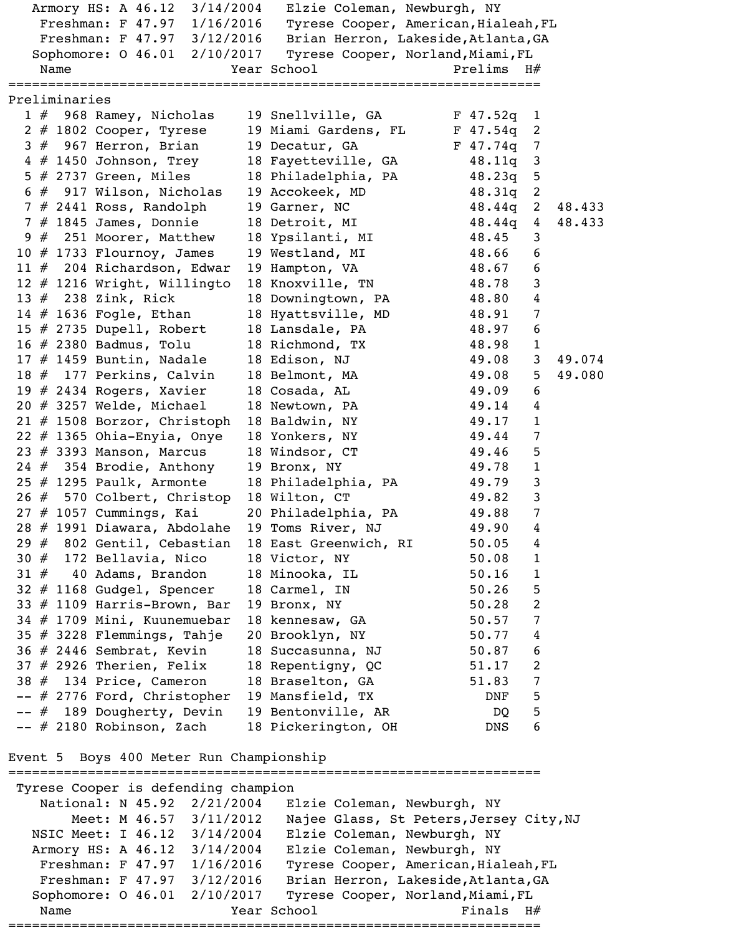Armory HS: A 46.12 3/14/2004 Elzie Coleman, Newburgh, NY Freshman: F 47.97 1/16/2016 Tyrese Cooper, American, Hialeah, FL Freshman: F 47.97 3/12/2016 Brian Herron, Lakeside, Atlanta, GA Sophomore: 0 46.01 2/10/2017 Tyrese Cooper, Norland, Miami, FL Name Year School Prelims H# =================================================================== Preliminaries 1 # 968 Ramey, Nicholas 19 Snellville, GA F 47.52q 1 2 # 1802 Cooper, Tyrese 19 Miami Gardens, FL F 47.54q 2  $3$   $\#$  967 Herron, Brian 19 Decatur, GA F 47.74q 7 4 # 1450 Johnson, Trey 18 Fayetteville, GA 48.11q 3 5 # 2737 Green, Miles 18 Philadelphia, PA 48.23q 5 6 # 917 Wilson, Nicholas 19 Accokeek, MD 48.31q 2 7 # 2441 Ross, Randolph 19 Garner, NC 48.44q 2 48.433 7 # 1845 James, Donnie 18 Detroit, MI 48.44q 4 48.433 9 # 251 Moorer, Matthew 18 Ypsilanti, MI 48.45 3 10 # 1733 Flournoy, James 19 Westland, MI 48.66 6 11 # 204 Richardson, Edwar 19 Hampton, VA 48.67 6 12 # 1216 Wright, Willingto 18 Knoxville, TN 48.78 3 13 # 238 Zink, Rick 18 Downingtown, PA 48.80 4 14 # 1636 Fogle, Ethan 18 Hyattsville, MD 48.91 7 15 # 2735 Dupell, Robert 18 Lansdale, PA 48.97 6 16 # 2380 Badmus, Tolu 18 Richmond, TX 48.98 1 17 # 1459 Buntin, Nadale 18 Edison, NJ 49.08 3 49.074 18 # 177 Perkins, Calvin 18 Belmont, MA 49.08 5 49.080 19 # 2434 Rogers, Xavier 18 Cosada, AL 49.09 6 20 # 3257 Welde, Michael 18 Newtown, PA 49.14 4 21 # 1508 Borzor, Christoph 18 Baldwin, NY 49.17 1 22 # 1365 Ohia-Enyia, Onye 18 Yonkers, NY 49.44 7 23 # 3393 Manson, Marcus 18 Windsor, CT 49.46 5 24 # 354 Brodie, Anthony 19 Bronx, NY 49.78 1 25 # 1295 Paulk, Armonte 18 Philadelphia, PA 49.79 3 26 # 570 Colbert, Christop 18 Wilton, CT 49.82 3 27 # 1057 Cummings, Kai 20 Philadelphia, PA 49.88 7 28 # 1991 Diawara, Abdolahe 19 Toms River, NJ 49.90 4 29 # 802 Gentil, Cebastian 18 East Greenwich, RI 50.05 4 30 # 172 Bellavia, Nico 18 Victor, NY 50.08 1 31 # 40 Adams, Brandon 18 Minooka, IL 50.16 1 32 # 1168 Gudgel, Spencer 18 Carmel, IN 50.26 5 33 # 1109 Harris-Brown, Bar 19 Bronx, NY 50.28 2 34 # 1709 Mini, Kuunemuebar 18 kennesaw, GA 50.57 7 35 # 3228 Flemmings, Tahje 20 Brooklyn, NY 50.77 4 36 # 2446 Sembrat, Kevin 18 Succasunna, NJ 50.87 6  $37$  # 2926 Therien, Felix 18 Repentigny, QC  $51.17$  2 38 # 134 Price, Cameron 18 Braselton, GA 51.83 7 -- # 2776 Ford, Christopher 19 Mansfield, TX DNF 5 -- # 189 Dougherty, Devin 19 Bentonville, AR DQ 5 -- # 2180 Robinson, Zach 18 Pickerington, OH DNS 6

Event 5 Boys 400 Meter Run Championship

=================================================================== Tyrese Cooper is defending champion National: N 45.92 2/21/2004 Elzie Coleman, Newburgh, NY Meet: M 46.57 3/11/2012 Najee Glass, St Peters,Jersey City,NJ NSIC Meet: I 46.12 3/14/2004 Elzie Coleman, Newburgh, NY Armory HS: A 46.12 3/14/2004 Elzie Coleman, Newburgh, NY Freshman: F 47.97 1/16/2016 Tyrese Cooper, American, Hialeah, FL Freshman: F 47.97 3/12/2016 Brian Herron, Lakeside, Atlanta, GA Sophomore: 0 46.01 2/10/2017 Tyrese Cooper, Norland, Miami, FL Name Year School Finals H# ===================================================================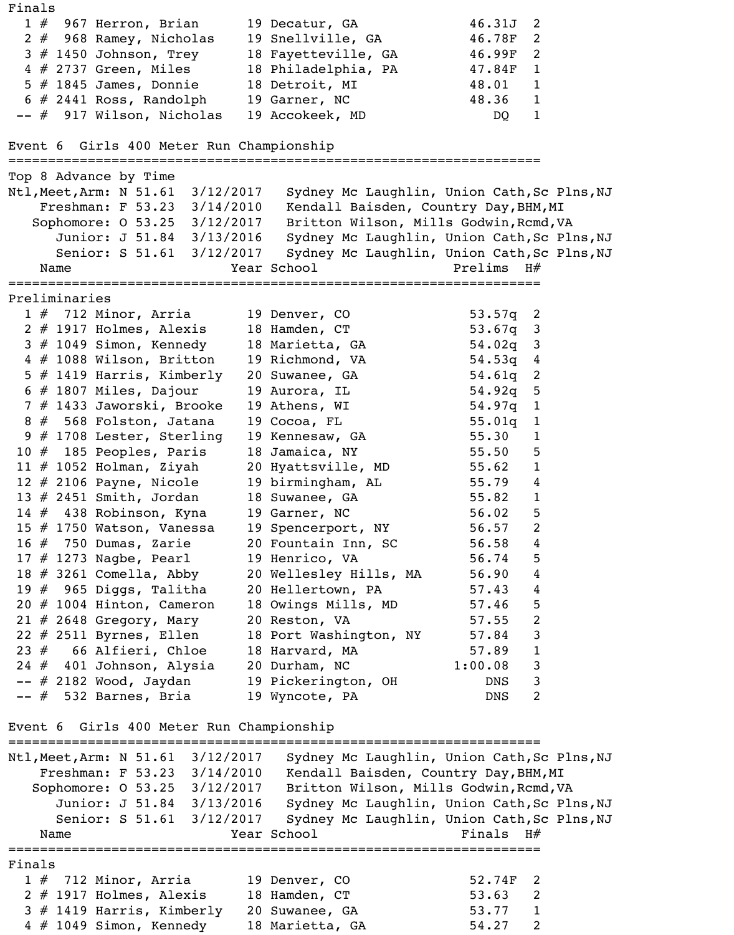Finals 1 # 967 Herron, Brian 19 Decatur, GA 46.31J 2 2 # 968 Ramey, Nicholas 19 Snellville, GA 46.78F 2 3 # 1450 Johnson, Trey 18 Fayetteville, GA 46.99F 2 4 # 2737 Green, Miles 18 Philadelphia, PA 47.84F 1 5 # 1845 James, Donnie 18 Detroit, MI 18.01 1  $6 \# 2441$  Ross, Randolph  $19$  Garner, NC  $48.36$  1 -- # 917 Wilson, Nicholas 19 Accokeek, MD DQ 1 Event 6 Girls 400 Meter Run Championship =================================================================== Top 8 Advance by Time Ntl, Meet, Arm: N 51.61 3/12/2017 Sydney Mc Laughlin, Union Cath, Sc Plns, NJ Freshman: F 53.23 3/14/2010 Kendall Baisden, Country Day, BHM, MI Sophomore: O 53.25 3/12/2017 Britton Wilson, Mills Godwin,Rcmd,VA Junior: J 51.84 3/13/2016 Sydney Mc Laughlin, Union Cath, Sc Plns, NJ Senior: S 51.61 3/12/2017 Sydney Mc Laughlin, Union Cath, Sc Plns, NJ Name Year School Prelims H# =================================================================== Preliminaries 1 # 712 Minor, Arria 19 Denver, CO 53.57q 2 2 # 1917 Holmes, Alexis 18 Hamden, CT 33.67q 3 3 # 1049 Simon, Kennedy 18 Marietta, GA 54.02q 3 4 # 1088 Wilson, Britton 19 Richmond, VA 54.53q 4 5 # 1419 Harris, Kimberly 20 Suwanee, GA 54.61q 2  $6$  # 1807 Miles, Dajour  $19$  Aurora, IL  $54.92q$  5 7 # 1433 Jaworski, Brooke 19 Athens, WI 54.97q 1  $8$   $\#$  568 Folston, Jatana 19 Cocoa, FL 55.01q 1 9 # 1708 Lester, Sterling 19 Kennesaw, GA 55.30 1 10 # 185 Peoples, Paris 18 Jamaica, NY 55.50 5 11 # 1052 Holman, Ziyah 20 Hyattsville, MD 55.62 1 12 # 2106 Payne, Nicole 19 birmingham, AL 55.79 4 13 # 2451 Smith, Jordan 18 Suwanee, GA 55.82 1 14 # 438 Robinson, Kyna 19 Garner, NC 56.02 5 15 # 1750 Watson, Vanessa 19 Spencerport, NY 56.57 2  $16$   $\#$  750 Dumas, Zarie 20 Fountain Inn, SC 56.58 4 17 # 1273 Nagbe, Pearl 19 Henrico, VA 56.74 5 18 # 3261 Comella, Abby 20 Wellesley Hills, MA 56.90 4 19 # 965 Diggs, Talitha 20 Hellertown, PA 57.43 4 20 # 1004 Hinton, Cameron 18 Owings Mills, MD 57.46 5 21 # 2648 Gregory, Mary 20 Reston, VA 57.55 2 22 # 2511 Byrnes, Ellen 18 Port Washington, NY 57.84 3 23 # 66 Alfieri, Chloe 18 Harvard, MA 57.89 1 24 # 401 Johnson, Alysia 20 Durham, NC 1:00.08 3 -- # 2182 Wood, Jaydan 19 Pickerington, OH DNS 3 -- # 532 Barnes, Bria 19 Wyncote, PA DNS 2 Event 6 Girls 400 Meter Run Championship =================================================================== Ntl, Meet, Arm: N 51.61 3/12/2017 Sydney Mc Laughlin, Union Cath, Sc Plns, NJ Freshman: F 53.23 3/14/2010 Kendall Baisden, Country Day, BHM, MI Sophomore: O 53.25 3/12/2017 Britton Wilson, Mills Godwin,Rcmd,VA Junior: J 51.84 3/13/2016 Sydney Mc Laughlin, Union Cath, Sc Plns, NJ Senior: S 51.61 3/12/2017 Sydney Mc Laughlin, Union Cath, Sc Plns, NJ Name Year School Finals H# =================================================================== Finals 1 # 712 Minor, Arria 19 Denver, CO 52.74F 2 2 # 1917 Holmes, Alexis 18 Hamden, CT 53.63 2 3 # 1419 Harris, Kimberly 20 Suwanee, GA 53.77 1 4 # 1049 Simon, Kennedy 18 Marietta, GA 54.27 2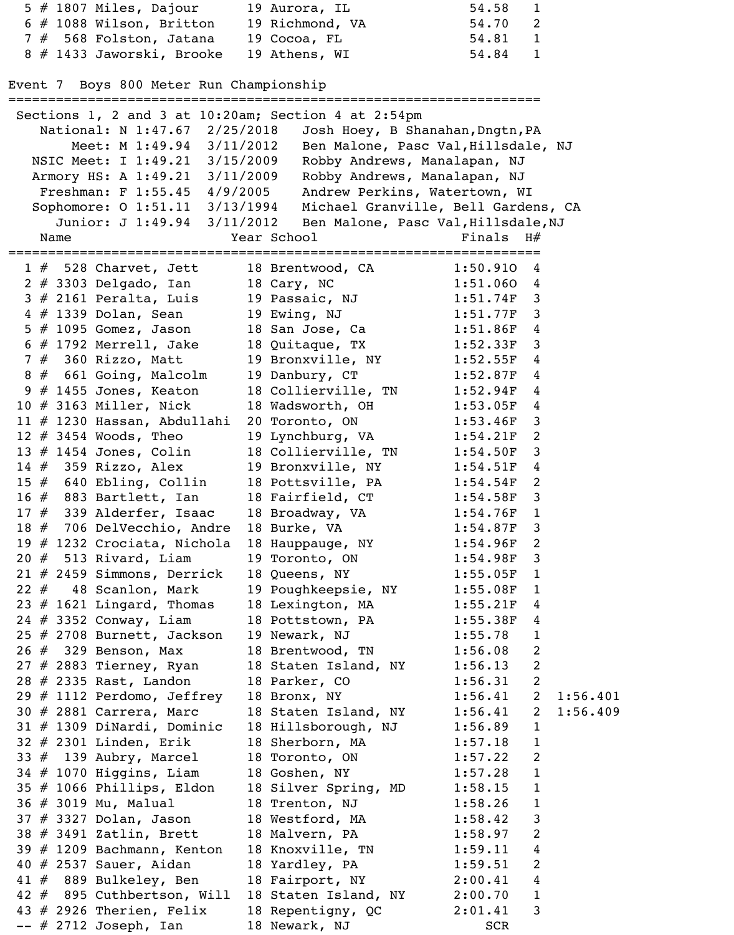5 # 1807 Miles, Dajour 19 Aurora, IL 54.58 1 6 # 1088 Wilson, Britton 19 Richmond, VA 54.70 2 7 # 568 Folston, Jatana 19 Cocoa, FL 54.81 1 8 # 1433 Jaworski, Brooke 19 Athens, WI 54.84 1 Event 7 Boys 800 Meter Run Championship =================================================================== Sections 1, 2 and 3 at 10:20am; Section 4 at 2:54pm National: N 1:47.67 2/25/2018 Josh Hoey, B Shanahan, Dngtn, PA Meet: M 1:49.94 3/11/2012 Ben Malone, Pasc Val, Hillsdale, NJ NSIC Meet: I 1:49.21 3/15/2009 Robby Andrews, Manalapan, NJ Armory HS: A 1:49.21 3/11/2009 Robby Andrews, Manalapan, NJ Freshman: F 1:55.45 4/9/2005 Andrew Perkins, Watertown, WI Sophomore: O 1:51.11 3/13/1994 Michael Granville, Bell Gardens, CA Junior: J 1:49.94 3/11/2012 Ben Malone, Pasc Val, Hillsdale, NJ Name  $Year School$  Finals H# =================================================================== 1 # 528 Charvet, Jett 18 Brentwood, CA 1:50.91O 4 2 # 3303 Delgado, Ian 18 Cary, NC 1:51.060 4 3 # 2161 Peralta, Luis 19 Passaic, NJ 1:51.74F 3 4 # 1339 Dolan, Sean 19 Ewing, NJ 1:51.77F 3 5 # 1095 Gomez, Jason 18 San Jose, Ca 1:51.86F 4 6 # 1792 Merrell, Jake 18 Quitaque, TX 1:52.33F 3 7 # 360 Rizzo, Matt 19 Bronxville, NY 1:52.55F 4 8 # 661 Going, Malcolm 19 Danbury, CT 1:52.87F 4 9 # 1455 Jones, Keaton 18 Collierville, TN 1:52.94F 4 10 # 3163 Miller, Nick 18 Wadsworth, OH 1:53.05F 4 11 # 1230 Hassan, Abdullahi 20 Toronto, ON 1:53.46F 3<br>12 # 3454 Woods, Theo 19 Lynchburg, VA 1:54.21F 2 12 # 3454 Woods, Theo 19 Lynchburg, VA 1:54.21F 2 13 # 1454 Jones, Colin 18 Collierville, TN 1:54.50F 3 14 # 359 Rizzo, Alex 19 Bronxville, NY 1:54.51F 4 15 # 640 Ebling, Collin 18 Pottsville, PA 1:54.54F 2 16 # 883 Bartlett, Ian 18 Fairfield, CT 1:54.58F 3<br>17 # 339 Alderfer, Isaac 18 Broadway, VA 1:54.76F 1 17 # 339 Alderfer, Isaac 18 Broadway, VA 1:54.76F<br>18 # 706 DelVecchio, Andre 18 Burke, VA 1:54.87F<br>19 # 1232 Crociata, Nichola 18 Hauppauge, NY 1:54.96F<br>20 # 513 Rivard, Liam 19 Toronto, ON 1:54.98F 18 # 706 DelVecchio, Andre 18 Burke, VA 1:54.87F 3 19 # 1232 Crociata, Nichola 18 Hauppauge, NY 1:54.96F 2 20 # 513 Rivard, Liam 19 Toronto, ON 1:54.98F 3 21 # 2459 Simmons, Derrick 18 Queens, NY 1:55.05F 1 22 # 48 Scanlon, Mark 19 Poughkeepsie, NY 1:55.08F 1 23 # 1621 Lingard, Thomas 18 Lexington, MA 1:55.21F 4 24 # 3352 Conway, Liam 18 Pottstown, PA 1:55.38F 4 25 # 2708 Burnett, Jackson 19 Newark, NJ 1:55.78 1 26 # 329 Benson, Max 18 Brentwood, TN 1:56.08 2 27 # 2883 Tierney, Ryan 18 Staten Island, NY 1:56.13 2 28 # 2335 Rast, Landon 18 Parker, CO 1:56.31 2 29 # 1112 Perdomo, Jeffrey 18 Bronx, NY 1:56.41 2 1:56.401 30 # 2881 Carrera, Marc 18 Staten Island, NY 1:56.41 2 1:56.409 31 # 1309 DiNardi, Dominic 18 Hillsborough, NJ 1:56.89 1 32 # 2301 Linden, Erik 18 Sherborn, MA 1:57.18 1 33 # 139 Aubry, Marcel 18 Toronto, ON 1:57.22 2 34 # 1070 Higgins, Liam 18 Goshen, NY 1:57.28 1 35 # 1066 Phillips, Eldon 18 Silver Spring, MD 1:58.15 1 36 # 3019 Mu, Malual 18 Trenton, NJ 1:58.26 1<br>37 # 3327 Dolan, Jason 18 Westford, MA 1:58.42 3 37 # 3327 Dolan, Jason 18 Westford, MA 1:58.42 3 38 # 3491 Zatlin, Brett 18 Malvern, PA 1:58.97 2 39 # 1209 Bachmann, Kenton 18 Knoxville, TN 1:59.11 4 40 # 2537 Sauer, Aidan 18 Yardley, PA 1:59.51 2 41 # 889 Bulkeley, Ben 18 Fairport, NY 2:00.41 4 42 # 895 Cuthbertson, Will 18 Staten Island, NY 2:00.70 1 43 # 2926 Therien, Felix 18 Repentigny, QC 2:01.41 3

-- # 2712 Joseph, Ian 18 Newark, NJ SCR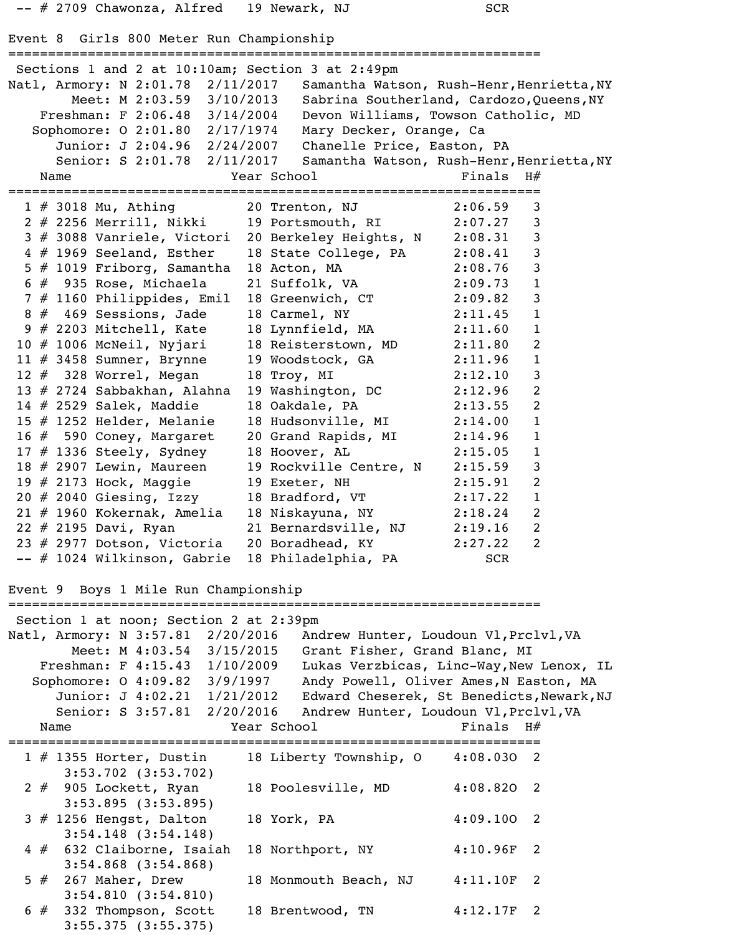```
 -- # 2709 Chawonza, Alfred 19 Newark, NJ SCR 
Event 8 Girls 800 Meter Run Championship
===================================================================
 Sections 1 and 2 at 10:10am; Section 3 at 2:49pm
Natl, Armory: N 2:01.78 2/11/2017 Samantha Watson, Rush-Henr, Henrietta, NY
       Meet: M 2:03.59 3/10/2013 Sabrina Southerland, Cardozo, Queens, NY
    Freshman: F 2:06.48 3/14/2004 Devon Williams, Towson Catholic, MD 
   Sophomore: O 2:01.80 2/17/1974 Mary Decker, Orange, Ca 
      Junior: J 2:04.96 2/24/2007 Chanelle Price, Easton, PA 
     Senior: S 2:01.78 2/11/2017 Samantha Watson, Rush-Henr, Henrietta, NY
   Name Year School Finals H#
===================================================================
1 # 3018 Mu, Athing 20 Trenton, NJ 2:06.59 3
2 # 2256 Merrill, Nikki 19 Portsmouth, RI 2:07.27 3
 3 # 3088 Vanriele, Victori 20 Berkeley Heights, N 2:08.31 3 
 4 # 1969 Seeland, Esther 18 State College, PA 2:08.41 3 
  5 # 1019 Friborg, Samantha 18 Acton, MA 2:08.76 3 
 6 # 935 Rose, Michaela 21 Suffolk, VA 2:09.73 1
  7 # 1160 Philippides, Emil 18 Greenwich, CT 2:09.82 3 
 8 # 469 Sessions, Jade 18 Carmel, NY 2:11.45 1 
 9 # 2203 Mitchell, Kate 18 Lynnfield, MA 2:11.60 1 
 10 # 1006 McNeil, Nyjari 18 Reisterstown, MD 2:11.80 2 
 11 # 3458 Sumner, Brynne 19 Woodstock, GA 2:11.96 1 
 12 # 328 Worrel, Megan 18 Troy, MI 2:12.10 3 
13 # 2724 Sabbakhan, Alahna 19 Washington, DC 2:12.96 2<br>14 # 2529 Salek, Maddie 18 Oakdale, PA 2:13.55 2<br>15 # 1252 Helder, Melanie 18 Hudsonville, MI 2:14.00 1
14 # 2529 Salek, Maddie 18 Oakdale, PA
 15 # 1252 Helder, Melanie 18 Hudsonville, MI 2:14.00 1 
 16 # 590 Coney, Margaret 20 Grand Rapids, MI 2:14.96 1 
17 # 1336 Steely, Sydney 18 Hoover, AL 2:15.05 1
 18 # 2907 Lewin, Maureen 19 Rockville Centre, N 2:15.59 3 
19 # 2173 Hock, Maggie 19 Exeter, NH 2:15.91 2
 20 # 2040 Giesing, Izzy 18 Bradford, VT 2:17.22 1 
 21 # 1960 Kokernak, Amelia 18 Niskayuna, NY 2:18.24 2 
 22 # 2195 Davi, Ryan 21 Bernardsville, NJ 2:19.16 2 
 23 # 2977 Dotson, Victoria 20 Boradhead, KY 2:27.22 2 
-- # 1024 Wilkinson, Gabrie 18 Philadelphia, PA SCR
Event 9 Boys 1 Mile Run Championship
===================================================================
 Section 1 at noon; Section 2 at 2:39pm
Natl, Armory: N 3:57.81 2/20/2016 Andrew Hunter, Loudoun Vl, Prclvl, VA
        Meet: M 4:03.54 3/15/2015 Grant Fisher, Grand Blanc, MI 
 Freshman: F 4:15.43 1/10/2009 Lukas Verzbicas, Linc-Way,New Lenox, IL 
Sophomore: 0 4:09.82 3/9/1997 Andy Powell, Oliver Ames, N Easton, MA
     Junior: J 4:02.21 1/21/2012 Edward Cheserek, St Benedicts, Newark, NJ
     Senior: S 3:57.81 2/20/2016 Andrew Hunter, Loudoun Vl, Prclvl, VA
   Name Year School Finals H#
===================================================================
  1 # 1355 Horter, Dustin 18 Liberty Township, O 4:08.03O 2 
       3:53.702 (3:53.702)
  2 # 905 Lockett, Ryan 18 Poolesville, MD 4:08.82O 2 
       3:53.895 (3:53.895)
 3 # 1256 Hengst, Dalton 18 York, PA 4:09.100 2
       3:54.148 (3:54.148)
 4 # 632 Claiborne, Isaiah 18 Northport, NY 4:10.96F 2
       3:54.868 (3:54.868)
  5 # 267 Maher, Drew 18 Monmouth Beach, NJ 4:11.10F 2 
       3:54.810 (3:54.810)
  6 # 332 Thompson, Scott 18 Brentwood, TN 4:12.17F 2 
       3:55.375 (3:55.375)
```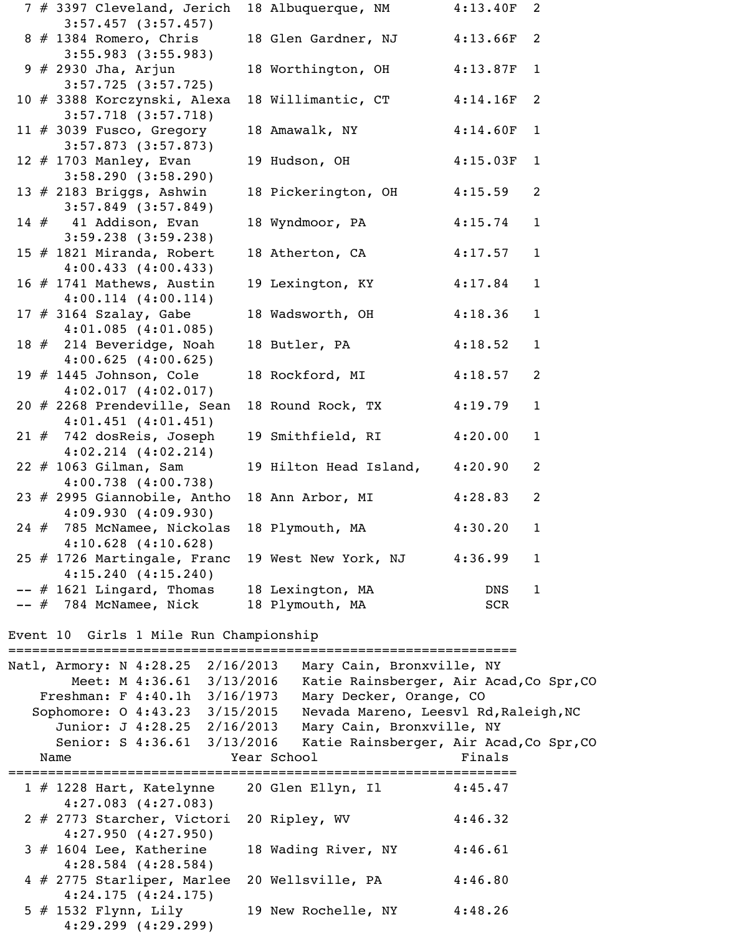|  | 7 # 3397 Cleveland, Jerich   | 18 Albuquerque, NM     | 4:13.40F | 2            |
|--|------------------------------|------------------------|----------|--------------|
|  | $3:57.457$ $(3:57.457)$      |                        |          |              |
|  | $8$ # 1384 Romero, Chris     | 18 Glen Gardner, NJ    | 4:13.66F | 2            |
|  | $3:55.983$ $(3:55.983)$      |                        |          |              |
|  | $9 \# 2930$ Jha, Arjun       | 18 Worthington, OH     | 4:13.87F | $\mathbf{1}$ |
|  | $3:57.725$ $(3:57.725)$      |                        |          |              |
|  | 10 # 3388 Korczynski, Alexa  | 18 Willimantic, CT     | 4:14.16F | 2            |
|  | $3:57.718$ $(3:57.718)$      |                        |          |              |
|  | 11 $#$ 3039 Fusco, Gregory   | 18 Amawalk, NY         | 4:14.60F | $\mathbf{1}$ |
|  | $3:57.873$ $(3:57.873)$      |                        |          |              |
|  | 12 $#$ 1703 Manley, Evan     | 19 Hudson, OH          | 4:15.03F | $\mathbf{1}$ |
|  | 3:58.290(3:58.290)           |                        |          |              |
|  | 13 $#$ 2183 Briggs, Ashwin   | 18 Pickerington, OH    | 4:15.59  | 2            |
|  | $3:57.849$ $(3:57.849)$      |                        |          |              |
|  | $14#41$ Addison, Evan        | 18 Wyndmoor, PA        | 4:15.74  | $\mathbf{1}$ |
|  | $3:59.238$ $(3:59.238)$      |                        |          |              |
|  | 15 # 1821 Miranda, Robert    | 18 Atherton, CA        | 4:17.57  | $\mathbf{1}$ |
|  | 4:00.433(4:00.433)           |                        |          |              |
|  | 16 # 1741 Mathews, Austin    | 19 Lexington, KY       | 4:17.84  | $\mathbf{1}$ |
|  | $4:00.114$ $(4:00.114)$      |                        |          |              |
|  | $17$ # 3164 Szalay, Gabe     | 18 Wadsworth, OH       | 4:18.36  | $\mathbf{1}$ |
|  | $4:01.085$ $(4:01.085)$      |                        |          |              |
|  | 18 # 214 Beveridge, Noah     | 18 Butler, PA          | 4:18.52  | $\mathbf{1}$ |
|  | 4:00.625(4:00.625)           |                        |          |              |
|  | 19 $#$ 1445 Johnson, Cole    | 18 Rockford, MI        | 4:18.57  | 2            |
|  | $4:02.017$ $(4:02.017)$      |                        |          |              |
|  | 20 # 2268 Prendeville, Sean  | 18 Round Rock, TX      | 4:19.79  | $\mathbf{1}$ |
|  | $4:01.451$ $(4:01.451)$      |                        |          |              |
|  | $21$ $#$ 742 dosReis, Joseph | 19 Smithfield, RI      | 4:20.00  | $\mathbf{1}$ |
|  | $4:02.214$ $(4:02.214)$      |                        |          |              |
|  | 22 # 1063 Gilman, Sam        | 19 Hilton Head Island, | 4:20.90  | 2            |
|  | $4:00.738$ $(4:00.738)$      |                        |          |              |
|  | 23 # 2995 Giannobile, Antho  | 18 Ann Arbor, MI       | 4:28.83  | 2            |
|  | 4:09.930(4:09.930)           |                        |          |              |
|  | 24 # 785 McNamee, Nickolas   | 18 Plymouth, MA        | 4:30.20  | $\mathbf{1}$ |
|  | $4:10.628$ $(4:10.628)$      |                        |          |              |
|  | 25 # 1726 Martingale, Franc  | 19 West New York, NJ   | 4:36.99  | $\mathbf{1}$ |
|  | 4:15.240(4:15.240)           |                        |          |              |
|  | $--$ # 1621 Lingard, Thomas  | 18 Lexington, MA       | DNS      | $\mathbf 1$  |
|  | -- # 784 McNamee, Nick       | 18 Plymouth, MA        | SCR      |              |
|  |                              |                        |          |              |

Event 10 Girls 1 Mile Run Championship

| Natl, Armory: N 4:28.25    | Meet: M 4:36.61 3/13/2016<br>Freshman: F 4:40.1h 3/16/1973            | 2/16/2013   | Mary Cain, Bronxville, NY<br>Mary Decker, Orange, CO | Katie Rainsberger, Air Acad, Co Spr, CO |
|----------------------------|-----------------------------------------------------------------------|-------------|------------------------------------------------------|-----------------------------------------|
|                            | Sophomore: 0 4:43.23 3/15/2015                                        |             | Nevada Mareno, Leesvl Rd, Raleigh, NC                |                                         |
|                            | Junior: J 4:28.25 2/16/2013                                           |             | Mary Cain, Bronxville, NY                            |                                         |
|                            | Senior: S 4:36.61 3/13/2016                                           |             |                                                      | Katie Rainsberger, Air Acad, Co Spr, CO |
| Name                       |                                                                       | Year School |                                                      | Finals                                  |
|                            |                                                                       |             |                                                      |                                         |
|                            | 1 # 1228 Hart, Katelynne 20 Glen Ellyn, Il<br>$4:27.083$ $(4:27.083)$ |             |                                                      | 4:45.47                                 |
|                            | 2 # 2773 Starcher, Victori<br>4:27.950(4:27.950)                      |             | 20 Ripley, WV                                        | 4:46.32                                 |
| $3$ # 1604 Lee, Katherine  | $4:28.584$ $(4:28.584)$                                               |             | 18 Wading River, NY                                  | 4:46.61                                 |
| 4 # 2775 Starliper, Marlee | 4:24.175(4:24.175)                                                    |             | 20 Wellsville, PA                                    | 4:46.80                                 |
|                            | 5 # 1532 Flynn, Lily<br>$4:29.299$ $(4:29.299)$                       |             | 19 New Rochelle, NY                                  | 4:48.26                                 |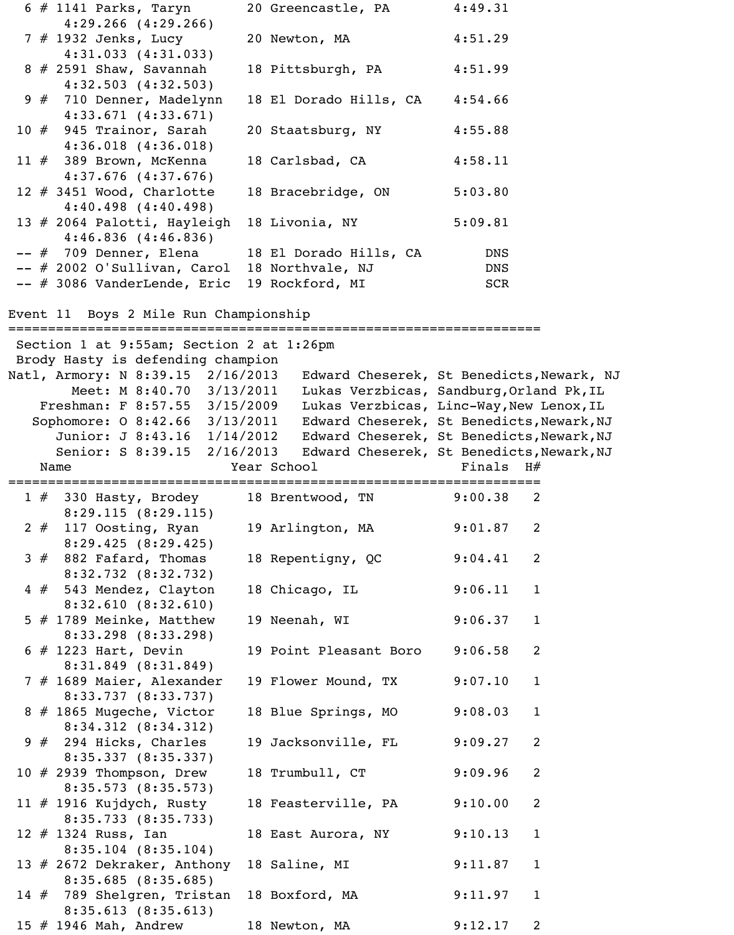|    | $6 \# 1141$ Parks, Taryn                                                 | 20 Greencastle, PA     | 4:49.31                                   |
|----|--------------------------------------------------------------------------|------------------------|-------------------------------------------|
|    | $4:29.266$ $(4:29.266)$                                                  |                        |                                           |
|    | $7$ # 1932 Jenks, Lucy                                                   | 20 Newton, MA          | 4:51.29                                   |
|    | $4:31.033$ $(4:31.033)$<br>$8 \# 2591$ Shaw, Savannah                    | 18 Pittsburgh, PA      | 4:51.99                                   |
|    | $4:32.503$ $(4:32.503)$                                                  |                        |                                           |
|    | 9 # 710 Denner, Madelynn<br>$4:33.671$ $(4:33.671)$                      | 18 El Dorado Hills, CA | 4:54.66                                   |
|    | 10 $#$ 945 Trainor, Sarah                                                | 20 Staatsburg, NY      | 4:55.88                                   |
|    | $4:36.018$ $(4:36.018)$<br>11 $#$ 389 Brown, McKenna                     | 18 Carlsbad, CA        | 4:58.11                                   |
|    | $4:37.676$ $(4:37.676)$<br>12 # 3451 Wood, Charlotte                     | 18 Bracebridge, ON     | 5:03.80                                   |
|    | $4:40.498$ $(4:40.498)$<br>13 # 2064 Palotti, Hayleigh                   | 18 Livonia, NY         | 5:09.81                                   |
|    | $4:46.836$ $(4:46.836)$                                                  |                        |                                           |
|    | $--$ # 709 Denner, Elena<br>-- # 2002 O'Sullivan, Carol 18 Northvale, NJ | 18 El Dorado Hills, CA | <b>DNS</b><br><b>DNS</b>                  |
|    | $--$ # 3086 VanderLende, Eric                                            | 19 Rockford, MI        | SCR                                       |
|    |                                                                          |                        |                                           |
|    | Event 11 Boys 2 Mile Run Championship                                    |                        |                                           |
|    | Section 1 at 9:55am; Section 2 at 1:26pm                                 |                        |                                           |
|    | Brody Hasty is defending champion                                        |                        |                                           |
|    | Natl, Armory: N 8:39.15 2/16/2013                                        |                        | Edward Cheserek, St Benedicts, Newark, NJ |
|    | Meet: M 8:40.70 3/13/2011                                                |                        | Lukas Verzbicas, Sandburg, Orland Pk, IL  |
|    | Freshman: F 8:57.55 3/15/2009                                            |                        | Lukas Verzbicas, Linc-Way, New Lenox, IL  |
|    | Sophomore: 0 8:42.66 3/13/2011                                           |                        | Edward Cheserek, St Benedicts, Newark, NJ |
|    | Junior: J 8:43.16<br>1/14/2012                                           |                        | Edward Cheserek, St Benedicts, Newark, NJ |
|    | Senior: S 8:39.15<br>2/16/2013                                           |                        | Edward Cheserek, St Benedicts, Newark, NJ |
|    |                                                                          |                        |                                           |
|    | Name                                                                     | Year School            | Finals<br>H#                              |
|    | $1$ $\#$ 330 Hasty, Brodey                                               | 18 Brentwood, TN       | 9:00.38<br>2                              |
| 2# | 8:29.115(8:29.115)<br>117 Oosting, Ryan                                  | 19 Arlington, MA       | 9:01.87<br>2                              |
|    | 8:29.425(8:29.425)<br>$3# 882$ Fafard, Thomas                            | 18 Repentigny, QC      | 9:04.41<br>2                              |
|    | 8:32.732(8:32.732)                                                       |                        |                                           |
|    | 4 # 543 Mendez, Clayton                                                  | 18 Chicago, IL         | 9:06.11<br>$\mathbf{1}$                   |
|    | 8:32.610(8:32.610)<br>5 $#$ 1789 Meinke, Matthew                         | 19 Neenah, WI          | 9:06.37<br>$\mathbf{1}$                   |
|    | $8:33.298$ $(8:33.298)$<br>$6$ # 1223 Hart, Devin                        | 19 Point Pleasant Boro | 9:06.58<br>2                              |
|    | $8:31.849$ $(8:31.849)$                                                  |                        |                                           |
|    | 7 # 1689 Maier, Alexander<br>8:33.737 (8:33.737)                         | 19 Flower Mound, TX    | 9:07.10<br>$\mathbf{1}$                   |
|    | 8 # 1865 Mugeche, Victor<br>8:34.312(8:34.312)                           | 18 Blue Springs, MO    | 9:08.03<br>$\mathbf{1}$                   |
|    | $9 \# 294$ Hicks, Charles                                                | 19 Jacksonville, FL    | 9:09.27<br>$\overline{2}$                 |
|    | 8:35.337(8:35.337)<br>10 # 2939 Thompson, Drew                           | 18 Trumbull, CT        | 9:09.96<br>$\overline{2}$                 |
|    | 8:35.573(8:35.573)<br>11 $#$ 1916 Kujdych, Rusty                         | 18 Feasterville, PA    | 9:10.00<br>$\overline{2}$                 |
|    | 8:35.733(8:35.733)<br>12 $#$ 1324 Russ, Ian                              | 18 East Aurora, NY     | 9:10.13<br>$\mathbf{1}$                   |
|    | $8:35.104$ $(8:35.104)$<br>13 # 2672 Dekraker, Anthony                   | 18 Saline, MI          | 9:11.87<br>$\mathbf{1}$                   |
|    | 8:35.685(8:35.685)<br>14 # 789 Shelgren, Tristan                         | 18 Boxford, MA         | 9:11.97<br>$\mathbf{1}$                   |
|    | 8:35.613(8:35.613)<br>15 # 1946 Mah, Andrew                              | 18 Newton, MA          | 2<br>9:12.17                              |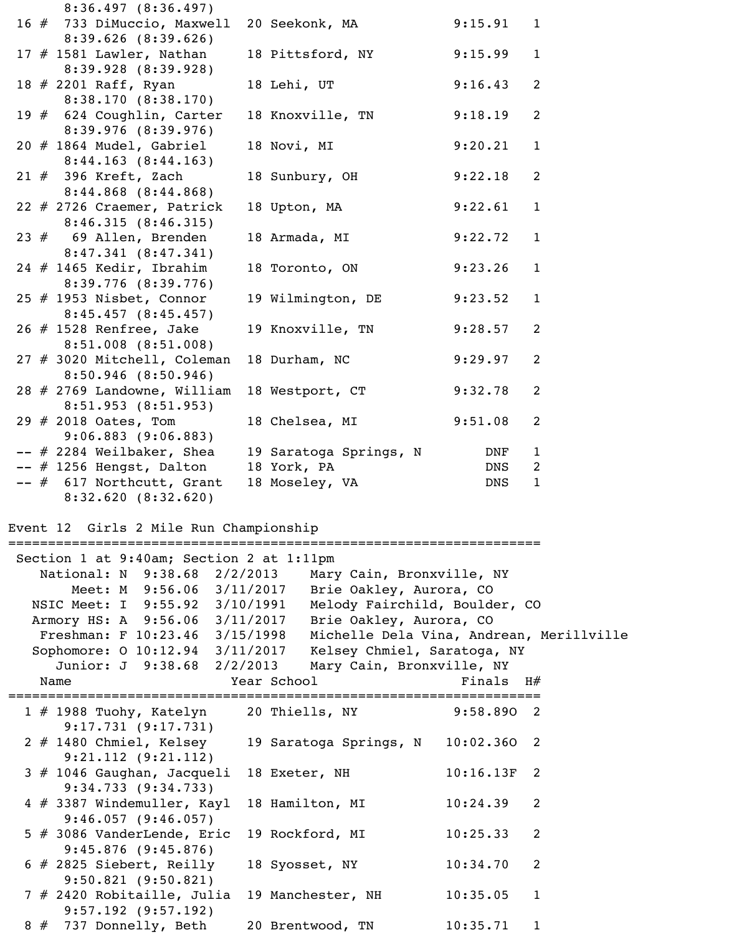|  | 8:36.497(8:36.497)                                                                            |                                                   |               |              |
|--|-----------------------------------------------------------------------------------------------|---------------------------------------------------|---------------|--------------|
|  | 16 # 733 DiMuccio, Maxwell                                                                    | 20 Seekonk, MA                                    | 9:15.91 1     |              |
|  | $8:39.626$ $(8:39.626)$<br>17 $#$ 1581 Lawler, Nathan                                         | 18 Pittsford, NY 9:15.99                          |               | $\mathbf{1}$ |
|  | 8:39.928(8:39.928)<br>18 # 2201 Raff, Ryan                                                    | 18 Lehi, UT                                       | 9:16.43       | 2            |
|  | 8:38.170(8:38.170)                                                                            |                                                   |               |              |
|  | 19 # 624 Coughlin, Carter<br>8:39.976(8:39.976)                                               | 18 Knoxville, TN 9:18.19                          |               | 2            |
|  | $20$ $#$ 1864 Mudel, Gabriel                                                                  | 18 Novi, MI                                       | 9:20.21       | $\mathbf{1}$ |
|  | 8:44.163(8:44.163)<br>$21$ # 396 Kreft, Zach                                                  | 18 Sunbury, OH 9:22.18                            |               | 2            |
|  | $8:44.868$ $(8:44.868)$                                                                       |                                                   |               |              |
|  | 22 # 2726 Craemer, Patrick<br>8:46.315(8:46.315)                                              | 18 Upton, MA 9:22.61                              |               | $\mathbf{1}$ |
|  | $23$ $#$ 69 Allen, Brenden<br>8:47.341(8:47.341)                                              | 18 Armada, MI 9:22.72                             |               | $\mathbf 1$  |
|  | $24$ # 1465 Kedir, Ibrahim                                                                    | 18 Toronto, ON 9:23.26                            |               | $\mathbf{1}$ |
|  | $8:39.776$ $(8:39.776)$<br>25 $#$ 1953 Nisbet, Connor                                         | 19 Wilmington, DE 9:23.52                         |               | $\mathbf{1}$ |
|  | $8:45.457$ $(8:45.457)$                                                                       |                                                   |               |              |
|  | 26 # 1528 Renfree, Jake<br>$8:51.008$ $(8:51.008)$                                            | 19 Knoxville, TN 9:28.57                          |               | 2            |
|  | 27 # 3020 Mitchell, Coleman                                                                   | 18 Durham, NC                                     | 9:29.97       | 2            |
|  | $8:50.946$ $(8:50.946)$<br>28 # 2769 Landowne, William                                        | 18 Westport, CT                                   | 9:32.78       | 2            |
|  | 8:51.953(8:51.953)                                                                            |                                                   |               |              |
|  | 29 # 2018 Oates, Tom<br>$9:06.883$ $(9:06.883)$                                               | 18 Chelsea, MI 9:51.08                            |               | 2            |
|  | $--$ # 2284 Weilbaker, Shea                                                                   | 19 Saratoga Springs, N                            | DNF           | 1            |
|  | $--$ # 1256 Hengst, Dalton 18 York, PA                                                        |                                                   | DNS           | 2            |
|  | -- # 617 Northcutt, Grant 18 Moseley, VA<br>8:32.620(8:32.620)                                |                                                   | DNS           | $\mathbf{1}$ |
|  |                                                                                               |                                                   |               |              |
|  | Event 12 Girls 2 Mile Run Championship                                                        |                                                   |               |              |
|  | Section 1 at 9:40am; Section 2 at 1:11pm                                                      |                                                   |               |              |
|  | National: N 9:38.68 2/2/2013                                                                  | Mary Cain, Bronxville, NY                         |               |              |
|  |                                                                                               | Meet: M 9:56.06 3/11/2017 Brie Oakley, Aurora, CO |               |              |
|  | NSIC Meet: I 9:55.92 3/10/1991                                                                | Melody Fairchild, Boulder, CO                     |               |              |
|  | Armory HS: A 9:56.06 3/11/2017 Brie Oakley, Aurora, CO                                        |                                                   |               |              |
|  | Freshman: F 10:23.46 3/15/1998<br>Sophomore: 0 10:12.94 3/11/2017 Kelsey Chmiel, Saratoga, NY | Michelle Dela Vina, Andrean, Merillville          |               |              |
|  | Junior: J 9:38.68 2/2/2013                                                                    | Mary Cain, Bronxville, NY                         |               |              |
|  | Name                                                                                          | <b>Example 2</b> Year School                      | Finals $H#$   |              |
|  |                                                                                               |                                                   |               |              |
|  | 1 # 1988 Tuohy, Katelyn 20 Thiells, NY<br>9:17.731(9:17.731)                                  |                                                   | 9:58.890 2    |              |
|  | $2$ # 1480 Chmiel, Kelsey                                                                     | 19 Saratoga Springs, N                            | $10:02.360$ 2 |              |
|  | $9:21.112$ $(9:21.112)$<br>3 # 1046 Gaughan, Jacqueli                                         | 18 Exeter, NH                                     | $10:16.13F$ 2 |              |
|  | 9:34.733(9:34.733)<br>4 # 3387 Windemuller, Kayl                                              | 18 Hamilton, MI                                   | 10:24.39      | 2            |
|  | $9:46.057$ (9:46.057)                                                                         |                                                   |               |              |
|  | 5 # 3086 VanderLende, Eric<br>$9:45.876$ (9:45.876)                                           | 19 Rockford, MI                                   | 10:25.33      | 2            |
|  | $6$ # 2825 Siebert, Reilly                                                                    | 18 Syosset, NY                                    | 10:34.70      | 2            |
|  | $9:50.821$ $(9:50.821)$<br>7 # 2420 Robitaille, Julia                                         | 19 Manchester, NH                                 | 10:35.05      | $\mathbf{1}$ |

 9:57.192 (9:57.192) 8 # 737 Donnelly, Beth 20 Brentwood, TN 10:35.71 1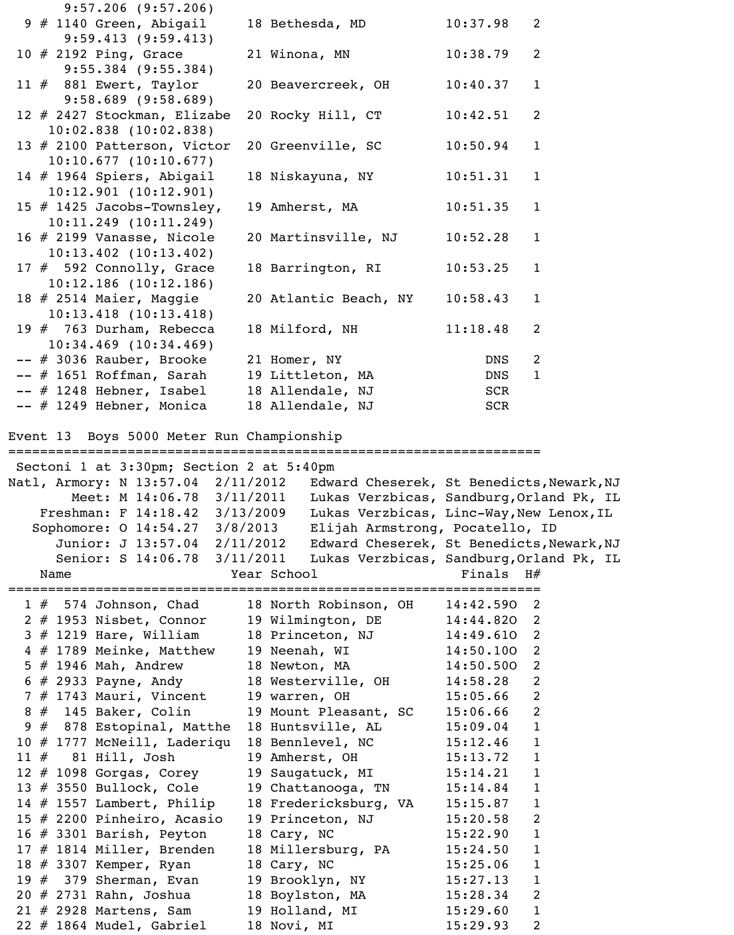| $9:57.206$ $(9:57.206)$                                   |                                               |                        |                   |
|-----------------------------------------------------------|-----------------------------------------------|------------------------|-------------------|
| 9 # 1140 Green, Abigail<br>9:59.413(9:59.413)             | 18 Bethesda, MD                               | 10:37.98               | 2                 |
| $10 \# 2192$ Ping, Grace                                  | 21 Winona, MN                                 | 10:38.79               | 2                 |
| $9:55.384$ (9:55.384)<br>11 # 881 Ewert, Taylor           | 20 Beavercreek, OH                            | 10:40.37               | $\mathbf{1}$      |
| $9:58.689$ $(9:58.689)$<br>12 # 2427 Stockman, Elizabe    | 20 Rocky Hill, CT                             | 10:42.51               | 2                 |
| $10:02.838$ $(10:02.838)$<br>13 # 2100 Patterson, Victor  | 20 Greenville, SC                             | 10:50.94               | $\mathbf{1}$      |
| $10:10.677$ (10:10.677)                                   |                                               |                        |                   |
| 14 # 1964 Spiers, Abigail<br>10:12.901(10:12.901)         | 18 Niskayuna, NY                              | 10:51.31               | $\mathbf{1}$      |
| 15 $#$ 1425 Jacobs-Townsley,<br>$10:11.249$ $(10:11.249)$ | 19 Amherst, MA                                | 10:51.35               | $\mathbf{1}$      |
| 16 # 2199 Vanasse, Nicole<br>$10:13.402$ $(10:13.402)$    | 20 Martinsville, NJ                           | 10:52.28               | $\mathbf{1}$      |
| 17 # 592 Connolly, Grace                                  | 18 Barrington, RI                             | 10:53.25               | $\mathbf{1}$      |
| $10:12.186$ (10:12.186)<br>18 # 2514 Maier, Maggie        | 20 Atlantic Beach, NY                         | 10:58.43               | $\mathbf{1}$      |
| $10:13.418$ $(10:13.418)$                                 |                                               |                        |                   |
| 19 # 763 Durham, Rebecca<br>$10:34.469$ $(10:34.469)$     | 18 Milford, NH                                | 11:18.48               | 2                 |
| $--$ # 3036 Rauber, Brooke                                | 21 Homer, NY                                  | <b>DNS</b>             | 2                 |
| -- # 1651 Roffman, Sarah 19 Littleton, MA                 |                                               | DNS                    | $\mathbf{1}$      |
| $--$ # 1248 Hebner, Isabel                                | 18 Allendale, NJ                              | SCR                    |                   |
| $--$ # 1249 Hebner, Monica                                | 18 Allendale, NJ                              | SCR                    |                   |
| Event 13 Boys 5000 Meter Run Championship                 |                                               |                        |                   |
|                                                           |                                               |                        |                   |
|                                                           |                                               |                        |                   |
| Sectoni 1 at 3:30pm; Section 2 at 5:40pm                  |                                               |                        |                   |
| Natl, Armory: N 13:57.04 2/11/2012                        | Edward Cheserek, St Benedicts, Newark, NJ     |                        |                   |
| Meet: M 14:06.78 3/11/2011                                | Lukas Verzbicas, Sandburg, Orland Pk, IL      |                        |                   |
| Freshman: F 14:18.42 3/13/2009                            | Lukas Verzbicas, Linc-Way, New Lenox, IL      |                        |                   |
| Sophomore: 0 14:54.27 3/8/2013                            | Elijah Armstrong, Pocatello, ID               |                        |                   |
| Junior: J 13:57.04 2/11/2012                              | Edward Cheserek, St Benedicts, Newark, NJ     |                        |                   |
| Senior: S 14:06.78 3/11/2011                              | Lukas Verzbicas, Sandburg, Orland Pk, IL      |                        |                   |
| Name                                                      | Year School                                   | Finals $H#$            |                   |
|                                                           |                                               |                        |                   |
| 1 # 574 Johnson, Chad 18 North Robinson, OH               |                                               | $14:42.590$ 2          |                   |
| 2 # 1953 Nisbet, Connor 19 Wilmington, DE                 |                                               | 14:44.820              | 2                 |
| $3$ $\#$ 1219 Hare, William                               | 18 Princeton, NJ                              | 14:49.610<br>14:50.100 | 2<br>2            |
| 4 # 1789 Meinke, Matthew 19 Neenah, WI                    |                                               |                        | $\overline{2}$    |
| $5$ # 1946 Mah, Andrew<br>$6$ # 2933 Payne, Andy          | 18 Newton, MA 14:50.500<br>18 Westerville, OH | 14:58.28               | $\overline{2}$    |
| 7 # 1743 Mauri, Vincent                                   | 19 warren, OH                                 | 15:05.66               | 2                 |
| $8#145$ Baker, Colin                                      | 19 Mount Pleasant, SC                         | 15:06.66               | $\overline{2}$    |
| 9 # 878 Estopinal, Matthe 18 Huntsville, AL               |                                               | 15:09.04               | $1\,$             |
| 10 # 1777 McNeill, Laderiqu                               | 18 Bennlevel, NC                              | 15:12.46               | $\mathbf{1}$      |
| $11 \# 81$ Hill, Josh                                     | 19 Amherst, OH                                | 15:13.72               | $\mathbf{1}$      |
| $12$ $\#$ 1098 Gorgas, Corey                              | 19 Saugatuck, MI                              | 15:14.21               | $\mathbf{1}$      |
| 13 # 3550 Bullock, Cole                                   | 19 Chattanooga, TN                            | 15:14.84               | $\mathbf{1}$      |
| 14 $#$ 1557 Lambert, Philip                               | 18 Fredericksburg, VA                         | 15:15.87               | 1                 |
| 15 # 2200 Pinheiro, Acasio                                | 19 Princeton, NJ                              | 15:20.58               | 2                 |
| 16 $\#$ 3301 Barish, Peyton                               | 18 Cary, NC                                   | 15:22.90               | $\mathbf{1}$      |
| 17 # 1814 Miller, Brenden                                 | 18 Millersburg, PA                            | 15:24.50               | $\mathbf{1}$      |
| 18 # 3307 Kemper, Ryan                                    | 18 Cary, NC                                   | 15:25.06               | 1                 |
| 19 # 379 Sherman, Evan                                    | 19 Brooklyn, NY                               | 15:27.13               | $\mathbf{1}$      |
|                                                           | 18 Boylston, MA                               | 15:28.34               | $\overline{2}$    |
| 21 # 2928 Martens, Sam<br>22 # 1864 Mudel, Gabriel        | 19 Holland, MI<br>18 Novi, MI                 | 15:29.60<br>15:29.93   | $\mathbf{1}$<br>2 |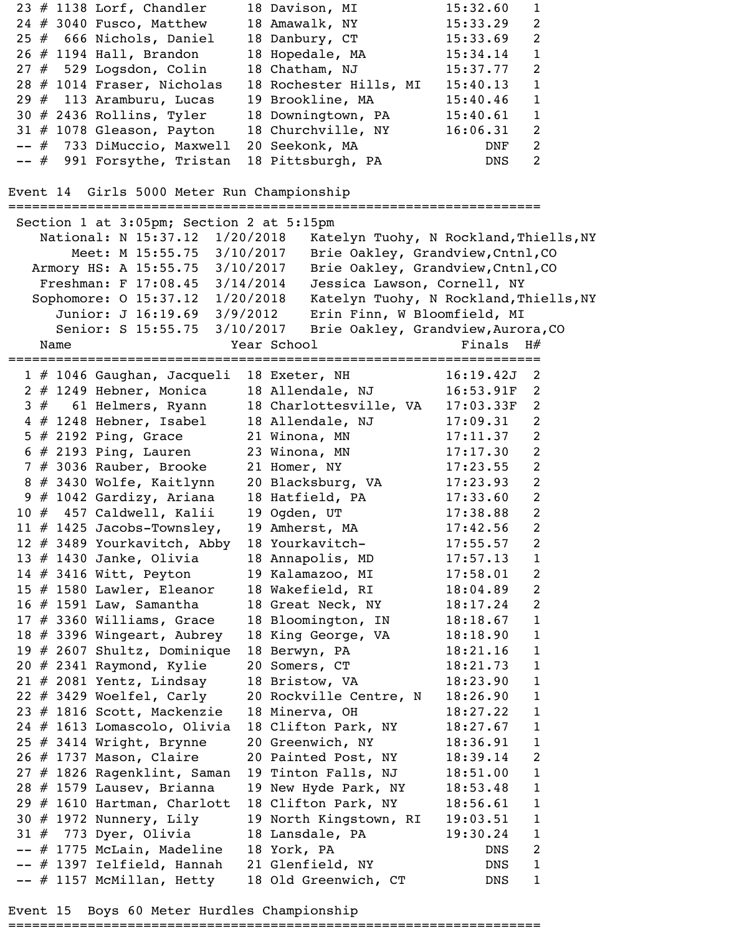```
 24 # 3040 Fusco, Matthew 18 Amawalk, NY 15:33.29 2 
 25 # 666 Nichols, Daniel 18 Danbury, CT 15:33.69 2 
 26 # 1194 Hall, Brandon 18 Hopedale, MA 15:34.14 1 
 27 # 529 Logsdon, Colin 18 Chatham, NJ 15:37.77 2 
 28 # 1014 Fraser, Nicholas 18 Rochester Hills, MI 15:40.13 1 
 29 # 113 Aramburu, Lucas 19 Brookline, MA 15:40.46 1 
 30 # 2436 Rollins, Tyler 18 Downingtown, PA 15:40.61 1 
 31 # 1078 Gleason, Payton 18 Churchville, NY 16:06.31 2 
 -- # 733 DiMuccio, Maxwell 20 Seekonk, MA DNF 2 
-- # 991 Forsythe, Tristan 18 Pittsburgh, PA DNS 2
Event 14 Girls 5000 Meter Run Championship
===================================================================
 Section 1 at 3:05pm; Section 2 at 5:15pm
   National: N 15:37.12 1/20/2018 Katelyn Tuohy, N Rockland, Thiells, NY
 Meet: M 15:55.75 3/10/2017 Brie Oakley, Grandview,Cntnl,CO 
 Armory HS: A 15:55.75 3/10/2017 Brie Oakley, Grandview,Cntnl,CO 
    Freshman: F 17:08.45 3/14/2014 Jessica Lawson, Cornell, NY 
Sophomore: 0 15:37.12 1/20/2018 Katelyn Tuohy, N Rockland,Thiells,NY
 Junior: J 16:19.69 3/9/2012 Erin Finn, W Bloomfield, MI 
 Senior: S 15:55.75 3/10/2017 Brie Oakley, Grandview,Aurora,CO 
Name Year School Year School Finals H#===================================================================
 1 # 1046 Gaughan, Jacqueli 18 Exeter, NH 16:19.42J 2 
 2 # 1249 Hebner, Monica 18 Allendale, NJ 16:53.91F 2 
 3 # 61 Helmers, Ryann 18 Charlottesville, VA 17:03.33F 2 
4 # 1248 Hebner, Isabel 18 Allendale, NJ 17:09.31 2
5 # 2192 Ping, Grace 21 Winona, MN 17:11.37 2
 6 # 2193 Ping, Lauren 23 Winona, MN 17:17.30 2 
7 # 3036 Rauber, Brooke 21 Homer, NY 17:23.55 2
 8 # 3430 Wolfe, Kaitlynn 20 Blacksburg, VA 17:23.93 2 
 9 # 1042 Gardizy, Ariana 18 Hatfield, PA 17:33.60 2 
 10 # 457 Caldwell, Kalii 19 Ogden, UT 17:38.88 2 
 11 # 1425 Jacobs-Townsley, 19 Amherst, MA 17:42.56 2 
 12 # 3489 Yourkavitch, Abby 18 Yourkavitch- 17:55.57 2 
 13 # 1430 Janke, Olivia 18 Annapolis, MD 17:57.13 1 
 14 # 3416 Witt, Peyton 19 Kalamazoo, MI 17:58.01 2 
 15 # 1580 Lawler, Eleanor 18 Wakefield, RI 18:04.89 2 
 16 # 1591 Law, Samantha 18 Great Neck, NY 18:17.24 2 
 17 # 3360 Williams, Grace 18 Bloomington, IN 18:18.67 1 
 18 # 3396 Wingeart, Aubrey 18 King George, VA 18:18.90 1 
 19 # 2607 Shultz, Dominique 18 Berwyn, PA 18:21.16 1 
20 # 2341 Raymond, Kylie 20 Somers, CT 18:21.73 1
 21 # 2081 Yentz, Lindsay 18 Bristow, VA 18:23.90 1 
 22 # 3429 Woelfel, Carly 20 Rockville Centre, N 18:26.90 1 
 23 # 1816 Scott, Mackenzie 18 Minerva, OH 18:27.22 1 
 24 # 1613 Lomascolo, Olivia 18 Clifton Park, NY 18:27.67 1 
 25 # 3414 Wright, Brynne 20 Greenwich, NY 18:36.91 1 
 26 # 1737 Mason, Claire 20 Painted Post, NY 18:39.14 2 
 27 # 1826 Ragenklint, Saman 19 Tinton Falls, NJ 18:51.00 1 
 28 # 1579 Lausev, Brianna 19 New Hyde Park, NY 18:53.48 1 
 29 # 1610 Hartman, Charlott 18 Clifton Park, NY 18:56.61 1 
 30 # 1972 Nunnery, Lily 19 North Kingstown, RI 19:03.51 1 
 31 # 773 Dyer, Olivia 18 Lansdale, PA 19:30.24 1 
 -- # 1775 McLain, Madeline 18 York, PA DNS 2 
-- # 1397 Ielfield, Hannah 21 Glenfield, NY DNS 1
-- # 1157 McMillan, Hetty 18 Old Greenwich, CT BNS 1
```
23 # 1138 Lorf, Chandler 18 Davison, MI 15:32.60 1

Event 15 Boys 60 Meter Hurdles Championship

===================================================================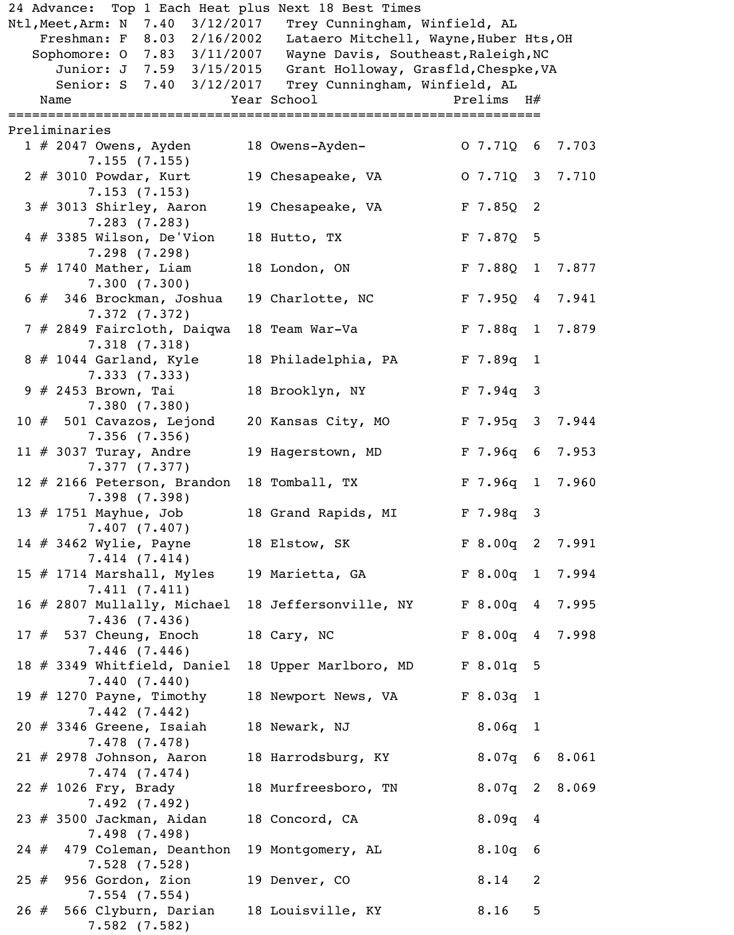|  | 24 Advance: Top 1 Each Heat plus Next 18 Best Times     |                                                                             |                    |   |       |
|--|---------------------------------------------------------|-----------------------------------------------------------------------------|--------------------|---|-------|
|  | Ntl, Meet, Arm: N 7.40 3/12/2017                        | Trey Cunningham, Winfield, AL                                               |                    |   |       |
|  | Freshman: F 8.03 2/16/2002                              | Lataero Mitchell, Wayne, Huber Hts, OH                                      |                    |   |       |
|  | Sophomore: 0 7.83 3/11/2007<br>Junior: J 7.59 3/15/2015 | Wayne Davis, Southeast, Raleigh, NC<br>Grant Holloway, Grasfld, Chespke, VA |                    |   |       |
|  | Senior: S 7.40 3/12/2017                                | Trey Cunningham, Winfield, AL                                               |                    |   |       |
|  | Name                                                    | Year School and the School                                                  | Prelims $H#$       |   |       |
|  |                                                         |                                                                             |                    |   |       |
|  | Preliminaries                                           |                                                                             |                    |   |       |
|  | 1 # 2047 Owens, Ayden                                   | 18 Owens-Ayden-                                                             | 0, 7.710, 6, 7.703 |   |       |
|  | 7.155(7.155)                                            |                                                                             |                    |   |       |
|  | $2$ # 3010 Powdar, Kurt<br>7.153(7.153)                 | 19 Chesapeake, VA                                                           | $0$ 7.710 3 7.710  |   |       |
|  | $3$ # 3013 Shirley, Aaron                               | 19 Chesapeake, VA                                                           | $F$ 7.850 2        |   |       |
|  | 7.283(7.283)                                            |                                                                             |                    |   |       |
|  | $4$ # 3385 Wilson, De'Vion                              | 18 Hutto, TX                                                                | F 7.87Q 5          |   |       |
|  | 7.298(7.298)                                            |                                                                             |                    |   |       |
|  | $5$ # 1740 Mather, Liam                                 | 18 London, ON                                                               | F 7.880 1          |   | 7.877 |
|  | 7.300(7.300)                                            |                                                                             |                    |   |       |
|  | 6 # 346 Brockman, Joshua                                | 19 Charlotte, NC                                                            | F 7.95Q 4 7.941    |   |       |
|  | 7.372(7.372)<br>7 # 2849 Faircloth, Daiqwa              | 18 Team War-Va                                                              | F 7.88q 1 7.879    |   |       |
|  | 7.318(7.318)                                            |                                                                             |                    |   |       |
|  | 8 # 1044 Garland, Kyle                                  | 18 Philadelphia, PA                                                         | $F$ 7.89q 1        |   |       |
|  | 7.333(7.333)                                            |                                                                             |                    |   |       |
|  | 9 # 2453 Brown, Tai                                     | 18 Brooklyn, NY                                                             | $F$ 7.94q 3        |   |       |
|  | 7.380(7.380)                                            |                                                                             |                    |   |       |
|  | $10 \# 501$ Cavazos, Lejond                             | 20 Kansas City, MO                                                          | F 7.95q 3 7.944    |   |       |
|  | $7.356$ $(7.356)$                                       |                                                                             |                    |   |       |
|  | 11 $#$ 3037 Turay, Andre<br>7.377(7.377)                | 19 Hagerstown, MD                                                           | $F$ 7.96q 6        |   | 7.953 |
|  | 12 # 2166 Peterson, Brandon 18 Tomball, TX              |                                                                             | F 7.96q 1 7.960    |   |       |
|  | 7.398(7.398)                                            |                                                                             |                    |   |       |
|  | 13 # 1751 Mayhue, Job                                   | 18 Grand Rapids, MI F 7.98q 3                                               |                    |   |       |
|  | 7.407(7.407)                                            |                                                                             |                    |   |       |
|  | 14 # 3462 Wylie, Payne                                  | 18 Elstow, SK                                                               | F 8.00q 2 7.991    |   |       |
|  | 7.414(7.414)                                            |                                                                             |                    |   |       |
|  | 15 $#$ 1714 Marshall, Myles<br>7.411(7.411)             | 19 Marietta, GA                                                             | F 8.00q 1 7.994    |   |       |
|  | 16 # 2807 Mullally, Michael                             | 18 Jeffersonville, NY                                                       | F 8.00q 4 7.995    |   |       |
|  | 7.436(7.436)                                            |                                                                             |                    |   |       |
|  | $17$ $#$ 537 Cheung, Enoch                              | 18 Cary, NC                                                                 | F 8.00q 4 7.998    |   |       |
|  | $7.446$ (7.446)                                         |                                                                             |                    |   |       |
|  | 18 # 3349 Whitfield, Daniel                             | 18 Upper Marlboro, MD                                                       | F 8.01q 5          |   |       |
|  | 7.440(7.440)                                            |                                                                             |                    |   |       |
|  | 19 $#$ 1270 Payne, Timothy                              | 18 Newport News, VA                                                         | F 8.03q 1          |   |       |
|  | 7.442(7.442)<br>$20$ $\#$ 3346 Greene, Isaiah           | 18 Newark, NJ                                                               | $8.06q$ 1          |   |       |
|  | 7.478(7.478)                                            |                                                                             |                    |   |       |
|  | $21$ # 2978 Johnson, Aaron                              | 18 Harrodsburg, KY                                                          | 8.07q 6 8.061      |   |       |
|  | 7.474 (7.474)                                           |                                                                             |                    |   |       |
|  | 22 # 1026 Fry, Brady                                    | 18 Murfreesboro, TN                                                         | 8.07q 2 8.069      |   |       |
|  | 7.492(7.492)                                            |                                                                             |                    |   |       |
|  | 23 # 3500 Jackman, Aidan                                | 18 Concord, CA                                                              | $8.09q$ 4          |   |       |
|  | 7.498(7.498)                                            |                                                                             |                    |   |       |
|  | 24 # 479 Coleman, Deanthon<br>$7.528$ $(7.528)$         | 19 Montgomery, AL                                                           | $8.10q$ 6          |   |       |
|  | $25$ $\#$ 956 Gordon, Zion                              | 19 Denver, CO                                                               | 8.14               | 2 |       |
|  | $7.554$ $(7.554)$                                       |                                                                             |                    |   |       |
|  | 26 # 566 Clyburn, Darian                                | 18 Louisville, KY                                                           | 8.16               | 5 |       |
|  | 7.582(7.582)                                            |                                                                             |                    |   |       |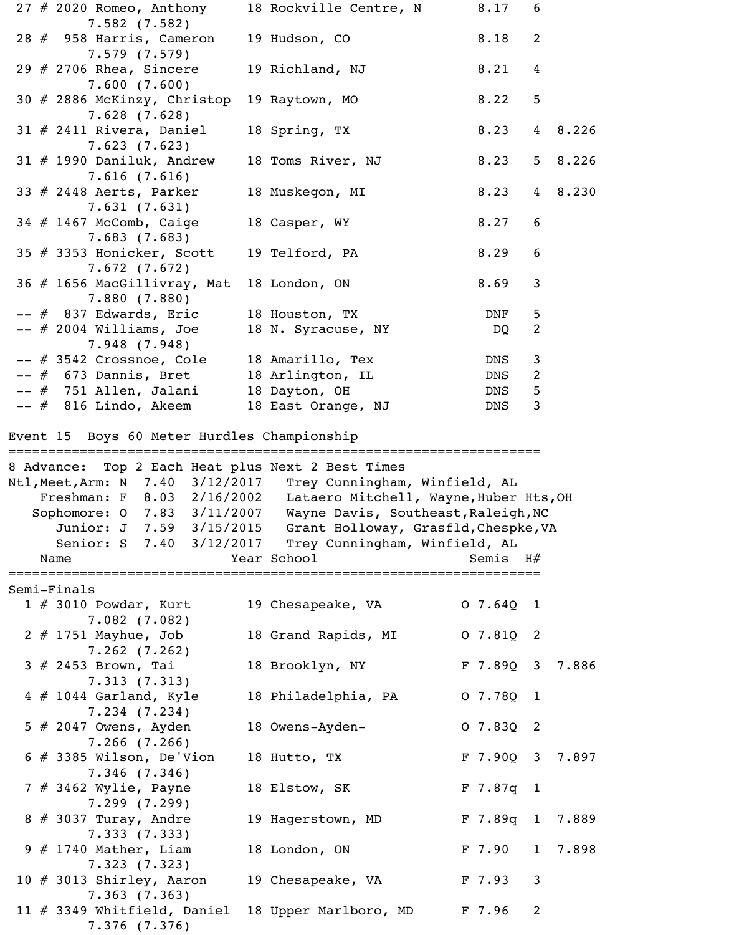|  | $27$ $\#$ 2020 Romeo, Anthony                                   | 18 Rockville Centre, N                 | 8.17              | 6              |         |
|--|-----------------------------------------------------------------|----------------------------------------|-------------------|----------------|---------|
|  | 7.582(7.582)<br>28 # 958 Harris, Cameron                        | 19 Hudson, CO                          | 8.18              | 2              |         |
|  | 7.579(7.579)<br>29 $#$ 2706 Rhea, Sincere<br>7.600(7.600)       | 19 Richland, NJ                        | 8.21              | 4              |         |
|  | 30 # 2886 McKinzy, Christop<br>$7.628$ $(7.628)$                | 19 Raytown, MO                         | 8.22              | 5              |         |
|  | $31 \# 2411$ Rivera, Daniel<br>7.623(7.623)                     | 18 Spring, TX                          | 8.23              |                | 4 8.226 |
|  | $31$ # 1990 Daniluk, Andrew<br>7.616(7.616)                     | 18 Toms River, NJ                      | 8.23              | 5 <sub>1</sub> | 8.226   |
|  | 33 # 2448 Aerts, Parker<br>7.631(7.631)                         | 18 Muskegon, MI                        | 8.23              |                | 4 8.230 |
|  | 34 # 1467 McComb, Caige<br>7.683(7.683)                         | 18 Casper, WY                          | 8.27              | 6              |         |
|  | 35 # 3353 Honicker, Scott<br>7.672(7.672)                       | 19 Telford, PA                         | 8.29              | 6              |         |
|  | 36 # 1656 MacGillivray, Mat<br>7.880(7.880)                     | 18 London, ON                          | 8.69              | 3              |         |
|  | -- # 837 Edwards, Eric                                          | 18 Houston, TX                         | DNF               | 5              |         |
|  | $--$ # 2004 Williams, Joe                                       | 18 N. Syracuse, NY                     | DQ                | 2              |         |
|  | 7.948(7.948)                                                    |                                        |                   |                |         |
|  | -- # 3542 Crossnoe, Cole                                        | 18 Amarillo, Tex                       | DNS               | 3              |         |
|  | -- # 673 Dannis, Bret                                           | 18 Arlington, IL                       | DNS               | 2              |         |
|  | -- # 751 Allen, Jalani                                          | 18 Dayton, OH                          | DNS               | 5              |         |
|  | -- # 816 Lindo, Akeem                                           | 18 East Orange, NJ                     | DNS               | 3              |         |
|  | Event 15 Boys 60 Meter Hurdles Championship                     |                                        |                   |                |         |
|  |                                                                 |                                        |                   |                |         |
|  | 8 Advance: Top 2 Each Heat plus Next 2 Best Times               |                                        |                   |                |         |
|  | Ntl,Meet,Arm: N 7.40 3/12/2017                                  | Trey Cunningham, Winfield, AL          |                   |                |         |
|  | Freshman: F 8.03 2/16/2002                                      | Lataero Mitchell, Wayne, Huber Hts, OH |                   |                |         |
|  | Sophomore: 0 7.83 3/11/2007 Wayne Davis, Southeast, Raleigh, NC |                                        |                   |                |         |
|  | Junior: J 7.59 3/15/2015                                        | Grant Holloway, Grasfld, Chespke, VA   |                   |                |         |
|  | Senior: S 7.40 3/12/2017                                        | Trey Cunningham, Winfield, AL          |                   |                |         |
|  | Name                                                            | Year School Theory                     | Semis $H#$        |                |         |
|  | Semi-Finals                                                     |                                        |                   |                |         |
|  | $1$ # 3010 Powdar, Kurt                                         | 19 Chesapeake, VA                      | 07.64Q1           |                |         |
|  | 7.082(7.082)                                                    |                                        |                   |                |         |
|  | 2 # 1751 Mayhue, Job<br>$7.262$ $(7.262)$                       | 18 Grand Rapids, MI                    | $07.81Q$ 2        |                |         |
|  | $3$ # 2453 Brown, Tai<br>7.313(7.313)                           | 18 Brooklyn, NY                        | F 7.89Q 3 7.886   |                |         |
|  | $4$ $\#$ 1044 Garland, Kyle<br>$7.234$ $(7.234)$                | 18 Philadelphia, PA                    | 07.78Q1           |                |         |
|  | 5 # 2047 Owens, Ayden                                           |                                        |                   |                |         |
|  |                                                                 | 18 Owens-Ayden-                        | 07.8302           |                |         |
|  | $7.266$ $(7.266)$<br>$6$ # 3385 Wilson, De'Vion                 | 18 Hutto, TX                           | F 7.90Q 3 7.897   |                |         |
|  | 7.346(7.346)<br>7 # 3462 Wylie, Payne                           | 18 Elstow, SK                          | $F$ 7.87q 1       |                |         |
|  | 7.299(7.299)<br>$8 \# 3037$ Turay, Andre                        | 19 Hagerstown, MD                      | F 7.89q 1 7.889   |                |         |
|  | 7.333(7.333)<br>$9$ # 1740 Mather, Liam                         | 18 London, ON                          | F <sub>7.90</sub> |                | 1 7.898 |
|  | 7.323(7.323)<br>10 $\#$ 3013 Shirley, Aaron<br>7.363(7.363)     | 19 Chesapeake, VA                      | F 7.93            | $\mathbf{3}$   |         |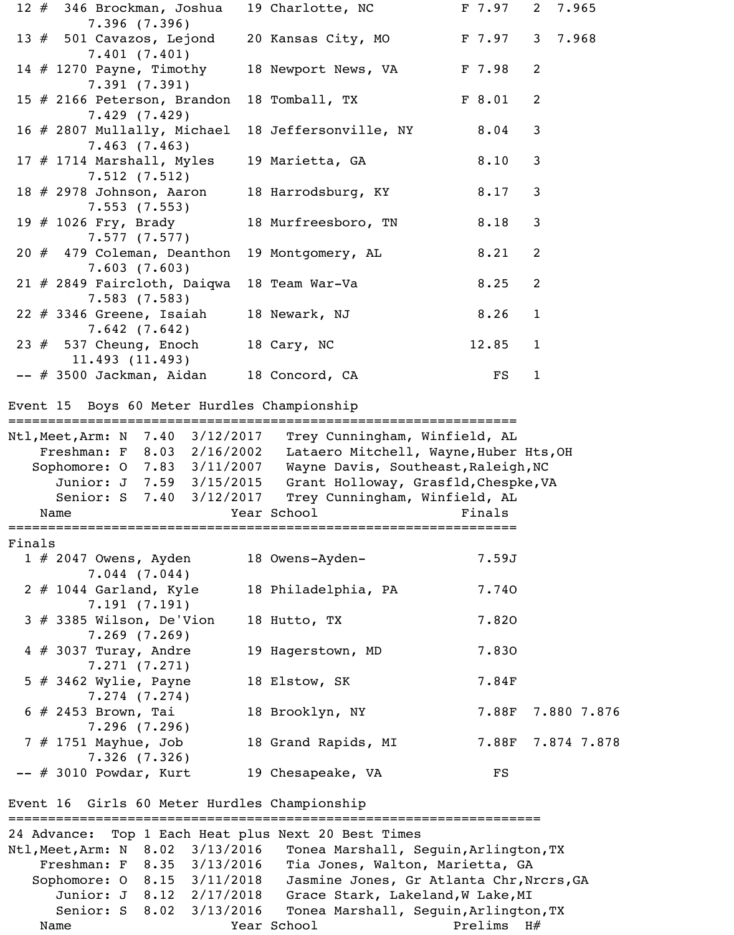|        | 12 # 346 Brockman, Joshua                                                                                                 | 19 Charlotte, NC                                                                                                                                                      | F <sub>7.97</sub> | 2 7.965        |       |
|--------|---------------------------------------------------------------------------------------------------------------------------|-----------------------------------------------------------------------------------------------------------------------------------------------------------------------|-------------------|----------------|-------|
|        | 7.396(7.396)<br>13 $#$ 501 Cavazos, Lejond                                                                                | 20 Kansas City, MO                                                                                                                                                    | F 7.97            | 3 <sup>7</sup> | 7.968 |
|        | 7.401(7.401)<br>14 $#$ 1270 Payne, Timothy                                                                                | 18 Newport News, VA                                                                                                                                                   | F 7.98            | 2              |       |
|        | 7.391(7.391)<br>15 # 2166 Peterson, Brandon                                                                               | 18 Tomball, TX                                                                                                                                                        | F 8.01            | $\overline{2}$ |       |
|        | 7.429(7.429)<br>16 # 2807 Mullally, Michael                                                                               | 18 Jeffersonville, NY                                                                                                                                                 | 8.04              | 3              |       |
|        | 7.463(7.463)<br>17 $#$ 1714 Marshall, Myles                                                                               | 19 Marietta, GA                                                                                                                                                       | 8.10              | 3              |       |
|        | 7.512(7.512)<br>18 $#$ 2978 Johnson, Aaron                                                                                | 18 Harrodsburg, KY                                                                                                                                                    | 8.17              | $\mathsf{3}$   |       |
|        | 7.553(7.553)<br>19 # 1026 Fry, Brady                                                                                      | 18 Murfreesboro, TN                                                                                                                                                   | 8.18              | 3              |       |
|        | 7.577(7.577)<br>20 # 479 Coleman, Deanthon<br>7.603(7.603)                                                                | 19 Montgomery, AL                                                                                                                                                     | 8.21              | 2              |       |
|        | $21$ # 2849 Faircloth, Daiqwa<br>7.583(7.583)                                                                             | 18 Team War-Va                                                                                                                                                        | 8.25              | 2              |       |
|        | $22$ # 3346 Greene, Isaiah<br>7.642(7.642)                                                                                | 18 Newark, NJ                                                                                                                                                         | 8.26              | $\mathbf{1}$   |       |
|        | 23 $#$ 537 Cheung, Enoch<br>11.493(11.493)                                                                                | 18 Cary, NC                                                                                                                                                           | 12.85             | $\mathbf{1}$   |       |
|        | -- # 3500 Jackman, Aidan                                                                                                  | 18 Concord, CA                                                                                                                                                        | FS                | $\mathbf{1}$   |       |
|        | Event 15 Boys 60 Meter Hurdles Championship<br>=====================================                                      | ======================                                                                                                                                                |                   |                |       |
|        | Freshman: F 8.03 2/16/2002<br>Sophomore: 0 7.83 3/11/2007<br>Junior: J 7.59 3/15/2015<br>Senior: S 7.40 3/12/2017<br>Name | Lataero Mitchell, Wayne, Huber Hts, OH<br>Wayne Davis, Southeast, Raleigh, NC<br>Grant Holloway, Grasfld, Chespke, VA<br>Trey Cunningham, Winfield, AL<br>Year School | Finals            |                |       |
|        |                                                                                                                           |                                                                                                                                                                       |                   |                |       |
| Finals | $1 \# 2047$ Owens, Ayden<br>$7.044$ $(7.044)$                                                                             | 18 Owens-Ayden-                                                                                                                                                       | 7.59J             |                |       |
|        | $2$ # 1044 Garland, Kyle<br>7.191(7.191)                                                                                  | 18 Philadelphia, PA                                                                                                                                                   | 7.740             |                |       |
|        | $3$ # 3385 Wilson, De'Vion<br>$7.269$ $(7.269)$                                                                           | 18 Hutto, TX                                                                                                                                                          | 7.820             |                |       |
|        | $4 \# 3037$ Turay, Andre<br>7.271(7.271)                                                                                  | 19 Hagerstown, MD                                                                                                                                                     | 7.830             |                |       |
|        | $5$ # 3462 Wylie, Payne                                                                                                   | 18 Elstow, SK                                                                                                                                                         | 7.84F             |                |       |
|        |                                                                                                                           |                                                                                                                                                                       |                   |                |       |
|        | $7.274$ $(7.274)$<br>$6$ # 2453 Brown, Tai<br>7.296(7.296)                                                                | 18 Brooklyn, NY                                                                                                                                                       | 7.88F             | 7.880 7.876    |       |
|        | 7 # 1751 Mayhue, Job<br>7.326(7.326)                                                                                      | 18 Grand Rapids, MI                                                                                                                                                   | 7.88F             | 7.874 7.878    |       |
|        | $--$ # 3010 Powdar, Kurt                                                                                                  | 19 Chesapeake, VA                                                                                                                                                     | FS                |                |       |
|        | Event 16 Girls 60 Meter Hurdles Championship<br>================================                                          | =================================                                                                                                                                     |                   |                |       |
|        | 24 Advance: Top 1 Each Heat plus Next 20 Best Times                                                                       |                                                                                                                                                                       |                   |                |       |
|        | Ntl,Meet,Arm: N 8.02 3/13/2016                                                                                            | Tonea Marshall, Seguin, Arlington, TX                                                                                                                                 |                   |                |       |
|        | Freshman: F 8.35 3/13/2016                                                                                                | Tia Jones, Walton, Marietta, GA                                                                                                                                       |                   |                |       |
|        | Sophomore: 0 8.15 3/11/2018                                                                                               | Jasmine Jones, Gr Atlanta Chr, Nrcrs, GA                                                                                                                              |                   |                |       |
|        | Junior: J 8.12 2/17/2018                                                                                                  | Grace Stark, Lakeland, W Lake, MI                                                                                                                                     |                   |                |       |
|        | Senior: S 8.02 3/13/2016<br>Name                                                                                          | Tonea Marshall, Seguin, Arlington, TX<br>Year School                                                                                                                  | Prelims           | H#             |       |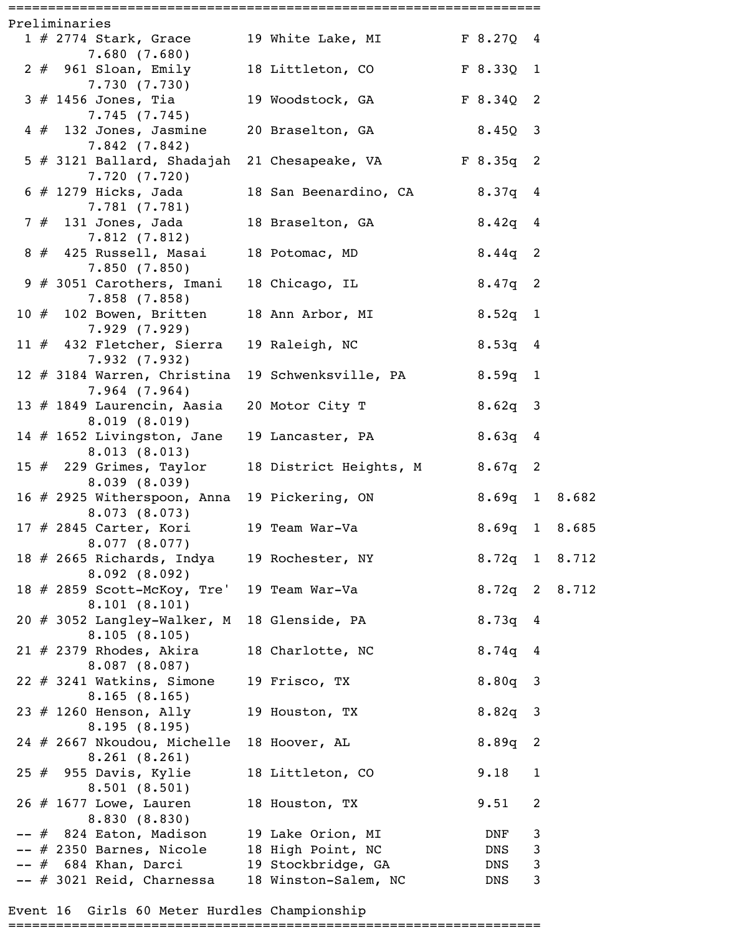|  | Preliminaries                                                      |                               |               |              |  |
|--|--------------------------------------------------------------------|-------------------------------|---------------|--------------|--|
|  | 1 # 2774 Stark, Grace 19 White Lake, MI                            |                               | F 8.27Q 4     |              |  |
|  | 7.680(7.680)                                                       |                               |               |              |  |
|  | 2 # 961 Sloan, Emily 18 Littleton, CO F 8.33Q 1<br>7.730(7.730)    |                               |               |              |  |
|  | $3$ $\#$ 1456 Jones, Tia<br>7.745(7.745)                           | 19 Woodstock, GA              | F 8.34Q 2     |              |  |
|  | $4$ $\#$ 132 Jones, Jasmine<br>7.842(7.842)                        | 20 Braselton, GA              | $8.45Q$ 3     |              |  |
|  | 5 # 3121 Ballard, Shadajah 21 Chesapeake, VA<br>7.720(7.720)       |                               | F8.35q2       |              |  |
|  | 6 # 1279 Hicks, Jada<br>7.781(7.781)                               | 18 San Beenardino, CA 8.37q 4 |               |              |  |
|  | 7 # 131 Jones, Jada               18 Braselton, GA<br>7.812(7.812) |                               | $8.42q$ 4     |              |  |
|  | 8 # 425 Russell, Masai<br>7.850(7.850)                             | 18 Potomac, MD                | $8.44q$ 2     |              |  |
|  | 9 # 3051 Carothers, Imani 18 Chicago, IL<br>7.858(7.858)           |                               | $8.47q$ 2     |              |  |
|  | 10 $#$ 102 Bowen, Britten<br>7.929(7.929)                          | 18 Ann Arbor, MI              | $8.52q$ 1     |              |  |
|  | 11 $#$ 432 Fletcher, Sierra<br>7.932(7.932)                        | 19 Raleigh, NC                | 8.53q 4       |              |  |
|  | 12 # 3184 Warren, Christina<br>$7.964$ $(7.964)$                   | 19 Schwenksville, PA          | $8.59q$ 1     |              |  |
|  | 13 # 1849 Laurencin, Aasia 20 Motor City T<br>8.019(8.019)         |                               | $8.62q$ 3     |              |  |
|  | 14 $\#$ 1652 Livingston, Jane<br>8.013(8.013)                      | 19 Lancaster, PA              | $8.63q$ 4     |              |  |
|  | 15 # 229 Grimes, Taylor<br>8.039(8.039)                            | 18 District Heights, M        | $8.67q$ 2     |              |  |
|  | 16 # 2925 Witherspoon, Anna 19 Pickering, ON<br>8.073(8.073)       |                               | 8.69q 1 8.682 |              |  |
|  | 17 # 2845 Carter, Kori<br>8.077(8.077)                             | 19 Team War-Va                | 8.69q 1 8.685 |              |  |
|  | 18 # 2665 Richards, Indya<br>8.092(8.092)                          | 19 Rochester, NY              | 8.72q 1 8.712 |              |  |
|  | 18 # 2859 Scott-McKoy, Tre'<br>8.101(8.101)                        | 19 Team War-Va                | 8.72q 2 8.712 |              |  |
|  | 20 # 3052 Langley-Walker, M 18 Glenside, PA<br>8.105(8.105)        |                               | 8.73q 4       |              |  |
|  | $21$ # 2379 Rhodes, Akira<br>8.087(8.087)                          | 18 Charlotte, NC              | 8.74q 4       |              |  |
|  | $22$ # 3241 Watkins, Simone<br>8.165(8.165)                        | 19 Frisco, TX                 | $8.80q$ 3     |              |  |
|  | 23 # 1260 Henson, Ally<br>8.195(8.195)                             | 19 Houston, TX                | $8.82q$ 3     |              |  |
|  | 24 # 2667 Nkoudou, Michelle<br>8.261(8.261)                        | 18 Hoover, AL                 | $8.89q$ 2     |              |  |
|  | $25$ $\#$ 955 Davis, Kylie<br>8.501(8.501)                         | 18 Littleton, CO              | 9.18          | $\mathbf{1}$ |  |
|  | $26$ # 1677 Lowe, Lauren<br>8.830(8.830)                           | 18 Houston, TX                | 9.51          | 2            |  |
|  | -- # 824 Eaton, Madison                                            | 19 Lake Orion, MI             | DNF           | $\mathsf 3$  |  |
|  | -- # 2350 Barnes, Nicole                                           | 18 High Point, NC             | DNS           | $\mathsf 3$  |  |
|  | -- # 684 Khan, Darci                                               | 19 Stockbridge, GA            | DNS           | $\mathsf{3}$ |  |
|  | $--$ # 3021 Reid, Charnessa                                        | 18 Winston-Salem, NC          | DNS           | 3            |  |

Event 16 Girls 60 Meter Hurdles Championship

===================================================================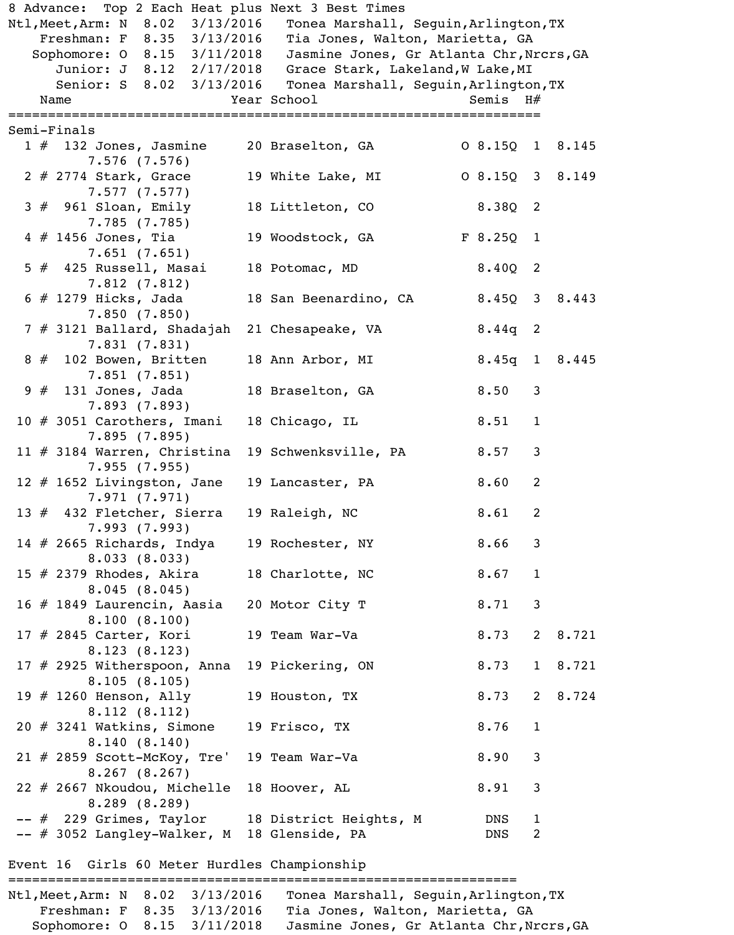| 8 Advance: Top 2 Each Heat plus Next 3 Best Times                  |                                          |               |                |         |
|--------------------------------------------------------------------|------------------------------------------|---------------|----------------|---------|
| Ntl, Meet, Arm: N 8.02 3/13/2016                                   | Tonea Marshall, Seguin, Arlington, TX    |               |                |         |
| Freshman: F 8.35 3/13/2016                                         | Tia Jones, Walton, Marietta, GA          |               |                |         |
| Sophomore: 0 8.15 3/11/2018                                        | Jasmine Jones, Gr Atlanta Chr, Nrcrs, GA |               |                |         |
| Junior: J 8.12 2/17/2018                                           | Grace Stark, Lakeland, W Lake, MI        |               |                |         |
| Senior: S 8.02 3/13/2016                                           | Tonea Marshall, Seguin, Arlington, TX    |               |                |         |
| Name                                                               | Year School                              | Semis $H#$    |                |         |
|                                                                    |                                          |               |                |         |
| Semi-Finals                                                        |                                          |               |                |         |
| $1 \#$ 132 Jones, Jasmine                                          | 20 Braselton, GA                         | 08.15018.145  |                |         |
| $7.576$ $(7.576)$                                                  |                                          |               |                |         |
| $2 \# 2774$ Stark, Grace                                           | 19 White Lake, MI                        | 08.1503 8.149 |                |         |
| 7.577(7.577)                                                       |                                          |               |                |         |
| $3$ $#$ 961 Sloan, Emily                                           | 18 Littleton, CO                         | $8.38Q$ 2     |                |         |
| 7.785(7.785)                                                       |                                          |               |                |         |
| $4$ # 1456 Jones, Tia                                              | 19 Woodstock, GA                         | F 8.25Q       | $\overline{1}$ |         |
| 7.651(7.651)                                                       |                                          |               |                |         |
| $5$ $#$ 425 Russell, Masai                                         | 18 Potomac, MD                           | $8.40Q$ 2     |                |         |
| 7.812(7.812)                                                       |                                          |               |                |         |
| $6 \# 1279$ Hicks, Jada                                            | 18 San Beenardino, CA                    | 8.450 3       |                | 8.443   |
| 7.850(7.850)                                                       |                                          |               |                |         |
| 7 # 3121 Ballard, Shadajah                                         | 21 Chesapeake, VA                        | $8.44q$ 2     |                |         |
| 7.831(7.831)                                                       |                                          |               |                |         |
| $8 \# 102$ Bowen, Britten                                          | 18 Ann Arbor, MI                         | $8.45q$ 1     |                | 8.445   |
| 7.851(7.851)                                                       |                                          |               |                |         |
| $9 \# 131$ Jones, Jada                                             | 18 Braselton, GA                         | 8.50          | 3              |         |
|                                                                    |                                          |               |                |         |
| 7.893(7.893)                                                       |                                          |               |                |         |
| 10 # 3051 Carothers, Imani                                         | 18 Chicago, IL                           | 8.51          | $\mathbf 1$    |         |
| 7.895(7.895)                                                       |                                          |               |                |         |
| 11 $#$ 3184 Warren, Christina                                      | 19 Schwenksville, PA                     | 8.57          | 3              |         |
| 7.955(7.955)                                                       |                                          |               |                |         |
| 12 $#$ 1652 Livingston, Jane                                       | 19 Lancaster, PA                         | 8.60          | 2              |         |
| 7.971(7.971)                                                       |                                          |               |                |         |
| 13 $#$ 432 Fletcher, Sierra                                        | 19 Raleigh, NC                           | 8.61          | 2              |         |
| 7.993(7.993)                                                       |                                          |               |                |         |
| 14 $#$ 2665 Richards, Indya                                        | 19 Rochester, NY                         | 8.66          | 3              |         |
| 8.033(8.033)                                                       |                                          |               |                |         |
| 15 $#$ 2379 Rhodes, Akira                                          | 18 Charlotte, NC                         | 8.67          | $\mathbf{1}$   |         |
| 8.045(8.045)                                                       |                                          |               |                |         |
| 16 # 1849 Laurencin, Aasia                                         | 20 Motor City T                          | 8.71          | 3              |         |
| 8.100(8.100)                                                       |                                          |               |                |         |
| $17$ # 2845 Carter, Kori                                           | 19 Team War-Va                           | 8.73          |                | 2 8.721 |
| 8.123(8.123)                                                       |                                          |               |                |         |
| 17 # 2925 Witherspoon, Anna                                        | 19 Pickering, ON                         | 8.73          |                | 1 8.721 |
|                                                                    |                                          |               |                |         |
| 8.105(8.105)                                                       |                                          |               |                |         |
| 19 $\#$ 1260 Henson, Ally                                          | 19 Houston, TX                           | 8.73 2 8.724  |                |         |
| 8.112(8.112)                                                       |                                          |               |                |         |
| $20$ $\#$ 3241 Watkins, Simone                                     | 19 Frisco, TX                            | 8.76          | 1              |         |
| 8.140(8.140)                                                       |                                          |               |                |         |
| $21$ # 2859 Scott-McKoy, Tre'                                      | 19 Team War-Va                           | 8.90          | 3              |         |
| 8.267(8.267)                                                       |                                          |               |                |         |
| 22 # 2667 Nkoudou, Michelle                                        | 18 Hoover, AL                            | 8.91          | 3              |         |
| 8.289(8.289)                                                       |                                          |               |                |         |
| -- # 229 Grimes, Taylor 18 District Heights, M                     |                                          | DNS           | $\mathbf{1}$   |         |
| -- # 3052 Langley-Walker, M                                        | 18 Glenside, PA                          | DNS           | 2              |         |
|                                                                    |                                          |               |                |         |
| Event 16 Girls 60 Meter Hurdles Championship                       |                                          |               |                |         |
|                                                                    |                                          |               |                |         |
| Ntl.Meet.Arm: N 8.02 3/13/2016 Tonea Marshall, Sequin Arlington.TX |                                          |               |                |         |

| Ntl, Meet, Arm: N 8.02 3/13/2016 |  |                                  | Tonea Marshall, Sequin, Arlington, TX    |
|----------------------------------|--|----------------------------------|------------------------------------------|
|                                  |  | Freshman: $F = 8.35 = 3/13/2016$ | Tia Jones, Walton, Marietta, GA          |
|                                  |  | Sophomore: 0 8.15 3/11/2018      | Jasmine Jones, Gr Atlanta Chr, Nrcrs, GA |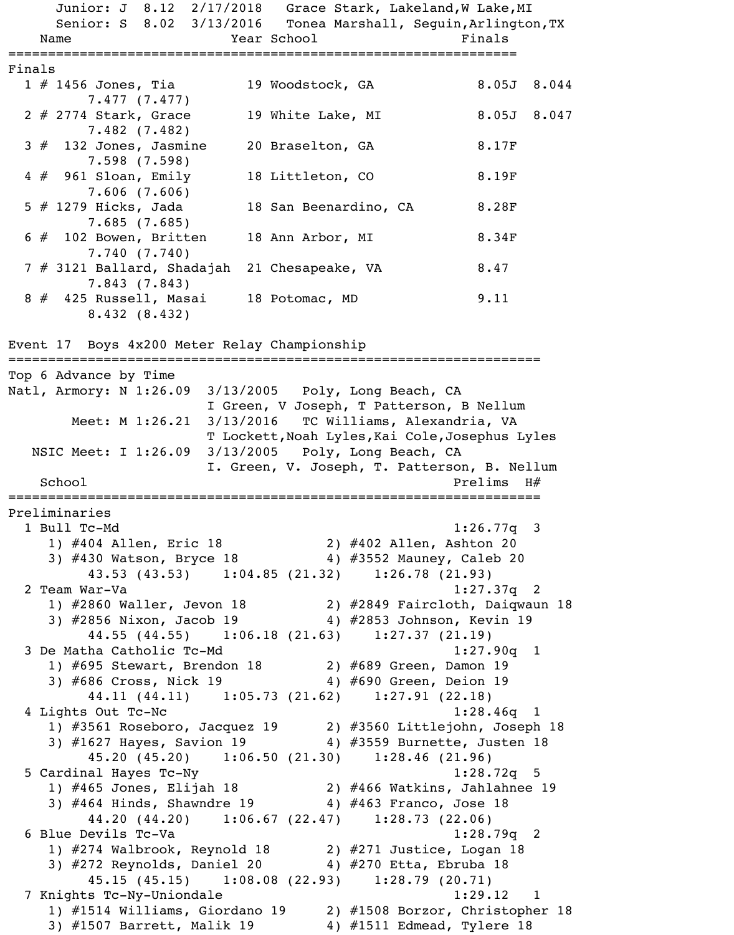Junior: J 8.12 2/17/2018 Grace Stark, Lakeland, W Lake, MI Senior: S 8.02 3/13/2016 Tonea Marshall, Seguin, Arlington, TX Name Year School Finals ================================================================ Finals 1 # 1456 Jones, Tia 19 Woodstock, GA 8.05J 8.044 7.477 (7.477) 2 # 2774 Stark, Grace 19 White Lake, MI 8.05J 8.047 7.482 (7.482) 3 # 132 Jones, Jasmine 20 Braselton, GA 8.17F 7.598 (7.598) 4 # 961 Sloan, Emily 18 Littleton, CO 8.19F 7.606 (7.606) 5 # 1279 Hicks, Jada 18 San Beenardino, CA 8.28F 7.685 (7.685) 6 # 102 Bowen, Britten 18 Ann Arbor, MI 8.34F 7.740 (7.740) 7 # 3121 Ballard, Shadajah 21 Chesapeake, VA 8.47 7.843 (7.843) 8 # 425 Russell, Masai 18 Potomac, MD 9.11 8.432 (8.432) Event 17 Boys 4x200 Meter Relay Championship =================================================================== Top 6 Advance by Time Natl, Armory: N 1:26.09 3/13/2005 Poly, Long Beach, CA I Green, V Joseph, T Patterson, B Nellum Meet: M 1:26.21 3/13/2016 TC Williams, Alexandria, VA T Lockett,Noah Lyles,Kai Cole,Josephus Lyles NSIC Meet: I 1:26.09 3/13/2005 Poly, Long Beach, CA I. Green, V. Joseph, T. Patterson, B. Nellum School Prelims H# =================================================================== Preliminaries 1 Bull Tc-Md 1:26.77q 3 1) #404 Allen, Eric 18 2) #402 Allen, Ashton 20 3) #430 Watson, Bryce 18 4) #3552 Mauney, Caleb 20 43.53 (43.53) 1:04.85 (21.32) 1:26.78 (21.93) 2 Team War-Va 1:27.37q 2 1) #2860 Waller, Jevon 18 2) #2849 Faircloth, Daiqwaun 18 3) #2856 Nixon, Jacob 19 4) #2853 Johnson, Kevin 19 44.55 (44.55) 1:06.18 (21.63) 1:27.37 (21.19) 3 De Matha Catholic Tc-Md 1:27.90q 1 1) #695 Stewart, Brendon 18 2) #689 Green, Damon 19 3) #686 Cross, Nick 19 4) #690 Green, Deion 19 44.11 (44.11) 1:05.73 (21.62) 1:27.91 (22.18) 4 Lights Out Tc-Nc 1:28.46q 1 1) #3561 Roseboro, Jacquez 19 2) #3560 Littlejohn, Joseph 18 3) #1627 Hayes, Savion 19 4) #3559 Burnette, Justen 18 45.20 (45.20) 1:06.50 (21.30) 1:28.46 (21.96) 5 Cardinal Hayes Tc-Ny 1:28.72q 5

 1) #465 Jones, Elijah 18 2) #466 Watkins, Jahlahnee 19 3) #464 Hinds, Shawndre 19 4) #463 Franco, Jose 18 44.20 (44.20) 1:06.67 (22.47) 1:28.73 (22.06) 6 Blue Devils Tc-Va 1:28.79q 2 1) #274 Walbrook, Reynold 18 2) #271 Justice, Logan 18 3) #272 Reynolds, Daniel 20 4) #270 Etta, Ebruba 18 45.15 (45.15) 1:08.08 (22.93) 1:28.79 (20.71) 7 Knights Tc-Ny-Uniondale 1:29.12 1 1) #1514 Williams, Giordano 19 2) #1508 Borzor, Christopher 18

3) #1507 Barrett, Malik 19 4) #1511 Edmead, Tylere 18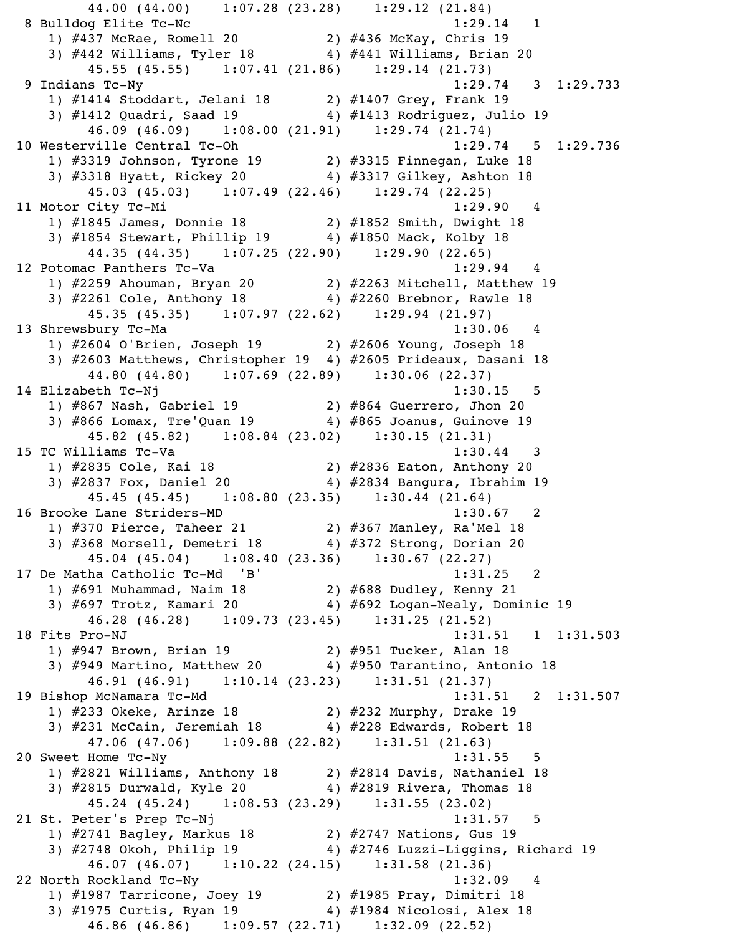44.00 (44.00) 1:07.28 (23.28) 1:29.12 (21.84) 8 Bulldog Elite Tc-Nc 1:29.14 1 1) #437 McRae, Romell 20 2) #436 McKay, Chris 19 3) #442 Williams, Tyler 18 4) #441 Williams, Brian 20 45.55 (45.55) 1:07.41 (21.86) 1:29.14 (21.73) 9 Indians Tc-Ny 1:29.74 3 1:29.733 1) #1414 Stoddart, Jelani 18 2) #1407 Grey, Frank 19 3) #1412 Quadri, Saad 19 4) #1413 Rodriguez, Julio 19 46.09 (46.09) 1:08.00 (21.91) 1:29.74 (21.74) 10 Westerville Central Tc-Oh 1:29.74 5 1:29.736 1) #3319 Johnson, Tyrone 19 2) #3315 Finnegan, Luke 18 3) #3318 Hyatt, Rickey 20 4) #3317 Gilkey, Ashton 18 45.03 (45.03) 1:07.49 (22.46) 1:29.74 (22.25) 11 Motor City Tc-Mi 1:29.90 4 1) #1845 James, Donnie 18 2) #1852 Smith, Dwight 18 3) #1854 Stewart, Phillip 19  $\qquad \qquad$  4) #1850 Mack, Kolby 18 44.35 (44.35) 1:07.25 (22.90) 1:29.90 (22.65) 12 Potomac Panthers Tc-Va 1:29.94 4 1) #2259 Ahouman, Bryan 20 2) #2263 Mitchell, Matthew 19 3) #2261 Cole, Anthony 18 4) #2260 Brebnor, Rawle 18 45.35 (45.35) 1:07.97 (22.62) 1:29.94 (21.97) 13 Shrewsbury Tc-Ma 1:30.06 4 1) #2604 O'Brien, Joseph 19 2) #2606 Young, Joseph 18 3) #2603 Matthews, Christopher 19 4) #2605 Prideaux, Dasani 18 44.80 (44.80) 1:07.69 (22.89) 1:30.06 (22.37) 14 Elizabeth Tc-Nj 1:30.15 5 1) #867 Nash, Gabriel 19 2) #864 Guerrero, Jhon 20 3) #866 Lomax, Tre'Quan 19 4) #865 Joanus, Guinove 19 45.82 (45.82) 1:08.84 (23.02) 1:30.15 (21.31) 15 TC Williams Tc-Va 2012 1:30.44 3 1) #2835 Cole, Kai 18 2) #2836 Eaton, Anthony 20 3) #2837 Fox, Daniel 20 4) #2834 Bangura, Ibrahim 19 45.45 (45.45) 1:08.80 (23.35) 1:30.44 (21.64) 16 Brooke Lane Striders-MD 1:30.67 2 1) #370 Pierce, Taheer 21 2) #367 Manley, Ra'Mel 18 3) #368 Morsell, Demetri 18 4) #372 Strong, Dorian 20 45.04 (45.04) 1:08.40 (23.36) 1:30.67 (22.27) 17 De Matha Catholic Tc-Md 'B' 1:31.25 2 1) #691 Muhammad, Naim 18 2) #688 Dudley, Kenny 21 3) #697 Trotz, Kamari 20 4) #692 Logan-Nealy, Dominic 19 46.28 (46.28) 1:09.73 (23.45) 1:31.25 (21.52) 18 Fits Pro-NJ 1:31.503 1) #947 Brown, Brian 19 2) #951 Tucker, Alan 18 3) #949 Martino, Matthew 20 4) #950 Tarantino, Antonio 18 46.91 (46.91) 1:10.14 (23.23) 1:31.51 (21.37) 19 Bishop McNamara Tc-Md 1:31.51 2 1:31.507 1) #233 Okeke, Arinze 18 2) #232 Murphy, Drake 19 3) #231 McCain, Jeremiah 18  $\qquad \qquad$  4) #228 Edwards, Robert 18 47.06 (47.06) 1:09.88 (22.82) 1:31.51 (21.63) 20 Sweet Home Tc-Ny 1:31.55 5 1) #2821 Williams, Anthony 18 2) #2814 Davis, Nathaniel 18 3) #2815 Durwald, Kyle 20 4) #2819 Rivera, Thomas 18 45.24 (45.24) 1:08.53 (23.29) 1:31.55 (23.02) 21 St. Peter's Prep Tc-Nj 1:31.57 5 1) #2741 Bagley, Markus 18 2) #2747 Nations, Gus 19 3) #2748 Okoh, Philip 19 4) #2746 Luzzi-Liggins, Richard 19 46.07 (46.07) 1:10.22 (24.15) 1:31.58 (21.36) 22 North Rockland Tc-Ny 1:32.09 4 1) #1987 Tarricone, Joey 19 2) #1985 Pray, Dimitri 18 3) #1975 Curtis, Ryan 19 4) #1984 Nicolosi, Alex 18 46.86 (46.86) 1:09.57 (22.71) 1:32.09 (22.52)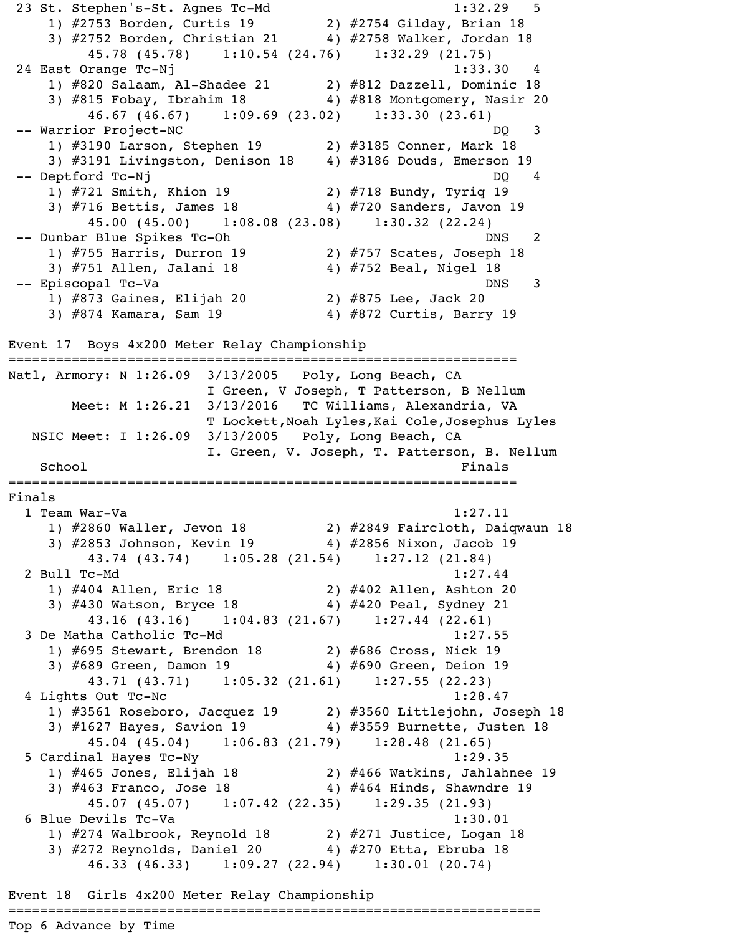23 St. Stephen's-St. Agnes Tc-Md 1:32.29 5 1) #2753 Borden, Curtis 19 2) #2754 Gilday, Brian 18 3) #2752 Borden, Christian 21 4) #2758 Walker, Jordan 18 45.78 (45.78) 1:10.54 (24.76) 1:32.29 (21.75) 24 East Orange Tc-Nj 1:33.30 4 1) #820 Salaam, Al-Shadee 21 2) #812 Dazzell, Dominic 18 3) #815 Fobay, Ibrahim 18 4) #818 Montgomery, Nasir 20 46.67 (46.67) 1:09.69 (23.02) 1:33.30 (23.61) -- Warrior Project-NC DQ 3 1) #3190 Larson, Stephen 19 2) #3185 Conner, Mark 18 3) #3191 Livingston, Denison 18 4) #3186 Douds, Emerson 19 -- Deptford Tc-Nj DQ 4 1) #721 Smith, Khion 19 2) #718 Bundy, Tyriq 19 3) #716 Bettis, James 18 4) #720 Sanders, Javon 19 45.00 (45.00) 1:08.08 (23.08) 1:30.32 (22.24) -- Dunbar Blue Spikes Tc-Oh DNS 2 1) #755 Harris, Durron 19 2) #757 Scates, Joseph 18 3) #751 Allen, Jalani 18 4) #752 Beal, Nigel 18 -- Episcopal Tc-Va de la contrata de la posición de la posición de la posición de la posición de la posición d 1) #873 Gaines, Elijah 20 2) #875 Lee, Jack 20 3) #874 Kamara, Sam 19 4) #872 Curtis, Barry 19

Event 17 Boys 4x200 Meter Relay Championship

================================================================ Natl, Armory: N 1:26.09 3/13/2005 Poly, Long Beach, CA I Green, V Joseph, T Patterson, B Nellum Meet: M 1:26.21 3/13/2016 TC Williams, Alexandria, VA T Lockett,Noah Lyles,Kai Cole,Josephus Lyles NSIC Meet: I 1:26.09 3/13/2005 Poly, Long Beach, CA I. Green, V. Joseph, T. Patterson, B. Nellum School Finals ================================================================ Finals 1 Team War-Va 1:27.11 1) #2860 Waller, Jevon 18 2) #2849 Faircloth, Daiqwaun 18 3) #2853 Johnson, Kevin 19 4) #2856 Nixon, Jacob 19 43.74 (43.74) 1:05.28 (21.54) 1:27.12 (21.84) 2 Bull Tc-Md 1:27.44 1) #404 Allen, Eric 18 2) #402 Allen, Ashton 20 3) #430 Watson, Bryce 18 4) #420 Peal, Sydney 21 43.16 (43.16) 1:04.83 (21.67) 1:27.44 (22.61) 3 De Matha Catholic Tc-Md 1:27.55 1) #695 Stewart, Brendon 18 2) #686 Cross, Nick 19 3) #689 Green, Damon 19 4) #690 Green, Deion 19 43.71 (43.71) 1:05.32 (21.61) 1:27.55 (22.23) 4 Lights Out Tc-Nc 1:28.47 1) #3561 Roseboro, Jacquez 19 2) #3560 Littlejohn, Joseph 18 3) #1627 Hayes, Savion 19 4) #3559 Burnette, Justen 18 45.04 (45.04) 1:06.83 (21.79) 1:28.48 (21.65) 5 Cardinal Hayes Tc-Ny 1:29.35 1) #465 Jones, Elijah 18 2) #466 Watkins, Jahlahnee 19 3) #463 Franco, Jose 18 4) #464 Hinds, Shawndre 19 45.07 (45.07) 1:07.42 (22.35) 1:29.35 (21.93) 6 Blue Devils Tc-Va 1:30.01 1) #274 Walbrook, Reynold 18 2) #271 Justice, Logan 18 3) #272 Reynolds, Daniel 20 4) #270 Etta, Ebruba 18 46.33 (46.33) 1:09.27 (22.94) 1:30.01 (20.74)

Event 18 Girls 4x200 Meter Relay Championship

===================================================================

Top 6 Advance by Time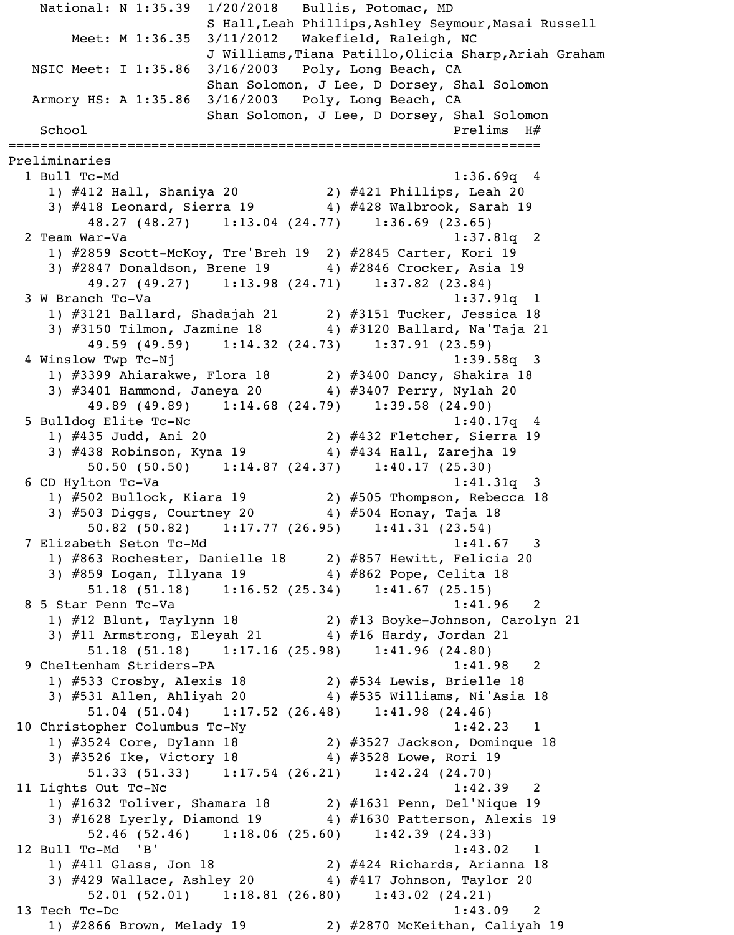National: N 1:35.39 1/20/2018 Bullis, Potomac, MD S Hall,Leah Phillips,Ashley Seymour,Masai Russell Meet: M 1:36.35 3/11/2012 Wakefield, Raleigh, NC J Williams,Tiana Patillo,Olicia Sharp,Ariah Graham NSIC Meet: I 1:35.86 3/16/2003 Poly, Long Beach, CA Shan Solomon, J Lee, D Dorsey, Shal Solomon Armory HS: A 1:35.86 3/16/2003 Poly, Long Beach, CA Shan Solomon, J Lee, D Dorsey, Shal Solomon School and Prelims H $#$ =================================================================== Preliminaries 1 Bull Tc-Md 1:36.69q 4 1) #412 Hall, Shaniya 20 2) #421 Phillips, Leah 20 3) #418 Leonard, Sierra 19 4) #428 Walbrook, Sarah 19 48.27 (48.27) 1:13.04 (24.77) 1:36.69 (23.65) 2 Team War-Va 1:37.81q 2 1) #2859 Scott-McKoy, Tre'Breh 19 2) #2845 Carter, Kori 19 3) #2847 Donaldson, Brene 19 4) #2846 Crocker, Asia 19 49.27 (49.27) 1:13.98 (24.71) 1:37.82 (23.84) 3 W Branch Tc-Va 1:37.91q 1 1) #3121 Ballard, Shadajah 21 2) #3151 Tucker, Jessica 18 3) #3150 Tilmon, Jazmine 18 4) #3120 Ballard, Na'Taja 21 49.59 (49.59) 1:14.32 (24.73) 1:37.91 (23.59) 4 Winslow Twp Tc-Nj 1:39.58q 3 1) #3399 Ahiarakwe, Flora 18 2) #3400 Dancy, Shakira 18 3) #3401 Hammond, Janeya 20 4) #3407 Perry, Nylah 20 49.89 (49.89) 1:14.68 (24.79) 1:39.58 (24.90) 5 Bulldog Elite Tc-Nc 1:40.17q 4 1) #435 Judd, Ani 20 2) #432 Fletcher, Sierra 19 3) #438 Robinson, Kyna 19 4) #434 Hall, Zarejha 19 50.50 (50.50) 1:14.87 (24.37) 1:40.17 (25.30) 6 CD Hylton Tc-Va 1:41.31q 3 1) #502 Bullock, Kiara 19 2) #505 Thompson, Rebecca 18 3) #503 Diggs, Courtney 20 4) #504 Honay, Taja 18 50.82 (50.82) 1:17.77 (26.95) 1:41.31 (23.54) 7 Elizabeth Seton Tc-Md 1:41.67 3 1) #863 Rochester, Danielle 18 2) #857 Hewitt, Felicia 20 3) #859 Logan, Illyana 19 4) #862 Pope, Celita 18 51.18 (51.18) 1:16.52 (25.34) 1:41.67 (25.15) 8 5 Star Penn Tc-Va 1:41.96 2 1) #12 Blunt, Taylynn 18 2) #13 Boyke-Johnson, Carolyn 21 3) #11 Armstrong, Eleyah 21  $\qquad \qquad$  4) #16 Hardy, Jordan 21 51.18 (51.18) 1:17.16 (25.98) 1:41.96 (24.80) 9 Cheltenham Striders-PA 1:41.98 1) #533 Crosby, Alexis 18 2) #534 Lewis, Brielle 18 3) #531 Allen, Ahliyah 20 4) #535 Williams, Ni'Asia 18 51.04 (51.04) 1:17.52 (26.48) 1:41.98 (24.46) 10 Christopher Columbus Tc-Ny 1:42.23 1 1) #3524 Core, Dylann 18 2) #3527 Jackson, Dominque 18 3) #3526 Ike, Victory 18 4) #3528 Lowe, Rori 19 51.33 (51.33) 1:17.54 (26.21) 1:42.24 (24.70) 11 Lights Out Tc-Nc 2012 2022 1:42.39 2 1) #1632 Toliver, Shamara 18 2) #1631 Penn, Del'Nique 19 3) #1628 Lyerly, Diamond 19 4) #1630 Patterson, Alexis 19 52.46 (52.46) 1:18.06 (25.60) 1:42.39 (24.33) 12 Bull Tc-Md 'B' 1:43.02 1 1) #411 Glass, Jon 18 2) #424 Richards, Arianna 18 3) #429 Wallace, Ashley 20 4) #417 Johnson, Taylor 20 52.01 (52.01) 1:18.81 (26.80) 1:43.02 (24.21) 13 Tech Tc-Dc 1:43.09 2 1) #2866 Brown, Melady 19 2) #2870 McKeithan, Caliyah 19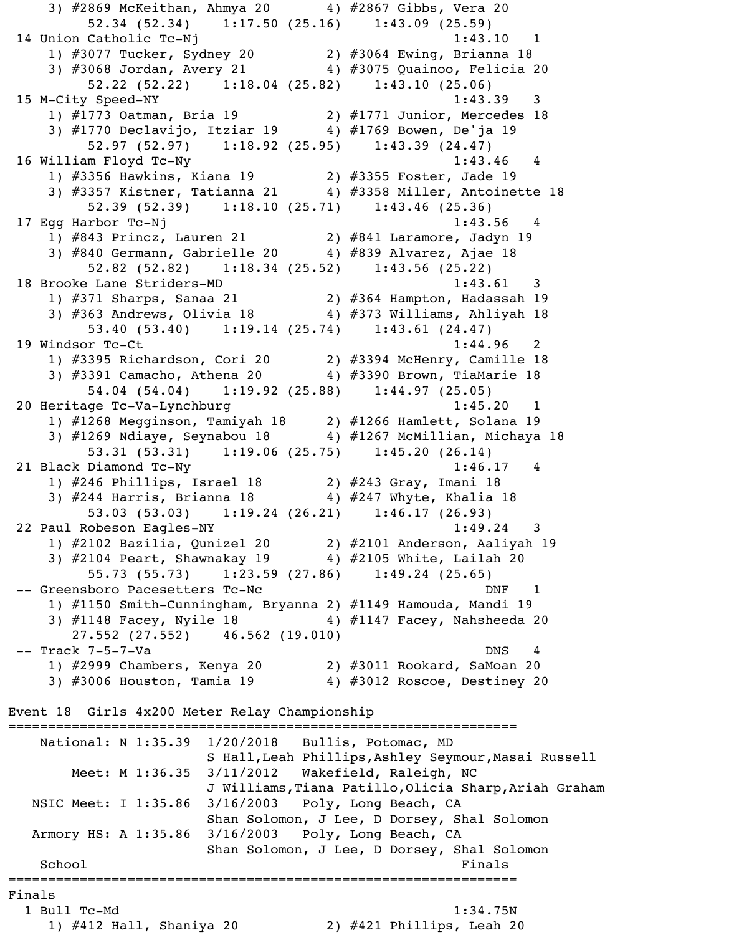3) #2869 McKeithan, Ahmya 20 4) #2867 Gibbs, Vera 20 52.34 (52.34) 1:17.50 (25.16) 1:43.09 (25.59) 14 Union Catholic Tc-Nj 1:43.10 1 1) #3077 Tucker, Sydney 20 2) #3064 Ewing, Brianna 18 3) #3068 Jordan, Avery 21 4) #3075 Quainoo, Felicia 20 52.22 (52.22) 1:18.04 (25.82) 1:43.10 (25.06) 15 M-City Speed-NY 1:43.39 3 1) #1773 Oatman, Bria 19 2) #1771 Junior, Mercedes 18 3) #1770 Declavijo, Itziar 19 4) #1769 Bowen, De'ja 19 52.97 (52.97) 1:18.92 (25.95) 1:43.39 (24.47) 16 William Floyd Tc-Ny 1:43.46 4 1) #3356 Hawkins, Kiana 19 2) #3355 Foster, Jade 19 3) #3357 Kistner, Tatianna 21 4) #3358 Miller, Antoinette 18 52.39 (52.39) 1:18.10 (25.71) 1:43.46 (25.36) 17 Egg Harbor Tc-Nj 1:43.56 4 1) #843 Princz, Lauren 21 2) #841 Laramore, Jadyn 19 3) #840 Germann, Gabrielle 20 4) #839 Alvarez, Ajae 18 52.82 (52.82) 1:18.34 (25.52) 1:43.56 (25.22) 18 Brooke Lane Striders-MD 1:43.61 3 1) #371 Sharps, Sanaa 21 2) #364 Hampton, Hadassah 19 3) #363 Andrews, Olivia 18 4) #373 Williams, Ahliyah 18 53.40 (53.40) 1:19.14 (25.74) 1:43.61 (24.47) 19 Windsor Tc-Ct 1:44.96 2 1) #3395 Richardson, Cori 20 2) #3394 McHenry, Camille 18 3) #3391 Camacho, Athena 20 4) #3390 Brown, TiaMarie 18 54.04 (54.04) 1:19.92 (25.88) 1:44.97 (25.05) 20 Heritage Tc-Va-Lynchburg 1:45.20 1 1) #1268 Megginson, Tamiyah 18 2) #1266 Hamlett, Solana 19 3) #1269 Ndiaye, Seynabou 18 4) #1267 McMillian, Michaya 18 53.31 (53.31) 1:19.06 (25.75) 1:45.20 (26.14) 21 Black Diamond Tc-Ny 1:46.17 4 1) #246 Phillips, Israel 18 2) #243 Gray, Imani 18 3) #244 Harris, Brianna 18 4) #247 Whyte, Khalia 18 53.03 (53.03) 1:19.24 (26.21) 1:46.17 (26.93) 22 Paul Robeson Eagles-NY 1:49.24 3 1) #2102 Bazilia, Qunizel 20 2) #2101 Anderson, Aaliyah 19 3) #2104 Peart, Shawnakay 19 4) #2105 White, Lailah 20 55.73 (55.73) 1:23.59 (27.86) 1:49.24 (25.65) -- Greensboro Pacesetters Tc-Nc description of the DNF 1 1) #1150 Smith-Cunningham, Bryanna 2) #1149 Hamouda, Mandi 19 3) #1148 Facey, Nyile 18 4) #1147 Facey, Nahsheeda 20 27.552 (27.552) 46.562 (19.010) -- Track 7-5-7-Va DNS 4 1) #2999 Chambers, Kenya 20 2) #3011 Rookard, SaMoan 20 3) #3006 Houston, Tamia 19 4) #3012 Roscoe, Destiney 20 Event 18 Girls 4x200 Meter Relay Championship ================================================================ National: N 1:35.39 1/20/2018 Bullis, Potomac, MD S Hall, Leah Phillips, Ashley Seymour, Masai Russell Meet: M 1:36.35 3/11/2012 Wakefield, Raleigh, NC J Williams,Tiana Patillo,Olicia Sharp,Ariah Graham NSIC Meet: I 1:35.86 3/16/2003 Poly, Long Beach, CA Shan Solomon, J Lee, D Dorsey, Shal Solomon Armory HS: A 1:35.86 3/16/2003 Poly, Long Beach, CA Shan Solomon, J Lee, D Dorsey, Shal Solomon School Finals ================================================================ Finals 1 Bull Tc-Md 1:34.75N 1) #412 Hall, Shaniya 20 2) #421 Phillips, Leah 20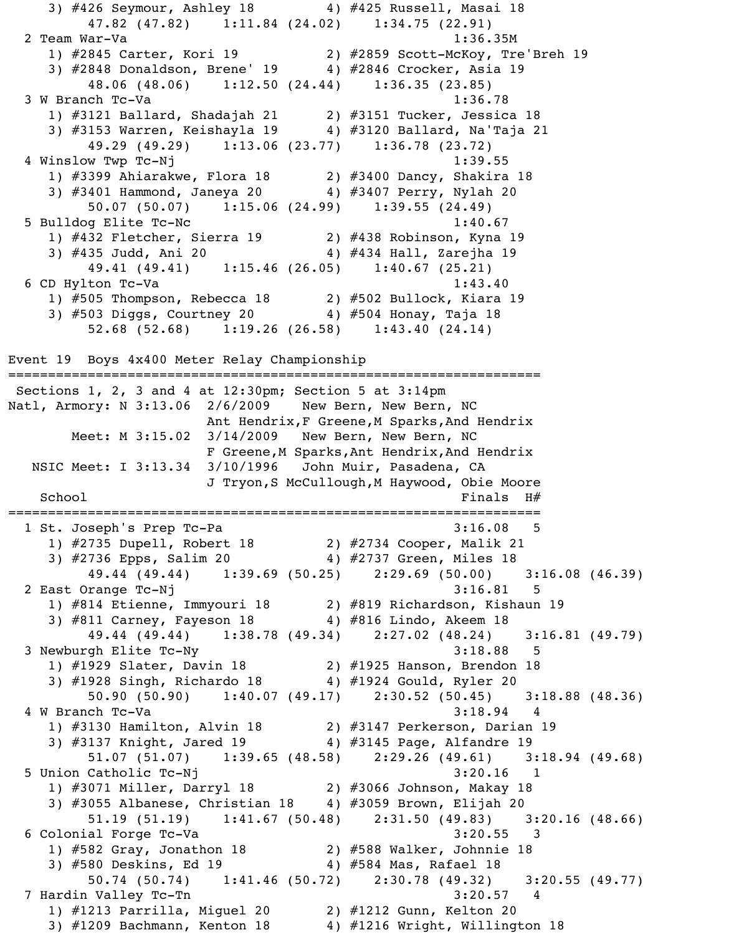3) #426 Seymour, Ashley 18 4) #425 Russell, Masai 18 47.82 (47.82) 1:11.84 (24.02) 1:34.75 (22.91) 2 Team War-Va 1:36.35M 1) #2845 Carter, Kori 19 2) #2859 Scott-McKoy, Tre'Breh 19 3) #2848 Donaldson, Brene' 19 4) #2846 Crocker, Asia 19 48.06 (48.06) 1:12.50 (24.44) 1:36.35 (23.85) 3 W Branch Tc-Va 1:36.78 1) #3121 Ballard, Shadajah 21 2) #3151 Tucker, Jessica 18 3) #3153 Warren, Keishayla 19 4) #3120 Ballard, Na'Taja 21 49.29 (49.29) 1:13.06 (23.77) 1:36.78 (23.72) 4 Winslow Twp Tc-Nj 1:39.55 1) #3399 Ahiarakwe, Flora 18 2) #3400 Dancy, Shakira 18 3) #3401 Hammond, Janeya 20 4) #3407 Perry, Nylah 20 50.07 (50.07) 1:15.06 (24.99) 1:39.55 (24.49) 5 Bulldog Elite Tc-Nc 1:40.67 1) #432 Fletcher, Sierra 19 2) #438 Robinson, Kyna 19 3) #435 Judd, Ani 20 4) #434 Hall, Zarejha 19 49.41 (49.41) 1:15.46 (26.05) 1:40.67 (25.21) 6 CD Hylton Tc-Va 1:43.40 1) #505 Thompson, Rebecca 18 2) #502 Bullock, Kiara 19 3) #503 Diggs, Courtney 20 4) #504 Honay, Taja 18 52.68 (52.68) 1:19.26 (26.58) 1:43.40 (24.14) Event 19 Boys 4x400 Meter Relay Championship =================================================================== Sections 1, 2, 3 and 4 at 12:30pm; Section 5 at 3:14pm Natl, Armory: N 3:13.06 2/6/2009 New Bern, New Bern, NC Ant Hendrix, F Greene, M Sparks, And Hendrix Meet: M 3:15.02 3/14/2009 New Bern, New Bern, NC F Greene, M Sparks, Ant Hendrix, And Hendrix NSIC Meet: I 3:13.34 3/10/1996 John Muir, Pasadena, CA J Tryon,S McCullough,M Haywood, Obie Moore  $School$   $H#$ =================================================================== 1 St. Joseph's Prep Tc-Pa 3:16.08 5 1) #2735 Dupell, Robert 18 2) #2734 Cooper, Malik 21 3) #2736 Epps, Salim 20 4) #2737 Green, Miles 18 49.44 (49.44) 1:39.69 (50.25) 2:29.69 (50.00) 3:16.08 (46.39) 2 East Orange Tc-Nj 3:16.81 5 1) #814 Etienne, Immyouri 18 2) #819 Richardson, Kishaun 19 3) #811 Carney, Fayeson 18 4) #816 Lindo, Akeem 18 49.44 (49.44) 1:38.78 (49.34) 2:27.02 (48.24) 3:16.81 (49.79) 3 Newburgh Elite Tc-Ny 3:18.88 5 1) #1929 Slater, Davin 18 2) #1925 Hanson, Brendon 18 3) #1928 Singh, Richardo 18 4) #1924 Gould, Ryler 20 50.90 (50.90) 1:40.07 (49.17) 2:30.52 (50.45) 3:18.88 (48.36) 4 W Branch Tc-Va 3:18.94 4 1) #3130 Hamilton, Alvin 18 2) #3147 Perkerson, Darian 19 3) #3137 Knight, Jared 19 4) #3145 Page, Alfandre 19 51.07 (51.07) 1:39.65 (48.58) 2:29.26 (49.61) 3:18.94 (49.68) 5 Union Catholic Tc-Nj 3:20.16 1 1) #3071 Miller, Darryl 18 2) #3066 Johnson, Makay 18 3) #3055 Albanese, Christian 18 4) #3059 Brown, Elijah 20 51.19 (51.19) 1:41.67 (50.48) 2:31.50 (49.83) 3:20.16 (48.66) 6 Colonial Forge Tc-Va 3:20.55 3 1) #582 Gray, Jonathon 18 2) #588 Walker, Johnnie 18 3) #580 Deskins, Ed 19 4) #584 Mas, Rafael 18 50.74 (50.74) 1:41.46 (50.72) 2:30.78 (49.32) 3:20.55 (49.77) 7 Hardin Valley Tc-Tn 3:20.57 4 1) #1213 Parrilla, Miguel 20 2) #1212 Gunn, Kelton 20 3)  $\#1209$  Bachmann, Kenton 18  $4)$   $\#1216$  Wright, Willington 18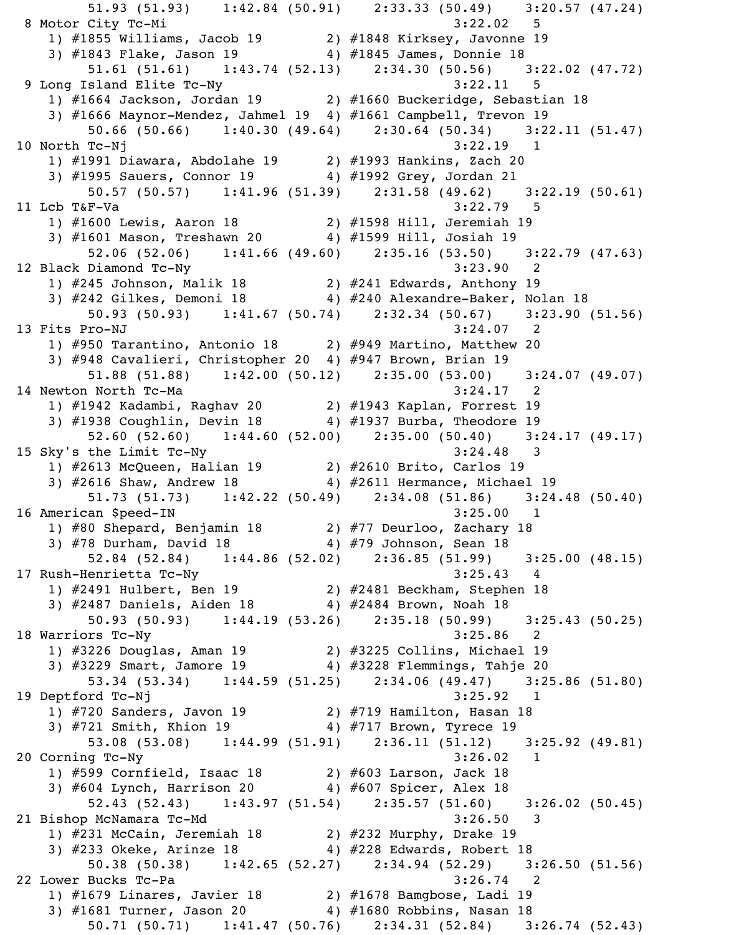51.93 (51.93) 1:42.84 (50.91) 2:33.33 (50.49) 3:20.57 (47.24) 8 Motor City Tc-Mi 3:22.02 5 1) #1855 Williams, Jacob 19 2) #1848 Kirksey, Javonne 19 3) #1843 Flake, Jason 19 4) #1845 James, Donnie 18 51.61 (51.61) 1:43.74 (52.13) 2:34.30 (50.56) 3:22.02 (47.72) 9 Long Island Elite Tc-Ny 3:22.11 5 1) #1664 Jackson, Jordan 19 2) #1660 Buckeridge, Sebastian 18 3) #1666 Maynor-Mendez, Jahmel 19 4) #1661 Campbell, Trevon 19 50.66 (50.66) 1:40.30 (49.64) 2:30.64 (50.34) 3:22.11 (51.47) 10 North Tc-Nj 3:22.19 1 1) #1991 Diawara, Abdolahe 19 2) #1993 Hankins, Zach 20 3) #1995 Sauers, Connor 19 4) #1992 Grey, Jordan 21 50.57 (50.57) 1:41.96 (51.39) 2:31.58 (49.62) 3:22.19 (50.61) 11 Lcb T&F-Va 3:22.79 5 1) #1600 Lewis, Aaron 18 2) #1598 Hill, Jeremiah 19 3) #1601 Mason, Treshawn 20 4) #1599 Hill, Josiah 19 52.06 (52.06) 1:41.66 (49.60) 2:35.16 (53.50) 3:22.79 (47.63) 12 Black Diamond Tc-Ny 3:23.90 2 1) #245 Johnson, Malik 18 2) #241 Edwards, Anthony 19 3) #242 Gilkes, Demoni 18 4) #240 Alexandre-Baker, Nolan 18 50.93 (50.93) 1:41.67 (50.74) 2:32.34 (50.67) 3:23.90 (51.56) 13 Fits Pro-NJ 3:24.07 2 1) #950 Tarantino, Antonio 18 2) #949 Martino, Matthew 20 3) #948 Cavalieri, Christopher 20 4) #947 Brown, Brian 19 51.88 (51.88) 1:42.00 (50.12) 2:35.00 (53.00) 3:24.07 (49.07) 14 Newton North Tc-Ma 3:24.17 2 1) #1942 Kadambi, Raghav 20 2) #1943 Kaplan, Forrest 19 3) #1938 Coughlin, Devin 18 4) #1937 Burba, Theodore 19 52.60 (52.60) 1:44.60 (52.00) 2:35.00 (50.40) 3:24.17 (49.17) 15 Sky's the Limit Tc-Ny 3:24.48 3 1) #2613 McQueen, Halian 19 2) #2610 Brito, Carlos 19 3) #2616 Shaw, Andrew 18 4) #2611 Hermance, Michael 19 51.73 (51.73) 1:42.22 (50.49) 2:34.08 (51.86) 3:24.48 (50.40) 16 American \$peed-IN 3:25.00 1 1) #80 Shepard, Benjamin 18 2) #77 Deurloo, Zachary 18 3) #78 Durham, David 18 4) #79 Johnson, Sean 18 52.84 (52.84) 1:44.86 (52.02) 2:36.85 (51.99) 3:25.00 (48.15) 17 Rush-Henrietta Tc-Ny 3:25.43 4 1) #2491 Hulbert, Ben 19 2) #2481 Beckham, Stephen 18 3) #2487 Daniels, Aiden 18 4) #2484 Brown, Noah 18 50.93 (50.93) 1:44.19 (53.26) 2:35.18 (50.99) 3:25.43 (50.25) 18 Warriors Tc-Ny 3:25.86 2 1) #3226 Douglas, Aman 19 2) #3225 Collins, Michael 19 3) #3229 Smart, Jamore 19 4) #3228 Flemmings, Tahje 20 53.34 (53.34) 1:44.59 (51.25) 2:34.06 (49.47) 3:25.86 (51.80) 19 Deptford Tc-Nj 3:25.92 1 1) #720 Sanders, Javon 19 2) #719 Hamilton, Hasan 18 3) #721 Smith, Khion 19 4) #717 Brown, Tyrece 19 53.08 (53.08) 1:44.99 (51.91) 2:36.11 (51.12) 3:25.92 (49.81) 20 Corning Tc-Ny 3:26.02 1 1) #599 Cornfield, Isaac 18 2) #603 Larson, Jack 18 3) #604 Lynch, Harrison 20 4) #607 Spicer, Alex 18 52.43 (52.43) 1:43.97 (51.54) 2:35.57 (51.60) 3:26.02 (50.45) 21 Bishop McNamara Tc-Md 3:26.50 3 1) #231 McCain, Jeremiah 18 2) #232 Murphy, Drake 19 3) #233 Okeke, Arinze 18 4) #228 Edwards, Robert 18 50.38 (50.38) 1:42.65 (52.27) 2:34.94 (52.29) 3:26.50 (51.56) 22 Lower Bucks Tc-Pa 3:26.74 2 1) #1679 Linares, Javier 18 2) #1678 Bamgbose, Ladi 19 3) #1681 Turner, Jason 20 4) #1680 Robbins, Nasan 18 50.71 (50.71) 1:41.47 (50.76) 2:34.31 (52.84) 3:26.74 (52.43)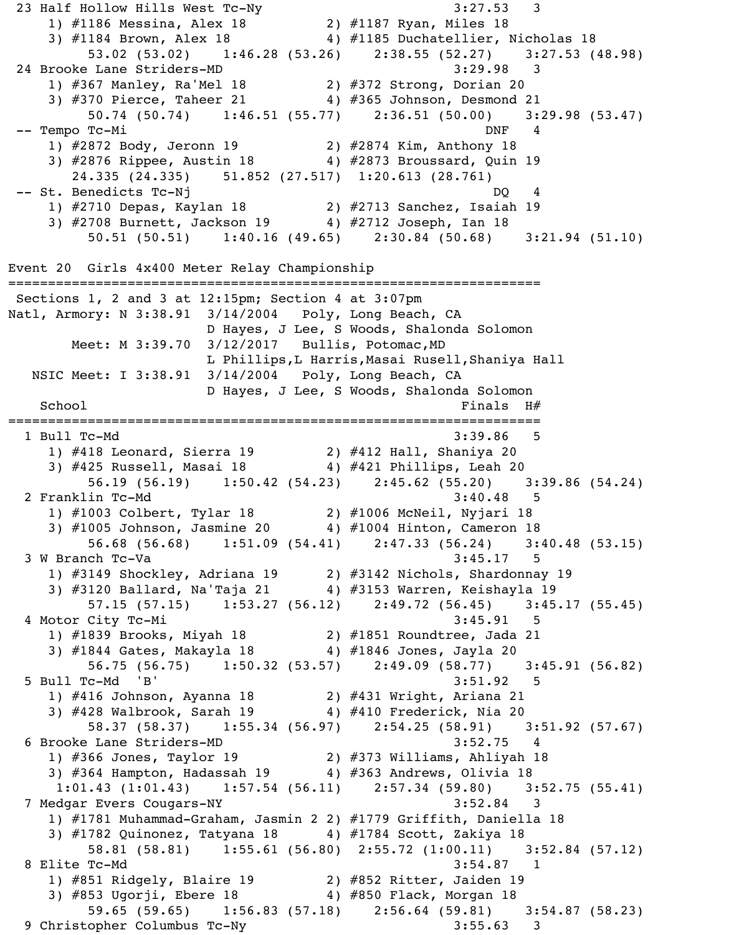23 Half Hollow Hills West Tc-Ny 3:27.53 3 1) #1186 Messina, Alex 18 2) #1187 Ryan, Miles 18 3) #1184 Brown, Alex 18 4) #1185 Duchatellier, Nicholas 18 53.02 (53.02) 1:46.28 (53.26) 2:38.55 (52.27) 3:27.53 (48.98) 24 Brooke Lane Striders-MD 3:29.98 3 1) #367 Manley, Ra'Mel 18 2) #372 Strong, Dorian 20 3) #370 Pierce, Taheer 21 4) #365 Johnson, Desmond 21 50.74 (50.74) 1:46.51 (55.77) 2:36.51 (50.00) 3:29.98 (53.47) -- Tempo Tc-Mi DNF 4 1) #2872 Body, Jeronn 19 2) #2874 Kim, Anthony 18 3) #2876 Rippee, Austin 18 4) #2873 Broussard, Quin 19 24.335 (24.335) 51.852 (27.517) 1:20.613 (28.761) -- St. Benedicts Tc-Nj 1) #2710 Depas, Kaylan 18 2) #2713 Sanchez, Isaiah 19 3) #2708 Burnett, Jackson 19 4) #2712 Joseph, Ian 18 50.51 (50.51) 1:40.16 (49.65) 2:30.84 (50.68) 3:21.94 (51.10) Event 20 Girls 4x400 Meter Relay Championship =================================================================== Sections 1, 2 and 3 at 12:15pm; Section 4 at 3:07pm Natl, Armory: N 3:38.91 3/14/2004 Poly, Long Beach, CA D Hayes, J Lee, S Woods, Shalonda Solomon Meet: M 3:39.70 3/12/2017 Bullis, Potomac,MD L Phillips,L Harris,Masai Rusell,Shaniya Hall NSIC Meet: I 3:38.91 3/14/2004 Poly, Long Beach, CA D Hayes, J Lee, S Woods, Shalonda Solomon  $School$   $H#$ =================================================================== 1 Bull Tc-Md 3:39.86 5 1) #418 Leonard, Sierra 19 2) #412 Hall, Shaniya 20 3) #425 Russell, Masai 18 4) #421 Phillips, Leah 20 56.19 (56.19) 1:50.42 (54.23) 2:45.62 (55.20) 3:39.86 (54.24) 2 Franklin Tc-Md 3:40.48 5 1) #1003 Colbert, Tylar 18 2) #1006 McNeil, Nyjari 18 3) #1005 Johnson, Jasmine 20 4) #1004 Hinton, Cameron 18 56.68 (56.68) 1:51.09 (54.41) 2:47.33 (56.24) 3:40.48 (53.15) 3 W Branch Tc-Va 3:45.17 5 1) #3149 Shockley, Adriana 19 2) #3142 Nichols, Shardonnay 19  $\overline{3}$ ) #3120 Ballard, Na'Taja 21  $\overline{4}$ ) #3153 Warren, Keishayla 19 57.15 (57.15) 1:53.27 (56.12) 2:49.72 (56.45) 3:45.17 (55.45) 4 Motor City Tc-Mi 3:45.91 5 1) #1839 Brooks, Miyah 18 2) #1851 Roundtree, Jada 21 3) #1844 Gates, Makayla 18 4) #1846 Jones, Jayla 20 56.75 (56.75) 1:50.32 (53.57) 2:49.09 (58.77) 3:45.91 (56.82) 5 Bull Tc-Md 'B' 3:51.92 5 1) #416 Johnson, Ayanna 18 2) #431 Wright, Ariana 21 3) #428 Walbrook, Sarah 19 4) #410 Frederick, Nia 20 58.37 (58.37) 1:55.34 (56.97) 2:54.25 (58.91) 3:51.92 (57.67) 6 Brooke Lane Striders-MD 3:52.75 4 1) #366 Jones, Taylor 19 2) #373 Williams, Ahliyah 18 3) #364 Hampton, Hadassah 19 4) #363 Andrews, Olivia 18 1:01.43 (1:01.43) 1:57.54 (56.11) 2:57.34 (59.80) 3:52.75 (55.41)<br>dgar Evers Cougars-NY 3:52.84 3 7 Medgar Evers Cougars-NY 1) #1781 Muhammad-Graham, Jasmin 2 2) #1779 Griffith, Daniella 18 3) #1782 Quinonez, Tatyana 18 4) #1784 Scott, Zakiya 18 58.81 (58.81) 1:55.61 (56.80) 2:55.72 (1:00.11) 3:52.84 (57.12) 8 Elite Tc-Md 3:54.87 1 1) #851 Ridgely, Blaire 19 2) #852 Ritter, Jaiden 19 3) #853 Ugorji, Ebere 18 4) #850 Flack, Morgan 18 59.65 (59.65) 1:56.83 (57.18) 2:56.64 (59.81) 3:54.87 (58.23) 9 Christopher Columbus Tc-Ny 3:55.63 3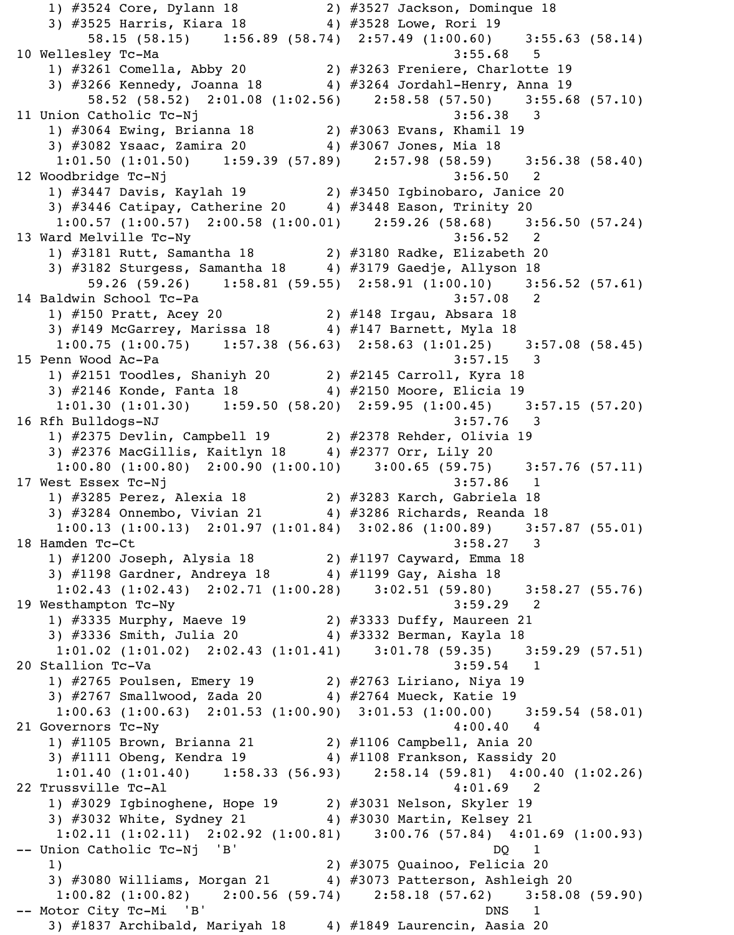1) #3524 Core, Dylann 18 2) #3527 Jackson, Dominque 18 3) #3525 Harris, Kiara 18 4) #3528 Lowe, Rori 19 58.15 (58.15) 1:56.89 (58.74) 2:57.49 (1:00.60) 3:55.63 (58.14) 10 Wellesley Tc-Ma 3:55.68 5 1) #3261 Comella, Abby 20 2) #3263 Freniere, Charlotte 19 3) #3266 Kennedy, Joanna 18 4) #3264 Jordahl-Henry, Anna 19 58.52 (58.52) 2:01.08 (1:02.56) 2:58.58 (57.50) 3:55.68 (57.10) 11 Union Catholic Tc-Nj 3:56.38 3 1) #3064 Ewing, Brianna 18 2) #3063 Evans, Khamil 19 3) #3082 Ysaac, Zamira 20 4) #3067 Jones, Mia 18 1:01.50 (1:01.50) 1:59.39 (57.89) 2:57.98 (58.59) 3:56.38 (58.40) 12 Woodbridge Tc-Nj 3:56.50 2 1) #3447 Davis, Kaylah 19 2) #3450 Igbinobaro, Janice 20 3) #3446 Catipay, Catherine 20 4) #3448 Eason, Trinity 20 1:00.57 (1:00.57) 2:00.58 (1:00.01) 2:59.26 (58.68) 3:56.50 (57.24) 13 Ward Melville Tc-Ny 3:56.52 2 1) #3181 Rutt, Samantha 18 2) #3180 Radke, Elizabeth 20 3) #3182 Sturgess, Samantha 18 4) #3179 Gaedje, Allyson 18 59.26 (59.26) 1:58.81 (59.55) 2:58.91 (1:00.10) 3:56.52 (57.61) 14 Baldwin School Tc-Pa 3:57.08 2 1) #150 Pratt, Acey 20 2) #148 Irgau, Absara 18 3) #149 McGarrey, Marissa 18 4) #147 Barnett, Myla 18 1:00.75 (1:00.75) 1:57.38 (56.63) 2:58.63 (1:01.25) 3:57.08 (58.45) 15 Penn Wood Ac-Pa 3:57.15 3 1) #2151 Toodles, Shaniyh 20 2) #2145 Carroll, Kyra 18 3) #2146 Konde, Fanta 18 4) #2150 Moore, Elicia 19 1:01.30 (1:01.30) 1:59.50 (58.20) 2:59.95 (1:00.45) 3:57.15 (57.20) 16 Rfh Bulldogs-NJ 3:57.76 3 1) #2375 Devlin, Campbell 19 2) #2378 Rehder, Olivia 19 3) #2376 MacGillis, Kaitlyn 18 4) #2377 Orr, Lily 20 1:00.80 (1:00.80) 2:00.90 (1:00.10) 3:00.65 (59.75) 3:57.76 (57.11) 17 West Essex Tc-Nj 3:57.86 1 1) #3285 Perez, Alexia 18 2) #3283 Karch, Gabriela 18 3) #3284 Onnembo, Vivian 21 4) #3286 Richards, Reanda 18 1:00.13 (1:00.13) 2:01.97 (1:01.84) 3:02.86 (1:00.89) 3:57.87 (55.01) 18 Hamden Tc-Ct 3:58.27 3 1) #1200 Joseph, Alysia 18 2) #1197 Cayward, Emma 18 3) #1198 Gardner, Andreya 18 4) #1199 Gay, Aisha 18 1:02.43 (1:02.43) 2:02.71 (1:00.28) 3:02.51 (59.80) 3:58.27 (55.76)<br>sthampton Tc-Ny 3:59.29 2 19 Westhampton Tc-Ny 1) #3335 Murphy, Maeve 19 2) #3333 Duffy, Maureen 21 3) #3336 Smith, Julia 20 4) #3332 Berman, Kayla 18 1:01.02 (1:01.02) 2:02.43 (1:01.41) 3:01.78 (59.35) 3:59.29 (57.51) 20 Stallion Tc-Va 3:59.54 1 1) #2765 Poulsen, Emery 19 2) #2763 Liriano, Niya 19 3) #2767 Smallwood, Zada 20  $\qquad \qquad$  4) #2764 Mueck, Katie 19 1:00.63 (1:00.63) 2:01.53 (1:00.90) 3:01.53 (1:00.00) 3:59.54 (58.01) 21 Governors Tc-Ny 4:00.40 4 1) #1105 Brown, Brianna 21 2) #1106 Campbell, Ania 20 3) #1111 Obeng, Kendra 19 4) #1108 Frankson, Kassidy 20 1:01.40 (1:01.40) 1:58.33 (56.93) 2:58.14 (59.81) 4:00.40 (1:02.26) 22 Trussville Tc-Al  $4:01.69$  2 1) #3029 Igbinoghene, Hope 19 2) #3031 Nelson, Skyler 19 3) #3032 White, Sydney 21  $\hskip10mm$  4) #3030 Martin, Kelsey 21 1:02.11 (1:02.11) 2:02.92 (1:00.81) 3:00.76 (57.84) 4:01.69 (1:00.93) -- Union Catholic Tc-Nj 'B' DQ 1 1) 2) #3075 Quainoo, Felicia 20 3) #3080 Williams, Morgan 21  $\qquad \qquad 4$ ) #3073 Patterson, Ashleigh 20 1:00.82 (1:00.82) 2:00.56 (59.74) 2:58.18 (57.62) 3:58.08 (59.90) -- Motor City Tc-Mi 'B' DNS 1 3)  $\#1837$  Archibald, Mariyah 18  $4$ )  $\#1849$  Laurencin, Aasia 20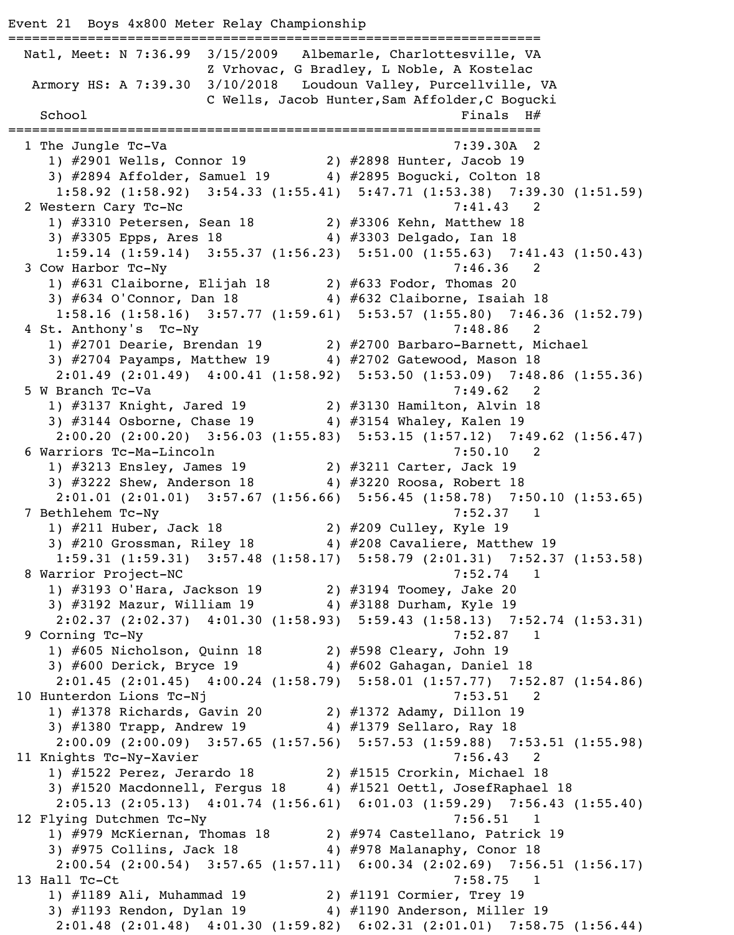Event 21 Boys 4x800 Meter Relay Championship =================================================================== Natl, Meet: N 7:36.99 3/15/2009 Albemarle, Charlottesville, VA Z Vrhovac, G Bradley, L Noble, A Kostelac Armory HS: A 7:39.30 3/10/2018 Loudoun Valley, Purcellville, VA C Wells, Jacob Hunter,Sam Affolder,C Bogucki  $School$   $H#$ =================================================================== 1 The Jungle Tc-Va 2012 1 2022 1 2022 1 2032 1 2042 1 2042 1 2042 1 2042 1 2052 1 2053 1 2054 1 2052 1 2053 1 2054 1 2052 1 2053 1 2054 1 2053 1 2054 1 2055 1 2058 1 2059 1 2053 1 2054 1 2055 1 2058 1 2059 1 2053 1 2054 1 1) #2901 Wells, Connor 19 2) #2898 Hunter, Jacob 19 3) #2894 Affolder, Samuel 19 4) #2895 Bogucki, Colton 18 1:58.92 (1:58.92) 3:54.33 (1:55.41) 5:47.71 (1:53.38) 7:39.30 (1:51.59) 2 Western Cary Tc-Nc 7:41.43 2 1) #3310 Petersen, Sean 18 2) #3306 Kehn, Matthew 18 3) #3305 Epps, Ares 18 4) #3303 Delgado, Ian 18 1:59.14 (1:59.14) 3:55.37 (1:56.23) 5:51.00 (1:55.63) 7:41.43 (1:50.43) 3 Cow Harbor Tc-Ny 7:46.36 2 1) #631 Claiborne, Elijah 18 2) #633 Fodor, Thomas 20 3) #634 O'Connor, Dan 18 4) #632 Claiborne, Isaiah 18 1:58.16 (1:58.16) 3:57.77 (1:59.61) 5:53.57 (1:55.80) 7:46.36 (1:52.79) 4 St. Anthony's Tc-Ny 7:48.86 2 1) #2701 Dearie, Brendan 19 2) #2700 Barbaro-Barnett, Michael 3) #2704 Payamps, Matthew 19 4) #2702 Gatewood, Mason 18 2:01.49 (2:01.49) 4:00.41 (1:58.92) 5:53.50 (1:53.09) 7:48.86 (1:55.36) 5 W Branch Tc-Va 7:49.62 2 1) #3137 Knight, Jared 19 2) #3130 Hamilton, Alvin 18 3) #3144 Osborne, Chase 19 4) #3154 Whaley, Kalen 19 2:00.20 (2:00.20) 3:56.03 (1:55.83) 5:53.15 (1:57.12) 7:49.62 (1:56.47) 6 Warriors Tc-Ma-Lincoln 7:50.10 2 1) #3213 Ensley, James 19 2) #3211 Carter, Jack 19 3) #3222 Shew, Anderson 18 4) #3220 Roosa, Robert 18 2:01.01 (2:01.01) 3:57.67 (1:56.66) 5:56.45 (1:58.78) 7:50.10 (1:53.65) 7 Bethlehem Tc-Ny 7:52.37 1 1) #211 Huber, Jack 18 2) #209 Culley, Kyle 19 3) #210 Grossman, Riley 18 4) #208 Cavaliere, Matthew 19 1:59.31 (1:59.31) 3:57.48 (1:58.17) 5:58.79 (2:01.31) 7:52.37 (1:53.58) 8 Warrior Project-NC 7:52.74 1 1) #3193 O'Hara, Jackson 19 2) #3194 Toomey, Jake 20 3) #3192 Mazur, William 19 4) #3188 Durham, Kyle 19 2:02.37 (2:02.37) 4:01.30 (1:58.93) 5:59.43 (1:58.13) 7:52.74 (1:53.31) 9 Corning Tc-Ny 7:52.87 1 1) #605 Nicholson, Quinn 18 2) #598 Cleary, John 19 3) #600 Derick, Bryce 19 4) #602 Gahagan, Daniel 18 2:01.45 (2:01.45) 4:00.24 (1:58.79) 5:58.01 (1:57.77) 7:52.87 (1:54.86) 10 Hunterdon Lions Tc-Nj 7:53.51 2 1) #1378 Richards, Gavin 20 2) #1372 Adamy, Dillon 19 3) #1380 Trapp, Andrew 19 4) #1379 Sellaro, Ray 18 2:00.09 (2:00.09) 3:57.65 (1:57.56) 5:57.53 (1:59.88) 7:53.51 (1:55.98) 11 Knights Tc-Ny-Xavier 7:56.43 2 1) #1522 Perez, Jerardo 18 2) #1515 Crorkin, Michael 18 3) #1520 Macdonnell, Fergus 18 4) #1521 Oettl, JosefRaphael 18 2:05.13 (2:05.13) 4:01.74 (1:56.61) 6:01.03 (1:59.29) 7:56.43 (1:55.40) 12 Flying Dutchmen Tc-Ny 12 Flying 1.56.51 1 1) #979 McKiernan, Thomas 18 2) #974 Castellano, Patrick 19 3) #975 Collins, Jack 18 4) #978 Malanaphy, Conor 18 2:00.54 (2:00.54) 3:57.65 (1:57.11) 6:00.34 (2:02.69) 7:56.51 (1:56.17) 13 Hall Tc-Ct 7:58.75 1 1) #1189 Ali, Muhammad 19 2) #1191 Cormier, Trey 19 3) #1193 Rendon, Dylan 19 4) #1190 Anderson, Miller 19 2:01.48 (2:01.48) 4:01.30 (1:59.82) 6:02.31 (2:01.01) 7:58.75 (1:56.44)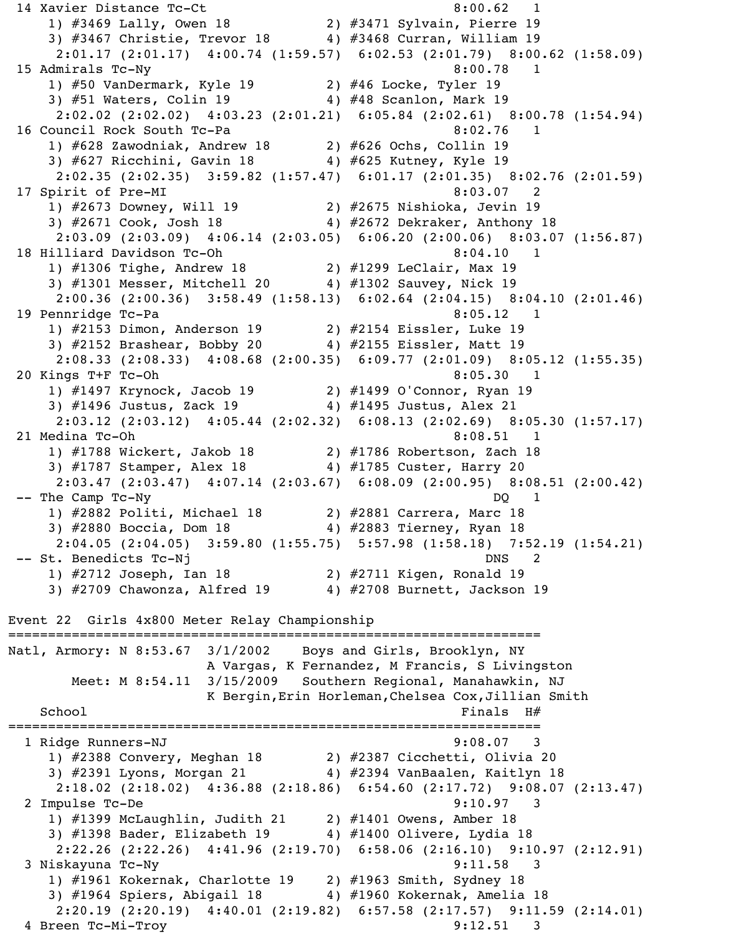14 Xavier Distance Tc-Ct 8:00.62 1 1) #3469 Lally, Owen 18 2) #3471 Sylvain, Pierre 19 3) #3467 Christie, Trevor 18 4) #3468 Curran, William 19 2:01.17 (2:01.17) 4:00.74 (1:59.57) 6:02.53 (2:01.79) 8:00.62 (1:58.09) 15 Admirals Tc-Ny 8:00.78 1 1) #50 VanDermark, Kyle 19 2) #46 Locke, Tyler 19 3) #51 Waters, Colin 19  $\hspace{1cm}$  4) #48 Scanlon, Mark 19 2:02.02 (2:02.02) 4:03.23 (2:01.21) 6:05.84 (2:02.61) 8:00.78 (1:54.94) 16 Council Rock South Tc-Pa 8:02.76 1 1) #628 Zawodniak, Andrew 18 2) #626 Ochs, Collin 19 3) #627 Ricchini, Gavin 18 4) #625 Kutney, Kyle 19 2:02.35 (2:02.35) 3:59.82 (1:57.47) 6:01.17 (2:01.35) 8:02.76 (2:01.59) 17 Spirit of Pre-MI 8:03.07 2 1) #2673 Downey, Will 19 2) #2675 Nishioka, Jevin 19 3) #2671 Cook, Josh 18 4) #2672 Dekraker, Anthony 18 2:03.09 (2:03.09) 4:06.14 (2:03.05) 6:06.20 (2:00.06) 8:03.07 (1:56.87) 18 Hilliard Davidson Tc-Oh 8:04.10 1 1) #1306 Tighe, Andrew 18 2) #1299 LeClair, Max 19 3) #1301 Messer, Mitchell 20 4) #1302 Sauvey, Nick 19 2:00.36 (2:00.36) 3:58.49 (1:58.13) 6:02.64 (2:04.15) 8:04.10 (2:01.46) 19 Pennridge Tc-Pa 8:05.12 1 1) #2153 Dimon, Anderson 19 2) #2154 Eissler, Luke 19 3) #2152 Brashear, Bobby 20 4) #2155 Eissler, Matt 19 2:08.33 (2:08.33) 4:08.68 (2:00.35) 6:09.77 (2:01.09) 8:05.12 (1:55.35) 20 Kings T+F Tc-Oh 8:05.30 1 1) #1497 Krynock, Jacob 19 2) #1499 O'Connor, Ryan 19 3) #1496 Justus, Zack 19 4) #1495 Justus, Alex 21 2:03.12 (2:03.12) 4:05.44 (2:02.32) 6:08.13 (2:02.69) 8:05.30 (1:57.17) 21 Medina Tc-Oh 8:08.51 1 1) #1788 Wickert, Jakob 18 2) #1786 Robertson, Zach 18 3) #1787 Stamper, Alex 18 4) #1785 Custer, Harry 20 2:03.47 (2:03.47) 4:07.14 (2:03.67) 6:08.09 (2:00.95) 8:08.51 (2:00.42) -- The Camp Tc-Ny DQ 1 1) #2882 Politi, Michael 18 2) #2881 Carrera, Marc 18 3) #2880 Boccia, Dom 18 4) #2883 Tierney, Ryan 18 2:04.05 (2:04.05) 3:59.80 (1:55.75) 5:57.98 (1:58.18) 7:52.19 (1:54.21) -- St. Benedicts Tc-Nj DNS 2 1) #2712 Joseph, Ian 18 2) #2711 Kigen, Ronald 19 3) #2709 Chawonza, Alfred 19 4) #2708 Burnett, Jackson 19 Event 22 Girls 4x800 Meter Relay Championship =================================================================== Natl, Armory: N 8:53.67 3/1/2002 Boys and Girls, Brooklyn, NY A Vargas, K Fernandez, M Francis, S Livingston Meet: M 8:54.11 3/15/2009 Southern Regional, Manahawkin, NJ K Bergin,Erin Horleman,Chelsea Cox,Jillian Smith  $School$   $H#$ =================================================================== 1 Ridge Runners-NJ 9:08.07 3 1) #2388 Convery, Meghan 18 2) #2387 Cicchetti, Olivia 20 3) #2391 Lyons, Morgan 21 4) #2394 VanBaalen, Kaitlyn 18 2:18.02 (2:18.02) 4:36.88 (2:18.86) 6:54.60 (2:17.72) 9:08.07 (2:13.47) 2 Impulse Tc-De 9:10.97 3 1) #1399 McLaughlin, Judith 21 2) #1401 Owens, Amber 18 3) #1398 Bader, Elizabeth 19 4) #1400 Olivere, Lydia 18 2:22.26 (2:22.26) 4:41.96 (2:19.70) 6:58.06 (2:16.10) 9:10.97 (2:12.91) 3 Niskayuna Tc-Ny 9:11.58 3 1) #1961 Kokernak, Charlotte 19 2) #1963 Smith, Sydney 18 3) #1964 Spiers, Abigail 18 4) #1960 Kokernak, Amelia 18  $2:20.19$   $(2:20.19)$   $4:40.01$   $(2:19.82)$   $6:57.58$   $(2:17.57)$   $9:11.59$   $(2:14.01)$ 4 Breen Tc-Mi-Troy 9:12.51 3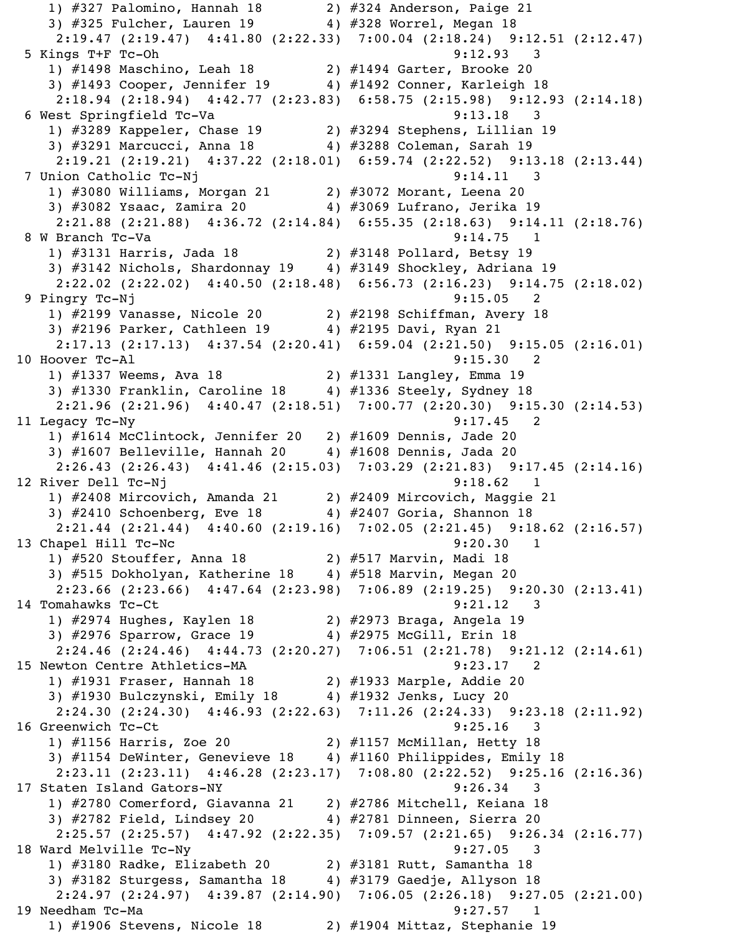1) #327 Palomino, Hannah 18 2) #324 Anderson, Paige 21 3) #325 Fulcher, Lauren 19 4) #328 Worrel, Megan 18 2:19.47 (2:19.47) 4:41.80 (2:22.33) 7:00.04 (2:18.24) 9:12.51 (2:12.47) 5 Kings T+F Tc-Oh 9:12.93 3 1) #1498 Maschino, Leah 18 2) #1494 Garter, Brooke 20 3) #1493 Cooper, Jennifer 19 4) #1492 Conner, Karleigh 18 2:18.94 (2:18.94) 4:42.77 (2:23.83) 6:58.75 (2:15.98) 9:12.93 (2:14.18) 6 West Springfield Tc-Va 3 1) #3289 Kappeler, Chase 19 2) #3294 Stephens, Lillian 19 3) #3291 Marcucci, Anna 18 4) #3288 Coleman, Sarah 19 2:19.21 (2:19.21) 4:37.22 (2:18.01) 6:59.74 (2:22.52) 9:13.18 (2:13.44) 7 Union Catholic Tc-Nj 9:14.11 3 1) #3080 Williams, Morgan 21 2) #3072 Morant, Leena 20 3) #3082 Ysaac, Zamira 20 4) #3069 Lufrano, Jerika 19 2:21.88 (2:21.88) 4:36.72 (2:14.84) 6:55.35 (2:18.63) 9:14.11 (2:18.76) 8 W Branch Tc-Va 2012 12:00 12:00 12:00 12:00 12:00 12:00 12:00 12:00 12:00 12:00 12:00 12:00 12:00 12:00 12:0 1) #3131 Harris, Jada 18 2) #3148 Pollard, Betsy 19 3) #3142 Nichols, Shardonnay 19 4) #3149 Shockley, Adriana 19 2:22.02 (2:22.02) 4:40.50 (2:18.48) 6:56.73 (2:16.23) 9:14.75 (2:18.02) 9 Pingry Tc-Nj 9:15.05 2 1) #2199 Vanasse, Nicole 20 2) #2198 Schiffman, Avery 18 a) #2199 vanasse, witche 20 and 2, #2196 Benifican, NV<br>3) #2196 Parker, Cathleen 19 a) #2195 Davi, Ryan 21 2:17.13 (2:17.13) 4:37.54 (2:20.41) 6:59.04 (2:21.50) 9:15.05 (2:16.01) 10 Hoover Tc-Al 9:15.30 2 1) #1337 Weems, Ava 18 2) #1331 Langley, Emma 19 3) #1330 Franklin, Caroline 18 4) #1336 Steely, Sydney 18 2:21.96 (2:21.96) 4:40.47 (2:18.51) 7:00.77 (2:20.30) 9:15.30 (2:14.53) 11 Legacy Tc-Ny 9:17.45 2 1) #1614 McClintock, Jennifer 20 2) #1609 Dennis, Jade 20 3) #1607 Belleville, Hannah 20 4) #1608 Dennis, Jada 20 2:26.43 (2:26.43) 4:41.46 (2:15.03) 7:03.29 (2:21.83) 9:17.45 (2:14.16) 12 River Dell Tc-Nj 9:18.62 1 1) #2408 Mircovich, Amanda 21 2) #2409 Mircovich, Maggie 21 3) #2410 Schoenberg, Eve 18 4) #2407 Goria, Shannon 18 2:21.44 (2:21.44) 4:40.60 (2:19.16) 7:02.05 (2:21.45) 9:18.62 (2:16.57) 13 Chapel Hill Tc-Nc 9:20.30 1<br>1) #520 Stouffer, Anna 18 2) #517 Marvin, Madi 18 1) #520 Stouffer, Anna 18 2) #517 Marvin, Madi 18 3) #515 Dokholyan, Katherine 18 4) #518 Marvin, Megan 20 2:23.66 (2:23.66) 4:47.64 (2:23.98) 7:06.89 (2:19.25) 9:20.30 (2:13.41) 14 Tomahawks Tc-Ct 9:21.12 3 1) #2974 Hughes, Kaylen 18 2) #2973 Braga, Angela 19 3) #2976 Sparrow, Grace 19 4) #2975 McGill, Erin 18 2:24.46 (2:24.46) 4:44.73 (2:20.27) 7:06.51 (2:21.78) 9:21.12 (2:14.61) 15 Newton Centre Athletics-MA 9:23.17 2 1) #1931 Fraser, Hannah 18 2) #1933 Marple, Addie 20 3) #1930 Bulczynski, Emily 18 4) #1932 Jenks, Lucy 20 2:24.30 (2:24.30) 4:46.93 (2:22.63) 7:11.26 (2:24.33) 9:23.18 (2:11.92) 16 Greenwich Tc-Ct 9:25.16 3 1) #1156 Harris, Zoe 20 2) #1157 McMillan, Hetty 18 3) #1154 DeWinter, Genevieve 18 4) #1160 Philippides, Emily 18 2:23.11 (2:23.11) 4:46.28 (2:23.17) 7:08.80 (2:22.52) 9:25.16 (2:16.36) 17 Staten Island Gators-NY 9:26.34 3 1) #2780 Comerford, Giavanna 21 2) #2786 Mitchell, Keiana 18 3) #2782 Field, Lindsey 20 4) #2781 Dinneen, Sierra 20 2:25.57 (2:25.57) 4:47.92 (2:22.35) 7:09.57 (2:21.65) 9:26.34 (2:16.77) 18 Ward Melville Tc-Ny 9:27.05 3 1) #3180 Radke, Elizabeth 20 2) #3181 Rutt, Samantha 18 3) #3182 Sturgess, Samantha 18 4) #3179 Gaedje, Allyson 18 2:24.97 (2:24.97) 4:39.87 (2:14.90) 7:06.05 (2:26.18) 9:27.05 (2:21.00) 19 Needham Tc-Ma 9:27.57 1 1) #1906 Stevens, Nicole 18 2) #1904 Mittaz, Stephanie 19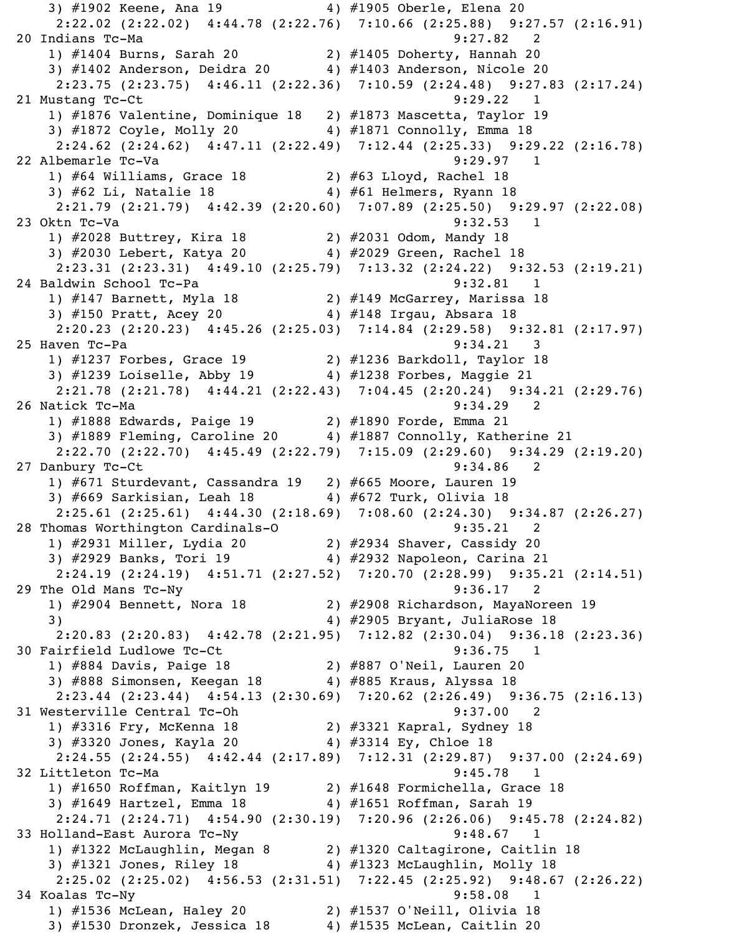3) #1902 Keene, Ana 19 4) #1905 Oberle, Elena 20 2:22.02 (2:22.02) 4:44.78 (2:22.76) 7:10.66 (2:25.88) 9:27.57 (2:16.91) 20 Indians Tc-Ma 9:27.82 2 1) #1404 Burns, Sarah 20 2) #1405 Doherty, Hannah 20 3) #1402 Anderson, Deidra 20 4) #1403 Anderson, Nicole 20 2:23.75 (2:23.75) 4:46.11 (2:22.36) 7:10.59 (2:24.48) 9:27.83 (2:17.24) 21 Mustang Tc-Ct 9:29.22 1 1) #1876 Valentine, Dominique 18 2) #1873 Mascetta, Taylor 19 3) #1872 Coyle, Molly 20 4) #1871 Connolly, Emma 18 2:24.62 (2:24.62) 4:47.11 (2:22.49) 7:12.44 (2:25.33) 9:29.22 (2:16.78) 22 Albemarle Tc-Va 9:29.97 1 1) #64 Williams, Grace 18 2) #63 Lloyd, Rachel 18 3) #62 Li, Natalie 18 4) #61 Helmers, Ryann 18 2:21.79 (2:21.79) 4:42.39 (2:20.60) 7:07.89 (2:25.50) 9:29.97 (2:22.08) 23 Oktn Tc-Va 23 Oktn Tc-Va 23 Oktn Tc-Va 23 Oktn Tc-Va 23 Oktn Tc-Va 23 Oktn Tc-Va 23 Oktn Tc-Va 23 Oktober 2 1) #2028 Buttrey, Kira 18 2) #2031 Odom, Mandy 18 3) #2030 Lebert, Katya 20 4) #2029 Green, Rachel 18 2:23.31 (2:23.31) 4:49.10 (2:25.79) 7:13.32 (2:24.22) 9:32.53 (2:19.21) 24 Baldwin School Tc-Pa 9:32.81 1 1) #147 Barnett, Myla 18 2) #149 McGarrey, Marissa 18 3) #150 Pratt, Acey 20 4) #148 Irgau, Absara 18 2:20.23 (2:20.23) 4:45.26 (2:25.03) 7:14.84 (2:29.58) 9:32.81 (2:17.97) 25 Haven Tc-Pa 9:34.21 3 1) #1237 Forbes, Grace 19 2) #1236 Barkdoll, Taylor 18 3) #1239 Loiselle, Abby 19 4) #1238 Forbes, Maggie 21 2:21.78 (2:21.78) 4:44.21 (2:22.43) 7:04.45 (2:20.24) 9:34.21 (2:29.76) 26 Natick Tc-Ma 9:34.29 2 1) #1888 Edwards, Paige 19 2) #1890 Forde, Emma 21 3) #1889 Fleming, Caroline 20 4) #1887 Connolly, Katherine 21 2:22.70 (2:22.70) 4:45.49 (2:22.79) 7:15.09 (2:29.60) 9:34.29 (2:19.20) 27 Danbury Tc-Ct 9:34.86 2 1) #671 Sturdevant, Cassandra 19 2) #665 Moore, Lauren 19 3) #669 Sarkisian, Leah 18 4) #672 Turk, Olivia 18 2:25.61 (2:25.61) 4:44.30 (2:18.69) 7:08.60 (2:24.30) 9:34.87 (2:26.27) 28 Thomas Worthington Cardinals-O 9:35.21 2 1) #2931 Miller, Lydia 20 2) #2934 Shaver, Cassidy 20 3) #2929 Banks, Tori 19 4) #2932 Napoleon, Carina 21 2:24.19 (2:24.19) 4:51.71 (2:27.52) 7:20.70 (2:28.99) 9:35.21 (2:14.51) 29 The Old Mans Tc-Ny 30 20 20 20 20 20 21 21 22 1) #2904 Bennett, Nora 18 2) #2908 Richardson, MayaNoreen 19 3) 4) #2905 Bryant, JuliaRose 18 2:20.83 (2:20.83) 4:42.78 (2:21.95) 7:12.82 (2:30.04) 9:36.18 (2:23.36) 30 Fairfield Ludlowe Tc-Ct 9:36.75 1 1) #884 Davis, Paige 18 2) #887 O'Neil, Lauren 20 3) #888 Simonsen, Keegan 18  $\hskip1cm 4$ ) #885 Kraus, Alyssa 18 2:23.44 (2:23.44) 4:54.13 (2:30.69) 7:20.62 (2:26.49) 9:36.75 (2:16.13) 31 Westerville Central Tc-Oh 9:37.00 2 1) #3316 Fry, McKenna 18 2) #3321 Kapral, Sydney 18 3) #3320 Jones, Kayla 20 4) #3314 Ey, Chloe 18 2:24.55 (2:24.55) 4:42.44 (2:17.89) 7:12.31 (2:29.87) 9:37.00 (2:24.69) 32 Littleton Tc-Ma 9:45.78 1 1) #1650 Roffman, Kaitlyn 19 2) #1648 Formichella, Grace 18 3) #1649 Hartzel, Emma 18 4) #1651 Roffman, Sarah 19 2:24.71 (2:24.71) 4:54.90 (2:30.19) 7:20.96 (2:26.06) 9:45.78 (2:24.82) 33 Holland-East Aurora Tc-Ny 9:48.67 1 1) #1322 McLaughlin, Megan 8 2) #1320 Caltagirone, Caitlin 18 3) #1321 Jones, Riley 18 4) #1323 McLaughlin, Molly 18 2:25.02 (2:25.02) 4:56.53 (2:31.51) 7:22.45 (2:25.92) 9:48.67 (2:26.22) 34 Koalas Tc-Ny 9:58.08 1 1) #1536 McLean, Haley 20 2) #1537 O'Neill, Olivia 18 3)  $\#1530$  Dronzek, Jessica 18  $4$ )  $\#1535$  McLean, Caitlin 20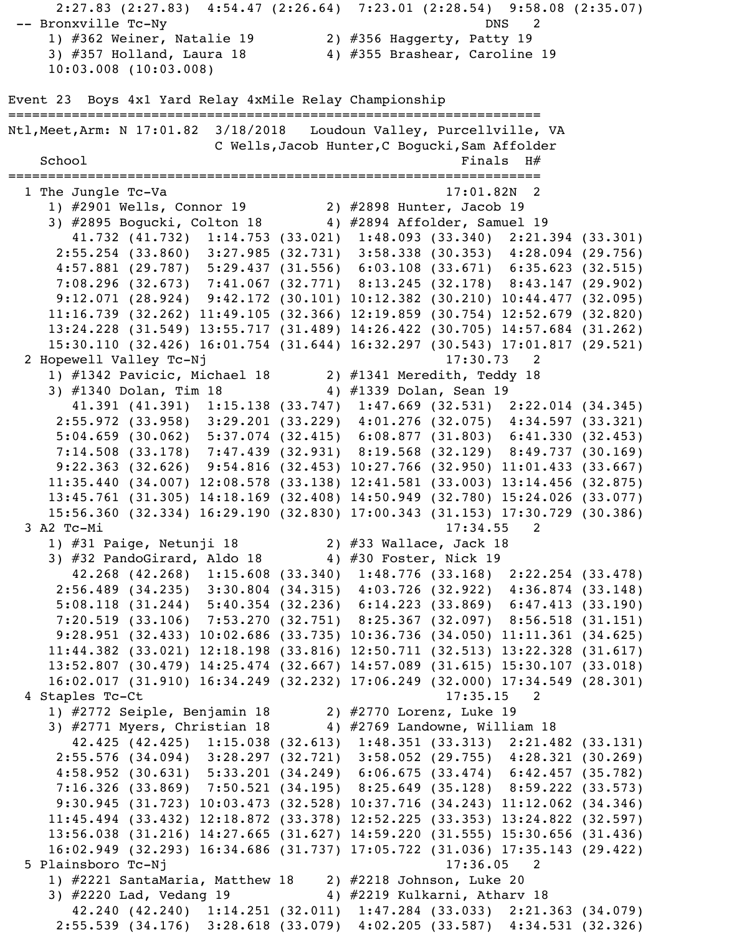```
-- Bronxville Tc-Ny DNS 2
     1) #362 Weiner, Natalie 19 2) #356 Haggerty, Patty 19 
     3) #357 Holland, Laura 18 4) #355 Brashear, Caroline 19 
     10:03.008 (10:03.008)
Event 23 Boys 4x1 Yard Relay 4xMile Relay Championship
===================================================================
Ntl,Meet,Arm: N 17:01.82 3/18/2018 Loudoun Valley, Purcellville, VA 
                        C Wells,Jacob Hunter,C Bogucki,Sam Affolder 
   Schoo1 Finals H#===================================================================
   1 The Jungle Tc-Va 17:01.82N 2 
     1) #2901 Wells, Connor 19 2) #2898 Hunter, Jacob 19 
    3) #2895 Bogucki, Colton 18 4) #2894 Affolder, Samuel 19
        41.732 (41.732) 1:14.753 (33.021) 1:48.093 (33.340) 2:21.394 (33.301)
      2:55.254 (33.860) 3:27.985 (32.731) 3:58.338 (30.353) 4:28.094 (29.756)
      4:57.881 (29.787) 5:29.437 (31.556) 6:03.108 (33.671) 6:35.623 (32.515)
      7:08.296 (32.673) 7:41.067 (32.771) 8:13.245 (32.178) 8:43.147 (29.902)
      9:12.071 (28.924) 9:42.172 (30.101) 10:12.382 (30.210) 10:44.477 (32.095)
     11:16.739 (32.262) 11:49.105 (32.366) 12:19.859 (30.754) 12:52.679 (32.820)
     13:24.228 (31.549) 13:55.717 (31.489) 14:26.422 (30.705) 14:57.684 (31.262)
     15:30.110 (32.426) 16:01.754 (31.644) 16:32.297 (30.543) 17:01.817 (29.521)
 2 Hopewell Valley Tc-Nj 17:30.73 2
     1) #1342 Pavicic, Michael 18 2) #1341 Meredith, Teddy 18 
    3) #1340 Dolan, Tim 18 4) #1339 Dolan, Sean 19
        41.391 (41.391) 1:15.138 (33.747) 1:47.669 (32.531) 2:22.014 (34.345)
      2:55.972 (33.958) 3:29.201 (33.229) 4:01.276 (32.075) 4:34.597 (33.321)
      5:04.659 (30.062) 5:37.074 (32.415) 6:08.877 (31.803) 6:41.330 (32.453)
      7:14.508 (33.178) 7:47.439 (32.931) 8:19.568 (32.129) 8:49.737 (30.169)
      9:22.363 (32.626) 9:54.816 (32.453) 10:27.766 (32.950) 11:01.433 (33.667)
     11:35.440 (34.007) 12:08.578 (33.138) 12:41.581 (33.003) 13:14.456 (32.875)
     13:45.761 (31.305) 14:18.169 (32.408) 14:50.949 (32.780) 15:24.026 (33.077)
     15:56.360 (32.334) 16:29.190 (32.830) 17:00.343 (31.153) 17:30.729 (30.386)
  3 A2 Tc-Mi 17:34.55 2 
     1) #31 Paige, Netunji 18 2) #33 Wallace, Jack 18 
    3) #32 PandoGirard, Aldo 18 4) #30 Foster, Nick 19
        42.268 (42.268) 1:15.608 (33.340) 1:48.776 (33.168) 2:22.254 (33.478)
      2:56.489 (34.235) 3:30.804 (34.315) 4:03.726 (32.922) 4:36.874 (33.148)
      5:08.118 (31.244) 5:40.354 (32.236) 6:14.223 (33.869) 6:47.413 (33.190)
      7:20.519 (33.106) 7:53.270 (32.751) 8:25.367 (32.097) 8:56.518 (31.151)
      9:28.951 (32.433) 10:02.686 (33.735) 10:36.736 (34.050) 11:11.361 (34.625)
     11:44.382 (33.021) 12:18.198 (33.816) 12:50.711 (32.513) 13:22.328 (31.617)
     13:52.807 (30.479) 14:25.474 (32.667) 14:57.089 (31.615) 15:30.107 (33.018)
     16:02.017 (31.910) 16:34.249 (32.232) 17:06.249 (32.000) 17:34.549 (28.301)
   4 Staples Tc-Ct 17:35.15 2 
     1) #2772 Seiple, Benjamin 18 2) #2770 Lorenz, Luke 19 
    3) #2771 Myers, Christian 18 4) #2769 Landowne, William 18
        42.425 (42.425) 1:15.038 (32.613) 1:48.351 (33.313) 2:21.482 (33.131)
      2:55.576 (34.094) 3:28.297 (32.721) 3:58.052 (29.755) 4:28.321 (30.269)
      4:58.952 (30.631) 5:33.201 (34.249) 6:06.675 (33.474) 6:42.457 (35.782)
      7:16.326 (33.869) 7:50.521 (34.195) 8:25.649 (35.128) 8:59.222 (33.573)
      9:30.945 (31.723) 10:03.473 (32.528) 10:37.716 (34.243) 11:12.062 (34.346)
     11:45.494 (33.432) 12:18.872 (33.378) 12:52.225 (33.353) 13:24.822 (32.597)
     13:56.038 (31.216) 14:27.665 (31.627) 14:59.220 (31.555) 15:30.656 (31.436)
     16:02.949 (32.293) 16:34.686 (31.737) 17:05.722 (31.036) 17:35.143 (29.422)
   5 Plainsboro Tc-Nj 17:36.05 2 
     1) #2221 SantaMaria, Matthew 18 2) #2218 Johnson, Luke 20 
    3) #2220 Lad, Vedang 19 4) #2219 Kulkarni, Atharv 18
        42.240 (42.240) 1:14.251 (32.011) 1:47.284 (33.033) 2:21.363 (34.079)
      2:55.539 (34.176) 3:28.618 (33.079) 4:02.205 (33.587) 4:34.531 (32.326)
```
2:27.83 (2:27.83) 4:54.47 (2:26.64) 7:23.01 (2:28.54) 9:58.08 (2:35.07)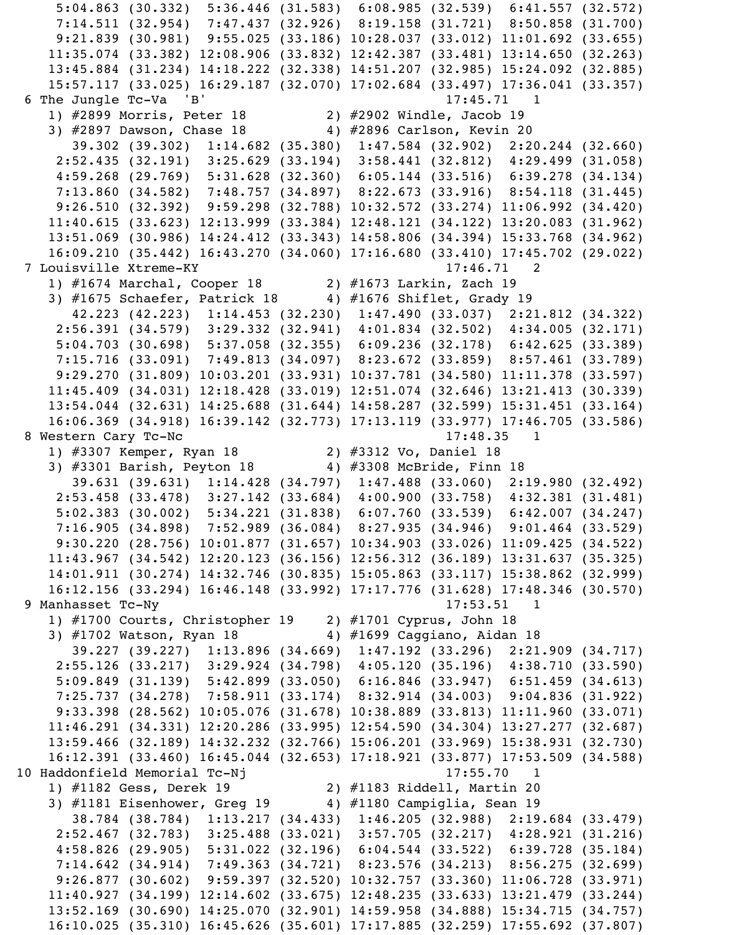5:04.863 (30.332) 5:36.446 (31.583) 6:08.985 (32.539) 6:41.557 (32.572) 7:14.511 (32.954) 7:47.437 (32.926) 8:19.158 (31.721) 8:50.858 (31.700) 9:21.839 (30.981) 9:55.025 (33.186) 10:28.037 (33.012) 11:01.692 (33.655) 11:35.074 (33.382) 12:08.906 (33.832) 12:42.387 (33.481) 13:14.650 (32.263) 13:45.884 (31.234) 14:18.222 (32.338) 14:51.207 (32.985) 15:24.092 (32.885) 15:57.117 (33.025) 16:29.187 (32.070) 17:02.684 (33.497) 17:36.041 (33.357) 6 The Jungle Tc-Va 'B' 17:45.71 1 1) #2899 Morris, Peter 18 2) #2902 Windle, Jacob 19 3) #2897 Dawson, Chase 18 4) #2896 Carlson, Kevin 20 39.302 (39.302) 1:14.682 (35.380) 1:47.584 (32.902) 2:20.244 (32.660) 2:52.435 (32.191) 3:25.629 (33.194) 3:58.441 (32.812) 4:29.499 (31.058) 4:59.268 (29.769) 5:31.628 (32.360) 6:05.144 (33.516) 6:39.278 (34.134) 7:13.860 (34.582) 7:48.757 (34.897) 8:22.673 (33.916) 8:54.118 (31.445) 9:26.510 (32.392) 9:59.298 (32.788) 10:32.572 (33.274) 11:06.992 (34.420) 11:40.615 (33.623) 12:13.999 (33.384) 12:48.121 (34.122) 13:20.083 (31.962) 13:51.069 (30.986) 14:24.412 (33.343) 14:58.806 (34.394) 15:33.768 (34.962) 16:09.210 (35.442) 16:43.270 (34.060) 17:16.680 (33.410) 17:45.702 (29.022) 7 Louisville Xtreme-KY 17:46.71 2 1) #1674 Marchal, Cooper 18 2) #1673 Larkin, Zach 19 3) #1675 Schaefer, Patrick 18 4) #1676 Shiflet, Grady 19 42.223 (42.223) 1:14.453 (32.230) 1:47.490 (33.037) 2:21.812 (34.322) 2:56.391 (34.579) 3:29.332 (32.941) 4:01.834 (32.502) 4:34.005 (32.171) 5:04.703 (30.698) 5:37.058 (32.355) 6:09.236 (32.178) 6:42.625 (33.389) 7:15.716 (33.091) 7:49.813 (34.097) 8:23.672 (33.859) 8:57.461 (33.789) 9:29.270 (31.809) 10:03.201 (33.931) 10:37.781 (34.580) 11:11.378 (33.597) 11:45.409 (34.031) 12:18.428 (33.019) 12:51.074 (32.646) 13:21.413 (30.339) 13:54.044 (32.631) 14:25.688 (31.644) 14:58.287 (32.599) 15:31.451 (33.164) 16:06.369 (34.918) 16:39.142 (32.773) 17:13.119 (33.977) 17:46.705 (33.586) 8 Western Cary Tc-Nc 17:48.35 1 1) #3307 Kemper, Ryan 18 2) #3312 Vo, Daniel 18 3) #3301 Barish, Peyton 18 4) #3308 McBride, Finn 18 39.631 (39.631) 1:14.428 (34.797) 1:47.488 (33.060) 2:19.980 (32.492) 2:53.458 (33.478) 3:27.142 (33.684) 4:00.900 (33.758) 4:32.381 (31.481) 5:02.383 (30.002) 5:34.221 (31.838) 6:07.760 (33.539) 6:42.007 (34.247) 7:16.905 (34.898) 7:52.989 (36.084) 8:27.935 (34.946) 9:01.464 (33.529) 9:30.220 (28.756) 10:01.877 (31.657) 10:34.903 (33.026) 11:09.425 (34.522) 11:43.967 (34.542) 12:20.123 (36.156) 12:56.312 (36.189) 13:31.637 (35.325) 14:01.911 (30.274) 14:32.746 (30.835) 15:05.863 (33.117) 15:38.862 (32.999) 16:12.156 (33.294) 16:46.148 (33.992) 17:17.776 (31.628) 17:48.346 (30.570) 9 Manhasset Tc-Ny 17:53.51 1 1) #1700 Courts, Christopher 19 2) #1701 Cyprus, John 18 3) #1702 Watson, Ryan 18 4) #1699 Caggiano, Aidan 18 39.227 (39.227) 1:13.896 (34.669) 1:47.192 (33.296) 2:21.909 (34.717) 2:55.126 (33.217) 3:29.924 (34.798) 4:05.120 (35.196) 4:38.710 (33.590) 5:09.849 (31.139) 5:42.899 (33.050) 6:16.846 (33.947) 6:51.459 (34.613) 7:25.737 (34.278) 7:58.911 (33.174) 8:32.914 (34.003) 9:04.836 (31.922) 9:33.398 (28.562) 10:05.076 (31.678) 10:38.889 (33.813) 11:11.960 (33.071) 11:46.291 (34.331) 12:20.286 (33.995) 12:54.590 (34.304) 13:27.277 (32.687) 13:59.466 (32.189) 14:32.232 (32.766) 15:06.201 (33.969) 15:38.931 (32.730) 16:12.391 (33.460) 16:45.044 (32.653) 17:18.921 (33.877) 17:53.509 (34.588) 10 Haddonfield Memorial Tc-Nj 17:55.70 1 1) #1182 Gess, Derek 19 2) #1183 Riddell, Martin 20 3) #1181 Eisenhower, Greg 19 4) #1180 Campiglia, Sean 19 38.784 (38.784) 1:13.217 (34.433) 1:46.205 (32.988) 2:19.684 (33.479) 2:52.467 (32.783) 3:25.488 (33.021) 3:57.705 (32.217) 4:28.921 (31.216) 4:58.826 (29.905) 5:31.022 (32.196) 6:04.544 (33.522) 6:39.728 (35.184) 7:14.642 (34.914) 7:49.363 (34.721) 8:23.576 (34.213) 8:56.275 (32.699) 9:26.877 (30.602) 9:59.397 (32.520) 10:32.757 (33.360) 11:06.728 (33.971) 11:40.927 (34.199) 12:14.602 (33.675) 12:48.235 (33.633) 13:21.479 (33.244) 13:52.169 (30.690) 14:25.070 (32.901) 14:59.958 (34.888) 15:34.715 (34.757) 16:10.025 (35.310) 16:45.626 (35.601) 17:17.885 (32.259) 17:55.692 (37.807)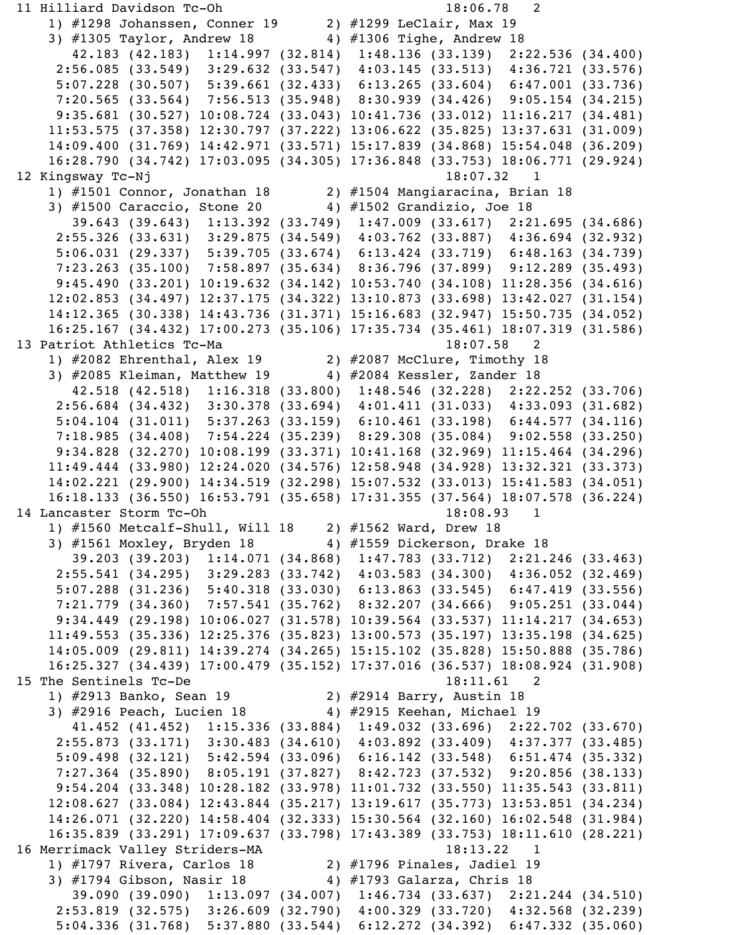```
 11 Hilliard Davidson Tc-Oh 18:06.78 2 
     1) #1298 Johanssen, Conner 19 2) #1299 LeClair, Max 19 
     3) #1305 Taylor, Andrew 18 4) #1306 Tighe, Andrew 18 
        42.183 (42.183) 1:14.997 (32.814) 1:48.136 (33.139) 2:22.536 (34.400)
      2:56.085 (33.549) 3:29.632 (33.547) 4:03.145 (33.513) 4:36.721 (33.576)
      5:07.228 (30.507) 5:39.661 (32.433) 6:13.265 (33.604) 6:47.001 (33.736)
      7:20.565 (33.564) 7:56.513 (35.948) 8:30.939 (34.426) 9:05.154 (34.215)
      9:35.681 (30.527) 10:08.724 (33.043) 10:41.736 (33.012) 11:16.217 (34.481)
     11:53.575 (37.358) 12:30.797 (37.222) 13:06.622 (35.825) 13:37.631 (31.009)
     14:09.400 (31.769) 14:42.971 (33.571) 15:17.839 (34.868) 15:54.048 (36.209)
     16:28.790 (34.742) 17:03.095 (34.305) 17:36.848 (33.753) 18:06.771 (29.924)
12 Kingsway Tc-Nj 18:07.32 1
     1) #1501 Connor, Jonathan 18 2) #1504 Mangiaracina, Brian 18 
     3) #1500 Caraccio, Stone 20 4) #1502 Grandizio, Joe 18 
        39.643 (39.643) 1:13.392 (33.749) 1:47.009 (33.617) 2:21.695 (34.686)
      2:55.326 (33.631) 3:29.875 (34.549) 4:03.762 (33.887) 4:36.694 (32.932)
      5:06.031 (29.337) 5:39.705 (33.674) 6:13.424 (33.719) 6:48.163 (34.739)
      7:23.263 (35.100) 7:58.897 (35.634) 8:36.796 (37.899) 9:12.289 (35.493)
      9:45.490 (33.201) 10:19.632 (34.142) 10:53.740 (34.108) 11:28.356 (34.616)
     12:02.853 (34.497) 12:37.175 (34.322) 13:10.873 (33.698) 13:42.027 (31.154)
     14:12.365 (30.338) 14:43.736 (31.371) 15:16.683 (32.947) 15:50.735 (34.052)
     16:25.167 (34.432) 17:00.273 (35.106) 17:35.734 (35.461) 18:07.319 (31.586)
13 Patriot Athletics Tc-Ma 18:07.58 2
     1) #2082 Ehrenthal, Alex 19 2) #2087 McClure, Timothy 18 
    3) #2085 Kleiman, Matthew 19 4) #2084 Kessler, Zander 18
        42.518 (42.518) 1:16.318 (33.800) 1:48.546 (32.228) 2:22.252 (33.706)
      2:56.684 (34.432) 3:30.378 (33.694) 4:01.411 (31.033) 4:33.093 (31.682)
      5:04.104 (31.011) 5:37.263 (33.159) 6:10.461 (33.198) 6:44.577 (34.116)
      7:18.985 (34.408) 7:54.224 (35.239) 8:29.308 (35.084) 9:02.558 (33.250)
      9:34.828 (32.270) 10:08.199 (33.371) 10:41.168 (32.969) 11:15.464 (34.296)
     11:49.444 (33.980) 12:24.020 (34.576) 12:58.948 (34.928) 13:32.321 (33.373)
     14:02.221 (29.900) 14:34.519 (32.298) 15:07.532 (33.013) 15:41.583 (34.051)
     16:18.133 (36.550) 16:53.791 (35.658) 17:31.355 (37.564) 18:07.578 (36.224)
14 Lancaster Storm Tc-Oh 18:08.93 1
     1) #1560 Metcalf-Shull, Will 18 2) #1562 Ward, Drew 18 
    3) #1561 Moxley, Bryden 18 4) #1559 Dickerson, Drake 18
        39.203 (39.203) 1:14.071 (34.868) 1:47.783 (33.712) 2:21.246 (33.463)
      2:55.541 (34.295) 3:29.283 (33.742) 4:03.583 (34.300) 4:36.052 (32.469)
      5:07.288 (31.236) 5:40.318 (33.030) 6:13.863 (33.545) 6:47.419 (33.556)
      7:21.779 (34.360) 7:57.541 (35.762) 8:32.207 (34.666) 9:05.251 (33.044)
      9:34.449 (29.198) 10:06.027 (31.578) 10:39.564 (33.537) 11:14.217 (34.653)
     11:49.553 (35.336) 12:25.376 (35.823) 13:00.573 (35.197) 13:35.198 (34.625)
     14:05.009 (29.811) 14:39.274 (34.265) 15:15.102 (35.828) 15:50.888 (35.786)
     16:25.327 (34.439) 17:00.479 (35.152) 17:37.016 (36.537) 18:08.924 (31.908)
15 The Sentinels Tc-De 18:11.61 2
     1) #2913 Banko, Sean 19 2) #2914 Barry, Austin 18 
    3) #2916 Peach, Lucien 18 4) #2915 Keehan, Michael 19
        41.452 (41.452) 1:15.336 (33.884) 1:49.032 (33.696) 2:22.702 (33.670)
      2:55.873 (33.171) 3:30.483 (34.610) 4:03.892 (33.409) 4:37.377 (33.485)
      5:09.498 (32.121) 5:42.594 (33.096) 6:16.142 (33.548) 6:51.474 (35.332)
      7:27.364 (35.890) 8:05.191 (37.827) 8:42.723 (37.532) 9:20.856 (38.133)
      9:54.204 (33.348) 10:28.182 (33.978) 11:01.732 (33.550) 11:35.543 (33.811)
     12:08.627 (33.084) 12:43.844 (35.217) 13:19.617 (35.773) 13:53.851 (34.234)
     14:26.071 (32.220) 14:58.404 (32.333) 15:30.564 (32.160) 16:02.548 (31.984)
     16:35.839 (33.291) 17:09.637 (33.798) 17:43.389 (33.753) 18:11.610 (28.221)
16 Merrimack Valley Striders-MA 18:13.22 1
 1) #1797 Rivera, Carlos 18 2) #1796 Pinales, Jadiel 19 
3) #1794 Gibson, Nasir 18               4) #1793 Galarza, Chris 18
        39.090 (39.090) 1:13.097 (34.007) 1:46.734 (33.637) 2:21.244 (34.510)
      2:53.819 (32.575) 3:26.609 (32.790) 4:00.329 (33.720) 4:32.568 (32.239)
      5:04.336 (31.768) 5:37.880 (33.544) 6:12.272 (34.392) 6:47.332 (35.060)
```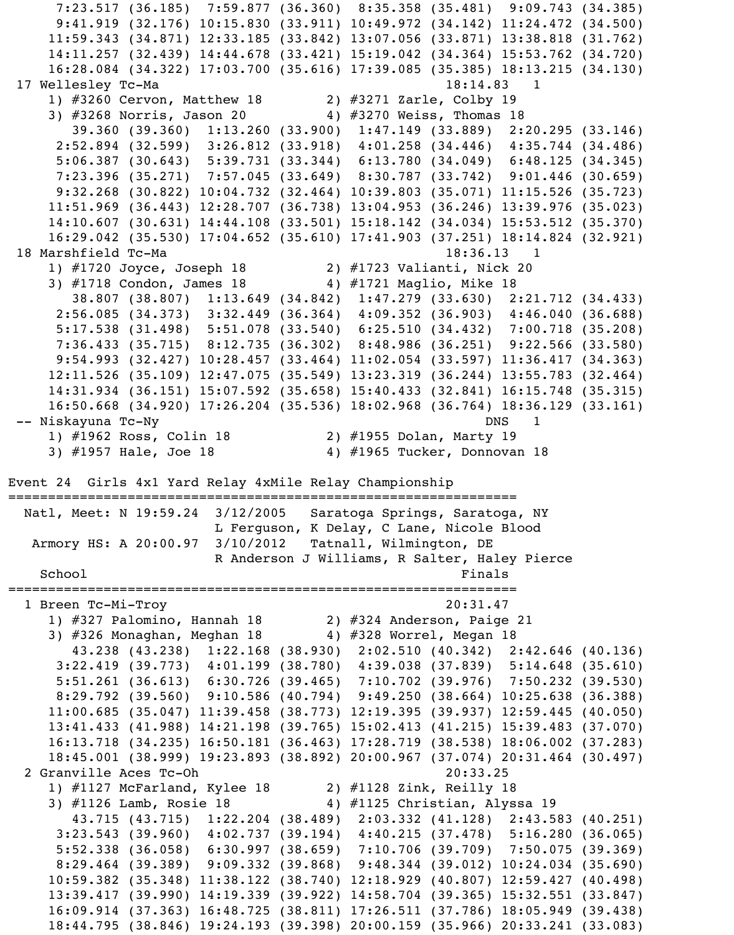7:23.517 (36.185) 7:59.877 (36.360) 8:35.358 (35.481) 9:09.743 (34.385) 9:41.919 (32.176) 10:15.830 (33.911) 10:49.972 (34.142) 11:24.472 (34.500) 11:59.343 (34.871) 12:33.185 (33.842) 13:07.056 (33.871) 13:38.818 (31.762) 14:11.257 (32.439) 14:44.678 (33.421) 15:19.042 (34.364) 15:53.762 (34.720) 16:28.084 (34.322) 17:03.700 (35.616) 17:39.085 (35.385) 18:13.215 (34.130) 17 Wellesley Tc-Ma 18:14.83 1 1) #3260 Cervon, Matthew 18 2) #3271 Zarle, Colby 19 3) #3268 Norris, Jason 20 4) #3270 Weiss, Thomas 18 39.360 (39.360) 1:13.260 (33.900) 1:47.149 (33.889) 2:20.295 (33.146) 2:52.894 (32.599) 3:26.812 (33.918) 4:01.258 (34.446) 4:35.744 (34.486) 5:06.387 (30.643) 5:39.731 (33.344) 6:13.780 (34.049) 6:48.125 (34.345) 7:23.396 (35.271) 7:57.045 (33.649) 8:30.787 (33.742) 9:01.446 (30.659) 9:32.268 (30.822) 10:04.732 (32.464) 10:39.803 (35.071) 11:15.526 (35.723) 11:51.969 (36.443) 12:28.707 (36.738) 13:04.953 (36.246) 13:39.976 (35.023) 14:10.607 (30.631) 14:44.108 (33.501) 15:18.142 (34.034) 15:53.512 (35.370) 16:29.042 (35.530) 17:04.652 (35.610) 17:41.903 (37.251) 18:14.824 (32.921) 18 Marshfield Tc-Ma 18:36.13 1 1) #1720 Joyce, Joseph 18 2) #1723 Valianti, Nick 20 3) #1718 Condon, James 18 4) #1721 Maglio, Mike 18 38.807 (38.807) 1:13.649 (34.842) 1:47.279 (33.630) 2:21.712 (34.433) 2:56.085 (34.373) 3:32.449 (36.364) 4:09.352 (36.903) 4:46.040 (36.688) 5:17.538 (31.498) 5:51.078 (33.540) 6:25.510 (34.432) 7:00.718 (35.208) 7:36.433 (35.715) 8:12.735 (36.302) 8:48.986 (36.251) 9:22.566 (33.580) 9:54.993 (32.427) 10:28.457 (33.464) 11:02.054 (33.597) 11:36.417 (34.363) 12:11.526 (35.109) 12:47.075 (35.549) 13:23.319 (36.244) 13:55.783 (32.464) 14:31.934 (36.151) 15:07.592 (35.658) 15:40.433 (32.841) 16:15.748 (35.315) 16:50.668 (34.920) 17:26.204 (35.536) 18:02.968 (36.764) 18:36.129 (33.161) -- Niskayuna Tc-Ny DNS 1 1) #1962 Ross, Colin 18 2) #1955 Dolan, Marty 19 3) #1957 Hale, Joe 18 4) #1965 Tucker, Donnovan 18 Event 24 Girls 4x1 Yard Relay 4xMile Relay Championship ================================================================ Natl, Meet: N 19:59.24 3/12/2005 Saratoga Springs, Saratoga, NY L Ferguson, K Delay, C Lane, Nicole Blood Armory HS: A 20:00.97 3/10/2012 Tatnall, Wilmington, DE R Anderson J Williams, R Salter, Haley Pierce School Finals ================================================================ 1 Breen Tc-Mi-Troy 20:31.47 1) #327 Palomino, Hannah 18 2) #324 Anderson, Paige 21 3)  $#326$  Monaghan, Meghan 18  $4)$   $#328$  Worrel, Megan 18 43.238 (43.238) 1:22.168 (38.930) 2:02.510 (40.342) 2:42.646 (40.136) 3:22.419 (39.773) 4:01.199 (38.780) 4:39.038 (37.839) 5:14.648 (35.610) 5:51.261 (36.613) 6:30.726 (39.465) 7:10.702 (39.976) 7:50.232 (39.530) 8:29.792 (39.560) 9:10.586 (40.794) 9:49.250 (38.664) 10:25.638 (36.388) 11:00.685 (35.047) 11:39.458 (38.773) 12:19.395 (39.937) 12:59.445 (40.050) 13:41.433 (41.988) 14:21.198 (39.765) 15:02.413 (41.215) 15:39.483 (37.070) 16:13.718 (34.235) 16:50.181 (36.463) 17:28.719 (38.538) 18:06.002 (37.283) 18:45.001 (38.999) 19:23.893 (38.892) 20:00.967 (37.074) 20:31.464 (30.497) 2 Granville Aces Tc-Oh 20:33.25 1) #1127 McFarland, Kylee 18 2) #1128 Zink, Reilly 18 3) #1126 Lamb, Rosie 18 4) #1125 Christian, Alyssa 19 43.715 (43.715) 1:22.204 (38.489) 2:03.332 (41.128) 2:43.583 (40.251) 3:23.543 (39.960) 4:02.737 (39.194) 4:40.215 (37.478) 5:16.280 (36.065) 5:52.338 (36.058) 6:30.997 (38.659) 7:10.706 (39.709) 7:50.075 (39.369) 8:29.464 (39.389) 9:09.332 (39.868) 9:48.344 (39.012) 10:24.034 (35.690) 10:59.382 (35.348) 11:38.122 (38.740) 12:18.929 (40.807) 12:59.427 (40.498) 13:39.417 (39.990) 14:19.339 (39.922) 14:58.704 (39.365) 15:32.551 (33.847) 16:09.914 (37.363) 16:48.725 (38.811) 17:26.511 (37.786) 18:05.949 (39.438) 18:44.795 (38.846) 19:24.193 (39.398) 20:00.159 (35.966) 20:33.241 (33.083)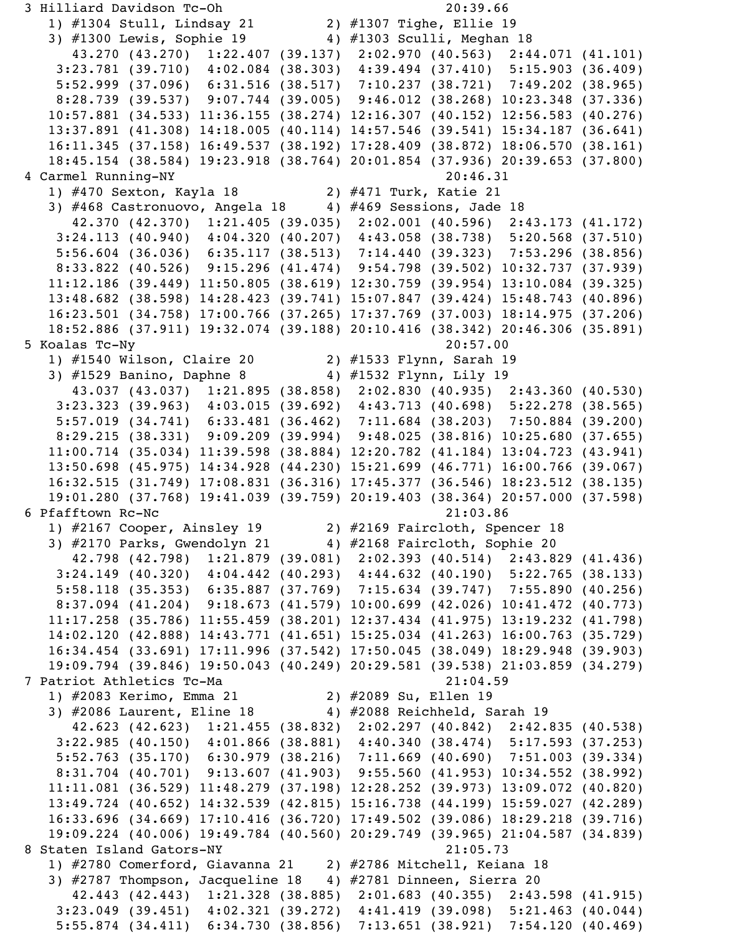```
 3 Hilliard Davidson Tc-Oh 20:39.66 
    1) #1304 Stull, Lindsay 21 2) #1307 Tighe, Ellie 19 
   3) #1300 Lewis, Sophie 19 4) #1303 Sculli, Meghan 18
      43.270 (43.270) 1:22.407 (39.137) 2:02.970 (40.563) 2:44.071 (41.101)
    3:23.781 (39.710) 4:02.084 (38.303) 4:39.494 (37.410) 5:15.903 (36.409)
    5:52.999 (37.096) 6:31.516 (38.517) 7:10.237 (38.721) 7:49.202 (38.965)
    8:28.739 (39.537) 9:07.744 (39.005) 9:46.012 (38.268) 10:23.348 (37.336)
    10:57.881 (34.533) 11:36.155 (38.274) 12:16.307 (40.152) 12:56.583 (40.276)
    13:37.891 (41.308) 14:18.005 (40.114) 14:57.546 (39.541) 15:34.187 (36.641)
    16:11.345 (37.158) 16:49.537 (38.192) 17:28.409 (38.872) 18:06.570 (38.161)
    18:45.154 (38.584) 19:23.918 (38.764) 20:01.854 (37.936) 20:39.653 (37.800)
 4 Carmel Running-NY 20:46.31 
    1) #470 Sexton, Kayla 18 2) #471 Turk, Katie 21 
   3) \#468 Castronuovo, Angela 18 4) \#469 Sessions, Jade 18
      42.370 (42.370) 1:21.405 (39.035) 2:02.001 (40.596) 2:43.173 (41.172)
    3:24.113 (40.940) 4:04.320 (40.207) 4:43.058 (38.738) 5:20.568 (37.510)
    5:56.604 (36.036) 6:35.117 (38.513) 7:14.440 (39.323) 7:53.296 (38.856)
    8:33.822 (40.526) 9:15.296 (41.474) 9:54.798 (39.502) 10:32.737 (37.939)
   11:12.186 (39.449) 11:50.805 (38.619) 12:30.759 (39.954) 13:10.084 (39.325)
   13:48.682 (38.598) 14:28.423 (39.741) 15:07.847 (39.424) 15:48.743 (40.896)
   16:23.501 (34.758) 17:00.766 (37.265) 17:37.769 (37.003) 18:14.975 (37.206)
    18:52.886 (37.911) 19:32.074 (39.188) 20:10.416 (38.342) 20:46.306 (35.891)
 5 Koalas Tc-Ny 20:57.00 
    1) #1540 Wilson, Claire 20 2) #1533 Flynn, Sarah 19 
   3) #1529 Banino, Daphne 8 4) #1532 Flynn, Lily 19
      43.037 (43.037) 1:21.895 (38.858) 2:02.830 (40.935) 2:43.360 (40.530)
    3:23.323 (39.963) 4:03.015 (39.692) 4:43.713 (40.698) 5:22.278 (38.565)
    5:57.019 (34.741) 6:33.481 (36.462) 7:11.684 (38.203) 7:50.884 (39.200)
    8:29.215 (38.331) 9:09.209 (39.994) 9:48.025 (38.816) 10:25.680 (37.655)
   11:00.714 (35.034) 11:39.598 (38.884) 12:20.782 (41.184) 13:04.723 (43.941)
    13:50.698 (45.975) 14:34.928 (44.230) 15:21.699 (46.771) 16:00.766 (39.067)
    16:32.515 (31.749) 17:08.831 (36.316) 17:45.377 (36.546) 18:23.512 (38.135)
    19:01.280 (37.768) 19:41.039 (39.759) 20:19.403 (38.364) 20:57.000 (37.598)
 6 Pfafftown Rc-Nc 21:03.86 
    1) #2167 Cooper, Ainsley 19 2) #2169 Faircloth, Spencer 18 
  3) \#2170 Parks, Gwendolyn 21 \qquad 4) \#2168 Faircloth, Sophie 20
      42.798 (42.798) 1:21.879 (39.081) 2:02.393 (40.514) 2:43.829 (41.436)
    3:24.149 (40.320) 4:04.442 (40.293) 4:44.632 (40.190) 5:22.765 (38.133)
    5:58.118 (35.353) 6:35.887 (37.769) 7:15.634 (39.747) 7:55.890 (40.256)
    8:37.094 (41.204) 9:18.673 (41.579) 10:00.699 (42.026) 10:41.472 (40.773)
   11:17.258 (35.786) 11:55.459 (38.201) 12:37.434 (41.975) 13:19.232 (41.798)
    14:02.120 (42.888) 14:43.771 (41.651) 15:25.034 (41.263) 16:00.763 (35.729)
   16:34.454 (33.691) 17:11.996 (37.542) 17:50.045 (38.049) 18:29.948 (39.903)
    19:09.794 (39.846) 19:50.043 (40.249) 20:29.581 (39.538) 21:03.859 (34.279)
 7 Patriot Athletics Tc-Ma 21:04.59 
    1) #2083 Kerimo, Emma 21 2) #2089 Su, Ellen 19 
   3) #2086 Laurent, Eline 18 4) #2088 Reichheld, Sarah 19
      42.623 (42.623) 1:21.455 (38.832) 2:02.297 (40.842) 2:42.835 (40.538)
    3:22.985 (40.150) 4:01.866 (38.881) 4:40.340 (38.474) 5:17.593 (37.253)
    5:52.763 (35.170) 6:30.979 (38.216) 7:11.669 (40.690) 7:51.003 (39.334)
    8:31.704 (40.701) 9:13.607 (41.903) 9:55.560 (41.953) 10:34.552 (38.992)
    11:11.081 (36.529) 11:48.279 (37.198) 12:28.252 (39.973) 13:09.072 (40.820)
    13:49.724 (40.652) 14:32.539 (42.815) 15:16.738 (44.199) 15:59.027 (42.289)
    16:33.696 (34.669) 17:10.416 (36.720) 17:49.502 (39.086) 18:29.218 (39.716)
    19:09.224 (40.006) 19:49.784 (40.560) 20:29.749 (39.965) 21:04.587 (34.839)
8 Staten Island Gators-NY 21:05.73
    1) #2780 Comerford, Giavanna 21 2) #2786 Mitchell, Keiana 18 
    3) #2787 Thompson, Jacqueline 18 4) #2781 Dinneen, Sierra 20 
      42.443 (42.443) 1:21.328 (38.885) 2:01.683 (40.355) 2:43.598 (41.915)
    3:23.049 (39.451) 4:02.321 (39.272) 4:41.419 (39.098) 5:21.463 (40.044)
    5:55.874 (34.411) 6:34.730 (38.856) 7:13.651 (38.921) 7:54.120 (40.469)
```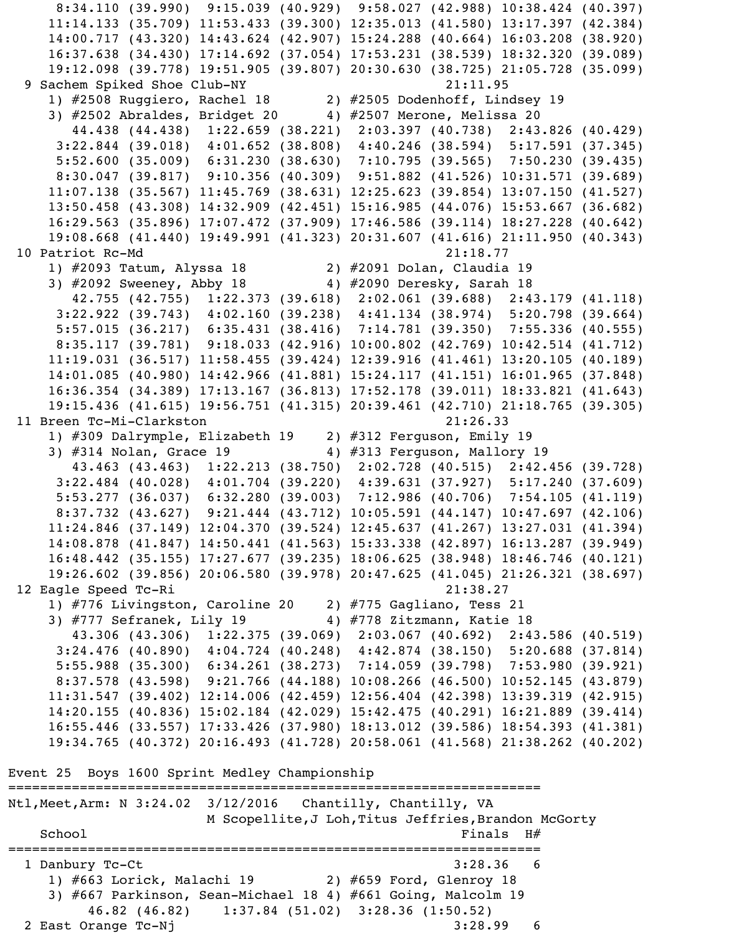8:34.110 (39.990) 9:15.039 (40.929) 9:58.027 (42.988) 10:38.424 (40.397) 11:14.133 (35.709) 11:53.433 (39.300) 12:35.013 (41.580) 13:17.397 (42.384) 14:00.717 (43.320) 14:43.624 (42.907) 15:24.288 (40.664) 16:03.208 (38.920) 16:37.638 (34.430) 17:14.692 (37.054) 17:53.231 (38.539) 18:32.320 (39.089) 19:12.098 (39.778) 19:51.905 (39.807) 20:30.630 (38.725) 21:05.728 (35.099) 9 Sachem Spiked Shoe Club-NY 21:11.95 1) #2508 Ruggiero, Rachel 18 2) #2505 Dodenhoff, Lindsey 19 3) #2502 Abraldes, Bridget 20 4) #2507 Merone, Melissa 20 44.438 (44.438) 1:22.659 (38.221) 2:03.397 (40.738) 2:43.826 (40.429) 3:22.844 (39.018) 4:01.652 (38.808) 4:40.246 (38.594) 5:17.591 (37.345) 5:52.600 (35.009) 6:31.230 (38.630) 7:10.795 (39.565) 7:50.230 (39.435) 8:30.047 (39.817) 9:10.356 (40.309) 9:51.882 (41.526) 10:31.571 (39.689) 11:07.138 (35.567) 11:45.769 (38.631) 12:25.623 (39.854) 13:07.150 (41.527) 13:50.458 (43.308) 14:32.909 (42.451) 15:16.985 (44.076) 15:53.667 (36.682) 16:29.563 (35.896) 17:07.472 (37.909) 17:46.586 (39.114) 18:27.228 (40.642) 19:08.668 (41.440) 19:49.991 (41.323) 20:31.607 (41.616) 21:11.950 (40.343) 10 Patriot Rc-Md 21:18.77 1) #2093 Tatum, Alyssa 18 2) #2091 Dolan, Claudia 19 3)  $\#2092$  Sweeney, Abby 18  $\qquad$  4)  $\#2090$  Deresky, Sarah 18 42.755 (42.755) 1:22.373 (39.618) 2:02.061 (39.688) 2:43.179 (41.118) 3:22.922 (39.743) 4:02.160 (39.238) 4:41.134 (38.974) 5:20.798 (39.664) 5:57.015 (36.217) 6:35.431 (38.416) 7:14.781 (39.350) 7:55.336 (40.555) 8:35.117 (39.781) 9:18.033 (42.916) 10:00.802 (42.769) 10:42.514 (41.712) 11:19.031 (36.517) 11:58.455 (39.424) 12:39.916 (41.461) 13:20.105 (40.189) 14:01.085 (40.980) 14:42.966 (41.881) 15:24.117 (41.151) 16:01.965 (37.848) 16:36.354 (34.389) 17:13.167 (36.813) 17:52.178 (39.011) 18:33.821 (41.643) 19:15.436 (41.615) 19:56.751 (41.315) 20:39.461 (42.710) 21:18.765 (39.305) 11 Breen Tc-Mi-Clarkston 21:26.33 1) #309 Dalrymple, Elizabeth 19 2) #312 Ferguson, Emily 19 3) #314 Nolan, Grace 19 4) #313 Ferguson, Mallory 19 43.463 (43.463) 1:22.213 (38.750) 2:02.728 (40.515) 2:42.456 (39.728) 3:22.484 (40.028) 4:01.704 (39.220) 4:39.631 (37.927) 5:17.240 (37.609) 5:53.277 (36.037) 6:32.280 (39.003) 7:12.986 (40.706) 7:54.105 (41.119) 8:37.732 (43.627) 9:21.444 (43.712) 10:05.591 (44.147) 10:47.697 (42.106) 11:24.846 (37.149) 12:04.370 (39.524) 12:45.637 (41.267) 13:27.031 (41.394) 14:08.878 (41.847) 14:50.441 (41.563) 15:33.338 (42.897) 16:13.287 (39.949) 16:48.442 (35.155) 17:27.677 (39.235) 18:06.625 (38.948) 18:46.746 (40.121) 19:26.602 (39.856) 20:06.580 (39.978) 20:47.625 (41.045) 21:26.321 (38.697) 12 Eagle Speed Tc-Ri 21:38.27 1) #776 Livingston, Caroline 20 2) #775 Gagliano, Tess 21 3) #777 Sefranek, Lily 19  $\hspace{1cm}$  4) #778 Zitzmann, Katie 18 43.306 (43.306) 1:22.375 (39.069) 2:03.067 (40.692) 2:43.586 (40.519) 3:24.476 (40.890) 4:04.724 (40.248) 4:42.874 (38.150) 5:20.688 (37.814) 5:55.988 (35.300) 6:34.261 (38.273) 7:14.059 (39.798) 7:53.980 (39.921) 8:37.578 (43.598) 9:21.766 (44.188) 10:08.266 (46.500) 10:52.145 (43.879) 11:31.547 (39.402) 12:14.006 (42.459) 12:56.404 (42.398) 13:39.319 (42.915) 14:20.155 (40.836) 15:02.184 (42.029) 15:42.475 (40.291) 16:21.889 (39.414) 16:55.446 (33.557) 17:33.426 (37.980) 18:13.012 (39.586) 18:54.393 (41.381) 19:34.765 (40.372) 20:16.493 (41.728) 20:58.061 (41.568) 21:38.262 (40.202) Event 25 Boys 1600 Sprint Medley Championship =================================================================== Ntl,Meet,Arm: N 3:24.02 3/12/2016 Chantilly, Chantilly, VA M Scopellite, J Loh, Titus Jeffries, Brandon McGorty  $Schoo1$   $Finals$   $H#$ =================================================================== 1 Danbury Tc-Ct 3:28.36 6 1) #663 Lorick, Malachi 19 2) #659 Ford, Glenroy 18 3) #667 Parkinson, Sean-Michael 18 4) #661 Going, Malcolm 19 46.82 (46.82) 1:37.84 (51.02) 3:28.36 (1:50.52) 2 East Orange Tc-Nj 3:28.99 6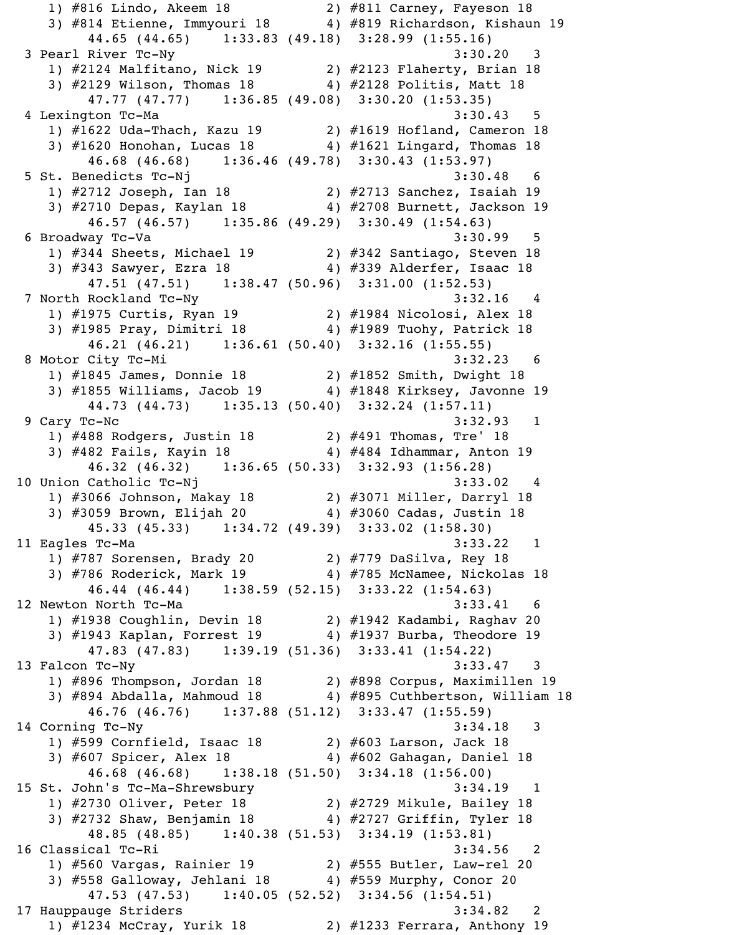1) #816 Lindo, Akeem 18 2) #811 Carney, Fayeson 18 3) #814 Etienne, Immyouri 18 4) #819 Richardson, Kishaun 19 44.65 (44.65) 1:33.83 (49.18) 3:28.99 (1:55.16) 3 Pearl River Tc-Ny 3:30.20 3 1) #2124 Malfitano, Nick 19 2) #2123 Flaherty, Brian 18 3) #2129 Wilson, Thomas 18 4) #2128 Politis, Matt 18 47.77 (47.77) 1:36.85 (49.08) 3:30.20 (1:53.35) 4 Lexington Tc-Ma 3:30.43 5 1) #1622 Uda-Thach, Kazu 19 2) #1619 Hofland, Cameron 18 3) #1620 Honohan, Lucas 18 4) #1621 Lingard, Thomas 18 46.68 (46.68) 1:36.46 (49.78) 3:30.43 (1:53.97) 5 St. Benedicts Tc-Nj 3:30.48 6 1) #2712 Joseph, Ian 18 2) #2713 Sanchez, Isaiah 19 3) #2710 Depas, Kaylan 18 4) #2708 Burnett, Jackson 19 46.57 (46.57) 1:35.86 (49.29) 3:30.49 (1:54.63) 6 Broadway Tc-Va 3:30.99 5 1) #344 Sheets, Michael 19 2) #342 Santiago, Steven 18 3) #343 Sawyer, Ezra 18 4) #339 Alderfer, Isaac 18 47.51 (47.51) 1:38.47 (50.96) 3:31.00 (1:52.53) 7 North Rockland Tc-Ny 3:32.16 4 1) #1975 Curtis, Ryan 19 2) #1984 Nicolosi, Alex 18 3) #1985 Pray, Dimitri 18 4) #1989 Tuohy, Patrick 18 46.21 (46.21) 1:36.61 (50.40) 3:32.16 (1:55.55) 8 Motor City Tc-Mi 3:32.23 6 1) #1845 James, Donnie 18 2) #1852 Smith, Dwight 18 3) #1855 Williams, Jacob 19 4) #1848 Kirksey, Javonne 19 44.73 (44.73) 1:35.13 (50.40) 3:32.24 (1:57.11) 9 Cary Tc-Nc 3:32.93 1 1) #488 Rodgers, Justin 18 2) #491 Thomas, Tre' 18 3) #482 Fails, Kayin 18 4) #484 Idhammar, Anton 19 46.32 (46.32) 1:36.65 (50.33) 3:32.93 (1:56.28) 10 Union Catholic Tc-Nj 3:33.02 4 1) #3066 Johnson, Makay 18 2) #3071 Miller, Darryl 18 3) #3059 Brown, Elijah 20 4) #3060 Cadas, Justin 18 45.33 (45.33) 1:34.72 (49.39) 3:33.02 (1:58.30) 11 Eagles Tc-Ma 3:33.22 1 1) #787 Sorensen, Brady 20 2) #779 DaSilva, Rey 18 3) #786 Roderick, Mark 19 4) #785 McNamee, Nickolas 18 46.44 (46.44) 1:38.59 (52.15) 3:33.22 (1:54.63) 12 Newton North Tc-Ma 3:33.41 6 1) #1938 Coughlin, Devin 18 2) #1942 Kadambi, Raghav 20 3) #1943 Kaplan, Forrest 19 4) #1937 Burba, Theodore 19 47.83 (47.83) 1:39.19 (51.36) 3:33.41 (1:54.22) 13 Falcon Tc-Ny 3:33.47 3 1) #896 Thompson, Jordan 18 2) #898 Corpus, Maximillen 19 3) #894 Abdalla, Mahmoud 18 4) #895 Cuthbertson, William 18 46.76 (46.76) 1:37.88 (51.12) 3:33.47 (1:55.59) 14 Corning Tc-Ny 3:34.18 3 1) #599 Cornfield, Isaac 18 2) #603 Larson, Jack 18 3) #607 Spicer, Alex 18 4) #602 Gahagan, Daniel 18 46.68 (46.68) 1:38.18 (51.50) 3:34.18 (1:56.00) 15 St. John's Tc-Ma-Shrewsbury 3:34.19 1 1) #2730 Oliver, Peter 18 2) #2729 Mikule, Bailey 18 3) #2732 Shaw, Benjamin 18 4) #2727 Griffin, Tyler 18 48.85 (48.85) 1:40.38 (51.53) 3:34.19 (1:53.81) 16 Classical Tc-Ri 3:34.56 2 1) #560 Vargas, Rainier 19 2) #555 Butler, Law-rel 20 3) #558 Galloway, Jehlani 18 4) #559 Murphy, Conor 20 47.53 (47.53) 1:40.05 (52.52) 3:34.56 (1:54.51) 17 Hauppauge Striders 3:34.82 2 1) #1234 McCray, Yurik 18 2) #1233 Ferrara, Anthony 19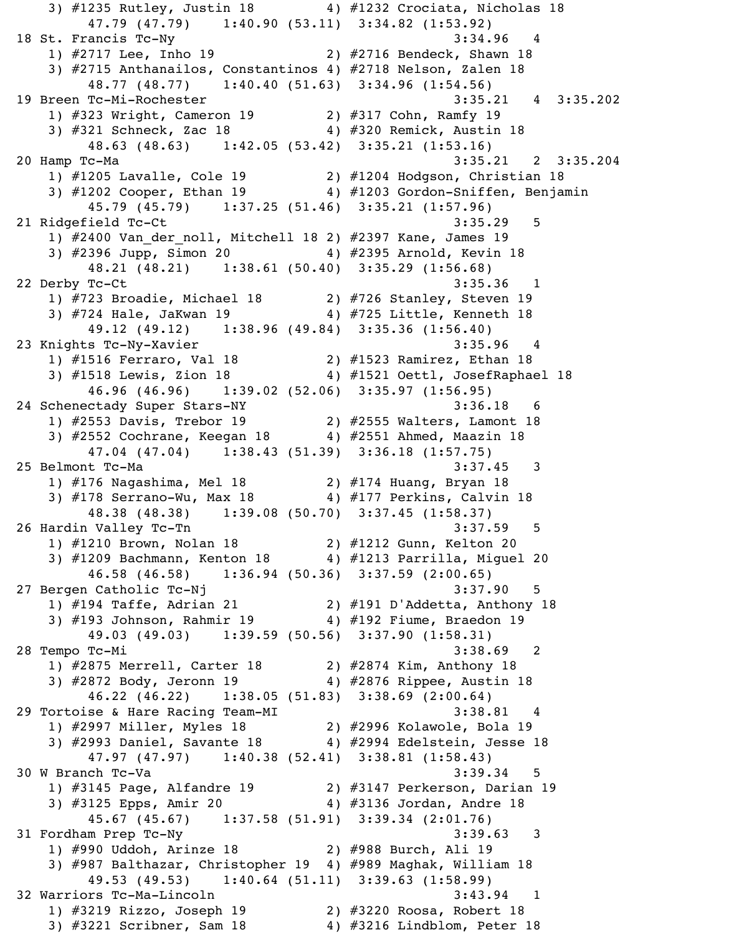3) #1235 Rutley, Justin 18 4) #1232 Crociata, Nicholas 18 47.79 (47.79) 1:40.90 (53.11) 3:34.82 (1:53.92) 18 St. Francis Tc-Ny 3:34.96 4 1) #2717 Lee, Inho 19 2) #2716 Bendeck, Shawn 18 3) #2715 Anthanailos, Constantinos 4) #2718 Nelson, Zalen 18 48.77 (48.77) 1:40.40 (51.63) 3:34.96 (1:54.56) 19 Breen Tc-Mi-Rochester 3:35.21 4 3:35.202 1) #323 Wright, Cameron 19 2) #317 Cohn, Ramfy 19 3) #321 Schneck, Zac 18 4) #320 Remick, Austin 18 48.63 (48.63) 1:42.05 (53.42) 3:35.21 (1:53.16) 20 Hamp Tc-Ma 3:35.21 2 3:35.204 1) #1205 Lavalle, Cole 19 2) #1204 Hodgson, Christian 18 3) #1202 Cooper, Ethan 19 4) #1203 Gordon-Sniffen, Benjamin 45.79 (45.79) 1:37.25 (51.46) 3:35.21 (1:57.96) 21 Ridgefield Tc-Ct 3:35.29 5 1) #2400 Van der noll, Mitchell 18 2) #2397 Kane, James 19 3) #2396 Jupp, Simon 20 4) #2395 Arnold, Kevin 18 48.21 (48.21) 1:38.61 (50.40) 3:35.29 (1:56.68) 22 Derby Tc-Ct 3:35.36 1 1) #723 Broadie, Michael 18 2) #726 Stanley, Steven 19 3) #724 Hale, JaKwan 19 4) #725 Little, Kenneth 18 49.12 (49.12) 1:38.96 (49.84) 3:35.36 (1:56.40) 23 Knights Tc-Ny-Xavier 3:35.96 4 1) #1516 Ferraro, Val 18 2) #1523 Ramirez, Ethan 18 3) #1518 Lewis, Zion 18 4) #1521 Oettl, JosefRaphael 18 46.96 (46.96) 1:39.02 (52.06) 3:35.97 (1:56.95) 24 Schenectady Super Stars-NY 3:36.18 6 1) #2553 Davis, Trebor 19 2) #2555 Walters, Lamont 18 3) #2552 Cochrane, Keegan 18 4) #2551 Ahmed, Maazin 18 47.04 (47.04) 1:38.43 (51.39) 3:36.18 (1:57.75) 25 Belmont Tc-Ma 3:37.45 3 1) #176 Nagashima, Mel 18 2) #174 Huang, Bryan 18 3) #178 Serrano-Wu, Max 18 4) #177 Perkins, Calvin 18 48.38 (48.38) 1:39.08 (50.70) 3:37.45 (1:58.37) 26 Hardin Valley Tc-Tn 3:37.59 5 1) #1210 Brown, Nolan 18 2) #1212 Gunn, Kelton 20 3) #1209 Bachmann, Kenton 18 4) #1213 Parrilla, Miguel 20 46.58 (46.58) 1:36.94 (50.36) 3:37.59 (2:00.65) 27 Bergen Catholic Tc-Nj 3:37.90 5 1) #194 Taffe, Adrian 21 2) #191 D'Addetta, Anthony 18 3) #193 Johnson, Rahmir 19 4) #192 Fiume, Braedon 19 49.03 (49.03) 1:39.59 (50.56) 3:37.90 (1:58.31) 28 Tempo Tc-Mi 3:38.69 2 1) #2875 Merrell, Carter 18 2) #2874 Kim, Anthony 18 3) #2872 Body, Jeronn 19 4) #2876 Rippee, Austin 18 46.22 (46.22) 1:38.05 (51.83) 3:38.69 (2:00.64) 29 Tortoise & Hare Racing Team-MI 3:38.81 4 1) #2997 Miller, Myles 18 2) #2996 Kolawole, Bola 19 3) #2993 Daniel, Savante 18 4) #2994 Edelstein, Jesse 18 47.97 (47.97) 1:40.38 (52.41) 3:38.81 (1:58.43) 30 W Branch Tc-Va 3:39.34 5 1) #3145 Page, Alfandre 19 2) #3147 Perkerson, Darian 19 3) #3125 Epps, Amir 20 4) #3136 Jordan, Andre 18 45.67 (45.67) 1:37.58 (51.91) 3:39.34 (2:01.76) 31 Fordham Prep Tc-Ny 3:39.63 3 1) #990 Uddoh, Arinze 18 2) #988 Burch, Ali 19 3) #987 Balthazar, Christopher 19 4) #989 Maghak, William 18 49.53 (49.53) 1:40.64 (51.11) 3:39.63 (1:58.99) 32 Warriors Tc-Ma-Lincoln 3:43.94 1 1) #3219 Rizzo, Joseph 19 2) #3220 Roosa, Robert 18 3) #3221 Scribner, Sam 18 4) #3216 Lindblom, Peter 18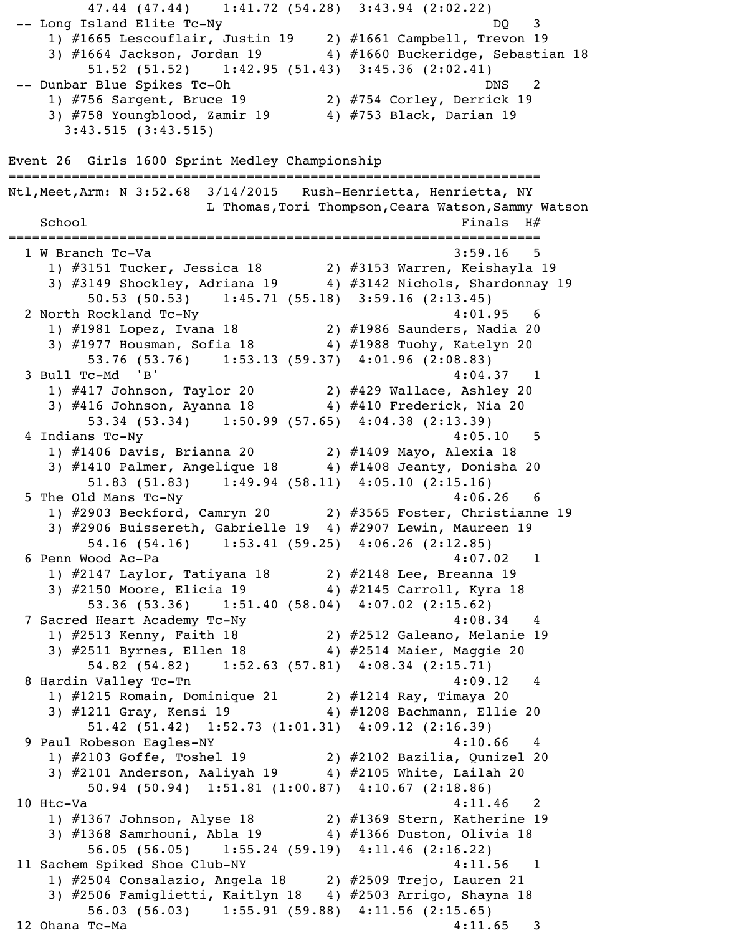47.44 (47.44) 1:41.72 (54.28) 3:43.94 (2:02.22) -- Long Island Elite Tc-Ny DQ 3 1) #1665 Lescouflair, Justin 19 2) #1661 Campbell, Trevon 19  $\overline{3)}$  #1664 Jackson, Jordan 19  $\overline{4}$  #1660 Buckeridge, Sebastian 18 51.52 (51.52) 1:42.95 (51.43) 3:45.36 (2:02.41) -- Dunbar Blue Spikes Tc-Oh DNS 2 1) #756 Sargent, Bruce 19 2) #754 Corley, Derrick 19 3) #758 Youngblood, Zamir 19 4) #753 Black, Darian 19 3:43.515 (3:43.515) Event 26 Girls 1600 Sprint Medley Championship =================================================================== Ntl,Meet,Arm: N 3:52.68 3/14/2015 Rush-Henrietta, Henrietta, NY L Thomas,Tori Thompson,Ceara Watson,Sammy Watson  $School$   $Finals$   $H#$ =================================================================== 1 W Branch Tc-Va 3:59.16 5 1) #3151 Tucker, Jessica 18 2) #3153 Warren, Keishayla 19 3) #3149 Shockley, Adriana 19 4) #3142 Nichols, Shardonnay 19 50.53 (50.53) 1:45.71 (55.18) 3:59.16 (2:13.45) 2 North Rockland Tc-Ny  $4:01.95$  1) #1981 Lopez, Ivana 18 2) #1986 Saunders, Nadia 20 3) #1977 Housman, Sofia 18 4) #1988 Tuohy, Katelyn 20 53.76 (53.76) 1:53.13 (59.37) 4:01.96 (2:08.83) 3 Bull Tc-Md 'B' 4:04.37 1 1) #417 Johnson, Taylor 20 2) #429 Wallace, Ashley 20 3) #416 Johnson, Ayanna 18 4) #410 Frederick, Nia 20 53.34 (53.34) 1:50.99 (57.65) 4:04.38 (2:13.39) 4 Indians Tc-Ny 4:05.10 5 1) #1406 Davis, Brianna 20 2) #1409 Mayo, Alexia 18 3) #1410 Palmer, Angelique 18 4) #1408 Jeanty, Donisha 20 51.83 (51.83) 1:49.94 (58.11) 4:05.10 (2:15.16) 5 The Old Mans Tc-Ny 4:06.26 6 1) #2903 Beckford, Camryn 20 2) #3565 Foster, Christianne 19 3) #2906 Buissereth, Gabrielle 19 4) #2907 Lewin, Maureen 19 54.16 (54.16) 1:53.41 (59.25) 4:06.26 (2:12.85) 6 Penn Wood Ac-Pa 4:07.02 1 1) #2147 Laylor, Tatiyana 18 2) #2148 Lee, Breanna 19 3) #2150 Moore, Elicia 19 4) #2145 Carroll, Kyra 18 53.36 (53.36) 1:51.40 (58.04) 4:07.02 (2:15.62) 7 Sacred Heart Academy Tc-Ny 4:08.34 4 1) #2513 Kenny, Faith 18 2) #2512 Galeano, Melanie 19 3) #2511 Byrnes, Ellen 18 4) #2514 Maier, Maggie 20 54.82 (54.82) 1:52.63 (57.81) 4:08.34 (2:15.71) 8 Hardin Valley Tc-Tn 4:09.12 4 1) #1215 Romain, Dominique 21 2) #1214 Ray, Timaya 20 3) #1211 Gray, Kensi 19 4) #1208 Bachmann, Ellie 20 51.42 (51.42) 1:52.73 (1:01.31) 4:09.12 (2:16.39) 9 Paul Robeson Eagles-NY 1990 120 120 120 120 120 120 120 121 122 123 124 125 126 127 128 129 120 120 120 120 1) #2103 Goffe, Toshel 19 2) #2102 Bazilia, Qunizel 20 3) #2101 Anderson, Aaliyah 19 4) #2105 White, Lailah 20 50.94 (50.94) 1:51.81 (1:00.87) 4:10.67 (2:18.86)  $10$  Htc-Va  $4:11.46$  2 1) #1367 Johnson, Alyse 18 2) #1369 Stern, Katherine 19 3) #1368 Samrhouni, Abla 19 4) #1366 Duston, Olivia 18 56.05 (56.05) 1:55.24 (59.19) 4:11.46 (2:16.22) 11 Sachem Spiked Shoe Club-NY 4:11.56 1 1) #2504 Consalazio, Angela 18 2) #2509 Trejo, Lauren 21 3) #2506 Famiglietti, Kaitlyn 18 4) #2503 Arrigo, Shayna 18 56.03 (56.03) 1:55.91 (59.88) 4:11.56 (2:15.65) 12 Ohana Tc-Ma 4:11.65 3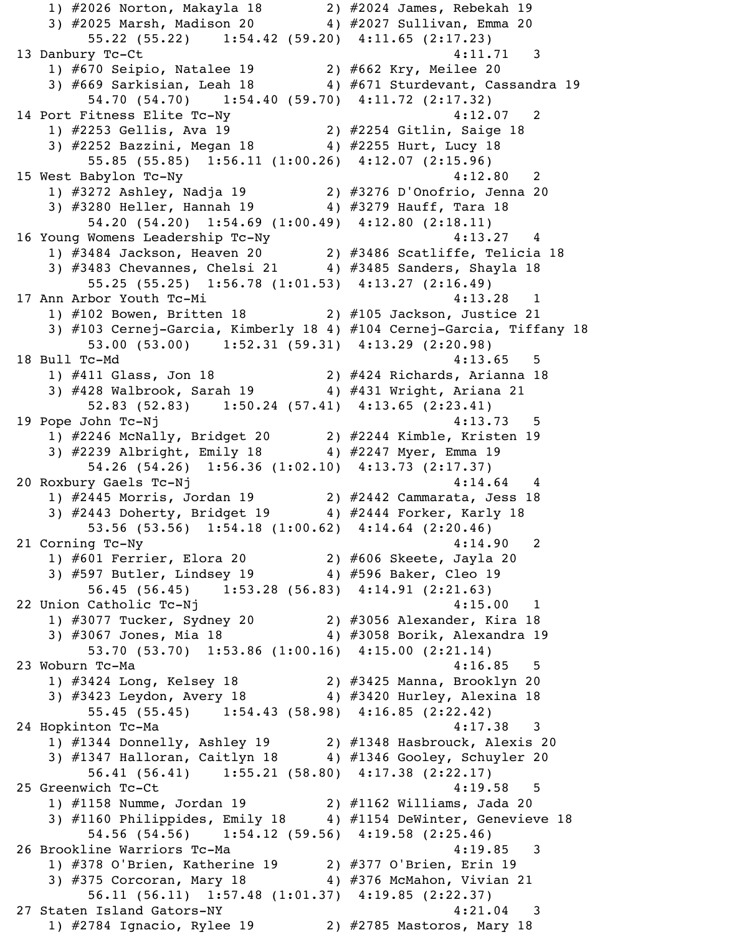1) #2026 Norton, Makayla 18 2) #2024 James, Rebekah 19 3) #2025 Marsh, Madison 20 4) #2027 Sullivan, Emma 20 55.22 (55.22) 1:54.42 (59.20) 4:11.65 (2:17.23) 13 Danbury Tc-Ct 4:11.71 3 1) #670 Seipio, Natalee 19 2) #662 Kry, Meilee 20 3) #669 Sarkisian, Leah 18 4) #671 Sturdevant, Cassandra 19 54.70 (54.70) 1:54.40 (59.70) 4:11.72 (2:17.32) 14 Port Fitness Elite Tc-Ny  $4:12.07$  2 1) #2253 Gellis, Ava 19 2) #2254 Gitlin, Saige 18 3) #2252 Bazzini, Megan 18 4) #2255 Hurt, Lucy 18 55.85 (55.85) 1:56.11 (1:00.26) 4:12.07 (2:15.96) 15 West Babylon Tc-Ny 4:12.80 2 1) #3272 Ashley, Nadja 19 2) #3276 D'Onofrio, Jenna 20 3) #3280 Heller, Hannah 19 4) #3279 Hauff, Tara 18 54.20 (54.20) 1:54.69 (1:00.49) 4:12.80 (2:18.11) 16 Young Womens Leadership Tc-Ny 4:13.27 4 1) #3484 Jackson, Heaven 20 2) #3486 Scatliffe, Telicia 18 3) #3483 Chevannes, Chelsi 21 4) #3485 Sanders, Shayla 18 55.25 (55.25) 1:56.78 (1:01.53) 4:13.27 (2:16.49) 17 Ann Arbor Youth Tc-Mi 17 Ann Arbor 1990 and 1990 and 1990 and 1990 and 1990 and 1990 and 1990 and 1990 and 1 1) #102 Bowen, Britten 18 2) #105 Jackson, Justice 21 3) #103 Cernej-Garcia, Kimberly 18 4) #104 Cernej-Garcia, Tiffany 18 53.00 (53.00) 1:52.31 (59.31) 4:13.29 (2:20.98) 18 Bull Tc-Md 4:13.65 5 1) #411 Glass, Jon 18 2) #424 Richards, Arianna 18 3) #428 Walbrook, Sarah 19  $\qquad \qquad \qquad$  4) #431 Wright, Ariana 21 52.83 (52.83) 1:50.24 (57.41) 4:13.65 (2:23.41) 19 Pope John Tc-Nj 19 Pope John Tc-Nj 1) #2246 McNally, Bridget 20 2) #2244 Kimble, Kristen 19 3) #2239 Albright, Emily 18 4) #2247 Myer, Emma 19 54.26 (54.26) 1:56.36 (1:02.10) 4:13.73 (2:17.37) 20 Roxbury Gaels Tc-Nj 4:14.64 4 1) #2445 Morris, Jordan 19 2) #2442 Cammarata, Jess 18 3) #2443 Doherty, Bridget 19 4) #2444 Forker, Karly 18 53.56 (53.56) 1:54.18 (1:00.62) 4:14.64 (2:20.46) 21 Corning Tc-Ny 4:14.90 2 1) #601 Ferrier, Elora 20 2) #606 Skeete, Jayla 20 3) #597 Butler, Lindsey 19 4) #596 Baker, Cleo 19 56.45 (56.45) 1:53.28 (56.83) 4:14.91 (2:21.63) 22 Union Catholic Tc-Nj 1986 (2008) 22 Union Catholic Tc-Nj 1) #3077 Tucker, Sydney 20 2) #3056 Alexander, Kira 18 3) #3067 Jones, Mia 18 4) #3058 Borik, Alexandra 19 53.70 (53.70) 1:53.86 (1:00.16) 4:15.00 (2:21.14) 23 Woburn Tc-Ma 4:16.85 5 1) #3424 Long, Kelsey 18 2) #3425 Manna, Brooklyn 20 3) #3423 Leydon, Avery 18 4) #3420 Hurley, Alexina 18 55.45 (55.45) 1:54.43 (58.98) 4:16.85 (2:22.42) 24 Hopkinton Tc-Ma 4:17.38 3 1) #1344 Donnelly, Ashley 19 2) #1348 Hasbrouck, Alexis 20 3) #1347 Halloran, Caitlyn 18 4) #1346 Gooley, Schuyler 20 56.41 (56.41) 1:55.21 (58.80) 4:17.38 (2:22.17) 25 Greenwich Tc-Ct 25 Greenwich Tc-Ct 1) #1158 Numme, Jordan 19 2) #1162 Williams, Jada 20 3) #1160 Philippides, Emily 18 4) #1154 DeWinter, Genevieve 18 54.56 (54.56) 1:54.12 (59.56) 4:19.58 (2:25.46) 26 Brookline Warriors Tc-Ma 4:19.85 3 1) #378 O'Brien, Katherine 19 2) #377 O'Brien, Erin 19 3) #375 Corcoran, Mary 18 4) #376 McMahon, Vivian 21 56.11 (56.11) 1:57.48 (1:01.37) 4:19.85 (2:22.37) 27 Staten Island Gators-NY 4:21.04 3 1) #2784 Ignacio, Rylee 19 2) #2785 Mastoros, Mary 18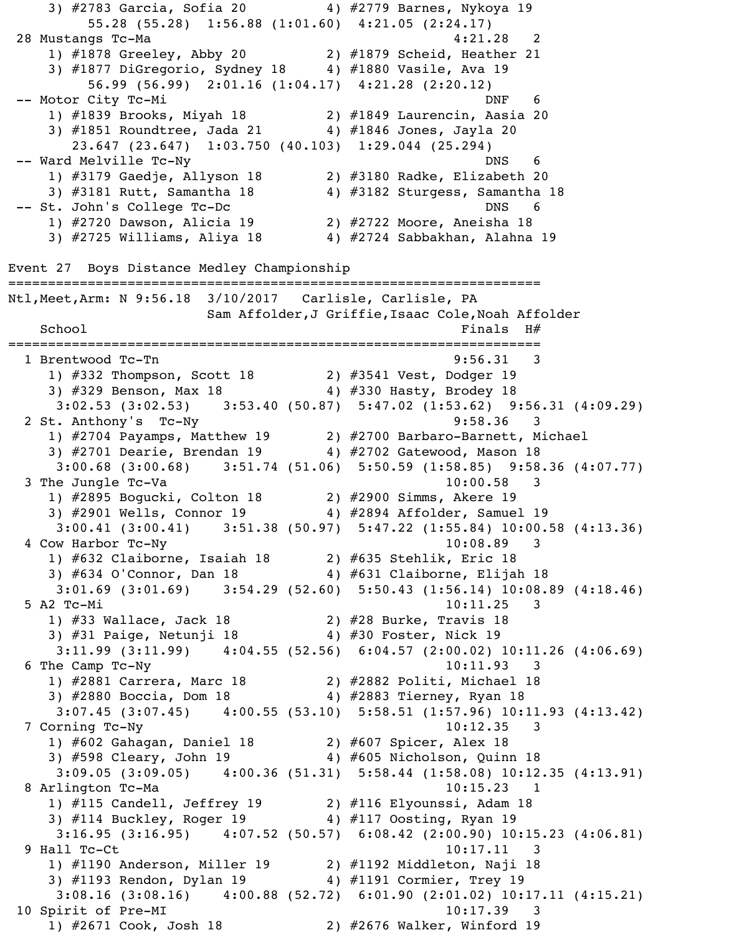3) #2783 Garcia, Sofia 20 4) #2779 Barnes, Nykoya 19 55.28 (55.28) 1:56.88 (1:01.60) 4:21.05 (2:24.17) 28 Mustangs Tc-Ma 4:21.28 2 1) #1878 Greeley, Abby 20 2) #1879 Scheid, Heather 21 3) #1877 DiGregorio, Sydney 18 4) #1880 Vasile, Ava 19 56.99 (56.99) 2:01.16 (1:04.17) 4:21.28 (2:20.12) -- Motor City Tc-Mi DNF 6 1) #1839 Brooks, Miyah 18 2) #1849 Laurencin, Aasia 20 3) #1851 Roundtree, Jada 21 4) #1846 Jones, Jayla 20 23.647 (23.647) 1:03.750 (40.103) 1:29.044 (25.294) -- Ward Melville Tc-Ny based on the DNS 6 1) #3179 Gaedje, Allyson 18 2) #3180 Radke, Elizabeth 20 3) #3181 Rutt, Samantha 18 4) #3182 Sturgess, Samantha 18 -- St. John's College Tc-Dc DNS 6 1) #2720 Dawson, Alicia 19 2) #2722 Moore, Aneisha 18 3) #2725 Williams, Aliya 18 4) #2724 Sabbakhan, Alahna 19 Event 27 Boys Distance Medley Championship =================================================================== Ntl,Meet,Arm: N 9:56.18 3/10/2017 Carlisle, Carlisle, PA Sam Affolder,J Griffie,Isaac Cole,Noah Affolder  $School$   $Finals$   $H#$ =================================================================== 1 Brentwood Tc-Tn 9:56.31 3 1) #332 Thompson, Scott 18 2) #3541 Vest, Dodger 19 3) #329 Benson, Max 18 4) #330 Hasty, Brodey 18 3:02.53 (3:02.53) 3:53.40 (50.87) 5:47.02 (1:53.62) 9:56.31 (4:09.29) 2 St. Anthony's Tc-Ny 9:58.36 3 1) #2704 Payamps, Matthew 19 2) #2700 Barbaro-Barnett, Michael 3) #2701 Dearie, Brendan 19 4) #2702 Gatewood, Mason 18 3:00.68 (3:00.68) 3:51.74 (51.06) 5:50.59 (1:58.85) 9:58.36 (4:07.77)  $3$  The Jungle Tc-Va  $10:00.58$  3 1) #2895 Bogucki, Colton 18 2) #2900 Simms, Akere 19 3) #2901 Wells, Connor 19 4) #2894 Affolder, Samuel 19 3:00.41 (3:00.41) 3:51.38 (50.97) 5:47.22 (1:55.84) 10:00.58 (4:13.36) 4 Cow Harbor Tc-Ny 10:08.89 3 1) #632 Claiborne, Isaiah 18 2) #635 Stehlik, Eric 18 3) #634 O'Connor, Dan 18 4) #631 Claiborne, Elijah 18 3:01.69 (3:01.69) 3:54.29 (52.60) 5:50.43 (1:56.14) 10:08.89 (4:18.46) 5 A2 Tc-Mi 10:11.25 3 1) #33 Wallace, Jack 18 2) #28 Burke, Travis 18 3) #31 Paige, Netunji 18 4) #30 Foster, Nick 19 3:11.99 (3:11.99) 4:04.55 (52.56) 6:04.57 (2:00.02) 10:11.26 (4:06.69) 6 The Camp Tc-Ny 10:11.93 3 1) #2881 Carrera, Marc 18 2) #2882 Politi, Michael 18 3) #2880 Boccia, Dom 18 4) #2883 Tierney, Ryan 18 3:07.45 (3:07.45) 4:00.55 (53.10) 5:58.51 (1:57.96) 10:11.93 (4:13.42) 7 Corning Tc-Ny 10:12.35 3 1) #602 Gahagan, Daniel 18 2) #607 Spicer, Alex 18 3) #598 Cleary, John 19 4) #605 Nicholson, Quinn 18 3:09.05 (3:09.05) 4:00.36 (51.31) 5:58.44 (1:58.08) 10:12.35 (4:13.91) 8 Arlington Tc-Ma 10:15.23 1 1) #115 Candell, Jeffrey 19 2) #116 Elyounssi, Adam 18 3) #114 Buckley, Roger 19 4) #117 Oosting, Ryan 19 3:16.95 (3:16.95) 4:07.52 (50.57) 6:08.42 (2:00.90) 10:15.23 (4:06.81) 9 Hall Tc-Ct 10:17.11 3 1) #1190 Anderson, Miller 19 2) #1192 Middleton, Naji 18 3) #1193 Rendon, Dylan 19 4) #1191 Cormier, Trey 19 3:08.16 (3:08.16) 4:00.88 (52.72) 6:01.90 (2:01.02) 10:17.11 (4:15.21) 10 Spirit of Pre-MI 10:17.39 3 1) #2671 Cook, Josh 18 2) #2676 Walker, Winford 19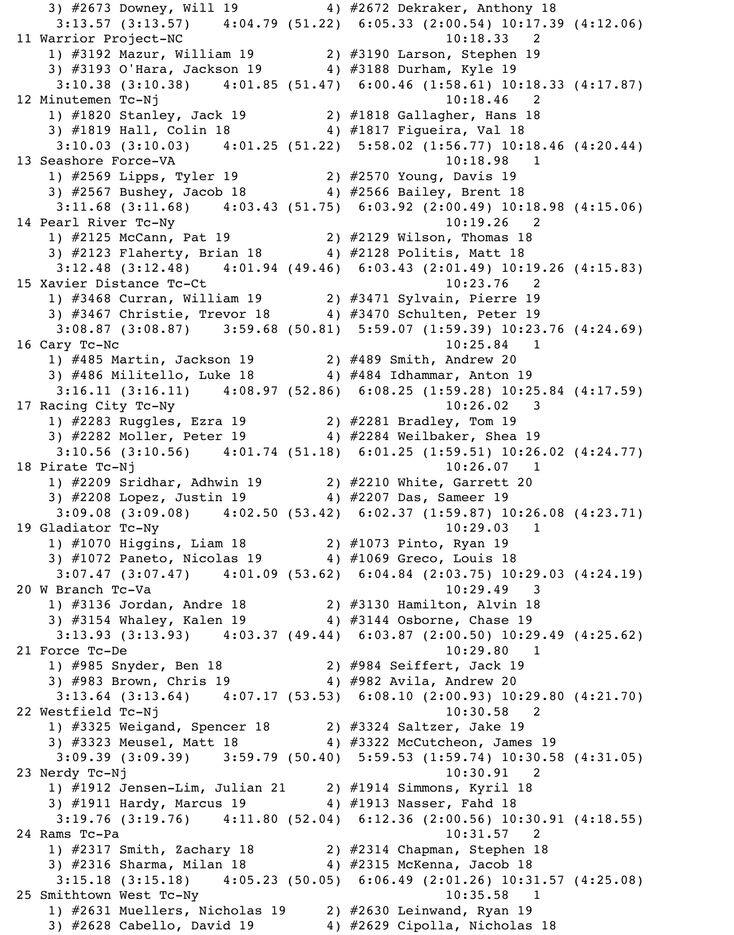3) #2673 Downey, Will 19 4) #2672 Dekraker, Anthony 18 3:13.57 (3:13.57) 4:04.79 (51.22) 6:05.33 (2:00.54) 10:17.39 (4:12.06) 11 Warrior Project-NC 10:18.33 2 1) #3192 Mazur, William 19 2) #3190 Larson, Stephen 19 3) #3193 O'Hara, Jackson 19 4) #3188 Durham, Kyle 19 3:10.38 (3:10.38) 4:01.85 (51.47) 6:00.46 (1:58.61) 10:18.33 (4:17.87) 12 Minutemen Tc-Nj 10:18.46 2 1) #1820 Stanley, Jack 19 2) #1818 Gallagher, Hans 18 3) #1819 Hall, Colin 18 4) #1817 Figueira, Val 18 3:10.03 (3:10.03) 4:01.25 (51.22) 5:58.02 (1:56.77) 10:18.46 (4:20.44) 13 Seashore Force-VA 10:18.98 1 1) #2569 Lipps, Tyler 19 2) #2570 Young, Davis 19 3) #2567 Bushey, Jacob 18 4) #2566 Bailey, Brent 18 3:11.68 (3:11.68) 4:03.43 (51.75) 6:03.92 (2:00.49) 10:18.98 (4:15.06) 14 Pearl River Tc-Ny 10:19.26 2 1) #2125 McCann, Pat 19 2) #2129 Wilson, Thomas 18 3) #2123 Flaherty, Brian 18 4) #2128 Politis, Matt 18 3:12.48 (3:12.48) 4:01.94 (49.46) 6:03.43 (2:01.49) 10:19.26 (4:15.83) 15 Xavier Distance Tc-Ct 10:23.76 2 1) #3468 Curran, William 19 2) #3471 Sylvain, Pierre 19 3) #3467 Christie, Trevor 18 4) #3470 Schulten, Peter 19 3:08.87 (3:08.87) 3:59.68 (50.81) 5:59.07 (1:59.39) 10:23.76 (4:24.69) 16 Cary Tc-Nc 10:25.84 1 1) #485 Martin, Jackson 19 2) #489 Smith, Andrew 20 3) #486 Militello, Luke 18 4) #484 Idhammar, Anton 19 3:16.11 (3:16.11) 4:08.97 (52.86) 6:08.25 (1:59.28) 10:25.84 (4:17.59) 17 Racing City Tc-Ny 10:26.02 3 1) #2283 Ruggles, Ezra 19 2) #2281 Bradley, Tom 19 3) #2282 Moller, Peter 19 4) #2284 Weilbaker, Shea 19 3:10.56 (3:10.56) 4:01.74 (51.18) 6:01.25 (1:59.51) 10:26.02 (4:24.77) 18 Pirate Tc-Nj 10:26.07 1 1) #2209 Sridhar, Adhwin 19 2) #2210 White, Garrett 20 3) #2208 Lopez, Justin 19 4) #2207 Das, Sameer 19 3:09.08 (3:09.08) 4:02.50 (53.42) 6:02.37 (1:59.87) 10:26.08 (4:23.71) 19 Gladiator Tc-Ny 10:29.03 1 1) #1070 Higgins, Liam 18 2) #1073 Pinto, Ryan 19 3) #1072 Paneto, Nicolas 19 4) #1069 Greco, Louis 18 3:07.47 (3:07.47) 4:01.09 (53.62) 6:04.84 (2:03.75) 10:29.03 (4:24.19) 20 W Branch Tc-Va 10:29.49 3 1) #3136 Jordan, Andre 18 2) #3130 Hamilton, Alvin 18 3) #3154 Whaley, Kalen 19 4) #3144 Osborne, Chase 19 3:13.93 (3:13.93) 4:03.37 (49.44) 6:03.87 (2:00.50) 10:29.49 (4:25.62) 21 Force Tc-De 10:29.80 1 1) #985 Snyder, Ben 18 2) #984 Seiffert, Jack 19 3) #983 Brown, Chris 19 4) #982 Avila, Andrew 20 3:13.64 (3:13.64) 4:07.17 (53.53) 6:08.10 (2:00.93) 10:29.80 (4:21.70) 22 Westfield Tc-Nj 10:30.58 2 1) #3325 Weigand, Spencer 18 2) #3324 Saltzer, Jake 19 3) #3323 Meusel, Matt 18 4) #3322 McCutcheon, James 19 3:09.39 (3:09.39) 3:59.79 (50.40) 5:59.53 (1:59.74) 10:30.58 (4:31.05) 23 Nerdy Tc-Nj 10:30.91 2 1) #1912 Jensen-Lim, Julian 21 2) #1914 Simmons, Kyril 18 3) #1911 Hardy, Marcus 19 4) #1913 Nasser, Fahd 18 3:19.76 (3:19.76) 4:11.80 (52.04) 6:12.36 (2:00.56) 10:30.91 (4:18.55) 24 Rams Tc-Pa 2012 10:31.57 2 1) #2317 Smith, Zachary 18 2) #2314 Chapman, Stephen 18 3) #2316 Sharma, Milan 18 4) #2315 McKenna, Jacob 18 3:15.18 (3:15.18) 4:05.23 (50.05) 6:06.49 (2:01.26) 10:31.57 (4:25.08) 25 Smithtown West Tc-Ny 10:35.58 1 1) #2631 Muellers, Nicholas 19 2) #2630 Leinwand, Ryan 19 3) #2628 Cabello, David 19 4) #2629 Cipolla, Nicholas 18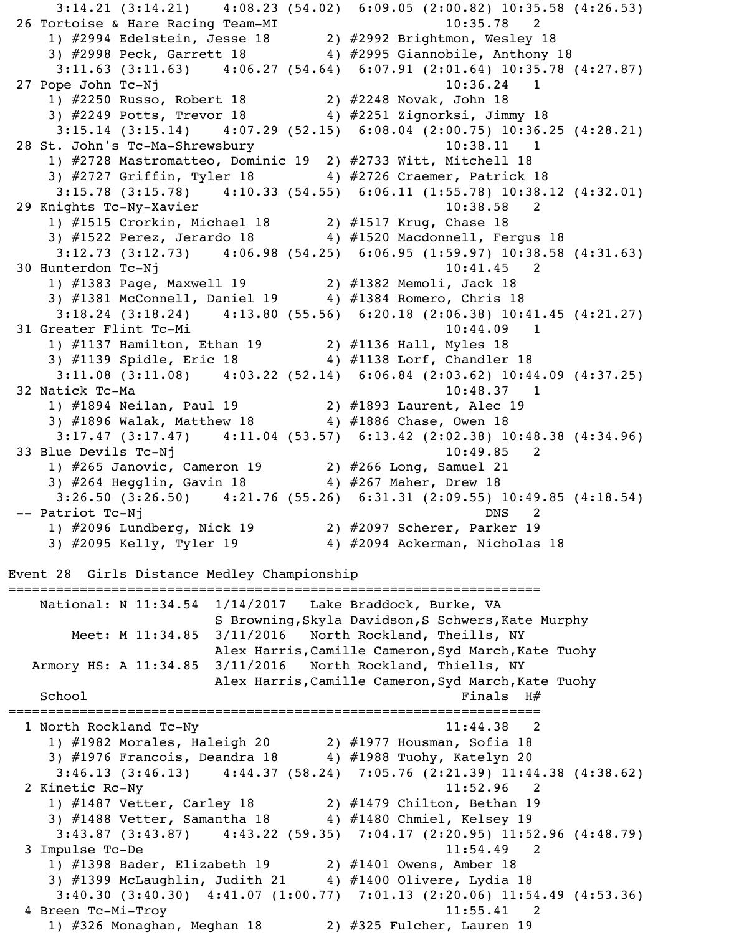3:14.21 (3:14.21) 4:08.23 (54.02) 6:09.05 (2:00.82) 10:35.58 (4:26.53) 26 Tortoise & Hare Racing Team-MI 10:35.78 1) #2994 Edelstein, Jesse 18 2) #2992 Brightmon, Wesley 18 3) #2998 Peck, Garrett 18 4) #2995 Giannobile, Anthony 18 3:11.63 (3:11.63) 4:06.27 (54.64) 6:07.91 (2:01.64) 10:35.78 (4:27.87) 27 Pope John Tc-Nj 10:36.24 1 1) #2250 Russo, Robert 18 2) #2248 Novak, John 18 3) #2249 Potts, Trevor 18 4) #2251 Zignorksi, Jimmy 18 3:15.14 (3:15.14) 4:07.29 (52.15) 6:08.04 (2:00.75) 10:36.25 (4:28.21) 28 St. John's Tc-Ma-Shrewsbury 10:38.11 1 1) #2728 Mastromatteo, Dominic 19 2) #2733 Witt, Mitchell 18 3) #2727 Griffin, Tyler 18 4) #2726 Craemer, Patrick 18 3:15.78 (3:15.78) 4:10.33 (54.55) 6:06.11 (1:55.78) 10:38.12 (4:32.01) 29 Knights Tc-Ny-Xavier 10:38.58 2 1) #1515 Crorkin, Michael 18 2) #1517 Krug, Chase 18 3) #1522 Perez, Jerardo 18 4) #1520 Macdonnell, Fergus 18 3:12.73 (3:12.73) 4:06.98 (54.25) 6:06.95 (1:59.97) 10:38.58 (4:31.63) 30 Hunterdon Tc-Nj 10:41.45 2 1) #1383 Page, Maxwell 19 2) #1382 Memoli, Jack 18 3) #1381 McConnell, Daniel 19 4) #1384 Romero, Chris 18 3:18.24 (3:18.24) 4:13.80 (55.56) 6:20.18 (2:06.38) 10:41.45 (4:21.27) 31 Greater Flint Tc-Mi 10:44.09 1 1) #1137 Hamilton, Ethan 19 2) #1136 Hall, Myles 18 3) #1139 Spidle, Eric 18 4) #1138 Lorf, Chandler 18 3:11.08 (3:11.08) 4:03.22 (52.14) 6:06.84 (2:03.62) 10:44.09 (4:37.25) 32 Natick Tc-Ma 10:48.37 1 1) #1894 Neilan, Paul 19 2) #1893 Laurent, Alec 19 3) #1896 Walak, Matthew 18 4) #1886 Chase, Owen 18 3:17.47 (3:17.47) 4:11.04 (53.57) 6:13.42 (2:02.38) 10:48.38 (4:34.96) 33 Blue Devils Tc-Nj 10:49.85 2 1) #265 Janovic, Cameron 19 2) #266 Long, Samuel 21 3) #264 Hegglin, Gavin 18 4) #267 Maher, Drew 18 3:26.50 (3:26.50) 4:21.76 (55.26) 6:31.31 (2:09.55) 10:49.85 (4:18.54) -- Patriot Tc-Nj DNS 2 1) #2096 Lundberg, Nick 19 2) #2097 Scherer, Parker 19 3) #2095 Kelly, Tyler 19 4) #2094 Ackerman, Nicholas 18 Event 28 Girls Distance Medley Championship =================================================================== National: N 11:34.54 1/14/2017 Lake Braddock, Burke, VA S Browning,Skyla Davidson,S Schwers,Kate Murphy Meet: M 11:34.85 3/11/2016 North Rockland, Theills, NY Alex Harris,Camille Cameron,Syd March,Kate Tuohy Armory HS: A 11:34.85 3/11/2016 North Rockland, Thiells, NY Alex Harris,Camille Cameron,Syd March,Kate Tuohy  $\operatorname{\mathsf{St}}\nolimits$   $\operatorname{\mathsf{Sch}}\nolimits$   $\operatorname{\mathsf{H}\nolimits}$   $\operatorname{\mathsf{H}\nolimits}$   $\operatorname{\mathsf{H}\nolimits}$   $\operatorname{\mathsf{H}\nolimits}$   $\operatorname{\mathsf{H}\nolimits}$   $\operatorname{\mathsf{H}\nolimits}$   $\operatorname{\mathsf{H}\nolimits}$   $\operatorname{\mathsf{H}\nolimits}$   $\operatorname{\mathsf{H}\nolimits}$ =================================================================== 1 North Rockland Tc-Ny 11:44.38 2 1) #1982 Morales, Haleigh 20 2) #1977 Housman, Sofia 18 3) #1976 Francois, Deandra 18 4) #1988 Tuohy, Katelyn 20 3:46.13 (3:46.13) 4:44.37 (58.24) 7:05.76 (2:21.39) 11:44.38 (4:38.62) 2 Kinetic Rc-Ny 11:52.96 2 1) #1487 Vetter, Carley 18 2) #1479 Chilton, Bethan 19 3) #1488 Vetter, Samantha 18 4) #1480 Chmiel, Kelsey 19 3:43.87 (3:43.87) 4:43.22 (59.35) 7:04.17 (2:20.95) 11:52.96 (4:48.79) 3 Impulse Tc-De 11:54.49 2 1) #1398 Bader, Elizabeth 19 2) #1401 Owens, Amber 18 3) #1399 McLaughlin, Judith 21 4) #1400 Olivere, Lydia 18 3:40.30 (3:40.30) 4:41.07 (1:00.77) 7:01.13 (2:20.06) 11:54.49 (4:53.36) 4 Breen Tc-Mi-Troy 11:55.41 2 1) #326 Monaghan, Meghan 18 2) #325 Fulcher, Lauren 19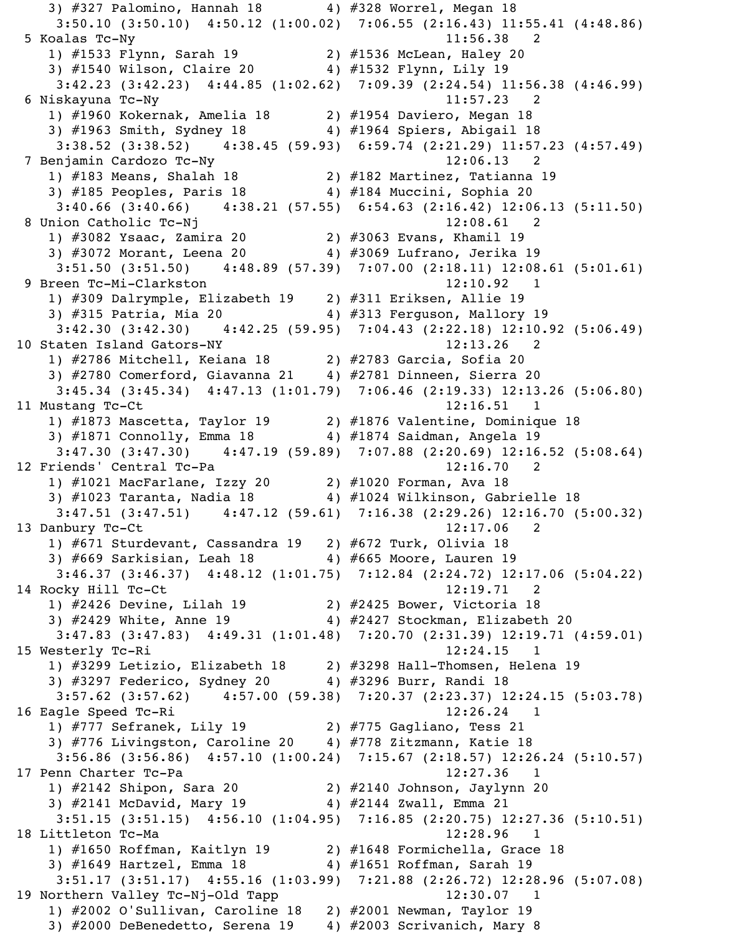3) #327 Palomino, Hannah 18 4) #328 Worrel, Megan 18 3:50.10 (3:50.10) 4:50.12 (1:00.02) 7:06.55 (2:16.43) 11:55.41 (4:48.86) 5 Koalas Tc-Ny 11:56.38 2 1) #1533 Flynn, Sarah 19 2) #1536 McLean, Haley 20 3) #1540 Wilson, Claire 20 4) #1532 Flynn, Lily 19 3:42.23 (3:42.23) 4:44.85 (1:02.62) 7:09.39 (2:24.54) 11:56.38 (4:46.99) 6 Niskayuna Tc-Ny 11:57.23 2 1) #1960 Kokernak, Amelia 18 2) #1954 Daviero, Megan 18 3) #1963 Smith, Sydney 18 4) #1964 Spiers, Abigail 18 3:38.52 (3:38.52) 4:38.45 (59.93) 6:59.74 (2:21.29) 11:57.23 (4:57.49) 7 Benjamin Cardozo Tc-Ny 12:06.13 2 1) #183 Means, Shalah 18 2) #182 Martinez, Tatianna 19 3) #185 Peoples, Paris 18 4) #184 Muccini, Sophia 20 3:40.66 (3:40.66) 4:38.21 (57.55) 6:54.63 (2:16.42) 12:06.13 (5:11.50) 8 Union Catholic Tc-Nj 12:08.61 2 1) #3082 Ysaac, Zamira 20 2) #3063 Evans, Khamil 19 3) #3072 Morant, Leena 20 4) #3069 Lufrano, Jerika 19 3:51.50 (3:51.50) 4:48.89 (57.39) 7:07.00 (2:18.11) 12:08.61 (5:01.61) 9 Breen Tc-Mi-Clarkston 12:10.92 1 1) #309 Dalrymple, Elizabeth 19 2) #311 Eriksen, Allie 19 3) #315 Patria, Mia 20 4) #313 Ferguson, Mallory 19 3:42.30 (3:42.30) 4:42.25 (59.95) 7:04.43 (2:22.18) 12:10.92 (5:06.49) 10 Staten Island Gators-NY 12:13.26 2 1) #2786 Mitchell, Keiana 18 2) #2783 Garcia, Sofia 20 3) #2780 Comerford, Giavanna 21 4) #2781 Dinneen, Sierra 20 3:45.34 (3:45.34) 4:47.13 (1:01.79) 7:06.46 (2:19.33) 12:13.26 (5:06.80) 11 Mustang Tc-Ct 12:16.51 1 1) #1873 Mascetta, Taylor 19 2) #1876 Valentine, Dominique 18 3) #1871 Connolly, Emma 18 4) #1874 Saidman, Angela 19 3:47.30 (3:47.30) 4:47.19 (59.89) 7:07.88 (2:20.69) 12:16.52 (5:08.64) 12 Friends' Central Tc-Pa 12:16.70 2 1) #1021 MacFarlane, Izzy 20 2) #1020 Forman, Ava 18 3) #1023 Taranta, Nadia 18 4) #1024 Wilkinson, Gabrielle 18 3:47.51 (3:47.51) 4:47.12 (59.61) 7:16.38 (2:29.26) 12:16.70 (5:00.32) 13 Danbury Tc-Ct 12:17.06 2 1) #671 Sturdevant, Cassandra 19 2) #672 Turk, Olivia 18 3) #669 Sarkisian, Leah 18 4) #665 Moore, Lauren 19 3:46.37 (3:46.37) 4:48.12 (1:01.75) 7:12.84 (2:24.72) 12:17.06 (5:04.22) 14 Rocky Hill Tc-Ct 12:19.71 2 1) #2426 Devine, Lilah 19 2) #2425 Bower, Victoria 18 3) #2429 White, Anne 19 4) #2427 Stockman, Elizabeth 20 3:47.83 (3:47.83) 4:49.31 (1:01.48) 7:20.70 (2:31.39) 12:19.71 (4:59.01) 15 Westerly Tc-Ri 12:24.15 1 1) #3299 Letizio, Elizabeth 18 2) #3298 Hall-Thomsen, Helena 19 3) #3297 Federico, Sydney 20 4) #3296 Burr, Randi 18 3:57.62 (3:57.62) 4:57.00 (59.38) 7:20.37 (2:23.37) 12:24.15 (5:03.78) 16 Eagle Speed Tc-Ri 12:26.24 1 1) #777 Sefranek, Lily 19 2) #775 Gagliano, Tess 21 3) #776 Livingston, Caroline 20 4) #778 Zitzmann, Katie 18 3:56.86 (3:56.86) 4:57.10 (1:00.24) 7:15.67 (2:18.57) 12:26.24 (5:10.57) 17 Penn Charter Tc-Pa 12:27.36 1 1) #2142 Shipon, Sara 20 2) #2140 Johnson, Jaylynn 20 3) #2141 McDavid, Mary 19 4) #2144 Zwall, Emma 21 3:51.15 (3:51.15) 4:56.10 (1:04.95) 7:16.85 (2:20.75) 12:27.36 (5:10.51) 18 Littleton Tc-Ma 12:28.96 1 1) #1650 Roffman, Kaitlyn 19 2) #1648 Formichella, Grace 18 3) #1649 Hartzel, Emma 18 4) #1651 Roffman, Sarah 19 3:51.17 (3:51.17) 4:55.16 (1:03.99) 7:21.88 (2:26.72) 12:28.96 (5:07.08) 19 Northern Valley Tc-Nj-Old Tapp 12:30.07 1 1) #2002 O'Sullivan, Caroline 18 2) #2001 Newman, Taylor 19 3) #2000 DeBenedetto, Serena 19 4) #2003 Scrivanich, Mary 8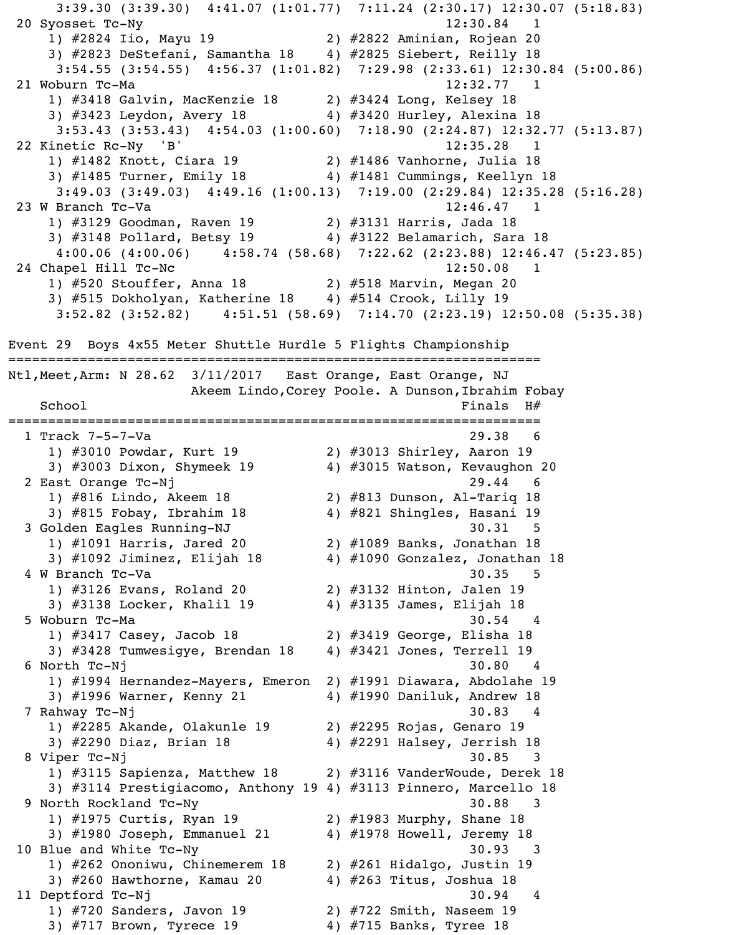3:39.30 (3:39.30) 4:41.07 (1:01.77) 7:11.24 (2:30.17) 12:30.07 (5:18.83) 20 Syosset Tc-Ny 12:30.84 1 1) #2824 Iio, Mayu 19 2) #2822 Aminian, Rojean 20 3) #2823 DeStefani, Samantha 18 4) #2825 Siebert, Reilly 18 3:54.55 (3:54.55) 4:56.37 (1:01.82) 7:29.98 (2:33.61) 12:30.84 (5:00.86) 21 Woburn Tc-Ma 12:32.77 1 1) #3418 Galvin, MacKenzie 18 2) #3424 Long, Kelsey 18 3)  $\#3423$  Leydon, Avery 18 4)  $\#3420$  Hurley, Alexina 18 3:53.43 (3:53.43) 4:54.03 (1:00.60) 7:18.90 (2:24.87) 12:32.77 (5:13.87) 22 Kinetic Rc-Ny 'B' 12:35.28 1 1) #1482 Knott, Ciara 19 2) #1486 Vanhorne, Julia 18 3) #1485 Turner, Emily 18 4) #1481 Cummings, Keellyn 18 3:49.03 (3:49.03) 4:49.16 (1:00.13) 7:19.00 (2:29.84) 12:35.28 (5:16.28) 23 W Branch Tc-Va 12:46.47 1 1) #3129 Goodman, Raven 19 2) #3131 Harris, Jada 18 3) #3148 Pollard, Betsy 19 4) #3122 Belamarich, Sara 18 4:00.06 (4:00.06) 4:58.74 (58.68) 7:22.62 (2:23.88) 12:46.47 (5:23.85) 24 Chapel Hill Tc-Nc 12:50.08 1 1) #520 Stouffer, Anna 18 2) #518 Marvin, Megan 20 3) #515 Dokholyan, Katherine 18 4) #514 Crook, Lilly 19 3:52.82 (3:52.82) 4:51.51 (58.69) 7:14.70 (2:23.19) 12:50.08 (5:35.38) Event 29 Boys 4x55 Meter Shuttle Hurdle 5 Flights Championship =================================================================== Ntl,Meet,Arm: N 28.62 3/11/2017 East Orange, East Orange, NJ Akeem Lindo, Corey Poole. A Dunson, Ibrahim Fobay School Finals H# =================================================================== 1 Track 7-5-7-Va 29.38 6 1) #3010 Powdar, Kurt 19 2) #3013 Shirley, Aaron 19 3) #3003 Dixon, Shymeek 19  $\,$  4) #3015 Watson, Kevaughon 20 2 East Orange Tc-Nj 29.44 6 1) #816 Lindo, Akeem 18 2) #813 Dunson, Al-Tariq 18 3) #815 Fobay, Ibrahim 18 4) #821 Shingles, Hasani 19 3 Golden Eagles Running-NJ 30.31 5 1) #1091 Harris, Jared 20 2) #1089 Banks, Jonathan 18 3) #1092 Jiminez, Elijah 18 4) #1090 Gonzalez, Jonathan 18 4 W Branch Tc-Va 30.35 5 1) #3126 Evans, Roland 20 2) #3132 Hinton, Jalen 19 3) #3138 Locker, Khalil 19 4) #3135 James, Elijah 18 5 Woburn Tc-Ma 30.54 4 1) #3417 Casey, Jacob 18 2) #3419 George, Elisha 18 3) #3428 Tumwesigye, Brendan 18 4) #3421 Jones, Terrell 19 6 North Tc-Nj 30.80 4 1) #1994 Hernandez-Mayers, Emeron 2) #1991 Diawara, Abdolahe 19 3) #1996 Warner, Kenny 21 4) #1990 Daniluk, Andrew 18 7 Rahway Tc-Nj 30.83 4 1) #2285 Akande, Olakunle 19 2) #2295 Rojas, Genaro 19 3) #2290 Diaz, Brian 18 4) #2291 Halsey, Jerrish 18 8 Viper Tc-Nj 30.85 3 1) #3115 Sapienza, Matthew 18 2) #3116 VanderWoude, Derek 18 3) #3114 Prestigiacomo, Anthony 19 4) #3113 Pinnero, Marcello 18 9 North Rockland Tc-Ny 30.88 3 1) #1975 Curtis, Ryan 19 2) #1983 Murphy, Shane 18 3) #1980 Joseph, Emmanuel 21 4) #1978 Howell, Jeremy 18 10 Blue and White Tc-Ny 30.93 3 1) #262 Ononiwu, Chinemerem 18 2) #261 Hidalgo, Justin 19 3) #260 Hawthorne, Kamau 20 4) #263 Titus, Joshua 18 11 Deptford Tc-Nj 30.94 4 1) #720 Sanders, Javon 19 2) #722 Smith, Naseem 19 3) #717 Brown, Tyrece 19 4) #715 Banks, Tyree 18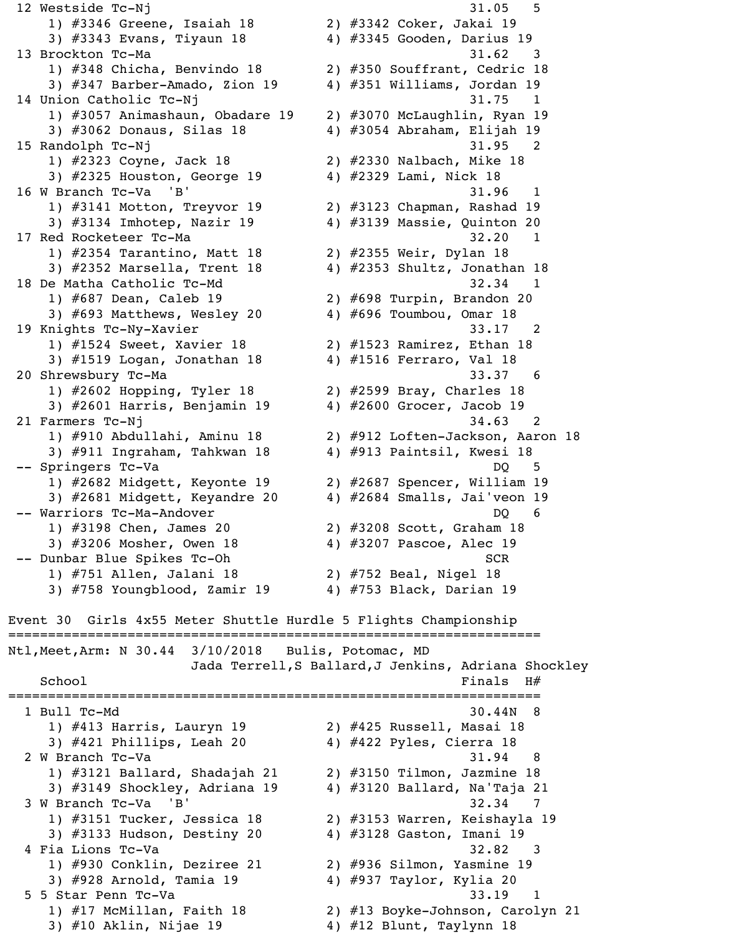12 Westside Tc-Nj 31.05 5 1) #3346 Greene, Isaiah 18 2) #3342 Coker, Jakai 19 3) #3343 Evans, Tiyaun 18 4) #3345 Gooden, Darius 19 13 Brockton Tc-Ma 31.62 3 1) #348 Chicha, Benvindo 18 2) #350 Souffrant, Cedric 18 3) #347 Barber-Amado, Zion 19 4) #351 Williams, Jordan 19 14 Union Catholic Tc-Nj 31.75 1 1) #3057 Animashaun, Obadare 19 2) #3070 McLaughlin, Ryan 19 3) #3062 Donaus, Silas 18 4) #3054 Abraham, Elijah 19 15 Randolph Tc-Nj 31.95 1) #2323 Coyne, Jack 18 2) #2330 Nalbach, Mike 18 3) #2325 Houston, George 19 4) #2329 Lami, Nick 18 16 W Branch Tc-Va 'B' 31.96 1 1) #3141 Motton, Treyvor 19 2) #3123 Chapman, Rashad 19 3) #3134 Imhotep, Nazir 19 4) #3139 Massie, Quinton 20 17 Red Rocketeer Tc-Ma 32.20 1 1) #2354 Tarantino, Matt 18 2) #2355 Weir, Dylan 18 3) #2352 Marsella, Trent 18 4) #2353 Shultz, Jonathan 18 18 De Matha Catholic Tc-Md 32.34 1 1) #687 Dean, Caleb 19 2) #698 Turpin, Brandon 20 3)  $\#693$  Matthews, Wesley 20  $4$ )  $\#696$  Toumbou, Omar 18 19 Knights Tc-Ny-Xavier 33.17 2 1) #1524 Sweet, Xavier 18 2) #1523 Ramirez, Ethan 18 3) #1519 Logan, Jonathan 18 4) #1516 Ferraro, Val 18 20 Shrewsbury Tc-Ma 33.37 6 1) #2602 Hopping, Tyler 18 2) #2599 Bray, Charles 18 3) #2601 Harris, Benjamin 19 4) #2600 Grocer, Jacob 19 21 Farmers Tc-Nj 34.63 2 1) #910 Abdullahi, Aminu 18 2) #912 Loften-Jackson, Aaron 18 3) #911 Ingraham, Tahkwan 18 4) #913 Paintsil, Kwesi 18 -- Springers Tc-Va DQ 5 1) #2682 Midgett, Keyonte 19 2) #2687 Spencer, William 19 3) #2681 Midgett, Keyandre 20 4) #2684 Smalls, Jai'veon 19 -- Warriors Tc-Ma-Andover DQ 600 DQ 1) #3198 Chen, James 20 2) #3208 Scott, Graham 18 3) #3206 Mosher, Owen 18 4) #3207 Pascoe, Alec 19 -- Dunbar Blue Spikes Tc-Oh SCR 1) #751 Allen, Jalani 18 2) #752 Beal, Nigel 18 3)  $#758$  Youngblood, Zamir 19  $4$ )  $#753$  Black, Darian 19 Event 30 Girls 4x55 Meter Shuttle Hurdle 5 Flights Championship =================================================================== Ntl,Meet,Arm: N 30.44 3/10/2018 Bulis, Potomac, MD Jada Terrell,S Ballard,J Jenkins, Adriana Shockley  $School$   $H#$ =================================================================== 1 Bull Tc-Md 30.44N 8 1) #413 Harris, Lauryn 19 2) #425 Russell, Masai 18 3) #421 Phillips, Leah 20 4) #422 Pyles, Cierra 18 2 W Branch Tc-Va 31.94 8 1) #3121 Ballard, Shadajah 21 2) #3150 Tilmon, Jazmine 18 3)  $\#3149$  Shockley, Adriana 19  $\qquad$  4)  $\#3120$  Ballard, Na'Taja 21 3 W Branch Tc-Va 'B' 32.34 7 1) #3151 Tucker, Jessica 18 2) #3153 Warren, Keishayla 19 3) #3133 Hudson, Destiny 20 4) #3128 Gaston, Imani 19 4 Fia Lions Tc-Va 32.82 3 1) #930 Conklin, Deziree 21 2) #936 Silmon, Yasmine 19 3) #928 Arnold, Tamia 19 4) #937 Taylor, Kylia 20 5 5 Star Penn Tc-Va 33.19 1 1) #17 McMillan, Faith 18 2) #13 Boyke-Johnson, Carolyn 21 3)  $#10$  Aklin, Nijae 19  $4)$   $#12$  Blunt, Taylynn 18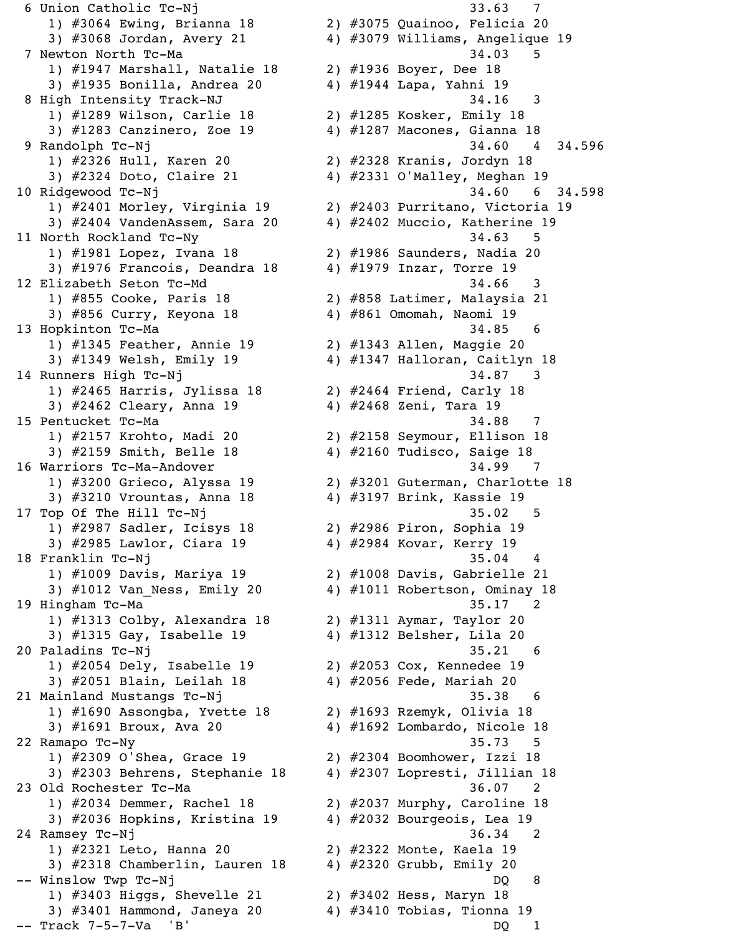1) #3064 Ewing, Brianna 18 2) #3075 Quainoo, Felicia 20 3) #3068 Jordan, Avery 21 4) #3079 Williams, Angelique 19 7 Newton North Tc-Ma 34.03 5 1) #1947 Marshall, Natalie 18 2) #1936 Boyer, Dee 18 3) #1935 Bonilla, Andrea 20 4) #1944 Lapa, Yahni 19 8 High Intensity Track-NJ 34.16 3 1) #1289 Wilson, Carlie 18 2) #1285 Kosker, Emily 18 3) #1283 Canzinero, Zoe 19 4) #1287 Macones, Gianna 18 9 Randolph Tc-Nj 34.60 4 34.596 1) #2326 Hull, Karen 20 2) #2328 Kranis, Jordyn 18 3) #2324 Doto, Claire 21 4) #2331 O'Malley, Meghan 19 10 Ridgewood Tc-Nj 34.60 6 34.598 1) #2401 Morley, Virginia 19 2) #2403 Purritano, Victoria 19 3) #2404 VandenAssem, Sara 20 4) #2402 Muccio, Katherine 19 11 North Rockland Tc-Ny 34.63 5 1) #1981 Lopez, Ivana 18 2) #1986 Saunders, Nadia 20 3)  $\#1976$  Francois, Deandra 18  $4$ )  $\#1979$  Inzar, Torre 19 12 Elizabeth Seton Tc-Md 34.66 3 1) #855 Cooke, Paris 18 2) #858 Latimer, Malaysia 21 3) #856 Curry, Keyona 18 4) #861 Omomah, Naomi 19 13 Hopkinton Tc-Ma 34.85 6 1) #1345 Feather, Annie 19 2) #1343 Allen, Maggie 20 3) #1349 Welsh, Emily 19 4) #1347 Halloran, Caitlyn 18 14 Runners High Tc-Nj 34.87 3 1) #2465 Harris, Jylissa 18 2) #2464 Friend, Carly 18 3) #2462 Cleary, Anna 19 4) #2468 Zeni, Tara 19 15 Pentucket Tc-Ma 34.88 7 1) #2157 Krohto, Madi 20 2) #2158 Seymour, Ellison 18 3) #2159 Smith, Belle 18 4) #2160 Tudisco, Saige 18 16 Warriors Tc-Ma-Andover 34.99 7 1) #3200 Grieco, Alyssa 19 2) #3201 Guterman, Charlotte 18 3) #3210 Vrountas, Anna 18 4) #3197 Brink, Kassie 19 17 Top Of The Hill Tc-Nj 35.02 5 1) #2987 Sadler, Icisys 18 2) #2986 Piron, Sophia 19 3) #2985 Lawlor, Ciara 19 4) #2984 Kovar, Kerry 19 18 Franklin Tc-Nj 35.04 4 1) #1009 Davis, Mariya 19 2) #1008 Davis, Gabrielle 21 3) #1012 Van\_Ness, Emily 20 4) #1011 Robertson, Ominay 18 19 Hingham Tc-Ma 35.17 2 1) #1313 Colby, Alexandra 18 2) #1311 Aymar, Taylor 20 3) #1315 Gay, Isabelle 19 4) #1312 Belsher, Lila 20 20 Paladins Tc-Nj 35.21 6 1) #2054 Dely, Isabelle 19 2) #2053 Cox, Kennedee 19 3) #2051 Blain, Leilah 18 4) #2056 Fede, Mariah 20 21 Mainland Mustangs Tc-Nj 35.38 6 1) #1690 Assongba, Yvette 18 2) #1693 Rzemyk, Olivia 18 3) #1691 Broux, Ava 20 4) #1692 Lombardo, Nicole 18 22 Ramapo Tc-Ny 35.73 5 1) #2309 O'Shea, Grace 19 2) #2304 Boomhower, Izzi 18 3) #2303 Behrens, Stephanie 18 4) #2307 Lopresti, Jillian 18 23 Old Rochester Tc-Ma 36.07 2 1) #2034 Demmer, Rachel 18 2) #2037 Murphy, Caroline 18 3) #2036 Hopkins, Kristina 19 4) #2032 Bourgeois, Lea 19 24 Ramsey Tc-Nj 36.34 2 1) #2321 Leto, Hanna 20 2) #2322 Monte, Kaela 19 3) #2318 Chamberlin, Lauren 18 4) #2320 Grubb, Emily 20 -- Winslow Twp Tc-Nj 200 and 200 and 200 and 200 and 200 and 200 and 200 and 200 and 200 and 200 and 200 and 20 1) #3403 Higgs, Shevelle 21 2) #3402 Hess, Maryn 18 3) #3401 Hammond, Janeya 20 4) #3410 Tobias, Tionna 19 -- Track 7-5-7-Va 'B' DQ 1

6 Union Catholic Tc-Nj 33.63 7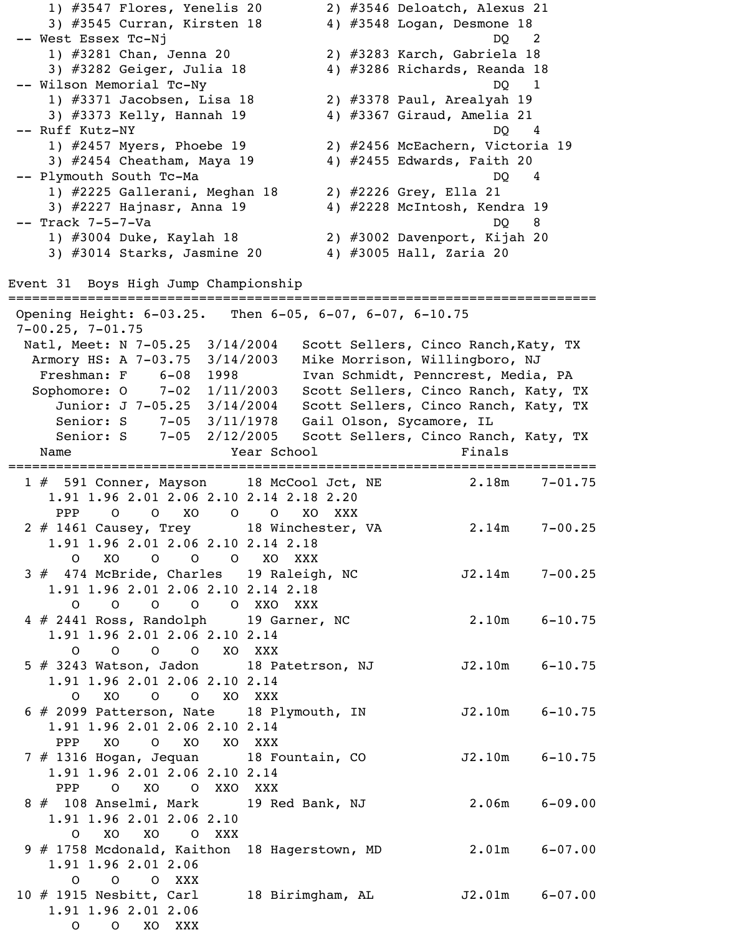1) #3547 Flores, Yenelis 20 2) #3546 Deloatch, Alexus 21 3) #3545 Curran, Kirsten 18 4) #3548 Logan, Desmone 18 -- West Essex Tc-Nj 1) #3281 Chan, Jenna 20 2) #3283 Karch, Gabriela 18 3) #3282 Geiger, Julia 18 4) #3286 Richards, Reanda 18 -- Wilson Memorial Tc-Ny DQ 1 1) #3371 Jacobsen, Lisa 18 2) #3378 Paul, Arealyah 19 3) #3373 Kelly, Hannah 19 4) #3367 Giraud, Amelia 21 -- Ruff Kutz-NY DQ 4 1) #2457 Myers, Phoebe 19 2) #2456 McEachern, Victoria 19 3) #2454 Cheatham, Maya 19 4) #2455 Edwards, Faith 20 -- Plymouth South Tc-Ma DQ 4 1) #2225 Gallerani, Meghan 18 2) #2226 Grey, Ella 21 3) #2227 Hajnasr, Anna 19 4) #2228 McIntosh, Kendra 19 -- Track 7-5-7-Va DQ 8 1) #3004 Duke, Kaylah 18 2) #3002 Davenport, Kijah 20 3) #3014 Starks, Jasmine 20 4) #3005 Hall, Zaria 20 Event 31 Boys High Jump Championship ========================================================================== Opening Height: 6-03.25. Then 6-05, 6-07, 6-07, 6-10.75 7-00.25, 7-01.75 Natl, Meet: N 7-05.25 3/14/2004 Scott Sellers, Cinco Ranch, Katy, TX Armory HS: A 7-03.75 3/14/2003 Mike Morrison, Willingboro, NJ Freshman: F 6-08 1998 Ivan Schmidt, Penncrest, Media, PA Sophomore: O 7-02 1/11/2003 Scott Sellers, Cinco Ranch, Katy, TX Junior: J 7-05.25 3/14/2004 Scott Sellers, Cinco Ranch, Katy, TX Senior: S 7-05 3/11/1978 Gail Olson, Sycamore, IL Senior: S 7-05 2/12/2005 Scott Sellers, Cinco Ranch, Katy, TX Name **Name Year School Finals** ========================================================================== 1 # 591 Conner, Mayson 18 McCool Jct, NE 1.91 1.96 2.01 2.06 2.10 2.14 2.18 2.20 PPP O O XO O O XO XXX 2 # 1461 Causey, Trey 18 Winchester, VA 2.14m 7-00.25 1.91 1.96 2.01 2.06 2.10 2.14 2.18 O XO O O O XO XXX 3 # 474 McBride, Charles 19 Raleigh, NC J2.14m 7-00.25 1.91 1.96 2.01 2.06 2.10 2.14 2.18 O O O O O XXO XXX 4 # 2441 Ross, Randolph 19 Garner, NC 2.10m 6-10.75 1.91 1.96 2.01 2.06 2.10 2.14 O O O O XO XXX 5 # 3243 Watson, Jadon 18 Patetrson, NJ 52.10m 6-10.75 1.91 1.96 2.01 2.06 2.10 2.14 O XO O O XO XXX 6 # 2099 Patterson, Nate 18 Plymouth, IN J2.10m 6-10.75 1.91 1.96 2.01 2.06 2.10 2.14 PPP XO O XO XO XXX 7 # 1316 Hogan, Jequan 18 Fountain, CO J2.10m 6-10.75 1.91 1.96 2.01 2.06 2.10 2.14 PPP O XO O XXO XXX 8 # 108 Anselmi, Mark 19 Red Bank, NJ 2.06m 6-09.00 1.91 1.96 2.01 2.06 2.10 O XO XO O XXX 9 # 1758 Mcdonald, Kaithon 18 Hagerstown, MD 2.01m 6-07.00 1.91 1.96 2.01 2.06 O O O XXX 10 # 1915 Nesbitt, Carl 18 Birimgham, AL J2.01m 6-07.00 1.91 1.96 2.01 2.06 O O XO XXX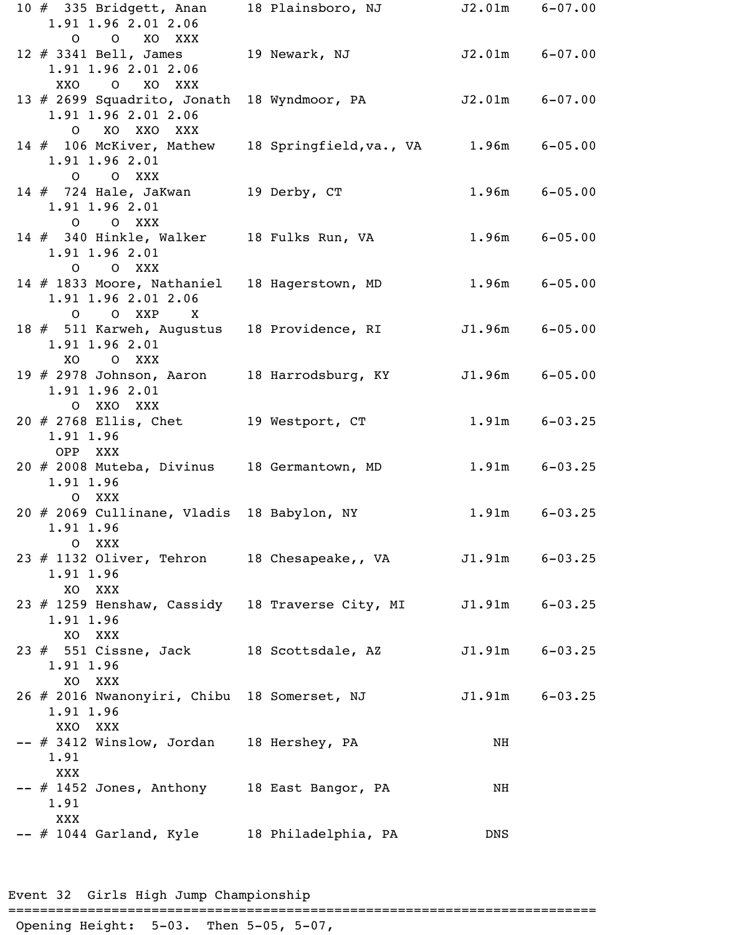| 10 $#$ 335 Bridgett, Anan<br>1.91 1.96 2.01 2.06                                 | 18 Plainsboro, NJ                     |                    | $J2.01m$ $6-07.00$ |
|----------------------------------------------------------------------------------|---------------------------------------|--------------------|--------------------|
| O O XO XXX<br>12 # 3341 Bell, James                                              | 19 Newark, NJ                         |                    | $J2.01m$ $6-07.00$ |
| 1.91 1.96 2.01 2.06<br>O XO XXX<br>XXO                                           |                                       |                    |                    |
| 13 $#$ 2699 Squadrito, Jonath<br>1.91 1.96 2.01 2.06<br>O XO XXO XXX             | 18 Wyndmoor, PA                       | $J2.01m$ $6-07.00$ |                    |
| 14 # 106 McKiver, Mathew<br>1.91 1.96 2.01<br>O O XXX                            | 18 Springfield, va., VA 1.96m 6-05.00 |                    |                    |
| 14 # 724 Hale, JaKwan 19 Derby, CT<br>1.91 1.96 2.01<br>O O XXX                  |                                       |                    | $1.96m$ $6-05.00$  |
| 14 # 340 Hinkle, Walker 18 Fulks Run, VA<br>1.91 1.96 2.01<br>O O XXX            |                                       |                    | $1.96m$ $6-05.00$  |
| 14 # 1833 Moore, Nathaniel 18 Hagerstown, MD<br>1.91 1.96 2.01 2.06<br>O O XXP X |                                       |                    | $1.96m$ $6-05.00$  |
| 18 # 511 Karweh, Augustus 18 Providence, RI<br>1.91 1.96 2.01                    |                                       |                    | $J1.96m$ 6-05.00   |
| XO O XXX<br>1.91 1.96 2.01                                                       | 18 Harrodsburg, KY                    |                    | $J1.96m$ 6-05.00   |
| O XXO XXX<br>$20$ $\#$ 2768 Ellis, Chet<br>1.91 1.96                             | 19 Westport, CT                       |                    | $1.91m$ $6-03.25$  |
| OPP XXX<br>20 # 2008 Muteba, Divinus 18 Germantown, MD<br>1.91 1.96<br>O XXX     |                                       |                    | $1.91m$ $6-03.25$  |
| 20 # 2069 Cullinane, Vladis 18 Babylon, NY 1.91m 6-03.25<br>1.91 1.96<br>O XXX   |                                       |                    |                    |
| 23 # 1132 Oliver, Tehron 18 Chesapeake,, VA<br>1.91 1.96<br>XO XXX               |                                       |                    | $J1.91m$ $6-03.25$ |
| 23 # 1259 Henshaw, Cassidy 18 Traverse City, MI<br>1.91 1.96<br>XO XXX           |                                       |                    | $J1.91m$ $6-03.25$ |
| 23 # 551 Cissne, Jack 18 Scottsdale, AZ<br>1.91 1.96<br>XO XXX                   |                                       |                    | $J1.91m$ $6-03.25$ |
| 26 # 2016 Nwanonyiri, Chibu 18 Somerset, NJ<br>1.91 1.96<br>XXO XXX              |                                       |                    | $J1.91m$ $6-03.25$ |
| -- # 3412 Winslow, Jordan 18 Hershey, PA<br>1.91                                 |                                       | NH                 |                    |
| XXX<br>-- # 1452 Jones, Anthony 18 East Bangor, PA<br>1.91                       |                                       | NH                 |                    |
| XXX<br>-- # 1044 Garland, Kyle 18 Philadelphia, PA                               |                                       | <b>DNS</b>         |                    |

Event 32 Girls High Jump Championship

==========================================================================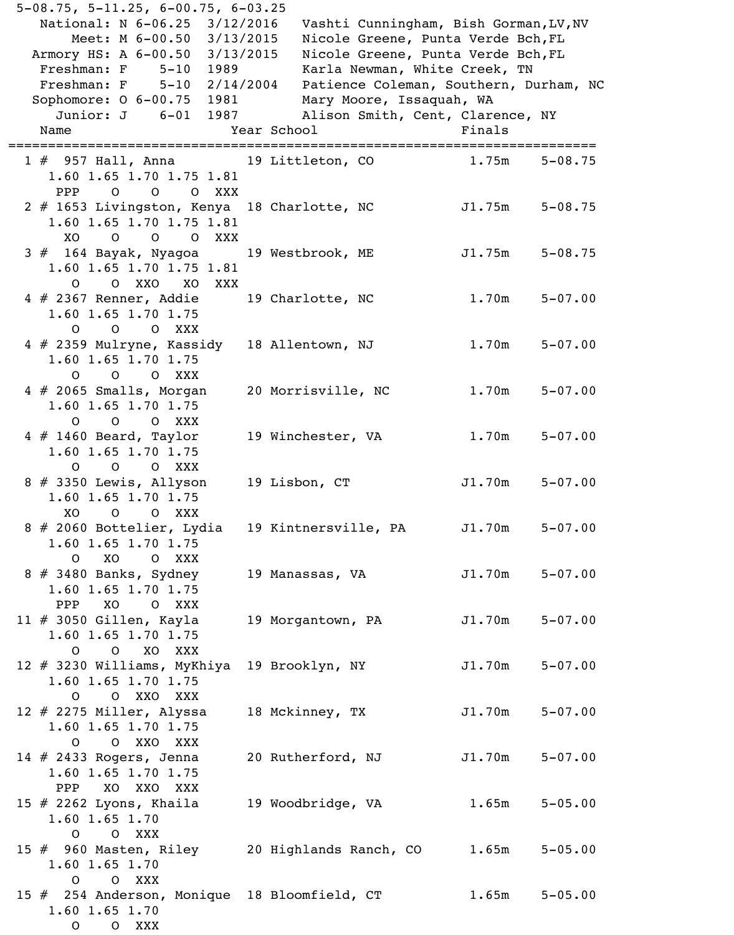| $5-08.75$ , $5-11.25$ , $6-00.75$ , $6-03.25$ |             |                                        |                    |             |
|-----------------------------------------------|-------------|----------------------------------------|--------------------|-------------|
| National: N 6-06.25 3/12/2016                 |             | Vashti Cunningham, Bish Gorman, LV, NV |                    |             |
| Meet: M 6-00.50 3/13/2015                     |             | Nicole Greene, Punta Verde Bch, FL     |                    |             |
| Armory HS: A 6-00.50 3/13/2015                |             | Nicole Greene, Punta Verde Bch, FL     |                    |             |
| Freshman: F 5-10                              | 1989 — 1989 | Karla Newman, White Creek, TN          |                    |             |
| Freshman: F $5-10$ $2/14/2004$                |             | Patience Coleman, Southern, Durham, NC |                    |             |
| Sophomore: $0$ 6-00.75                        |             | Mary Moore, Issaquah, WA               |                    |             |
| Junior: J 6-01                                | 1987 — 1987 | Alison Smith, Cent, Clarence, NY       |                    |             |
| Name                                          | Year School |                                        | Finals             |             |
|                                               |             |                                        |                    |             |
| 1 # 957 Hall, Anna 19 Littleton, CO           |             |                                        | 1.75m              | $5 - 08.75$ |
| 1.60 1.65 1.70 1.75 1.81                      |             |                                        |                    |             |
| PPP<br>O O O XXX                              |             |                                        |                    |             |
| 2 # 1653 Livingston, Kenya 18 Charlotte, NC   |             |                                        | J1.75m             | $5 - 08.75$ |
| 1.60 1.65 1.70 1.75 1.81                      |             |                                        |                    |             |
| O O XXX<br>XO.<br>$\circ$                     |             |                                        |                    |             |
| 3 # 164 Bayak, Nyagoa 19 Westbrook, ME        |             |                                        | J1.75m             | $5 - 08.75$ |
| 1.60 1.65 1.70 1.75 1.81                      |             |                                        |                    |             |
| O O XXO XO XXX                                |             |                                        |                    |             |
| 4 # 2367 Renner, Addie 19 Charlotte, NC       |             |                                        | 1.70m              | $5 - 07.00$ |
| 1.60 1.65 1.70 1.75                           |             |                                        |                    |             |
| O O XXX<br>$\overline{O}$                     |             |                                        |                    |             |
| $4 \# 2359$ Mulryne, Kassidy                  |             | 18 Allentown, NJ                       | 1.70m              | $5 - 07.00$ |
| 1.60 1.65 1.70 1.75                           |             |                                        |                    |             |
| O O O XXX                                     |             |                                        |                    |             |
| $4 \# 2065$ Smalls, Morgan                    |             | 20 Morrisville, NC                     | 1.70m              | $5 - 07.00$ |
| 1.60 1.65 1.70 1.75                           |             |                                        |                    |             |
| $\overline{O}$<br>O XXX<br>$\Omega$           |             |                                        |                    |             |
| $4 \# 1460$ Beard, Taylor                     |             | 19 Winchester, VA                      | 1.70m              | $5 - 07.00$ |
| $1.60$ 1.65 1.70 1.75                         |             |                                        |                    |             |
| $\overline{O}$<br>O XXX<br>O                  |             |                                        |                    |             |
| 8 # 3350 Lewis, Allyson                       |             | 19 Lisbon, CT                          | $J1.70m$ $5-07.00$ |             |
| 1.60 1.65 1.70 1.75                           |             |                                        |                    |             |
| X <sub>O</sub><br>O O XXX                     |             |                                        |                    |             |
| 8 # 2060 Bottelier, Lydia                     |             | 19 Kintnersville, PA                   | $J1.70m$ $5-07.00$ |             |
| 1.60 1.65 1.70 1.75                           |             |                                        |                    |             |
| O XO O XXX                                    |             |                                        |                    |             |
| $8 \# 3480$ Banks, Sydney                     |             | 19 Manassas, VA                        | J1.70m             | $5 - 07.00$ |
| 1.60 1.65 1.70 1.75                           |             |                                        |                    |             |
| XO OXXX<br>PPP                                |             |                                        |                    |             |
| 11 $#$ 3050 Gillen, Kayla                     |             | 19 Morgantown, PA                      | J1.70m             | $5 - 07.00$ |
| 1.60 1.65 1.70 1.75                           |             |                                        |                    |             |
| O O XO XXX                                    |             |                                        |                    |             |
| 12 # 3230 Williams, MyKhiya                   |             | 19 Brooklyn, NY                        | J1.70m             | $5 - 07.00$ |
| 1.60 1.65 1.70 1.75                           |             |                                        |                    |             |
| O XXO XXX<br>$\overline{O}$                   |             |                                        |                    |             |
| 12 $#$ 2275 Miller, Alyssa                    |             | 18 Mckinney, TX                        | J1.70m             | $5 - 07.00$ |
| 1.60 1.65 1.70 1.75                           |             |                                        |                    |             |
| O O XXO XXX                                   |             |                                        |                    |             |
| 14 $#$ 2433 Rogers, Jenna                     |             | 20 Rutherford, NJ                      | $J1.70m$ $5-07.00$ |             |
| 1.60 1.65 1.70 1.75                           |             |                                        |                    |             |
| XO XXO XXX<br>PPP                             |             |                                        |                    |             |
| 15 $#$ 2262 Lyons, Khaila                     |             | 19 Woodbridge, VA                      | 1.65m              | $5 - 05.00$ |
| $1.60$ $1.65$ $1.70$                          |             |                                        |                    |             |
| O O XXX                                       |             |                                        |                    |             |
| 15 # 960 Masten, Riley 20 Highlands Ranch, CO |             |                                        | 1.65m              | $5 - 05.00$ |
| $1.60$ $1.65$ $1.70$                          |             |                                        |                    |             |
| O XXX<br>$\mathsf{O}$                         |             |                                        |                    |             |
| 15 # 254 Anderson, Monique 18 Bloomfield, CT  |             |                                        | 1.65m              | $5 - 05.00$ |
| $1.60$ $1.65$ $1.70$                          |             |                                        |                    |             |
| XXX<br>$\mathsf{O}$<br>$\overline{O}$         |             |                                        |                    |             |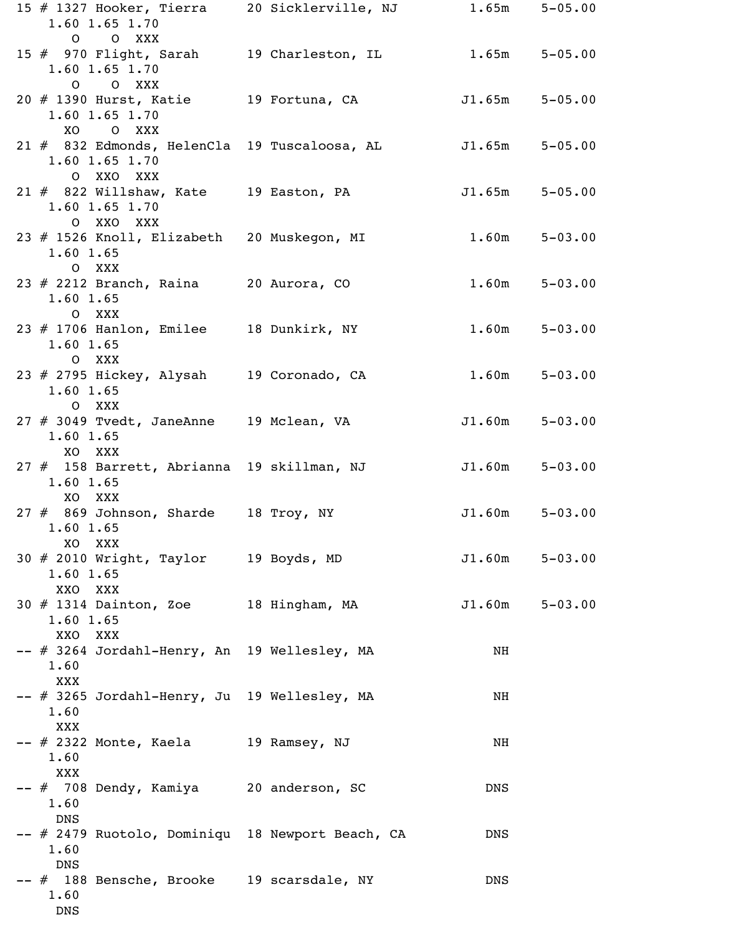| 15 # 1327 Hooker, Tierra       20 Sicklerville, NJ              1.65m     5–05.00<br>$1.60$ 1.65 1.70<br>O O XXX |  |                    |                   |
|------------------------------------------------------------------------------------------------------------------|--|--------------------|-------------------|
| 15 # 970 Flight, Sarah 19 Charleston, IL 1.65m 5-05.00<br>$1.60$ $1.65$ $1.70$<br>O O XXX                        |  |                    |                   |
| 20 # 1390 Hurst, Katie 19 Fortuna, CA<br>$1.60$ $1.65$ $1.70$<br>XO O XXX                                        |  | $J1.65m$ $5-05.00$ |                   |
| 21 # 832 Edmonds, HelenCla 19 Tuscaloosa, AL<br>$1.60$ $1.65$ $1.70$<br>O XXO XXX                                |  | $J1.65m$ $5-05.00$ |                   |
| 21 # 822 Willshaw, Kate 19 Easton, PA<br>$1.60$ $1.65$ $1.70$<br>O XXO XXX                                       |  | $J1.65m$ $5-05.00$ |                   |
| 23 # 1526 Knoll, Elizabeth 20 Muskegon, MI<br>$1.60$ $1.65$<br>O XXX                                             |  |                    | $1.60m$ $5-03.00$ |
| $23 \# 2212$ Branch, Raina 20 Aurora, CO<br>1.60 1.65<br>O XXX                                                   |  | 1.60m              | $5 - 03.00$       |
| 23 # 1706 Hanlon, Emilee 18 Dunkirk, NY<br>1.60 1.65<br>O XXX                                                    |  | 1.60m              | $5 - 03.00$       |
| 23 # 2795 Hickey, Alysah 19 Coronado, CA<br>1.60 1.65<br>O XXX                                                   |  |                    | $1.60m$ $5-03.00$ |
| 27 # 3049 Tvedt, JaneAnne 19 Mclean, VA<br>1.60 1.65<br>XO XXX                                                   |  | $J1.60m$ $5-03.00$ |                   |
| 27 # 158 Barrett, Abrianna 19 skillman, NJ<br>$1.60$ 1.65<br>XO XXX                                              |  | $J1.60m$ $5-03.00$ |                   |
| 27 # 869 Johnson, Sharde 18 Troy, NY<br>1.60 1.65<br>XO XXX                                                      |  | $J1.60m$ $5-03.00$ |                   |
| 30 # 2010 Wright, Taylor 19 Boyds, MD<br>1.60 1.65<br>XXO XXX                                                    |  | J1.60m             | $5 - 03.00$       |
| 30 # 1314 Dainton, Zoe 18 Hingham, MA<br>1.60 1.65<br>XXO XXX                                                    |  | $J1.60m$ $5-03.00$ |                   |
| -- # 3264 Jordahl-Henry, An 19 Wellesley, MA<br>1.60<br>XXX<br>-- # 3265 Jordahl-Henry, Ju 19 Wellesley, MA      |  | NH<br>NH           |                   |
| 1.60<br>XXX<br>$--$ # 2322 Monte, Kaela $19$ Ramsey, NJ                                                          |  | NH                 |                   |
| 1.60<br>XXX<br>-- # 708 Dendy, Kamiya 20 anderson, SC                                                            |  | <b>DNS</b>         |                   |
| 1.60<br><b>DNS</b><br>-- # 2479 Ruotolo, Dominiqu 18 Newport Beach, CA                                           |  | DNS                |                   |
| 1.60<br><b>DNS</b><br>-- # 188 Bensche, Brooke 19 scarsdale, NY                                                  |  | DNS                |                   |
| 1.60<br>DNS                                                                                                      |  |                    |                   |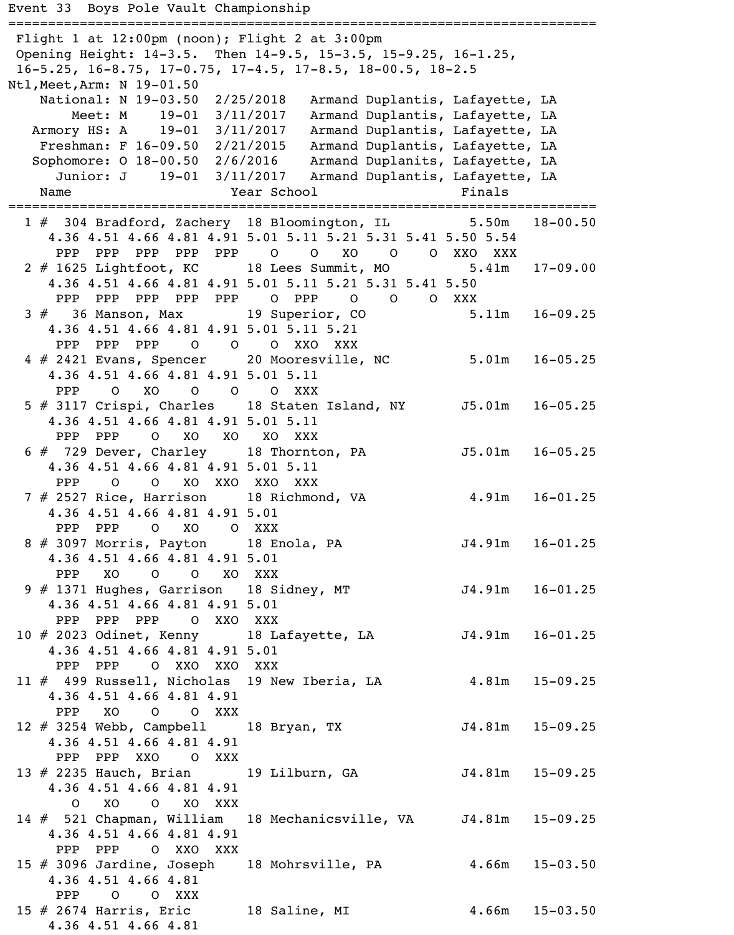```
Event 33 Boys Pole Vault Championship
==========================================================================
 Flight 1 at 12:00pm (noon); Flight 2 at 3:00pm
 Opening Height: 14-3.5. Then 14-9.5, 15-3.5, 15-9.25, 16-1.25,
 16-5.25, 16-8.75, 17-0.75, 17-4.5, 17-8.5, 18-00.5, 18-2.5
Ntl,Meet,Arm: N 19-01.50 
    National: N 19-03.50 2/25/2018 Armand Duplantis, Lafayette, LA 
 Meet: M 19-01 3/11/2017 Armand Duplantis, Lafayette, LA 
 Armory HS: A 19-01 3/11/2017 Armand Duplantis, Lafayette, LA 
    Freshman: F 16-09.50 2/21/2015 Armand Duplantis, Lafayette, LA 
   Sophomore: O 18-00.50 2/6/2016 Armand Duplanits, Lafayette, LA 
      Junior: J 19-01 3/11/2017 Armand Duplantis, Lafayette, LA 
   Name Year School Finals
==========================================================================
  1 # 304 Bradford, Zachery 18 Bloomington, IL 5.50m 18-00.50 
     4.36 4.51 4.66 4.81 4.91 5.01 5.11 5.21 5.31 5.41 5.50 5.54 
     PPP PPP PPP PPP O O XO O O XXO XXX
  2 # 1625 Lightfoot, KC 18 Lees Summit, MO 5.41m 17-09.00 
     4.36 4.51 4.66 4.81 4.91 5.01 5.11 5.21 5.31 5.41 5.50 
     PPP PPP PPP PPP O PPP O O O XXX<br>36 Manson, Max 19 Superior, CO 5.11m 16-09.25
 3 # 36 Manson, Max 19 Superior, CO
     4.36 4.51 4.66 4.81 4.91 5.01 5.11 5.21 
     PPP PPP PPP O O O XXO XXX
  4 # 2421 Evans, Spencer 20 Mooresville, NC 5.01m 16-05.25 
     4.36 4.51 4.66 4.81 4.91 5.01 5.11 
     PPP O XO O O O XXX
  5 # 3117 Crispi, Charles 18 Staten Island, NY J5.01m 16-05.25 
     4.36 4.51 4.66 4.81 4.91 5.01 5.11 
      PPP PPP O XO XO XO XXX 
 6 # 729 Dever, Charley 18 Thornton, PA 55.01m 16-05.25
     4.36 4.51 4.66 4.81 4.91 5.01 5.11 
      PPP O O XO XXO XXO XXX 
 7 # 2527 Rice, Harrison 18 Richmond, VA 4.91m 16-01.25
     4.36 4.51 4.66 4.81 4.91 5.01 
 PPP PPP O XO O XXX 
8 # 3097 Morris, Payton 18 Enola, PA                         J4.91m     16-01.25
     4.36 4.51 4.66 4.81 4.91 5.01 
     PPP XO O O XO XXX
 9 # 1371 Hughes, Garrison 18 Sidney, MT                         J4.91m     16-01.25
     4.36 4.51 4.66 4.81 4.91 5.01 
     PPP PPP PPP O XXO XXX
 10 # 2023 Odinet, Kenny 18 Lafayette, LA 54.91m 16-01.25
     4.36 4.51 4.66 4.81 4.91 5.01 
      PPP PPP O XXO XXO XXX 
 11 # 499 Russell, Nicholas 19 New Iberia, LA 4.81m 15-09.25 
     4.36 4.51 4.66 4.81 4.91 
      PPP XO O O XXX 
  12 # 3254 Webb, Campbell 18 Bryan, TX J4.81m 15-09.25 
     4.36 4.51 4.66 4.81 4.91 
      PPP PPP XXO O XXX 
  13 # 2235 Hauch, Brian 19 Lilburn, GA J4.81m 15-09.25 
     4.36 4.51 4.66 4.81 4.91 
        O XO O XO XXX 
  14 # 521 Chapman, William 18 Mechanicsville, VA J4.81m 15-09.25 
     4.36 4.51 4.66 4.81 4.91 
      PPP PPP O XXO XXX 
15 # 3096 Jardine, Joseph 18 Mohrsville, PA 4.66m 15-03.50
     4.36 4.51 4.66 4.81 
      PPP O O XXX 
 15 # 2674 Harris, Eric 18 Saline, MI 4.66m 15-03.50
     4.36 4.51 4.66 4.81
```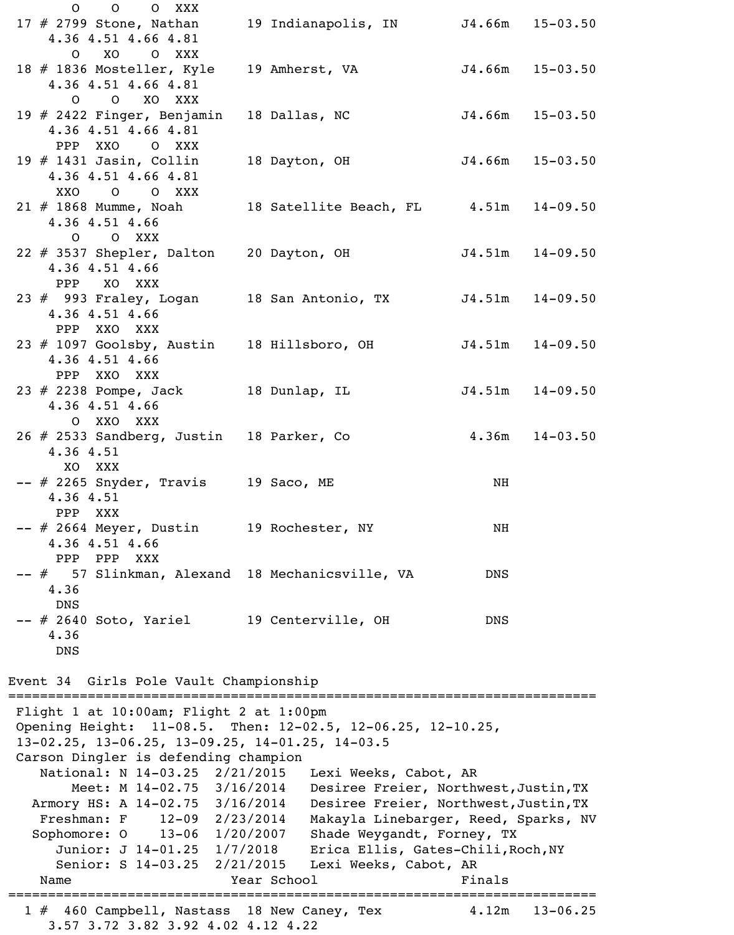|                                                                                                                                                                         | $0\qquad 0$<br>O XXX<br>17 $\#$ 2799 Stone, Nathan                                           |  | 19 Indianapolis, IN J4.66m 15-03.50                                                                                    |                     |                     |
|-------------------------------------------------------------------------------------------------------------------------------------------------------------------------|----------------------------------------------------------------------------------------------|--|------------------------------------------------------------------------------------------------------------------------|---------------------|---------------------|
|                                                                                                                                                                         | 4.36 4.51 4.66 4.81<br>O XO O XXX                                                            |  |                                                                                                                        |                     |                     |
|                                                                                                                                                                         | 18 # 1836 Mosteller, Kyle<br>4.36 4.51 4.66 4.81<br>O O XO XXX                               |  | 19 Amherst, VA                                                                                                         | $J4.66m$ $15-03.50$ |                     |
|                                                                                                                                                                         | 19 # 2422 Finger, Benjamin 18 Dallas, NC<br>4.36 4.51 4.66 4.81                              |  |                                                                                                                        | $J4.66m$ $15-03.50$ |                     |
|                                                                                                                                                                         | PPP XXO O XXX<br>19 $#$ 1431 Jasin, Collin<br>4.36 4.51 4.66 4.81                            |  | 18 Dayton, OH                                                                                                          | $J4.66m$ $15-03.50$ |                     |
|                                                                                                                                                                         | XXO O O XXX<br>21 # 1868 Mumme, Noah<br>4.36 4.51 4.66<br>O O XXX                            |  | 18 Satellite Beach, FL 4.51m 14-09.50                                                                                  |                     |                     |
|                                                                                                                                                                         | 22 # 3537 Shepler, Dalton 20 Dayton, OH<br>4.36 4.51 4.66<br>PPP XO XXX                      |  |                                                                                                                        |                     | $J4.51m$ $14-09.50$ |
|                                                                                                                                                                         | 23 # 993 Fraley, Logan 18 San Antonio, TX J4.51m 14-09.50<br>4.36 4.51 4.66<br>PPP XXO XXX   |  |                                                                                                                        |                     |                     |
|                                                                                                                                                                         | 23 # 1097 Goolsby, Austin<br>4.36 4.51 4.66<br>PPP XXO XXX                                   |  | 18 Hillsboro, OH                                                                                                       |                     | $J4.51m$ $14-09.50$ |
|                                                                                                                                                                         | 23 # 2238 Pompe, Jack 18 Dunlap, IL<br>4.36 4.51 4.66                                        |  |                                                                                                                        |                     | $J4.51m$ $14-09.50$ |
|                                                                                                                                                                         | O XXO XXX<br>26 # 2533 Sandberg, Justin 18 Parker, Co<br>4.36 4.51<br>XO.<br>XXX             |  |                                                                                                                        | $4.36m$ $14-03.50$  |                     |
|                                                                                                                                                                         | $--$ # 2265 Snyder, Travis 19 Saco, ME<br>4.36 4.51<br>PPP<br>XXX                            |  |                                                                                                                        | NH                  |                     |
|                                                                                                                                                                         | -- # 2664 Meyer, Dustin 19 Rochester, NY<br>4.36 4.51 4.66<br>PPP<br>${\rm PPP}$<br>XXX      |  |                                                                                                                        | NH                  |                     |
|                                                                                                                                                                         | -- # 57 Slinkman, Alexand 18 Mechanicsville, VA<br>4.36                                      |  |                                                                                                                        | <b>DNS</b>          |                     |
|                                                                                                                                                                         | <b>DNS</b><br>-- # 2640 Soto, Yariel 19 Centerville, OH<br>4.36<br><b>DNS</b>                |  |                                                                                                                        | DNS                 |                     |
|                                                                                                                                                                         | Event 34 Girls Pole Vault Championship                                                       |  |                                                                                                                        |                     |                     |
| Flight 1 at 10:00am; Flight 2 at 1:00pm<br>Opening Height: 11-08.5. Then: 12-02.5, 12-06.25, 12-10.25,<br>$13-02.25$ , $13-06.25$ , $13-09.25$ , $14-01.25$ , $14-03.5$ |                                                                                              |  |                                                                                                                        |                     |                     |
|                                                                                                                                                                         | Carson Dingler is defending champion<br>National: N 14-03.25 2/21/2015                       |  | Lexi Weeks, Cabot, AR                                                                                                  |                     |                     |
|                                                                                                                                                                         | Meet: M 14-02.75 3/16/2014<br>Armory HS: A 14-02.75 3/16/2014<br>Freshman: F 12-09 2/23/2014 |  | Desiree Freier, Northwest, Justin, TX<br>Desiree Freier, Northwest, Justin, TX<br>Makayla Linebarger, Reed, Sparks, NV |                     |                     |
|                                                                                                                                                                         | Sophomore: 0 13-06 1/20/2007                                                                 |  | Shade Weygandt, Forney, TX                                                                                             |                     |                     |
|                                                                                                                                                                         | Junior: J 14-01.25 1/7/2018<br>Senior: S 14-03.25 2/21/2015                                  |  | Erica Ellis, Gates-Chili, Roch, NY<br>Lexi Weeks, Cabot, AR                                                            |                     |                     |
|                                                                                                                                                                         | Name                                                                                         |  | Year School                                                                                                            | Finals              |                     |
|                                                                                                                                                                         | 1 # 460 Campbell, Nastass 18 New Caney, Tex<br>3.57 3.72 3.82 3.92 4.02 4.12 4.22            |  |                                                                                                                        | 4.12m               | $13 - 06.25$        |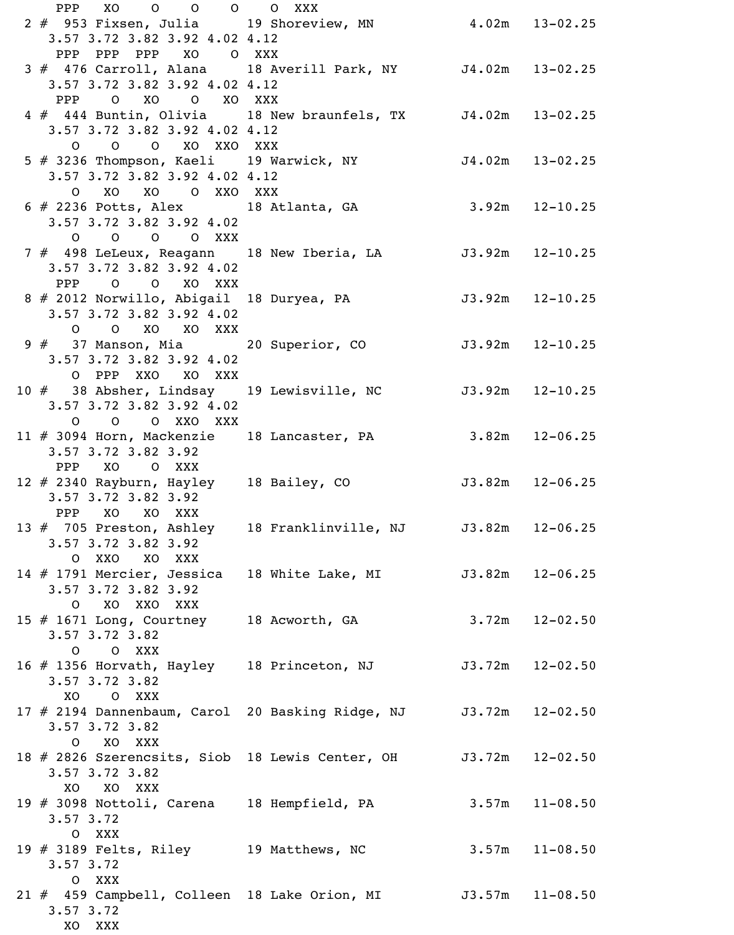PPP XO O O O O XXX 2 # 953 Fixsen, Julia 19 Shoreview, MN 4.02m 13-02.25 3.57 3.72 3.82 3.92 4.02 4.12 PPP PPP PPP XO O XXX 3 # 476 Carroll, Alana 18 Averill Park, NY J4.02m 13-02.25 3.57 3.72 3.82 3.92 4.02 4.12 PPP O XO O XO XXX 4 # 444 Buntin, Olivia 18 New braunfels, TX J4.02m 13-02.25 3.57 3.72 3.82 3.92 4.02 4.12 O O O XO XXO XXX 5 # 3236 Thompson, Kaeli 19 Warwick, NY J4.02m 13-02.25 3.57 3.72 3.82 3.92 4.02 4.12 O XO XO O XXO XXX 6 # 2236 Potts, Alex 18 Atlanta, GA 3.92m 12-10.25 3.57 3.72 3.82 3.92 4.02 O O O O XXX 7 # 498 LeLeux, Reagann 18 New Iberia, LA 53.92m 12-10.25 3.57 3.72 3.82 3.92 4.02 PPP O O XO XXX 8 # 2012 Norwillo, Abigail 18 Duryea, PA 53.92m 12-10.25 3.57 3.72 3.82 3.92 4.02 O O XO XO XXX 9 # 37 Manson, Mia 20 Superior, CO J3.92m 12-10.25 3.57 3.72 3.82 3.92 4.02 O PPP XXO XO XXX 10 # 38 Absher, Lindsay 19 Lewisville, NC 53.92m 12-10.25 3.57 3.72 3.82 3.92 4.02 O O O XXO XXX 11 # 3094 Horn, Mackenzie 18 Lancaster, PA 3.82m 12-06.25 3.57 3.72 3.82 3.92 PPP XO O XXX 11 11 12 12 11 12 12 12 13.82m 12-06.25 3.57 3.72 3.82 3.92 PPP XO XO XXX 13 # 705 Preston, Ashley 18 Franklinville, NJ 3.82m 12-06.25 3.57 3.72 3.82 3.92 O XXO XO XXX 14 # 1791 Mercier, Jessica 18 White Lake, MI 33.82m 12-06.25 3.57 3.72 3.82 3.92 O XO XXO XXX 15 # 1671 Long, Courtney 18 Acworth, GA 3.72m 12-02.50 3.57 3.72 3.82 O O XXX 16 # 1356 Horvath, Hayley 18 Princeton, NJ J3.72m 12-02.50 3.57 3.72 3.82 XO O XXX 17 # 2194 Dannenbaum, Carol 20 Basking Ridge, NJ J3.72m 12-02.50 3.57 3.72 3.82 O XO XXX 18 # 2826 Szerencsits, Siob 18 Lewis Center, OH J3.72m 12-02.50 3.57 3.72 3.82 XO XO XXX 19 # 3098 Nottoli, Carena 18 Hempfield, PA 3.57m 11-08.50 3.57 3.72 O XXX 19 # 3189 Felts, Riley 19 Matthews, NC 3.57m 11-08.50 3.57 3.72 O XXX 21 # 459 Campbell, Colleen 18 Lake Orion, MI J3.57m 11-08.50 3.57 3.72 XO XXX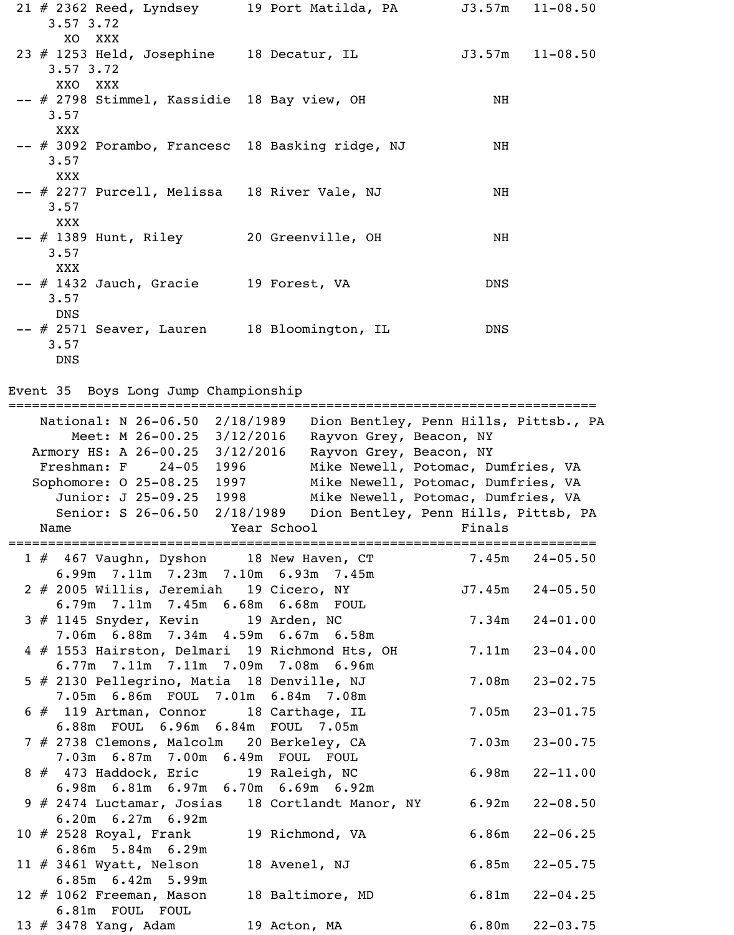21 # 2362 Reed, Lyndsey 19 Port Matilda, PA J3.57m 11-08.50 3.57 3.72 XO XXX 23 # 1253 Held, Josephine 18 Decatur, IL 53.57m 11-08.50 3.57 3.72 XXO XXX -- # 2798 Stimmel, Kassidie 18 Bay view, OH NH 3.57 XXX -- # 3092 Porambo, Francesc 18 Basking ridge, NJ MH 3.57 XXX -- # 2277 Purcell, Melissa 18 River Vale, NJ NH 3.57 XXX -- # 1389 Hunt, Riley 20 Greenville, OH NH 3.57 XXX -- # 1432 Jauch, Gracie 19 Forest, VA DNS 3.57 DNS -- # 2571 Seaver, Lauren 18 Bloomington, IL DNS 3.57 DNS

Event 35 Boys Long Jump Championship

========================================================================== National: N 26-06.50 2/18/1989 Dion Bentley, Penn Hills, Pittsb., PA Meet: M 26-00.25 3/12/2016 Rayvon Grey, Beacon, NY Armory HS: A 26-00.25 3/12/2016 Rayvon Grey, Beacon, NY Freshman: F 24-05 1996 Mike Newell, Potomac, Dumfries, VA Sophomore: 0 25-08.25 1997 Mike Newell, Potomac, Dumfries, VA Junior: J 25-09.25 1998 Mike Newell, Potomac, Dumfries, VA Senior: S 26-06.50 2/18/1989 Dion Bentley, Penn Hills, Pittsb, PA Name Year School Finals ========================================================================== 1 # 467 Vaughn, Dyshon 18 New Haven, CT 7.45m 24-05.50 6.99m 7.11m 7.23m 7.10m 6.93m 7.45m 2 # 2005 Willis, Jeremiah 19 Cicero, NY J7.45m 24-05.50 6.79m 7.11m 7.45m 6.68m 6.68m FOUL 3 # 1145 Snyder, Kevin 19 Arden, NC 7.34m 24-01.00 7.06m 6.88m 7.34m 4.59m 6.67m 6.58m 4 # 1553 Hairston, Delmari 19 Richmond Hts, OH 7.11m 23-04.00 6.77m 7.11m 7.11m 7.09m 7.08m 6.96m 5 # 2130 Pellegrino, Matia 18 Denville, NJ 7.08m 23-02.75 7.05m 6.86m FOUL 7.01m 6.84m 7.08m 6 # 119 Artman, Connor 18 Carthage, IL 7.05m 23-01.75 6.88m FOUL 6.96m 6.84m FOUL 7.05m 7 # 2738 Clemons, Malcolm 20 Berkeley, CA 7.03m 23-00.75 7.03m 6.87m 7.00m 6.49m FOUL FOUL 8 # 473 Haddock, Eric 19 Raleigh, NC 6.98m 22-11.00 6.98m 6.81m 6.97m 6.70m 6.69m 6.92m 9 # 2474 Luctamar, Josias 18 Cortlandt Manor, NY 6.92m 22-08.50 6.20m 6.27m 6.92m 10 # 2528 Royal, Frank 19 Richmond, VA 6.86m 22-06.25 6.86m 5.84m 6.29m 11 # 3461 Wyatt, Nelson 18 Avenel, NJ 6.85m 22-05.75 6.85m 6.42m 5.99m 12 # 1062 Freeman, Mason 18 Baltimore, MD 6.81m 22-04.25 6.81m FOUL FOUL 13 # 3478 Yang, Adam 19 Acton, MA 6.80m 22-03.75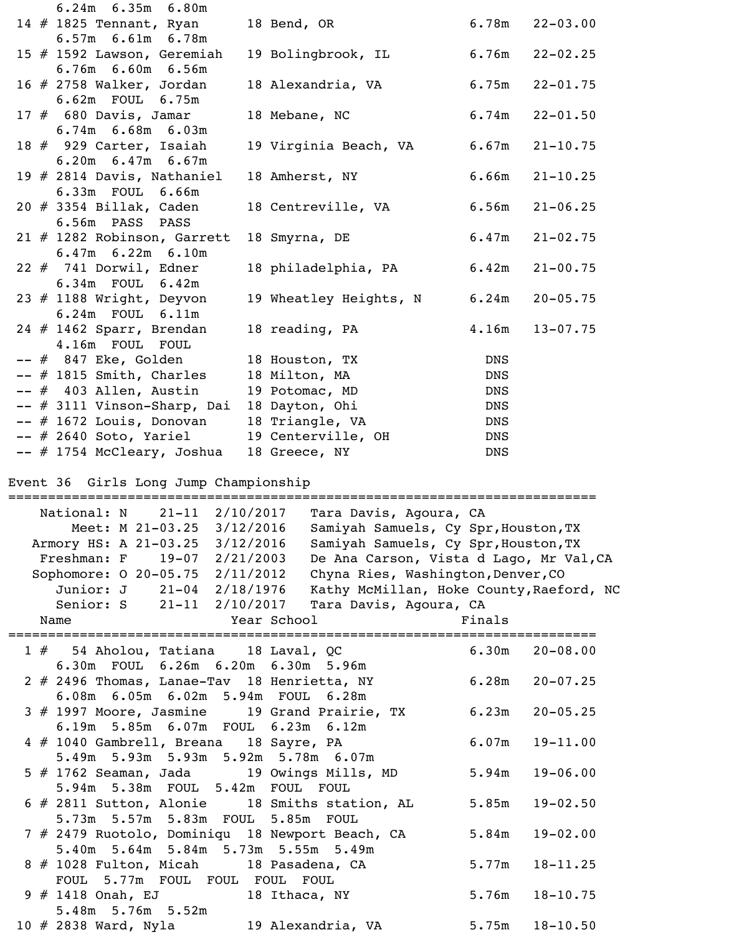| $6.24m$ $6.35m$ $6.80m$                                  |                             |            |                    |
|----------------------------------------------------------|-----------------------------|------------|--------------------|
| 14 $\#$ 1825 Tennant, Ryan                               | 18 Bend, OR                 |            | $6.78m$ $22-03.00$ |
| $6.57m$ $6.61m$ $6.78m$                                  |                             |            |                    |
| 15 # 1592 Lawson, Geremiah                               | 19 Bolingbrook, IL 6.76m    |            | $22 - 02.25$       |
| 6.76m 6.60m 6.56m                                        |                             |            |                    |
| 16 $\#$ 2758 Walker, Jordan                              | 18 Alexandria, VA           | 6.75m      | $22 - 01.75$       |
| 6.62m FOUL 6.75m                                         |                             |            |                    |
| $17$ $\#$ 680 Davis, Jamar                               | 18 Mebane, NC               | 6.74m      | $22 - 01.50$       |
| $6.74m$ $6.68m$ $6.03m$                                  |                             |            |                    |
| 18 # 929 Carter, Isaiah                                  | 19 Virginia Beach, VA 6.67m |            | $21 - 10.75$       |
| $6.20m$ $6.47m$ $6.67m$                                  |                             |            |                    |
| 19 $#$ 2814 Davis, Nathaniel                             | 18 Amherst, NY              | 6.66m      | $21 - 10.25$       |
| 6.33m FOUL 6.66m                                         |                             |            |                    |
| $20$ # 3354 Billak, Caden                                | 18 Centreville, VA          | 6.56m      | $21 - 06.25$       |
| 6.56m PASS PASS                                          |                             |            |                    |
| $21$ # 1282 Robinson, Garrett<br>$6.47m$ $6.22m$ $6.10m$ | 18 Smyrna, DE               | 6.47m      | $21 - 02.75$       |
| $22$ $#$ 741 Dorwil, Edner                               | 18 philadelphia, PA         | 6.42m      | $21 - 00.75$       |
| 6.34m FOUL 6.42m                                         |                             |            |                    |
| 23 $#$ 1188 Wright, Deyvon                               | 19 Wheatley Heights, N      | 6.24m      | $20 - 05.75$       |
| 6.24m FOUL 6.11m                                         |                             |            |                    |
| $24$ # 1462 Sparr, Brendan                               | 18 reading, PA              | 4.16m      | $13 - 07.75$       |
| 4.16m FOUL FOUL                                          |                             |            |                    |
| -- # 847 Eke, Golden                                     | 18 Houston, TX              | <b>DNS</b> |                    |
| -- # 1815 Smith, Charles                                 | 18 Milton, MA               | <b>DNS</b> |                    |
| $--$ # 403 Allen, Austin                                 | 19 Potomac, MD              | DNS        |                    |
| -- # 3111 Vinson-Sharp, Dai                              | 18 Dayton, Ohi              | DNS        |                    |
| $--$ # 1672 Louis, Donovan                               | 18 Triangle, VA             | DNS        |                    |
| $--$ # 2640 Soto, Yariel                                 | 19 Centerville, OH          | DNS        |                    |
| -- # 1754 McCleary, Joshua                               | 18 Greece, NY               | <b>DNS</b> |                    |

Event 36 Girls Long Jump Championship

| National: N 21-11 2/10/2017<br>Tara Davis, Agoura, CA                   |              |
|-------------------------------------------------------------------------|--------------|
| Meet: M 21-03.25 3/12/2016<br>Samiyah Samuels, Cy Spr, Houston, TX      |              |
| Armory HS: A 21-03.25 3/12/2016<br>Samiyah Samuels, Cy Spr, Houston, TX |              |
| Freshman: F 19-07 2/21/2003<br>De Ana Carson, Vista d Lago, Mr Val, CA  |              |
| Sophomore: 0 20-05.75 2/11/2012<br>Chyna Ries, Washington, Denver, CO   |              |
| Junior: J 21-04 2/18/1976<br>Kathy McMillan, Hoke County, Raeford, NC   |              |
| Senior: S 21-11 2/10/2017<br>Tara Davis, Agoura, CA                     |              |
| Finals<br>Year School<br>Name                                           |              |
| ;====================================                                   |              |
| $6.30m$ $20-08.00$<br>1 # 54 Aholou, Tatiana 18 Laval, QC               |              |
| 6.30m FOUL 6.26m 6.20m 6.30m 5.96m                                      |              |
| 2 # 2496 Thomas, Lanae-Tav 18 Henrietta, NY<br>6.28m                    | $20 - 07.25$ |
| 6.08m 6.05m 6.02m 5.94m FOUL 6.28m                                      |              |
| 3 # 1997 Moore, Jasmine 19 Grand Prairie, TX<br>6.23m                   | $20 - 05.25$ |
| 6.19m 5.85m 6.07m FOUL 6.23m 6.12m                                      |              |
| 4 # 1040 Gambrell, Breana 18 Sayre, PA<br>6.07m                         | $19 - 11.00$ |
| 5.49m 5.93m 5.93m 5.92m 5.78m 6.07m                                     |              |
| 5 # 1762 Seaman, Jada 19 Owings Mills, MD<br>5.94m                      | $19 - 06.00$ |
| 5.94m 5.38m FOUL 5.42m FOUL FOUL                                        |              |
| 6 # 2811 Sutton, Alonie 18 Smiths station, AL<br>5.85m                  | $19 - 02.50$ |
| 5.73m 5.57m 5.83m FOUL<br>5.85m FOUL                                    |              |
| 7 # 2479 Ruotolo, Dominiqu 18 Newport Beach, CA<br>5.84m                | $19 - 02.00$ |
| 5.40m 5.64m 5.84m 5.73m 5.55m 5.49m                                     |              |
| 8 # 1028 Fulton, Micah 18 Pasadena, CA<br>5.77m                         | $18 - 11.25$ |
| FOUL 5.77m FOUL FOUL FOUL FOUL                                          |              |
| 9 # 1418 Onah, EJ 18 Ithaca, NY<br>5.76m                                | $18 - 10.75$ |
| 5.48m 5.76m 5.52m                                                       |              |
| 10 # 2838 Ward, Nyla 19 Alexandria, VA<br>5.75m                         | $18 - 10.50$ |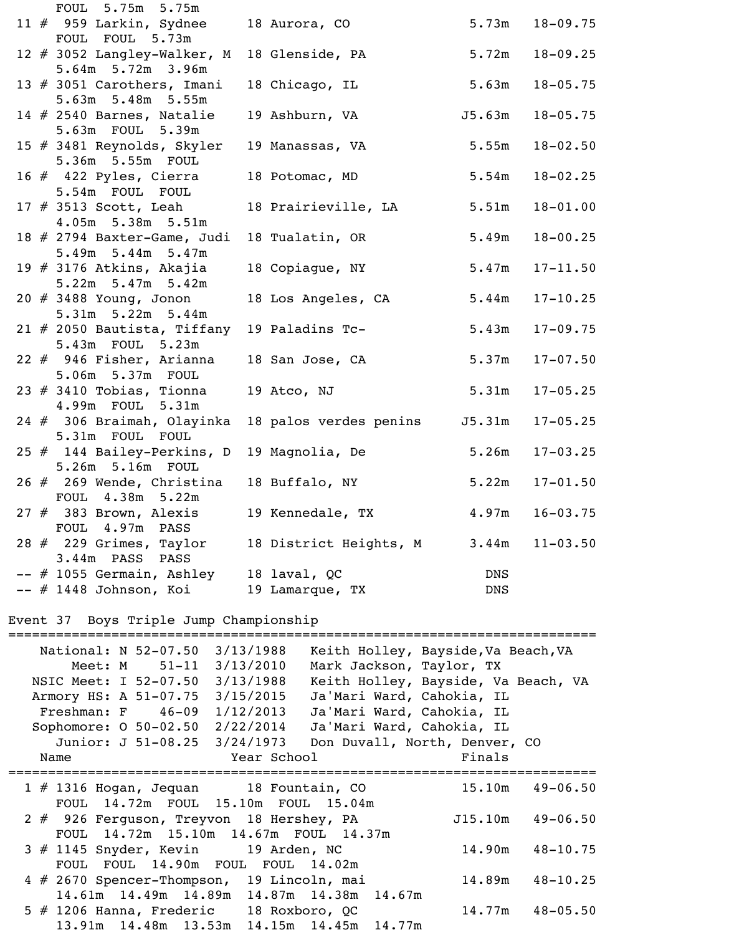| FOUL 5.75m 5.75m                                   |                               |            |                    |
|----------------------------------------------------|-------------------------------|------------|--------------------|
| 11 # 959 Larkin, Sydnee 18 Aurora, CO              |                               |            | $5.73m$ $18-09.75$ |
| FOUL FOUL 5.73m                                    |                               |            |                    |
| 12 # 3052 Langley-Walker, M<br>5.64m 5.72m 3.96m   | 18 Glenside, PA               | 5.72m      | $18 - 09.25$       |
| 13 # 3051 Carothers, Imani                         | 18 Chicago, IL                | 5.63m      | $18 - 05.75$       |
| 5.63m 5.48m 5.55m<br>14 $#$ 2540 Barnes, Natalie   | 19 Ashburn, VA                | J5.63m     | $18 - 05.75$       |
| 5.63m FOUL 5.39m<br>15 # 3481 Reynolds, Skyler     | 19 Manassas, VA               | 5.55m      | $18 - 02.50$       |
| 5.36m 5.55m FOUL                                   |                               |            |                    |
| 16 # 422 Pyles, Cierra<br>5.54m FOUL FOUL          | 18 Potomac, MD                | 5.54m      | $18 - 02.25$       |
| 17 # 3513 Scott, Leah<br>4.05m 5.38m 5.51m         | 18 Prairieville, LA           | 5.51m      | $18 - 01.00$       |
|                                                    |                               | 5.49m      | $18 - 00.25$       |
| 18 # 2794 Baxter-Game, Judi<br>5.49m 5.44m 5.47m   | 18 Tualatin, OR               |            |                    |
| 19 $#$ 3176 Atkins, Akajia                         | 18 Copiague, NY               | 5.47m      | $17 - 11.50$       |
| 5.22m 5.47m 5.42m                                  |                               |            |                    |
| 20 # 3488 Young, Jonon<br>5.31m 5.22m 5.44m        | 18 Los Angeles, CA            | 5.44m      | $17 - 10.25$       |
| 21 # 2050 Bautista, Tiffany                        | 19 Paladins Tc-               | 5.43m      | $17 - 09.75$       |
| 5.43m FOUL 5.23m                                   |                               |            |                    |
| 22 # 946 Fisher, Arianna                           | 18 San Jose, CA               | 5.37m      | $17 - 07.50$       |
| 5.06m 5.37m FOUL                                   |                               |            |                    |
| 23 $\#$ 3410 Tobias, Tionna<br>4.99m FOUL 5.31m    | 19 Atco, NJ                   | 5.31m      | $17 - 05.25$       |
| 24 # 306 Braimah, Olayinka                         | 18 palos verdes penins J5.31m |            | $17 - 05.25$       |
| 5.31m FOUL FOUL                                    |                               |            |                    |
| 25 # 144 Bailey-Perkins, D 19 Magnolia, De         |                               | 5.26m      | $17 - 03.25$       |
| 5.26m 5.16m FOUL                                   |                               |            |                    |
| $26$ $\#$ 269 Wende, Christina<br>FOUL 4.38m 5.22m | 18 Buffalo, NY                | 5.22m      | $17 - 01.50$       |
| $27$ $#$ 383 Brown, Alexis                         | 19 Kennedale, TX              | 4.97m      | $16 - 03.75$       |
| FOUL 4.97m PASS                                    |                               |            |                    |
| $28$ $\#$ 229 Grimes, Taylor                       | 18 District Heights, M        | 3.44m      | $11 - 03.50$       |
| 3.44m PASS PASS                                    |                               |            |                    |
| $--$ # 1055 Germain, Ashley                        | 18 laval, QC                  | <b>DNS</b> |                    |
| $--$ # 1448 Johnson, Koi                           | 19 Lamarque, TX               | <b>DNS</b> |                    |

## Event 37 Boys Triple Jump Championship

| National: N 52-07.50                           | 3/13/1988   | Keith Holley, Bayside, Va Beach, VA |        |                     |
|------------------------------------------------|-------------|-------------------------------------|--------|---------------------|
| Meet: $M = 51-11$                              | 3/13/2010   | Mark Jackson, Taylor, TX            |        |                     |
| NSIC Meet: I 52-07.50                          | 3/13/1988   | Keith Holley, Bayside, Va Beach, VA |        |                     |
| Armory HS: A 51-07.75                          | 3/15/2015   | Ja'Mari Ward, Cahokia, IL           |        |                     |
| $Freshman: F$ 46-09                            | 1/12/2013   | Ja'Mari Ward, Cahokia, IL           |        |                     |
| Sophomore: $0 50-02.50$                        | 2/22/2014   | Ja'Mari Ward, Cahokia, IL           |        |                     |
| Junior: J 51-08.25                             | 3/24/1973   | Don Duvall, North, Denver, CO       |        |                     |
| Name                                           | Year School |                                     | Finals |                     |
|                                                |             |                                     |        |                     |
| 1 # 1316 Hogan, Jequan 18 Fountain, CO         |             |                                     |        | $15.10m$ $49-06.50$ |
| FOUL 14.72m FOUL 15.10m FOUL 15.04m            |             |                                     |        |                     |
| 2 # 926 Ferguson, Treyvon 18 Hershey, PA       |             |                                     |        | $J15.10m$ 49-06.50  |
| FOUL 14.72m 15.10m 14.67m FOUL 14.37m          |             |                                     |        |                     |
| $3 \# 1145$ Snyder, Kevin 19 Arden, NC         |             |                                     | 14.90m | $48 - 10.75$        |
| FOUL 14.90m FOUL FOUL 14.02m<br><b>FOUL</b>    |             |                                     |        |                     |
| 4 # 2670 Spencer-Thompson, 19 Lincoln, mai     |             |                                     | 14.89m | $48 - 10.25$        |
| 14.61m  14.49m  14.89m  14.87m  14.38m  14.67m |             |                                     |        |                     |
| 5 # 1206 Hanna, Frederic 18 Roxboro, QC        |             |                                     |        | $14.77m$ $48-05.50$ |
| 13.91m 14.48m 13.53m 14.15m 14.45m 14.77m      |             |                                     |        |                     |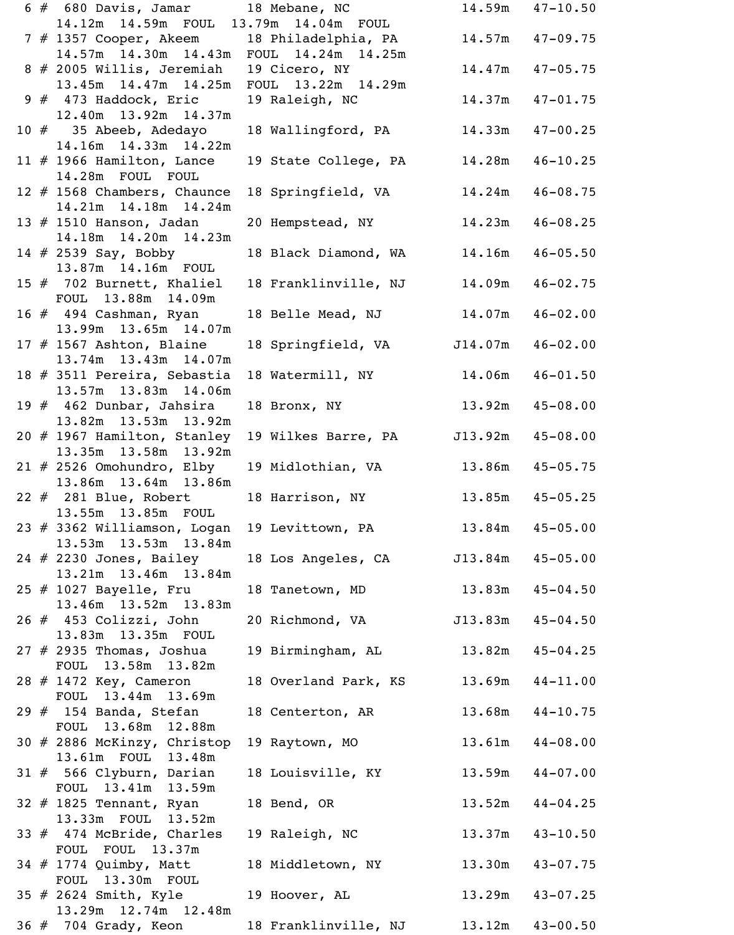|     | 6 # 680 Davis, Jamar 18 Mebane, NC                         |                                      |                     | $14.59m$ $47-10.50$  |
|-----|------------------------------------------------------------|--------------------------------------|---------------------|----------------------|
|     | 14.12m  14.59m  FOUL  13.79m  14.04m  FOUL                 |                                      |                     |                      |
|     | 7 # 1357 Cooper, Akeem 18 Philadelphia, PA 14.57m 47-09.75 |                                      |                     |                      |
|     | $14.57m$ $14.30m$ $14.43m$                                 | FOUL 14.24m 14.25m                   |                     |                      |
|     | 8 # 2005 Willis, Jeremiah                                  | 19 Cicero, NY                        |                     | $14.47m$ $47-05.75$  |
|     | 13.45m  14.47m  14.25m<br>$9#473$ Haddock, Eric            | FOUL 13.22m 14.29m<br>19 Raleigh, NC | 14.37m              | $47 - 01.75$         |
|     | 12.40m  13.92m  14.37m                                     |                                      |                     |                      |
|     | 10 $#$ 35 Abeeb, Adedayo                                   | 18 Wallingford, PA 14.33m 47-00.25   |                     |                      |
|     | 14.16m  14.33m  14.22m                                     |                                      |                     |                      |
|     | 11 $#$ 1966 Hamilton, Lance                                | 19 State College, PA                 | 14.28m              | $46 - 10.25$         |
|     | 14.28m FOUL FOUL                                           |                                      |                     |                      |
|     | 12 # 1568 Chambers, Chaunce                                | 18 Springfield, VA 14.24m 46-08.75   |                     |                      |
|     | 14.21m  14.18m  14.24m                                     |                                      |                     |                      |
|     | 13 # 1510 Hanson, Jadan                                    | 20 Hempstead, NY                     | 14.23m              | $46 - 08.25$         |
|     | 14.18m  14.20m  14.23m                                     |                                      |                     |                      |
|     | 14 # 2539 Say, Bobby                                       | 18 Black Diamond, WA 14.16m          |                     | $46 - 05.50$         |
|     | 13.87m 14.16m FOUL                                         |                                      |                     |                      |
|     | 15 # 702 Burnett, Khaliel<br>FOUL 13.88m 14.09m            | 18 Franklinville, NJ                 | 14.09m              | $46 - 02.75$         |
|     | 16 # 494 Cashman, Ryan                                     | 18 Belle Mead, NJ 14.07m 46-02.00    |                     |                      |
|     | 13.99m 13.65m 14.07m                                       |                                      |                     |                      |
|     | 17 $#$ 1567 Ashton, Blaine                                 | 18 Springfield, VA                   | J14.07m             | $46 - 02.00$         |
|     | 13.74m 13.43m 14.07m                                       |                                      |                     |                      |
|     | 18 # 3511 Pereira, Sebastia                                | 18 Watermill, NY                     | $14.06m$ $46-01.50$ |                      |
|     | 13.57m 13.83m 14.06m                                       |                                      |                     |                      |
|     | 19 # 462 Dunbar, Jahsira                                   | 18 Bronx, NY 13.92m                  |                     | $45 - 08.00$         |
|     | 13.82m  13.53m  13.92m                                     |                                      |                     |                      |
|     | 20 # 1967 Hamilton, Stanley                                | 19 Wilkes Barre, PA                  |                     | $J13.92m$ $45-08.00$ |
|     | 13.35m 13.58m 13.92m                                       |                                      |                     |                      |
|     | $21$ # 2526 Omohundro, Elby<br>13.86m 13.64m 13.86m        | 19 Midlothian, VA 13.86m 45-05.75    |                     |                      |
|     | $22$ $#$ 281 Blue, Robert                                  | 18 Harrison, NY 13.85m               |                     | $45 - 05.25$         |
|     | 13.55m 13.85m FOUL                                         |                                      |                     |                      |
|     | 23 # 3362 Williamson, Logan                                | 19 Levittown, PA 13.84m 45-05.00     |                     |                      |
|     | 13.53m 13.53m 13.84m                                       |                                      |                     |                      |
|     | $24$ # 2230 Jones, Bailey                                  | 18 Los Angeles, CA                   | J13.84m             | $45 - 05.00$         |
|     | 13.21m 13.46m 13.84m                                       |                                      |                     |                      |
|     | $25$ $\#$ 1027 Bayelle, Fru                                | 18 Tanetown, MD 13.83m 45-04.50      |                     |                      |
|     | 13.46m 13.52m 13.83m                                       |                                      |                     |                      |
|     | $26$ $#$ 453 Colizzi, John                                 | 20 Richmond, VA                      | J13.83m             | $45 - 04.50$         |
|     | 13.83m 13.35m FOUL                                         |                                      |                     |                      |
|     | $27$ # 2935 Thomas, Joshua<br>FOUL 13.58m 13.82m           | 19 Birmingham, AL 13.82m 45-04.25    |                     |                      |
|     | 28 # 1472 Key, Cameron                                     | 18 Overland Park, KS                 | 13.69m              | $44 - 11.00$         |
|     | FOUL 13.44m 13.69m                                         |                                      |                     |                      |
|     | $29$ $#$ 154 Banda, Stefan                                 | 18 Centerton, AR                     |                     | $13.68m$ $44-10.75$  |
|     | FOUL 13.68m 12.88m                                         |                                      |                     |                      |
|     | 30 # 2886 McKinzy, Christop                                | 19 Raytown, MO                       | 13.61m              | $44 - 08.00$         |
|     | 13.61m FOUL 13.48m                                         |                                      |                     |                      |
|     | $31 \# 566$ Clyburn, Darian                                | 18 Louisville, KY                    | 13.59m              | $44 - 07.00$         |
|     | FOUL 13.41m 13.59m                                         |                                      |                     |                      |
|     | $32$ $#$ 1825 Tennant, Ryan                                | 18 Bend, OR                          | 13.52m              | $44 - 04.25$         |
|     | 13.33m FOUL 13.52m                                         |                                      | $13.37m$ $43-10.50$ |                      |
|     | 33 $#$ 474 McBride, Charles<br>FOUL FOUL 13.37m            | 19 Raleigh, NC                       |                     |                      |
|     | 34 # 1774 Quimby, Matt                                     | 18 Middletown, NY 13.30m             |                     | $43 - 07.75$         |
|     | FOUL 13.30m FOUL                                           |                                      |                     |                      |
|     | 35 # 2624 Smith, Kyle                                      | 19 Hoover, AL                        | $13.29m$ $43-07.25$ |                      |
|     | 13.29m 12.74m 12.48m                                       |                                      |                     |                      |
| 36# | 704 Grady, Keon                                            | 18 Franklinville, NJ                 | 13.12m              | $43 - 00.50$         |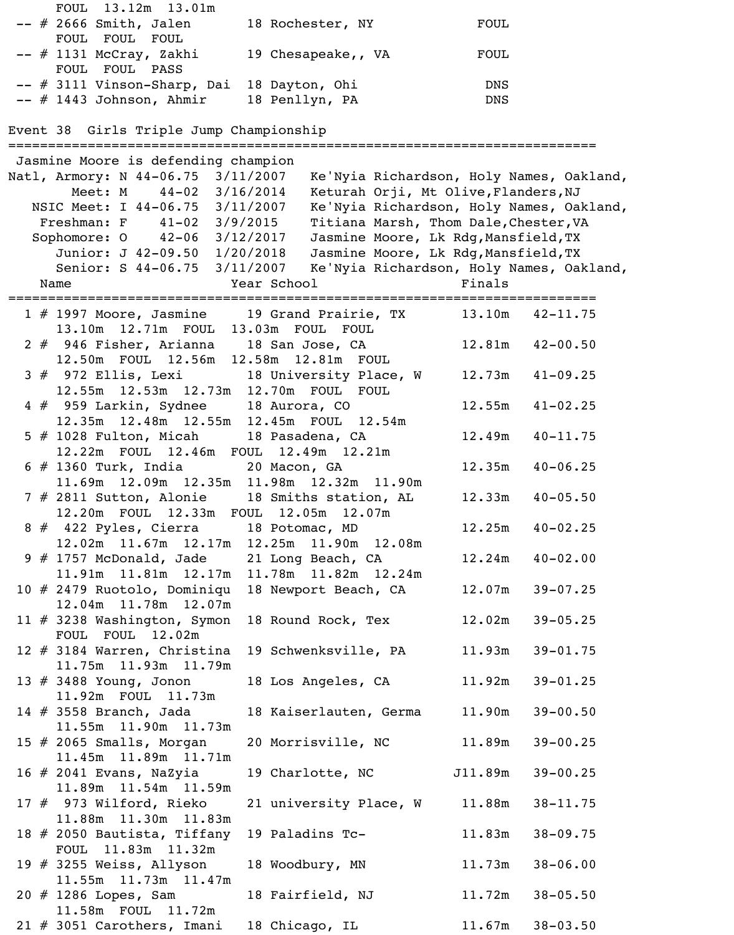| FOUL 13.12m 13.01m                      |                    |            |
|-----------------------------------------|--------------------|------------|
| $--$ # 2666 Smith, Jalen                | 18 Rochester, NY   | FOUL       |
| FOUL FOUL FOUL                          |                    |            |
| $--$ # 1131 McCray, Zakhi               | 19 Chesapeake,, VA | FOUL       |
| FOUL FOUL PASS                          |                    |            |
| $--$ # 3111 Vinson-Sharp, Dai           | 18 Dayton, Ohi     | <b>DNS</b> |
| $--$ # 1443 Johnson, Ahmir              | 18 Penllyn, PA     | <b>DNS</b> |
|                                         |                    |            |
| Event 38 Girls Triple Jump Championship |                    |            |
|                                         |                    |            |
| Jasmine Moore is defending champion     |                    |            |

| Natl, Armory: N 44-06.75 3/11/2007<br>Ke'Nyia Richardson, Holy Names, Oakland, |         |                     |
|--------------------------------------------------------------------------------|---------|---------------------|
| Meet: M 44-02 3/16/2014<br>Keturah Orji, Mt Olive, Flanders, NJ                |         |                     |
| Ke'Nyia Richardson, Holy Names, Oakland,<br>NSIC Meet: I 44-06.75 3/11/2007    |         |                     |
| Titiana Marsh, Thom Dale, Chester, VA<br>Freshman: F $41-02$ $3/9/2015$        |         |                     |
| Sophomore: 0 42-06 3/12/2017<br>Jasmine Moore, Lk Rdg, Mansfield, TX           |         |                     |
| Junior: J 42-09.50 1/20/2018<br>Jasmine Moore, Lk Rdg, Mansfield, TX           |         |                     |
| Senior: S 44-06.75 3/11/2007<br>Ke'Nyia Richardson, Holy Names, Oakland,       |         |                     |
| Year School<br>Name                                                            | Finals  |                     |
|                                                                                |         |                     |
|                                                                                |         |                     |
| 1 # 1997 Moore, Jasmine 19 Grand Prairie, TX                                   |         | $13.10m$ $42-11.75$ |
| 13.10m  12.71m  FOUL  13.03m  FOUL  FOUL                                       |         |                     |
| 2 # 946 Fisher, Arianna 18 San Jose, CA                                        | 12.81m  | $42 - 00.50$        |
| 12.50m FOUL 12.56m 12.58m 12.81m FOUL                                          |         |                     |
| 3 # 972 Ellis, Lexi 18 University Place, W                                     | 12.73m  | $41 - 09.25$        |
| 12.55m  12.53m  12.73m  12.70m  FOUL  FOUL                                     |         |                     |
| 4 # 959 Larkin, Sydnee 18 Aurora, CO                                           | 12.55m  | $41 - 02.25$        |
| 12.35m  12.48m  12.55m  12.45m  FOUL  12.54m                                   |         |                     |
| 5 # 1028 Fulton, Micah 18 Pasadena, CA                                         | 12.49m  | $40 - 11.75$        |
| 12.22m FOUL 12.46m FOUL 12.49m 12.21m                                          |         |                     |
| $6 \# 1360$ Turk, India 20 Macon, GA                                           | 12.35m  | $40 - 06.25$        |
| 11.69m 12.09m 12.35m 11.98m 12.32m 11.90m                                      |         |                     |
| 7 # 2811 Sutton, Alonie 18 Smiths station, AL                                  | 12.33m  | $40 - 05.50$        |
|                                                                                |         |                     |
| 12.20m FOUL 12.33m FOUL 12.05m 12.07m                                          |         |                     |
| 8 # 422 Pyles, Cierra 18 Potomac, MD                                           | 12.25m  | $40 - 02.25$        |
| 12.02m  11.67m  12.17m  12.25m  11.90m  12.08m                                 |         |                     |
| 9 # 1757 McDonald, Jade 21 Long Beach, CA                                      | 12.24m  | $40 - 02.00$        |
| 11.91m  11.81m  12.17m  11.78m  11.82m  12.24m                                 |         |                     |
| 10 # 2479 Ruotolo, Dominiqu 18 Newport Beach, CA                               | 12.07m  | $39 - 07.25$        |
| 12.04m 11.78m 12.07m                                                           |         |                     |
| 11 # 3238 Washington, Symon<br>18 Round Rock, Tex                              | 12.02m  | $39 - 05.25$        |
| FOUL FOUL 12.02m                                                               |         |                     |
| 12 # 3184 Warren, Christina 19 Schwenksville, PA                               | 11.93m  | $39 - 01.75$        |
| 11.75m  11.93m  11.79m                                                         |         |                     |
| 13 # 3488 Young, Jonon<br>18 Los Angeles, CA                                   | 11.92m  | $39 - 01.25$        |
| 11.92m FOUL 11.73m                                                             |         |                     |
|                                                                                |         |                     |
| 14 # 3558 Branch, Jada<br>18 Kaiserlauten, Germa                               | 11.90m  | $39 - 00.50$        |
| 11.55m  11.90m  11.73m                                                         |         |                     |
| $15$ $\#$ 2065 Smalls, Morgan<br>20 Morrisville, NC                            | 11.89m  | $39 - 00.25$        |
| 11.45m 11.89m 11.71m                                                           |         |                     |
| 16 # 2041 Evans, NaZyia<br>19 Charlotte, NC                                    | J11.89m | $39 - 00.25$        |
| 11.89m  11.54m  11.59m                                                         |         |                     |
| 17 # 973 Wilford, Rieko<br>21 university Place, W                              | 11.88m  | $38 - 11.75$        |
| 11.88m  11.30m  11.83m                                                         |         |                     |
| 18 # 2050 Bautista, Tiffany 19 Paladins Tc-                                    | 11.83m  | $38 - 09.75$        |
| FOUL 11.83m 11.32m                                                             |         |                     |
| 19 $#$ 3255 Weiss, Allyson<br>18 Woodbury, MN                                  | 11.73m  | $38 - 06.00$        |
| 11.55m  11.73m  11.47m                                                         |         |                     |
| 20 # 1286 Lopes, Sam<br>18 Fairfield, NJ                                       | 11.72m  | $38 - 05.50$        |
| 11.58m FOUL 11.72m                                                             |         |                     |
|                                                                                |         |                     |
| $21 \# 3051$ Carothers, Imani<br>18 Chicago, IL                                |         | $11.67m$ $38-03.50$ |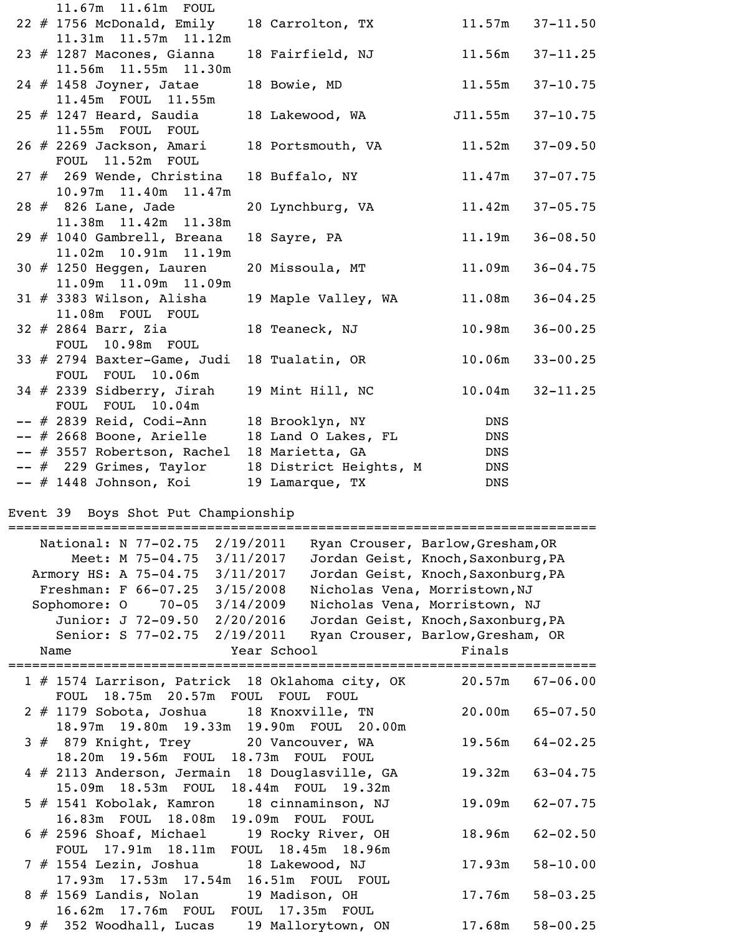| 11.67m  11.61m  FOUL          |                                  |            |              |
|-------------------------------|----------------------------------|------------|--------------|
| $22$ # 1756 McDonald, Emily   | 18 Carrolton, TX 11.57m 37-11.50 |            |              |
| 11.31m  11.57m  11.12m        |                                  |            |              |
| 23 $#$ 1287 Macones, Gianna   | 18 Fairfield, NJ                 | 11.56m     | $37 - 11.25$ |
| 11.56m  11.55m  11.30m        |                                  |            |              |
| $24$ # 1458 Joyner, Jatae     | 18 Bowie, MD                     | 11.55m     | $37 - 10.75$ |
| 11.45m FOUL 11.55m            |                                  |            |              |
| $25$ # 1247 Heard, Saudia     | 18 Lakewood, WA                  | J11.55m    | $37 - 10.75$ |
| 11.55m FOUL FOUL              |                                  |            |              |
| 26 # 2269 Jackson, Amari      | 18 Portsmouth, VA                | 11.52m     | $37 - 09.50$ |
| FOUL 11.52m FOUL              |                                  |            |              |
| $27$ $#$ 269 Wende, Christina | 18 Buffalo, NY                   | 11.47m     | $37 - 07.75$ |
| 10.97m  11.40m  11.47m        |                                  |            |              |
| 28 # 826 Lane, Jade           | 20 Lynchburg, VA                 | 11.42m     | $37 - 05.75$ |
| 11.38m  11.42m  11.38m        |                                  |            |              |
| 29 # 1040 Gambrell, Breana    | 18 Sayre, PA                     | 11.19m     | $36 - 08.50$ |
| 11.02m  10.91m  11.19m        |                                  |            |              |
| 30 $#$ 1250 Heggen, Lauren    | 20 Missoula, MT                  | 11.09m     | $36 - 04.75$ |
| 11.09m  11.09m  11.09m        |                                  |            |              |
| $31 \# 3383$ Wilson, Alisha   | 19 Maple Valley, WA              | 11.08m     | $36 - 04.25$ |
| 11.08m FOUL FOUL              |                                  |            |              |
| $32$ # 2864 Barr, Zia         | 18 Teaneck, NJ                   | 10.98m     | $36 - 00.25$ |
| FOUL 10.98m FOUL              |                                  |            |              |
| 33 $#$ 2794 Baxter-Game, Judi | 18 Tualatin, OR                  | 10.06m     | $33 - 00.25$ |
| FOUL FOUL 10.06m              |                                  |            |              |
| $34$ # 2339 Sidberry, Jirah   | 19 Mint Hill, NC                 | 10.04m     | $32 - 11.25$ |
| FOUL FOUL 10.04m              |                                  |            |              |
| -- # 2839 Reid, Codi-Ann      | 18 Brooklyn, NY                  | DNS        |              |
| $--$ # 2668 Boone, Arielle    | 18 Land O Lakes, FL              | <b>DNS</b> |              |
| -- # 3557 Robertson, Rachel   | 18 Marietta, GA                  | DNS        |              |
| $--$ # 229 Grimes, Taylor     | 18 District Heights, M           | <b>DNS</b> |              |
| -- # 1448 Johnson, Koi        | 19 Lamarque, TX                  | <b>DNS</b> |              |

Event 39 Boys Shot Put Championship

|      |              | ========================             |           | =========== |             |                                                 |        |                                    |              |
|------|--------------|--------------------------------------|-----------|-------------|-------------|-------------------------------------------------|--------|------------------------------------|--------------|
|      |              | National: N 77-02.75                 |           | 2/19/2011   |             |                                                 |        | Ryan Crouser, Barlow, Gresham, OR  |              |
|      |              | Meet: M 75-04.75                     |           | 3/11/2017   |             |                                                 |        | Jordan Geist, Knoch, Saxonburg, PA |              |
|      |              | Armory HS: A 75-04.75                |           | 3/11/2017   |             |                                                 |        | Jordan Geist, Knoch, Saxonburg, PA |              |
|      |              | Freshman: $F$ 66-07.25               |           | 3/15/2008   |             |                                                 |        | Nicholas Vena, Morristown, NJ      |              |
|      | Sophomore: 0 |                                      | $70 - 05$ | 3/14/2009   |             |                                                 |        | Nicholas Vena, Morristown, NJ      |              |
|      |              | Junior: J 72-09.50                   |           | 2/20/2016   |             |                                                 |        | Jordan Geist, Knoch, Saxonburg, PA |              |
|      |              | Senior: S 77-02.75 2/19/2011         |           |             |             |                                                 |        | Ryan Crouser, Barlow, Gresham, OR  |              |
| Name |              |                                      |           |             | Year School |                                                 |        | Finals                             |              |
|      |              | ========================             |           |             |             |                                                 |        |                                    |              |
|      |              |                                      |           |             |             | 1 # 1574 Larrison, Patrick 18 Oklahoma city, OK |        | 20.57m                             | $67 - 06.00$ |
|      |              | FOUL 18.75m 20.57m FOUL FOUL FOUL    |           |             |             |                                                 |        |                                    |              |
|      |              |                                      |           |             |             | 2 # 1179 Sobota, Joshua 18 Knoxville, TN        |        | 20.00m                             | $65 - 07.50$ |
|      |              | 18.97m  19.80m  19.33m  19.90m  FOUL |           |             |             |                                                 | 20.00m |                                    |              |
|      |              |                                      |           |             |             | 3 # 879 Knight, Trey 20 Vancouver, WA           |        | 19.56m                             | $64 - 02.25$ |
|      |              |                                      |           |             |             | 18.20m  19.56m  FOUL  18.73m  FOUL  FOUL        |        |                                    |              |
|      |              |                                      |           |             |             | 4 # 2113 Anderson, Jermain 18 Douglasville, GA  |        | 19.32m                             | $63 - 04.75$ |
|      |              |                                      |           |             |             | 15.09m 18.53m FOUL 18.44m FOUL 19.32m           |        |                                    |              |
|      |              |                                      |           |             |             | 5 # 1541 Kobolak, Kamron 18 cinnaminson, NJ     |        | 19.09m                             | $62 - 07.75$ |
|      |              | 16.83m FOUL 18.08m                   |           |             |             | 19.09m FOUL FOUL                                |        |                                    |              |
|      |              | $6$ # 2596 Shoaf, Michael            |           |             |             | 19 Rocky River, OH                              |        | 18.96m                             | $62 - 02.50$ |
|      |              |                                      |           |             |             | FOUL 17.91m 18.11m FOUL 18.45m 18.96m           |        |                                    |              |
|      |              | 7 # 1554 Lezin, Joshua               |           |             |             | 18 Lakewood, NJ                                 |        | 17.93m                             | $58 - 10.00$ |
|      |              |                                      |           |             |             | 17.93m  17.53m  17.54m  16.51m  FOUL  FOUL      |        |                                    |              |
|      |              | 8 # 1569 Landis, Nolan               |           |             |             | 19 Madison, OH                                  |        | 17.76m                             | $58 - 03.25$ |
|      |              | 16.62m  17.76m  FOUL  FOUL           |           |             |             | 17.35m FOUL                                     |        |                                    |              |
|      |              | $9$ $\#$ 352 Woodhall, Lucas         |           |             |             | 19 Mallorytown, ON                              |        | 17.68m                             | $58 - 00.25$ |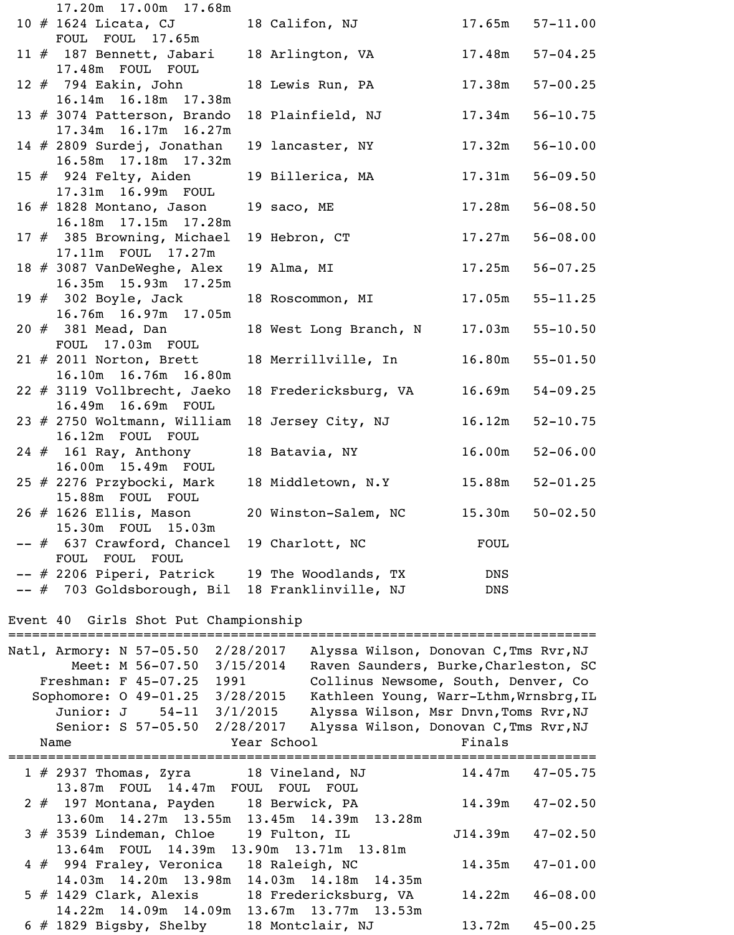| 17.20m  17.00m  17.68m                                    |                                |             |              |
|-----------------------------------------------------------|--------------------------------|-------------|--------------|
| $10 \# 1624$ Licata, CJ                                   | 18 Califon, NJ 17.65m 57-11.00 |             |              |
| FOUL FOUL 17.65m                                          |                                |             |              |
| 11 # 187 Bennett, Jabari 18 Arlington, VA 17.48m 57-04.25 |                                |             |              |
| 17.48m FOUL FOUL                                          |                                |             |              |
| 12 # 794 Eakin, John                                      | 18 Lewis Run, PA               | 17.38m      | $57 - 00.25$ |
| 16.14m  16.18m  17.38m                                    |                                |             |              |
| 13 # 3074 Patterson, Brando                               | 18 Plainfield, NJ 17.34m       |             | $56 - 10.75$ |
| 17.34m  16.17m  16.27m                                    |                                |             |              |
| 14 $#$ 2809 Surdej, Jonathan                              | 19 lancaster, NY               | 17.32m      | $56 - 10.00$ |
| 16.58m  17.18m  17.32m                                    |                                |             |              |
| 15 $#$ 924 Felty, Aiden                                   | 19 Billerica, MA 17.31m        |             | $56 - 09.50$ |
| 17.31m  16.99m  FOUL                                      |                                |             |              |
| $16$ $\#$ 1828 Montano, Jason                             | 19 saco, ME                    | 17.28m      | $56 - 08.50$ |
| 16.18m  17.15m  17.28m                                    |                                |             |              |
| 17 # 385 Browning, Michael                                | 19 Hebron, CT 17.27m           |             | $56 - 08.00$ |
| 17.11m FOUL 17.27m                                        |                                |             |              |
| 18 # 3087 VanDeWeghe, Alex                                | 19 Alma, MI                    | 17.25m      | $56 - 07.25$ |
| 16.35m 15.93m 17.25m                                      |                                |             |              |
| 19 # 302 Boyle, Jack                                      | 18 Roscommon, MI 17.05m        |             | $55 - 11.25$ |
| 16.76m  16.97m  17.05m                                    |                                |             |              |
| 20 # 381 Mead, Dan                                        | 18 West Long Branch, N 17.03m  |             | $55 - 10.50$ |
| FOUL 17.03m FOUL                                          |                                |             |              |
| 21 # 2011 Norton, Brett                                   | 18 Merrillville, In 16.80m     |             | $55 - 01.50$ |
| 16.10m  16.76m  16.80m                                    |                                |             |              |
| 22 # 3119 Vollbrecht, Jaeko                               | 18 Fredericksburg, VA 16.69m   |             | $54 - 09.25$ |
| 16.49m 16.69m FOUL                                        |                                |             |              |
| $23$ $\#$ 2750 Woltmann, William                          | 18 Jersey City, NJ 16.12m      |             | $52 - 10.75$ |
| 16.12m FOUL FOUL                                          |                                |             |              |
| 24 # 161 Ray, Anthony                                     | 18 Batavia, NY                 | 16.00m      | $52 - 06.00$ |
| 16.00m  15.49m  FOUL                                      |                                |             |              |
| 25 # 2276 Przybocki, Mark                                 | 18 Middletown, N.Y.            | 15.88m      | $52 - 01.25$ |
| 15.88m FOUL FOUL                                          |                                |             |              |
| $26$ # 1626 Ellis, Mason                                  | 20 Winston-Salem, NC           | 15.30m      | $50 - 02.50$ |
| 15.30m FOUL 15.03m                                        |                                |             |              |
| -- # 637 Crawford, Chancel                                | 19 Charlott, NC                | <b>FOUL</b> |              |
| FOUL FOUL FOUL                                            |                                |             |              |
| -- # 2206 Piperi, Patrick                                 | 19 The Woodlands, TX           | DNS         |              |
| -- # 703 Goldsborough, Bil                                | 18 Franklinville, NJ           | <b>DNS</b>  |              |

# Event 40 Girls Shot Put Championship

| Natl, Armory: N 57-05.50 | Meet: M 56-07.50              | 2/28/2017<br>3/15/2014                   | Alyssa Wilson, Donovan C, Tms Rvr, NJ<br>Raven Saunders, Burke, Charleston, SC |                      |                     |
|--------------------------|-------------------------------|------------------------------------------|--------------------------------------------------------------------------------|----------------------|---------------------|
|                          | Freshman: F 45-07.25          | 1991 — 2007                              | Collinus Newsome, South, Denver, Co                                            |                      |                     |
|                          | Sophomore: $0$ 49-01.25       | 3/28/2015                                | Kathleen Young, Warr-Lthm, Wrnsbrg, IL                                         |                      |                     |
|                          | Junior: J 54-11               | 3/1/2015                                 | Alyssa Wilson, Msr Dnvn, Toms Rvr, NJ                                          |                      |                     |
|                          | Senior: S 57-05.50            | 2/28/2017                                | Alyssa Wilson, Donovan C, Tms Rvr, NJ                                          |                      |                     |
| Name                     |                               |                                          | Year School The Manuscript School                                              | Finals               |                     |
|                          |                               |                                          |                                                                                |                      |                     |
|                          |                               | $1 \# 2937$ Thomas, Zyra 18 Vineland, NJ |                                                                                | $14.47m$ $47-05.75$  |                     |
|                          |                               | 13.87m FOUL 14.47m FOUL FOUL FOUL        |                                                                                |                      |                     |
|                          |                               |                                          | 2 # 197 Montana, Payden 18 Berwick, PA                                         | $14.39m$ $47-02.50$  |                     |
|                          |                               |                                          | 13.60m  14.27m  13.55m  13.45m  14.39m  13.28m                                 |                      |                     |
|                          | $3$ $\#$ 3539 Lindeman, Chloe |                                          | 19 Fulton, IL                                                                  | $J14.39m$ $47-02.50$ |                     |
|                          |                               |                                          | 13.64m FOUL 14.39m 13.90m 13.71m 13.81m                                        |                      |                     |
|                          | 4 # 994 Fraley, Veronica      |                                          | 18 Raleigh, NC                                                                 |                      | $14.35m$ $47-01.00$ |
|                          | 14.03m  14.20m  13.98m        |                                          | 14.03m  14.18m  14.35m                                                         |                      |                     |
|                          | $5$ # 1429 Clark, Alexis      |                                          | 18 Fredericksburg, VA                                                          | 14.22m               | $46 - 08.00$        |
|                          | $14.22m$ $14.09m$ $14.09m$    |                                          | 13.67m 13.77m 13.53m                                                           |                      |                     |
|                          | $6$ # 1829 Bigsby, Shelby     |                                          | 18 Montclair, NJ                                                               |                      | $13.72m$ $45-00.25$ |
|                          |                               |                                          |                                                                                |                      |                     |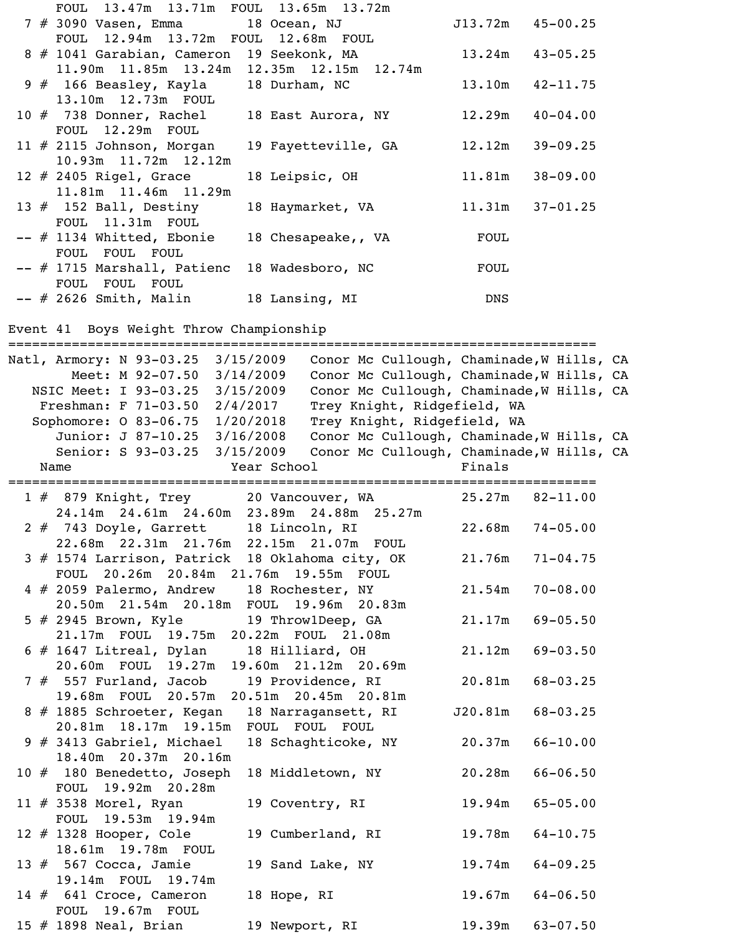|  | FOUL 13.47m 13.71m FOUL 13.65m 13.72m       |                     |            |                      |
|--|---------------------------------------------|---------------------|------------|----------------------|
|  | 7 # 3090 Vasen, Emma           18 Ocean, NJ |                     |            | $J13.72m$ $45-00.25$ |
|  | FOUL 12.94m 13.72m FOUL 12.68m FOUL         |                     |            |                      |
|  | 8 # 1041 Garabian, Cameron 19 Seekonk, MA   |                     |            | $13.24m$ $43-05.25$  |
|  | 11.90m 11.85m 13.24m 12.35m 12.15m 12.74m   |                     |            |                      |
|  | 9 # 166 Beasley, Kayla 18 Durham, NC        |                     |            | $13.10m$ $42-11.75$  |
|  | 13.10m  12.73m  FOUL                        |                     |            |                      |
|  | 10 # 738 Donner, Rachel 18 East Aurora, NY  |                     |            | $12.29m$ $40-04.00$  |
|  | FOUL 12.29m FOUL                            |                     |            |                      |
|  | $11 \# 2115$ Johnson, Morgan                | 19 Fayetteville, GA |            | $12.12m$ $39-09.25$  |
|  | 10.93m 11.72m 12.12m                        |                     |            |                      |
|  | $12 \# 2405$ Rigel, Grace                   | 18 Leipsic, OH      | 11.81m     | $38 - 09.00$         |
|  | 11.81m  11.46m  11.29m                      |                     |            |                      |
|  | 13 $#$ 152 Ball, Destiny                    | 18 Haymarket, VA    | 11.31m     | $37 - 01.25$         |
|  | FOUL 11.31m FOUL                            |                     |            |                      |
|  | -- # 1134 Whitted, Ebonie                   | 18 Chesapeake,, VA  | FOUL       |                      |
|  | FOUL FOUL FOUL                              |                     |            |                      |
|  | -- # 1715 Marshall, Patienc                 | 18 Wadesboro, NC    | FOUL       |                      |
|  | FOUL FOUL FOUL                              |                     |            |                      |
|  | $--$ # 2626 Smith, Malin                    | 18 Lansing, MI      | <b>DNS</b> |                      |

#### Event 41 Boys Weight Throw Championship

========================================================================== Natl, Armory: N 93-03.25 3/15/2009 Conor Mc Cullough, Chaminade, W Hills, CA Meet: M 92-07.50 3/14/2009 Conor Mc Cullough, Chaminade, W Hills, CA NSIC Meet: I 93-03.25 3/15/2009 Conor Mc Cullough, Chaminade, W Hills, CA Freshman: F 71-03.50 2/4/2017 Trey Knight, Ridgefield, WA Sophomore: O 83-06.75 1/20/2018 Trey Knight, Ridgefield, WA Junior: J 87-10.25 3/16/2008 Conor Mc Cullough, Chaminade, W Hills, CA Senior: S 93-03.25 3/15/2009 Conor Mc Cullough, Chaminade, W Hills, CA Name The Year School Team Prinals ========================================================================== 1 # 879 Knight, Trey 20 Vancouver, WA 25.27m 82-11.00 24.14m 24.61m 24.60m 23.89m 24.88m 25.27m 2 # 743 Doyle, Garrett 18 Lincoln, RI 22.68m 74-05.00 22.68m 22.31m 21.76m 22.15m 21.07m FOUL 3 # 1574 Larrison, Patrick 18 Oklahoma city, OK 21.76m 71-04.75 FOUL 20.26m 20.84m 21.76m 19.55m FOUL 4 # 2059 Palermo, Andrew 18 Rochester, NY 21.54m 70-08.00 20.50m 21.54m 20.18m FOUL 19.96m 20.83m 5 # 2945 Brown, Kyle 19 Throw1Deep, GA 21.17m 69-05.50 21.17m FOUL 19.75m 20.22m FOUL 21.08m 6 # 1647 Litreal, Dylan 18 Hilliard, OH 21.12m 69-03.50 20.60m FOUL 19.27m 19.60m 21.12m 20.69m 7 # 557 Furland, Jacob 19 Providence, RI 20.81m 68-03.25 19.68m FOUL 20.57m 20.51m 20.45m 20.81m 8 # 1885 Schroeter, Kegan 18 Narragansett, RI J20.81m 68-03.25 20.81m 18.17m 19.15m FOUL FOUL FOUL 9 # 3413 Gabriel, Michael 18 Schaghticoke, NY 20.37m 66-10.00 18.40m 20.37m 20.16m 10 # 180 Benedetto, Joseph 18 Middletown, NY 20.28m 66-06.50 FOUL 19.92m 20.28m 11 # 3538 Morel, Ryan 19 Coventry, RI 19.94m 65-05.00 FOUL 19.53m 19.94m 12 # 1328 Hooper, Cole 19 Cumberland, RI 19.78m 64-10.75 18.61m 19.78m FOUL 13 # 567 Cocca, Jamie 19 Sand Lake, NY 19.74m 64-09.25 19.14m FOUL 19.74m 14 # 641 Croce, Cameron 18 Hope, RI 19.67m 64-06.50

 FOUL 19.67m FOUL 15 # 1898 Neal, Brian 19 Newport, RI 19.39m 63-07.50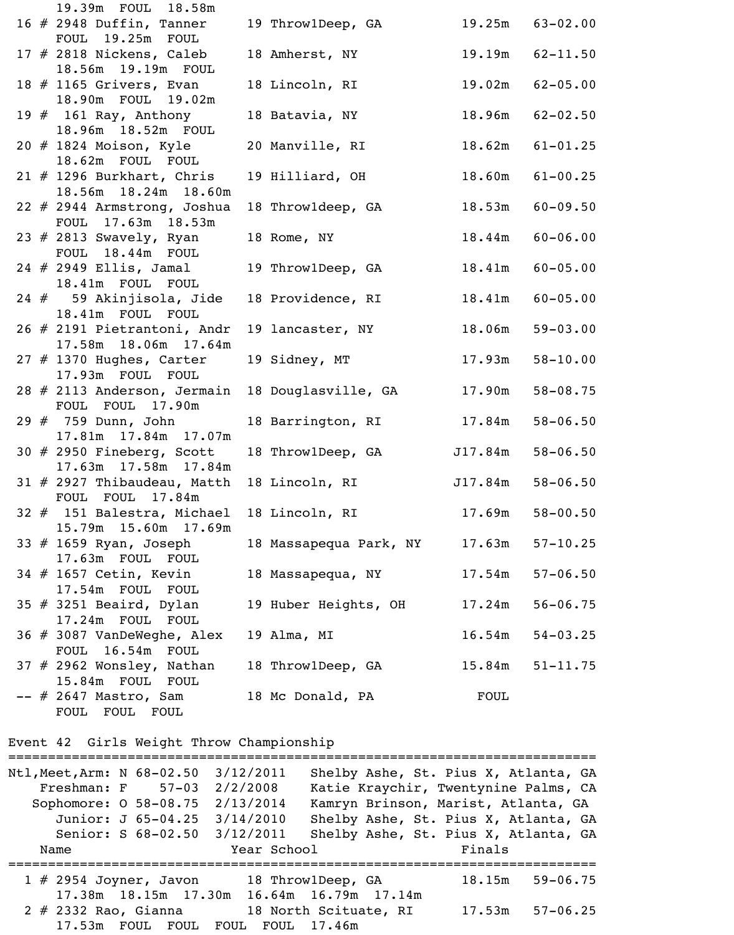| 19.39m FOUL 18.58m                                  |                          |         |                     |
|-----------------------------------------------------|--------------------------|---------|---------------------|
| 16 $#$ 2948 Duffin, Tanner                          | 19 Throw1Deep, GA        |         | $19.25m$ $63-02.00$ |
| FOUL 19.25m FOUL                                    |                          |         |                     |
| 17 $#$ 2818 Nickens, Caleb                          | 18 Amherst, NY           |         | $19.19m$ $62-11.50$ |
| 18.56m 19.19m FOUL                                  |                          |         |                     |
| 18 $#$ 1165 Grivers, Evan                           | 18 Lincoln, RI           |         | $19.02m$ $62-05.00$ |
| 18.90m FOUL 19.02m                                  |                          |         |                     |
| 19 $#$ 161 Ray, Anthony                             | 18 Batavia, NY           |         | $18.96m$ $62-02.50$ |
| 18.96m 18.52m FOUL                                  |                          |         |                     |
| 20 # 1824 Moison, Kyle                              | 20 Manville, RI          |         | $18.62m$ $61-01.25$ |
| 18.62m FOUL FOUL                                    |                          |         | $18.60m$ $61-00.25$ |
| $21$ # 1296 Burkhart, Chris<br>18.56m 18.24m 18.60m | 19 Hilliard, OH          |         |                     |
| 22 # 2944 Armstrong, Joshua                         | 18 Throwldeep, GA        |         | $18.53m$ $60-09.50$ |
| FOUL 17.63m 18.53m                                  |                          |         |                     |
| 23 $#$ 2813 Swavely, Ryan                           | 18 Rome, NY              |         | $18.44m$ $60-06.00$ |
| FOUL 18.44m FOUL                                    |                          |         |                     |
| 24 # 2949 Ellis, Jamal                              | 19 Throw1Deep, GA        | 18.41m  | $60 - 05.00$        |
| 18.41m FOUL FOUL                                    |                          |         |                     |
| 24 # 59 Akinjisola, Jide                            | 18 Providence, RI        |         | $18.41m$ $60-05.00$ |
| 18.41m FOUL FOUL                                    |                          |         |                     |
| 26 # 2191 Pietrantoni, Andr                         | 19 lancaster, NY         | 18.06m  | $59 - 03.00$        |
| 17.58m  18.06m  17.64m                              |                          |         |                     |
| $27$ # 1370 Hughes, Carter                          | 19 Sidney, MT            | 17.93m  | $58 - 10.00$        |
| 17.93m FOUL FOUL                                    |                          |         |                     |
| 28 # 2113 Anderson, Jermain                         | 18 Douglasville, GA      | 17.90m  | $58 - 08.75$        |
| FOUL FOUL 17.90m                                    |                          |         |                     |
| 29 # 759 Dunn, John                                 | 18 Barrington, RI 17.84m |         | $58 - 06.50$        |
| 17.81m  17.84m  17.07m                              |                          |         |                     |
| 30 $#$ 2950 Fineberg, Scott                         | 18 Throw1Deep, GA        | J17.84m | $58 - 06.50$        |
| 17.63m  17.58m  17.84m                              | 18 Lincoln, RI           |         | $J17.84m$ 58-06.50  |
| $31$ # 2927 Thibaudeau, Matth<br>FOUL FOUL 17.84m   |                          |         |                     |
| 32 # 151 Balestra, Michael                          | 18 Lincoln, RI           | 17.69m  | $58 - 00.50$        |
| 15.79m 15.60m 17.69m                                |                          |         |                     |
| 33 $#$ 1659 Ryan, Joseph                            | 18 Massapequa Park, NY   | 17.63m  | $57 - 10.25$        |
| 17.63m FOUL FOUL                                    |                          |         |                     |
| 34 # 1657 Cetin, Kevin                              | 18 Massapequa, NY        | 17.54m  | $57 - 06.50$        |
| 17.54m FOUL FOUL                                    |                          |         |                     |
| $35$ # 3251 Beaird, Dylan                           | 19 Huber Heights, OH     | 17.24m  | $56 - 06.75$        |
| 17.24m FOUL FOUL                                    |                          |         |                     |
| 36 # 3087 VanDeWeghe, Alex                          | 19 Alma, MI              | 16.54m  | $54 - 03.25$        |
| FOUL 16.54m FOUL                                    |                          |         |                     |
| $37$ # 2962 Wonsley, Nathan                         | 18 Throw1Deep, GA        | 15.84m  | $51 - 11.75$        |
| 15.84m FOUL FOUL                                    |                          |         |                     |
| -- # 2647 Mastro, Sam                               | 18 Mc Donald, PA         | FOUL    |                     |
| FOUL FOUL FOUL                                      |                          |         |                     |

#### Event 42 Girls Weight Throw Championship

========================================================================== Ntl,Meet,Arm: N 68-02.50 3/12/2011 Shelby Ashe, St. Pius X, Atlanta, GA Freshman: F 57-03 2/2/2008 Katie Kraychir, Twentynine Palms, CA Sophomore: O 58-08.75 2/13/2014 Kamryn Brinson, Marist, Atlanta, GA Junior: J 65-04.25 3/14/2010 Shelby Ashe, St. Pius X, Atlanta, GA Senior: S 68-02.50 3/12/2011 Shelby Ashe, St. Pius X, Atlanta, GA Name Year School Finals ========================================================================== 1 # 2954 Joyner, Javon 18 Throw1Deep, GA 18.15m 59-06.75 17.38m 18.15m 17.30m 16.64m 16.79m 17.14m 2 # 2332 Rao, Gianna 18 North Scituate, RI 17.53m 57-06.25 17.53m FOUL FOUL FOUL FOUL 17.46m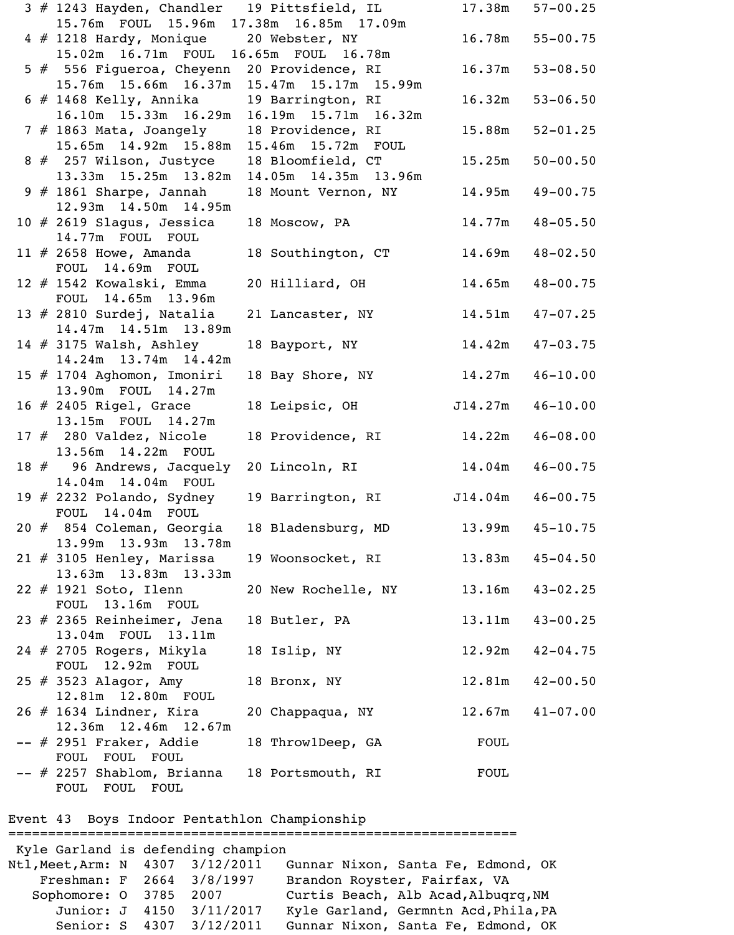|  | 3 # 1243 Hayden, Chandler 19 Pittsfield, IL |                           |         | $17.38m$ $57-00.25$ |
|--|---------------------------------------------|---------------------------|---------|---------------------|
|  | 15.76m FOUL 15.96m 17.38m 16.85m 17.09m     |                           |         |                     |
|  | 4 # 1218 Hardy, Monique 20 Webster, NY      |                           | 16.78m  | $55 - 00.75$        |
|  | 15.02m  16.71m  FOUL  16.65m  FOUL  16.78m  |                           |         |                     |
|  | 5 # 556 Figueroa, Cheyenn 20 Providence, RI |                           | 16.37m  | $53 - 08.50$        |
|  | 15.76m 15.66m 16.37m 15.47m 15.17m 15.99m   |                           |         |                     |
|  | $6$ # 1468 Kelly, Annika                    | 19 Barrington, RI         | 16.32m  | $53 - 06.50$        |
|  | $16.10m$ $15.33m$ $16.29m$                  | 16.19m  15.71m  16.32m    |         |                     |
|  | $7$ $#$ 1863 Mata, Joangely                 | 18 Providence, RI         | 15.88m  | $52 - 01.25$        |
|  | 15.65m  14.92m  15.88m                      | 15.46m 15.72m FOUL        |         |                     |
|  | 8 # 257 Wilson, Justyce                     | 18 Bloomfield, CT         | 15.25m  | $50 - 00.50$        |
|  | 13.33m 15.25m 13.82m                        | 14.05m  14.35m  13.96m    |         |                     |
|  | $9$ # 1861 Sharpe, Jannah                   | 18 Mount Vernon, NY       | 14.95m  | $49 - 00.75$        |
|  | 12.93m  14.50m  14.95m                      |                           |         |                     |
|  | 10 $#$ 2619 Slagus, Jessica                 | 18 MOSCOW, PA             | 14.77m  | $48 - 05.50$        |
|  | 14.77m FOUL FOUL                            |                           |         |                     |
|  | 11 $\#$ 2658 Howe, Amanda                   | 18 Southington, CT 14.69m |         | $48 - 02.50$        |
|  | FOUL 14.69m FOUL                            |                           |         |                     |
|  |                                             |                           |         | $48 - 00.75$        |
|  | 12 # 1542 Kowalski, Emma                    | 20 Hilliard, OH           | 14.65m  |                     |
|  | FOUL 14.65m 13.96m                          |                           |         |                     |
|  | 13 $#$ 2810 Surdej, Natalia                 | 21 Lancaster, NY          |         | $14.51m$ $47-07.25$ |
|  | 14.47m  14.51m  13.89m                      |                           |         |                     |
|  | 14 $#$ 3175 Walsh, Ashley                   | 18 Bayport, NY            | 14.42m  | $47 - 03.75$        |
|  | 14.24m 13.74m 14.42m                        |                           |         |                     |
|  | 15 # 1704 Aghomon, Imoniri                  | 18 Bay Shore, NY          | 14.27m  | $46 - 10.00$        |
|  | 13.90m FOUL 14.27m                          |                           |         |                     |
|  | 16 # 2405 Rigel, Grace                      | 18 Leipsic, OH            | J14.27m | $46 - 10.00$        |
|  | 13.15m FOUL 14.27m                          |                           |         |                     |
|  | 17 $#$ 280 Valdez, Nicole                   | 18 Providence, RI 14.22m  |         | $46 - 08.00$        |
|  | 13.56m  14.22m  FOUL                        |                           |         |                     |
|  | 18 # 96 Andrews, Jacquely 20 Lincoln, RI    |                           |         | $14.04m$ $46-00.75$ |
|  | 14.04m  14.04m  FOUL                        |                           |         |                     |
|  | 19 $#$ 2232 Polando, Sydney                 | 19 Barrington, RI         | J14.04m | $46 - 00.75$        |
|  | FOUL 14.04m FOUL                            |                           |         |                     |
|  | 20 # 854 Coleman, Georgia                   | 18 Bladensburg, MD        | 13.99m  | $45 - 10.75$        |
|  | 13.99m 13.93m 13.78m                        |                           |         |                     |
|  | $21 \# 3105$ Henley, Marissa                | 19 Woonsocket, RI         | 13.83m  | $45 - 04.50$        |
|  | 13.63m 13.83m 13.33m                        |                           |         |                     |
|  | 22 # 1921 Soto, Ilenn                       | 20 New Rochelle, NY       | 13.16m  | $43 - 02.25$        |
|  | FOUL 13.16m FOUL                            |                           |         |                     |
|  | 23 # 2365 Reinheimer, Jena                  | 18 Butler, PA             | 13.11m  | $43 - 00.25$        |
|  | 13.04m FOUL 13.11m                          |                           |         |                     |
|  | 24 $#$ 2705 Rogers, Mikyla                  | 18 Islip, NY              | 12.92m  | $42 - 04.75$        |
|  | FOUL 12.92m FOUL                            |                           |         |                     |
|  | 25 # 3523 Alagor, Amy                       | 18 Bronx, NY              | 12.81m  | $42 - 00.50$        |
|  | 12.81m  12.80m  FOUL                        |                           |         |                     |
|  | $26$ # 1634 Lindner, Kira                   | 20 Chappaqua, NY          |         | $12.67m$ $41-07.00$ |
|  | 12.36m 12.46m 12.67m                        |                           |         |                     |
|  | -- # 2951 Fraker, Addie                     | 18 Throw1Deep, GA         | FOUL    |                     |
|  | FOUL FOUL FOUL                              |                           |         |                     |
|  | -- # 2257 Shablom, Brianna                  | 18 Portsmouth, RI         | FOUL    |                     |
|  | FOUL FOUL FOUL                              |                           |         |                     |
|  |                                             |                           |         |                     |

Event 43 Boys Indoor Pentathlon Championship

================================================================ Kyle Garland is defending champion Ntl,Meet,Arm: N 4307 3/12/2011 Gunnar Nixon, Santa Fe, Edmond, OK Freshman: F 2664 3/8/1997 Brandon Royster, Fairfax, VA Sophomore: 0 3785 2007 Curtis Beach, Alb Acad, Albuqrq, NM Junior: J 4150 3/11/2017 Kyle Garland, Germntn Acd, Phila, PA Senior: S 4307 3/12/2011 Gunnar Nixon, Santa Fe, Edmond, OK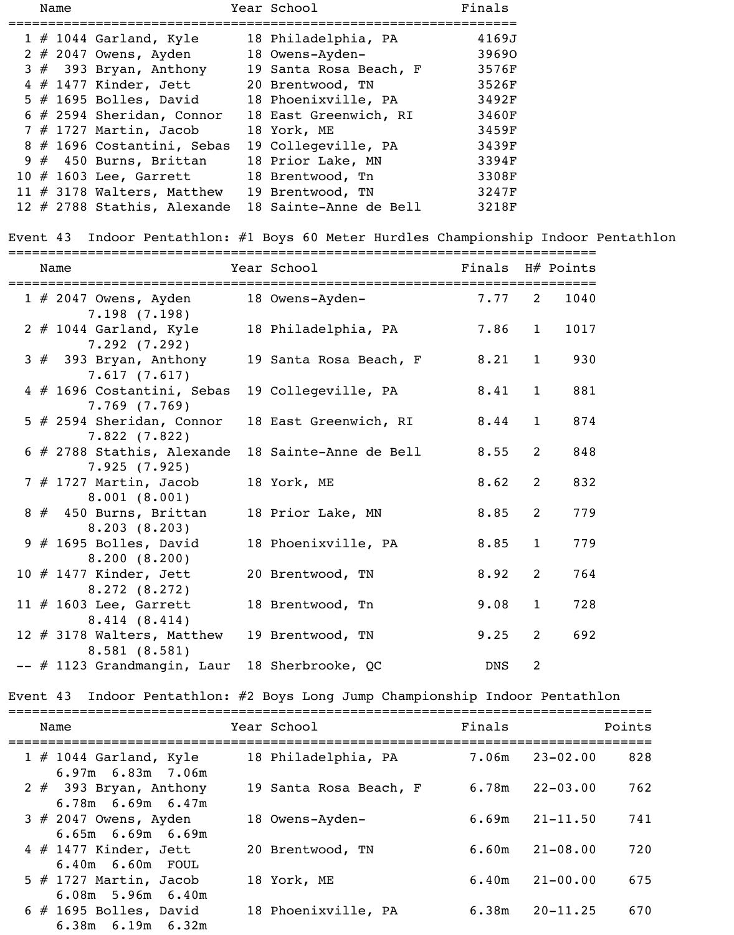|  | Name |                               | Year School            | Finals |
|--|------|-------------------------------|------------------------|--------|
|  |      | $1 \# 1044$ Garland, Kyle     | 18 Philadelphia, PA    | 4169J  |
|  |      | $2 \# 2047$ Owens, Ayden      | 18 Owens-Ayden-        | 39690  |
|  |      | $3#$ 393 Bryan, Anthony       | 19 Santa Rosa Beach, F | 3576F  |
|  |      | $4$ # 1477 Kinder, Jett       | 20 Brentwood, TN       | 3526F  |
|  |      | $5$ # 1695 Bolles, David      | 18 Phoenixville, PA    | 3492F  |
|  |      | $6$ # 2594 Sheridan, Connor   | 18 East Greenwich, RI  | 3460F  |
|  |      | $7$ # 1727 Martin, Jacob      | 18 York, ME            | 3459F  |
|  |      | 8 # 1696 Costantini, Sebas    | 19 Collegeville, PA    | 3439F  |
|  |      | $9 \# 450$ Burns, Brittan     | 18 Prior Lake, MN      | 3394F  |
|  |      | $10$ # 1603 Lee, Garrett      | 18 Brentwood, Tn       | 3308F  |
|  |      | 11 $#$ 3178 Walters, Matthew  | 19 Brentwood, TN       | 3247F  |
|  |      | 12 $#$ 2788 Stathis, Alexande | 18 Sainte-Anne de Bell | 3218F  |

### Event 43 Indoor Pentathlon: #1 Boys 60 Meter Hurdles Championship Indoor Pentathlon

|  | Name                                     | Year School            | Finals H# Points |                |      |
|--|------------------------------------------|------------------------|------------------|----------------|------|
|  |                                          |                        |                  |                |      |
|  | 1 # 2047 Owens, Ayden                    | 18 Owens-Ayden-        | 7.77             | $\overline{2}$ | 1040 |
|  | 7.198(7.198)                             |                        | 7.86             | $\mathbf{1}$   | 1017 |
|  | $2$ # 1044 Garland, Kyle<br>7.292(7.292) | 18 Philadelphia, PA    |                  |                |      |
|  | $3#$ 393 Bryan, Anthony                  | 19 Santa Rosa Beach, F | 8.21             | $\mathbf{1}$   | 930  |
|  | 7.617(7.617)                             |                        |                  |                |      |
|  | 4 # 1696 Costantini, Sebas               | 19 Collegeville, PA    | 8.41             | $\mathbf{1}$   | 881  |
|  | $7.769$ $(7.769)$                        |                        |                  |                |      |
|  | $5$ # 2594 Sheridan, Connor              | 18 East Greenwich, RI  | 8.44             | $\mathbf{1}$   | 874  |
|  | 7.822(7.822)                             |                        |                  |                |      |
|  | $6$ # 2788 Stathis, Alexande             | 18 Sainte-Anne de Bell | 8.55             | 2              | 848  |
|  | 7.925(7.925)                             |                        |                  |                |      |
|  | $7$ # 1727 Martin, Jacob                 | 18 York, ME            | 8.62             | 2              | 832  |
|  | 8.001(8.001)                             |                        |                  |                |      |
|  | $8 \# 450$ Burns, Brittan                | 18 Prior Lake, MN      | 8.85             | 2              | 779  |
|  | 8.203(8.203)                             |                        |                  |                |      |
|  | $9$ # 1695 Bolles, David                 | 18 Phoenixville, PA    | 8.85             | $\mathbf{1}$   | 779  |
|  | 8.200(8.200)                             |                        |                  | 2              | 764  |
|  | 10 # 1477 Kinder, Jett<br>8.272(8.272)   | 20 Brentwood, TN       | 8.92             |                |      |
|  | 11 $\#$ 1603 Lee, Garrett                | 18 Brentwood, Tn       | 9.08             | $\mathbf{1}$   | 728  |
|  | 8.414(8.414)                             |                        |                  |                |      |
|  | 12 # 3178 Walters, Matthew               | 19 Brentwood, TN       | 9.25             | 2              | 692  |
|  | 8.581(8.581)                             |                        |                  |                |      |
|  | -- # 1123 Grandmangin, Laur              | 18 Sherbrooke, QC      | <b>DNS</b>       | $\overline{2}$ |      |

### Event 43 Indoor Pentathlon: #2 Boys Long Jump Championship Indoor Pentathlon

| Name                                                 | Year School            | Finals | Points              |
|------------------------------------------------------|------------------------|--------|---------------------|
| $1 \# 1044$ Garland, Kyle<br>$6.97m$ $6.83m$ $7.06m$ | 18 Philadelphia, PA    | 7.06m  | 828<br>$23 - 02.00$ |
| 2 $#$ 393 Bryan, Anthony<br>$6.78m$ $6.69m$ $6.47m$  | 19 Santa Rosa Beach, F | 6.78m  | $22 - 03.00$<br>762 |
| $3$ # 2047 Owens, Ayden<br>$6.65m$ $6.69m$ $6.69m$   | 18 Owens-Ayden-        | 6.69m  | 741<br>$21 - 11.50$ |
| $4$ # 1477 Kinder, Jett<br>$6.40m$ $6.60m$ FOUL      | 20 Brentwood, TN       | 6.60m  | $21 - 08.00$<br>720 |
| $5$ # 1727 Martin, Jacob<br>$6.08m$ 5.96m $6.40m$    | 18 York, ME            | 6.40m  | $21 - 00.00$<br>675 |
| $6$ # 1695 Bolles, David<br>$6.38m$ $6.19m$ $6.32m$  | 18 Phoenixville, PA    | 6.38m  | $20 - 11.25$<br>670 |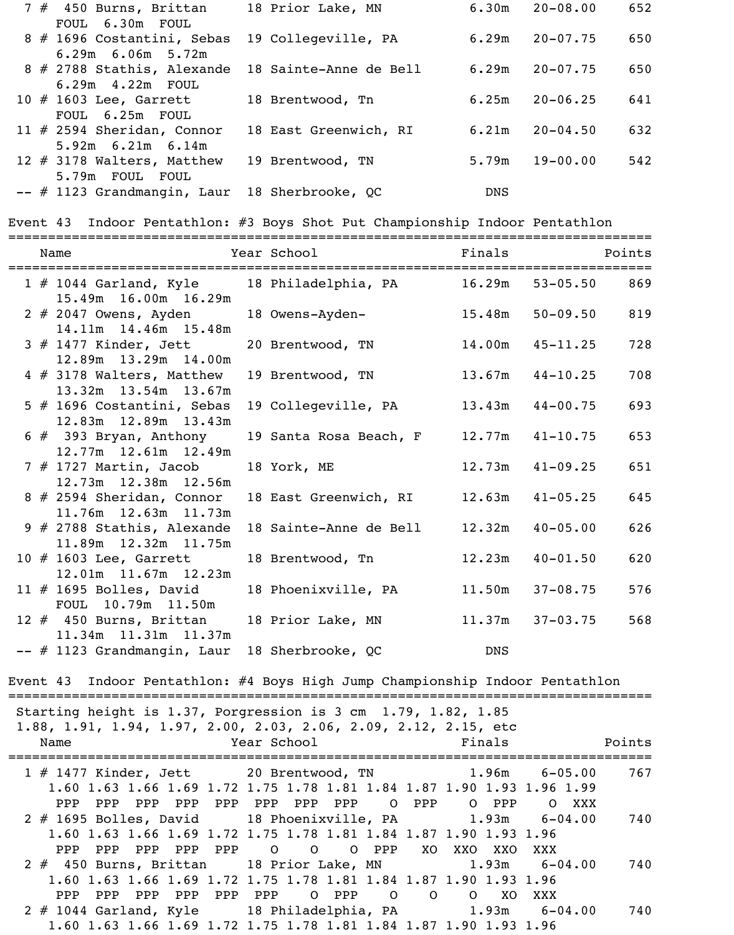| $7$ $#$ 450 Burns, Brittan                        | 18 Prior Lake, MN     | 6.30m      | $20 - 08.00$ | 652 |
|---------------------------------------------------|-----------------------|------------|--------------|-----|
| FOUL 6.30m FOUL                                   |                       |            |              |     |
| 8 # 1696 Costantini, Sebas                        | 19 Collegeville, PA   | 6.29m      | $20 - 07.75$ | 650 |
| $6.29m$ $6.06m$ $5.72m$                           |                       |            |              |     |
| 8 # 2788 Stathis, Alexande 18 Sainte-Anne de Bell |                       | 6.29m      | $20 - 07.75$ | 650 |
| $6.29m$ $4.22m$ FOUL                              |                       |            |              |     |
| 10 $\#$ 1603 Lee, Garrett                         | 18 Brentwood, Tn      | 6.25m      | $20 - 06.25$ | 641 |
| FOUL 6.25m FOUL                                   |                       |            |              |     |
| 11 $#$ 2594 Sheridan, Connor                      | 18 East Greenwich, RI | 6.21m      | $20 - 04.50$ | 632 |
| $5.92m$ 6.21m 6.14m                               |                       |            |              |     |
| 12 $#$ 3178 Walters, Matthew                      | 19 Brentwood, TN      | 5.79m      | $19 - 00.00$ | 542 |
| 5.79m FOUL FOUL                                   |                       |            |              |     |
| -- # 1123 Grandmangin, Laur                       | 18 Sherbrooke, QC     | <b>DNS</b> |              |     |

Event 43 Indoor Pentathlon: #3 Boys Shot Put Championship Indoor Pentathlon

|  | Name                                                                                   | =====================================<br>Year School | Finals              |                     | Points |
|--|----------------------------------------------------------------------------------------|------------------------------------------------------|---------------------|---------------------|--------|
|  | 1 # 1044 Garland, Kyle 18 Philadelphia, PA 16.29m 53-05.50 869<br>15.49m 16.00m 16.29m |                                                      |                     |                     |        |
|  | 2 # 2047 Owens, Ayden<br>14.11m  14.46m  15.48m                                        | 18 Owens-Ayden-                                      | 15.48m              | $50 - 09.50$        | 819    |
|  | $3$ $#$ 1477 Kinder, Jett<br>12.89m 13.29m 14.00m                                      | 20 Brentwood, TN                                     | 14.00m              | $45 - 11.25$        | 728    |
|  | 4 # 3178 Walters, Matthew<br>13.32m 13.54m 13.67m                                      | 19 Brentwood, TN                                     | $13.67m$ $44-10.25$ |                     | 708    |
|  | 5 # 1696 Costantini, Sebas<br>12.83m  12.89m  13.43m                                   | 19 Collegeville, PA                                  | 13.43m              | $44 - 00.75$        | 693    |
|  | $6$ $#$ 393 Bryan, Anthony<br>12.77m 12.61m 12.49m                                     | 19 Santa Rosa Beach, F                               | $12.77m$ $41-10.75$ |                     | 653    |
|  | 7 # 1727 Martin, Jacob<br>12.73m 12.38m 12.56m                                         | 18 York, ME                                          | 12.73m              | $41 - 09.25$        | 651    |
|  | 8 # 2594 Sheridan, Connor<br>11.76m 12.63m 11.73m                                      | 18 East Greenwich, RI                                | 12.63m              | $41 - 05.25$        | 645    |
|  | 9 # 2788 Stathis, Alexande<br>11.89m  12.32m  11.75m                                   | 18 Sainte-Anne de Bell                               | 12.32m              | $40 - 05.00$        | 626    |
|  | $10$ $\#$ 1603 Lee, Garrett<br>12.01m 11.67m 12.23m                                    | 18 Brentwood, Tn                                     | 12.23m              | $40 - 01.50$        | 620    |
|  | $11$ $\#$ 1695 Bolles, David<br>FOUL 10.79m 11.50m                                     | 18 Phoenixville, PA                                  | 11.50m              | $37 - 08.75$        | 576    |
|  | 12 # 450 Burns, Brittan 18 Prior Lake, MN<br>11.34m  11.31m  11.37m                    |                                                      |                     | $11.37m$ $37-03.75$ | 568    |
|  | -- # 1123 Grandmangin, Laur                                                            | <b>Example 19 DNS</b><br>18 Sherbrooke, QC           |                     |                     |        |

Event 43 Indoor Pentathlon: #4 Boys High Jump Championship Indoor Pentathlon

| Name       |                        | Starting height is 1.37, Porgression is 3 cm 1.79, 1.82, 1.85<br>1.88, 1.91, 1.94, 1.97, 2.00, 2.03, 2.06, 2.09, 2.12, 2.15, etc<br>Year School and the School and the School and the School | Finals       | Points |
|------------|------------------------|----------------------------------------------------------------------------------------------------------------------------------------------------------------------------------------------|--------------|--------|
|            |                        | 1 # 1477 Kinder, Jett 20 Brentwood, TN 1.96m 6-05.00                                                                                                                                         |              | 767    |
|            |                        | 1.60 1.63 1.66 1.69 1.72 1.75 1.78 1.81 1.84 1.87 1.90 1.93 1.96 1.99                                                                                                                        |              |        |
| PPP PPP    |                        | PPP PPP PPP PPP PPP PPP O PPP O PPP                                                                                                                                                          |              | O XXX  |
|            |                        | 2 # 1695 Bolles, David 18 Phoenixville, PA 1.93m 6-04.00                                                                                                                                     |              | 740    |
|            |                        | 1.60 1.63 1.66 1.69 1.72 1.75 1.78 1.81 1.84 1.87 1.90 1.93 1.96                                                                                                                             |              |        |
| PPP PPP    | PPP PPP PPP            | O O O PPP XO XXO XXO XXX                                                                                                                                                                     |              |        |
|            |                        | 2 # 450 Burns, Brittan 18 Prior Lake, MN 1.93m 6-04.00                                                                                                                                       |              | 740    |
|            |                        | 1.60 1.63 1.66 1.69 1.72 1.75 1.78 1.81 1.84 1.87 1.90 1.93 1.96                                                                                                                             |              |        |
| PPP<br>PPP | ${\rm PPP}$<br>PPP PPP | PPP O PPP                                                                                                                                                                                    | O O O XO XXX |        |
|            |                        | $2 \# 1044$ Garland, Kyle $18$ Philadelphia, PA $1.93$ m $6-04.00$                                                                                                                           |              | 740    |
|            |                        | 1.60 1.63 1.66 1.69 1.72 1.75 1.78 1.81 1.84 1.87 1.90 1.93 1.96                                                                                                                             |              |        |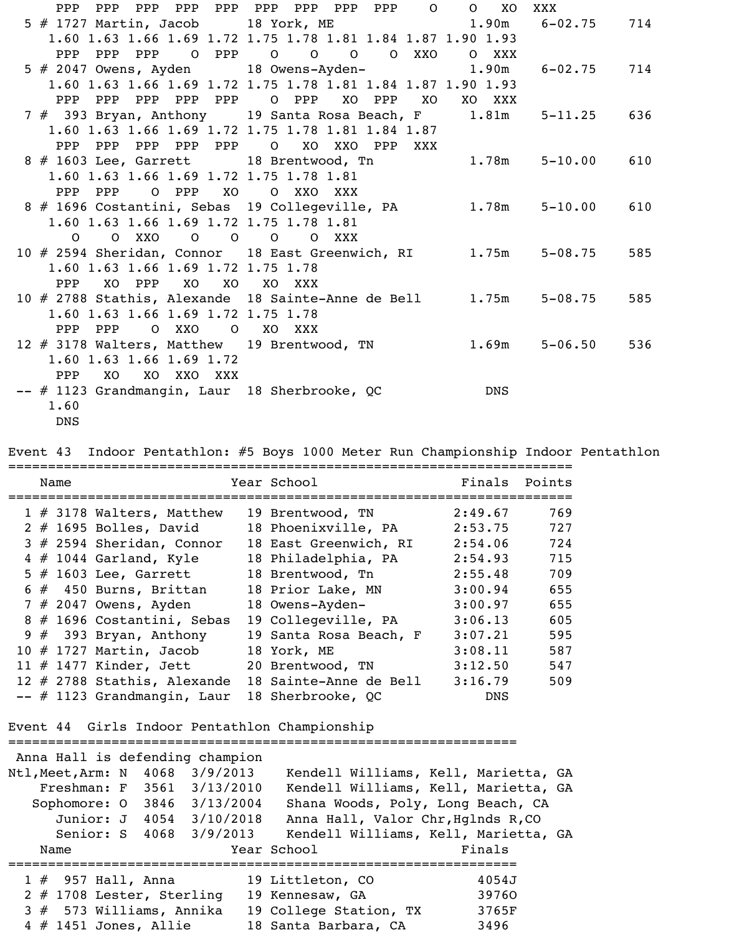|  | PPP  |         |                                                 |    | PPP PPP PPP PPP PPP PPP PPP PPP 0 0 XO                      |       |       |                                                          | XXX               |     |
|--|------|---------|-------------------------------------------------|----|-------------------------------------------------------------|-------|-------|----------------------------------------------------------|-------------------|-----|
|  |      |         |                                                 |    |                                                             |       |       | 5 # 1727 Martin, Jacob 18 York, ME 1.90m                 | $6 - 02$ .75      | 714 |
|  |      |         |                                                 |    | 1.60 1.63 1.66 1.69 1.72 1.75 1.78 1.81 1.84 1.87 1.90 1.93 |       |       |                                                          |                   |     |
|  | PPP  | PPP     |                                                 |    | PPP 0 PPP 0 0 0                                             |       | O XXO | O XXX                                                    |                   |     |
|  |      |         |                                                 |    | 5 # 2047 Owens, Ayden 18 Owens-Ayden- 1.90m                 |       |       |                                                          | $6 - 02$ .75      | 714 |
|  |      |         |                                                 |    | 1.60 1.63 1.66 1.69 1.72 1.75 1.78 1.81 1.84 1.87 1.90 1.93 |       |       |                                                          |                   |     |
|  |      | PPP PPP | PPP PPP PPP                                     |    | O PPP XO PPP                                                |       | XO    | XO XXX                                                   |                   |     |
|  |      |         |                                                 |    |                                                             |       |       | 7 # 393 Bryan, Anthony 19 Santa Rosa Beach, F 1.81m      | $5 - 11.25$       | 636 |
|  |      |         |                                                 |    | 1.60 1.63 1.66 1.69 1.72 1.75 1.78 1.81 1.84 1.87           |       |       |                                                          |                   |     |
|  |      | PPP PPP | PPP PPP PPP                                     |    | O XO XXO PPP                                                |       | XXX   |                                                          |                   |     |
|  |      |         |                                                 |    | 8 # 1603 Lee, Garrett 18 Brentwood, Tn                      |       |       |                                                          | $1.78m$ $5-10.00$ | 610 |
|  |      |         |                                                 |    | 1.60 1.63 1.66 1.69 1.72 1.75 1.78 1.81                     |       |       |                                                          |                   |     |
|  |      | PPP PPP | O PPP XO                                        |    | O XXO                                                       | XXX   |       |                                                          |                   |     |
|  |      |         |                                                 |    | 8 # 1696 Costantini, Sebas 19 Collegeville, PA              |       |       | 1.78m                                                    | $5 - 10.00$       | 610 |
|  |      |         |                                                 |    | 1.60 1.63 1.66 1.69 1.72 1.75 1.78 1.81                     |       |       |                                                          |                   |     |
|  |      |         | $0$ 0 XXO 0 0 0                                 |    |                                                             | O XXX |       |                                                          |                   |     |
|  |      |         |                                                 |    |                                                             |       |       | 10 # 2594 Sheridan, Connor 18 East Greenwich, RI 1.75m   | $5 - 08.75$       | 585 |
|  | PPP  |         | 1.60 1.63 1.66 1.69 1.72 1.75 1.78<br>XO PPP XO |    | XO XXX                                                      |       |       |                                                          |                   |     |
|  |      |         |                                                 | XO |                                                             |       |       | 10 # 2788 Stathis, Alexande 18 Sainte-Anne de Bell 1.75m | $5 - 08.75$       | 585 |
|  |      |         | 1.60 1.63 1.66 1.69 1.72 1.75 1.78              |    |                                                             |       |       |                                                          |                   |     |
|  |      | PPP PPP | O XXO                                           |    | O XO XXX                                                    |       |       |                                                          |                   |     |
|  |      |         |                                                 |    | 12 # 3178 Walters, Matthew 19 Brentwood, TN                 |       |       | 1.69m                                                    | $5 - 06.50$       | 536 |
|  |      |         | 1.60 1.63 1.66 1.69 1.72                        |    |                                                             |       |       |                                                          |                   |     |
|  |      | PPP XO  | XO XXO XXX                                      |    |                                                             |       |       |                                                          |                   |     |
|  |      |         |                                                 |    | -- # 1123 Grandmangin, Laur 18 Sherbrooke, QC               |       |       | DNS                                                      |                   |     |
|  | 1.60 |         |                                                 |    |                                                             |       |       |                                                          |                   |     |
|  |      |         |                                                 |    |                                                             |       |       |                                                          |                   |     |

DNS

Event 43 Indoor Pentathlon: #5 Boys 1000 Meter Run Championship Indoor Pentathlon

|  | Name |                              | Year School            | Finals     | Points |
|--|------|------------------------------|------------------------|------------|--------|
|  |      | $1 \# 3178$ Walters, Matthew | 19 Brentwood, TN       | 2:49.67    | 769    |
|  |      | $2$ # 1695 Bolles, David     | 18 Phoenixville, PA    | 2:53.75    | 727    |
|  |      | $3$ # 2594 Sheridan, Connor  | 18 East Greenwich, RI  | 2:54.06    | 724    |
|  |      | $4 \# 1044$ Garland, Kyle    | 18 Philadelphia, PA    | 2:54.93    | 715    |
|  |      | $5$ $\#$ 1603 Lee, Garrett   | 18 Brentwood, Tn       | 2:55.48    | 709    |
|  |      | $6 \# 450$ Burns, Brittan    | 18 Prior Lake, MN      | 3:00.94    | 655    |
|  |      | $7$ # 2047 Owens, Ayden      | 18 Owens-Ayden-        | 3:00.97    | 655    |
|  |      | 8 # 1696 Costantini, Sebas   | 19 Collegeville, PA    | 3:06.13    | 605    |
|  |      | 9 $#$ 393 Bryan, Anthony     | 19 Santa Rosa Beach, F | 3:07.21    | 595    |
|  |      | 10 $#$ 1727 Martin, Jacob    | 18 York, ME            | 3:08.11    | 587    |
|  |      | 11 $#$ 1477 Kinder, Jett     | 20 Brentwood, TN       | 3:12.50    | 547    |
|  |      | 12 # 2788 Stathis, Alexande  | 18 Sainte-Anne de Bell | 3:16.79    | 509    |
|  |      | -- # 1123 Grandmangin, Laur  | 18 Sherbrooke, QC      | <b>DNS</b> |        |

```
Event 44 Girls Indoor Pentathlon Championship
```

| Anna Hall is defending champion |  |  |                                      |        |  |
|---------------------------------|--|--|--------------------------------------|--------|--|
| Ntl,Meet,Arm: N 4068 3/9/2013   |  |  | Kendell Williams, Kell, Marietta, GA |        |  |
| Freshman: F 3561 3/13/2010      |  |  | Kendell Williams, Kell, Marietta, GA |        |  |
| Sophomore: 0 3846 3/13/2004     |  |  | Shana Woods, Poly, Long Beach, CA    |        |  |
| Junior: J 4054 3/10/2018        |  |  | Anna Hall, Valor Chr, Hglnds R, CO   |        |  |
| Senior: S 4068 3/9/2013         |  |  | Kendell Williams, Kell, Marietta, GA |        |  |
| Name                            |  |  | Year School                          | Finals |  |
|                                 |  |  |                                      |        |  |
| $1$ $\#$ 957 Hall, Anna         |  |  | 19 Littleton, CO                     | 4054J  |  |
| $2$ # 1708 Lester, Sterling     |  |  | 19 Kennesaw, GA                      | 39760  |  |
| $3# 573$ Williams, Annika       |  |  | 19 College Station, TX               | 3765F  |  |
| $4$ # 1451 Jones, Allie         |  |  | 18 Santa Barbara, CA                 | 3496   |  |

================================================================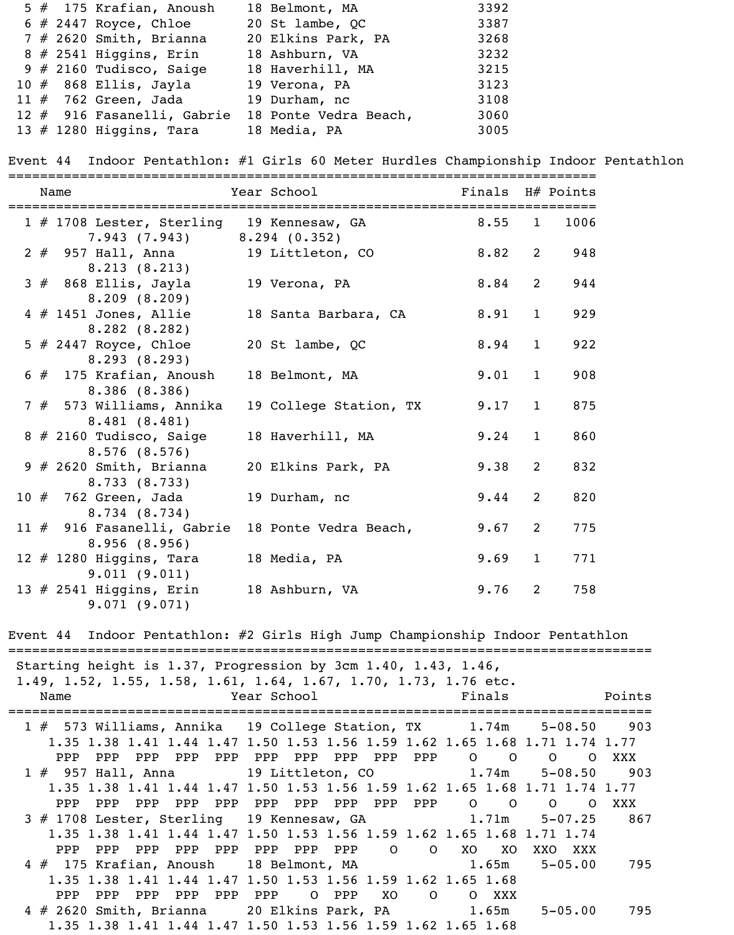|  | $5$ $#$ 175 Krafian, Anoush | 18 Belmont, MA        | 3392 |
|--|-----------------------------|-----------------------|------|
|  | $6$ # 2447 Royce, Chloe     | 20 St lambe, QC       | 3387 |
|  | $7$ # 2620 Smith, Brianna   | 20 Elkins Park, PA    | 3268 |
|  | $8$ # 2541 Higgins, Erin    | 18 Ashburn, VA        | 3232 |
|  | $9$ # 2160 Tudisco, Saige   | 18 Haverhill, MA      | 3215 |
|  | 10 $#$ 868 Ellis, Jayla     | 19 Verona, PA         | 3123 |
|  | 11 $#$ 762 Green, Jada      | 19 Durham, nc         | 3108 |
|  | 12 # 916 Fasanelli, Gabrie  | 18 Ponte Vedra Beach, | 3060 |
|  | 13 $#$ 1280 Higgins, Tara   | 18 Media, PA          | 3005 |
|  |                             |                       |      |

Event 44 Indoor Pentathlon: #1 Girls 60 Meter Hurdles Championship Indoor Pentathlon

| Name                                                                              | Year School            | Finals H# Points |              |      |
|-----------------------------------------------------------------------------------|------------------------|------------------|--------------|------|
| 1 # 1708 Lester, Sterling 19 Kennesaw, GA 6.55 1<br>$7.943$ (7.943) 8.294 (0.352) |                        |                  |              | 1006 |
| 2 # 957 Hall, Anna<br>8.213(8.213)                                                | 19 Littleton, CO       | 8.82             | 2            | 948  |
| $3$ $\#$ 868 Ellis, Jayla<br>8.209(8.209)                                         | 19 Verona, PA          | 8.84             | 2            | 944  |
| $4$ # 1451 Jones, Allie<br>8.282(8.282)                                           | 18 Santa Barbara, CA   | 8.91             | $\mathbf{1}$ | 929  |
| 5 $#$ 2447 Royce, Chloe<br>8.293(8.293)                                           | 20 St lambe, QC        | 8.94             | $\mathbf{1}$ | 922  |
| $6$ $#$ 175 Krafian, Anoush<br>8.386(8.386)                                       | 18 Belmont, MA         | 9.01             | $\mathbf{1}$ | 908  |
| 7 # 573 Williams, Annika<br>8.481(8.481)                                          | 19 College Station, TX | 9.17             | $\mathbf{1}$ | 875  |
| 8 # 2160 Tudisco, Saige<br>8.576(8.576)                                           | 18 Haverhill, MA       | 9.24             | $\mathbf{1}$ | 860  |
| $9$ # 2620 Smith, Brianna<br>8.733 (8.733)                                        | 20 Elkins Park, PA     | 9.38             | 2            | 832  |
| $10$ $#$ 762 Green, Jada<br>8.734(8.734)                                          | 19 Durham, nc          | 9.44             | 2            | 820  |
| 11 # 916 Fasanelli, Gabrie<br>8.956(8.956)                                        | 18 Ponte Vedra Beach,  | 9.67             | 2            | 775  |
| $12$ # 1280 Higgins, Tara<br>9.011(9.011)                                         | 18 Media, PA           | 9.69             | $\mathbf{1}$ | 771  |
| 13 $#$ 2541 Higgins, Erin<br>9.071(9.071)                                         | 18 Ashburn, VA         | 9.76             | 2            | 758  |

Event 44 Indoor Pentathlon: #2 Girls High Jump Championship Indoor Pentathlon

| Starting height is 1.37, Progression by 3cm 1.40, 1.43, 1.46,<br>1.49, 1.52, 1.55, 1.58, 1.61, 1.64, 1.67, 1.70, 1.73, 1.76 etc.<br>Name | <b>Example 2</b> Year School |           | Finals                  |                 | Points |
|------------------------------------------------------------------------------------------------------------------------------------------|------------------------------|-----------|-------------------------|-----------------|--------|
| 1 # 573 Williams, Annika 19 College Station, TX 1.74m 5-08.50 903                                                                        |                              |           |                         |                 |        |
| 1.35 1.38 1.41 1.44 1.47 1.50 1.53 1.56 1.59 1.62 1.65 1.68 1.71 1.74 1.77                                                               |                              |           |                         |                 |        |
|                                                                                                                                          |                              |           |                         |                 | XXX    |
| 1 # 957 Hall, Anna 19 Littleton, CO 1.74m                                                                                                |                              |           |                         | $5 - 08.50$ 903 |        |
| 1.35 1.38 1.41 1.44 1.47 1.50 1.53 1.56 1.59 1.62 1.65 1.68 1.71 1.74 1.77                                                               |                              |           |                         |                 |        |
| PPP PPP PPP PPP PPP PPP PPP PPP PPP 0 0 0 0<br>PPP                                                                                       |                              |           |                         |                 | XXX    |
| 3 # 1708 Lester, Sterling 19 Kennesaw, GA 1.71m                                                                                          |                              |           |                         | $5 - 07.25$     | 867    |
| 1.35 1.38 1.41 1.44 1.47 1.50 1.53 1.56 1.59 1.62 1.65 1.68 1.71 1.74                                                                    |                              |           |                         |                 |        |
| PPP PPP PPP PPP PPP PPP PPP 0 0 XO XO<br>PPP                                                                                             |                              |           |                         | XXO XXX         |        |
| $4 \#$ 175 Krafian, Anoush 18 Belmont, MA $1.65$ m                                                                                       |                              |           |                         | $5 - 05.00$     | 795    |
| 1.35 1.38 1.41 1.44 1.47 1.50 1.53 1.56 1.59 1.62 1.65 1.68                                                                              |                              |           |                         |                 |        |
| PPP<br>PPP                                                                                                                               | PPP PPP PPP PPP 0 PPP        | <b>XO</b> | $\overline{O}$<br>O XXX |                 |        |
| 4 # 2620 Smith, Brianna 20 Elkins Park, PA 1.65m                                                                                         |                              |           |                         | $5 - 05.00$     | 795    |
| 1.35 1.38 1.41 1.44 1.47 1.50 1.53 1.56 1.59 1.62 1.65 1.68                                                                              |                              |           |                         |                 |        |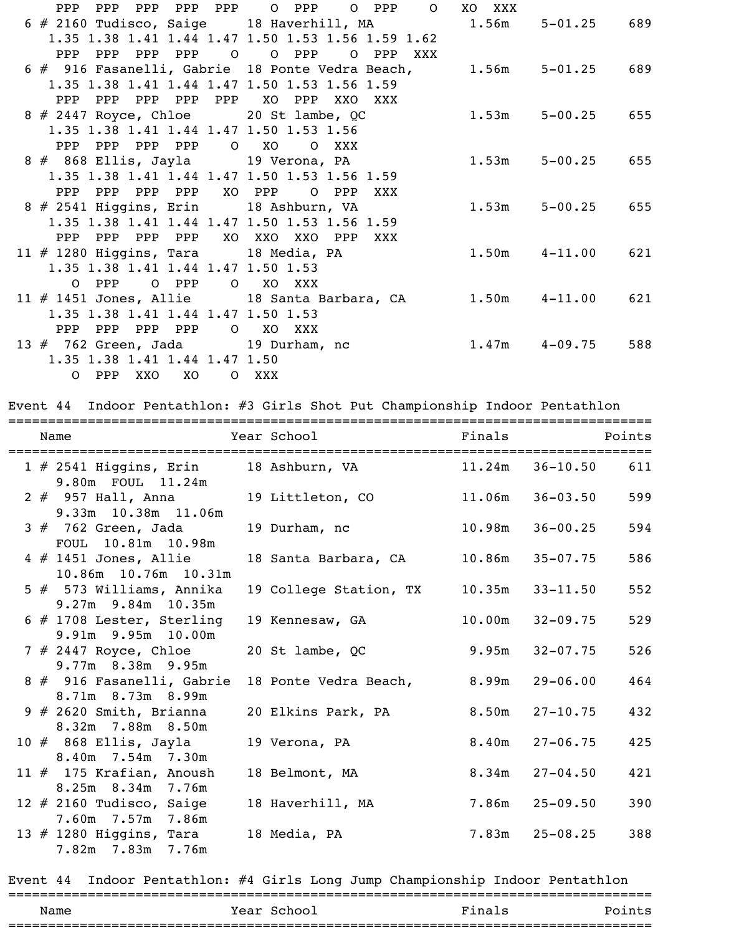| PPP<br>PPP                              |                    | PPP PPP PPP 0 PPP 0 PPP<br>$\overline{O}$                 | XO XXX |                   |     |
|-----------------------------------------|--------------------|-----------------------------------------------------------|--------|-------------------|-----|
|                                         |                    | 6 # 2160 Tudisco, Saige 18 Haverhill, MA 1.56m            |        | $5 - 01.25$       | 689 |
|                                         |                    | 1.35 1.38 1.41 1.44 1.47 1.50 1.53 1.56 1.59 1.62         |        |                   |     |
| PPP PPP PPP PPP 0                       |                    | O PPP<br>O PPP<br>XXX                                     |        |                   |     |
|                                         |                    | 6 # 916 Fasanelli, Gabrie 18 Ponte Vedra Beach,           | 1.56m  | $5 - 01.25$       | 689 |
|                                         |                    | 1.35 1.38 1.41 1.44 1.47 1.50 1.53 1.56 1.59              |        |                   |     |
| PPP PPP                                 | PPP PPP PPP XO PPP | XXO XXX                                                   |        |                   |     |
|                                         |                    | $8 \# 2447$ Royce, Chloe 20 St lambe, QC                  | 1.53m  | $5 - 00.25$ 655   |     |
|                                         |                    | 1.35 1.38 1.41 1.44 1.47 1.50 1.53 1.56                   |        |                   |     |
| PPP PPP PPP PPP 0 XO                    |                    | O XXX                                                     |        |                   |     |
| 8 # 868 Ellis, Jayla 19 Verona, PA      |                    |                                                           | 1.53m  | $5 - 00.25$ 655   |     |
|                                         |                    | 1.35 1.38 1.41 1.44 1.47 1.50 1.53 1.56 1.59              |        |                   |     |
| PPP PPP                                 | PPP PPP            | XO PPP<br>O PPP<br>XXX                                    |        |                   |     |
| 8 # 2541 Higgins, Erin 18 Ashburn, VA   |                    |                                                           | 1.53m  | $5 - 00.25$ 655   |     |
|                                         |                    | 1.35 1.38 1.41 1.44 1.47 1.50 1.53 1.56 1.59              |        |                   |     |
| PPP PPP PPP PPP XO XXO XXO              |                    | PPP<br>XXX                                                |        |                   |     |
| $11 \# 1280$ Higgins, Tara 18 Media, PA |                    |                                                           |        | $1.50m$ $4-11.00$ | 621 |
| 1.35 1.38 1.41 1.44 1.47 1.50 1.53      |                    |                                                           |        |                   |     |
| 0 PPP                                   | O PPP              | O XO XXX                                                  |        |                   |     |
|                                         |                    | 11 # 1451 Jones, Allie 18 Santa Barbara, CA 1.50m 4-11.00 |        |                   | 621 |
| 1.35 1.38 1.41 1.44 1.47 1.50 1.53      |                    |                                                           |        |                   |     |
| PPP PPP                                 | PPP PPP            | O XO XXX                                                  |        |                   |     |
| $13 \# 762$ Green, Jada 19 Durham, nc   |                    |                                                           |        | $1.47m$ $4-09.75$ | 588 |
| 1.35 1.38 1.41 1.44 1.47 1.50           |                    |                                                           |        |                   |     |
| 0 PPP<br>XXO                            | <b>XO</b>          | O XXX                                                     |        |                   |     |

Event 44 Indoor Pentathlon: #3 Girls Shot Put Championship Indoor Pentathlon

|  | Name                                                                       | Year School                 | Finals |                    | Points |
|--|----------------------------------------------------------------------------|-----------------------------|--------|--------------------|--------|
|  | 1 # 2541 Higgins, Erin 18 Ashburn, VA 11.24m 36-10.50<br>9.80m FOUL 11.24m |                             |        |                    | 611    |
|  | 2 # 957 Hall, Anna 19 Littleton, CO<br>9.33m 10.38m 11.06m                 |                             | 11.06m | $36 - 03.50$       | 599    |
|  | $3#762$ Green, Jada<br>FOUL 10.81m 10.98m                                  | 19 Durham, no               | 10.98m | $36 - 00.25$       | 594    |
|  | $4$ $\#$ 1451 Jones, Allie<br>10.86m 10.76m 10.31m                         | 18 Santa Barbara, CA        | 10.86m | $35 - 07.75$       | 586    |
|  | $5$ $#$ 573 Williams, Annika<br>9.27m 9.84m 10.35m                         | 19 College Station, TX      | 10.35m | $33 - 11.50$       | 552    |
|  | $6$ # 1708 Lester, Sterling<br>9.91m 9.95m 10.00m                          | 19 Kennesaw, GA             | 10.00m | $32 - 09.75$       | 529    |
|  | 7 # 2447 Royce, Chloe<br>9.77m 8.38m 9.95m                                 | 20 St lambe, QC             | 9.95m  | $32 - 07.75$       | 526    |
|  | 8 # 916 Fasanelli, Gabrie<br>8.71m 8.73m 8.99m                             | 18 Ponte Vedra Beach, 8.99m |        | $29 - 06.00$       | 464    |
|  | $9$ # 2620 Smith, Brianna<br>8.32m 7.88m 8.50m                             | 20 Elkins Park, PA          | 8.50m  | $27 - 10.75$       | 432    |
|  | $10$ $\#$ 868 Ellis, Jayla                                                 | 19 Verona, PA               | 8.40m  | $27 - 06.75$       | 425    |
|  | 8.40m 7.54m 7.30m<br>11 $#$ 175 Krafian, Anoush                            | 18 Belmont, MA              |        | $8.34m$ $27-04.50$ | 421    |
|  | 8.25m 8.34m 7.76m<br>12 $#$ 2160 Tudisco, Saige                            | 18 Haverhill, MA            | 7.86m  | $25 - 09.50$       | 390    |
|  | 7.60m 7.57m 7.86m<br>13 $#$ 1280 Higgins, Tara<br>7.82m 7.83m 7.76m        | 18 Media, PA                |        | $7.83m$ $25-08.25$ | 388    |

Event 44 Indoor Pentathlon: #4 Girls Long Jump Championship Indoor Pentathlon

| _____      |                |        |      |
|------------|----------------|--------|------|
| Name       | Year<br>School | Finals | .nts |
| __________ |                |        |      |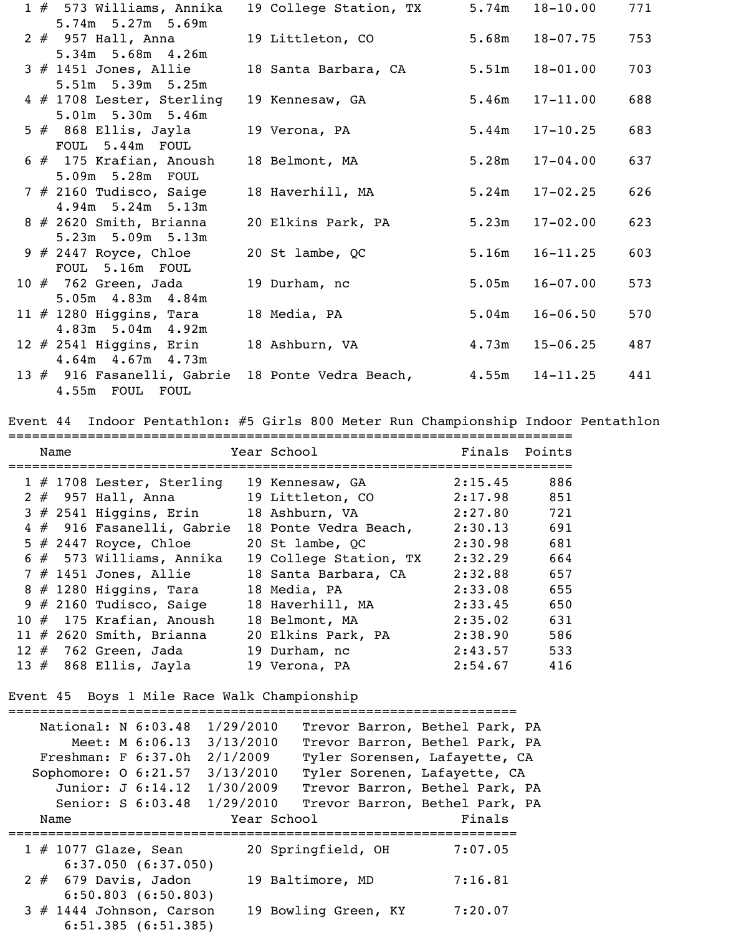| 1 # 573 Williams, Annika                        | 19 College Station, TX | 5.74m | $18 - 10.00$ | 771 |
|-------------------------------------------------|------------------------|-------|--------------|-----|
| 5.74m 5.27m 5.69m<br>$2 \# 957$ Hall, Anna      | 19 Littleton, CO       | 5.68m | $18 - 07.75$ | 753 |
| 5.34m 5.68m 4.26m                               |                        |       |              |     |
| $3$ # 1451 Jones, Allie                         | 18 Santa Barbara, CA   | 5.51m | $18 - 01.00$ | 703 |
| 5.51m 5.39m 5.25m                               |                        |       |              |     |
| 4 # 1708 Lester, Sterling                       | 19 Kennesaw, GA        | 5.46m | $17 - 11.00$ | 688 |
| 5.01m 5.30m 5.46m<br>$5$ $#$ 868 Ellis, Jayla   | 19 Verona, PA          | 5.44m | $17 - 10.25$ | 683 |
| FOUL 5.44m FOUL                                 |                        |       |              |     |
| $6$ # 175 Krafian, Anoush                       | 18 Belmont, MA         | 5.28m | $17 - 04.00$ | 637 |
| 5.09m 5.28m FOUL                                |                        |       |              |     |
| $7$ # 2160 Tudisco, Saige                       | 18 Haverhill, MA       | 5.24m | $17 - 02.25$ | 626 |
| 4.94m 5.24m 5.13m                               |                        |       |              |     |
| $8 \# 2620$ Smith, Brianna<br>5.23m 5.09m 5.13m | 20 Elkins Park, PA     | 5.23m | $17 - 02.00$ | 623 |
| $9 \# 2447$ Royce, Chloe                        | 20 St lambe, QC        | 5.16m | $16 - 11.25$ | 603 |
| FOUL 5.16m FOUL                                 |                        |       |              |     |
| 10 $#$ 762 Green, Jada                          | 19 Durham, nc          | 5.05m | $16 - 07.00$ | 573 |
| 5.05m 4.83m 4.84m                               |                        |       |              |     |
| 11 $#$ 1280 Higgins, Tara                       | 18 Media, PA           | 5.04m | $16 - 06.50$ | 570 |
| 4.83m 5.04m 4.92m<br>12 $#$ 2541 Higgins, Erin  | 18 Ashburn, VA         | 4.73m | $15 - 06.25$ | 487 |
| $4.64m$ $4.67m$ $4.73m$                         |                        |       |              |     |
| 13 # 916 Fasanelli, Gabrie                      | 18 Ponte Vedra Beach,  | 4.55m | $14 - 11.25$ | 441 |
| 4.55m FOUL FOUL                                 |                        |       |              |     |

Event 44 Indoor Pentathlon: #5 Girls 800 Meter Run Championship Indoor Pentathlon

|  | Name |                              | Year School            | Finals Points |     |
|--|------|------------------------------|------------------------|---------------|-----|
|  |      | $1 \# 1708$ Lester, Sterling | 19 Kennesaw, GA        | 2:15.45       | 886 |
|  |      | $2$ $#$ 957 Hall, Anna       | 19 Littleton, CO       | 2:17.98       | 851 |
|  |      | $3$ $#$ 2541 Higgins, Erin   | 18 Ashburn, VA         | 2:27.80       | 721 |
|  |      | 4 # 916 Fasanelli, Gabrie    | 18 Ponte Vedra Beach,  | 2:30.13       | 691 |
|  |      | 5 $\#$ 2447 Royce, Chloe     | 20 St lambe, QC        | 2:30.98       | 681 |
|  |      | 6 # 573 Williams, Annika     | 19 College Station, TX | 2:32.29       | 664 |
|  |      | $7$ # 1451 Jones, Allie      | 18 Santa Barbara, CA   | 2:32.88       | 657 |
|  |      | $8 \# 1280$ Higgins, Tara    | 18 Media, PA           | 2:33.08       | 655 |
|  |      | $9$ # 2160 Tudisco, Saige    | 18 Haverhill, MA       | 2:33.45       | 650 |
|  |      | 10 # 175 Krafian, Anoush     | 18 Belmont, MA         | 2:35.02       | 631 |
|  |      | 11 $#$ 2620 Smith, Brianna   | 20 Elkins Park, PA     | 2:38.90       | 586 |
|  |      | $12$ $\#$ $762$ Green, Jada  | 19 Durham, nc          | 2:43.57       | 533 |
|  |      | 13 $#$ 868 Ellis, Jayla      | 19 Verona, PA          | 2:54.67       | 416 |

Event 45 Boys 1 Mile Race Walk Championship

| National: N 6:03.48<br>Meet: M 6:06.13           | 1/29/2010<br>3/13/2010 |                              | Trevor Barron, Bethel Park, PA<br>Trevor Barron, Bethel Park, PA |
|--------------------------------------------------|------------------------|------------------------------|------------------------------------------------------------------|
|                                                  |                        |                              |                                                                  |
| Freshman: F 6:37.0h                              | 2/1/2009               |                              | Tyler Sorensen, Lafayette, CA                                    |
| Sophomore: 0 6:21.57                             | 3/13/2010              | Tyler Sorenen, Lafayette, CA |                                                                  |
| Junior: J 6:14.12                                | 1/30/2009              |                              | Trevor Barron, Bethel Park, PA                                   |
| Senior: S 6:03.48                                | 1/29/2010              |                              | Trevor Barron, Bethel Park, PA                                   |
| Name                                             | Year School            |                              | Finals                                                           |
| $1 \# 1077$ Glaze, Sean<br>6:37.050(6:37.050)    |                        | 20 Springfield, OH           | 7:07.05                                                          |
| $2# 679$ Davis, Jadon<br>$6:50.803$ $(6:50.803)$ |                        | 19 Baltimore, MD             | 7:16.81                                                          |
| $3$ # 1444 Johnson, Carson<br>6:51.385(6:51.385) |                        | 19 Bowling Green, KY         | 7:20.07                                                          |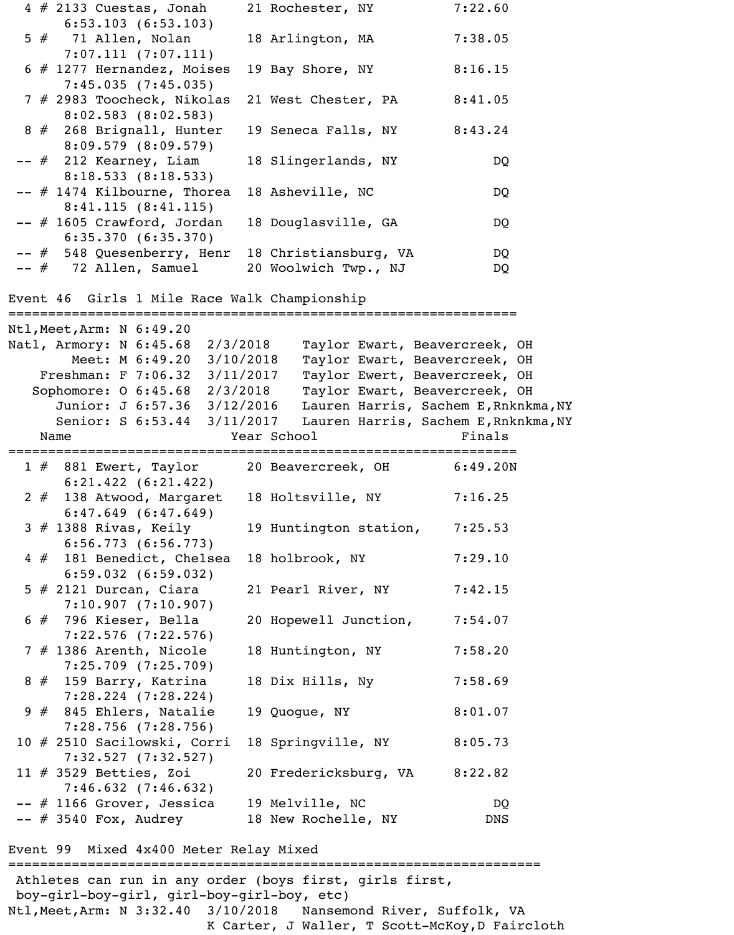|  | $4 \# 2133$ Cuestas, Jonah                                               | 21 Rochester, NY                     | 7:22.60  |
|--|--------------------------------------------------------------------------|--------------------------------------|----------|
|  | $6:53.103$ $(6:53.103)$<br>$5$ $#$ 71 Allen, Nolan                       | 18 Arlington, MA                     | 7:38.05  |
|  | 7:07.111(7:07.111)<br>$6$ # 1277 Hernandez, Moises<br>7:45.035(7:45.035) | 19 Bay Shore, NY                     | 8:16.15  |
|  | 7 # 2983 Toocheck, Nikolas<br>$8:02.583$ $(8:02.583)$                    | 21 West Chester, PA                  | 8:41.05  |
|  | 8 # 268 Brignall, Hunter<br>8:09.579(8:09.579)                           | 19 Seneca Falls, NY                  | 8:43.24  |
|  | -- # 212 Kearney, Liam<br>8:18.533(8:18.533)                             | 18 Slingerlands, NY                  | DQ       |
|  | $--$ # 1474 Kilbourne, Thorea<br>8:41.115(8:41.115)                      | 18 Asheville, NC                     | DQ       |
|  | -- # 1605 Crawford, Jordan<br>6:35.370(6:35.370)                         | 18 Douglasville, GA                  | DQ       |
|  | -- # 548 Quesenberry, Henr                                               | 18 Christiansburg, VA                | DQ       |
|  | $--$ # 72 Allen, Samuel                                                  | 20 Woolwich Twp., NJ                 | DQ       |
|  | Event 46 Girls 1 Mile Race Walk Championship                             |                                      |          |
|  | Ntl, Meet, Arm: N 6:49.20                                                |                                      |          |
|  | Natl, Armory: N 6:45.68<br>2/3/2018                                      | Taylor Ewart, Beavercreek, OH        |          |
|  | Meet: M 6:49.20<br>3/10/2018                                             | Taylor Ewart, Beavercreek, OH        |          |
|  | Freshman: F 7:06.32<br>3/11/2017                                         | Taylor Ewert, Beavercreek, OH        |          |
|  | Sophomore: 0 6:45.68 2/3/2018                                            | Taylor Ewart, Beavercreek, OH        |          |
|  | Junior: J 6:57.36<br>3/12/2016                                           | Lauren Harris, Sachem E, Rnknkma, NY |          |
|  | 3/11/2017<br>Senior: S 6:53.44                                           | Lauren Harris, Sachem E, Rnknkma, NY |          |
|  | Name                                                                     | Year School                          | Finals   |
|  |                                                                          |                                      |          |
|  | $1$ $#$ 881 Ewert, Taylor                                                | 20 Beavercreek, OH                   | 6:49.20N |
|  | $6:21.422$ $(6:21.422)$<br>$2#138$ Atwood, Margaret                      | 18 Holtsville, NY                    | 7:16.25  |
|  | $6:47.649$ $(6:47.649)$                                                  |                                      |          |
|  | $3$ $#$ 1388 Rivas, Keily                                                | 19 Huntington station,               | 7:25.53  |
|  | $6:56.773$ $(6:56.773)$                                                  |                                      |          |
|  | 4 # 181 Benedict, Chelsea                                                | 18 holbrook, NY                      | 7:29.10  |
|  | $6:59.032$ $(6:59.032)$                                                  |                                      |          |
|  | $5$ # 2121 Durcan, Ciara                                                 | 21 Pearl River, NY                   | 7:42.15  |
|  | 7:10.907(7:10.907)                                                       |                                      |          |
|  | $6$ # 796 Kieser, Bella                                                  | 20 Hopewell Junction,                | 7:54.07  |
|  | $7:22.576$ $(7:22.576)$<br>$7$ # 1386 Arenth, Nicole                     | 18 Huntington, NY                    | 7:58.20  |
|  | $7:25.709$ $(7:25.709)$                                                  |                                      |          |
|  | 8 # 159 Barry, Katrina                                                   | 18 Dix Hills, Ny                     | 7:58.69  |
|  | $7:28.224$ $(7:28.224)$                                                  |                                      |          |
|  | 9 # 845 Ehlers, Natalie<br>$7:28.756$ (7:28.756)                         | 19 Quogue, NY                        | 8:01.07  |
|  | 10 # 2510 Sacilowski, Corri                                              | 18 Springville, NY                   | 8:05.73  |
|  | $7:32.527$ $(7:32.527)$                                                  |                                      |          |
|  | 11 $#$ 3529 Betties, Zoi                                                 | 20 Fredericksburg, VA                | 8:22.82  |
|  | $7:46.632$ $(7:46.632)$                                                  |                                      |          |
|  | -- # 1166 Grover, Jessica                                                | 19 Melville, NC                      | DQ       |
|  | $--$ # 3540 Fox, Audrey                                                  | 18 New Rochelle, NY                  | DNS      |
|  |                                                                          |                                      |          |
|  | Event 99 Mixed 4x400 Meter Relay Mixed                                   |                                      |          |

=================================================================== Athletes can run in any order (boys first, girls first, boy-girl-boy-girl, girl-boy-girl-boy, etc) Ntl,Meet,Arm: N 3:32.40 3/10/2018 Nansemond River, Suffolk, VA K Carter, J Waller, T Scott-McKoy,D Faircloth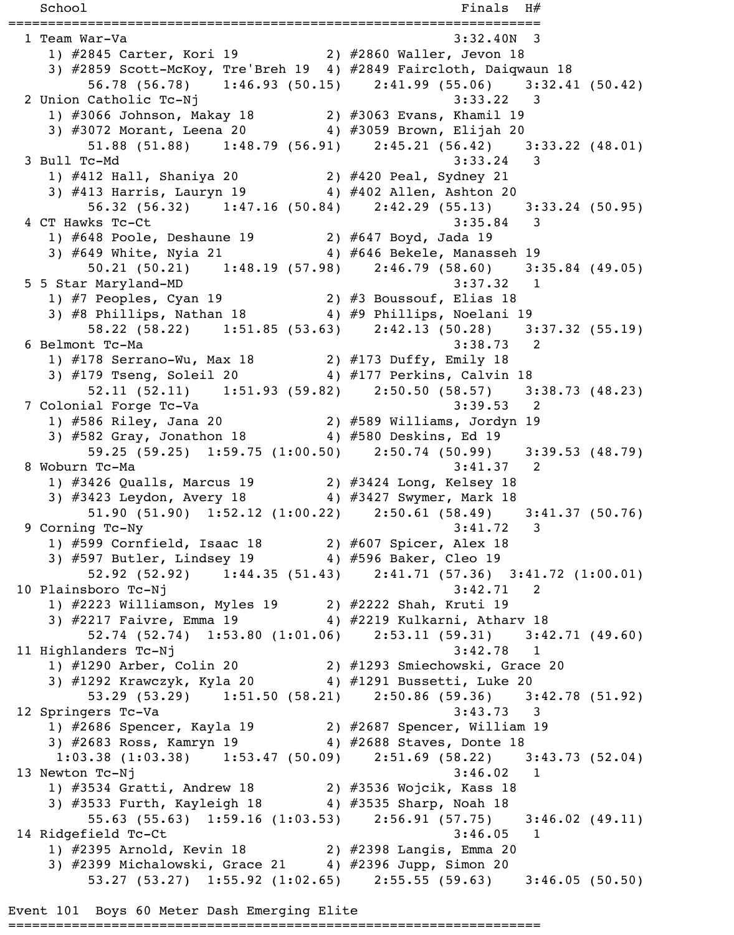$School$   $Finals$   $H#$ =================================================================== 1 Team War-Va 3:32.40N 3 1) #2845 Carter, Kori 19 2) #2860 Waller, Jevon 18 3) #2859 Scott-McKoy, Tre'Breh 19 4) #2849 Faircloth, Daiqwaun 18 56.78 (56.78) 1:46.93 (50.15) 2:41.99 (55.06) 3:32.41 (50.42) 2 Union Catholic Tc-Nj 3:33.22 3 1) #3066 Johnson, Makay 18 2) #3063 Evans, Khamil 19 3) #3072 Morant, Leena 20 4) #3059 Brown, Elijah 20 51.88 (51.88) 1:48.79 (56.91) 2:45.21 (56.42) 3:33.22 (48.01) 3 Bull Tc-Md 3:33.24 3 1) #412 Hall, Shaniya 20 2) #420 Peal, Sydney 21 3) #413 Harris, Lauryn 19 4) #402 Allen, Ashton 20 56.32 (56.32) 1:47.16 (50.84) 2:42.29 (55.13) 3:33.24 (50.95) 4 CT Hawks Tc-Ct 3:35.84 3 1) #648 Poole, Deshaune 19 2) #647 Boyd, Jada 19 3) #649 White, Nyia 21 4) #646 Bekele, Manasseh 19 50.21 (50.21) 1:48.19 (57.98) 2:46.79 (58.60) 3:35.84 (49.05) 5 5 Star Maryland-MD 3:37.32 1 1) #7 Peoples, Cyan 19 2) #3 Boussouf, Elias 18 3) #8 Phillips, Nathan 18 4) #9 Phillips, Noelani 19 58.22 (58.22) 1:51.85 (53.63) 2:42.13 (50.28) 3:37.32 (55.19) 6 Belmont Tc-Ma 3:38.73 2 1) #178 Serrano-Wu, Max 18 2) #173 Duffy, Emily 18 3) #179 Tseng, Soleil 20 4) #177 Perkins, Calvin 18 52.11 (52.11) 1:51.93 (59.82) 2:50.50 (58.57) 3:38.73 (48.23) 7 Colonial Forge Tc-Va 3:39.53 2 1) #586 Riley, Jana 20 2) #589 Williams, Jordyn 19 3) #582 Gray, Jonathon 18 4) #580 Deskins, Ed 19 59.25 (59.25) 1:59.75 (1:00.50) 2:50.74 (50.99) 3:39.53 (48.79) 8 Woburn Tc-Ma 3:41.37 2 1) #3426 Qualls, Marcus 19 2) #3424 Long, Kelsey 18 3) #3423 Leydon, Avery 18 4) #3427 Swymer, Mark 18 51.90 (51.90) 1:52.12 (1:00.22) 2:50.61 (58.49) 3:41.37 (50.76) 9 Corning Tc-Ny 3:41.72 3 1) #599 Cornfield, Isaac 18 2) #607 Spicer, Alex 18 3) #597 Butler, Lindsey 19 4) #596 Baker, Cleo 19 52.92 (52.92) 1:44.35 (51.43) 2:41.71 (57.36) 3:41.72 (1:00.01) 10 Plainsboro Tc-Nj 3:42.71 2 1) #2223 Williamson, Myles 19 2) #2222 Shah, Kruti 19 3) #2217 Faivre, Emma 19 4) #2219 Kulkarni, Atharv 18 52.74 (52.74) 1:53.80 (1:01.06) 2:53.11 (59.31) 3:42.71 (49.60) 11 Highlanders Tc-Nj 3:42.78 1 1) #1290 Arber, Colin 20 2) #1293 Smiechowski, Grace 20 3) #1292 Krawczyk, Kyla 20 4) #1291 Bussetti, Luke 20 53.29 (53.29) 1:51.50 (58.21) 2:50.86 (59.36) 3:42.78 (51.92) 12 Springers Tc-Va 3:43.73 3 1) #2686 Spencer, Kayla 19 2) #2687 Spencer, William 19 3) #2683 Ross, Kamryn 19 4) #2688 Staves, Donte 18 1:03.38 (1:03.38) 1:53.47 (50.09) 2:51.69 (58.22) 3:43.73 (52.04) 13 Newton Tc-Nj 3:46.02 1 1) #3534 Gratti, Andrew 18 2) #3536 Wojcik, Kass 18 3) #3533 Furth, Kayleigh 18  $\hspace{1cm}$  4) #3535 Sharp, Noah 18 55.63 (55.63) 1:59.16 (1:03.53) 2:56.91 (57.75) 3:46.02 (49.11) 14 Ridgefield Tc-Ct 3:46.05 1 1) #2395 Arnold, Kevin 18 2) #2398 Langis, Emma 20 3) #2399 Michalowski, Grace 21 4) #2396 Jupp, Simon 20 53.27 (53.27) 1:55.92 (1:02.65) 2:55.55 (59.63) 3:46.05 (50.50)

Event 101 Boys 60 Meter Dash Emerging Elite

===================================================================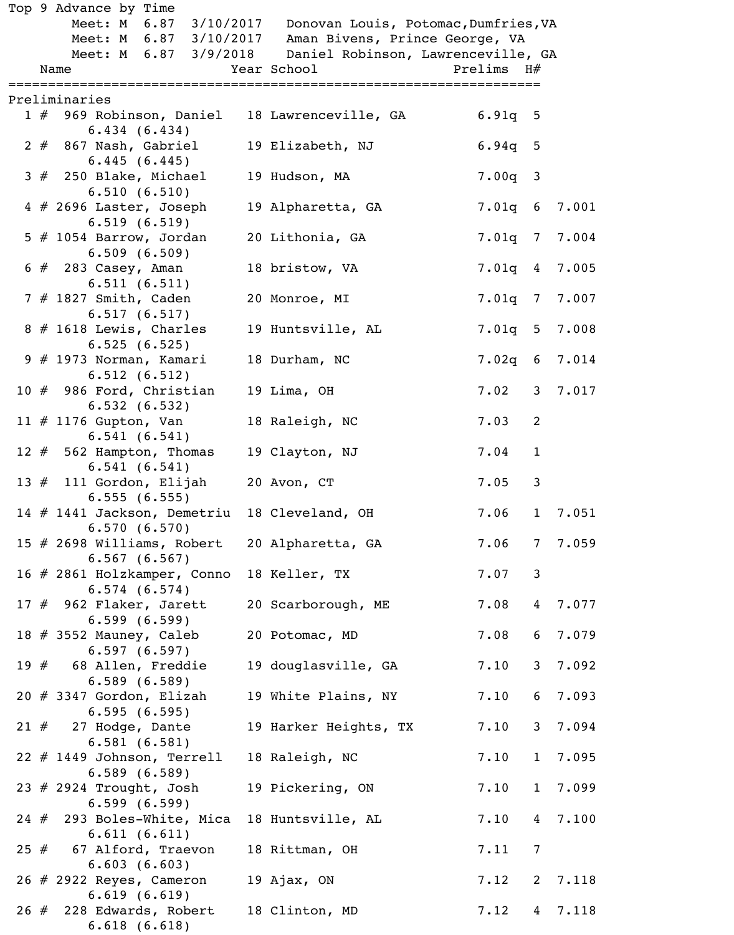| Meet: M 6.87 3/10/2017 Donovan Louis, Potomac, Dumfries, VA<br>Meet: M 6.87 3/10/2017<br>Aman Bivens, Prince George, VA<br>Meet: M 6.87 3/9/2018<br>Daniel Robinson, Lawrenceville, GA<br>Prelims H#<br>Year School<br>Name<br>=====================<br>:======================<br>=====================<br>Preliminaries<br>1 # 969 Robinson, Daniel 18 Lawrenceville, GA<br>$6.91q$ 5<br>6.434(6.434)<br>$2 \# 867$ Nash, Gabriel<br>19 Elizabeth, NJ<br>$6.94q$ 5<br>6.445(6.445)<br>$3#$ 250 Blake, Michael<br>$7.00q$ 3<br>19 Hudson, MA<br>6.510(6.510)<br>$4$ # 2696 Laster, Joseph<br>7.001<br>19 Alpharetta, GA<br>$7.01q$ 6<br>6.519(6.519)<br>5 $#$ 1054 Barrow, Jordan<br>20 Lithonia, GA<br>7.01q 7 7.004<br>6.509(6.509)<br>7.01q 4 7.005<br>$6 \# 283 \text{ Casey}$ , Aman<br>18 bristow, VA<br>6.511(6.511)<br>7 # 1827 Smith, Caden<br>7.01q 7 7.007<br>20 Monroe, MI<br>6.517(6.517)<br>$8 \# 1618$ Lewis, Charles<br>7.01q 5 7.008<br>19 Huntsville, AL<br>6.525(6.525)<br>$9$ # 1973 Norman, Kamari<br>7.02q 6 7.014<br>18 Durham, NC<br>6.512(6.512)<br>10 $#$ 986 Ford, Christian<br>7.02<br>3 7.017<br>19 Lima, OH<br>6.532(6.532)<br>11 $\#$ 1176 Gupton, Van<br>18 Raleigh, NC<br>7.03<br>2<br>6.541(6.541)<br>12 $#$ 562 Hampton, Thomas<br>7.04<br>$\mathbf{1}$<br>19 Clayton, NJ<br>6.541(6.541)<br>13 # 111 Gordon, Elijah<br>7.05<br>$\mathbf{3}$<br>20 Avon, CT<br>6.555(6.555)<br>7.06<br>$\mathbf{1}$<br>7.051<br>14 # 1441 Jackson, Demetriu<br>18 Cleveland, OH<br>6.570(6.570)<br>7.06<br>7.059<br>15 $#$ 2698 Williams, Robert<br>20 Alpharetta, GA<br>$7\overline{ }$<br>6.567(6.567)<br>$\mathbf{3}$<br>7.07<br>16 # 2861 Holzkamper, Conno<br>18 Keller, TX<br>6.574(6.574)<br>7.08<br>7.077<br>17 $#$ 962 Flaker, Jarett<br>20 Scarborough, ME<br>$\overline{4}$<br>6.599(6.599)<br>7.08<br>7.079<br>18 $\#$ 3552 Mauney, Caleb<br>20 Potomac, MD<br>6<br>6.597(6.597)<br>19 $#$ 68 Allen, Freddie<br>7.10<br>3 <sup>7</sup><br>7.092<br>19 douglasville, GA<br>6.589(6.589)<br>$20$ # 3347 Gordon, Elizah<br>7.10<br>7.093<br>19 White Plains, NY<br>6<br>6.595(6.595)<br>7.094<br>$21$ $#$ 27 Hodge, Dante<br>7.10<br>3 <sup>7</sup><br>19 Harker Heights, TX<br>6.581(6.581)<br>$22$ # 1449 Johnson, Terrell<br>7.10<br>18 Raleigh, NC<br>$\mathbf{1}$<br>6.589(6.589)<br>7.099<br>19 Pickering, ON<br>7.10<br>23 $#$ 2924 Trought, Josh<br>$\mathbf{1}$<br>6.599(6.599)<br>7.10<br>24 # 293 Boles-White, Mica<br>18 Huntsville, AL<br>$\overline{4}$<br>6.611(6.611)<br>$\overline{7}$<br>7.11<br>$25$ $#$ 67 Alford, Traevon<br>18 Rittman, OH<br>6.603(6.603)<br>26 # 2922 Reyes, Cameron<br>7.12<br>2 7.118<br>19 Ajax, $ON$<br>6.619(6.619)<br>26 # 228 Edwards, Robert<br>7.12<br>7.118<br>18 Clinton, MD<br>4 |  | Top 9 Advance by Time |  |  |  |
|-------------------------------------------------------------------------------------------------------------------------------------------------------------------------------------------------------------------------------------------------------------------------------------------------------------------------------------------------------------------------------------------------------------------------------------------------------------------------------------------------------------------------------------------------------------------------------------------------------------------------------------------------------------------------------------------------------------------------------------------------------------------------------------------------------------------------------------------------------------------------------------------------------------------------------------------------------------------------------------------------------------------------------------------------------------------------------------------------------------------------------------------------------------------------------------------------------------------------------------------------------------------------------------------------------------------------------------------------------------------------------------------------------------------------------------------------------------------------------------------------------------------------------------------------------------------------------------------------------------------------------------------------------------------------------------------------------------------------------------------------------------------------------------------------------------------------------------------------------------------------------------------------------------------------------------------------------------------------------------------------------------------------------------------------------------------------------------------------------------------------------------------------------------------------------------------------------------------------------------------------------------------------------------------------------------------------------------------------------------------------------------------------------------------------------------------------------------------------------------------------------------------------------------------------------------------------------------------------------------------------------------------------------------------------------------------------------------------------------------------------------------------|--|-----------------------|--|--|--|
| 7.095<br>7.100                                                                                                                                                                                                                                                                                                                                                                                                                                                                                                                                                                                                                                                                                                                                                                                                                                                                                                                                                                                                                                                                                                                                                                                                                                                                                                                                                                                                                                                                                                                                                                                                                                                                                                                                                                                                                                                                                                                                                                                                                                                                                                                                                                                                                                                                                                                                                                                                                                                                                                                                                                                                                                                                                                                                                    |  |                       |  |  |  |
|                                                                                                                                                                                                                                                                                                                                                                                                                                                                                                                                                                                                                                                                                                                                                                                                                                                                                                                                                                                                                                                                                                                                                                                                                                                                                                                                                                                                                                                                                                                                                                                                                                                                                                                                                                                                                                                                                                                                                                                                                                                                                                                                                                                                                                                                                                                                                                                                                                                                                                                                                                                                                                                                                                                                                                   |  |                       |  |  |  |
|                                                                                                                                                                                                                                                                                                                                                                                                                                                                                                                                                                                                                                                                                                                                                                                                                                                                                                                                                                                                                                                                                                                                                                                                                                                                                                                                                                                                                                                                                                                                                                                                                                                                                                                                                                                                                                                                                                                                                                                                                                                                                                                                                                                                                                                                                                                                                                                                                                                                                                                                                                                                                                                                                                                                                                   |  |                       |  |  |  |
|                                                                                                                                                                                                                                                                                                                                                                                                                                                                                                                                                                                                                                                                                                                                                                                                                                                                                                                                                                                                                                                                                                                                                                                                                                                                                                                                                                                                                                                                                                                                                                                                                                                                                                                                                                                                                                                                                                                                                                                                                                                                                                                                                                                                                                                                                                                                                                                                                                                                                                                                                                                                                                                                                                                                                                   |  |                       |  |  |  |
|                                                                                                                                                                                                                                                                                                                                                                                                                                                                                                                                                                                                                                                                                                                                                                                                                                                                                                                                                                                                                                                                                                                                                                                                                                                                                                                                                                                                                                                                                                                                                                                                                                                                                                                                                                                                                                                                                                                                                                                                                                                                                                                                                                                                                                                                                                                                                                                                                                                                                                                                                                                                                                                                                                                                                                   |  |                       |  |  |  |
|                                                                                                                                                                                                                                                                                                                                                                                                                                                                                                                                                                                                                                                                                                                                                                                                                                                                                                                                                                                                                                                                                                                                                                                                                                                                                                                                                                                                                                                                                                                                                                                                                                                                                                                                                                                                                                                                                                                                                                                                                                                                                                                                                                                                                                                                                                                                                                                                                                                                                                                                                                                                                                                                                                                                                                   |  |                       |  |  |  |
|                                                                                                                                                                                                                                                                                                                                                                                                                                                                                                                                                                                                                                                                                                                                                                                                                                                                                                                                                                                                                                                                                                                                                                                                                                                                                                                                                                                                                                                                                                                                                                                                                                                                                                                                                                                                                                                                                                                                                                                                                                                                                                                                                                                                                                                                                                                                                                                                                                                                                                                                                                                                                                                                                                                                                                   |  |                       |  |  |  |
|                                                                                                                                                                                                                                                                                                                                                                                                                                                                                                                                                                                                                                                                                                                                                                                                                                                                                                                                                                                                                                                                                                                                                                                                                                                                                                                                                                                                                                                                                                                                                                                                                                                                                                                                                                                                                                                                                                                                                                                                                                                                                                                                                                                                                                                                                                                                                                                                                                                                                                                                                                                                                                                                                                                                                                   |  |                       |  |  |  |
|                                                                                                                                                                                                                                                                                                                                                                                                                                                                                                                                                                                                                                                                                                                                                                                                                                                                                                                                                                                                                                                                                                                                                                                                                                                                                                                                                                                                                                                                                                                                                                                                                                                                                                                                                                                                                                                                                                                                                                                                                                                                                                                                                                                                                                                                                                                                                                                                                                                                                                                                                                                                                                                                                                                                                                   |  |                       |  |  |  |
|                                                                                                                                                                                                                                                                                                                                                                                                                                                                                                                                                                                                                                                                                                                                                                                                                                                                                                                                                                                                                                                                                                                                                                                                                                                                                                                                                                                                                                                                                                                                                                                                                                                                                                                                                                                                                                                                                                                                                                                                                                                                                                                                                                                                                                                                                                                                                                                                                                                                                                                                                                                                                                                                                                                                                                   |  |                       |  |  |  |
|                                                                                                                                                                                                                                                                                                                                                                                                                                                                                                                                                                                                                                                                                                                                                                                                                                                                                                                                                                                                                                                                                                                                                                                                                                                                                                                                                                                                                                                                                                                                                                                                                                                                                                                                                                                                                                                                                                                                                                                                                                                                                                                                                                                                                                                                                                                                                                                                                                                                                                                                                                                                                                                                                                                                                                   |  |                       |  |  |  |
|                                                                                                                                                                                                                                                                                                                                                                                                                                                                                                                                                                                                                                                                                                                                                                                                                                                                                                                                                                                                                                                                                                                                                                                                                                                                                                                                                                                                                                                                                                                                                                                                                                                                                                                                                                                                                                                                                                                                                                                                                                                                                                                                                                                                                                                                                                                                                                                                                                                                                                                                                                                                                                                                                                                                                                   |  |                       |  |  |  |
|                                                                                                                                                                                                                                                                                                                                                                                                                                                                                                                                                                                                                                                                                                                                                                                                                                                                                                                                                                                                                                                                                                                                                                                                                                                                                                                                                                                                                                                                                                                                                                                                                                                                                                                                                                                                                                                                                                                                                                                                                                                                                                                                                                                                                                                                                                                                                                                                                                                                                                                                                                                                                                                                                                                                                                   |  |                       |  |  |  |
|                                                                                                                                                                                                                                                                                                                                                                                                                                                                                                                                                                                                                                                                                                                                                                                                                                                                                                                                                                                                                                                                                                                                                                                                                                                                                                                                                                                                                                                                                                                                                                                                                                                                                                                                                                                                                                                                                                                                                                                                                                                                                                                                                                                                                                                                                                                                                                                                                                                                                                                                                                                                                                                                                                                                                                   |  |                       |  |  |  |
|                                                                                                                                                                                                                                                                                                                                                                                                                                                                                                                                                                                                                                                                                                                                                                                                                                                                                                                                                                                                                                                                                                                                                                                                                                                                                                                                                                                                                                                                                                                                                                                                                                                                                                                                                                                                                                                                                                                                                                                                                                                                                                                                                                                                                                                                                                                                                                                                                                                                                                                                                                                                                                                                                                                                                                   |  |                       |  |  |  |
|                                                                                                                                                                                                                                                                                                                                                                                                                                                                                                                                                                                                                                                                                                                                                                                                                                                                                                                                                                                                                                                                                                                                                                                                                                                                                                                                                                                                                                                                                                                                                                                                                                                                                                                                                                                                                                                                                                                                                                                                                                                                                                                                                                                                                                                                                                                                                                                                                                                                                                                                                                                                                                                                                                                                                                   |  |                       |  |  |  |
|                                                                                                                                                                                                                                                                                                                                                                                                                                                                                                                                                                                                                                                                                                                                                                                                                                                                                                                                                                                                                                                                                                                                                                                                                                                                                                                                                                                                                                                                                                                                                                                                                                                                                                                                                                                                                                                                                                                                                                                                                                                                                                                                                                                                                                                                                                                                                                                                                                                                                                                                                                                                                                                                                                                                                                   |  |                       |  |  |  |
|                                                                                                                                                                                                                                                                                                                                                                                                                                                                                                                                                                                                                                                                                                                                                                                                                                                                                                                                                                                                                                                                                                                                                                                                                                                                                                                                                                                                                                                                                                                                                                                                                                                                                                                                                                                                                                                                                                                                                                                                                                                                                                                                                                                                                                                                                                                                                                                                                                                                                                                                                                                                                                                                                                                                                                   |  |                       |  |  |  |
|                                                                                                                                                                                                                                                                                                                                                                                                                                                                                                                                                                                                                                                                                                                                                                                                                                                                                                                                                                                                                                                                                                                                                                                                                                                                                                                                                                                                                                                                                                                                                                                                                                                                                                                                                                                                                                                                                                                                                                                                                                                                                                                                                                                                                                                                                                                                                                                                                                                                                                                                                                                                                                                                                                                                                                   |  |                       |  |  |  |
|                                                                                                                                                                                                                                                                                                                                                                                                                                                                                                                                                                                                                                                                                                                                                                                                                                                                                                                                                                                                                                                                                                                                                                                                                                                                                                                                                                                                                                                                                                                                                                                                                                                                                                                                                                                                                                                                                                                                                                                                                                                                                                                                                                                                                                                                                                                                                                                                                                                                                                                                                                                                                                                                                                                                                                   |  |                       |  |  |  |
|                                                                                                                                                                                                                                                                                                                                                                                                                                                                                                                                                                                                                                                                                                                                                                                                                                                                                                                                                                                                                                                                                                                                                                                                                                                                                                                                                                                                                                                                                                                                                                                                                                                                                                                                                                                                                                                                                                                                                                                                                                                                                                                                                                                                                                                                                                                                                                                                                                                                                                                                                                                                                                                                                                                                                                   |  |                       |  |  |  |
|                                                                                                                                                                                                                                                                                                                                                                                                                                                                                                                                                                                                                                                                                                                                                                                                                                                                                                                                                                                                                                                                                                                                                                                                                                                                                                                                                                                                                                                                                                                                                                                                                                                                                                                                                                                                                                                                                                                                                                                                                                                                                                                                                                                                                                                                                                                                                                                                                                                                                                                                                                                                                                                                                                                                                                   |  |                       |  |  |  |
|                                                                                                                                                                                                                                                                                                                                                                                                                                                                                                                                                                                                                                                                                                                                                                                                                                                                                                                                                                                                                                                                                                                                                                                                                                                                                                                                                                                                                                                                                                                                                                                                                                                                                                                                                                                                                                                                                                                                                                                                                                                                                                                                                                                                                                                                                                                                                                                                                                                                                                                                                                                                                                                                                                                                                                   |  |                       |  |  |  |
|                                                                                                                                                                                                                                                                                                                                                                                                                                                                                                                                                                                                                                                                                                                                                                                                                                                                                                                                                                                                                                                                                                                                                                                                                                                                                                                                                                                                                                                                                                                                                                                                                                                                                                                                                                                                                                                                                                                                                                                                                                                                                                                                                                                                                                                                                                                                                                                                                                                                                                                                                                                                                                                                                                                                                                   |  |                       |  |  |  |
|                                                                                                                                                                                                                                                                                                                                                                                                                                                                                                                                                                                                                                                                                                                                                                                                                                                                                                                                                                                                                                                                                                                                                                                                                                                                                                                                                                                                                                                                                                                                                                                                                                                                                                                                                                                                                                                                                                                                                                                                                                                                                                                                                                                                                                                                                                                                                                                                                                                                                                                                                                                                                                                                                                                                                                   |  |                       |  |  |  |
|                                                                                                                                                                                                                                                                                                                                                                                                                                                                                                                                                                                                                                                                                                                                                                                                                                                                                                                                                                                                                                                                                                                                                                                                                                                                                                                                                                                                                                                                                                                                                                                                                                                                                                                                                                                                                                                                                                                                                                                                                                                                                                                                                                                                                                                                                                                                                                                                                                                                                                                                                                                                                                                                                                                                                                   |  |                       |  |  |  |
|                                                                                                                                                                                                                                                                                                                                                                                                                                                                                                                                                                                                                                                                                                                                                                                                                                                                                                                                                                                                                                                                                                                                                                                                                                                                                                                                                                                                                                                                                                                                                                                                                                                                                                                                                                                                                                                                                                                                                                                                                                                                                                                                                                                                                                                                                                                                                                                                                                                                                                                                                                                                                                                                                                                                                                   |  |                       |  |  |  |
|                                                                                                                                                                                                                                                                                                                                                                                                                                                                                                                                                                                                                                                                                                                                                                                                                                                                                                                                                                                                                                                                                                                                                                                                                                                                                                                                                                                                                                                                                                                                                                                                                                                                                                                                                                                                                                                                                                                                                                                                                                                                                                                                                                                                                                                                                                                                                                                                                                                                                                                                                                                                                                                                                                                                                                   |  |                       |  |  |  |
|                                                                                                                                                                                                                                                                                                                                                                                                                                                                                                                                                                                                                                                                                                                                                                                                                                                                                                                                                                                                                                                                                                                                                                                                                                                                                                                                                                                                                                                                                                                                                                                                                                                                                                                                                                                                                                                                                                                                                                                                                                                                                                                                                                                                                                                                                                                                                                                                                                                                                                                                                                                                                                                                                                                                                                   |  |                       |  |  |  |
|                                                                                                                                                                                                                                                                                                                                                                                                                                                                                                                                                                                                                                                                                                                                                                                                                                                                                                                                                                                                                                                                                                                                                                                                                                                                                                                                                                                                                                                                                                                                                                                                                                                                                                                                                                                                                                                                                                                                                                                                                                                                                                                                                                                                                                                                                                                                                                                                                                                                                                                                                                                                                                                                                                                                                                   |  |                       |  |  |  |
|                                                                                                                                                                                                                                                                                                                                                                                                                                                                                                                                                                                                                                                                                                                                                                                                                                                                                                                                                                                                                                                                                                                                                                                                                                                                                                                                                                                                                                                                                                                                                                                                                                                                                                                                                                                                                                                                                                                                                                                                                                                                                                                                                                                                                                                                                                                                                                                                                                                                                                                                                                                                                                                                                                                                                                   |  |                       |  |  |  |
|                                                                                                                                                                                                                                                                                                                                                                                                                                                                                                                                                                                                                                                                                                                                                                                                                                                                                                                                                                                                                                                                                                                                                                                                                                                                                                                                                                                                                                                                                                                                                                                                                                                                                                                                                                                                                                                                                                                                                                                                                                                                                                                                                                                                                                                                                                                                                                                                                                                                                                                                                                                                                                                                                                                                                                   |  |                       |  |  |  |
|                                                                                                                                                                                                                                                                                                                                                                                                                                                                                                                                                                                                                                                                                                                                                                                                                                                                                                                                                                                                                                                                                                                                                                                                                                                                                                                                                                                                                                                                                                                                                                                                                                                                                                                                                                                                                                                                                                                                                                                                                                                                                                                                                                                                                                                                                                                                                                                                                                                                                                                                                                                                                                                                                                                                                                   |  |                       |  |  |  |
|                                                                                                                                                                                                                                                                                                                                                                                                                                                                                                                                                                                                                                                                                                                                                                                                                                                                                                                                                                                                                                                                                                                                                                                                                                                                                                                                                                                                                                                                                                                                                                                                                                                                                                                                                                                                                                                                                                                                                                                                                                                                                                                                                                                                                                                                                                                                                                                                                                                                                                                                                                                                                                                                                                                                                                   |  |                       |  |  |  |
|                                                                                                                                                                                                                                                                                                                                                                                                                                                                                                                                                                                                                                                                                                                                                                                                                                                                                                                                                                                                                                                                                                                                                                                                                                                                                                                                                                                                                                                                                                                                                                                                                                                                                                                                                                                                                                                                                                                                                                                                                                                                                                                                                                                                                                                                                                                                                                                                                                                                                                                                                                                                                                                                                                                                                                   |  |                       |  |  |  |
|                                                                                                                                                                                                                                                                                                                                                                                                                                                                                                                                                                                                                                                                                                                                                                                                                                                                                                                                                                                                                                                                                                                                                                                                                                                                                                                                                                                                                                                                                                                                                                                                                                                                                                                                                                                                                                                                                                                                                                                                                                                                                                                                                                                                                                                                                                                                                                                                                                                                                                                                                                                                                                                                                                                                                                   |  |                       |  |  |  |
|                                                                                                                                                                                                                                                                                                                                                                                                                                                                                                                                                                                                                                                                                                                                                                                                                                                                                                                                                                                                                                                                                                                                                                                                                                                                                                                                                                                                                                                                                                                                                                                                                                                                                                                                                                                                                                                                                                                                                                                                                                                                                                                                                                                                                                                                                                                                                                                                                                                                                                                                                                                                                                                                                                                                                                   |  |                       |  |  |  |
|                                                                                                                                                                                                                                                                                                                                                                                                                                                                                                                                                                                                                                                                                                                                                                                                                                                                                                                                                                                                                                                                                                                                                                                                                                                                                                                                                                                                                                                                                                                                                                                                                                                                                                                                                                                                                                                                                                                                                                                                                                                                                                                                                                                                                                                                                                                                                                                                                                                                                                                                                                                                                                                                                                                                                                   |  |                       |  |  |  |
|                                                                                                                                                                                                                                                                                                                                                                                                                                                                                                                                                                                                                                                                                                                                                                                                                                                                                                                                                                                                                                                                                                                                                                                                                                                                                                                                                                                                                                                                                                                                                                                                                                                                                                                                                                                                                                                                                                                                                                                                                                                                                                                                                                                                                                                                                                                                                                                                                                                                                                                                                                                                                                                                                                                                                                   |  |                       |  |  |  |
|                                                                                                                                                                                                                                                                                                                                                                                                                                                                                                                                                                                                                                                                                                                                                                                                                                                                                                                                                                                                                                                                                                                                                                                                                                                                                                                                                                                                                                                                                                                                                                                                                                                                                                                                                                                                                                                                                                                                                                                                                                                                                                                                                                                                                                                                                                                                                                                                                                                                                                                                                                                                                                                                                                                                                                   |  |                       |  |  |  |
|                                                                                                                                                                                                                                                                                                                                                                                                                                                                                                                                                                                                                                                                                                                                                                                                                                                                                                                                                                                                                                                                                                                                                                                                                                                                                                                                                                                                                                                                                                                                                                                                                                                                                                                                                                                                                                                                                                                                                                                                                                                                                                                                                                                                                                                                                                                                                                                                                                                                                                                                                                                                                                                                                                                                                                   |  |                       |  |  |  |
|                                                                                                                                                                                                                                                                                                                                                                                                                                                                                                                                                                                                                                                                                                                                                                                                                                                                                                                                                                                                                                                                                                                                                                                                                                                                                                                                                                                                                                                                                                                                                                                                                                                                                                                                                                                                                                                                                                                                                                                                                                                                                                                                                                                                                                                                                                                                                                                                                                                                                                                                                                                                                                                                                                                                                                   |  |                       |  |  |  |
|                                                                                                                                                                                                                                                                                                                                                                                                                                                                                                                                                                                                                                                                                                                                                                                                                                                                                                                                                                                                                                                                                                                                                                                                                                                                                                                                                                                                                                                                                                                                                                                                                                                                                                                                                                                                                                                                                                                                                                                                                                                                                                                                                                                                                                                                                                                                                                                                                                                                                                                                                                                                                                                                                                                                                                   |  |                       |  |  |  |
|                                                                                                                                                                                                                                                                                                                                                                                                                                                                                                                                                                                                                                                                                                                                                                                                                                                                                                                                                                                                                                                                                                                                                                                                                                                                                                                                                                                                                                                                                                                                                                                                                                                                                                                                                                                                                                                                                                                                                                                                                                                                                                                                                                                                                                                                                                                                                                                                                                                                                                                                                                                                                                                                                                                                                                   |  |                       |  |  |  |
|                                                                                                                                                                                                                                                                                                                                                                                                                                                                                                                                                                                                                                                                                                                                                                                                                                                                                                                                                                                                                                                                                                                                                                                                                                                                                                                                                                                                                                                                                                                                                                                                                                                                                                                                                                                                                                                                                                                                                                                                                                                                                                                                                                                                                                                                                                                                                                                                                                                                                                                                                                                                                                                                                                                                                                   |  |                       |  |  |  |
|                                                                                                                                                                                                                                                                                                                                                                                                                                                                                                                                                                                                                                                                                                                                                                                                                                                                                                                                                                                                                                                                                                                                                                                                                                                                                                                                                                                                                                                                                                                                                                                                                                                                                                                                                                                                                                                                                                                                                                                                                                                                                                                                                                                                                                                                                                                                                                                                                                                                                                                                                                                                                                                                                                                                                                   |  |                       |  |  |  |
|                                                                                                                                                                                                                                                                                                                                                                                                                                                                                                                                                                                                                                                                                                                                                                                                                                                                                                                                                                                                                                                                                                                                                                                                                                                                                                                                                                                                                                                                                                                                                                                                                                                                                                                                                                                                                                                                                                                                                                                                                                                                                                                                                                                                                                                                                                                                                                                                                                                                                                                                                                                                                                                                                                                                                                   |  |                       |  |  |  |
|                                                                                                                                                                                                                                                                                                                                                                                                                                                                                                                                                                                                                                                                                                                                                                                                                                                                                                                                                                                                                                                                                                                                                                                                                                                                                                                                                                                                                                                                                                                                                                                                                                                                                                                                                                                                                                                                                                                                                                                                                                                                                                                                                                                                                                                                                                                                                                                                                                                                                                                                                                                                                                                                                                                                                                   |  |                       |  |  |  |
|                                                                                                                                                                                                                                                                                                                                                                                                                                                                                                                                                                                                                                                                                                                                                                                                                                                                                                                                                                                                                                                                                                                                                                                                                                                                                                                                                                                                                                                                                                                                                                                                                                                                                                                                                                                                                                                                                                                                                                                                                                                                                                                                                                                                                                                                                                                                                                                                                                                                                                                                                                                                                                                                                                                                                                   |  | 6.618(6.618)          |  |  |  |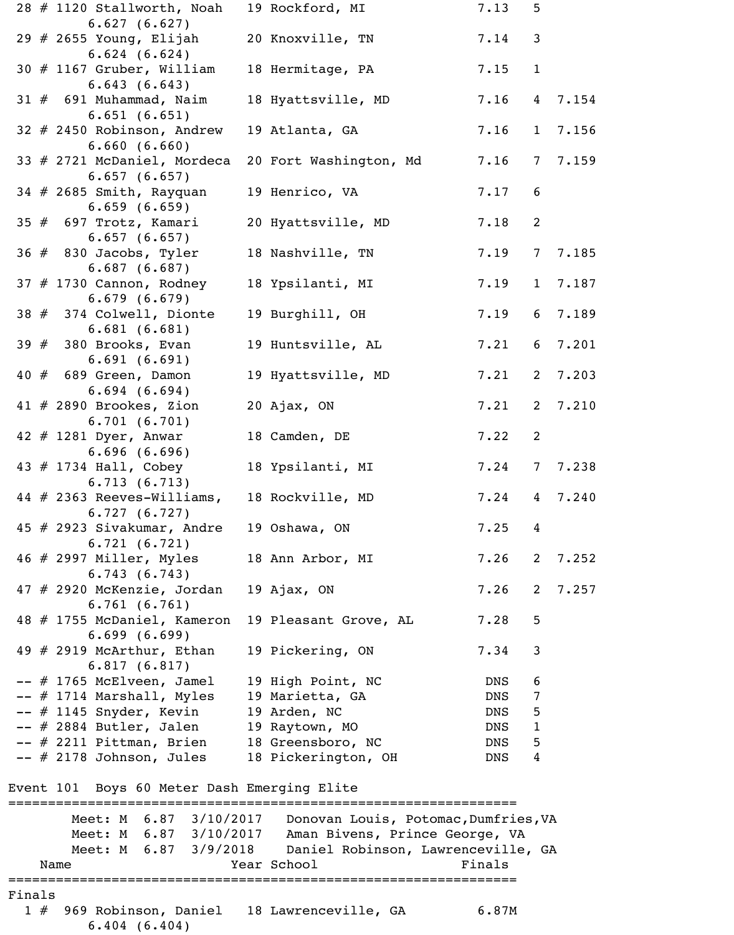|  | 28 # 1120 Stallworth, Noah                                                | 19 Rockford, MI                                          | 7.13   | 5               |       |
|--|---------------------------------------------------------------------------|----------------------------------------------------------|--------|-----------------|-------|
|  | 6.627(6.627)<br>29 $#$ 2655 Young, Elijah                                 | 20 Knoxville, TN                                         | 7.14   | 3               |       |
|  | 6.624(6.624)<br>30 # 1167 Gruber, William                                 | 18 Hermitage, PA                                         | 7.15   | $\mathbf{1}$    |       |
|  | 6.643(6.643)<br>$31 \# 691$ Muhammad, Naim                                | 18 Hyattsville, MD                                       | 7.16   | $\overline{4}$  | 7.154 |
|  | 6.651(6.651)<br>32 # 2450 Robinson, Andrew<br>6.660(6.660)                | 19 Atlanta, GA                                           | 7.16   | $\mathbf{1}$    | 7.156 |
|  | 33 # 2721 McDaniel, Mordeca<br>6.657(6.657)                               | 20 Fort Washington, Md                                   | 7.16   | $7\overline{ }$ | 7.159 |
|  | 34 # 2685 Smith, Rayquan<br>6.659(6.659)                                  | 19 Henrico, VA                                           | 7.17   | 6               |       |
|  | $35$ $\#$ 697 Trotz, Kamari<br>6.657(6.657)                               | 20 Hyattsville, MD                                       | 7.18   | 2               |       |
|  | $36$ $#$ 830 Jacobs, Tyler<br>6.687(6.687)                                | 18 Nashville, TN                                         | 7.19   | $7\phantom{.0}$ | 7.185 |
|  | 37 # 1730 Cannon, Rodney<br>6.679(6.679)                                  | 18 Ypsilanti, MI                                         | 7.19   | $\mathbf{1}$    | 7.187 |
|  | 38 # 374 Colwell, Dionte<br>6.681(6.681)                                  | 19 Burghill, OH                                          | 7.19   | 6               | 7.189 |
|  | 39 $#$ 380 Brooks, Evan<br>6.691(6.691)                                   | 19 Huntsville, AL                                        | 7.21   | 6               | 7.201 |
|  | $40 \# 689$ Green, Damon<br>6.694(6.694)                                  | 19 Hyattsville, MD                                       | 7.21   | $\overline{2}$  | 7.203 |
|  | 41 $#$ 2890 Brookes, Zion<br>6.701(6.701)                                 | 20 Ajax, ON                                              | 7.21   | $\overline{2}$  | 7.210 |
|  | 42 $#$ 1281 Dyer, Anwar<br>6.696(6.696)                                   | 18 Camden, DE                                            | 7.22   | 2               |       |
|  | 43 # 1734 Hall, Cobey<br>6.713(6.713)                                     | 18 Ypsilanti, MI                                         | 7.24   |                 | 7.238 |
|  | 44 # 2363 Reeves-Williams,<br>6.727(6.727)                                | 18 Rockville, MD                                         | 7.24   | $4\overline{ }$ | 7.240 |
|  | 45 # 2923 Sivakumar, Andre<br>6.721(6.721)                                | 19 Oshawa, ON                                            | 7.25   | 4               |       |
|  | 46 # 2997 Miller, Myles<br>6.743(6.743)                                   | 18 Ann Arbor, MI                                         | 7.26   | 2               | 7.252 |
|  | 47 # 2920 McKenzie, Jordan<br>6.761(6.761)                                | 19 Ajax, ON                                              | 7.26   | 2               | 7.257 |
|  | 48 # 1755 McDaniel, Kameron<br>6.699(6.699)                               | 19 Pleasant Grove, AL                                    | 7.28   | 5               |       |
|  | 49 $#$ 2919 McArthur, Ethan<br>6.817(6.817)                               | 19 Pickering, ON                                         | 7.34   | 3               |       |
|  | -- # 1765 McElveen, Jamel                                                 | 19 High Point, NC                                        | DNS    | 6               |       |
|  | $--$ # 1714 Marshall, Myles                                               | 19 Marietta, GA                                          | DNS    | 7               |       |
|  | -- # 1145 Snyder, Kevin                                                   | 19 Arden, NC                                             | DNS    | 5               |       |
|  | -- # 2884 Butler, Jalen                                                   | 19 Raytown, MO                                           | DNS    | $\mathbf{1}$    |       |
|  | -- # 2211 Pittman, Brien                                                  | 18 Greensboro, NC                                        | DNS    | 5               |       |
|  | $--$ # 2178 Johnson, Jules<br>Event 101 Boys 60 Meter Dash Emerging Elite | 18 Pickerington, OH                                      | DNS    | 4               |       |
|  |                                                                           |                                                          |        |                 |       |
|  | Meet: M 6.87 3/10/2017                                                    | Donovan Louis, Potomac, Dumfries, VA                     |        |                 |       |
|  | Meet: M 6.87 3/10/2017                                                    | Aman Bivens, Prince George, VA                           |        |                 |       |
|  |                                                                           | Meet: M 6.87 3/9/2018 Daniel Robinson, Lawrenceville, GA |        |                 |       |
|  | Name                                                                      | Year School                                              | Finals |                 |       |
|  |                                                                           |                                                          |        |                 |       |

Finals

 1 # 969 Robinson, Daniel 18 Lawrenceville, GA 6.87M 6.404 (6.404)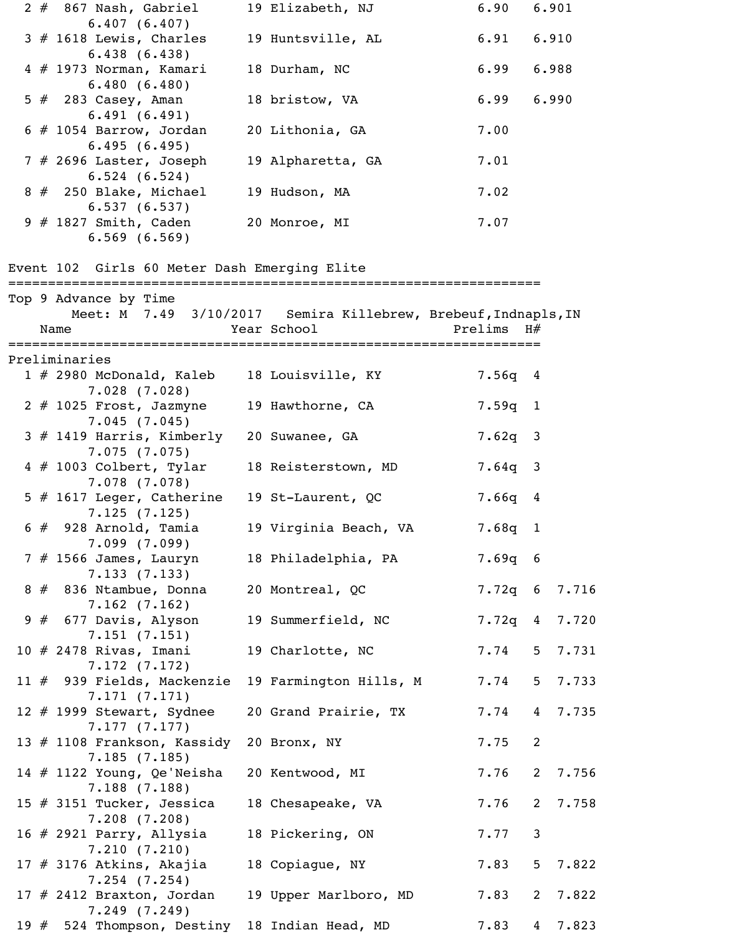|     | $2 \# 867$ Nash, Gabriel                                                                        | 19 Elizabeth, NJ         | 6.90         |                | 6.901           |
|-----|-------------------------------------------------------------------------------------------------|--------------------------|--------------|----------------|-----------------|
|     | 6.407(6.407)<br>$3$ # 1618 Lewis, Charles                                                       | 19 Huntsville, AL        | 6.91         |                | 6.910           |
|     | 6.438(6.438)<br>4 # 1973 Norman, Kamari<br>6.480(6.480)                                         | 18 Durham, NC            | 6.99         |                | 6.988           |
|     | $5 \#$ 283 Casey, Aman<br>6.491(6.491)                                                          | 18 bristow, VA           | 6.99         |                | 6.990           |
|     | $6$ # 1054 Barrow, Jordan<br>6.495(6.495)                                                       | 20 Lithonia, GA          | 7.00         |                |                 |
|     | 7 # 2696 Laster, Joseph<br>6.524(6.524)                                                         | 19 Alpharetta, GA        | 7.01         |                |                 |
|     | 8 # 250 Blake, Michael<br>6.537(6.537)                                                          | 19 Hudson, MA            | 7.02         |                |                 |
|     | $9$ # 1827 Smith, Caden<br>$6.569$ $(6.569)$                                                    | 20 Monroe, MI            | 7.07         |                |                 |
|     | Event 102 Girls 60 Meter Dash Emerging Elite                                                    |                          |              |                |                 |
|     | Top 9 Advance by Time<br>Meet: M 7.49 3/10/2017 Semira Killebrew, Brebeuf, Indnapls, IN<br>Name | Year School<br>========= | Prelims $H#$ |                |                 |
|     | Preliminaries                                                                                   |                          |              |                |                 |
|     | $1$ # 2980 McDonald, Kaleb<br>7.028(7.028)                                                      | 18 Louisville, KY        | 7.56q 4      |                |                 |
|     | $2$ $#$ 1025 Frost, Jazmyne<br>7.045(7.045)                                                     | 19 Hawthorne, CA         | $7.59q$ 1    |                |                 |
|     | 3 # 1419 Harris, Kimberly<br>7.075(7.075)                                                       | 20 Suwanee, GA           | $7.62q$ 3    |                |                 |
|     | $4 \# 1003$ Colbert, Tylar<br>7.078(7.078)                                                      | 18 Reisterstown, MD      | $7.64q$ 3    |                |                 |
|     | $5$ # 1617 Leger, Catherine<br>7.125(7.125)                                                     | 19 St-Laurent, QC        | $7.66q$ 4    |                |                 |
|     | $6$ $#$ 928 Arnold, Tamia<br>7.099(7.099)                                                       | 19 Virginia Beach, VA    | $7.68q$ 1    |                |                 |
|     | $7$ $#$ 1566 James, Lauryn<br>7.133(7.133)                                                      | 18 Philadelphia, PA      | $7.69q$ 6    |                |                 |
|     | 8 # 836 Ntambue, Donna<br>7.162(7.162)                                                          | 20 Montreal, QC          |              |                | 7.72q 6 7.716   |
|     | 9 # 677 Davis, Alyson<br>7.151(7.151)                                                           | 19 Summerfield, NC       |              |                | $7.72q$ 4 7.720 |
|     | $10 \# 2478$ Rivas, Imani<br>7.172(7.172)                                                       | 19 Charlotte, NC         | 7.74         |                | 5 7.731         |
|     | 11 # 939 Fields, Mackenzie<br>7.171(7.171)                                                      | 19 Farmington Hills, M   | 7.74         | $5 -$          | 7.733           |
|     | 12 # 1999 Stewart, Sydnee<br>7.177(7.177)                                                       | 20 Grand Prairie, TX     | 7.74         |                | 4 7.735         |
|     | 13 # 1108 Frankson, Kassidy<br>7.185(7.185)                                                     | 20 Bronx, NY             | 7.75         | $\overline{2}$ |                 |
|     | 14 $#$ 1122 Young, Qe'Neisha<br>7.188(7.188)                                                    | 20 Kentwood, MI          | 7.76         | $2^{\circ}$    | 7.756           |
|     | 15 $#$ 3151 Tucker, Jessica<br>7.208(7.208)                                                     | 18 Chesapeake, VA        | 7.76         | $2^{\circ}$    | 7.758           |
|     | 16 # 2921 Parry, Allysia<br>7.210(7.210)                                                        | 18 Pickering, ON         | 7.77         | 3              |                 |
|     | $17$ $\#$ 3176 Atkins, Akajia<br>$7.254$ $(7.254)$                                              | 18 Copiague, NY          | 7.83         | 5 <sup>1</sup> | 7.822           |
|     | 17 $#$ 2412 Braxton, Jordan<br>7.249(7.249)                                                     | 19 Upper Marlboro, MD    | 7.83         | $2^{\circ}$    | 7.822           |
| 19# | 524 Thompson, Destiny 18 Indian Head, MD                                                        |                          | 7.83         | 4              | 7.823           |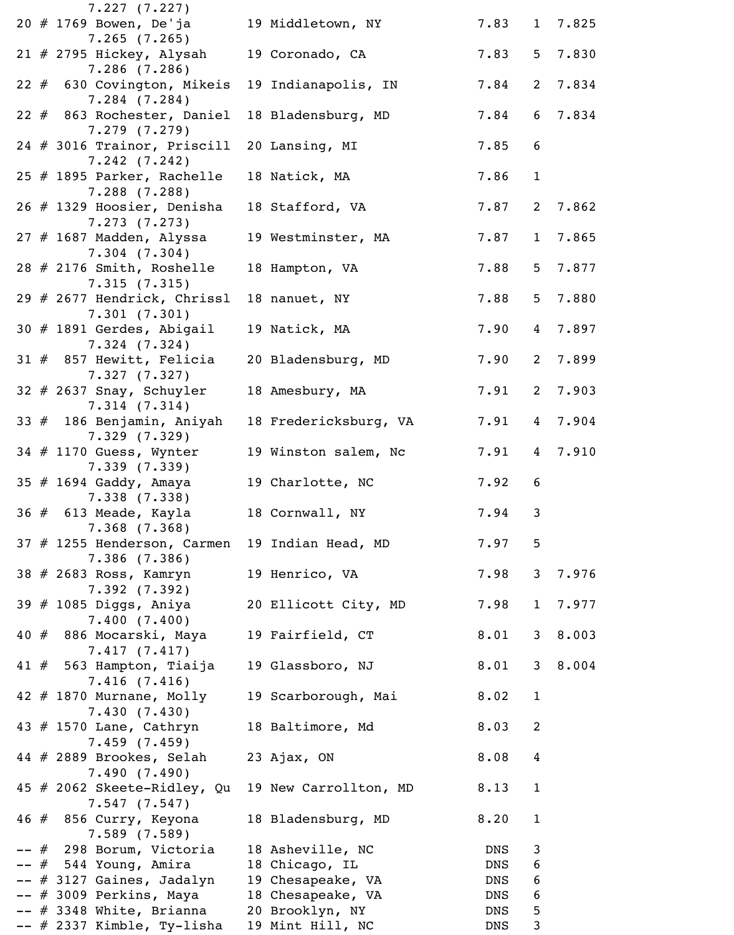| 7.227(7.227)                                      |                       |            |                 |         |
|---------------------------------------------------|-----------------------|------------|-----------------|---------|
| 20 # 1769 Bowen, De'ja<br>$7.265$ (7.265)         | 19 Middletown, NY     | 7.83       |                 | 1 7.825 |
| $21$ # 2795 Hickey, Alysah                        | 19 Coronado, CA       | 7.83       |                 | 5 7.830 |
| $7.286$ $(7.286)$<br>22 # 630 Covington, Mikeis   | 19 Indianapolis, IN   | 7.84       | $\mathbf{2}$    | 7.834   |
| $7.284$ $(7.284)$<br>22 # 863 Rochester, Daniel   | 18 Bladensburg, MD    | 7.84       | 6               | 7.834   |
| 7.279(7.279)<br>$24$ # 3016 Trainor, Priscill     | 20 Lansing, MI        | 7.85       | 6               |         |
| 7.242(7.242)                                      |                       |            |                 |         |
| 25 $#$ 1895 Parker, Rachelle<br>$7.288$ $(7.288)$ | 18 Natick, MA         | 7.86       | $\mathbf{1}$    |         |
| 26 # 1329 Hoosier, Denisha<br>7.273(7.273)        | 18 Stafford, VA       | 7.87       | 2               | 7.862   |
| 27 # 1687 Madden, Alyssa<br>7.304(7.304)          | 19 Westminster, MA    | 7.87       | 1               | 7.865   |
| 28 # 2176 Smith, Roshelle                         | 18 Hampton, VA        | 7.88       | 5 <sup>1</sup>  | 7.877   |
| 7.315(7.315)<br>29 # 2677 Hendrick, Chrissl       | 18 nanuet, NY         | 7.88       | 5               | 7.880   |
| 7.301(7.301)<br>30 # 1891 Gerdes, Abigail         | 19 Natick, MA         | 7.90       | $4\overline{ }$ | 7.897   |
| $7.324$ $(7.324)$<br>$31$ # 857 Hewitt, Felicia   | 20 Bladensburg, MD    | 7.90       | $2^{\circ}$     | 7.899   |
| 7.327(7.327)<br>$32 \# 2637$ Snay, Schuyler       | 18 Amesbury, MA       | 7.91       | 2               | 7.903   |
| 7.314(7.314)                                      |                       |            |                 |         |
| 33 # 186 Benjamin, Aniyah<br>7.329(7.329)         | 18 Fredericksburg, VA | 7.91       | 4               | 7.904   |
| 34 # 1170 Guess, Wynter<br>7.339(7.339)           | 19 Winston salem, Nc  | 7.91       | 4               | 7.910   |
| 35 # 1694 Gaddy, Amaya<br>7.338(7.338)            | 19 Charlotte, NC      | 7.92       | 6               |         |
| 36 # 613 Meade, Kayla                             | 18 Cornwall, NY       | 7.94       | 3               |         |
| $7.368$ $(7.368)$<br>37 # 1255 Henderson, Carmen  | 19 Indian Head, MD    | 7.97       | 5               |         |
| 7.386(7.386)<br>38 # 2683 Ross, Kamryn            | 19 Henrico, VA        | 7.98       |                 | 3 7.976 |
| 7.392(7.392)<br>39 # 1085 Diggs, Aniya            | 20 Ellicott City, MD  | 7.98       | 1               | 7.977   |
| 7.400(7.400)<br>40 # 886 Mocarski, Maya           | 19 Fairfield, CT      | 8.01       |                 | 38.003  |
| 7.417(7.417)                                      |                       |            |                 |         |
| 41 # 563 Hampton, Tiaija<br>7.416(7.416)          | 19 Glassboro, NJ      | 8.01       |                 | 3 8.004 |
| $42$ # 1870 Murnane, Molly<br>7.430(7.430)        | 19 Scarborough, Mai   | 8.02       | $\mathbf{1}$    |         |
| 43 # 1570 Lane, Cathryn<br>7.459(7.459)           | 18 Baltimore, Md      | 8.03       | 2               |         |
| 44 # 2889 Brookes, Selah                          | 23 Ajax, ON           | 8.08       | 4               |         |
| 7.490(7.490)<br>45 # 2062 Skeete-Ridley, Qu       | 19 New Carrollton, MD | 8.13       | $\mathbf{1}$    |         |
| 7.547(7.547)<br>46 # 856 Curry, Keyona            | 18 Bladensburg, MD    | 8.20       | $\mathbf{1}$    |         |
| 7.589(7.589)<br>-- # 298 Borum, Victoria          | 18 Asheville, NC      | DNS        | $\mathbf{3}$    |         |
| -- # 544 Young, Amira                             | 18 Chicago, IL        | DNS        | 6               |         |
| -- # 3127 Gaines, Jadalyn                         | 19 Chesapeake, VA     | DNS        | 6               |         |
| -- # 3009 Perkins, Maya                           | 18 Chesapeake, VA     | DNS        | 6               |         |
| $--$ # 3348 White, Brianna                        | 20 Brooklyn, NY       | DNS        | 5               |         |
| -- # 2337 Kimble, Ty-lisha                        | 19 Mint Hill, NC      | <b>DNS</b> | 3               |         |
|                                                   |                       |            |                 |         |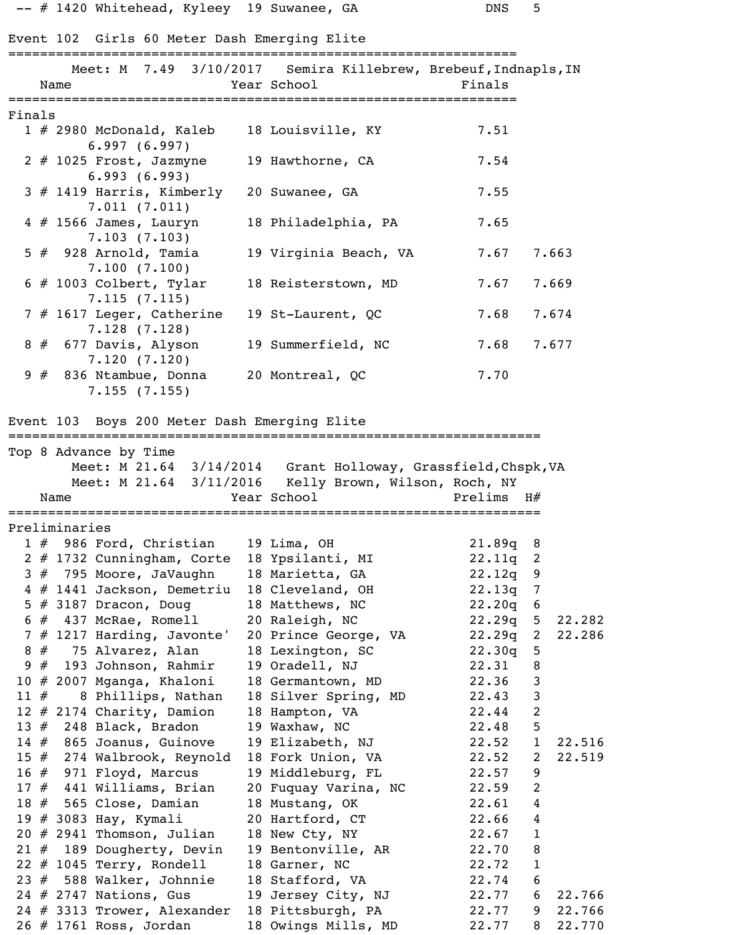|        |               |                                           |                                                          | -- # 1420 Whitehead, Kyleey 19 Suwanee, GA                                    | <b>DNS</b>         | 5              |        |
|--------|---------------|-------------------------------------------|----------------------------------------------------------|-------------------------------------------------------------------------------|--------------------|----------------|--------|
|        |               |                                           |                                                          | Event 102 Girls 60 Meter Dash Emerging Elite                                  |                    |                |        |
|        | Name          |                                           |                                                          | Meet: M 7.49 3/10/2017 Semira Killebrew, Brebeuf, Indnapls, IN<br>Year School | Finals             |                |        |
| Finals |               |                                           |                                                          |                                                                               |                    |                |        |
|        |               | 6.997(6.997)                              | $1 \# 2980$ McDonald, Kaleb                              | 18 Louisville, KY                                                             | 7.51               |                |        |
|        |               | 6.993(6.993)                              | $2$ $\#$ 1025 Frost, Jazmyne                             | 19 Hawthorne, CA                                                              | 7.54               |                |        |
|        |               | 7.011(7.011)                              | 3 # 1419 Harris, Kimberly                                | 20 Suwanee, GA                                                                | 7.55               |                |        |
|        |               | $4 \# 1566$ James, Lauryn<br>7.103(7.103) |                                                          | 18 Philadelphia, PA                                                           | 7.65               |                |        |
|        |               | $5$ $#$ 928 Arnold, Tamia<br>7.100(7.100) |                                                          | 19 Virginia Beach, VA                                                         | 7.67               |                | 7.663  |
|        |               | $6$ # 1003 Colbert, Tylar<br>7.115(7.115) |                                                          | 18 Reisterstown, MD                                                           | 7.67               |                | 7.669  |
|        |               | 7.128(7.128)                              | $7$ # 1617 Leger, Catherine                              | 19 St-Laurent, QC                                                             | 7.68               |                | 7.674  |
|        |               | 8 # 677 Davis, Alyson<br>7.120(7.120)     |                                                          | 19 Summerfield, NC                                                            | 7.68               |                | 7.677  |
|        |               | $9 \# 836$ Ntambue, Donna<br>7.155(7.155) |                                                          | 20 Montreal, QC                                                               | 7.70               |                |        |
|        |               |                                           |                                                          | Event 103 Boys 200 Meter Dash Emerging Elite                                  |                    |                |        |
|        |               | Top 8 Advance by Time                     |                                                          |                                                                               |                    |                |        |
|        |               |                                           |                                                          | Meet: M 21.64 3/14/2014 Grant Holloway, Grassfield, Chspk, VA                 |                    |                |        |
|        |               |                                           | Meet: M 21.64 3/11/2016                                  | Kelly Brown, Wilson, Roch, NY                                                 |                    |                |        |
|        | Name          |                                           |                                                          | Year School                                                                   | Prelims            | H#             |        |
|        |               |                                           |                                                          |                                                                               |                    |                |        |
|        | Preliminaries |                                           |                                                          |                                                                               |                    |                |        |
|        |               |                                           | $1 \#$ 986 Ford, Christian<br>2 # 1732 Cunningham, Corte | 19 Lima, $OH$<br>18 Ypsilanti, MI                                             | 21.89q 8<br>22.11q | 2              |        |
|        |               |                                           | $3# 795$ Moore, JaVaughn                                 | 18 Marietta, GA                                                               | 22.12q             | 9              |        |
|        |               |                                           | 4 # 1441 Jackson, Demetriu                               | 18 Cleveland, OH                                                              | 22.13q             | $\overline{7}$ |        |
|        |               | $5$ # 3187 Dracon, Doug                   |                                                          | 18 Matthews, NC                                                               | 22.20q             | 6              |        |
|        |               |                                           | $6$ $#$ 437 McRae, Romell                                | 20 Raleigh, NC                                                                | 22.29q             | 5 <sup>5</sup> | 22.282 |
|        |               |                                           | $7$ # 1217 Harding, Javonte'                             | 20 Prince George, VA                                                          | 22.29q             | $\overline{2}$ | 22.286 |
|        |               |                                           | 8 # 75 Alvarez, Alan                                     | 18 Lexington, SC                                                              | 22.30q             | 5              |        |
|        |               |                                           | $9$ $#$ 193 Johnson, Rahmir                              | 19 Oradell, NJ                                                                | 22.31              | 8              |        |
|        |               |                                           | $10$ # 2007 Mganga, Khaloni                              | 18 Germantown, MD                                                             | 22.36              | $\mathfrak{Z}$ |        |
| 11#    |               |                                           | 8 Phillips, Nathan                                       | 18 Silver Spring, MD                                                          | 22.43              | $\mathbf{3}$   |        |
|        |               | 12 $#$ 2174 Charity, Damion               |                                                          | 18 Hampton, VA                                                                | 22.44              | $\overline{2}$ |        |
|        |               | 13 $#$ 248 Black, Bradon                  |                                                          | 19 Waxhaw, NC                                                                 | 22.48              | 5              |        |
|        |               | 14 # 865 Joanus, Guinove                  |                                                          | 19 Elizabeth, NJ                                                              | 22.52              | $\mathbf{1}$   | 22.516 |
|        |               |                                           | 15 # 274 Walbrook, Reynold                               | 18 Fork Union, VA                                                             | 22.52              | 2              | 22.519 |
|        |               | 16 $\#$ 971 Floyd, Marcus                 |                                                          | 19 Middleburg, FL                                                             | 22.57              | 9              |        |
|        |               |                                           | $17$ $#$ 441 Williams, Brian                             | 20 Fuquay Varina, NC                                                          | 22.59              | $\overline{2}$ |        |
|        |               |                                           | 18 # 565 Close, Damian                                   | 18 Mustang, OK                                                                | 22.61              | $\overline{4}$ |        |
|        |               | 19 # 3083 Hay, Kymali                     |                                                          | 20 Hartford, CT                                                               | 22.66              | 4              |        |
|        |               |                                           | $20$ # 2941 Thomson, Julian                              | 18 New Cty, NY                                                                | 22.67              | $\mathbf{1}$   |        |
|        |               |                                           | 21 # 189 Dougherty, Devin                                | 19 Bentonville, AR                                                            | 22.70              | $\, 8$         |        |
|        |               |                                           | $22$ # 1045 Terry, Rondell                               | 18 Garner, NC                                                                 | 22.72              | $\mathbf{1}$   |        |
|        |               |                                           | $23$ $#$ 588 Walker, Johnnie                             | 18 Stafford, VA                                                               | 22.74              | 6              |        |
|        |               | 24 # 2747 Nations, Gus                    |                                                          | 19 Jersey City, NJ                                                            | 22.77              | 6              | 22.766 |
|        |               |                                           | 24 # 3313 Trower, Alexander                              | 18 Pittsburgh, PA                                                             | 22.77              | 9              | 22.766 |
|        |               | 26 # 1761 Ross, Jordan                    |                                                          | 18 Owings Mills, MD                                                           | 22.77              | 8              | 22.770 |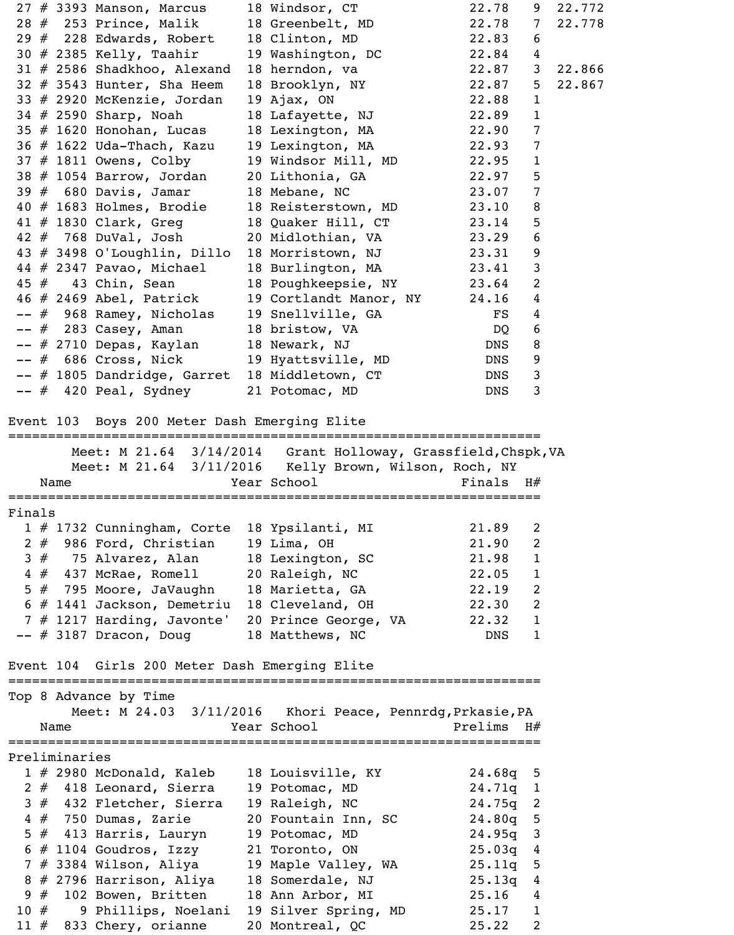| 27 # 3393 Manson, Marcus                                                                                                                                                                            | 18 Windsor, CT                                                                                                                        | 22.78          | 9                 | 22.772   |
|-----------------------------------------------------------------------------------------------------------------------------------------------------------------------------------------------------|---------------------------------------------------------------------------------------------------------------------------------------|----------------|-------------------|----------|
| 28 # 253 Prince, Malik 18 Greenbelt, MD                                                                                                                                                             |                                                                                                                                       | 22.78          | $7\degree$        | 22.778   |
| $29$ # 228 Edwards, Robert 18 Clinton, MD                                                                                                                                                           |                                                                                                                                       | 22.83          | 6                 |          |
| 30 # 2385 Kelly, Taahir 19 Washington, DC                                                                                                                                                           |                                                                                                                                       | 22.84          | 4                 |          |
| 31 # 2586 Shadkhoo, Alexand                                                                                                                                                                         | 18 herndon, va                                                                                                                        | 22.87          |                   | 3 22.866 |
| 32 # 3543 Hunter, Sha Heem 18 Brooklyn, NY 22.87<br>33 # 2920 McKenzie, Jordan 19 Ajax, ON 22.88<br>34 # 2590 Sharp, Noah 18 Lafayette, NJ 22.89<br>35 # 1620 Honohan, Lucas 18 Lexington, MA 22.90 |                                                                                                                                       |                | 5 <sub>1</sub>    | 22.867   |
|                                                                                                                                                                                                     |                                                                                                                                       |                | $\mathbf{1}$      |          |
|                                                                                                                                                                                                     |                                                                                                                                       |                | $\mathbf{1}$      |          |
|                                                                                                                                                                                                     |                                                                                                                                       |                | $\overline{7}$    |          |
|                                                                                                                                                                                                     |                                                                                                                                       |                | $\overline{7}$    |          |
|                                                                                                                                                                                                     |                                                                                                                                       |                | $\mathbf{1}$      |          |
| 38 # 1054 Barrow, Jordan 20 Lithonia, GA 22.97<br>39 # 680 Davis, Jamar 18 Mebane, NC 23.07                                                                                                         |                                                                                                                                       |                | 5                 |          |
|                                                                                                                                                                                                     |                                                                                                                                       |                | $\overline{7}$    |          |
|                                                                                                                                                                                                     |                                                                                                                                       |                | 8                 |          |
| 40 # 1683 Holmes, Brodie 18 Reisterstown, MD 23.10<br>41 # 1830 Clark, Greg 18 Quaker Hill, CT 23.14                                                                                                |                                                                                                                                       |                | 5                 |          |
| 42 # 768 DuVal, Josh 20 Midlothian, VA                                                                                                                                                              |                                                                                                                                       | 23.29          | 6                 |          |
| 43 # 3498 O'Loughlin, Dillo 18 Morristown, NJ 23.31                                                                                                                                                 |                                                                                                                                       |                | 9                 |          |
| 44 # 2347 Pavao, Michael 18 Burlington, MA 23.41                                                                                                                                                    |                                                                                                                                       |                | $\mathsf{3}$      |          |
| 45 # 43 Chin, Sean 18 Poughkeepsie, NY 23.64                                                                                                                                                        |                                                                                                                                       |                | 2                 |          |
| 46 # 2469 Abel, Patrick 19 Cortlandt Manor, NY                                                                                                                                                      |                                                                                                                                       | 24.16          | 4                 |          |
| -- # 968 Ramey, Nicholas 19 Snellville, GA FS                                                                                                                                                       |                                                                                                                                       |                | 4                 |          |
|                                                                                                                                                                                                     |                                                                                                                                       |                | 6                 |          |
| -- # 2710 Depas, Kaylan 18 Newark, NJ                                                                                                                                                               |                                                                                                                                       |                | 8                 |          |
| -- # 686 Cross, Nick 19 Hyattsville, MD                                                                                                                                                             |                                                                                                                                       | DNS            | 9                 |          |
| -- # 1805 Dandridge, Garret 18 Middletown, CT                                                                                                                                                       |                                                                                                                                       | DNS            | $\mathbf{3}$      |          |
| -- # 420 Peal, Sydney 21 Potomac, MD                                                                                                                                                                |                                                                                                                                       | DNS            | 3                 |          |
|                                                                                                                                                                                                     | Meet: M 21.64 3/14/2014 Grant Holloway, Grassfield, Chspk, VA<br>Meet: M 21.64 3/11/2016 Kelly Brown, Wilson, Roch, NY<br>Year School | Finals $H#$    |                   |          |
| Name                                                                                                                                                                                                |                                                                                                                                       |                |                   |          |
| Finals                                                                                                                                                                                              |                                                                                                                                       |                |                   |          |
| 1 # 1732 Cunningham, Corte 18 Ypsilanti, MI                                                                                                                                                         |                                                                                                                                       | 21.89          | 2                 |          |
| 2 # 986 Ford, Christian 19 Lima, OH                                                                                                                                                                 |                                                                                                                                       | 21.90          | 2                 |          |
| 3 # 75 Alvarez, Alan 18 Lexington, SC                                                                                                                                                               |                                                                                                                                       | 21.98          | $\mathbf{1}$      |          |
| 4 # 437 McRae, Romell 20 Raleigh, NC                                                                                                                                                                |                                                                                                                                       | 22.05          | $\mathbf{1}$      |          |
| 5 # 795 Moore, JaVaughn 18 Marietta, GA                                                                                                                                                             |                                                                                                                                       | 22.19          | 2                 |          |
| 6 # 1441 Jackson, Demetriu 18 Cleveland, OH                                                                                                                                                         |                                                                                                                                       | 22.30          | 2                 |          |
| 7 # 1217 Harding, Javonte' 20 Prince George, VA                                                                                                                                                     |                                                                                                                                       | 22.32          | $\mathbf{1}$      |          |
| -- # 3187 Dracon, Doug 18 Matthews, NC                                                                                                                                                              |                                                                                                                                       | DNS            | $\mathbf{1}$      |          |
|                                                                                                                                                                                                     |                                                                                                                                       |                |                   |          |
| Event 104 Girls 200 Meter Dash Emerging Elite                                                                                                                                                       |                                                                                                                                       |                |                   |          |
| Top 8 Advance by Time                                                                                                                                                                               |                                                                                                                                       |                |                   |          |
|                                                                                                                                                                                                     | Meet: M 24.03 3/11/2016 Khori Peace, Pennrdg, Prkasie, PA                                                                             |                |                   |          |
| Name                                                                                                                                                                                                | Year School                                                                                                                           | Prelims $H#$   |                   |          |
|                                                                                                                                                                                                     |                                                                                                                                       |                |                   |          |
| Preliminaries                                                                                                                                                                                       |                                                                                                                                       |                |                   |          |
| 1 # 2980 McDonald, Kaleb 18 Louisville, KY                                                                                                                                                          |                                                                                                                                       | $24.68q$ 5     |                   |          |
| 2 # 418 Leonard, Sierra 19 Potomac, MD                                                                                                                                                              |                                                                                                                                       | 24.71q 1       |                   |          |
| 3 # 432 Fletcher, Sierra 19 Raleigh, NC                                                                                                                                                             |                                                                                                                                       | $24.75q$ 2     |                   |          |
| $4$ $\#$ 750 Dumas, Zarie                                                                                                                                                                           | 20 Fountain Inn, SC                                                                                                                   | 24.80q 5       |                   |          |
| 5 # 413 Harris, Lauryn 19 Potomac, MD                                                                                                                                                               |                                                                                                                                       | $24.95q$ 3     |                   |          |
| 6 # 1104 Goudros, Izzy 21 Toronto, ON                                                                                                                                                               |                                                                                                                                       | 25.03q 4       |                   |          |
| 7 # 3384 Wilson, Aliya                                                                                                                                                                              | 19 Maple Valley, WA                                                                                                                   | 25.11q         | $5\phantom{.0}$   |          |
| 8 # 2796 Harrison, Aliya 18 Somerdale, NJ                                                                                                                                                           |                                                                                                                                       | 25.13q 4       |                   |          |
| 9 # 102 Bowen, Britten 18 Ann Arbor, MI                                                                                                                                                             |                                                                                                                                       |                |                   |          |
|                                                                                                                                                                                                     |                                                                                                                                       | 25.16          | 4                 |          |
| 10 # 9 Phillips, Noelani<br>11#<br>833 Chery, orianne                                                                                                                                               | 19 Silver Spring, MD<br>20 Montreal, QC                                                                                               | 25.17<br>25.22 | $\mathbf{1}$<br>2 |          |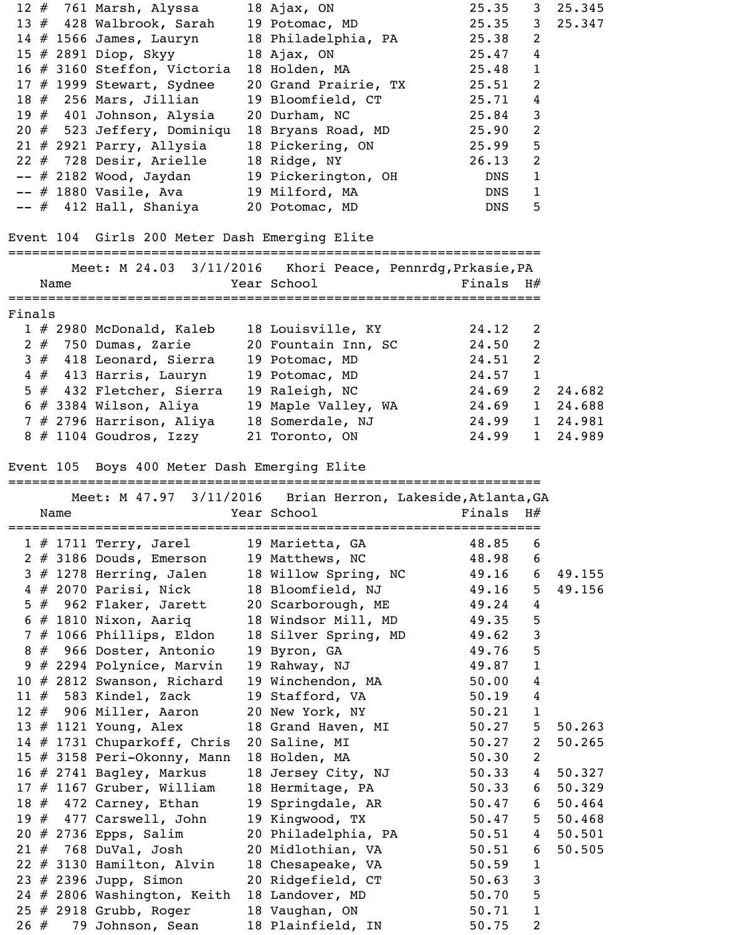|        |      | 12 # 761 Marsh, Alyssa                                 | 18 Ajax, $ON$                                               | 25.35          | 3              | 25.345   |
|--------|------|--------------------------------------------------------|-------------------------------------------------------------|----------------|----------------|----------|
|        |      | 13 # 428 Walbrook, Sarah                               | 19 Potomac, MD                                              | 25.35          | 3              | 25.347   |
|        |      | 14 $#$ 1566 James, Lauryn                              | 18 Philadelphia, PA                                         | 25.38          | 2              |          |
|        |      | 15 # 2891 Diop, Skyy                                   | 18 Ajax, $ON$                                               | 25.47          | $\overline{4}$ |          |
|        |      | 16 # 3160 Steffon, Victoria                            | 18 Holden, MA                                               | 25.48          | $\mathbf{1}$   |          |
|        |      | 17 $#$ 1999 Stewart, Sydnee                            | 20 Grand Prairie, TX                                        | 25.51          | $\overline{2}$ |          |
|        |      | 18 $#$ 256 Mars, Jillian                               | 19 Bloomfield, CT                                           | 25.71          | 4              |          |
|        |      | 19 $#$ 401 Johnson, Alysia                             | 20 Durham, NC                                               | 25.84          | $\mathsf 3$    |          |
|        |      | $20$ $#$ 523 Jeffery, Dominiqu                         | 18 Bryans Road, MD                                          | 25.90          | $\overline{2}$ |          |
|        |      | $21$ # 2921 Parry, Allysia                             | 18 Pickering, ON                                            | 25.99          | 5              |          |
|        |      | $22$ # 728 Desir, Arielle                              | 18 Ridge, NY                                                | 26.13          | $\overline{2}$ |          |
|        |      | -- # 2182 Wood, Jaydan                                 | 19 Pickerington, OH                                         | <b>DNS</b>     | $\mathbf{1}$   |          |
|        |      | -- # 1880 Vasile, Ava                                  | 19 Milford, MA                                              | <b>DNS</b>     | $\mathbf{1}$   |          |
|        |      | -- # 412 Hall, Shaniya                                 | 20 Potomac, MD                                              | <b>DNS</b>     | 5              |          |
|        |      | Event 104 Girls 200 Meter Dash Emerging Elite          |                                                             |                |                |          |
|        |      |                                                        | Meet: M 24.03 3/11/2016 Khori Peace, Pennrdg, Prkasie, PA   |                |                |          |
|        | Name |                                                        | Year School                                                 | Finals $H#$    |                |          |
| Finals |      |                                                        |                                                             |                |                |          |
|        |      | $1 \# 2980$ McDonald, Kaleb<br>$2 \#$ 750 Dumas, Zarie | 18 Louisville, KY<br>20 Fountain Inn, SC                    | 24.12<br>24.50 | 2<br>2         |          |
|        |      | 3 # 418 Leonard, Sierra                                | 19 Potomac, MD                                              | 24.51          | $\mathbf{2}$   |          |
|        |      | 4 # 413 Harris, Lauryn                                 | 19 Potomac, MD                                              | 24.57          | $\mathbf{1}$   |          |
|        |      | 5 # 432 Fletcher, Sierra                               | 19 Raleigh, NC                                              | 24.69          | $\overline{2}$ | 24.682   |
|        |      | $6$ # 3384 Wilson, Aliya                               | 19 Maple Valley, WA                                         | 24.69          | $\mathbf{1}$   | 24.688   |
|        |      | 7 # 2796 Harrison, Aliya                               | 18 Somerdale, NJ                                            | 24.99          |                | 1 24.981 |
|        |      | 8 # 1104 Goudros, Izzy                                 | 21 Toronto, ON                                              | 24.99          | $\mathbf{1}$   | 24.989   |
|        |      |                                                        |                                                             |                |                |          |
|        |      | Event 105 Boys 400 Meter Dash Emerging Elite           | =================================                           |                |                |          |
|        |      |                                                        | Meet: M 47.97 3/11/2016 Brian Herron, Lakeside, Atlanta, GA |                |                |          |
|        | Name |                                                        | Year School                                                 | Finals         | H#             |          |
|        |      | $1$ # 1711 Terry, Jarel                                | 19 Marietta, GA                                             | 48.85          | 6              |          |
|        |      | 2 # 3186 Douds, Emerson                                | 19 Matthews, NC                                             | 48.98          | 6              |          |
|        |      | $3$ $#$ 1278 Herring, Jalen                            | 18 Willow Spring, NC                                        | 49.16          | 6              | 49.155   |
|        |      | 4 # 2070 Parisi, Nick                                  | 18 Bloomfield, NJ                                           | 49.16          | 5              | 49.156   |
|        |      | 5 # 962 Flaker, Jarett                                 | 20 Scarborough, ME                                          | 49.24          | $\overline{4}$ |          |
|        |      | $6$ # 1810 Nixon, Aariq                                | 18 Windsor Mill, MD                                         | 49.35          | 5              |          |
|        |      | 7 # 1066 Phillips, Eldon                               | 18 Silver Spring, MD                                        | 49.62          | $\mathsf 3$    |          |
|        |      | 8 # 966 Doster, Antonio                                | 19 Byron, GA                                                | 49.76          | 5              |          |
|        |      | 9 # 2294 Polynice, Marvin                              | 19 Rahway, NJ                                               | 49.87          | $\mathbf 1$    |          |
|        |      | 10 # 2812 Swanson, Richard                             | 19 Winchendon, MA                                           | 50.00          | $\overline{4}$ |          |
|        |      | 11 $#$ 583 Kindel, Zack                                | 19 Stafford, VA                                             | 50.19          | $\overline{4}$ |          |
|        |      | 12 $#$ 906 Miller, Aaron                               | 20 New York, NY                                             | 50.21          | $\mathbf{1}$   |          |
|        |      | 13 $#$ 1121 Young, Alex                                | 18 Grand Haven, MI                                          | 50.27          | 5              | 50.263   |
|        |      | 14 # 1731 Chuparkoff, Chris                            | 20 Saline, MI                                               | 50.27          | 2              | 50.265   |
|        |      | 15 # 3158 Peri-Okonny, Mann                            | 18 Holden, MA                                               | 50.30          | $\overline{2}$ |          |
|        |      | 16 $#$ 2741 Bagley, Markus                             | 18 Jersey City, NJ                                          | 50.33          | $\overline{4}$ | 50.327   |
|        |      | 17 $#$ 1167 Gruber, William                            | 18 Hermitage, PA                                            | 50.33          | 6              | 50.329   |
|        |      | 18 $#$ 472 Carney, Ethan                               | 19 Springdale, AR                                           | 50.47          | 6              | 50.464   |
|        |      | 19 $#$ 477 Carswell, John                              | 19 Kingwood, TX                                             | 50.47          | 5              | 50.468   |
|        |      | $20$ # 2736 Epps, Salim                                | 20 Philadelphia, PA                                         | 50.51          | $\overline{4}$ | 50.501   |
|        |      | $21$ $\#$ 768 DuVal, Josh                              | 20 Midlothian, VA                                           | 50.51          | 6              | 50.505   |
|        |      | $22 \# 3130$ Hamilton, Alvin                           | 18 Chesapeake, VA                                           | 50.59          | $\mathbf{1}$   |          |
|        |      | 23 $#$ 2396 Jupp, Simon                                | 20 Ridgefield, CT                                           | 50.63          | $\mathsf{3}$   |          |
|        |      | 24 # 2806 Washington, Keith                            | 18 Landover, MD                                             | 50.70          | 5              |          |
|        |      |                                                        |                                                             |                |                |          |
|        |      | $25$ # 2918 Grubb, Roger                               | 18 Vaughan, ON                                              | 50.71          | $\mathbf{1}$   |          |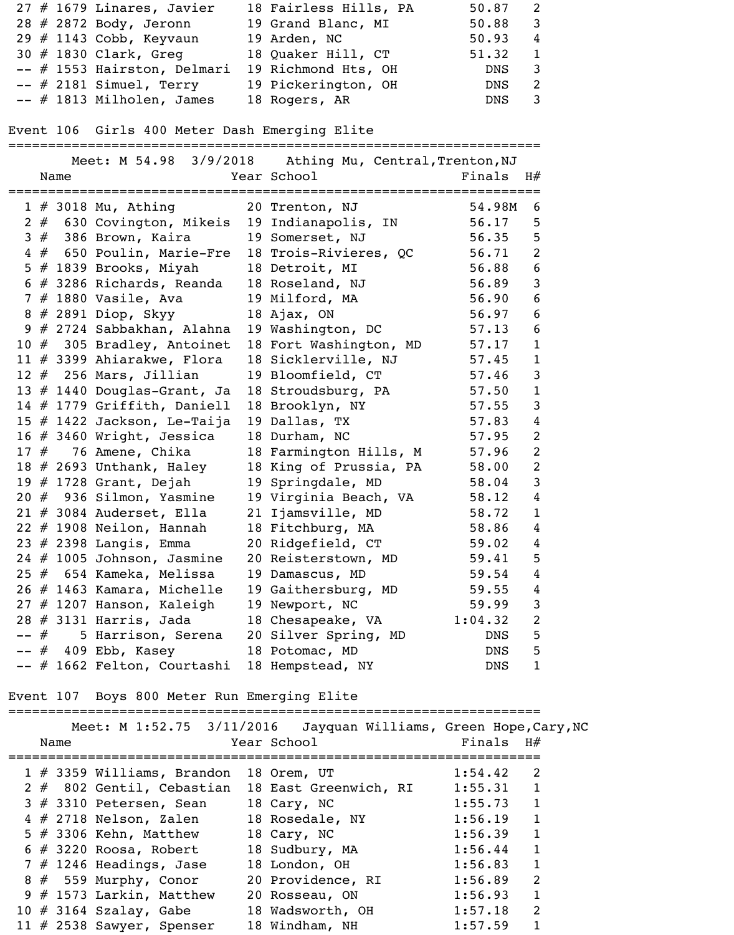| $27$ # 1679 Linares, Javier | 18 Fairless Hills, PA | 50.87 |                           |
|-----------------------------|-----------------------|-------|---------------------------|
| 28 # 2872 Body, Jeronn      | 19 Grand Blanc, MI    | 50.88 | $\overline{\phantom{a}3}$ |
| 29 $#$ 1143 Cobb, Keyvaun   | 19 Arden, NC          | 50.93 | $\overline{4}$            |
| 30 # 1830 Clark, Greg       | 18 Quaker Hill, CT    | 51.32 |                           |
| -- # 1553 Hairston, Delmari | 19 Richmond Hts, OH   | DNS   | 3                         |
| $--$ # 2181 Simuel, Terry   | 19 Pickerington, OH   | DNS   | 2                         |
| $--$ # 1813 Milholen, James | 18 Rogers, AR         | DNS   |                           |

Event 106 Girls 400 Meter Dash Emerging Elite

|       |   |      |                                                 | Meet: M 54.98 3/9/2018 Athing Mu, Central, Trenton, NJ |            |                |
|-------|---|------|-------------------------------------------------|--------------------------------------------------------|------------|----------------|
|       |   | Name |                                                 | Year School                                            | Finals     | H#             |
|       |   |      | $1 \# 3018$ Mu, Athing                          | 20 Trenton, NJ                                         | 54.98M     | 6              |
|       |   |      |                                                 | 2 # 630 Covington, Mikeis 19 Indianapolis, IN          | 56.17      | 5              |
|       |   |      | $3#386$ Brown, Kaira                            | 19 Somerset, NJ                                        | 56.35      | 5              |
|       |   |      | 4 # 650 Poulin, Marie-Fre 18 Trois-Rivieres, QC |                                                        | 56.71      | $\overline{2}$ |
|       |   |      | 5 $#$ 1839 Brooks, Miyah                        | 18 Detroit, MI                                         | 56.88      | $6\,$          |
|       |   |      | 6 # 3286 Richards, Reanda 18 Roseland, NJ       |                                                        | 56.89      | $\mathbf{3}$   |
|       |   |      | 7 # 1880 Vasile, Ava                            | 19 Milford, MA                                         | 56.90      | 6              |
|       |   |      | 8 # 2891 Diop, Skyy                             | 18 Ajax, $ON$                                          | 56.97      | $6\,$          |
|       |   |      | 9 # 2724 Sabbakhan, Alahna                      | 19 Washington, DC                                      | 57.13      | $6\,$          |
|       |   |      | 10 # 305 Bradley, Antoinet                      | 18 Fort Washington, MD                                 | 57.17      | $\mathbf{1}$   |
|       |   |      | 11 $#$ 3399 Ahiarakwe, Flora                    | 18 Sicklerville, NJ                                    | 57.45      | $\mathbf{1}$   |
|       |   |      | $12 \# 256$ Mars, Jillian                       | 19 Bloomfield, CT                                      | 57.46      | $\mathbf{3}$   |
|       |   |      | 13 $#$ 1440 Douglas-Grant, Ja                   | 18 Stroudsburg, PA                                     | 57.50      | $\mathbf{1}$   |
|       |   |      | 14 # 1779 Griffith, Daniell                     | 18 Brooklyn, NY                                        | 57.55      | $\mathbf{3}$   |
|       |   |      | 15 $#$ 1422 Jackson, Le-Taija                   | 19 Dallas, TX                                          | 57.83      | $\overline{4}$ |
|       |   |      | 16 $#$ 3460 Wright, Jessica                     | 18 Durham, NC                                          | 57.95      | $\overline{2}$ |
|       |   |      | $17$ $#$ 76 Amene, Chika                        | 18 Farmington Hills, M                                 | 57.96      | $\overline{2}$ |
|       |   |      | 18 $\#$ 2693 Unthank, Haley                     | 18 King of Prussia, PA                                 | 58.00      | $\overline{2}$ |
|       |   |      | 19 # 1728 Grant, Dejah                          | 19 Springdale, MD                                      | 58.04      | $\mathsf{3}$   |
|       |   |      | 20 # 936 Silmon, Yasmine                        | 19 Virginia Beach, VA                                  | 58.12      | $\overline{4}$ |
|       |   |      | $21$ $\#$ 3084 Auderset, Ella                   | 21 Ijamsville, MD                                      | 58.72      | $\mathbf{1}$   |
|       |   |      | $22$ # 1908 Neilon, Hannah                      | 18 Fitchburg, MA                                       | 58.86      | $\overline{4}$ |
|       |   |      | 23 # 2398 Langis, Emma                          | 20 Ridgefield, CT                                      | 59.02      | 4              |
|       |   |      | $24$ $\#$ 1005 Johnson, Jasmine                 | 20 Reisterstown, MD                                    | 59.41      | 5              |
|       |   |      | 25 # 654 Kameka, Melissa                        | 19 Damascus, MD                                        | 59.54      | $\overline{4}$ |
|       |   |      | 26 # 1463 Kamara, Michelle                      | 19 Gaithersburg, MD                                    | 59.55      | $\overline{4}$ |
|       |   |      | $27$ $\#$ 1207 Hanson, Kaleigh                  | 19 Newport, NC                                         | 59.99      | 3              |
|       |   |      | 28 # 3131 Harris, Jada                          | 18 Chesapeake, VA                                      | 1:04.32    | 2              |
| $- -$ | # |      | 5 Harrison, Serena                              | 20 Silver Spring, MD                                   | <b>DNS</b> | 5              |
|       | # |      | 409 Ebb, Kasey                                  | 18 Potomac, MD                                         | <b>DNS</b> | 5              |
|       |   |      | -- # 1662 Felton, Courtashi                     | 18 Hempstead, NY                                       | DNS        | 1              |

Event 107 Boys 800 Meter Run Emerging Elite

|  |      |                               | Meet: M 1:52.75 3/11/2016 Jayquan Williams, Green Hope, Cary, NC |             |                |
|--|------|-------------------------------|------------------------------------------------------------------|-------------|----------------|
|  | Name |                               | Year School                                                      | Finals $H#$ |                |
|  |      |                               |                                                                  |             |                |
|  |      | $1 \# 3359$ Williams, Brandon | 18 Orem, UT                                                      | 1:54.42     | $\mathfrak{D}$ |
|  |      | $2 \#$ 802 Gentil, Cebastian  | 18 East Greenwich, RI                                            | 1:55.31     |                |
|  |      | $3$ # 3310 Petersen, Sean     | 18 Cary, NC                                                      | 1:55.73     |                |
|  |      | $4$ # 2718 Nelson, Zalen      | 18 Rosedale, NY                                                  | 1:56.19     |                |
|  |      | 5 $\#$ 3306 Kehn, Matthew     | 18 Cary, NC                                                      | 1:56.39     |                |
|  |      | $6$ # 3220 Roosa, Robert      | 18 Sudbury, MA                                                   | 1:56.44     |                |
|  |      | $7$ # 1246 Headings, Jase     | 18 London, OH                                                    | 1:56.83     |                |
|  |      | $8 \# 559$ Murphy, Conor      | 20 Providence, RI                                                | 1:56.89     | $\overline{2}$ |
|  |      | $9$ # 1573 Larkin, Matthew    | 20 Rosseau, ON                                                   | 1:56.93     | $\mathbf{1}$   |
|  |      | 10 $\#$ 3164 Szalay, Gabe     | 18 Wadsworth, OH                                                 | 1:57.18     | $\overline{2}$ |
|  |      | 11 $#$ 2538 Sawyer, Spenser   | 18 Windham, NH                                                   | 1:57.59     |                |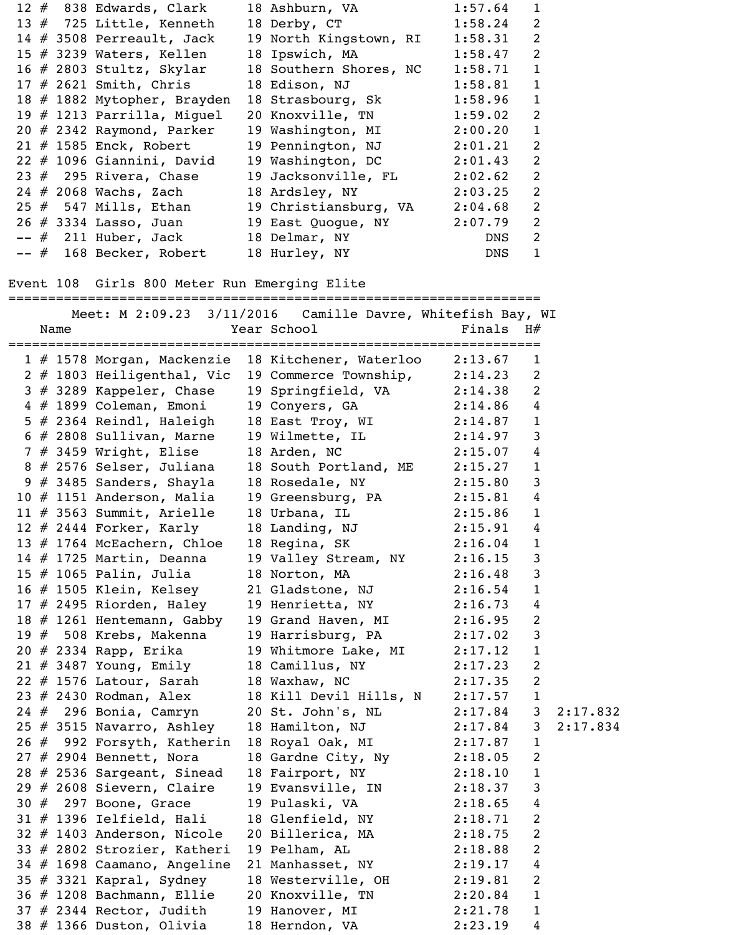|  |                                              | 12 # 838 Edwards, Clark 18 Ashburn, VA 1:57.64 1            |             |                |
|--|----------------------------------------------|-------------------------------------------------------------|-------------|----------------|
|  | 13 # 725 Little, Kenneth                     | 18 Derby, CT                                                | $1:58.24$ 2 |                |
|  | 14 $\#$ 3508 Perreault, Jack                 | 19 North Kingstown, RI                                      | 1:58.31     | 2              |
|  | 15 $\#$ 3239 Waters, Kellen                  | 18 Ipswich, MA                                              | 1:58.47 2   |                |
|  | $16$ # 2803 Stultz, Skylar                   | 18 Southern Shores, NC                                      | 1:58.71     | $\mathbf{1}$   |
|  | $17$ # 2621 Smith, Chris                     | 18 Edison, NJ                                               | 1:58.81     | $\mathbf{1}$   |
|  | 18 # 1882 Mytopher, Brayden                  | 18 Strasbourg, Sk                                           | 1:58.96     | $\mathbf{1}$   |
|  | 19 # 1213 Parrilla, Miguel                   | 20 Knoxville, TN                                            | 1:59.02     | 2              |
|  | $20$ # 2342 Raymond, Parker                  | 19 Washington, MI 2:00.20                                   |             | $\mathbf{1}$   |
|  | $21$ # 1585 Enck, Robert                     | 19 Pennington, NJ 2:01.21                                   |             | 2              |
|  | $22$ $\#$ 1096 Giannini, David               | 19 Washington, DC 2:01.43                                   |             | $\overline{2}$ |
|  | 23 $#$ 295 Rivera, Chase                     | 19 Jacksonville, FL 2:02.62                                 |             | $\overline{2}$ |
|  | 24 # 2068 Wachs, Zach                        | 18 Ardsley, NY 2:03.25                                      |             | 2              |
|  | $25$ $\#$ 547 Mills, Ethan                   | 19 Christiansburg, VA 2:04.68                               |             | $\overline{2}$ |
|  |                                              | 26 # 3334 Lasso, Juan 19 East Quogue, NY 2:07.79            |             | $\overline{2}$ |
|  |                                              | -- # 211 Huber, Jack 18 Delmar, NY                          | DNS         | 2              |
|  | -- # 168 Becker, Robert                      | 18 Hurley, NY                                               | DNS         | $\mathbf{1}$   |
|  |                                              |                                                             |             |                |
|  | Event 108 Girls 800 Meter Run Emerging Elite |                                                             |             |                |
|  | ====================================         |                                                             |             |                |
|  |                                              | Meet: M 2:09.23 3/11/2016  Camille Davre, Whitefish Bay, WI |             |                |
|  |                                              | $N=1$                                                       |             |                |

|  | Name |                               | Year School and School                                                                                     | Finals  | H#             |          |
|--|------|-------------------------------|------------------------------------------------------------------------------------------------------------|---------|----------------|----------|
|  |      |                               | 1 # 1578 Morgan, Mackenzie 18 Kitchener, Waterloo 2:13.67                                                  |         | $\mathbf{1}$   |          |
|  |      |                               | 2 # 1803 Heiligenthal, Vic 19 Commerce Township, 2:14.23                                                   |         | 2              |          |
|  |      |                               | 3 # 3289 Kappeler, Chase 19 Springfield, VA 2:14.38                                                        |         | 2              |          |
|  |      |                               |                                                                                                            |         |                |          |
|  |      |                               | 4 # 1899 Coleman, Emoni 19 Conyers, GA 2:14.86 4<br>5 # 2364 Reindl, Haleigh 18 East Troy, WI 2:14.87 1    |         |                |          |
|  |      |                               | $6$ # 2808 Sullivan, Marne 19 Wilmette, IL 2:14.97                                                         |         | 3              |          |
|  |      |                               | 7 # 3459 Wright, Elise 18 Arden, NC 2:15.07                                                                |         | 4              |          |
|  |      |                               | 8 # 2576 Selser, Juliana 18 South Portland, ME 2:15.27<br>9 # 3485 Sanders, Shayla 18 Rosedale, NY 2:15.80 |         | $\mathbf{1}$   |          |
|  |      |                               |                                                                                                            |         | 3              |          |
|  |      | $10$ $#$ 1151 Anderson, Malia | 19 Greensburg, PA 2:15.81                                                                                  |         | 4              |          |
|  |      |                               | 11 # 3563 Summit, Arielle 18 Urbana, IL $2:15.86$                                                          |         | $\mathbf{1}$   |          |
|  |      |                               | 12 # 2444 Forker, Karly 18 Landing, NJ 2:15.91                                                             |         | 4              |          |
|  |      | 13 # 1764 McEachern, Chloe    | 18 Regina, SK 2:16.04                                                                                      |         | $\mathbf{1}$   |          |
|  |      | 14 $#$ 1725 Martin, Deanna    | 19 Valley Stream, NY 2:16.15                                                                               |         | 3              |          |
|  |      | $15$ $\#$ 1065 Palin, Julia   | 18 Norton, MA 2:16.48                                                                                      |         | $\mathbf{3}$   |          |
|  |      |                               | 16 # 1505 Klein, Kelsey 21 Gladstone, NJ 2:16.54                                                           |         | $\mathbf{1}$   |          |
|  |      |                               | 17 # 2495 Riorden, Haley 19 Henrietta, NY 2:16.73                                                          |         | 4              |          |
|  |      |                               | 18 # 1261 Hentemann, Gabby 19 Grand Haven, MI 2:16.95                                                      |         | 2              |          |
|  |      |                               | 19 $\#$ 508 Krebs, Makenna 19 Harrisburg, PA 2:17.02                                                       |         | $\mathbf{3}$   |          |
|  |      |                               | 20 # 2334 Rapp, Erika 19 Whitmore Lake, MI 2:17.12                                                         |         | $\mathbf{1}$   |          |
|  |      |                               | 21 # 3487 Young, Emily 18 Camillus, NY 2:17.23                                                             |         | 2              |          |
|  |      |                               | 22 # 1576 Latour, Sarah 18 Waxhaw, NC 2:17.35                                                              |         | 2              |          |
|  |      |                               | 23 # 2430 Rodman, Alex 18 Kill Devil Hills, N 2:17.57                                                      |         | $\mathbf{1}$   |          |
|  |      |                               | 24 # 296 Bonia, Camryn 20 St. John's, NL 2:17.84                                                           |         | 3 <sup>7</sup> | 2:17.832 |
|  |      |                               | $25 \# 3515$ Navarro, Ashley 18 Hamilton, NJ $2:17.84$                                                     |         | 3 <sup>7</sup> | 2:17.834 |
|  |      |                               | 26 # 992 Forsyth, Katherin 18 Royal Oak, MI 2:17.87                                                        |         | $\mathbf{1}$   |          |
|  |      | 27 # 2904 Bennett, Nora       | 18 Gardne City, Ny 2:18.05 2                                                                               |         |                |          |
|  |      | $28$ # 2536 Sargeant, Sinead  | 18 Fairport, NY 2:18.10                                                                                    |         | $\mathbf{1}$   |          |
|  |      | $29$ # 2608 Sievern, Claire   | 19 Evansville, IN                                                                                          | 2:18.37 | 3              |          |
|  |      | 30 $#$ 297 Boone, Grace       | 19 Pulaski, VA                                                                                             | 2:18.65 | 4              |          |
|  |      | $31 \# 1396$ Ielfield, Hali   | 18 Glenfield, NY                                                                                           | 2:18.71 | 2              |          |
|  |      | 32 # 1403 Anderson, Nicole    | 20 Billerica, MA                                                                                           | 2:18.75 | $\overline{2}$ |          |
|  |      | 33 # 2802 Strozier, Katheri   | 19 Pelham, AL                                                                                              | 2:18.88 | 2              |          |
|  |      | 34 # 1698 Caamano, Angeline   | 21 Manhasset, NY                                                                                           | 2:19.17 | 4              |          |
|  |      | 35 $#$ 3321 Kapral, Sydney    | 18 Westerville, OH                                                                                         | 2:19.81 | 2              |          |
|  |      | 36 # 1208 Bachmann, Ellie     | 20 Knoxville, TN                                                                                           | 2:20.84 | 1              |          |
|  |      | $37$ # 2344 Rector, Judith    | 19 Hanover, MI                                                                                             | 2:21.78 | $\mathbf{1}$   |          |
|  |      | 38 # 1366 Duston, Olivia      | 18 Herndon, VA                                                                                             | 2:23.19 | 4              |          |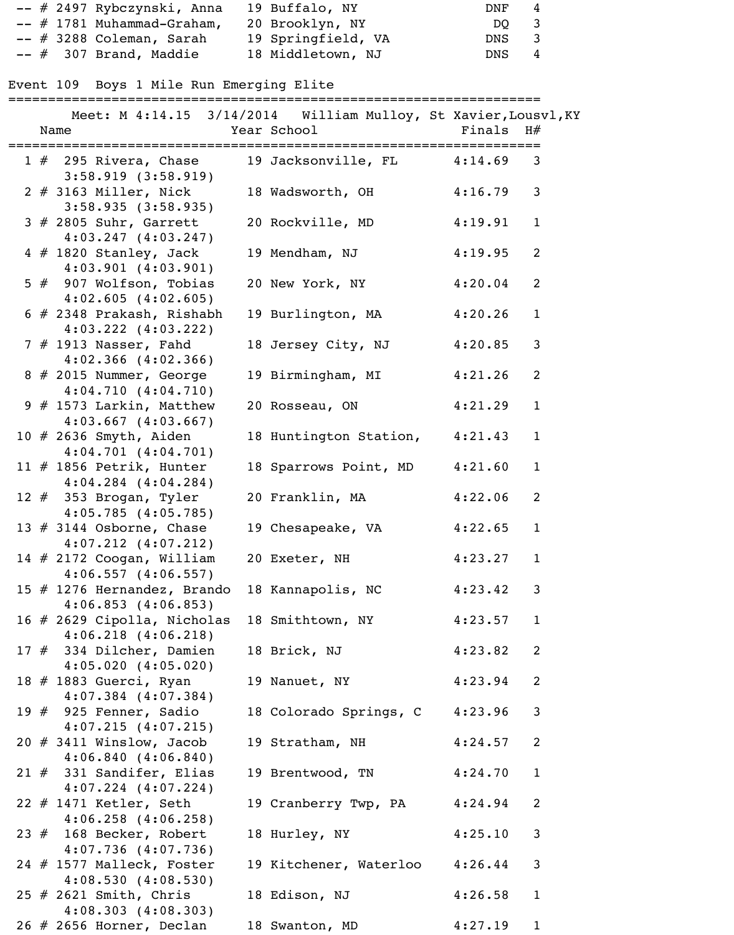| -- # 2497 Rybczynski, Anna   | 19 Buffalo, NY     | DNF<br>$\overline{4}$ |  |
|------------------------------|--------------------|-----------------------|--|
| $--$ # 1781 Muhammad-Graham, | 20 Brooklyn, NY    | DO 3                  |  |
| $--$ # 3288 Coleman, Sarah   | 19 Springfield, VA | DNS <sub>3</sub>      |  |
| $--$ # 307 Brand, Maddie     | 18 Middletown, NJ  | DNS <sub>4</sub>      |  |

## Event 109 Boys 1 Mile Run Emerging Elite

## ===================================================================

|  | Name                                          | Year School                     | Finals $H#$ |              |
|--|-----------------------------------------------|---------------------------------|-------------|--------------|
|  | =========================                     | ;============================== |             |              |
|  | $1 \#$ 295 Rivera, Chase                      | 19 Jacksonville, FL 4:14.69 3   |             |              |
|  | $3:58.919$ $(3:58.919)$                       |                                 |             |              |
|  | 2 # 3163 Miller, Nick                         | 18 Wadsworth, OH                | 4:16.79     | 3            |
|  | 3:58.935(3:58.935)                            |                                 |             |              |
|  | $3$ # 2805 Suhr, Garrett                      | 20 Rockville, MD                | 4:19.91     | $\mathbf{1}$ |
|  | $4:03.247$ $(4:03.247)$                       |                                 |             |              |
|  | $4 \# 1820$ Stanley, Jack                     | 19 Mendham, NJ                  | 4:19.95     | 2            |
|  | $4:03.901$ $(4:03.901)$                       |                                 |             |              |
|  | 5 # 907 Wolfson, Tobias                       | 20 New York, NY                 | 4:20.04     | 2            |
|  | $4:02.605$ $(4:02.605)$                       |                                 |             |              |
|  |                                               |                                 |             |              |
|  | $6$ # 2348 Prakash, Rishabh                   | 19 Burlington, MA               | 4:20.26     | $\mathbf{1}$ |
|  | $4:03.222$ $(4:03.222)$                       |                                 |             |              |
|  | 7 # 1913 Nasser, Fahd                         | 18 Jersey City, NJ              | 4:20.85     | $\mathbf{3}$ |
|  | $4:02.366$ $(4:02.366)$                       |                                 |             |              |
|  | 8 # 2015 Nummer, George                       | 19 Birmingham, MI               | 4:21.26     | 2            |
|  | 4:04.710(4:04.710)                            |                                 |             |              |
|  | 9 $#$ 1573 Larkin, Matthew                    | 20 Rosseau, ON                  | 4:21.29     | $\mathbf{1}$ |
|  | $4:03.667$ $(4:03.667)$                       |                                 |             |              |
|  | 10 # 2636 Smyth, Aiden                        | 18 Huntington Station,          | 4:21.43     | $\mathbf{1}$ |
|  | $4:04.701$ $(4:04.701)$                       |                                 |             |              |
|  | 11 $#$ 1856 Petrik, Hunter                    | 18 Sparrows Point, MD           | 4:21.60     | $\mathbf{1}$ |
|  | $4:04.284$ $(4:04.284)$                       |                                 |             |              |
|  | 12 $#$ 353 Brogan, Tyler                      | 20 Franklin, MA                 | 4:22.06     | 2            |
|  | 4:05.785(4:05.785)                            |                                 |             |              |
|  | 13 $#$ 3144 Osborne, Chase                    | 19 Chesapeake, VA               | 4:22.65     | $\mathbf{1}$ |
|  | $4:07.212$ $(4:07.212)$                       |                                 |             |              |
|  | 14 # 2172 Coogan, William                     | 20 Exeter, NH                   | 4:23.27     | $\mathbf{1}$ |
|  | $4:06.557$ $(4:06.557)$                       |                                 |             |              |
|  | 15 # 1276 Hernandez, Brando 18 Kannapolis, NC |                                 | 4:23.42     | $\mathbf{3}$ |
|  | $4:06.853$ $(4:06.853)$                       |                                 |             |              |
|  | 16 # 2629 Cipolla, Nicholas                   | 18 Smithtown, NY 4:23.57        |             | $\mathbf{1}$ |
|  | $4:06.218$ $(4:06.218)$                       |                                 |             |              |
|  | 17 # 334 Dilcher, Damien                      |                                 | 4:23.82     | 2            |
|  |                                               | 18 Brick, NJ                    |             |              |
|  | $4:05.020$ $(4:05.020)$                       |                                 |             |              |
|  | 18 # 1883 Guerci, Ryan                        | 19 Nanuet, NY 4:23.94           |             | 2            |
|  | $4:07.384$ $(4:07.384)$                       |                                 |             |              |
|  | 19 $#$ 925 Fenner, Sadio                      | 18 Colorado Springs, C          | 4:23.96     | $\mathbf{3}$ |
|  | $4:07.215$ $(4:07.215)$                       |                                 |             |              |
|  | $20$ # 3411 Winslow, Jacob                    | 19 Stratham, NH                 | 4:24.57     | 2            |
|  | 4:06.840(4:06.840)                            |                                 |             |              |
|  | $21$ $#$ 331 Sandifer, Elias                  | 19 Brentwood, TN                | 4:24.70     | $\mathbf{1}$ |
|  | $4:07.224$ $(4:07.224)$                       |                                 |             |              |
|  | $22$ # 1471 Ketler, Seth                      | 19 Cranberry Twp, PA            | 4:24.94     | 2            |
|  | $4:06.258$ $(4:06.258)$                       |                                 |             |              |
|  | $23$ $#$ 168 Becker, Robert                   | 18 Hurley, NY                   | 4:25.10     | $\mathsf{3}$ |
|  | $4:07.736$ $(4:07.736)$                       |                                 |             |              |
|  | 24 # 1577 Malleck, Foster                     | 19 Kitchener, Waterloo          | 4:26.44     | $\mathbf{3}$ |
|  | 4:08.530(4:08.530)                            |                                 |             |              |
|  | $25$ # 2621 Smith, Chris                      | 18 Edison, NJ                   | 4:26.58     | $\mathbf{1}$ |
|  | 4:08.303(4:08.303)                            |                                 |             |              |
|  | $26$ # 2656 Horner, Declan                    | 18 Swanton, MD                  | 4:27.19     | $\mathbf{1}$ |
|  |                                               |                                 |             |              |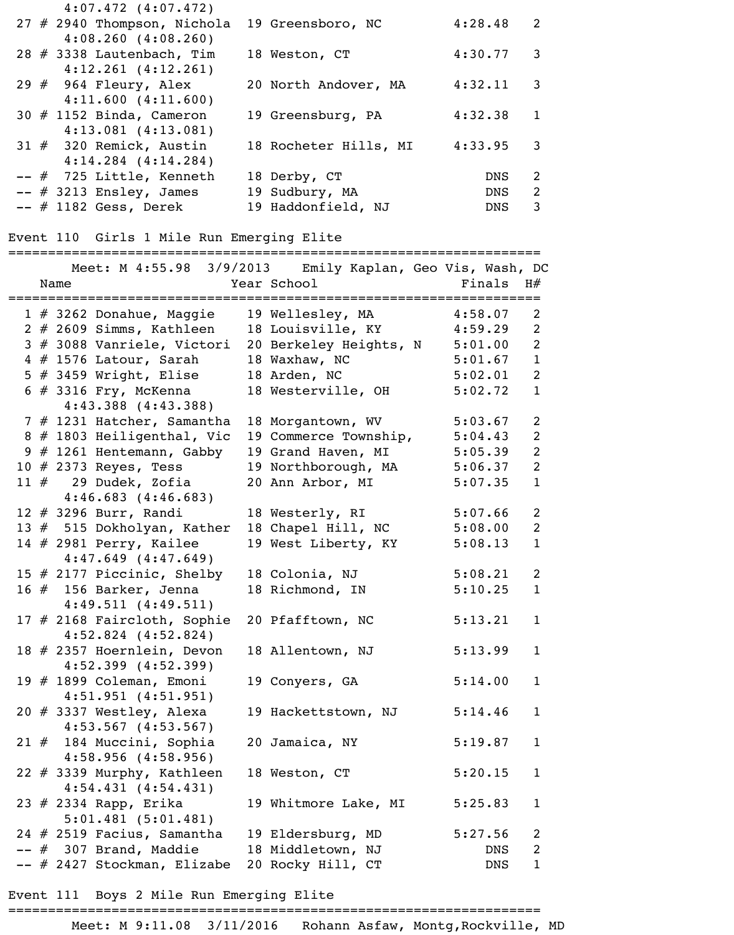| $4:07.472$ $(4:07.472)$       |                       |            |                            |
|-------------------------------|-----------------------|------------|----------------------------|
| $27$ # 2940 Thompson, Nichola | 19 Greensboro, NC     | 4:28.48    | $\overline{\phantom{0}}^2$ |
| $4:08.260$ $(4:08.260)$       |                       |            |                            |
| 28 $#$ 3338 Lautenbach, Tim   | 18 Weston, CT         | 4:30.77    | $\overline{\mathbf{3}}$    |
| $4:12.261$ $(4:12.261)$       |                       |            |                            |
| 29 $\#$ 964 Fleury, Alex      | 20 North Andover, MA  | 4:32.11    | $\overline{\mathbf{3}}$    |
| 4:11.600(4:11.600)            |                       |            |                            |
| $30 \# 1152$ Binda, Cameron   | 19 Greensburg, PA     | 4:32.38    | -1                         |
| $4:13.081$ $(4:13.081)$       |                       |            |                            |
| $31$ # 320 Remick, Austin     | 18 Rocheter Hills, MI | 4:33.95    | 3                          |
| $4:14.284$ $(4:14.284)$       |                       |            |                            |
| $--$ # 725 Little, Kenneth    | 18 Derby, CT          | <b>DNS</b> | $\mathcal{L}$              |
| $--$ # 3213 Ensley, James     | 19 Sudbury, MA        | DNS        | 2                          |
| $--$ # 1182 Gess, Derek       | 19 Haddonfield, NJ    | <b>DNS</b> | 3                          |

## Event 110 Girls 1 Mile Run Emerging Elite

=================================================================== Meet: M 4:55.98 3/9/2013 Emily Kaplan, Geo Vis, Wash, DC Name Year School Finals H# =================================================================== 1 # 3262 Donahue, Maggie 19 Wellesley, MA 4:58.07 2 2 # 2609 Simms, Kathleen 18 Louisville, KY 4:59.29 2 3 # 3088 Vanriele, Victori 20 Berkeley Heights, N 5:01.00 2 4 # 1576 Latour, Sarah 18 Waxhaw, NC 5:01.67 1 5 # 3459 Wright, Elise 18 Arden, NC 5:02.01 2 6 # 3316 Fry, McKenna 18 Westerville, OH 5:02.72 1 4:43.388 (4:43.388) 7 # 1231 Hatcher, Samantha 18 Morgantown, WV 5:03.67 2 8 # 1803 Heiligenthal, Vic 19 Commerce Township, 5:04.43 2 9 # 1261 Hentemann, Gabby 19 Grand Haven, MI 5:05.39 2 10 # 2373 Reyes, Tess 19 Northborough, MA 5:06.37 2 11 # 29 Dudek, Zofia 20 Ann Arbor, MI 5:07.35 1 4:46.683 (4:46.683) 12 # 3296 Burr, Randi 18 Westerly, RI 5:07.66 2 13 # 515 Dokholyan, Kather 18 Chapel Hill, NC 5:08.00 2 14 # 2981 Perry, Kailee 19 West Liberty, KY 5:08.13 1 4:47.649 (4:47.649) 15 # 2177 Piccinic, Shelby 18 Colonia, NJ 5:08.21 2 16 # 156 Barker, Jenna 18 Richmond, IN 5:10.25 1 4:49.511 (4:49.511) 17 # 2168 Faircloth, Sophie 20 Pfafftown, NC 5:13.21 1 4:52.824 (4:52.824) 18 # 2357 Hoernlein, Devon 18 Allentown, NJ 5:13.99 1 4:52.399 (4:52.399) 19 # 1899 Coleman, Emoni 19 Conyers, GA 5:14.00 1 4:51.951 (4:51.951) 20 # 3337 Westley, Alexa 19 Hackettstown, NJ 5:14.46 1 4:53.567 (4:53.567) 21 # 184 Muccini, Sophia 20 Jamaica, NY 5:19.87 1 4:58.956 (4:58.956) 22 # 3339 Murphy, Kathleen 18 Weston, CT 5:20.15 1 4:54.431 (4:54.431) 23 # 2334 Rapp, Erika 19 Whitmore Lake, MI 5:25.83 1 5:01.481 (5:01.481) 24 # 2519 Facius, Samantha 19 Eldersburg, MD 5:27.56 2 -- # 307 Brand, Maddie 18 Middletown, NJ DNS 2 -- # 2427 Stockman, Elizabe 20 Rocky Hill, CT DNS 1

Event 111 Boys 2 Mile Run Emerging Elite

=================================================================== Meet: M 9:11.08 3/11/2016 Rohann Asfaw, Montg,Rockville, MD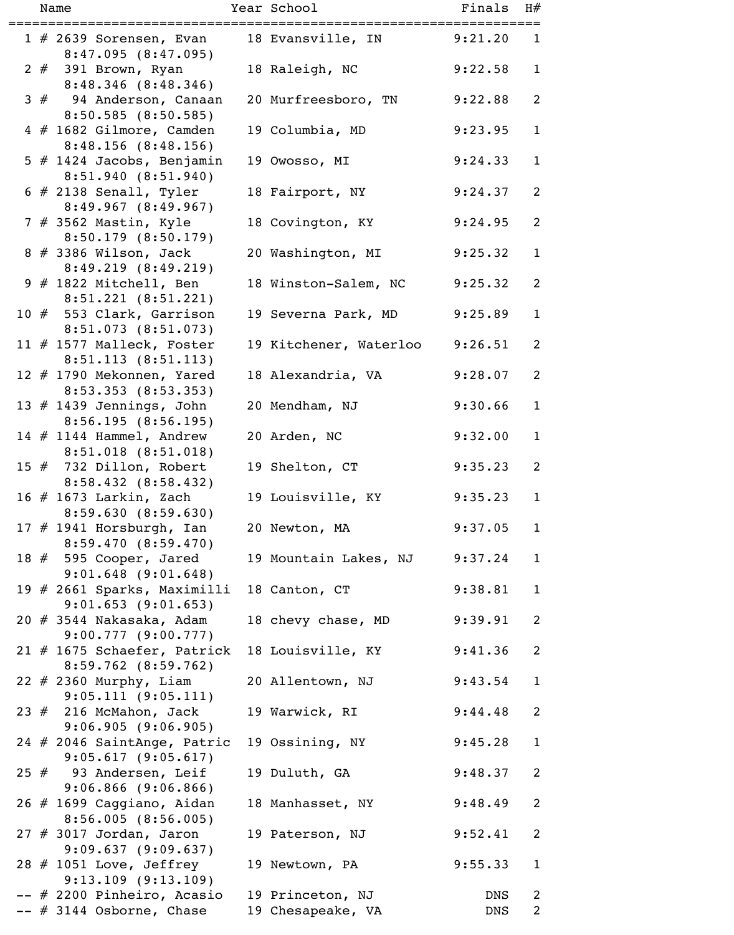|  | Name                                                                    | Year School                           | Finals     | H#                               |
|--|-------------------------------------------------------------------------|---------------------------------------|------------|----------------------------------|
|  | $1 \# 2639$ Sorensen, Evan                                              | 18 Evansville, IN                     | 9:21.20    | $\mathbf{1}$                     |
|  | 8:47.095(8:47.095)<br>$2 \# 391$ Brown, Ryan                            | 18 Raleigh, NC                        | 9:22.58    | $\mathbf{1}$                     |
|  | 8:48.346 (8:48.346)<br>3 # 94 Anderson, Canaan<br>$8:50.585$ (8:50.585) | 20 Murfreesboro, TN                   | 9:22.88    | 2                                |
|  | 4 # 1682 Gilmore, Camden<br>8:48.156(8:48.156)                          | 19 Columbia, MD                       | 9:23.95    | $\mathbf{1}$                     |
|  | $5$ # 1424 Jacobs, Benjamin<br>8:51.940(8:51.940)                       | 19 Owosso, MI                         | 9:24.33    | $\mathbf{1}$                     |
|  | $6$ # 2138 Senall, Tyler<br>8:49.967(8:49.967)                          | 18 Fairport, NY                       | 9:24.37    | 2                                |
|  | 7 # 3562 Mastin, Kyle<br>$8:50.179$ $(8:50.179)$                        | 18 Covington, KY                      | 9:24.95    | 2                                |
|  | $8$ # 3386 Wilson, Jack<br>8:49.219(8:49.219)                           | 20 Washington, MI                     | 9:25.32    | $\mathbf{1}$                     |
|  | $9$ # 1822 Mitchell, Ben<br>8:51.221(8:51.221)                          | 18 Winston-Salem, NC                  | 9:25.32    | 2                                |
|  | 10 # 553 Clark, Garrison<br>8:51.073 (8:51.073)                         | 19 Severna Park, MD                   | 9:25.89    | $\mathbf{1}$                     |
|  | 11 # 1577 Malleck, Foster<br>8:51.113(8:51.113)                         | 19 Kitchener, Waterloo                | 9:26.51    | 2                                |
|  | 12 # 1790 Mekonnen, Yared<br>8:53.353 (8:53.353)                        | 18 Alexandria, VA                     | 9:28.07    | 2                                |
|  | 13 $#$ 1439 Jennings, John<br>8:56.195(8:56.195)                        | 20 Mendham, NJ                        | 9:30.66    | $\mathbf{1}$                     |
|  | 14 $#$ 1144 Hammel, Andrew<br>8:51.018 (8:51.018)                       | 20 Arden, NC                          | 9:32.00    | $\mathbf{1}$                     |
|  | 15 $#$ 732 Dillon, Robert<br>8:58.432 (8:58.432)                        | 19 Shelton, CT                        | 9:35.23    | $\overline{2}$                   |
|  | 16 $\#$ 1673 Larkin, Zach<br>8:59.630 (8:59.630)                        | 19 Louisville, KY                     | 9:35.23    | $\mathbf{1}$                     |
|  | 17 $#$ 1941 Horsburgh, Ian<br>8:59.470 (8:59.470)                       | 20 Newton, MA                         | 9:37.05    | $\mathbf{1}$                     |
|  | 18 # 595 Cooper, Jared<br>$9:01.648$ $(9:01.648)$                       | 19 Mountain Lakes, NJ                 | 9:37.24    | $\mathbf{1}$                     |
|  | 19 # 2661 Sparks, Maximilli<br>$9:01.653$ (9:01.653)                    | 18 Canton, CT                         | 9:38.81    | $\mathbf{1}$                     |
|  | 9:00.777(9:00.777)                                                      | 18 chevy chase, MD                    | 9:39.91    | 2                                |
|  | 21 # 1675 Schaefer, Patrick<br>8:59.762 (8:59.762)                      | 18 Louisville, KY                     | 9:41.36    | 2                                |
|  | $22$ # 2360 Murphy, Liam<br>9:05.111(9:05.111)                          | 20 Allentown, NJ                      | 9:43.54    | $\mathbf{1}$                     |
|  | $23$ $#$ 216 McMahon, Jack<br>9:06.905(9:06.905)                        | 19 Warwick, RI                        | 9:44.48    | 2                                |
|  | 24 # 2046 SaintAnge, Patric<br>$9:05.617$ (9:05.617)                    | 19 Ossining, NY                       | 9:45.28    | $\mathbf{1}$                     |
|  | $25$ $#$ 93 Andersen, Leif<br>$9:06.866$ $(9:06.866)$                   | 19 Duluth, GA                         | 9:48.37    | 2                                |
|  | 26 # 1699 Caggiano, Aidan<br>8:56.005(8:56.005)                         | 18 Manhasset, NY                      | 9:48.49    | 2                                |
|  | $27$ # 3017 Jordan, Jaron<br>9:09.637(9:09.637)                         | 19 Paterson, NJ                       | 9:52.41    | 2                                |
|  | 28 # 1051 Love, Jeffrey<br>$9:13.109$ $(9:13.109)$                      | 19 Newtown, PA                        | 9:55.33    | $\mathbf{1}$                     |
|  | -- # 2200 Pinheiro, Acasio<br>$--$ # 3144 Osborne, Chase                | 19 Princeton, NJ<br>19 Chesapeake, VA | DNS<br>DNS | $\overline{2}$<br>$\overline{2}$ |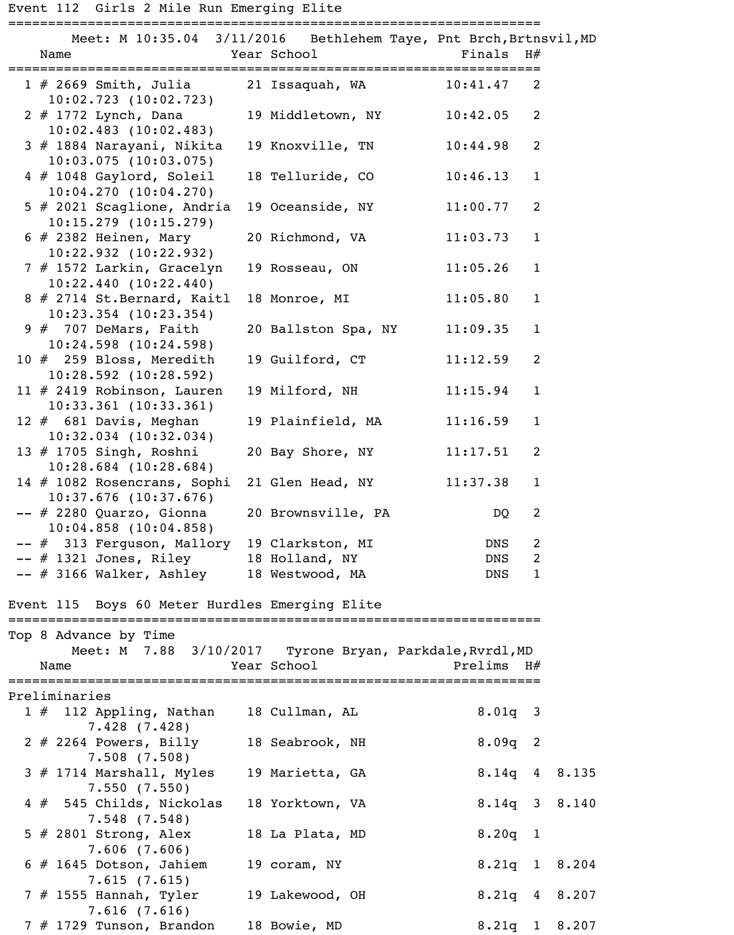## Event 112 Girls 2 Mile Run Emerging Elite

===================================================================

| Name                                                                               |           | Meet: M 10:35.04 3/11/2016 Bethlehem Taye, Pnt Brch, Brtnsvil, MD<br>Year School | Finals H#       |                |                   |
|------------------------------------------------------------------------------------|-----------|----------------------------------------------------------------------------------|-----------------|----------------|-------------------|
| $1 \# 2669$ Smith, Julia                                                           |           | 21 Issaquah, WA                                                                  | 10:41.47        | 2              |                   |
| $10:02.723$ $(10:02.723)$<br>2 # 1772 Lynch, Dana<br>$10:02.483$ $(10:02.483)$     |           | 19 Middletown, NY 10:42.05                                                       |                 | 2              |                   |
| 3 # 1884 Narayani, Nikita<br>$10:03.075$ $(10:03.075)$                             |           | 19 Knoxville, TN                                                                 | 10:44.98        | $\overline{2}$ |                   |
| 4 # 1048 Gaylord, Soleil<br>10:04.270(10:04.270)                                   |           | 18 Telluride, CO                                                                 | 10:46.13        | $\mathbf{1}$   |                   |
| 5 # 2021 Scaglione, Andria<br>$10:15.279$ $(10:15.279)$                            |           | 19 Oceanside, NY                                                                 | 11:00.77        | $\overline{2}$ |                   |
| $6$ # 2382 Heinen, Mary<br>$10:22.932$ $(10:22.932)$                               |           | 20 Richmond, VA                                                                  | 11:03.73        | $\mathbf{1}$   |                   |
| 7 # 1572 Larkin, Gracelyn<br>10:22.440(10:22.440)                                  |           | 19 Rosseau, ON                                                                   | 11:05.26        | $\mathbf{1}$   |                   |
| 8 # 2714 St. Bernard, Kaitl<br>$10:23.354$ $(10:23.354)$                           |           | 18 Monroe, MI                                                                    | 11:05.80        | $\mathbf{1}$   |                   |
| $9$ $#$ 707 DeMars, Faith<br>$10:24.598$ $(10:24.598)$                             |           | 20 Ballston Spa, NY                                                              | 11:09.35        | $\mathbf{1}$   |                   |
| 10 # 259 Bloss, Meredith<br>$10:28.592$ (10:28.592)                                |           | 19 Guilford, CT                                                                  | 11:12.59        | $\overline{2}$ |                   |
| 11 $#$ 2419 Robinson, Lauren<br>$10:33.361$ $(10:33.361)$                          |           | 19 Milford, NH                                                                   | 11:15.94        | $\mathbf{1}$   |                   |
| 12 $#$ 681 Davis, Meghan<br>$10:32.034$ $(10:32.034)$                              |           | 19 Plainfield, MA                                                                | 11:16.59        | $\mathbf{1}$   |                   |
| 13 # 1705 Singh, Roshni<br>$10:28.684$ $(10:28.684)$                               |           | 20 Bay Shore, NY                                                                 | 11:17.51        | 2              |                   |
| 14 # 1082 Rosencrans, Sophi 21 Glen Head, NY 11:37.38<br>$10:37.676$ $(10:37.676)$ |           |                                                                                  |                 | $\mathbf{1}$   |                   |
| -- # 2280 Quarzo, Gionna<br>$10:04.858$ $(10:04.858)$                              |           | 20 Brownsville, PA                                                               | DQ              | $\overline{2}$ |                   |
| -- # 313 Ferguson, Mallory                                                         |           | 19 Clarkston, MI                                                                 | <b>DNS</b>      | $\overline{2}$ |                   |
| -- # 1321 Jones, Riley                                                             |           | 18 Holland, NY                                                                   | <b>DNS</b>      | $\overline{2}$ |                   |
| -- # 3166 Walker, Ashley                                                           |           | 18 Westwood, MA                                                                  | DNS             | $\mathbf{1}$   |                   |
| Event 115 Boys 60 Meter Hurdles Emerging Elite                                     |           |                                                                                  |                 |                |                   |
| Top 8 Advance by Time                                                              |           | Meet: M 7.88 3/10/2017 Tyrone Bryan, Parkdale, Rvrdl, MD                         |                 |                |                   |
| Name                                                                               |           | Year School                                                                      | Prelims $H#$    |                |                   |
| Preliminaries                                                                      | ========= |                                                                                  |                 |                |                   |
| $1 \#$ 112 Appling, Nathan<br>$7.428$ $(7.428)$                                    |           | 18 Cullman, AL                                                                   | $8.01q$ 3       |                |                   |
| $2$ # 2264 Powers, Billy<br>7.508(7.508)                                           |           | 18 Seabrook, NH                                                                  | $8.09q$ 2       |                |                   |
| $3$ # 1714 Marshall, Myles<br>7.550(7.550)                                         |           | 19 Marietta, GA                                                                  | $8.14q$ 4 8.135 |                |                   |
| 4 # 545 Childs, Nickolas<br>$7.548$ $(7.548)$                                      |           | 18 Yorktown, VA                                                                  |                 |                | 8.14q 3 8.140     |
| 5 $#$ 2801 Strong, Alex<br>7.606(7.606)                                            |           | 18 La Plata, MD                                                                  | $8.20q$ 1       |                |                   |
| $6$ # 1645 Dotson, Jahiem<br>7.615(7.615)                                          |           | 19 coram, NY                                                                     |                 |                | $8.21q$ 1 $8.204$ |
| 7 # 1555 Hannah, Tyler<br>$7.616$ $(7.616)$                                        |           | 19 Lakewood, OH                                                                  |                 |                | $8.21q$ 4 8.207   |
| $7$ # 1729 Tunson, Brandon                                                         |           | 18 Bowie, MD                                                                     |                 |                | 8.21q 1 8.207     |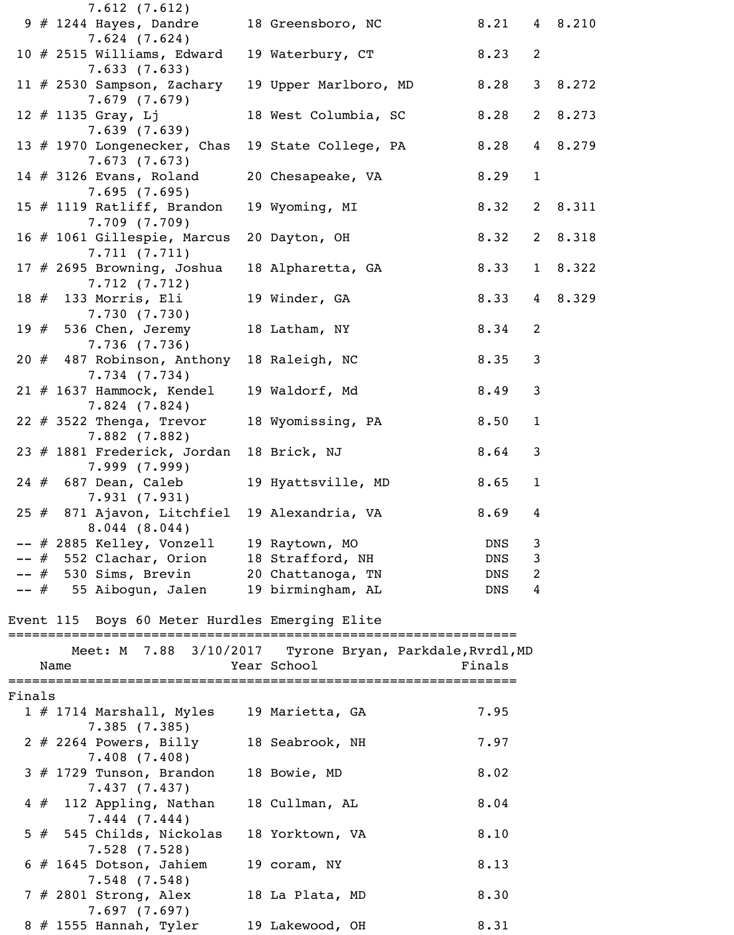|        | 7.612(7.612)                               |                       |              |              |         |
|--------|--------------------------------------------|-----------------------|--------------|--------------|---------|
|        | $9$ # 1244 Hayes, Dandre                   | 18 Greensboro, NC     | 8.21 4 8.210 |              |         |
|        | $7.624$ $(7.624)$                          |                       |              |              |         |
|        | 10 $#$ 2515 Williams, Edward               | 19 Waterbury, CT      | 8.23         | 2            |         |
|        | 7.633(7.633)                               |                       |              |              |         |
|        | 11 # 2530 Sampson, Zachary                 | 19 Upper Marlboro, MD | 8.28         |              | 3 8.272 |
|        | 7.679(7.679)                               |                       |              |              |         |
|        | $12 \# 1135$ Gray, Lj                      | 18 West Columbia, SC  | 8.28         |              | 2 8.273 |
|        | 7.639(7.639)                               |                       |              |              |         |
|        | 13 # 1970 Longenecker, Chas                | 19 State College, PA  | 8.28         |              | 4 8.279 |
|        | 7.673(7.673)                               |                       | 8.29         | $\mathbf{1}$ |         |
|        | 14 $\#$ 3126 Evans, Roland<br>7.695(7.695) | 20 Chesapeake, VA     |              |              |         |
|        | 15 $#$ 1119 Ratliff, Brandon               | 19 Wyoming, MI        | 8.32         |              | 2 8.311 |
|        | 7.709(7.709)                               |                       |              |              |         |
|        | 16 # 1061 Gillespie, Marcus                | 20 Dayton, OH         | 8.32         |              | 2 8.318 |
|        | 7.711(7.711)                               |                       |              |              |         |
|        | 17 $#$ 2695 Browning, Joshua               | 18 Alpharetta, GA     | 8.33         |              | 1 8.322 |
|        | 7.712(7.712)                               |                       |              |              |         |
|        | 18 # 133 Morris, Eli                       | 19 Winder, GA         | 8.33         |              | 4 8.329 |
|        | 7.730(7.730)                               |                       |              |              |         |
|        | 19 # 536 Chen, Jeremy                      | 18 Latham, NY         | 8.34         | 2            |         |
|        | 7.736(7.736)                               |                       |              |              |         |
|        | 20 # 487 Robinson, Anthony                 | 18 Raleigh, NC        | 8.35         | 3            |         |
|        | 7.734(7.734)                               |                       |              |              |         |
|        | $21$ # 1637 Hammock, Kendel                | 19 Waldorf, Md        | 8.49         | 3            |         |
|        | $7.824$ $(7.824)$                          |                       |              |              |         |
|        | 22 $#$ 3522 Thenga, Trevor                 | 18 Wyomissing, PA     | 8.50         | $\mathbf{1}$ |         |
|        | $7.882$ (7.882)                            |                       |              |              |         |
|        | 23 # 1881 Frederick, Jordan                | 18 Brick, NJ          | 8.64         | 3            |         |
|        | 7.999 (7.999)                              |                       |              |              |         |
| 24#    | 687 Dean, Caleb<br>7.931(7.931)            | 19 Hyattsville, MD    | 8.65         | $\mathbf 1$  |         |
| 25#    | 871 Ajavon, Litchfiel                      | 19 Alexandria, VA     | 8.69         | 4            |         |
|        | 8.044(8.044)                               |                       |              |              |         |
|        | # 2885 Kelley, Vonzell                     | 19 Raytown, MO        | DNS          | 3            |         |
|        | 552 Clachar, Orion<br>#                    | 18 Strafford, NH      | DNS          | $\mathsf{3}$ |         |
|        | 530 Sims, Brevin<br>#                      | 20 Chattanoga, TN     | DNS          | 2            |         |
| $--$ # | 55 Aibogun, Jalen                          | 19 birmingham, AL     | DNS          | 4            |         |
|        |                                            |                       |              |              |         |

Event 115 Boys 60 Meter Hurdles Emerging Elite

|        | Name                        |              |                            | Year School     | Meet: M 7.88 3/10/2017 Tyrone Bryan, Parkdale, Rvrdl, MD | Finals |
|--------|-----------------------------|--------------|----------------------------|-----------------|----------------------------------------------------------|--------|
| Finals |                             |              |                            |                 |                                                          |        |
|        | $1 \# 1714$ Marshall, Myles | 7.385(7.385) |                            | 19 Marietta, GA |                                                          | 7.95   |
|        | $2 \# 2264$ Powers, Billy   | 7.408(7.408) |                            | 18 Seabrook, NH |                                                          | 7.97   |
|        | $3$ # 1729 Tunson, Brandon  | 7.437(7.437) |                            | 18 Bowie, MD    |                                                          | 8.02   |
|        |                             | 7.444(7.444) | $4 \# 112$ Appling, Nathan | 18 Cullman, AL  |                                                          | 8.04   |
|        |                             | 7.528(7.528) | 5 # 545 Childs, Nickolas   | 18 Yorktown, VA |                                                          | 8.10   |
|        |                             | 7.548(7.548) | $6$ # 1645 Dotson, Jahiem  | 19 coram, NY    |                                                          | 8.13   |
|        |                             | 7.697(7.697) | $7$ # 2801 Strong, Alex    | 18 La Plata, MD |                                                          | 8.30   |
|        | $8 \# 1555$ Hannah, Tyler   |              |                            | 19 Lakewood, OH |                                                          | 8.31   |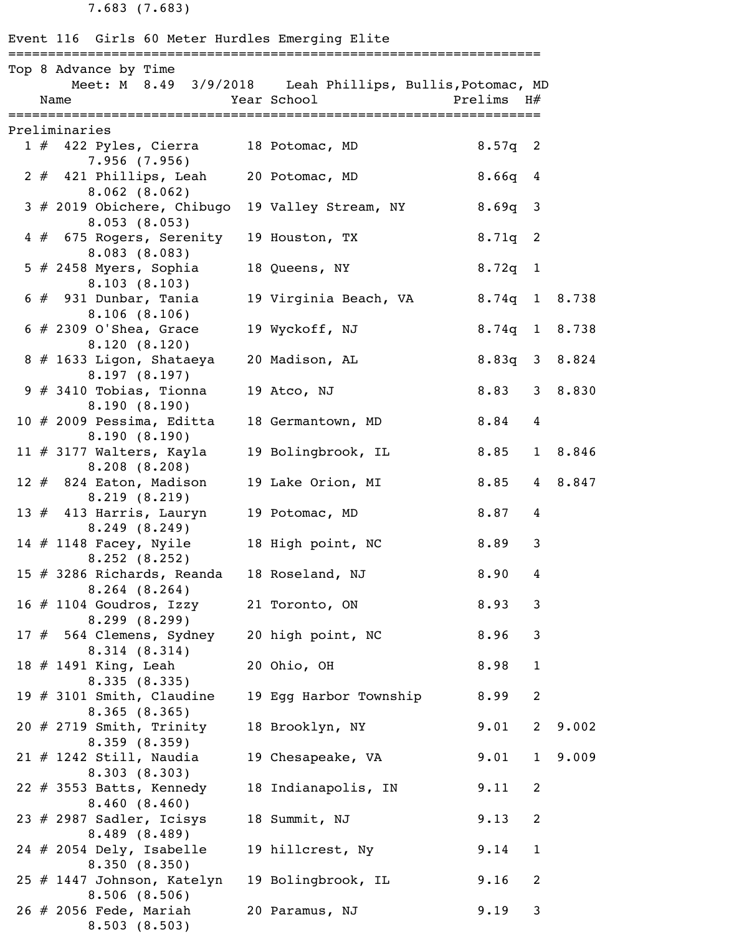7.683 (7.683)

Event 116 Girls 60 Meter Hurdles Emerging Elite

|  | Top 8 Advance by Time                                    |             | Meet: M 8.49 3/9/2018 Leah Phillips, Bullis, Potomac, MD |                   |                |         |
|--|----------------------------------------------------------|-------------|----------------------------------------------------------|-------------------|----------------|---------|
|  | Name                                                     | Year School |                                                          | Prelims H#        |                |         |
|  | Preliminaries                                            |             |                                                          |                   |                |         |
|  | 1 # 422 Pyles, Cierra 18 Potomac, MD<br>7.956(7.956)     |             |                                                          | $8.57q$ 2         |                |         |
|  | 2 # 421 Phillips, Leah<br>8.062(8.062)                   |             | 20 Potomac, MD                                           | $8.66q$ 4         |                |         |
|  | 3 # 2019 Obichere, Chibugo<br>8.053(8.053)               |             | 19 Valley Stream, NY                                     | $8.69q$ 3         |                |         |
|  | 4 # 675 Rogers, Serenity<br>8.083(8.083)                 |             | 19 Houston, TX                                           | $8.71q$ 2         |                |         |
|  | 5 $#$ 2458 Myers, Sophia<br>8.103(8.103)                 |             | 18 Queens, NY                                            | $8.72q$ 1         |                |         |
|  | $6$ $#$ 931 Dunbar, Tania<br>8.106(8.106)                |             | 19 Virginia Beach, VA                                    | $8.74q$ 1 $8.738$ |                |         |
|  | $6$ # 2309 O'Shea, Grace<br>8.120(8.120)                 |             | 19 Wyckoff, NJ                                           | 8.74q 1 8.738     |                |         |
|  | 8 # 1633 Ligon, Shataeya<br>8.197(8.197)                 |             | 20 Madison, AL                                           | 8.83q 3 8.824     |                |         |
|  | $9$ # 3410 Tobias, Tionna<br>8.190(8.190)                |             | 19 Atco, NJ                                              | 8.83              |                | 3 8.830 |
|  | 10 $#$ 2009 Pessima, Editta<br>8.190(8.190)              |             | 18 Germantown, MD                                        | 8.84              | $\overline{4}$ |         |
|  | $11$ $\#$ 3177 Walters, Kayla<br>8.208(8.208)            |             | 19 Bolingbrook, IL                                       | 8.85              |                | 1 8.846 |
|  | 12 $#$ 824 Eaton, Madison<br>8.219(8.219)                |             | 19 Lake Orion, MI                                        | 8.85              | 4 8.847        |         |
|  | 13 # 413 Harris, Lauryn<br>8.249(8.249)                  |             | 19 Potomac, MD                                           | 8.87              | 4              |         |
|  | 14 $\#$ 1148 Facey, Nyile<br>8.252(8.252)                |             | 18 High point, NC                                        | 8.89              | $\mathbf{3}$   |         |
|  | 15 # 3286 Richards, Reanda<br>$8.264$ $(8.264)$          |             | 18 Roseland, NJ                                          | 8.90              | $\overline{4}$ |         |
|  | $16$ $\#$ 1104 Goudros, Izzy<br>8.299(8.299)             |             | 21 Toronto, ON                                           | 8.93              | 3              |         |
|  | 17 # 564 Clemens, Sydney<br>8.314(8.314)                 |             | 20 high point, NC                                        | 8.96              | $\mathsf{3}$   |         |
|  | 18 # 1491 King, Leah<br>8.335(8.335)                     |             | 20 Ohio, OH                                              | 8.98              | $\mathbf{1}$   |         |
|  | 19 $#$ 3101 Smith, Claudine<br>8.365(8.365)              |             | 19 Egg Harbor Township                                   | 8.99              | $\overline{2}$ |         |
|  | 20 # 2719 Smith, Trinity<br>8.359(8.359)                 |             | 18 Brooklyn, NY                                          | 9.01              | $\overline{2}$ | 9.002   |
|  | $21$ # 1242 Still, Naudia<br>8.303(8.303)                |             | 19 Chesapeake, VA                                        | 9.01              | $\mathbf{1}$   | 9.009   |
|  | $22 \# 3553$ Batts, Kennedy<br>8.460(8.460)              |             | 18 Indianapolis, IN                                      | 9.11              | 2              |         |
|  | 23 # 2987 Sadler, Icisys<br>8.489(8.489)                 |             | 18 Summit, NJ                                            | 9.13              | 2              |         |
|  | $24$ # 2054 Dely, Isabelle<br>8.350(8.350)               |             | 19 hillcrest, Ny                                         | 9.14              | $\mathbf{1}$   |         |
|  | 25 # 1447 Johnson, Katelyn                               |             | 19 Bolingbrook, IL                                       | 9.16              | 2              |         |
|  | 8.506(8.506)<br>$26$ # 2056 Fede, Mariah<br>8.503(8.503) |             | 20 Paramus, NJ                                           | 9.19              | 3              |         |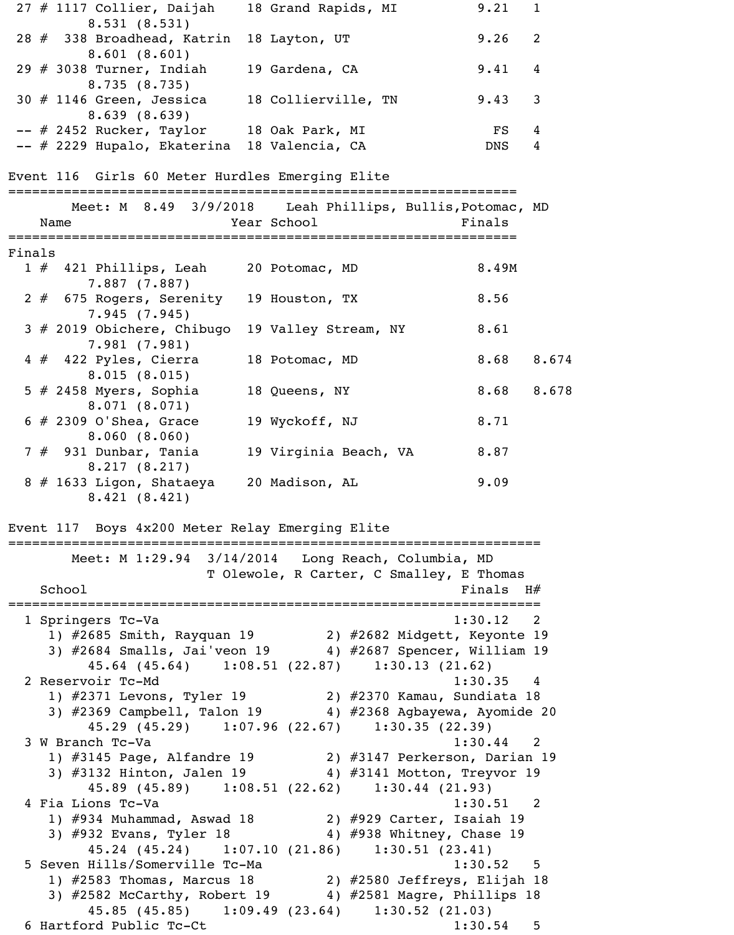|        | 27 # 1117 Collier, Daijah                                                     |                                                          | 18 Grand Rapids, MI                      |                           | 9.21             | $\mathbf 1$    |
|--------|-------------------------------------------------------------------------------|----------------------------------------------------------|------------------------------------------|---------------------------|------------------|----------------|
|        | 8.531(8.531)<br>28 # 338 Broadhead, Katrin<br>8.601(8.601)                    |                                                          | 18 Layton, UT                            |                           | 9.26             | 2              |
|        | 29 $#$ 3038 Turner, Indiah<br>8.735(8.735)                                    |                                                          | 19 Gardena, CA                           |                           | 9.41             | 4              |
|        | $30$ # 1146 Green, Jessica<br>8.639(8.639)                                    |                                                          | 18 Collierville, TN                      |                           | 9.43             | 3              |
|        | -- # 2452 Rucker, Taylor<br>-- # 2229 Hupalo, Ekaterina 18 Valencia, CA       |                                                          | 18 Oak Park, MI                          |                           | FS<br><b>DNS</b> | 4<br>4         |
|        | Event 116 Girls 60 Meter Hurdles Emerging Elite                               |                                                          |                                          |                           |                  |                |
|        | Name                                                                          | Meet: M 8.49 3/9/2018 Leah Phillips, Bullis, Potomac, MD | Year School and the School               |                           | Finals           |                |
|        |                                                                               |                                                          |                                          |                           |                  |                |
| Finals |                                                                               |                                                          |                                          |                           |                  |                |
|        | 1 # 421 Phillips, Leah<br>$7.887$ $(7.887)$                                   |                                                          | 20 Potomac, MD                           |                           | 8.49M            |                |
|        | 2 # 675 Rogers, Serenity 19 Houston, TX<br>7.945(7.945)                       |                                                          |                                          |                           | 8.56             |                |
|        | 3 # 2019 Obichere, Chibugo<br>7.981(7.981)                                    |                                                          | 19 Valley Stream, NY                     |                           | 8.61             |                |
|        | $4 \# 422$ Pyles, Cierra<br>8.015(8.015)                                      |                                                          | 18 Potomac, MD                           |                           | 8.68             | 8.674          |
|        | 5 $#$ 2458 Myers, Sophia<br>8.071(8.071)                                      |                                                          | 18 Queens, NY                            |                           | 8.68             | 8.678          |
|        | $6$ # 2309 O'Shea, Grace<br>8.060(8.060)                                      |                                                          | 19 Wyckoff, NJ                           |                           | 8.71             |                |
|        | $7$ $#$ 931 Dunbar, Tania<br>8.217(8.217)                                     |                                                          | 19 Virginia Beach, VA                    |                           | 8.87             |                |
|        | 8 # 1633 Ligon, Shataeya 20 Madison, AL<br>8.421(8.421)                       |                                                          |                                          |                           | 9.09             |                |
|        | Event 117 Boys 4x200 Meter Relay Emerging Elite                               |                                                          |                                          |                           |                  |                |
|        |                                                                               | Meet: M 1:29.94 3/14/2014 Long Reach, Columbia, MD       | T Olewole, R Carter, C Smalley, E Thomas |                           |                  |                |
|        | School                                                                        |                                                          |                                          |                           | Finals $H#$      |                |
|        |                                                                               |                                                          |                                          |                           |                  |                |
|        | 1 Springers Tc-Va<br>1) #2685 Smith, Rayquan 19 (2) #2682 Midgett, Keyonte 19 |                                                          |                                          |                           | 1:30.12          | $\overline{2}$ |
|        | 3) #2684 Smalls, Jai'veon 19 4) #2687 Spencer, William 19                     |                                                          |                                          |                           |                  |                |
|        |                                                                               | 45.64 (45.64) 1:08.51 (22.87) 1:30.13 (21.62)            |                                          |                           |                  |                |
|        | 2 Reservoir Tc-Md                                                             |                                                          |                                          |                           | 1:30.35 4        |                |
|        | 1) #2371 Levons, Tyler 19 (2) #2370 Kamau, Sundiata 18                        |                                                          |                                          |                           |                  |                |
|        | 3) #2369 Campbell, Talon 19 4) #2368 Agbayewa, Ayomide 20                     |                                                          |                                          |                           |                  |                |
|        |                                                                               | 45.29 (45.29) 1:07.96 (22.67) 1:30.35 (22.39)            |                                          |                           |                  |                |
|        | 3 W Branch Tc-Va                                                              |                                                          |                                          |                           | $1:30.44$ 2      |                |
|        | 1) #3145 Page, Alfandre 19 (2) #3147 Perkerson, Darian 19                     |                                                          |                                          |                           |                  |                |
|        | 3) #3132 Hinton, Jalen 19 4) #3141 Motton, Treyvor 19                         | 45.89 (45.89) 1:08.51 (22.62) 1:30.44 (21.93)            |                                          |                           |                  |                |
|        | 4 Fia Lions Tc-Va                                                             |                                                          |                                          |                           | 1:30.51 2        |                |
|        | 1) $\#934$ Muhammad, Aswad 18 $\qquad$ 2) $\#929$ Carter, Isaiah 19           |                                                          |                                          |                           |                  |                |
|        | 3) #932 Evans, Tyler 18                                                       |                                                          |                                          | 4) #938 Whitney, Chase 19 |                  |                |
|        |                                                                               | 45.24 (45.24) 1:07.10 (21.86) 1:30.51 (23.41)            |                                          |                           |                  |                |
|        | 5 Seven Hills/Somerville Tc-Ma                                                |                                                          |                                          |                           | 1:30.52          | 5              |
|        | 1) #2583 Thomas, Marcus 18 (2) #2580 Jeffreys, Elijah 18                      |                                                          |                                          |                           |                  |                |
|        | 3) #2582 McCarthy, Robert 19 4) #2581 Magre, Phillips 18                      |                                                          |                                          |                           |                  |                |
|        |                                                                               | 45.85 (45.85) 1:09.49 (23.64) 1:30.52 (21.03)            |                                          |                           |                  |                |
|        | 6 Hartford Public Tc-Ct                                                       |                                                          |                                          |                           | 1:30.54          | 5              |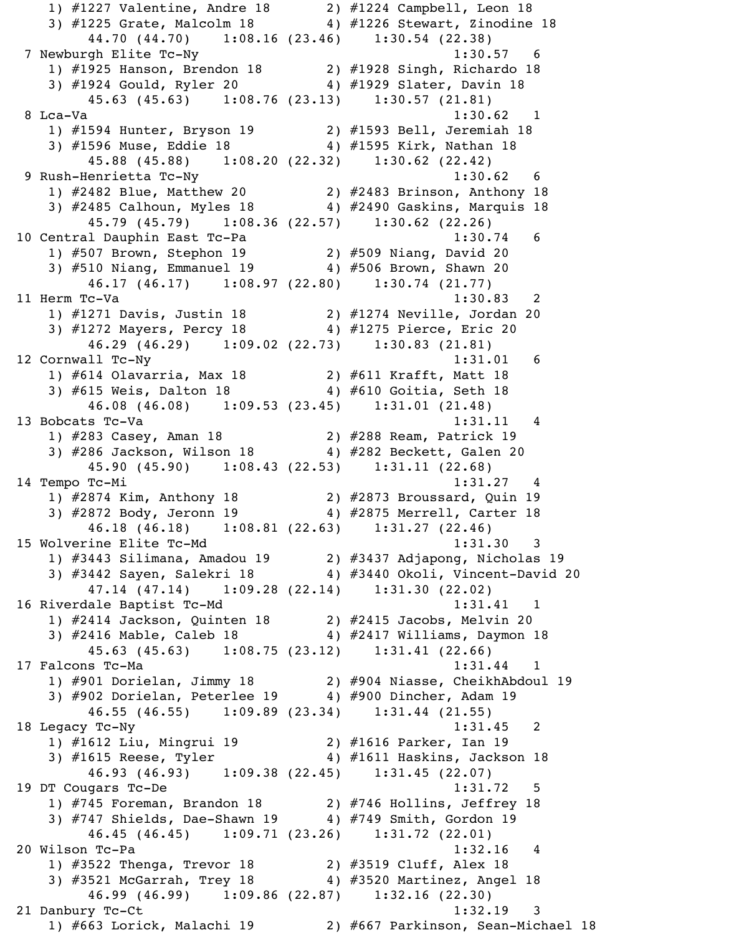1) #1227 Valentine, Andre 18 2) #1224 Campbell, Leon 18 3) #1225 Grate, Malcolm 18 4) #1226 Stewart, Zinodine 18 44.70 (44.70) 1:08.16 (23.46) 1:30.54 (22.38) 7 Newburgh Elite Tc-Ny 1:30.57 6 1) #1925 Hanson, Brendon 18 2) #1928 Singh, Richardo 18 3) #1924 Gould, Ryler 20 4) #1929 Slater, Davin 18 45.63 (45.63) 1:08.76 (23.13) 1:30.57 (21.81) 8 Lca-Va 1:30.62 1 1) #1594 Hunter, Bryson 19 2) #1593 Bell, Jeremiah 18 3) #1596 Muse, Eddie 18 4) #1595 Kirk, Nathan 18 45.88 (45.88) 1:08.20 (22.32) 1:30.62 (22.42) 9 Rush-Henrietta Tc-Ny 1:30.62 6 1) #2482 Blue, Matthew 20 2) #2483 Brinson, Anthony 18 3) #2485 Calhoun, Myles 18 4) #2490 Gaskins, Marquis 18 45.79 (45.79) 1:08.36 (22.57) 1:30.62 (22.26) 10 Central Dauphin East Tc-Pa 1:30.74 6 1) #507 Brown, Stephon 19 2) #509 Niang, David 20 3) #510 Niang, Emmanuel 19 4) #506 Brown, Shawn 20 46.17 (46.17) 1:08.97 (22.80) 1:30.74 (21.77) 11 Herm Tc-Va 1:30.83 2 1) #1271 Davis, Justin 18 2) #1274 Neville, Jordan 20 3) #1272 Mayers, Percy 18 4) #1275 Pierce, Eric 20 46.29 (46.29) 1:09.02 (22.73) 1:30.83 (21.81) 12 Cornwall Tc-Ny 1:31.01 6 1) #614 Olavarria, Max 18 2) #611 Krafft, Matt 18 3) #615 Weis, Dalton 18 4) #610 Goitia, Seth 18 46.08 (46.08) 1:09.53 (23.45) 1:31.01 (21.48) 13 Bobcats Tc-Va 1:31.11 4 1) #283 Casey, Aman 18 2) #288 Ream, Patrick 19 3) #286 Jackson, Wilson 18 4) #282 Beckett, Galen 20 45.90 (45.90) 1:08.43 (22.53) 1:31.11 (22.68) 14 Tempo Tc-Mi 1:31.27 4 1) #2874 Kim, Anthony 18 2) #2873 Broussard, Quin 19 3) #2872 Body, Jeronn 19 4) #2875 Merrell, Carter 18 46.18 (46.18) 1:08.81 (22.63) 1:31.27 (22.46) 15 Wolverine Elite Tc-Md 1:31.30 3 1) #3443 Silimana, Amadou 19 2) #3437 Adjapong, Nicholas 19 3) #3442 Sayen, Salekri 18 4) #3440 Okoli, Vincent-David 20 47.14 (47.14) 1:09.28 (22.14) 1:31.30 (22.02) 16 Riverdale Baptist Tc-Md 1:31.41 1 1) #2414 Jackson, Quinten 18 2) #2415 Jacobs, Melvin 20 3) #2416 Mable, Caleb 18 4) #2417 Williams, Daymon 18 45.63 (45.63) 1:08.75 (23.12) 1:31.41 (22.66) 17 Falcons Tc-Ma 1:31.44 1 1) #901 Dorielan, Jimmy 18 2) #904 Niasse, CheikhAbdoul 19 3) #902 Dorielan, Peterlee 19 4) #900 Dincher, Adam 19 46.55 (46.55) 1:09.89 (23.34) 1:31.44 (21.55) 18 Legacy Tc-Ny 1:31.45 2 1) #1612 Liu, Mingrui 19 2) #1616 Parker, Ian 19 3) #1615 Reese, Tyler 4) #1611 Haskins, Jackson 18 46.93 (46.93) 1:09.38 (22.45) 1:31.45 (22.07) 19 DT Cougars Tc-De 1:31.72 5 1) #745 Foreman, Brandon 18 2) #746 Hollins, Jeffrey 18 3) #747 Shields, Dae-Shawn 19 4) #749 Smith, Gordon 19 46.45 (46.45) 1:09.71 (23.26) 1:31.72 (22.01) 20 Wilson Tc-Pa 1:32.16 4 1) #3522 Thenga, Trevor 18 2) #3519 Cluff, Alex 18 3) #3521 McGarrah, Trey 18 4) #3520 Martinez, Angel 18 46.99 (46.99) 1:09.86 (22.87) 1:32.16 (22.30) 21 Danbury Tc-Ct 1:32.19 3 1) #663 Lorick, Malachi 19 2) #667 Parkinson, Sean-Michael 18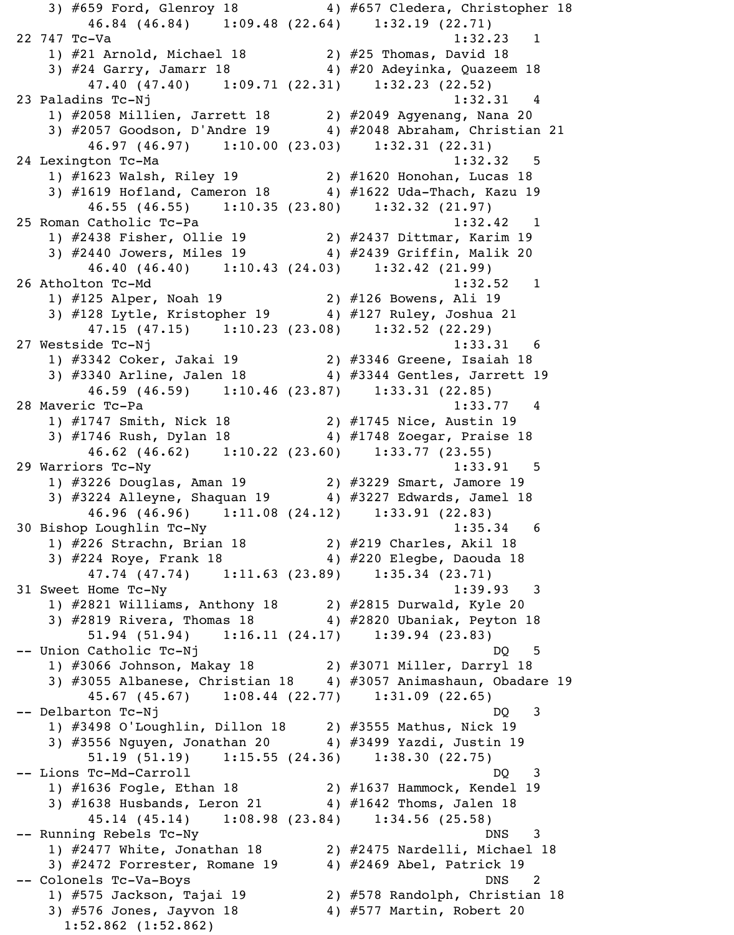3) #659 Ford, Glenroy 18 4) #657 Cledera, Christopher 18 46.84 (46.84) 1:09.48 (22.64) 1:32.19 (22.71) 22 747 Tc-Va 1:32.23 1 1) #21 Arnold, Michael 18 2) #25 Thomas, David 18 3) #24 Garry, Jamarr 18 4) #20 Adeyinka, Quazeem 18 47.40 (47.40) 1:09.71 (22.31) 1:32.23 (22.52) 23 Paladins Tc-Nj 1:32.31 4 1) #2058 Millien, Jarrett 18 2) #2049 Agyenang, Nana 20 3) #2057 Goodson, D'Andre 19 4) #2048 Abraham, Christian 21 46.97 (46.97) 1:10.00 (23.03) 1:32.31 (22.31) 24 Lexington Tc-Ma 1:32.32 5 1) #1623 Walsh, Riley 19 2) #1620 Honohan, Lucas 18 3) #1619 Hofland, Cameron 18 4) #1622 Uda-Thach, Kazu 19 46.55 (46.55) 1:10.35 (23.80) 1:32.32 (21.97) 25 Roman Catholic Tc-Pa 1:32.42 1 1) #2438 Fisher, Ollie 19 2) #2437 Dittmar, Karim 19 3) #2440 Jowers, Miles 19 4) #2439 Griffin, Malik 20 46.40 (46.40) 1:10.43 (24.03) 1:32.42 (21.99) 26 Atholton Tc-Md 1:32.52 1 1) #125 Alper, Noah 19 2) #126 Bowens, Ali 19 3) #128 Lytle, Kristopher 19 4) #127 Ruley, Joshua 21 47.15 (47.15) 1:10.23 (23.08) 1:32.52 (22.29) 27 Westside Tc-Nj 1:33.31 6 1) #3342 Coker, Jakai 19 2) #3346 Greene, Isaiah 18 3) #3340 Arline, Jalen 18 4) #3344 Gentles, Jarrett 19 46.59 (46.59) 1:10.46 (23.87) 1:33.31 (22.85) 28 Maveric Tc-Pa 1:33.77 4 1) #1747 Smith, Nick 18 2) #1745 Nice, Austin 19 3) #1746 Rush, Dylan 18 4) #1748 Zoegar, Praise 18 46.62 (46.62) 1:10.22 (23.60) 1:33.77 (23.55) 29 Warriors Tc-Ny 1:33.91 5 1) #3226 Douglas, Aman 19 2) #3229 Smart, Jamore 19 3) #3224 Alleyne, Shaquan 19 4) #3227 Edwards, Jamel 18 46.96 (46.96) 1:11.08 (24.12) 1:33.91 (22.83) 30 Bishop Loughlin Tc-Ny 1:35.34 6 1) #226 Strachn, Brian 18 2) #219 Charles, Akil 18 3) #224 Roye, Frank 18 4) #220 Elegbe, Daouda 18 47.74 (47.74) 1:11.63 (23.89) 1:35.34 (23.71) 31 Sweet Home Tc-Ny 1:39.93 3 1) #2821 Williams, Anthony 18 2) #2815 Durwald, Kyle 20 3) #2819 Rivera, Thomas 18 4) #2820 Ubaniak, Peyton 18 51.94 (51.94) 1:16.11 (24.17) 1:39.94 (23.83) -- Union Catholic Tc-Nj DQ 5 1) #3066 Johnson, Makay 18 2) #3071 Miller, Darryl 18 3) #3055 Albanese, Christian 18 4) #3057 Animashaun, Obadare 19 45.67 (45.67) 1:08.44 (22.77) 1:31.09 (22.65) -- Delbarton Tc-Nj 1) #3498 O'Loughlin, Dillon 18 2) #3555 Mathus, Nick 19 3) #3556 Nguyen, Jonathan 20 4) #3499 Yazdi, Justin 19 51.19 (51.19) 1:15.55 (24.36) 1:38.30 (22.75) -- Lions Tc-Md-Carroll DQ 3 1) #1636 Fogle, Ethan 18 2) #1637 Hammock, Kendel 19  $2,$   $\pi$ 1838 Husbands, Leron 21  $4)$   $\#1642$  Thoms, Jalen 18 45.14 (45.14) 1:08.98 (23.84) 1:34.56 (25.58) -- Running Rebels Tc-Ny DNS 3 1) #2477 White, Jonathan 18 2) #2475 Nardelli, Michael 18  $\left( \begin{array}{ccc} 3 & \text{if} & \text{if} & \text{if} & \text{if} \\ \text{if} & \text{if} & \text{if} & \text{if} & \text{if} \\ \text{if} & \text{if} & \text{if} & \text{if} & \text{if} \\ \text{if} & \text{if} & \text{if} & \text{if} & \text{if} \\ \text{if} & \text{if} & \text{if} & \text{if} & \text{if} \\ \text{if} & \text{if} & \text{if} & \text{if} & \text{if} \\ \text{if} & \text{if} & \text{if} & \text{if} & \text{if} \\ \text{$ DNS 2 -- Colonels Tc-Va-Boys<br>1) #575 Jackson, Tajai 19 2) #578 Randolph, Christian 2) #578 Randolph, Christian 18 3) #576 Jones, Jayvon 18 4) #577 Martin, Robert 20 1:52.862 (1:52.862)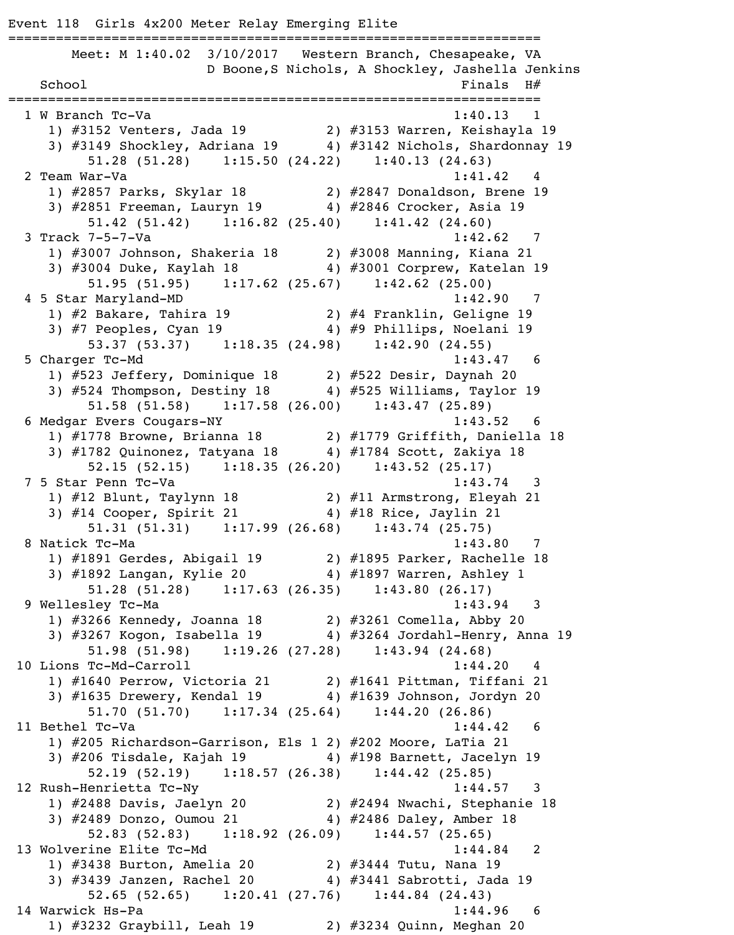Event 118 Girls 4x200 Meter Relay Emerging Elite =================================================================== Meet: M 1:40.02 3/10/2017 Western Branch, Chesapeake, VA D Boone,S Nichols, A Shockley, Jashella Jenkins  $School$   $Finals$   $H#$ =================================================================== 1 W Branch Tc-Va 1:40.13 1) #3152 Venters, Jada 19 2) #3153 Warren, Keishayla 19 3) #3149 Shockley, Adriana 19 4) #3142 Nichols, Shardonnay 19 51.28 (51.28) 1:15.50 (24.22) 1:40.13 (24.63) 2 Team War-Va 1:41.42 1) #2857 Parks, Skylar 18 2) #2847 Donaldson, Brene 19 3) #2851 Freeman, Lauryn 19 4) #2846 Crocker, Asia 19 51.42 (51.42) 1:16.82 (25.40) 1:41.42 (24.60) 3 Track 7-5-7-Va 1:42.62 7 1) #3007 Johnson, Shakeria 18 2) #3008 Manning, Kiana 21 3) #3004 Duke, Kaylah 18 4) #3001 Corprew, Katelan 19 51.95 (51.95) 1:17.62 (25.67) 1:42.62 (25.00) 4 5 Star Maryland-MD 1:42.90 7 1) #2 Bakare, Tahira 19 2) #4 Franklin, Geligne 19 3) #7 Peoples, Cyan 19 4) #9 Phillips, Noelani 19 53.37 (53.37) 1:18.35 (24.98) 1:42.90 (24.55) 5 Charger Tc-Md 1:43.47 6 1) #523 Jeffery, Dominique 18 2) #522 Desir, Daynah 20 3)  $#524$  Thompson, Destiny 18  $4)$   $#525$  Williams, Taylor 19 51.58 (51.58) 1:17.58 (26.00) 1:43.47 (25.89) 6 Medgar Evers Cougars-NY 1:43.52 6 1) #1778 Browne, Brianna 18 2) #1779 Griffith, Daniella 18 3) #1782 Quinonez, Tatyana 18 4) #1784 Scott, Zakiya 18 52.15 (52.15) 1:18.35 (26.20) 1:43.52 (25.17) 7 5 Star Penn Tc-Va 1:43.74 3 1) #12 Blunt, Taylynn 18 2) #11 Armstrong, Eleyah 21 3) #14 Cooper, Spirit 21 4) #18 Rice, Jaylin 21 51.31 (51.31) 1:17.99 (26.68) 1:43.74 (25.75) 8 Natick Tc-Ma 1:43.80 7 1) #1891 Gerdes, Abigail 19 2) #1895 Parker, Rachelle 18 3) #1892 Langan, Kylie 20 4) #1897 Warren, Ashley 1 51.28 (51.28) 1:17.63 (26.35) 1:43.80 (26.17) 9 Wellesley Tc-Ma 2012 1:43.94 3 1) #3266 Kennedy, Joanna 18 2) #3261 Comella, Abby 20 3) #3267 Kogon, Isabella 19 4) #3264 Jordahl-Henry, Anna 19 51.98 (51.98) 1:19.26 (27.28) 1:43.94 (24.68) 10 Lions Tc-Md-Carroll 1:44.20 1) #1640 Perrow, Victoria 21 2) #1641 Pittman, Tiffani 21 3) #1635 Drewery, Kendal 19 4) #1639 Johnson, Jordyn 20 51.70 (51.70) 1:17.34 (25.64) 1:44.20 (26.86) 11 Bethel Tc-Va 1:44.42 6 1) #205 Richardson-Garrison, Els 1 2) #202 Moore, LaTia 21 3)  $#206$  Tisdale, Kajah 19  $4)$   $#198$  Barnett, Jacelyn 19 52.19 (52.19) 1:18.57 (26.38) 1:44.42 (25.85) 12 Rush-Henrietta Tc-Ny 1:44.57 3 1) #2488 Davis, Jaelyn 20 2) #2494 Nwachi, Stephanie 18 3) #2489 Donzo, Oumou 21 4) #2486 Daley, Amber 18 52.83 (52.83) 1:18.92 (26.09) 1:44.57 (25.65) 13 Wolverine Elite Tc-Md 1:44.84 2 1) #3438 Burton, Amelia 20 2) #3444 Tutu, Nana 19 3) #3439 Janzen, Rachel 20 4) #3441 Sabrotti, Jada 19 52.65 (52.65) 1:20.41 (27.76) 1:44.84 (24.43) 14 Warwick Hs-Pa 1:44.96 6 1) #3232 Graybill, Leah 19 2) #3234 Quinn, Meghan 20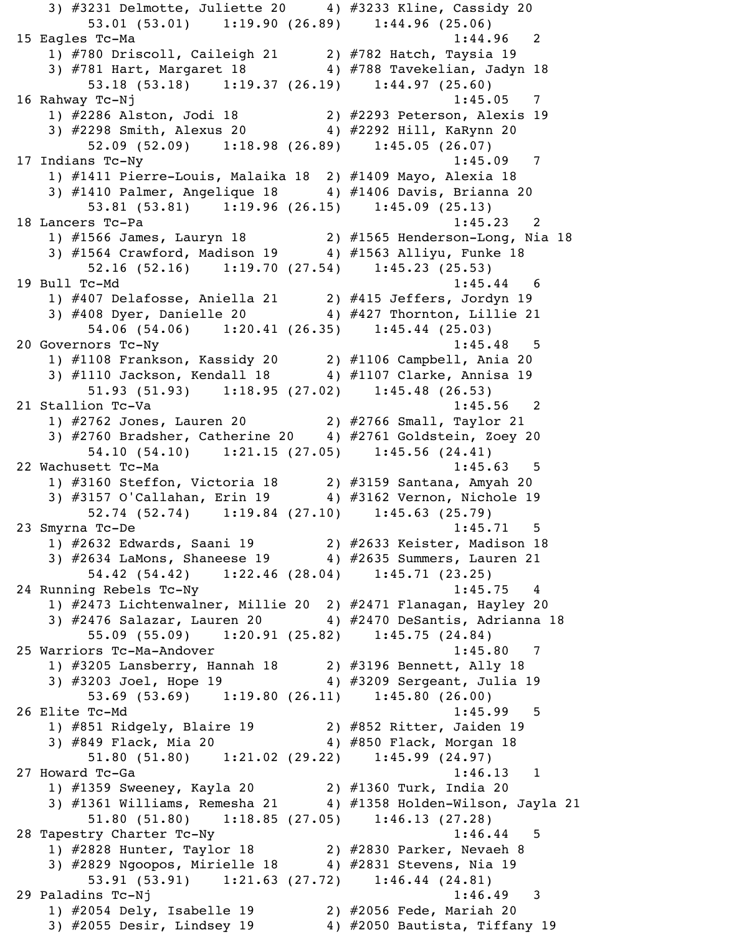3) #3231 Delmotte, Juliette 20 4) #3233 Kline, Cassidy 20 53.01 (53.01) 1:19.90 (26.89) 1:44.96 (25.06) 15 Eagles Tc-Ma 1:44.96 2 1) #780 Driscoll, Caileigh 21 2) #782 Hatch, Taysia 19 3) #781 Hart, Margaret 18 4) #788 Tavekelian, Jadyn 18 53.18 (53.18) 1:19.37 (26.19) 1:44.97 (25.60) 16 Rahway Tc-Nj 1:45.05 7 1) #2286 Alston, Jodi 18 2) #2293 Peterson, Alexis 19 3) #2298 Smith, Alexus 20 4) #2292 Hill, KaRynn 20 52.09 (52.09) 1:18.98 (26.89) 1:45.05 (26.07) 17 Indians Tc-Ny 1:45.09 7 1) #1411 Pierre-Louis, Malaika 18 2) #1409 Mayo, Alexia 18 3)  $\#1410$  Palmer, Angelique 18  $4$ )  $\#1406$  Davis, Brianna 20 53.81 (53.81) 1:19.96 (26.15) 1:45.09 (25.13) 18 Lancers Tc-Pa 1:45.23 2 1) #1566 James, Lauryn 18 2) #1565 Henderson-Long, Nia 18 3) #1564 Crawford, Madison 19 4) #1563 Alliyu, Funke 18 52.16 (52.16) 1:19.70 (27.54) 1:45.23 (25.53) 19 Bull Tc-Md 1:45.44 6 1) #407 Delafosse, Aniella 21 2) #415 Jeffers, Jordyn 19 3) #408 Dyer, Danielle 20 4) #427 Thornton, Lillie 21 54.06 (54.06) 1:20.41 (26.35) 1:45.44 (25.03) 20 Governors Tc-Ny 1:45.48 5 1) #1108 Frankson, Kassidy 20 2) #1106 Campbell, Ania 20 3) #1110 Jackson, Kendall 18 4) #1107 Clarke, Annisa 19 51.93 (51.93) 1:18.95 (27.02) 1:45.48 (26.53) 21 Stallion Tc-Va 1:45.56 2 1) #2762 Jones, Lauren 20 2) #2766 Small, Taylor 21 3) #2760 Bradsher, Catherine 20 4) #2761 Goldstein, Zoey 20 54.10 (54.10) 1:21.15 (27.05) 1:45.56 (24.41) 22 Wachusett Tc-Ma 1:45.63 5 1) #3160 Steffon, Victoria 18 2) #3159 Santana, Amyah 20 3) #3157 O'Callahan, Erin 19 4) #3162 Vernon, Nichole 19 52.74 (52.74) 1:19.84 (27.10) 1:45.63 (25.79) 23 Smyrna Tc-De 1:45.71 5 1) #2632 Edwards, Saani 19 2) #2633 Keister, Madison 18 3) #2634 LaMons, Shaneese 19 4) #2635 Summers, Lauren 21 54.42 (54.42) 1:22.46 (28.04) 1:45.71 (23.25) 24 Running Rebels Tc-Ny 1:45.75 4 1) #2473 Lichtenwalner, Millie 20 2) #2471 Flanagan, Hayley 20 3) #2476 Salazar, Lauren 20 4) #2470 DeSantis, Adrianna 18 55.09 (55.09) 1:20.91 (25.82) 1:45.75 (24.84) 25 Warriors Tc-Ma-Andover 1:45.80 7 1) #3205 Lansberry, Hannah 18 2) #3196 Bennett, Ally 18 3) #3203 Joel, Hope 19 4) #3209 Sergeant, Julia 19 53.69 (53.69) 1:19.80 (26.11) 1:45.80 (26.00) 26 Elite Tc-Md 1:45.99 5 1) #851 Ridgely, Blaire 19 2) #852 Ritter, Jaiden 19 3) #849 Flack, Mia 20 4) #850 Flack, Morgan 18 51.80 (51.80) 1:21.02 (29.22) 1:45.99 (24.97) 27 Howard Tc-Ga 1:46.13 1 1) #1359 Sweeney, Kayla 20 2) #1360 Turk, India 20 3) #1361 Williams, Remesha 21 4) #1358 Holden-Wilson, Jayla 21 51.80 (51.80) 1:18.85 (27.05) 1:46.13 (27.28) 28 Tapestry Charter Tc-Ny 1:46.44 5 1) #2828 Hunter, Taylor 18 2) #2830 Parker, Nevaeh 8  $\overline{3}$ ) #2829 Ngoopos, Mirielle 18  $\overline{4}$ ) #2831 Stevens, Nia 19 53.91 (53.91) 1:21.63 (27.72) 1:46.44 (24.81) 29 Paladins Tc-Nj 1:46.49 3 1) #2054 Dely, Isabelle 19 2) #2056 Fede, Mariah 20 3) #2055 Desir, Lindsey 19 4) #2050 Bautista, Tiffany 19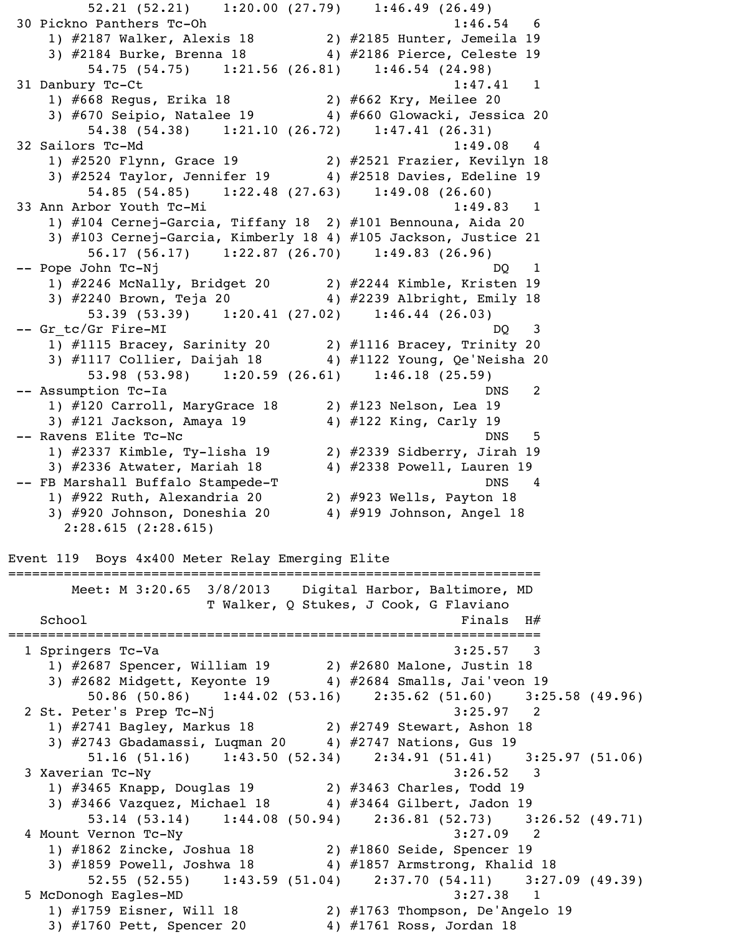52.21 (52.21) 1:20.00 (27.79) 1:46.49 (26.49) 30 Pickno Panthers Tc-Oh 1:46.54 6 1) #2187 Walker, Alexis 18 2) #2185 Hunter, Jemeila 19 3) #2184 Burke, Brenna 18 4) #2186 Pierce, Celeste 19 54.75 (54.75) 1:21.56 (26.81) 1:46.54 (24.98) 31 Danbury Tc-Ct 1:47.41 1 1) #668 Regus, Erika 18 2) #662 Kry, Meilee 20 3) #670 Seipio, Natalee 19 4) #660 Glowacki, Jessica 20 54.38 (54.38) 1:21.10 (26.72) 1:47.41 (26.31) 32 Sailors Tc-Md 1:49.08 4 1) #2520 Flynn, Grace 19 2) #2521 Frazier, Kevilyn 18 3) #2524 Taylor, Jennifer 19 4) #2518 Davies, Edeline 19 54.85 (54.85) 1:22.48 (27.63) 1:49.08 (26.60) 33 Ann Arbor Youth Tc-Mi 1:49.83 1 1) #104 Cernej-Garcia, Tiffany 18 2) #101 Bennouna, Aida 20 3) #103 Cernej-Garcia, Kimberly 18 4) #105 Jackson, Justice 21 56.17 (56.17) 1:22.87 (26.70) 1:49.83 (26.96) -- Pope John Tc-Nj 1) #2246 McNally, Bridget 20 2) #2244 Kimble, Kristen 19 3) #2240 Brown, Teja 20 4) #2239 Albright, Emily 18 53.39 (53.39) 1:20.41 (27.02) 1:46.44 (26.03) -- Gr\_tc/Gr\_Fire-MI DQ 3 1) #1115 Bracey, Sarinity 20 2) #1116 Bracey, Trinity 20 3) #1117 Collier, Daijah 18 4) #1122 Young, Qe'Neisha 20 53.98 (53.98) 1:20.59 (26.61) 1:46.18 (25.59) -- Assumption Tc-Ia DNS 2 1)  $\#120$  Carroll, MaryGrace 18 2)  $\#123$  Nelson, Lea 19 3) #121 Jackson, Amaya 19 4) #122 King, Carly 19 -- Ravens Elite Tc-Nc 5 1) #2337 Kimble, Ty-lisha 19 2) #2339 Sidberry, Jirah 19 3) #2336 Atwater, Mariah 18 4) #2338 Powell, Lauren 19 -- FB Marshall Buffalo Stampede-T DNS 4 1) #922 Ruth, Alexandria 20 2) #923 Wells, Payton 18 3) #920 Johnson, Doneshia 20 4) #919 Johnson, Angel 18 2:28.615 (2:28.615) Event 119 Boys 4x400 Meter Relay Emerging Elite =================================================================== Meet: M 3:20.65 3/8/2013 Digital Harbor, Baltimore, MD T Walker, Q Stukes, J Cook, G Flaviano  $School$   $Finals$   $H#$ =================================================================== 1 Springers Tc-Va 3:25.57 3 1) #2687 Spencer, William 19 2) #2680 Malone, Justin 18 3) #2682 Midgett, Keyonte 19 4) #2684 Smalls, Jai'veon 19 50.86 (50.86) 1:44.02 (53.16) 2:35.62 (51.60) 3:25.58 (49.96) 2 St. Peter's Prep Tc-Nj<br>1) #2741 Bagley, Markus 18 2) #2749 Stewart, Ashon 18 1) #2741 Bagley, Markus 18 2) #2749 Stewart, Ashon 18 3) #2743 Gbadamassi, Luqman 20 4) #2747 Nations, Gus 19 51.16 (51.16) 1:43.50 (52.34) 2:34.91 (51.41) 3:25.97 (51.06) 3 Xaverian Tc-Ny 3:26.52 3 1) #3465 Knapp, Douglas 19 2) #3463 Charles, Todd 19 3) #3466 Vazquez, Michael 18 4) #3464 Gilbert, Jadon 19 53.14 (53.14) 1:44.08 (50.94) 2:36.81 (52.73) 3:26.52 (49.71) 4 Mount Vernon Tc-Ny 3:27.09 2 1) #1862 Zincke, Joshua 18 2) #1860 Seide, Spencer 19 3) #1859 Powell, Joshwa 18 4) #1857 Armstrong, Khalid 18 52.55 (52.55) 1:43.59 (51.04) 2:37.70 (54.11) 3:27.09 (49.39) 5 McDonogh Eagles-MD 3:27.38 1 1) #1759 Eisner, Will 18 2) #1763 Thompson, De'Angelo 19

3) #1760 Pett, Spencer 20 4) #1761 Ross, Jordan 18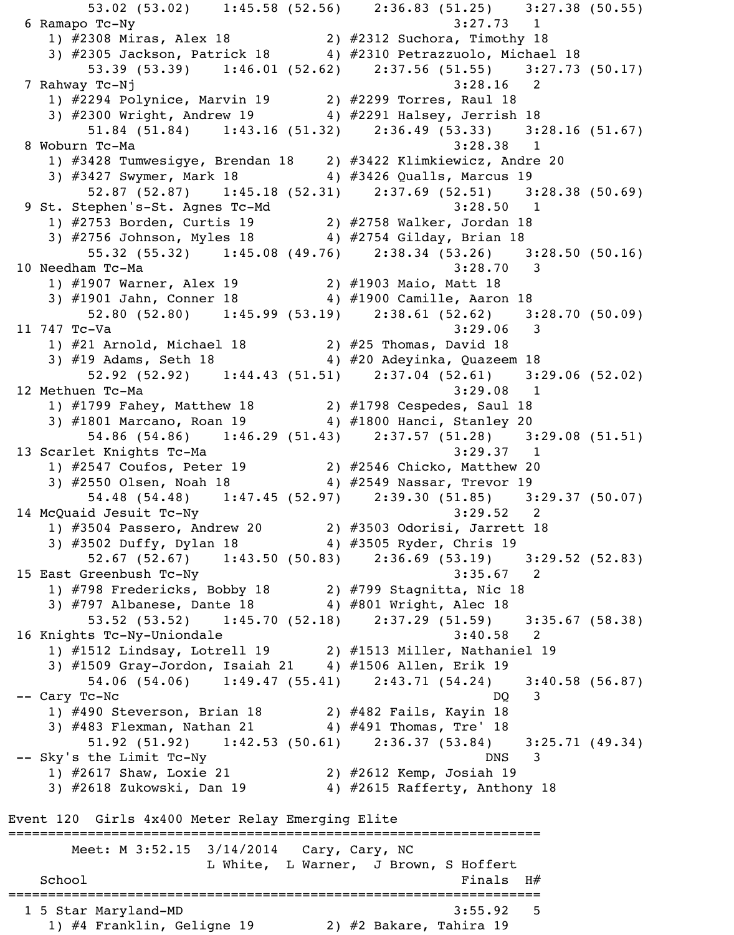53.02 (53.02) 1:45.58 (52.56) 2:36.83 (51.25) 3:27.38 (50.55) 6 Ramapo Tc-Ny 3:27.73 1 1) #2308 Miras, Alex 18 2) #2312 Suchora, Timothy 18 3) #2305 Jackson, Patrick 18 4) #2310 Petrazzuolo, Michael 18 53.39 (53.39) 1:46.01 (52.62) 2:37.56 (51.55) 3:27.73 (50.17) 7 Rahway Tc-Nj 3:28.16 2 1) #2294 Polynice, Marvin 19 2) #2299 Torres, Raul 18 3) #2300 Wright, Andrew 19 4) #2291 Halsey, Jerrish 18 51.84 (51.84) 1:43.16 (51.32) 2:36.49 (53.33) 3:28.16 (51.67) 8 Woburn Tc-Ma 3:28.38 1 1) #3428 Tumwesigye, Brendan 18 2) #3422 Klimkiewicz, Andre 20 3) #3427 Swymer, Mark 18 4) #3426 Qualls, Marcus 19 52.87 (52.87) 1:45.18 (52.31) 2:37.69 (52.51) 3:28.38 (50.69) 9 St. Stephen's-St. Agnes Tc-Md 3:28.50 1 1) #2753 Borden, Curtis 19 2) #2758 Walker, Jordan 18 3) #2756 Johnson, Myles 18 4) #2754 Gilday, Brian 18 55.32 (55.32) 1:45.08 (49.76) 2:38.34 (53.26) 3:28.50 (50.16) 10 Needham Tc-Ma 3:28.70 3 1) #1907 Warner, Alex 19 2) #1903 Maio, Matt 18 3) #1901 Jahn, Conner 18 4) #1900 Camille, Aaron 18 52.80 (52.80) 1:45.99 (53.19) 2:38.61 (52.62) 3:28.70 (50.09) 11 747 Tc-Va 3:29.06 3 1) #21 Arnold, Michael 18 2) #25 Thomas, David 18 3) #19 Adams, Seth 18 4) #20 Adeyinka, Quazeem 18 52.92 (52.92) 1:44.43 (51.51) 2:37.04 (52.61) 3:29.06 (52.02) 12 Methuen Tc-Ma 3:29.08 1 1) #1799 Fahey, Matthew 18 2) #1798 Cespedes, Saul 18 3) #1801 Marcano, Roan 19 4) #1800 Hanci, Stanley 20 54.86 (54.86) 1:46.29 (51.43) 2:37.57 (51.28) 3:29.08 (51.51) 13 Scarlet Knights Tc-Ma 3:29.37 1 1) #2547 Coufos, Peter 19 2) #2546 Chicko, Matthew 20 3) #2550 Olsen, Noah 18 4) #2549 Nassar, Trevor 19 54.48 (54.48) 1:47.45 (52.97) 2:39.30 (51.85) 3:29.37 (50.07) 14 McQuaid Jesuit Tc-Ny 3:29.52 2 1) #3504 Passero, Andrew 20 2) #3503 Odorisi, Jarrett 18 3) #3502 Duffy, Dylan 18 4) #3505 Ryder, Chris 19 52.67 (52.67) 1:43.50 (50.83) 2:36.69 (53.19) 3:29.52 (52.83) 15 East Greenbush Tc-Ny 1) #798 Fredericks, Bobby 18 2) #799 Stagnitta, Nic 18 3) #797 Albanese, Dante 18  $\qquad \qquad \qquad$  4) #801 Wright, Alec 18 53.52 (53.52) 1:45.70 (52.18) 2:37.29 (51.59) 3:35.67 (58.38) 16 Knights Tc-Ny-Uniondale 3:40.58 2 1) #1512 Lindsay, Lotrell 19 2) #1513 Miller, Nathaniel 19 3) #1509 Gray-Jordon, Isaiah 21 4) #1506 Allen, Erik 19 54.06 (54.06) 1:49.47 (55.41) 2:43.71 (54.24) 3:40.58 (56.87) -- Cary Tc-Nc DQ 3 1) #490 Steverson, Brian 18 2) #482 Fails, Kayin 18 3) #483 Flexman, Nathan 21 4) #491 Thomas, Tre' 18 51.92 (51.92) 1:42.53 (50.61) 2:36.37 (53.84) 3:25.71 (49.34) -- Sky's the Limit Tc-Ny DNS 3 1) #2617 Shaw, Loxie 21 2) #2612 Kemp, Josiah 19 3) #2618 Zukowski, Dan 19 4) #2615 Rafferty, Anthony 18 Event 120 Girls 4x400 Meter Relay Emerging Elite =================================================================== Meet: M 3:52.15 3/14/2014 Cary, Cary, NC L White, L Warner, J Brown, S Hoffert  $School$   $H#$ =================================================================== 1 5 Star Maryland-MD 3:55.92 5 1) #4 Franklin, Geligne 19 2) #2 Bakare, Tahira 19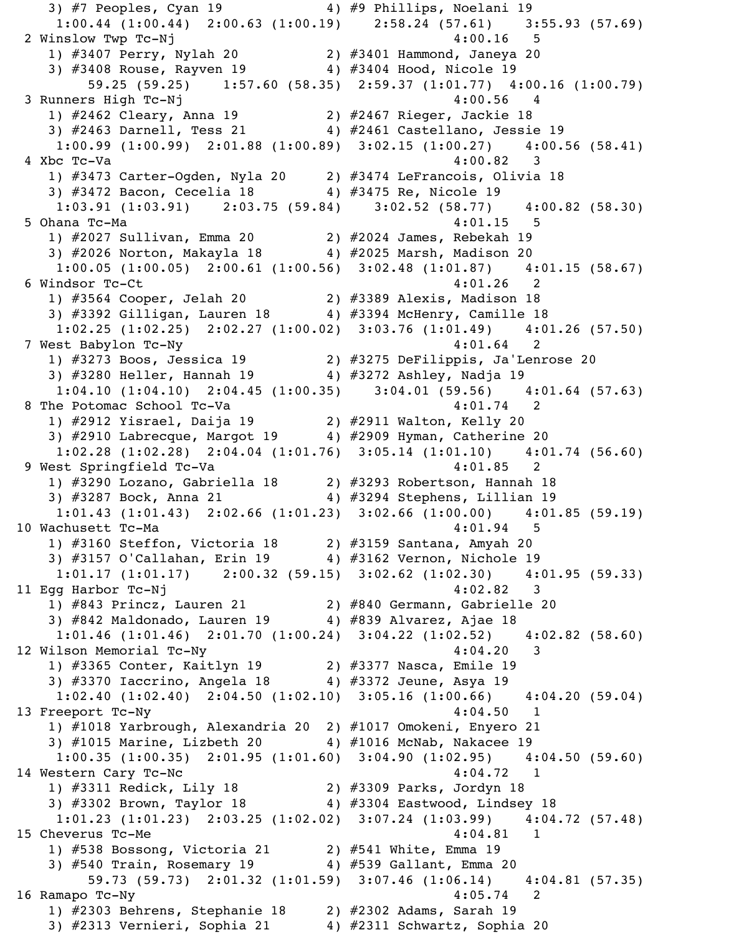3) #7 Peoples, Cyan 19 4) #9 Phillips, Noelani 19 1:00.44 (1:00.44) 2:00.63 (1:00.19) 2:58.24 (57.61) 3:55.93 (57.69) 2 Winslow Twp Tc-Nj 4:00.16 5 1) #3407 Perry, Nylah 20 2) #3401 Hammond, Janeya 20 3) #3408 Rouse, Rayven 19 4) #3404 Hood, Nicole 19 59.25 (59.25) 1:57.60 (58.35) 2:59.37 (1:01.77) 4:00.16 (1:00.79) 3 Runners High Tc-Nj 4:00.56 4 1) #2462 Cleary, Anna 19 2) #2467 Rieger, Jackie 18 3) #2463 Darnell, Tess 21 4) #2461 Castellano, Jessie 19 1:00.99 (1:00.99) 2:01.88 (1:00.89) 3:02.15 (1:00.27) 4:00.56 (58.41) 4 Xbc Tc-Va 4:00.82 3 1) #3473 Carter-Ogden, Nyla 20 2) #3474 LeFrancois, Olivia 18 3) #3472 Bacon, Cecelia 18 4) #3475 Re, Nicole 19 1:03.91 (1:03.91) 2:03.75 (59.84) 3:02.52 (58.77) 4:00.82 (58.30) 5 Ohana Tc-Ma 4:01.15 5 1) #2027 Sullivan, Emma 20 2) #2024 James, Rebekah 19 3) #2026 Norton, Makayla 18 4) #2025 Marsh, Madison 20 1:00.05 (1:00.05) 2:00.61 (1:00.56) 3:02.48 (1:01.87) 4:01.15 (58.67) 6 Windsor Tc-Ct 4:01.26 2 1) #3564 Cooper, Jelah 20 2) #3389 Alexis, Madison 18 3) #3392 Gilligan, Lauren 18 4) #3394 McHenry, Camille 18 1:02.25 (1:02.25) 2:02.27 (1:00.02) 3:03.76 (1:01.49) 4:01.26 (57.50) 7 West Babylon Tc-Ny 4:01.64 2 1) #3273 Boos, Jessica 19 2) #3275 DeFilippis, Ja'Lenrose 20 3) #3280 Heller, Hannah 19 4) #3272 Ashley, Nadja 19 1:04.10 (1:04.10) 2:04.45 (1:00.35) 3:04.01 (59.56) 4:01.64 (57.63) 8 The Potomac School Tc-Va 4:01.74 2 1) #2912 Yisrael, Daija 19 2) #2911 Walton, Kelly 20 3) #2910 Labrecque, Margot 19 4) #2909 Hyman, Catherine 20 1:02.28 (1:02.28) 2:04.04 (1:01.76) 3:05.14 (1:01.10) 4:01.74 (56.60) 9 West Springfield Tc-Va 4:01.85 2 1) #3290 Lozano, Gabriella 18 2) #3293 Robertson, Hannah 18 3) #3287 Bock, Anna 21 4) #3294 Stephens, Lillian 19 1:01.43 (1:01.43) 2:02.66 (1:01.23) 3:02.66 (1:00.00) 4:01.85 (59.19) 10 Wachusett Tc-Ma 4:01.94 5 1) #3160 Steffon, Victoria 18 2) #3159 Santana, Amyah 20 3) #3157 O'Callahan, Erin 19 4) #3162 Vernon, Nichole 19 1:01.17 (1:01.17) 2:00.32 (59.15) 3:02.62 (1:02.30) 4:01.95 (59.33) 11 Egg Harbor Tc-Nj 4:02.82 3 1) #843 Princz, Lauren 21 2) #840 Germann, Gabrielle 20 3) #842 Maldonado, Lauren 19 4) #839 Alvarez, Ajae 18 1:01.46 (1:01.46) 2:01.70 (1:00.24) 3:04.22 (1:02.52) 4:02.82 (58.60) 12 Wilson Memorial Tc-Ny 4:04.20 3 1) #3365 Conter, Kaitlyn 19 2) #3377 Nasca, Emile 19 3) #3370 Iaccrino, Angela 18 4) #3372 Jeune, Asya 19 1:02.40 (1:02.40) 2:04.50 (1:02.10) 3:05.16 (1:00.66) 4:04.20 (59.04) 13 Freeport Tc-Ny 4:04.50 1 1) #1018 Yarbrough, Alexandria 20 2) #1017 Omokeni, Enyero 21 3) #1015 Marine, Lizbeth 20 4) #1016 McNab, Nakacee 19 1:00.35 (1:00.35) 2:01.95 (1:01.60) 3:04.90 (1:02.95) 4:04.50 (59.60) 14 Western Cary Tc-Nc 4:04.72 1 1) #3311 Redick, Lily 18 2) #3309 Parks, Jordyn 18 3) #3302 Brown, Taylor 18 4) #3304 Eastwood, Lindsey 18 1:01.23 (1:01.23) 2:03.25 (1:02.02) 3:07.24 (1:03.99) 4:04.72 (57.48) 15 Cheverus Tc-Me  $4:04.81$  1 1) #538 Bossong, Victoria 21 2) #541 White, Emma 19  $3)$  #540 Train, Rosemary 19  $4)$  #539 Gallant, Emma 20 59.73 (59.73) 2:01.32 (1:01.59) 3:07.46 (1:06.14) 4:04.81 (57.35) 16 Ramapo Tc-Ny 4:05.74 2 1) #2303 Behrens, Stephanie 18 2) #2302 Adams, Sarah 19 3) #2313 Vernieri, Sophia 21 4) #2311 Schwartz, Sophia 20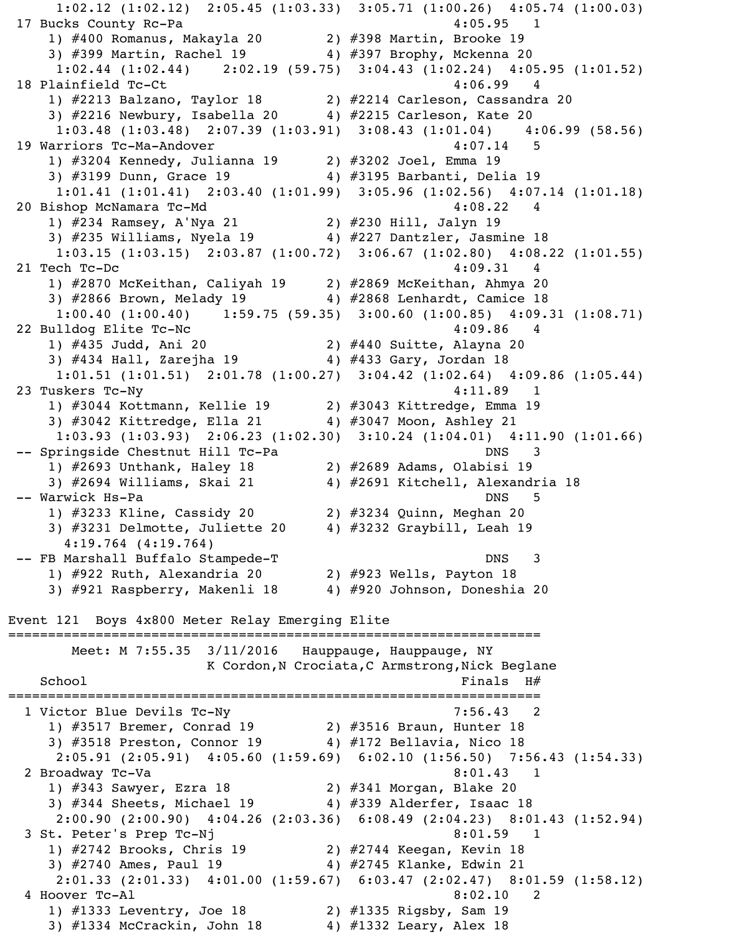1:02.12 (1:02.12) 2:05.45 (1:03.33) 3:05.71 (1:00.26) 4:05.74 (1:00.03) 17 Bucks County Rc-Pa 4:05.95 1 1) #400 Romanus, Makayla 20 2) #398 Martin, Brooke 19 3) #399 Martin, Rachel 19 4) #397 Brophy, Mckenna 20 1:02.44 (1:02.44) 2:02.19 (59.75) 3:04.43 (1:02.24) 4:05.95 (1:01.52) 18 Plainfield Tc-Ct 4:06.99 4 1) #2213 Balzano, Taylor 18 2) #2214 Carleson, Cassandra 20 3) #2216 Newbury, Isabella 20 4) #2215 Carleson, Kate 20 1:03.48 (1:03.48) 2:07.39 (1:03.91) 3:08.43 (1:01.04) 4:06.99 (58.56) 19 Warriors Tc-Ma-Andover 4:07.14 5 1) #3204 Kennedy, Julianna 19 2) #3202 Joel, Emma 19 3) #3199 Dunn, Grace 19 4) #3195 Barbanti, Delia 19 1:01.41 (1:01.41) 2:03.40 (1:01.99) 3:05.96 (1:02.56) 4:07.14 (1:01.18) 20 Bishop McNamara Tc-Md 4:08.22 4 1) #234 Ramsey, A'Nya 21 2) #230 Hill, Jalyn 19 3) #235 Williams, Nyela 19 4) #227 Dantzler, Jasmine 18 1:03.15 (1:03.15) 2:03.87 (1:00.72) 3:06.67 (1:02.80) 4:08.22 (1:01.55) 21 Tech Tc-Dc 4:09.31 4 1) #2870 McKeithan, Caliyah 19 2) #2869 McKeithan, Ahmya 20 3) #2866 Brown, Melady 19 4) #2868 Lenhardt, Camice 18  $1:00.40$  (1:00.40) 1:59.75 (59.35) 3:00.60 (1:00.85) 4:09.31 (1:08.71) 22 Bulldog Elite Tc-Nc 4:09.86 4 1) #435 Judd, Ani 20 2) #440 Suitte, Alayna 20 3) #434 Hall, Zarejha 19 4) #433 Gary, Jordan 18 1:01.51 (1:01.51) 2:01.78 (1:00.27) 3:04.42 (1:02.64) 4:09.86 (1:05.44) 23 Tuskers Tc-Ny 4:11.89 1 1) #3044 Kottmann, Kellie 19 2) #3043 Kittredge, Emma 19 3) #3042 Kittredge, Ella 21 4) #3047 Moon, Ashley 21 1:03.93 (1:03.93) 2:06.23 (1:02.30) 3:10.24 (1:04.01) 4:11.90 (1:01.66) -- Springside Chestnut Hill Tc-Pa DNS 3 1) #2693 Unthank, Haley 18 2) #2689 Adams, Olabisi 19 3) #2694 Williams, Skai 21  $\qquad \qquad$  4) #2691 Kitchell, Alexandria 18 -- Warwick Hs-Pa  $\,$  1) #3233 Kline, Cassidy 20 2) #3234 Quinn, Meghan 20 3) #3231 Delmotte, Juliette 20 4) #3232 Graybill, Leah 19 4:19.764 (4:19.764) -- FB Marshall Buffalo Stampede-T DNS 3 1) #922 Ruth, Alexandria 20 2) #923 Wells, Payton 18 3) #921 Raspberry, Makenli 18 4) #920 Johnson, Doneshia 20 Event 121 Boys 4x800 Meter Relay Emerging Elite =================================================================== Meet: M 7:55.35 3/11/2016 Hauppauge, Hauppauge, NY K Cordon, N Crociata, C Armstrong, Nick Beglane  $School$   $H#$ =================================================================== 1 Victor Blue Devils Tc-Ny 7:56.43 2 1) #3517 Bremer, Conrad 19 2) #3516 Braun, Hunter 18 3) #3518 Preston, Connor 19 4) #172 Bellavia, Nico 18 2:05.91 (2:05.91) 4:05.60 (1:59.69) 6:02.10 (1:56.50) 7:56.43 (1:54.33) 2 Broadway Tc-Va 8:01.43 1 1) #343 Sawyer, Ezra 18 2) #341 Morgan, Blake 20 3) #344 Sheets, Michael 19  $\,$   $\,$  4) #339 Alderfer, Isaac 18 2:00.90 (2:00.90) 4:04.26 (2:03.36) 6:08.49 (2:04.23) 8:01.43 (1:52.94) 3 St. Peter's Prep Tc-Nj 8:01.59 1 1) #2742 Brooks, Chris 19 2) #2744 Keegan, Kevin 18 3) #2740 Ames, Paul 19 4) #2745 Klanke, Edwin 21 2:01.33 (2:01.33) 4:01.00 (1:59.67) 6:03.47 (2:02.47) 8:01.59 (1:58.12) 4 Hoover Tc-Al 8:02.10 2 1) #1333 Leventry, Joe 18 2) #1335 Rigsby, Sam 19 3) #1334 McCrackin, John 18 4) #1332 Leary, Alex 18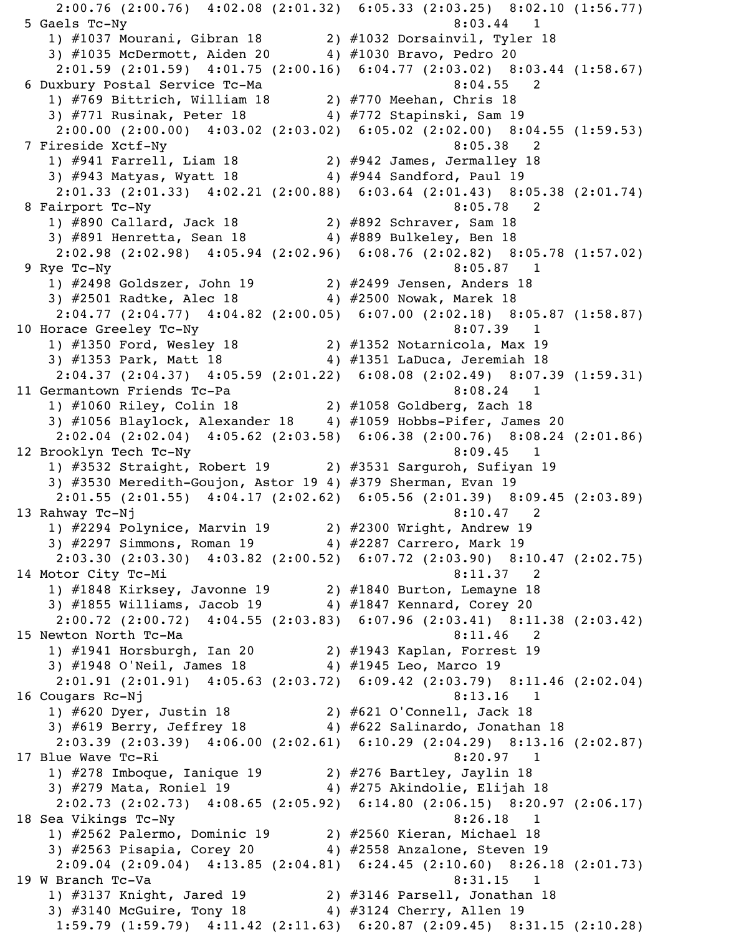2:00.76 (2:00.76) 4:02.08 (2:01.32) 6:05.33 (2:03.25) 8:02.10 (1:56.77) 5 Gaels Tc-Ny 8:03.44 1 1) #1037 Mourani, Gibran 18 2) #1032 Dorsainvil, Tyler 18 3) #1035 McDermott, Aiden 20 4) #1030 Bravo, Pedro 20 2:01.59 (2:01.59) 4:01.75 (2:00.16) 6:04.77 (2:03.02) 8:03.44 (1:58.67) 6 Duxbury Postal Service Tc-Ma 8:04.55 2 1) #769 Bittrich, William 18 2) #770 Meehan, Chris 18 3) #771 Rusinak, Peter 18 4) #772 Stapinski, Sam 19 2:00.00 (2:00.00) 4:03.02 (2:03.02) 6:05.02 (2:02.00) 8:04.55 (1:59.53) 7 Fireside Xctf-Ny 8:05.38 2 1) #941 Farrell, Liam 18 2) #942 James, Jermalley 18 3) #943 Matyas, Wyatt 18 4) #944 Sandford, Paul 19 2:01.33 (2:01.33) 4:02.21 (2:00.88) 6:03.64 (2:01.43) 8:05.38 (2:01.74) 8 Fairport Tc-Ny 2008 8:05.78 2 1) #890 Callard, Jack 18 2) #892 Schraver, Sam 18 3) #891 Henretta, Sean 18 4) #889 Bulkeley, Ben 18 2:02.98 (2:02.98) 4:05.94 (2:02.96) 6:08.76 (2:02.82) 8:05.78 (1:57.02) 9 Rye Tc-Ny 8:05.87 1 1) #2498 Goldszer, John 19 2) #2499 Jensen, Anders 18 3) #2501 Radtke, Alec 18 4) #2500 Nowak, Marek 18 2:04.77 (2:04.77) 4:04.82 (2:00.05) 6:07.00 (2:02.18) 8:05.87 (1:58.87) 10 Horace Greeley Tc-Ny 8:07.39 1 1) #1350 Ford, Wesley 18 2) #1352 Notarnicola, Max 19 3) #1353 Park, Matt 18 4) #1351 LaDuca, Jeremiah 18 2:04.37 (2:04.37) 4:05.59 (2:01.22) 6:08.08 (2:02.49) 8:07.39 (1:59.31) 11 Germantown Friends Tc-Pa 8:08.24 1 1) #1060 Riley, Colin 18 2) #1058 Goldberg, Zach 18 3) #1056 Blaylock, Alexander 18 4) #1059 Hobbs-Pifer, James 20 2:02.04 (2:02.04) 4:05.62 (2:03.58) 6:06.38 (2:00.76) 8:08.24 (2:01.86) 12 Brooklyn Tech Tc-Ny 8:09.45 1 1) #3532 Straight, Robert 19 2) #3531 Sarguroh, Sufiyan 19 3) #3530 Meredith-Goujon, Astor 19 4) #379 Sherman, Evan 19 2:01.55 (2:01.55) 4:04.17 (2:02.62) 6:05.56 (2:01.39) 8:09.45 (2:03.89) 13 Rahway Tc-Nj 8:10.47 2 1) #2294 Polynice, Marvin 19 2) #2300 Wright, Andrew 19 3) #2297 Simmons, Roman 19 4) #2287 Carrero, Mark 19 2:03.30 (2:03.30) 4:03.82 (2:00.52) 6:07.72 (2:03.90) 8:10.47 (2:02.75) 14 Motor City Tc-Mi 8:11.37 2 1) #1848 Kirksey, Javonne 19 2) #1840 Burton, Lemayne 18 3) #1855 Williams, Jacob 19 4) #1847 Kennard, Corey 20 2:00.72 (2:00.72) 4:04.55 (2:03.83) 6:07.96 (2:03.41) 8:11.38 (2:03.42) 15 Newton North Tc-Ma 8:11.46 2 1) #1941 Horsburgh, Ian 20 2) #1943 Kaplan, Forrest 19 3) #1948 O'Neil, James 18 4) #1945 Leo, Marco 19 2:01.91 (2:01.91) 4:05.63 (2:03.72) 6:09.42 (2:03.79) 8:11.46 (2:02.04) 16 Cougars Rc-Nj 8:13.16 1 1) #620 Dyer, Justin 18 2) #621 O'Connell, Jack 18 3) #619 Berry, Jeffrey 18 4) #622 Salinardo, Jonathan 18 2:03.39 (2:03.39) 4:06.00 (2:02.61) 6:10.29 (2:04.29) 8:13.16 (2:02.87) 17 Blue Wave Tc-Ri 8:20.97 1 1) #278 Imboque, Ianique 19 2) #276 Bartley, Jaylin 18 3) #279 Mata, Roniel 19 4) #275 Akindolie, Elijah 18 2:02.73 (2:02.73) 4:08.65 (2:05.92) 6:14.80 (2:06.15) 8:20.97 (2:06.17) 18 Sea Vikings Tc-Ny 8:26.18 1 1) #2562 Palermo, Dominic 19 2) #2560 Kieran, Michael 18 3) #2563 Pisapia, Corey 20 4) #2558 Anzalone, Steven 19 2:09.04 (2:09.04) 4:13.85 (2:04.81) 6:24.45 (2:10.60) 8:26.18 (2:01.73) 19 W Branch Tc-Va 2011 12:31.15 1 1) #3137 Knight, Jared 19 2) #3146 Parsell, Jonathan 18 3) #3140 McGuire, Tony 18 4) #3124 Cherry, Allen 19 1:59.79 (1:59.79) 4:11.42 (2:11.63) 6:20.87 (2:09.45) 8:31.15 (2:10.28)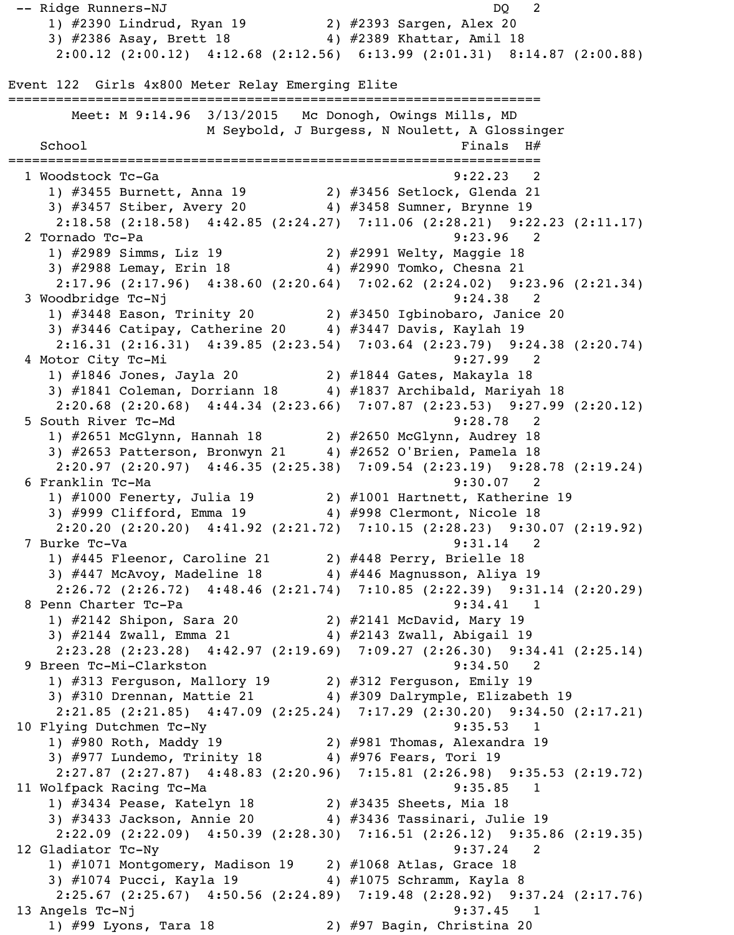-- Ridge Runners-NJ DQ 2 1) #2390 Lindrud, Ryan 19 2) #2393 Sargen, Alex 20 3) #2386 Asay, Brett 18 4) #2389 Khattar, Amil 18 2:00.12 (2:00.12) 4:12.68 (2:12.56) 6:13.99 (2:01.31) 8:14.87 (2:00.88) Event 122 Girls 4x800 Meter Relay Emerging Elite =================================================================== Meet: M 9:14.96 3/13/2015 Mc Donogh, Owings Mills, MD M Seybold, J Burgess, N Noulett, A Glossinger  $School$   $H#$ =================================================================== 1 Woodstock Tc-Ga 9:22.23 2 1) #3455 Burnett, Anna 19 2) #3456 Setlock, Glenda 21 3) #3457 Stiber, Avery 20 4) #3458 Sumner, Brynne 19 2:18.58 (2:18.58) 4:42.85 (2:24.27) 7:11.06 (2:28.21) 9:22.23 (2:11.17) 2 Tornado Tc-Pa 9:23.96 2 1) #2989 Simms, Liz 19 2) #2991 Welty, Maggie 18 3) #2988 Lemay, Erin 18 4) #2990 Tomko, Chesna 21 2:17.96 (2:17.96) 4:38.60 (2:20.64) 7:02.62 (2:24.02) 9:23.96 (2:21.34) 3 Woodbridge Tc-Nj 9:24.38 2 1) #3448 Eason, Trinity 20 2) #3450 Igbinobaro, Janice 20 3) #3446 Catipay, Catherine 20 4) #3447 Davis, Kaylah 19 2:16.31 (2:16.31) 4:39.85 (2:23.54) 7:03.64 (2:23.79) 9:24.38 (2:20.74) 4 Motor City Tc-Mi 9:27.99 2 1) #1846 Jones, Jayla 20 2) #1844 Gates, Makayla 18 3) #1841 Coleman, Dorriann 18 4) #1837 Archibald, Mariyah 18 2:20.68 (2:20.68) 4:44.34 (2:23.66) 7:07.87 (2:23.53) 9:27.99 (2:20.12) 5 South River Tc-Md 9:28.78 2 1) #2651 McGlynn, Hannah 18 2) #2650 McGlynn, Audrey 18 3) #2653 Patterson, Bronwyn 21 4) #2652 O'Brien, Pamela 18 2:20.97 (2:20.97) 4:46.35 (2:25.38) 7:09.54 (2:23.19) 9:28.78 (2:19.24) 6 Franklin Tc-Ma 9:30.07 2 1) #1000 Fenerty, Julia 19 2) #1001 Hartnett, Katherine 19 3) #999 Clifford, Emma 19 4) #998 Clermont, Nicole 18 2:20.20 (2:20.20) 4:41.92 (2:21.72) 7:10.15 (2:28.23) 9:30.07 (2:19.92) 7 Burke Tc-Va 9:31.14 2 1) #445 Fleenor, Caroline 21 2) #448 Perry, Brielle 18 3) #447 McAvoy, Madeline 18 4) #446 Magnusson, Aliya 19 2:26.72 (2:26.72) 4:48.46 (2:21.74) 7:10.85 (2:22.39) 9:31.14 (2:20.29) 8 Penn Charter Tc-Pa 9:34.41 1 1) #2142 Shipon, Sara 20 2) #2141 McDavid, Mary 19 3) #2144 Zwall, Emma 21 4) #2143 Zwall, Abigail 19 2:23.28 (2:23.28) 4:42.97 (2:19.69) 7:09.27 (2:26.30) 9:34.41 (2:25.14) 9 Breen Tc-Mi-Clarkston 9:34.50 2 1) #313 Ferguson, Mallory 19 2) #312 Ferguson, Emily 19 3) #310 Drennan, Mattie 21  $\qquad \qquad \qquad$  4) #309 Dalrymple, Elizabeth 19 2:21.85 (2:21.85) 4:47.09 (2:25.24) 7:17.29 (2:30.20) 9:34.50 (2:17.21) 10 Flying Dutchmen Tc-Ny 9:35.53 1 1) #980 Roth, Maddy 19 2) #981 Thomas, Alexandra 19 3) #977 Lundemo, Trinity 18 4) #976 Fears, Tori 19 2:27.87 (2:27.87) 4:48.83 (2:20.96) 7:15.81 (2:26.98) 9:35.53 (2:19.72) 11 Wolfpack Racing Tc-Ma 9:35.85 1 1) #3434 Pease, Katelyn 18 2) #3435 Sheets, Mia 18 3) #3433 Jackson, Annie 20 4) #3436 Tassinari, Julie 19 2:22.09 (2:22.09) 4:50.39 (2:28.30) 7:16.51 (2:26.12) 9:35.86 (2:19.35) 12 Gladiator Tc-Ny 9:37.24 2 1) #1071 Montgomery, Madison 19 2) #1068 Atlas, Grace 18 3) #1074 Pucci, Kayla 19 4) #1075 Schramm, Kayla 8 2:25.67 (2:25.67) 4:50.56 (2:24.89) 7:19.48 (2:28.92) 9:37.24 (2:17.76) 13 Angels Tc-Nj 9:37.45 1 1) #99 Lyons, Tara 18 2) #97 Bagin, Christina 20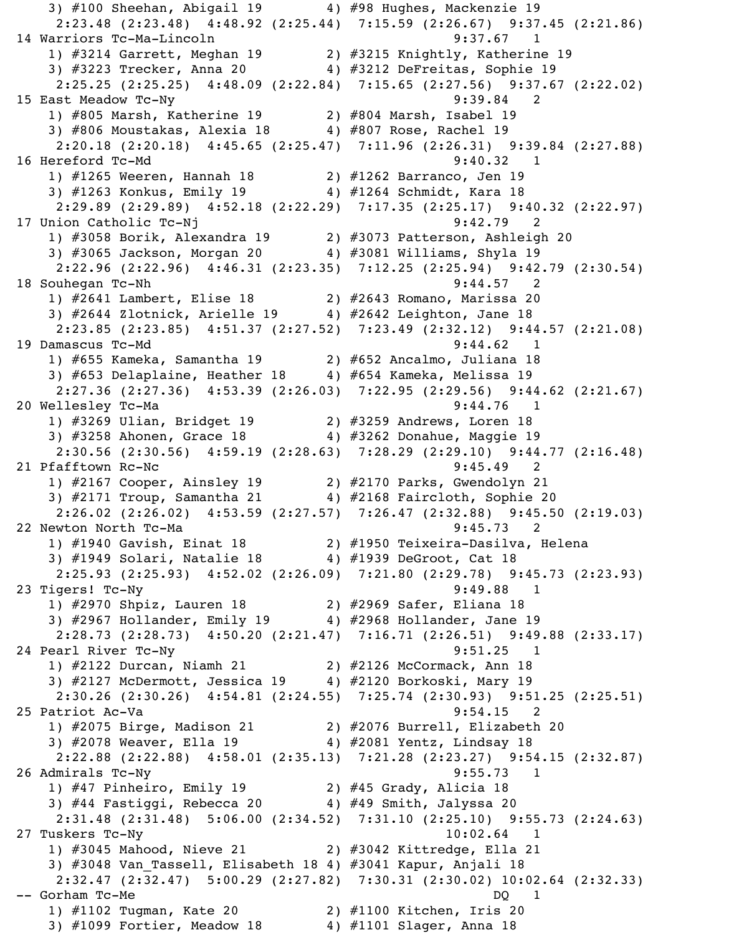3)  $\#100$  Sheehan, Abigail 19  $4$ )  $\#98$  Hughes, Mackenzie 19 2:23.48 (2:23.48) 4:48.92 (2:25.44) 7:15.59 (2:26.67) 9:37.45 (2:21.86) 14 Warriors Tc-Ma-Lincoln 9:37.67 1 1) #3214 Garrett, Meghan 19 2) #3215 Knightly, Katherine 19 3) #3223 Trecker, Anna 20 4) #3212 DeFreitas, Sophie 19 2:25.25 (2:25.25) 4:48.09 (2:22.84) 7:15.65 (2:27.56) 9:37.67 (2:22.02) 15 East Meadow Tc-Ny 9:39.84 2 1) #805 Marsh, Katherine 19 2) #804 Marsh, Isabel 19 3) #806 Moustakas, Alexia 18 4) #807 Rose, Rachel 19 2:20.18 (2:20.18) 4:45.65 (2:25.47) 7:11.96 (2:26.31) 9:39.84 (2:27.88) 16 Hereford Tc-Md 9:40.32 1 1) #1265 Weeren, Hannah 18 2) #1262 Barranco, Jen 19 3) #1263 Konkus, Emily 19 4) #1264 Schmidt, Kara 18 2:29.89 (2:29.89) 4:52.18 (2:22.29) 7:17.35 (2:25.17) 9:40.32 (2:22.97) 17 Union Catholic Tc-Nj 9:42.79 2 1) #3058 Borik, Alexandra 19 2) #3073 Patterson, Ashleigh 20 3) #3065 Jackson, Morgan 20 4) #3081 Williams, Shyla 19 2:22.96 (2:22.96) 4:46.31 (2:23.35) 7:12.25 (2:25.94) 9:42.79 (2:30.54) 18 Souhegan Tc-Nh 9:44.57 2 1) #2641 Lambert, Elise 18 2) #2643 Romano, Marissa 20 3) #2644 Zlotnick, Arielle 19 4) #2642 Leighton, Jane 18 2:23.85 (2:23.85) 4:51.37 (2:27.52) 7:23.49 (2:32.12) 9:44.57 (2:21.08) 19 Damascus Tc-Md 9:44.62 1 1) #655 Kameka, Samantha 19 2) #652 Ancalmo, Juliana 18 3) #653 Delaplaine, Heather 18 4) #654 Kameka, Melissa 19 2:27.36 (2:27.36) 4:53.39 (2:26.03) 7:22.95 (2:29.56) 9:44.62 (2:21.67) 20 Wellesley Tc-Ma 3:44.76 1 1) #3269 Ulian, Bridget 19 2) #3259 Andrews, Loren 18 3) #3258 Ahonen, Grace 18 4) #3262 Donahue, Maggie 19 2:30.56 (2:30.56) 4:59.19 (2:28.63) 7:28.29 (2:29.10) 9:44.77 (2:16.48) 21 Pfafftown Rc-Nc 9:45.49 2 1) #2167 Cooper, Ainsley 19 2) #2170 Parks, Gwendolyn 21 3) #2171 Troup, Samantha 21 4) #2168 Faircloth, Sophie 20 2:26.02 (2:26.02) 4:53.59 (2:27.57) 7:26.47 (2:32.88) 9:45.50 (2:19.03) 22 Newton North Tc-Ma 9:45.73 2 1) #1940 Gavish, Einat 18 2) #1950 Teixeira-Dasilva, Helena 3) #1949 Solari, Natalie 18 4) #1939 DeGroot, Cat 18 2:25.93 (2:25.93) 4:52.02 (2:26.09) 7:21.80 (2:29.78) 9:45.73 (2:23.93) 23 Tigers! Tc-Ny 9:49.88 1 1) #2970 Shpiz, Lauren 18 2) #2969 Safer, Eliana 18 3) #2967 Hollander, Emily 19 4) #2968 Hollander, Jane 19 2:28.73 (2:28.73) 4:50.20 (2:21.47) 7:16.71 (2:26.51) 9:49.88 (2:33.17) 24 Pearl River Tc-Ny 9:51.25 1 1) #2122 Durcan, Niamh 21 2) #2126 McCormack, Ann 18 3) #2127 McDermott, Jessica 19 4) #2120 Borkoski, Mary 19 2:30.26 (2:30.26) 4:54.81 (2:24.55) 7:25.74 (2:30.93) 9:51.25 (2:25.51) 25 Patriot Ac-Va 2012 12:54.15 2 1) #2075 Birge, Madison 21 2) #2076 Burrell, Elizabeth 20 3) #2078 Weaver, Ella 19 4) #2081 Yentz, Lindsay 18 2:22.88 (2:22.88) 4:58.01 (2:35.13) 7:21.28 (2:23.27) 9:54.15 (2:32.87) 26 Admirals Tc-Ny 9:55.73 1 1) #47 Pinheiro, Emily 19 2) #45 Grady, Alicia 18 3) #44 Fastiggi, Rebecca 20 4) #49 Smith, Jalyssa 20 2:31.48 (2:31.48) 5:06.00 (2:34.52) 7:31.10 (2:25.10) 9:55.73 (2:24.63) 27 Tuskers Tc-Ny 10:02.64 1 1) #3045 Mahood, Nieve 21 2) #3042 Kittredge, Ella 21 3) #3048 Van\_Tassell, Elisabeth 18 4) #3041 Kapur, Anjali 18 2:32.47 (2:32.47) 5:00.29 (2:27.82) 7:30.31 (2:30.02) 10:02.64 (2:32.33) -- Gorham Tc-Me DQ 1 1) #1102 Tugman, Kate 20 2) #1100 Kitchen, Iris 20 3) #1099 Fortier, Meadow 18 4) #1101 Slager, Anna 18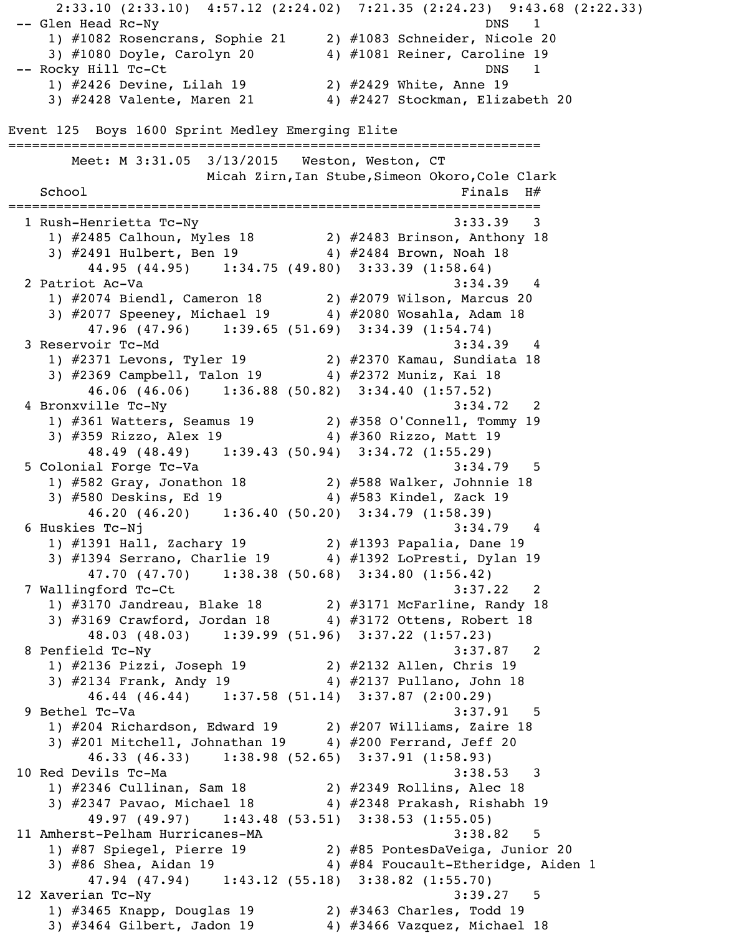2:33.10 (2:33.10) 4:57.12 (2:24.02) 7:21.35 (2:24.23) 9:43.68 (2:22.33) -- Glen Head Rc-Ny DNS 1 1) #1082 Rosencrans, Sophie 21 2) #1083 Schneider, Nicole 20 3) #1080 Doyle, Carolyn 20 4) #1081 Reiner, Caroline 19 -- Rocky Hill Tc-Ct DNS 1 1) #2426 Devine, Lilah 19 2) #2429 White, Anne 19 3) #2428 Valente, Maren 21 4) #2427 Stockman, Elizabeth 20 Event 125 Boys 1600 Sprint Medley Emerging Elite =================================================================== Meet: M 3:31.05 3/13/2015 Weston, Weston, CT Micah Zirn, Ian Stube, Simeon Okoro, Cole Clark  $School$   $Finals$   $H#$ =================================================================== 1 Rush-Henrietta Tc-Ny 3:33.39 3 1) #2485 Calhoun, Myles 18 2) #2483 Brinson, Anthony 18 3) #2491 Hulbert, Ben 19 4) #2484 Brown, Noah 18 44.95 (44.95) 1:34.75 (49.80) 3:33.39 (1:58.64) 2 Patriot Ac-Va 3:34.39 4 1) #2074 Biendl, Cameron 18 2) #2079 Wilson, Marcus 20 3) #2077 Speeney, Michael 19  $\qquad \qquad 4$ ) #2080 Wosahla, Adam 18 47.96 (47.96) 1:39.65 (51.69) 3:34.39 (1:54.74) 3 Reservoir Tc-Md 3:34.39 4 1) #2371 Levons, Tyler 19 2) #2370 Kamau, Sundiata 18 3) #2369 Campbell, Talon 19 4) #2372 Muniz, Kai 18 46.06 (46.06) 1:36.88 (50.82) 3:34.40 (1:57.52) 4 Bronxville Tc-Ny 3:34.72 2 1) #361 Watters, Seamus 19 2) #358 O'Connell, Tommy 19 3) #359 Rizzo, Alex 19 4) #360 Rizzo, Matt 19 48.49 (48.49) 1:39.43 (50.94) 3:34.72 (1:55.29) 5 Colonial Forge Tc-Va 3:34.79 5 1) #582 Gray, Jonathon 18 2) #588 Walker, Johnnie 18 3) #580 Deskins, Ed 19 4) #583 Kindel, Zack 19 46.20 (46.20) 1:36.40 (50.20) 3:34.79 (1:58.39) 6 Huskies Tc-Nj 3:34.79 4 1) #1391 Hall, Zachary 19 2) #1393 Papalia, Dane 19 3) #1394 Serrano, Charlie 19 4) #1392 LoPresti, Dylan 19 47.70 (47.70) 1:38.38 (50.68) 3:34.80 (1:56.42) 7 Wallingford Tc-Ct 3:37.22 2 1) #3170 Jandreau, Blake 18 2) #3171 McFarline, Randy 18 3) #3169 Crawford, Jordan 18 4) #3172 Ottens, Robert 18 48.03 (48.03) 1:39.99 (51.96) 3:37.22 (1:57.23) 8 Penfield Tc-Ny 3:37.87 2 1) #2136 Pizzi, Joseph 19 2) #2132 Allen, Chris 19 3) #2134 Frank, Andy 19 4) #2137 Pullano, John 18 46.44 (46.44) 1:37.58 (51.14) 3:37.87 (2:00.29) 9 Bethel Tc-Va 3:37.91 5 1) #204 Richardson, Edward 19 2) #207 Williams, Zaire 18 3) #201 Mitchell, Johnathan 19 4) #200 Ferrand, Jeff 20 46.33 (46.33) 1:38.98 (52.65) 3:37.91 (1:58.93) 10 Red Devils Tc-Ma 3:38.53 3 1) #2346 Cullinan, Sam 18 2) #2349 Rollins, Alec 18 3) #2347 Pavao, Michael 18 4) #2348 Prakash, Rishabh 19 49.97 (49.97) 1:43.48 (53.51) 3:38.53 (1:55.05) 11 Amherst-Pelham Hurricanes-MA 3:38.82 5 1) #87 Spiegel, Pierre 19 2) #85 PontesDaVeiga, Junior 20 3) #86 Shea, Aidan 19 4) #84 Foucault-Etheridge, Aiden 1 47.94 (47.94) 1:43.12 (55.18) 3:38.82 (1:55.70) 12 Xaverian Tc-Ny 3:39.27 5 1) #3465 Knapp, Douglas 19 2) #3463 Charles, Todd 19 3) #3464 Gilbert, Jadon 19 4) #3466 Vazquez, Michael 18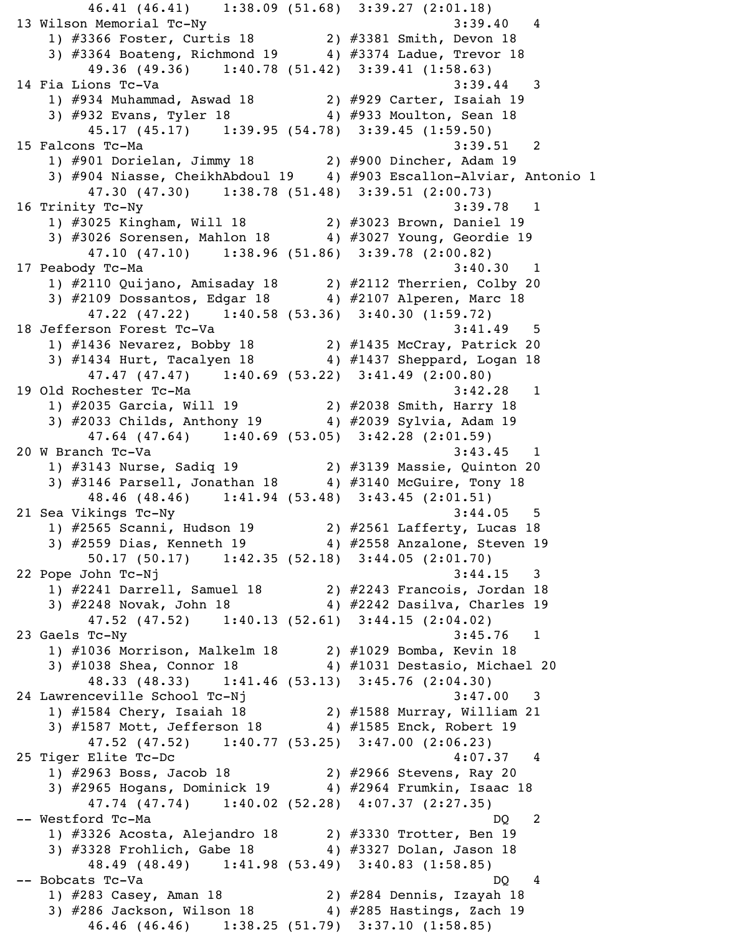46.41 (46.41) 1:38.09 (51.68) 3:39.27 (2:01.18) 13 Wilson Memorial Tc-Ny 3:39.40 4 1) #3366 Foster, Curtis 18 2) #3381 Smith, Devon 18 3) #3364 Boateng, Richmond 19 4) #3374 Ladue, Trevor 18 49.36 (49.36) 1:40.78 (51.42) 3:39.41 (1:58.63) 14 Fia Lions Tc-Va 3:39.44 3 1) #934 Muhammad, Aswad 18 2) #929 Carter, Isaiah 19 3) #932 Evans, Tyler 18 4) #933 Moulton, Sean 18 45.17 (45.17) 1:39.95 (54.78) 3:39.45 (1:59.50) 15 Falcons Tc-Ma 3:39.51 2 1) #901 Dorielan, Jimmy 18 2) #900 Dincher, Adam 19 3) #904 Niasse, CheikhAbdoul 19 4) #903 Escallon-Alviar, Antonio 1 47.30 (47.30) 1:38.78 (51.48) 3:39.51 (2:00.73) 16 Trinity Tc-Ny 3:39.78 1 1) #3025 Kingham, Will 18 2) #3023 Brown, Daniel 19 3) #3026 Sorensen, Mahlon 18 4) #3027 Young, Geordie 19 47.10 (47.10) 1:38.96 (51.86) 3:39.78 (2:00.82) 17 Peabody Tc-Ma 3:40.30 1 1) #2110 Quijano, Amisaday 18 2) #2112 Therrien, Colby 20 3) #2109 Dossantos, Edgar 18 4) #2107 Alperen, Marc 18 47.22 (47.22) 1:40.58 (53.36) 3:40.30 (1:59.72) 18 Jefferson Forest Tc-Va 3:41.49 5 1) #1436 Nevarez, Bobby 18 2) #1435 McCray, Patrick 20 3) #1434 Hurt, Tacalyen 18 4) #1437 Sheppard, Logan 18 47.47 (47.47) 1:40.69 (53.22) 3:41.49 (2:00.80) 19 Old Rochester Tc-Ma 3:42.28 1 1) #2035 Garcia, Will 19 2) #2038 Smith, Harry 18 3) #2033 Childs, Anthony 19 4) #2039 Sylvia, Adam 19 47.64 (47.64) 1:40.69 (53.05) 3:42.28 (2:01.59) 20 W Branch Tc-Va 3:43.45 1 1) #3143 Nurse, Sadiq 19 2) #3139 Massie, Quinton 20 3) #3146 Parsell, Jonathan 18 4) #3140 McGuire, Tony 18 48.46 (48.46) 1:41.94 (53.48) 3:43.45 (2:01.51) 21 Sea Vikings Tc-Ny 3:44.05 5 1) #2565 Scanni, Hudson 19 2) #2561 Lafferty, Lucas 18 3) #2559 Dias, Kenneth 19 4) #2558 Anzalone, Steven 19 50.17 (50.17) 1:42.35 (52.18) 3:44.05 (2:01.70) 22 Pope John Tc-Nj 3:44.15 3 1) #2241 Darrell, Samuel 18 2) #2243 Francois, Jordan 18 3) #2248 Novak, John 18 4) #2242 Dasilva, Charles 19 47.52 (47.52) 1:40.13 (52.61) 3:44.15 (2:04.02) 23 Gaels Tc-Ny 3:45.76 1 1) #1036 Morrison, Malkelm 18 2) #1029 Bomba, Kevin 18 3) #1038 Shea, Connor 18 4) #1031 Destasio, Michael 20 48.33 (48.33) 1:41.46 (53.13) 3:45.76 (2:04.30) 24 Lawrenceville School Tc-Nj 3:47.00 3 1) #1584 Chery, Isaiah 18 2) #1588 Murray, William 21 3) #1587 Mott, Jefferson 18 4) #1585 Enck, Robert 19 47.52 (47.52) 1:40.77 (53.25) 3:47.00 (2:06.23) 25 Tiger Elite Tc-Dc 4:07.37 4 1) #2963 Boss, Jacob 18 2) #2966 Stevens, Ray 20 3) #2965 Hogans, Dominick 19 4) #2964 Frumkin, Isaac 18 47.74 (47.74) 1:40.02 (52.28) 4:07.37 (2:27.35) -- Westford Tc-Ma DQ 2 1) #3326 Acosta, Alejandro 18 2) #3330 Trotter, Ben 19 3) #3328 Frohlich, Gabe 18 4) #3327 Dolan, Jason 18 48.49 (48.49) 1:41.98 (53.49) 3:40.83 (1:58.85) -- Bobcats Tc-Va DQ 4 1) #283 Casey, Aman 18 2) #284 Dennis, Izayah 18 3) #286 Jackson, Wilson 18 4) #285 Hastings, Zach 19 46.46 (46.46) 1:38.25 (51.79) 3:37.10 (1:58.85)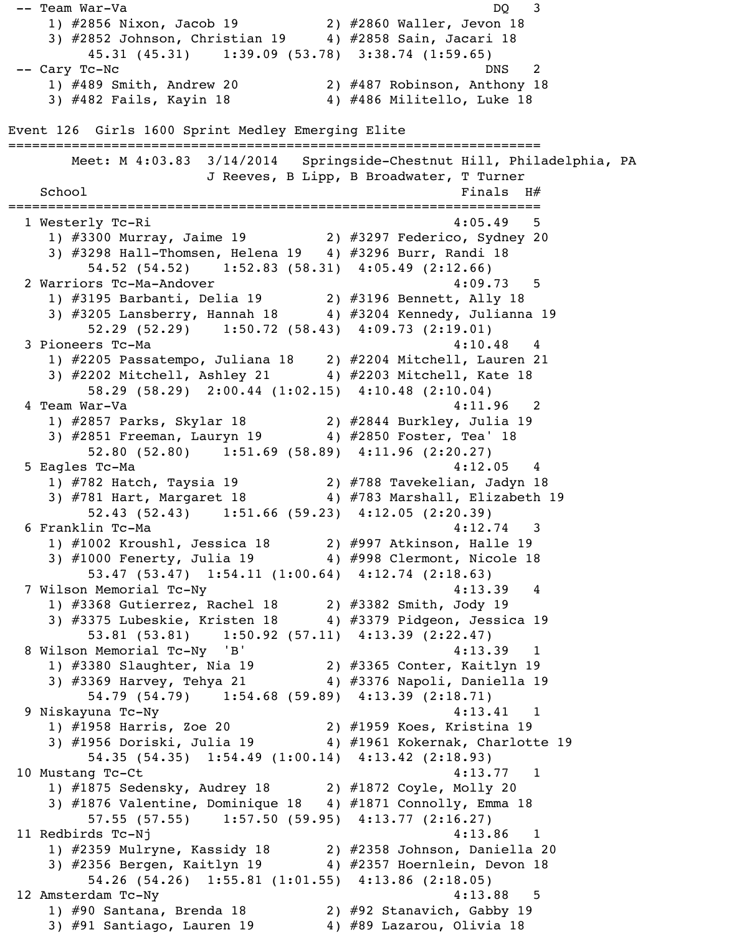1) #2856 Nixon, Jacob 19 2) #2860 Waller, Jevon 18 3) #2852 Johnson, Christian 19 4) #2858 Sain, Jacari 18 45.31 (45.31) 1:39.09 (53.78) 3:38.74 (1:59.65) -- Cary Tc-Nc DNS 2 1) #489 Smith, Andrew 20 2) #487 Robinson, Anthony 18 3) #482 Fails, Kayin 18 4) #486 Militello, Luke 18 Event 126 Girls 1600 Sprint Medley Emerging Elite =================================================================== Meet: M 4:03.83 3/14/2014 Springside-Chestnut Hill, Philadelphia, PA J Reeves, B Lipp, B Broadwater, T Turner  $School$   $Finals$   $H#$ =================================================================== 1 Westerly Tc-Ri 4:05.49 5 1) #3300 Murray, Jaime 19 2) #3297 Federico, Sydney 20 3) #3298 Hall-Thomsen, Helena 19 4) #3296 Burr, Randi 18 54.52 (54.52) 1:52.83 (58.31) 4:05.49 (2:12.66) 2 Warriors Tc-Ma-Andover 4:09.73 5 1) #3195 Barbanti, Delia 19 2) #3196 Bennett, Ally 18 3) #3205 Lansberry, Hannah 18 4) #3204 Kennedy, Julianna 19 52.29 (52.29) 1:50.72 (58.43) 4:09.73 (2:19.01) 3 Pioneers Tc-Ma 4:10.48 4:10.48 4 1) #2205 Passatempo, Juliana 18 2) #2204 Mitchell, Lauren 21 3) #2202 Mitchell, Ashley 21 4) #2203 Mitchell, Kate 18 58.29 (58.29) 2:00.44 (1:02.15) 4:10.48 (2:10.04) 4 Team War-Va 4:11.96 2 1) #2857 Parks, Skylar 18 2) #2844 Burkley, Julia 19 3) #2851 Freeman, Lauryn 19 4) #2850 Foster, Tea' 18 52.80 (52.80) 1:51.69 (58.89) 4:11.96 (2:20.27) 5 Eagles Tc-Ma 4:12.05 4 1) #782 Hatch, Taysia 19 2) #788 Tavekelian, Jadyn 18 3) #781 Hart, Margaret 18 4) #783 Marshall, Elizabeth 19 52.43 (52.43) 1:51.66 (59.23) 4:12.05 (2:20.39) 6 Franklin Tc-Ma 4:12.74 3 1) #1002 Kroushl, Jessica 18 2) #997 Atkinson, Halle 19 3) #1000 Fenerty, Julia 19 4) #998 Clermont, Nicole 18 53.47 (53.47) 1:54.11 (1:00.64) 4:12.74 (2:18.63) 7 Wilson Memorial Tc-Ny 1981 120 120 121 13.39 4 1) #3368 Gutierrez, Rachel 18 2) #3382 Smith, Jody 19 3) #3375 Lubeskie, Kristen 18 4) #3379 Pidgeon, Jessica 19 53.81 (53.81) 1:50.92 (57.11) 4:13.39 (2:22.47) 8 Wilson Memorial Tc-Ny 'B' 4:13.39 1 1) #3380 Slaughter, Nia 19 2) #3365 Conter, Kaitlyn 19 3) #3369 Harvey, Tehya 21 4) #3376 Napoli, Daniella 19 54.79 (54.79) 1:54.68 (59.89) 4:13.39 (2:18.71) 9 Niskayuna Tc-Ny 4:13.41 1 1) #1958 Harris, Zoe 20 2) #1959 Koes, Kristina 19 3) #1956 Doriski, Julia 19  $\qquad \qquad \qquad$  4) #1961 Kokernak, Charlotte 19 54.35 (54.35) 1:54.49 (1:00.14) 4:13.42 (2:18.93) 10 Mustang Tc-Ct 4:13.77 1 1) #1875 Sedensky, Audrey 18 2) #1872 Coyle, Molly 20 3) #1876 Valentine, Dominique 18 4) #1871 Connolly, Emma 18 57.55 (57.55) 1:57.50 (59.95) 4:13.77 (2:16.27) 11 Redbirds Tc-Nj 4:13.86 1 1) #2359 Mulryne, Kassidy 18 2) #2358 Johnson, Daniella 20  $\begin{array}{c} \text{3) } \#2356 \text{ Bergen, }$  Kaitlyn 19  $\begin{array}{c} \text{4) } \#2357 \text{ Hoernlein, } \end{array}$  Devon 18 54.26 (54.26) 1:55.81 (1:01.55) 4:13.86 (2:18.05) 12 Amsterdam Tc-Ny 4:13.88 5 1) #90 Santana, Brenda 18 2) #92 Stanavich, Gabby 19 3) #91 Santiago, Lauren 19  $\overline{4}$  +89 Lazarou, Olivia 18

-- Team War-Va DQ 3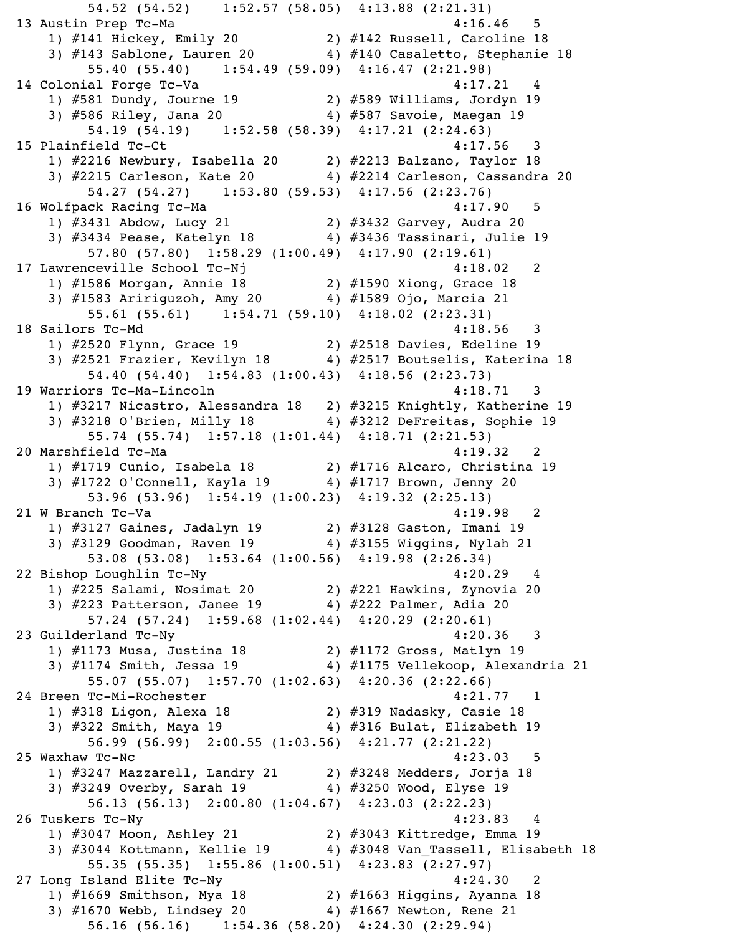54.52 (54.52) 1:52.57 (58.05) 4:13.88 (2:21.31) 13 Austin Prep Tc-Ma  $4:16.46$  5 1) #141 Hickey, Emily 20 2) #142 Russell, Caroline 18 3) #143 Sablone, Lauren 20 4) #140 Casaletto, Stephanie 18 55.40 (55.40) 1:54.49 (59.09) 4:16.47 (2:21.98) 14 Colonial Forge Tc-Va 4:17.21 4 1) #581 Dundy, Journe 19 2) #589 Williams, Jordyn 19 3) #586 Riley, Jana 20 4) #587 Savoie, Maegan 19 54.19 (54.19) 1:52.58 (58.39) 4:17.21 (2:24.63) 15 Plainfield Tc-Ct 4:17.56 3 1) #2216 Newbury, Isabella 20 2) #2213 Balzano, Taylor 18 3) #2215 Carleson, Kate 20 4) #2214 Carleson, Cassandra 20 54.27 (54.27) 1:53.80 (59.53) 4:17.56 (2:23.76) 16 Wolfpack Racing Tc-Ma  $4:17.90$  5 1) #3431 Abdow, Lucy 21 2) #3432 Garvey, Audra 20 3) #3434 Pease, Katelyn 18 4) #3436 Tassinari, Julie 19 57.80 (57.80) 1:58.29 (1:00.49) 4:17.90 (2:19.61) 17 Lawrenceville School Tc-Nj 17 2 1) #1586 Morgan, Annie 18 2) #1590 Xiong, Grace 18 3) #1583 Aririguzoh, Amy 20 4) #1589 Ojo, Marcia 21 55.61 (55.61) 1:54.71 (59.10) 4:18.02 (2:23.31) 18 Sailors Tc-Md 4:18.56 3 1) #2520 Flynn, Grace 19 2) #2518 Davies, Edeline 19 3) #2521 Frazier, Kevilyn 18 4) #2517 Boutselis, Katerina 18 54.40 (54.40) 1:54.83 (1:00.43) 4:18.56 (2:23.73) 19 Warriors Tc-Ma-Lincoln 4:18.71 3 1) #3217 Nicastro, Alessandra 18 2) #3215 Knightly, Katherine 19 3) #3218 O'Brien, Milly 18 4) #3212 DeFreitas, Sophie 19 55.74 (55.74) 1:57.18 (1:01.44) 4:18.71 (2:21.53) 20 Marshfield Tc-Ma 32 20 Marshfield Tc-Ma 1) #1719 Cunio, Isabela 18 2) #1716 Alcaro, Christina 19 3) #1722 O'Connell, Kayla 19  $\qquad \qquad$  4) #1717 Brown, Jenny 20 53.96 (53.96) 1:54.19 (1:00.23) 4:19.32 (2:25.13) 21 W Branch Tc-Va 2012 12:19.98 2 1) #3127 Gaines, Jadalyn 19 2) #3128 Gaston, Imani 19 3) #3129 Goodman, Raven 19 4) #3155 Wiggins, Nylah 21 53.08 (53.08) 1:53.64 (1:00.56) 4:19.98 (2:26.34) 22 Bishop Loughlin Tc-Ny 4:20.29 4 1) #225 Salami, Nosimat 20 2) #221 Hawkins, Zynovia 20 3) #223 Patterson, Janee 19 4) #222 Palmer, Adia 20 57.24 (57.24) 1:59.68 (1:02.44) 4:20.29 (2:20.61) 23 Guilderland Tc-Ny 4:20.36 3 1) #1173 Musa, Justina 18 2) #1172 Gross, Matlyn 19 3) #1174 Smith, Jessa 19 4) #1175 Vellekoop, Alexandria 21 55.07 (55.07) 1:57.70 (1:02.63) 4:20.36 (2:22.66) 24 Breen Tc-Mi-Rochester 4:21.77 1 1) #318 Ligon, Alexa 18 2) #319 Nadasky, Casie 18 3) #322 Smith, Maya 19 4) #316 Bulat, Elizabeth 19 56.99 (56.99) 2:00.55 (1:03.56) 4:21.77 (2:21.22) 25 Waxhaw Tc-Nc 4:23.03 5 1) #3247 Mazzarell, Landry 21 2) #3248 Medders, Jorja 18 3) #3249 Overby, Sarah 19 4) #3250 Wood, Elyse 19 56.13 (56.13) 2:00.80 (1:04.67) 4:23.03 (2:22.23) 26 Tuskers Tc-Ny 4:23.83 4 1) #3047 Moon, Ashley 21 2) #3043 Kittredge, Emma 19 3) #3044 Kottmann, Kellie 19 4) #3048 Van\_Tassell, Elisabeth 18 55.35 (55.35) 1:55.86 (1:00.51) 4:23.83 (2:27.97) 27 Long Island Elite Tc-Ny 1:24.30 2 1) #1669 Smithson, Mya 18 2) #1663 Higgins, Ayanna 18 3) #1670 Webb, Lindsey 20 4) #1667 Newton, Rene 21 56.16 (56.16) 1:54.36 (58.20) 4:24.30 (2:29.94)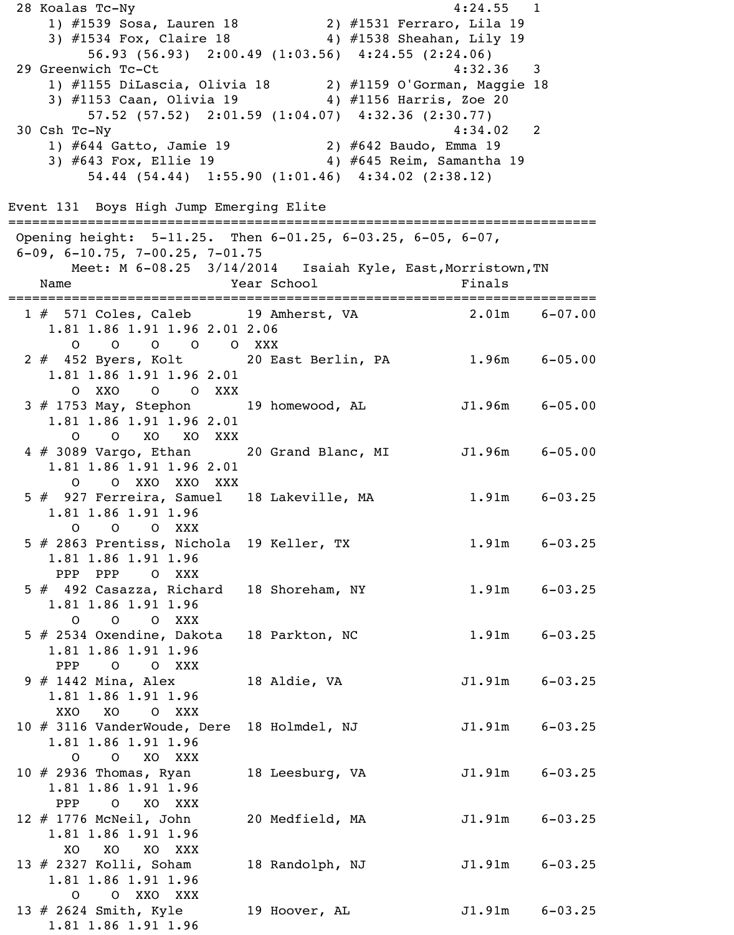28 Koalas Tc-Ny 4:24.55 1 1) #1539 Sosa, Lauren 18 2) #1531 Ferraro, Lila 19 3) #1534 Fox, Claire 18 4) #1538 Sheahan, Lily 19 56.93 (56.93) 2:00.49 (1:03.56) 4:24.55 (2:24.06) 29 Greenwich Tc-Ct 4:32.36 3 1) #1155 DiLascia, Olivia 18 2) #1159 O'Gorman, Maggie 18 3) #1153 Caan, Olivia 19 4) #1156 Harris, Zoe 20 57.52 (57.52) 2:01.59 (1:04.07) 4:32.36 (2:30.77) 30 Csh Tc-Ny 4:34.02 2 1) #644 Gatto, Jamie 19 2) #642 Baudo, Emma 19 3) #643 Fox, Ellie 19 4) #645 Reim, Samantha 19 54.44 (54.44) 1:55.90 (1:01.46) 4:34.02 (2:38.12) Event 131 Boys High Jump Emerging Elite ========================================================================== Opening height: 5-11.25. Then 6-01.25, 6-03.25, 6-05, 6-07, 6-09, 6-10.75, 7-00.25, 7-01.75 Meet: M 6-08.25 3/14/2014 Isaiah Kyle, East, Morristown, TN Name Tear School Finals ========================================================================== 1 # 571 Coles, Caleb 19 Amherst, VA 2.01m 6-07.00 1.81 1.86 1.91 1.96 2.01 2.06 O O O O O XXX 2 # 452 Byers, Kolt 20 East Berlin, PA 1.96m 6-05.00 1.81 1.86 1.91 1.96 2.01 O XXO O O XXX 3 # 1753 May, Stephon 19 homewood, AL 51.96m 6-05.00 1.81 1.86 1.91 1.96 2.01 O O XO XO XXX 4 # 3089 Vargo, Ethan 20 Grand Blanc, MI J1.96m 6-05.00 1.81 1.86 1.91 1.96 2.01 O O XXO XXO XXX 5 # 927 Ferreira, Samuel 18 Lakeville, MA 1.91m 6-03.25 1.81 1.86 1.91 1.96 O O O XXX 5 # 2863 Prentiss, Nichola 19 Keller, TX 1.91m 6-03.25 1.81 1.86 1.91 1.96 PPP PPP O XXX 5 # 492 Casazza, Richard 18 Shoreham, NY 1.91m 6-03.25 1.81 1.86 1.91 1.96 O O O XXX 5 # 2534 Oxendine, Dakota 18 Parkton, NC 1.91m 6-03.25 1.81 1.86 1.91 1.96 PPP O O XXX 9 # 1442 Mina, Alex 18 Aldie, VA J1.91m 6-03.25 1.81 1.86 1.91 1.96 XXO XO O XXX 10 # 3116 VanderWoude, Dere 18 Holmdel, NJ 31.91m 6-03.25 1.81 1.86 1.91 1.96 O O XO XXX 10 # 2936 Thomas, Ryan 18 Leesburg, VA J1.91m 6-03.25 1.81 1.86 1.91 1.96 PPP O XO XXX 12 # 1776 McNeil, John 20 Medfield, MA J1.91m 6-03.25 1.81 1.86 1.91 1.96 XO XO XO XXX 13 # 2327 Kolli, Soham 18 Randolph, NJ J1.91m 6-03.25 1.81 1.86 1.91 1.96 O O XXO XXX 13 # 2624 Smith, Kyle 19 Hoover, AL J1.91m 6-03.25 1.81 1.86 1.91 1.96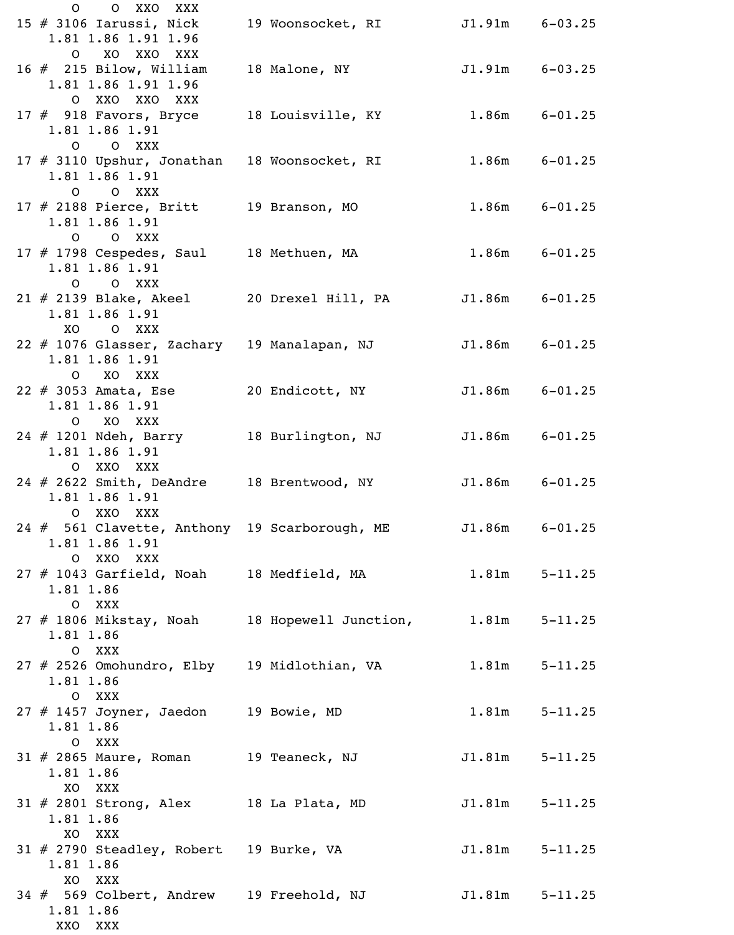| O XXO XXX<br>$\mathsf{O}$                                           |                   |                    |                   |
|---------------------------------------------------------------------|-------------------|--------------------|-------------------|
| 15 $#$ 3106 Iarussi, Nick<br>1.81 1.86 1.91 1.96                    | 19 Woonsocket, RI | $J1.91m$ $6-03.25$ |                   |
| O XO XXO XXX                                                        |                   |                    |                   |
| 16 $#$ 215 Bilow, William<br>1.81 1.86 1.91 1.96                    | 18 Malone, NY     | $J1.91m$ $6-03.25$ |                   |
| O XXO XXO XXX                                                       |                   |                    |                   |
| 17 # 918 Favors, Bryce 18 Louisville, KY                            |                   | $1.86m$ $6-01.25$  |                   |
| 1.81 1.86 1.91<br>O O XXX                                           |                   |                    |                   |
| 17 # 3110 Upshur, Jonathan 18 Woonsocket, RI                        |                   |                    | $1.86m$ $6-01.25$ |
| 1.81 1.86 1.91                                                      |                   |                    |                   |
| O O XXX                                                             |                   |                    |                   |
| $17 \# 2188$ Pierce, Britt 19 Branson, MO<br>1.81 1.86 1.91         |                   |                    | $1.86m$ $6-01.25$ |
| O O XXX                                                             |                   |                    |                   |
| 17 # 1798 Cespedes, Saul 18 Methuen, MA                             |                   |                    | $1.86m$ $6-01.25$ |
| 1.81 1.86 1.91                                                      |                   |                    |                   |
| O O XXX<br>21 # 2139 Blake, Akeel 20 Drexel Hill, PA                |                   | $J1.86m$ $6-01.25$ |                   |
| 1.81 1.86 1.91                                                      |                   |                    |                   |
| XO OXXX                                                             |                   |                    |                   |
| 22 # 1076 Glasser, Zachary 19 Manalapan, NJ                         |                   | $J1.86m$ $6-01.25$ |                   |
| 1.81 1.86 1.91<br>O XO XXX                                          |                   |                    |                   |
| 22 $#$ 3053 Amata, Ese                                              | 20 Endicott, NY   | $J1.86m$ $6-01.25$ |                   |
| 1.81 1.86 1.91                                                      |                   |                    |                   |
| O XO XXX                                                            |                   |                    |                   |
| 24 # 1201 Ndeh, Barry<br>1.81 1.86 1.91                             | 18 Burlington, NJ | $J1.86m$ $6-01.25$ |                   |
| O XXO XXX                                                           |                   |                    |                   |
| 24 # 2622 Smith, DeAndre 18 Brentwood, NY                           |                   | $J1.86m$ $6-01.25$ |                   |
| 1.81 1.86 1.91<br>O XXO XXX                                         |                   |                    |                   |
| 24 # 561 Clavette, Anthony 19 Scarborough, ME J1.86m 6-01.25        |                   |                    |                   |
| 1.81 1.86 1.91                                                      |                   |                    |                   |
| O XXO XXX                                                           |                   |                    |                   |
| 27 # 1043 Garfield, Noah 18 Medfield, MA 1.81m 5-11.25<br>1.81 1.86 |                   |                    |                   |
| O XXX                                                               |                   |                    |                   |
| 27 # 1806 Mikstay, Noah 18 Hopewell Junction, 1.81m 5-11.25         |                   |                    |                   |
| 1.81 1.86<br>O XXX                                                  |                   |                    |                   |
| 27 # 2526 Omohundro, Elby 19 Midlothian, VA                         |                   |                    | $1.81m$ $5-11.25$ |
| 1.81 1.86                                                           |                   |                    |                   |
| O XXX                                                               |                   |                    |                   |
| 27 # 1457 Joyner, Jaedon 19 Bowie, MD<br>1.81 1.86                  |                   |                    | $1.81m$ $5-11.25$ |
| O XXX                                                               |                   |                    |                   |
| $31 \# 2865$ Maure, Roman 19 Teaneck, NJ                            |                   | $J1.81m$ $5-11.25$ |                   |
| 1.81 1.86                                                           |                   |                    |                   |
| XO XXX<br>$31 \# 2801$ Strong, Alex 18 La Plata, MD                 |                   | $J1.81m$ $5-11.25$ |                   |
| 1.81 1.86                                                           |                   |                    |                   |
| XO XXX                                                              |                   |                    |                   |
| 31 # 2790 Steadley, Robert 19 Burke, VA<br>1.81 1.86                |                   | $J1.81m$ $5-11.25$ |                   |
| XO XXX                                                              |                   |                    |                   |
| 34 # 569 Colbert, Andrew 19 Freehold, NJ                            |                   | $J1.81m$ $5-11.25$ |                   |
| 1.81 1.86                                                           |                   |                    |                   |
| XXO<br>XXX                                                          |                   |                    |                   |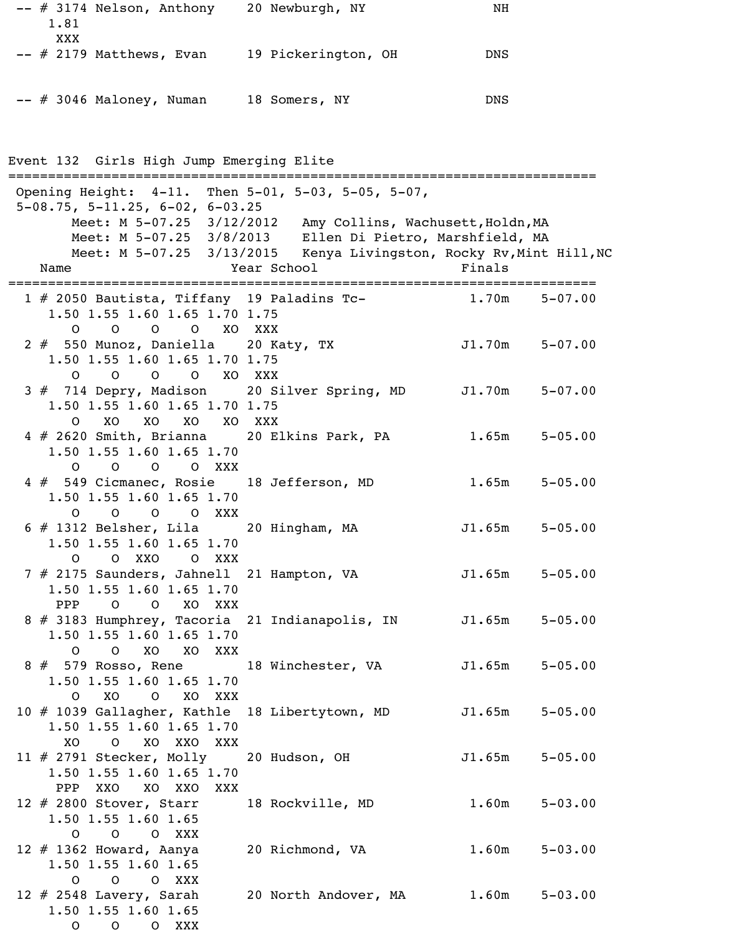| $--$ # 3174 Nelson, Anthony | 20 Newburgh, NY     | ΝH  |
|-----------------------------|---------------------|-----|
| 1.81                        |                     |     |
| XXX                         |                     |     |
| $--$ # 2179 Matthews, Evan  | 19 Pickerington, OH | DNS |
|                             |                     |     |
| $--$ # 3046 Maloney, Numan  | 18 Somers, NY       | DNS |
|                             |                     |     |

Event 132 Girls High Jump Emerging Elite

| Opening Height: 4-11. Then 5-01, 5-03, 5-05, 5-07,                               |                                                                     |                    |             |
|----------------------------------------------------------------------------------|---------------------------------------------------------------------|--------------------|-------------|
| $5-08.75$ , $5-11.25$ , $6-02$ , $6-03.25$                                       |                                                                     |                    |             |
|                                                                                  | Meet: M 5-07.25 3/12/2012 Amy Collins, Wachusett, Holdn, MA         |                    |             |
|                                                                                  | Meet: M 5-07.25 3/8/2013 Ellen Di Pietro, Marshfield, MA            |                    |             |
|                                                                                  | Meet: M 5-07.25 3/13/2015 Kenya Livingston, Rocky Rv, Mint Hill, NC |                    |             |
| Name                                                                             | Year School                                                         | Finals             |             |
|                                                                                  |                                                                     |                    |             |
| 1 # 2050 Bautista, Tiffany 19 Paladins Tc-                                       | $1.70m$ $5-07.00$                                                   |                    |             |
| 1.50 1.55 1.60 1.65 1.70 1.75                                                    |                                                                     |                    |             |
| O O O XO XXX<br>$\overline{O}$                                                   |                                                                     |                    |             |
| 2 # 550 Munoz, Daniella 20 Katy, TX                                              |                                                                     | $J1.70m$ $5-07.00$ |             |
| 1.50 1.55 1.60 1.65 1.70 1.75                                                    |                                                                     |                    |             |
| 0 0 0 0 XO XXX                                                                   |                                                                     |                    |             |
| 3 # 714 Depry, Madison 20 Silver Spring, MD J1.70m 5-07.00                       |                                                                     |                    |             |
| 1.50 1.55 1.60 1.65 1.70 1.75                                                    |                                                                     |                    |             |
| xo xo xo xo xxx<br>$\Omega$                                                      |                                                                     |                    |             |
| 4 # 2620 Smith, Brianna 20 Elkins Park, PA                                       |                                                                     | 1.65m              | $5 - 05.00$ |
| 1.50 1.55 1.60 1.65 1.70                                                         |                                                                     |                    |             |
| $\circ$<br>O O O XXX                                                             |                                                                     |                    |             |
| 4 # 549 Cicmanec, Rosie 18 Jefferson, MD                                         |                                                                     | 1.65m              | $5 - 05.00$ |
| 1.50 1.55 1.60 1.65 1.70                                                         |                                                                     |                    |             |
| 0 0 0 0 XXX                                                                      |                                                                     |                    |             |
| $6 \# 1312$ Belsher, Lila 20 Hingham, MA                                         |                                                                     | $J1.65m$ $5-05.00$ |             |
| 1.50 1.55 1.60 1.65 1.70                                                         |                                                                     |                    |             |
| O O XXO O XXX                                                                    |                                                                     |                    |             |
| 7 # 2175 Saunders, Jahnell 21 Hampton, VA                                        |                                                                     | J1.65m             | $5 - 05.00$ |
| 1.50 1.55 1.60 1.65 1.70                                                         |                                                                     |                    |             |
| O O XO XXX<br>PPP                                                                |                                                                     |                    |             |
| 8 # 3183 Humphrey, Tacoria 21 Indianapolis, IN                                   |                                                                     | J1.65m             | $5 - 05.00$ |
| 1.50 1.55 1.60 1.65 1.70                                                         |                                                                     |                    |             |
| O O XO XO XXX                                                                    |                                                                     |                    |             |
| 8 # 579 Rosso, Rene 18 Winchester, VA 51.65m 5-05.00<br>1.50 1.55 1.60 1.65 1.70 |                                                                     |                    |             |
|                                                                                  |                                                                     |                    |             |
| O XO O XO XXX                                                                    |                                                                     |                    |             |
| 10 # 1039 Gallagher, Kathle 18 Libertytown, MD                                   |                                                                     | $J1.65m$ $5-05.00$ |             |
| 1.50 1.55 1.60 1.65 1.70                                                         |                                                                     |                    |             |
| XO<br>O XO XXO XXX                                                               |                                                                     |                    |             |
| 11 # 2791 Stecker, Molly 20 Hudson, OH                                           |                                                                     | $J1.65m$ $5-05.00$ |             |
| 1.50 1.55 1.60 1.65 1.70<br>PPP XXO XO XXO XXX                                   |                                                                     |                    |             |
|                                                                                  |                                                                     |                    |             |
| 12 # 2800 Stover, Starr 18 Rockville, MD<br>1.50 1.55 1.60 1.65                  |                                                                     | $1.60m$ $5-03.00$  |             |
| O O O XXX                                                                        |                                                                     |                    |             |
| 12 # 1362 Howard, Aanya 20 Richmond, VA                                          |                                                                     | $1.60m$ $5-03.00$  |             |
| 1.50 1.55 1.60 1.65                                                              |                                                                     |                    |             |
| O O O XXX                                                                        |                                                                     |                    |             |
| 12 # 2548 Lavery, Sarah 20 North Andover, MA 1.60m 5-03.00                       |                                                                     |                    |             |
| 1.50 1.55 1.60 1.65                                                              |                                                                     |                    |             |
|                                                                                  |                                                                     |                    |             |
| O O O XXX                                                                        |                                                                     |                    |             |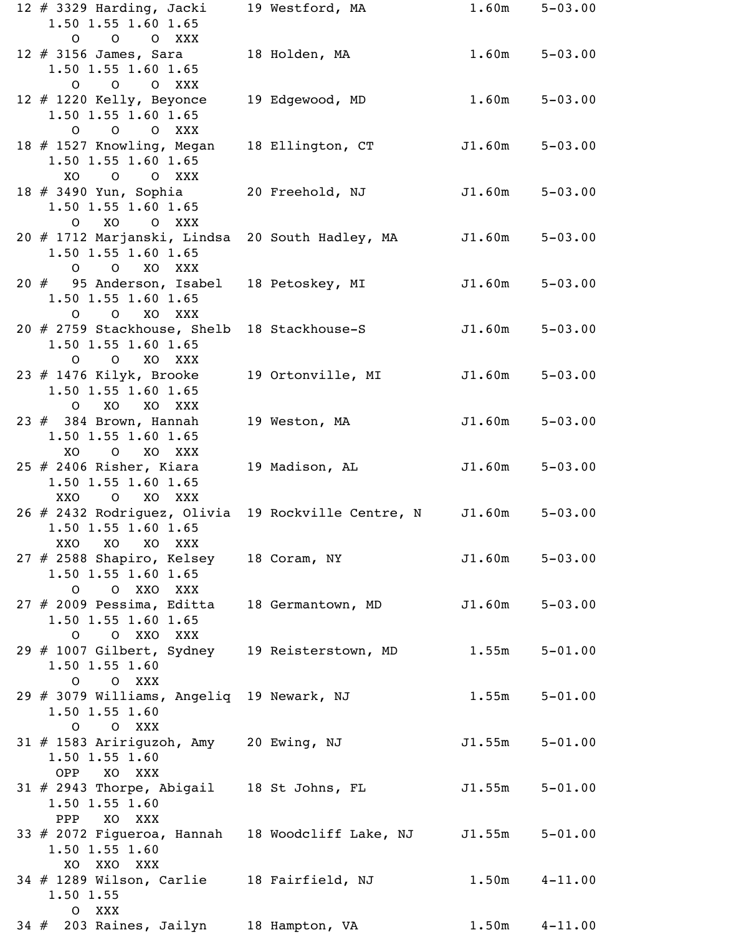|     | 12 $#$ 3329 Harding, Jacki<br>1.50 1.55 1.60 1.65<br>O O O XXX                                 | 19 Westford, MA                       | 1.60m              | $5 - 03.00$       |
|-----|------------------------------------------------------------------------------------------------|---------------------------------------|--------------------|-------------------|
|     | $12$ # 3156 James, Sara<br>1.50 1.55 1.60 1.65<br>O O O XXX                                    | 18 Holden, MA                         | 1.60m              | $5 - 03.00$       |
|     | 12 $#$ 1220 Kelly, Beyonce<br>1.50 1.55 1.60 1.65<br>O O O XXX                                 | 19 Edgewood, MD                       | 1.60m              | $5 - 03.00$       |
|     | 18 # 1527 Knowling, Megan<br>1.50 1.55 1.60 1.65<br>XO<br>$\overline{O}$<br>O XXX              | 18 Ellington, CT                      | J1.60m             | $5 - 03.00$       |
|     | 18 # 3490 Yun, Sophia<br>1.50 1.55 1.60 1.65<br>O XO O XXX                                     | 20 Freehold, NJ                       | J1.60m             | $5 - 03.00$       |
|     | 20 # 1712 Marjanski, Lindsa<br>1.50 1.55 1.60 1.65<br>O O XO XXX                               | 20 South Hadley, MA                   | J1.60m             | $5 - 03.00$       |
|     | 20 # 95 Anderson, Isabel<br>1.50 1.55 1.60 1.65<br>O O XO XXX                                  | 18 Petoskey, MI                       | J1.60m             | $5 - 03.00$       |
|     | 20 # 2759 Stackhouse, Shelb<br>1.50 1.55 1.60 1.65<br>$\overline{O}$<br>XO XXX<br>$\mathsf{O}$ | 18 Stackhouse-S                       | J1.60m             | $5 - 03.00$       |
|     | 23 # 1476 Kilyk, Brooke<br>1.50 1.55 1.60 1.65<br>O XO XO XXX                                  | 19 Ortonville, MI                     | J1.60m             | $5 - 03.00$       |
|     | $23$ $#$ 384 Brown, Hannah<br>1.50 1.55 1.60 1.65<br>XO<br>O XO XXX                            | 19 Weston, MA                         | J1.60m             | $5 - 03.00$       |
|     | 25 # 2406 Risher, Kiara<br>1.50 1.55 1.60 1.65<br>XXO O XO XXX                                 | 19 Madison, AL                        | J1.60m             | $5 - 03.00$       |
|     | 26 # 2432 Rodriguez, Olivia<br>1.50 1.55 1.60 1.65<br>XXO<br><b>XO</b><br>XO XXX               | 19 Rockville Centre, N J1.60m 5-03.00 |                    |                   |
|     | 27 # 2588 Shapiro, Kelsey<br>1.50 1.55 1.60 1.65<br>O O XXO XXX                                | 18 Coram, NY                          | J1.60m             | $5 - 03.00$       |
|     | $27$ $\#$ 2009 Pessima, Editta<br>1.50 1.55 1.60 1.65<br>O XXO XXX<br>$\overline{O}$           | 18 Germantown, MD J1.60m 5-03.00      |                    |                   |
|     | 29 # 1007 Gilbert, Sydney 19 Reisterstown, MD 1.55m 5-01.00<br>$1.50$ 1.55 1.60<br>O O XXX     |                                       |                    |                   |
|     | 29 # 3079 Williams, Angeliq 19 Newark, NJ<br>$1.50$ 1.55 1.60<br>O O XXX                       |                                       |                    | $1.55m$ $5-01.00$ |
|     | 31 # 1583 Aririguzoh, Amy 20 Ewing, NJ<br>$1.50$ 1.55 1.60<br>OPP XO XXX                       |                                       | $J1.55m$ $5-01.00$ |                   |
|     | $31$ # 2943 Thorpe, Abigail 18 St Johns, FL<br>$1.50$ 1.55 1.60<br>XO XXX<br>PPP               |                                       | $J1.55m$ $5-01.00$ |                   |
|     | 33 # 2072 Figueroa, Hannah 18 Woodcliff Lake, NJ<br>$1.50$ 1.55 1.60<br>XO XXO XXX             |                                       | $J1.55m$ $5-01.00$ |                   |
|     | 34 # 1289 Wilson, Carlie 18 Fairfield, NJ 1.50m 4-11.00<br>1.50 1.55<br>O XXX                  |                                       |                    |                   |
| 34# | 203 Raines, Jailyn                                                                             | 18 Hampton, VA                        | 1.50m              | $4 - 11.00$       |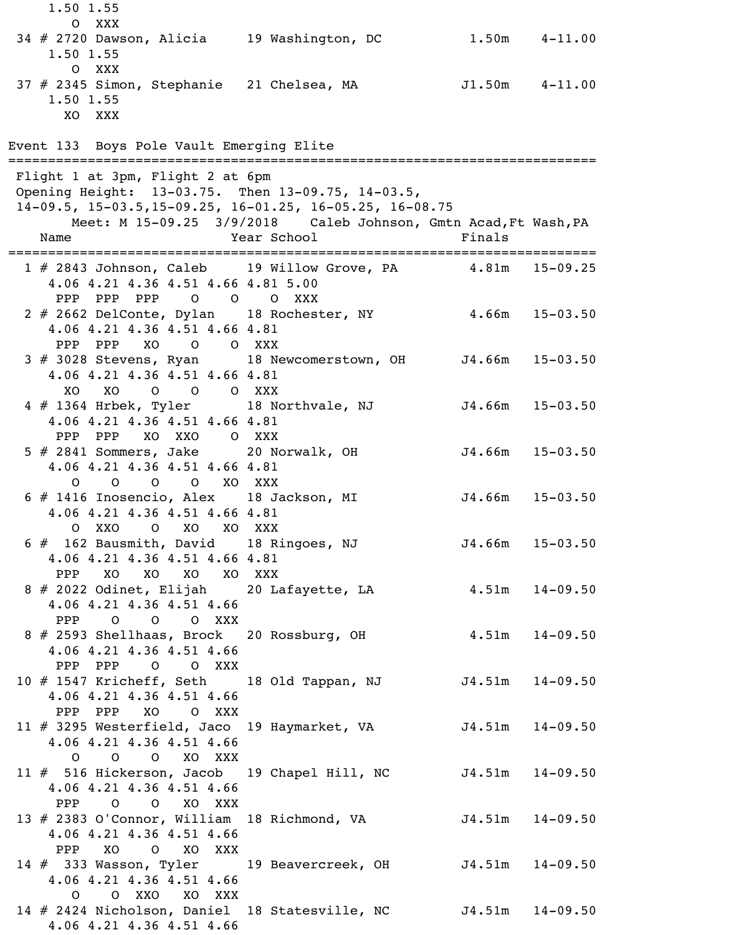O XXX 34 # 2720 Dawson, Alicia 19 Washington, DC 1.50m 4-11.00 1.50 1.55 O XXX 37 # 2345 Simon, Stephanie 21 Chelsea, MA J1.50m 4-11.00 1.50 1.55 XO XXX Event 133 Boys Pole Vault Emerging Elite ========================================================================== Flight 1 at 3pm, Flight 2 at 6pm Opening Height: 13-03.75. Then 13-09.75, 14-03.5, 14-09.5, 15-03.5,15-09.25, 16-01.25, 16-05.25, 16-08.75 Meet: M 15-09.25 3/9/2018 Caleb Johnson, Gmtn Acad, Ft Wash, PA Name Year School Finals ========================================================================== 1 # 2843 Johnson, Caleb 19 Willow Grove, PA 4.81m 15-09.25 4.06 4.21 4.36 4.51 4.66 4.81 5.00 PPP PPP PPP 0 0 0 XXX 2 # 2662 DelConte, Dylan 18 Rochester, NY 4.66m 15-03.50 4.06 4.21 4.36 4.51 4.66 4.81 PPP PPP XO O O XXX 3 # 3028 Stevens, Ryan 18 Newcomerstown, OH J4.66m 15-03.50 4.06 4.21 4.36 4.51 4.66 4.81 XO XO O O O XXX 4 # 1364 Hrbek, Tyler 18 Northvale, NJ J4.66m 15-03.50 4.06 4.21 4.36 4.51 4.66 4.81 PPP PPP XO XXO O XXX 5 # 2841 Sommers, Jake 20 Norwalk, OH J4.66m 15-03.50 4.06 4.21 4.36 4.51 4.66 4.81 O O O O XO XXX 6 # 1416 Inosencio, Alex 18 Jackson, MI J4.66m 15-03.50 4.06 4.21 4.36 4.51 4.66 4.81 O XXO O XO XO XXX 6 # 162 Bausmith, David 18 Ringoes, NJ J4.66m 15-03.50 4.06 4.21 4.36 4.51 4.66 4.81 PPP XO XO XO XO XXX 8 # 2022 Odinet, Elijah 20 Lafayette, LA 4.51m 14-09.50 4.06 4.21 4.36 4.51 4.66 PPP O O O XXX 8 # 2593 Shellhaas, Brock 20 Rossburg, OH 4.51m 14-09.50 4.06 4.21 4.36 4.51 4.66 PPP PPP O O XXX 10 # 1547 Kricheff, Seth 18 Old Tappan, NJ J4.51m 14-09.50 4.06 4.21 4.36 4.51 4.66 PPP PPP XO O XXX 11 # 3295 Westerfield, Jaco 19 Haymarket, VA J4.51m 14-09.50 4.06 4.21 4.36 4.51 4.66 O O O XO XXX 11 # 516 Hickerson, Jacob 19 Chapel Hill, NC J4.51m 14-09.50 4.06 4.21 4.36 4.51 4.66 PPP O O XO XXX 13 # 2383 O'Connor, William 18 Richmond, VA J4.51m 14-09.50 4.06 4.21 4.36 4.51 4.66 PPP XO O XO XXX 14 # 333 Wasson, Tyler 19 Beavercreek, OH J4.51m 14-09.50 4.06 4.21 4.36 4.51 4.66 O O XXO XO XXX 14 # 2424 Nicholson, Daniel 18 Statesville, NC J4.51m 14-09.50 4.06 4.21 4.36 4.51 4.66

1.50 1.55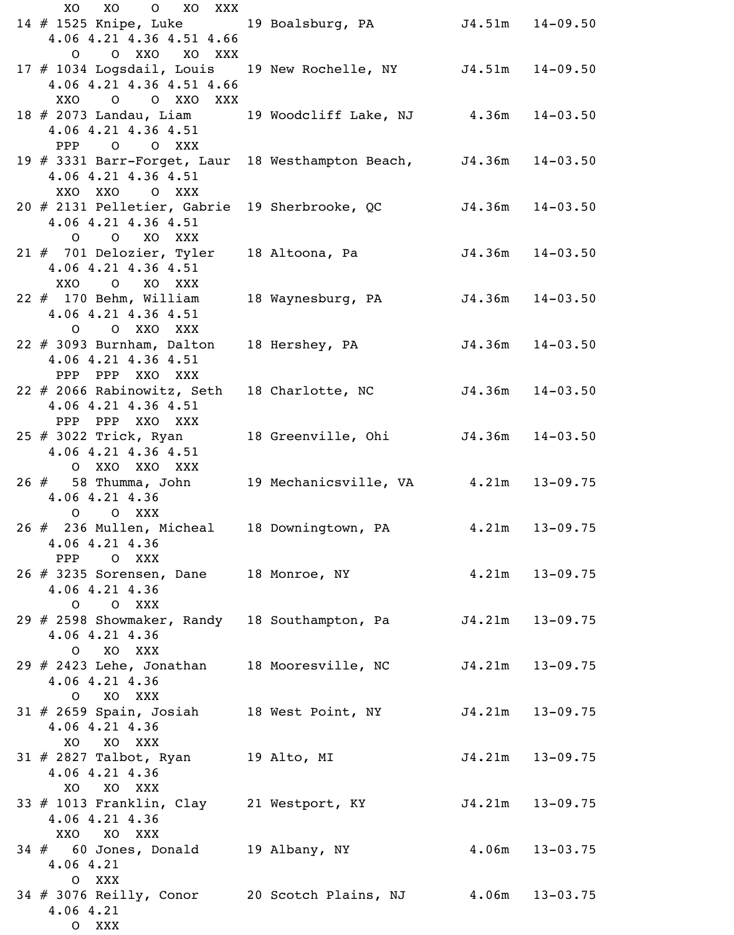XO XO O XO XXX 14 # 1525 Knipe, Luke 19 Boalsburg, PA J4.51m 14-09.50 4.06 4.21 4.36 4.51 4.66 O O XXO XO XXX 17 # 1034 Logsdail, Louis 19 New Rochelle, NY J4.51m 14-09.50 4.06 4.21 4.36 4.51 4.66 XXO O O XXO XXX 18 # 2073 Landau, Liam 19 Woodcliff Lake, NJ 4.36m 14-03.50 4.06 4.21 4.36 4.51 PPP O O XXX 19 # 3331 Barr-Forget, Laur 18 Westhampton Beach, J4.36m 14-03.50 4.06 4.21 4.36 4.51 XXO XXO O XXX 20 # 2131 Pelletier, Gabrie 19 Sherbrooke, QC J4.36m 14-03.50 4.06 4.21 4.36 4.51 O O XO XXX 21 # 701 Delozier, Tyler 18 Altoona, Pa 54.36m 14-03.50 4.06 4.21 4.36 4.51 XXO O XO XXX 22 # 170 Behm, William 18 Waynesburg, PA 54.36m 14-03.50 4.06 4.21 4.36 4.51 O O XXO XXX 22 # 3093 Burnham, Dalton 18 Hershey, PA 54.36m 14-03.50 4.06 4.21 4.36 4.51 PPP PPP XXO XXX 22 # 2066 Rabinowitz, Seth 18 Charlotte, NC J4.36m 14-03.50 4.06 4.21 4.36 4.51 PPP PPP XXO XXX 111 111 (11) 000<br>25 # 3022 Trick, Ryan 18 Greenville, Ohi J4.36m 14-03.50 4.06 4.21 4.36 4.51 O XXO XXO XXX 26 # 58 Thumma, John 19 Mechanicsville, VA 4.21m 13-09.75 4.06 4.21 4.36 O O XXX 26 # 236 Mullen, Micheal 18 Downingtown, PA 4.21m 13-09.75 4.06 4.21 4.36 PPP O XXX 26 # 3235 Sorensen, Dane 18 Monroe, NY 4.21m 13-09.75 4.06 4.21 4.36 O O XXX 29 # 2598 Showmaker, Randy 18 Southampton, Pa 54.21m 13-09.75 4.06 4.21 4.36 O XO XXX 29 # 2423 Lehe, Jonathan 18 Mooresville, NC J4.21m 13-09.75 4.06 4.21 4.36 O XO XXX 31 # 2659 Spain, Josiah 18 West Point, NY J4.21m 13-09.75 4.06 4.21 4.36 XO XO XXX 31 # 2827 Talbot, Ryan 19 Alto, MI J4.21m 13-09.75 4.06 4.21 4.36 XO XO XXX 33 # 1013 Franklin, Clay 21 Westport, KY J4.21m 13-09.75 4.06 4.21 4.36 XXO XO XXX 34 # 60 Jones, Donald 19 Albany, NY 4.06m 13-03.75 4.06 4.21 O XXX 34 # 3076 Reilly, Conor 20 Scotch Plains, NJ 4.06m 13-03.75 4.06 4.21 O XXX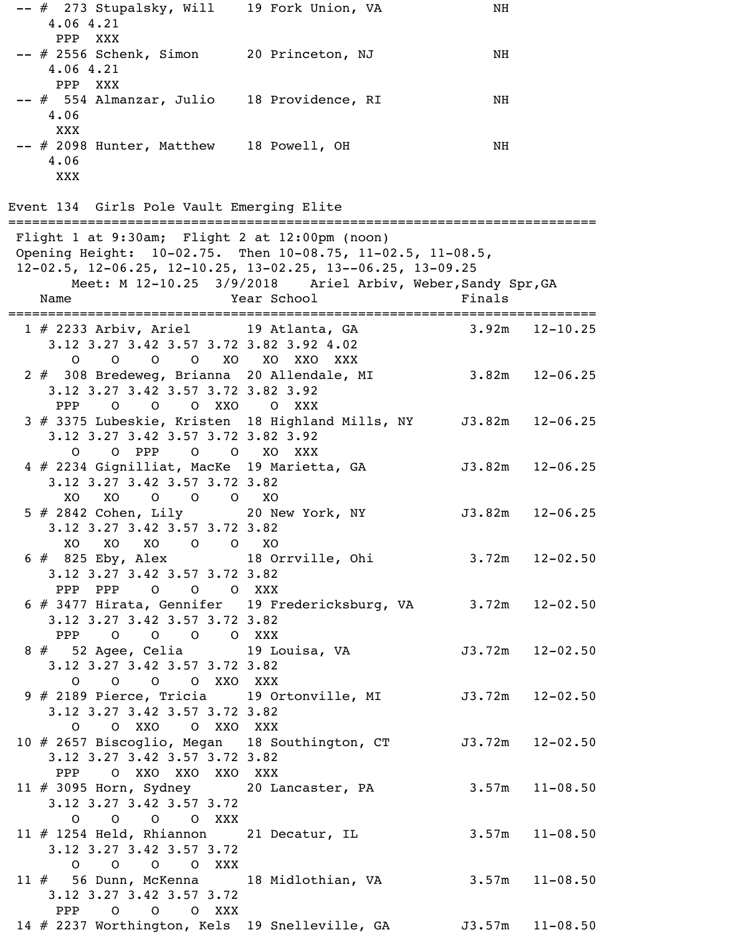-- # 273 Stupalsky, Will 19 Fork Union, VA NH 4.06 4.21 PPP XXX -- # 2556 Schenk, Simon 20 Princeton, NJ NH 4.06 4.21 PPP XXX -- # 554 Almanzar, Julio 18 Providence, RI NH 4.06 XXX -- # 2098 Hunter, Matthew 18 Powell, OH NH 4.06 XXX

Event 134 Girls Pole Vault Emerging Elite

========================================================================== Flight 1 at 9:30am; Flight 2 at 12:00pm (noon) Opening Height: 10-02.75. Then 10-08.75, 11-02.5, 11-08.5, 12-02.5, 12-06.25, 12-10.25, 13-02.25, 13--06.25, 13-09.25 Meet: M 12-10.25 3/9/2018 Ariel Arbiv, Weber, Sandy Spr, GA Name **Year School** Finals ========================================================================== 1 # 2233 Arbiv, Ariel 19 Atlanta, GA 3.92m 12-10.25 3.12 3.27 3.42 3.57 3.72 3.82 3.92 4.02 O O O O XO XO XXO XXX 2 # 308 Bredeweg, Brianna 20 Allendale, MI 3.82m 12-06.25 3.12 3.27 3.42 3.57 3.72 3.82 3.92 PPP O O O XXO O XXX 3 # 3375 Lubeskie, Kristen 18 Highland Mills, NY J3.82m 12-06.25 3.12 3.27 3.42 3.57 3.72 3.82 3.92 O O PPP O O XO XXX 4 # 2234 Gignilliat, MacKe 19 Marietta, GA 53.82m 12-06.25 3.12 3.27 3.42 3.57 3.72 3.82 XO XO O O O XO 5 # 2842 Cohen, Lily 20 New York, NY J3.82m 12-06.25 3.12 3.27 3.42 3.57 3.72 3.82 XO XO XO O O XO 6 # 825 Eby, Alex 18 Orrville, Ohi 3.72m 12-02.50 3.12 3.27 3.42 3.57 3.72 3.82 PPP PPP O O O XXX 6 # 3477 Hirata, Gennifer 19 Fredericksburg, VA 3.72m 12-02.50 3.12 3.27 3.42 3.57 3.72 3.82 PPP O O O O XXX 8 # 52 Agee, Celia 19 Louisa, VA J3.72m 12-02.50 3.12 3.27 3.42 3.57 3.72 3.82 O O O O XXO XXX 9 # 2189 Pierce, Tricia 19 Ortonville, MI J3.72m 12-02.50 3.12 3.27 3.42 3.57 3.72 3.82 O O XXO O XXO XXX 10 # 2657 Biscoglio, Megan 18 Southington, CT J3.72m 12-02.50 3.12 3.27 3.42 3.57 3.72 3.82 PPP O XXO XXO XXO XXX 11 # 3095 Horn, Sydney 20 Lancaster, PA 3.57m 11-08.50 3.12 3.27 3.42 3.57 3.72 O O O O XXX 11 # 1254 Held, Rhiannon 21 Decatur, IL 3.57m 11-08.50 3.12 3.27 3.42 3.57 3.72 O O O O XXX 11 # 56 Dunn, McKenna 18 Midlothian, VA 3.57m 11-08.50 3.12 3.27 3.42 3.57 3.72 PPP O O O XXX 14 # 2237 Worthington, Kels 19 Snelleville, GA J3.57m 11-08.50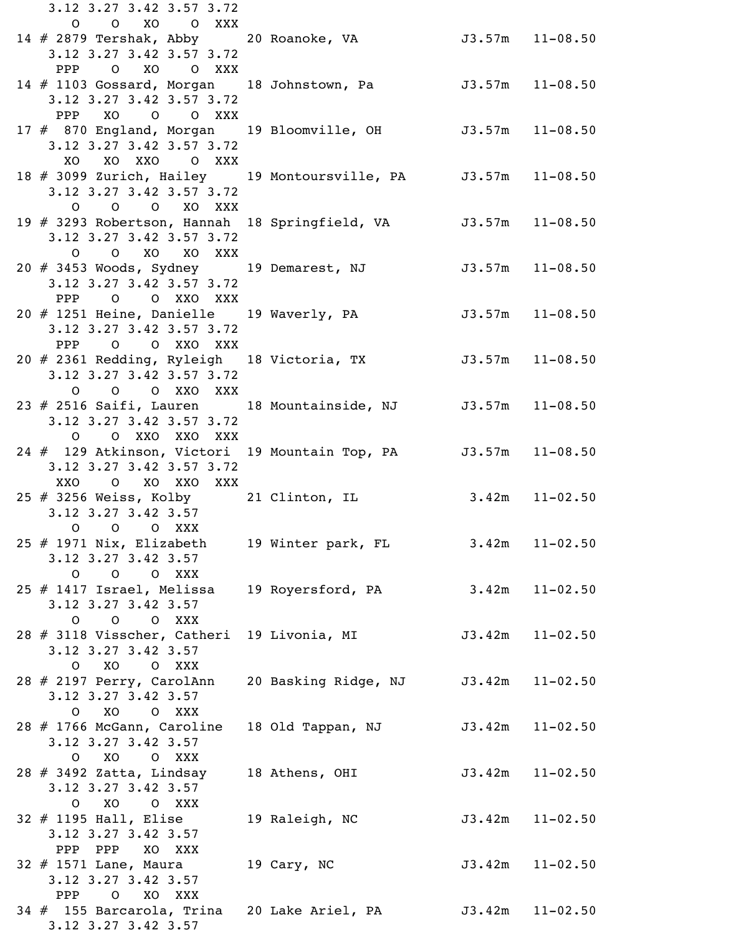3.12 3.27 3.42 3.57 3.72 O O XO O XXX 14 # 2879 Tershak, Abby 20 Roanoke, VA 33.57m 11-08.50 3.12 3.27 3.42 3.57 3.72 PPP O XO O XXX 14 # 1103 Gossard, Morgan 18 Johnstown, Pa J3.57m 11-08.50 3.12 3.27 3.42 3.57 3.72 PPP XO O O XXX 17 # 870 England, Morgan 19 Bloomville, OH J3.57m 11-08.50 3.12 3.27 3.42 3.57 3.72 XO XO XXO O XXX 18 # 3099 Zurich, Hailey 19 Montoursville, PA J3.57m 11-08.50 3.12 3.27 3.42 3.57 3.72 O O O XO XXX 19 # 3293 Robertson, Hannah 18 Springfield, VA J3.57m 11-08.50 3.12 3.27 3.42 3.57 3.72 O O XO XO XXX 20 # 3453 Woods, Sydney 19 Demarest, NJ 53.57m 11-08.50 3.12 3.27 3.42 3.57 3.72 PPP O O XXO XXX 20 # 1251 Heine, Danielle 19 Waverly, PA 53.57m 11-08.50 3.12 3.27 3.42 3.57 3.72 PPP O O XXO XXX 20 # 2361 Redding, Ryleigh 18 Victoria, TX J3.57m 11-08.50 3.12 3.27 3.42 3.57 3.72 O O O XXO XXX 23 # 2516 Saifi, Lauren 18 Mountainside, NJ J3.57m 11-08.50 3.12 3.27 3.42 3.57 3.72 O O XXO XXO XXX 24 # 129 Atkinson, Victori 19 Mountain Top, PA J3.57m 11-08.50 3.12 3.27 3.42 3.57 3.72 XXO O XO XXO XXX 25 # 3256 Weiss, Kolby 21 Clinton, IL 3.42m 11-02.50 3.12 3.27 3.42 3.57 O O O XXX 25 # 1971 Nix, Elizabeth 19 Winter park, FL 3.42m 11-02.50 3.12 3.27 3.42 3.57 O O O XXX 25 # 1417 Israel, Melissa 19 Royersford, PA 3.42m 11-02.50 3.12 3.27 3.42 3.57 O O O XXX 28 # 3118 Visscher, Catheri 19 Livonia, MI 53.42m 11-02.50 3.12 3.27 3.42 3.57 O XO O XXX 28 # 2197 Perry, CarolAnn 20 Basking Ridge, NJ J3.42m 11-02.50 3.12 3.27 3.42 3.57 O XO O XXX 28 # 1766 McGann, Caroline 18 Old Tappan, NJ J3.42m 11-02.50 3.12 3.27 3.42 3.57 O XO O XXX 28 # 3492 Zatta, Lindsay 18 Athens, OHI 33.42m 11-02.50 3.12 3.27 3.42 3.57 O XO O XXX 32 # 1195 Hall, Elise 19 Raleigh, NC J3.42m 11-02.50 3.12 3.27 3.42 3.57 PPP PPP XO XXX 32 # 1571 Lane, Maura 19 Cary, NC J3.42m 11-02.50 3.12 3.27 3.42 3.57 PPP O XO XXX 34 # 155 Barcarola, Trina 20 Lake Ariel, PA J3.42m 11-02.50 3.12 3.27 3.42 3.57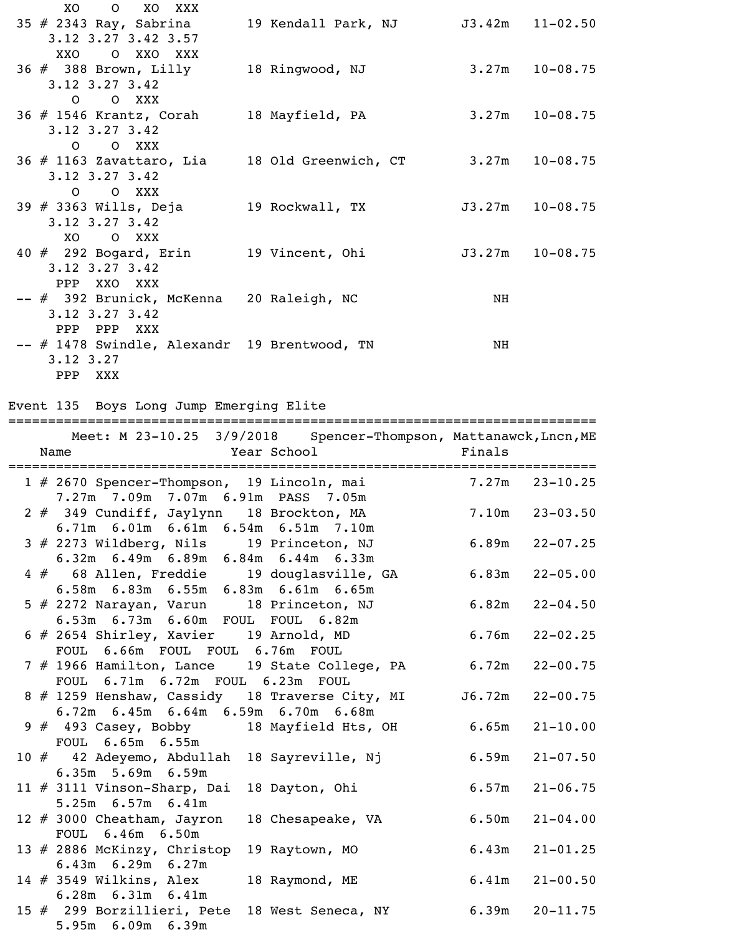| XO<br>O XO XXX<br>35 # 2343 Ray, Sabrina 19 Kendall Park, NJ 3.42m 11-02.50<br>3.12 3.27 3.42 3.57                        |                     |                     |
|---------------------------------------------------------------------------------------------------------------------------|---------------------|---------------------|
| O XXO XXX<br>XXO<br>36 # 388 Brown, Lilly 18 Ringwood, NJ<br>$3.12$ $3.27$ $3.42$                                         | $3.27m$ $10-08.75$  |                     |
| O O XXX<br>36 # 1546 Krantz, Corah 18 Mayfield, PA<br>$3.12$ $3.27$ $3.42$                                                |                     | $3.27m$ $10-08.75$  |
| O XXX<br>$\overline{O}$<br>$36 \# 1163$ Zavattaro, Lia $18$ Old Greenwich, CT $3.27$ m $10-08.75$<br>$3.12$ $3.27$ $3.42$ |                     |                     |
| O O XXX<br>39 # 3363 Wills, Deja                19 Rockwall, TX<br>3.12 3.27 3.42                                         | $J3.27m$ $10-08.75$ |                     |
| XO.<br>O XXX<br>40 # 292 Bogard, Erin 19 Vincent, Ohi<br>$3.12$ $3.27$ $3.42$                                             |                     | $J3.27m$ $10-08.75$ |
| PPP XXO XXX<br>-- # 392 Brunick, McKenna 20 Raleigh, NC                                                                   | NH                  |                     |
| $3.12$ $3.27$ $3.42$<br>PPP<br>PPP XXX<br>-- # 1478 Swindle, Alexandr 19 Brentwood, TN<br>$3.12 \, 3.27$                  | NH                  |                     |
| PPP XXX                                                                                                                   |                     |                     |

### Event 135 Boys Long Jump Emerging Elite

|  | Meet: M 23-10.25 3/9/2018 Spencer-Thompson, Mattanawck, Lncn, ME<br>Year School<br>Name      | Finals |                    |
|--|----------------------------------------------------------------------------------------------|--------|--------------------|
|  | 1 # 2670 Spencer-Thompson, 19 Lincoln, mai<br>7.27m 7.09m 7.07m 6.91m PASS 7.05m             | 7.27m  | $23 - 10.25$       |
|  | 2 # 349 Cundiff, Jaylynn 18 Brockton, MA<br>6.71m 6.01m 6.61m 6.54m 6.51m 7.10m              |        | $7.10m$ $23-03.50$ |
|  | 3 # 2273 Wildberg, Nils 19 Princeton, NJ<br>6.32m 6.49m 6.89m 6.84m 6.44m 6.33m              | 6.89m  | $22 - 07.25$       |
|  | 4 # 68 Allen, Freddie<br>19 douglasville, GA<br>6.58m 6.83m 6.55m 6.83m 6.61m 6.65m          |        | $6.83m$ $22-05.00$ |
|  | 5 # 2272 Narayan, Varun<br>18 Princeton, NJ<br>6.53m 6.73m 6.60m FOUL FOUL 6.82m             |        | $6.82m$ $22-04.50$ |
|  | 6 # 2654 Shirley, Xavier 19 Arnold, MD<br>FOUL 6.66m FOUL FOUL 6.76m FOUL                    | 6.76m  | $22 - 02.25$       |
|  | 7 # 1966 Hamilton, Lance 19 State College, PA<br>FOUL 6.71m 6.72m FOUL 6.23m FOUL            | 6.72m  | $22 - 00.75$       |
|  | 8 # 1259 Henshaw, Cassidy 18 Traverse City, MI J6.72m<br>6.72m 6.45m 6.64m 6.59m 6.70m 6.68m |        | $22 - 00.75$       |
|  | 9 # 493 Casey, Bobby 18 Mayfield Hts, OH 6.65m<br>FOUL 6.65m 6.55m                           |        | $21 - 10.00$       |
|  | 10 # 42 Adeyemo, Abdullah<br>18 Sayreville, Nj<br>6.35m 5.69m 6.59m                          | 6.59m  | $21 - 07.50$       |
|  | 11 # 3111 Vinson-Sharp, Dai<br>18 Dayton, Ohi<br>5.25m 6.57m 6.41m                           | 6.57m  | $21 - 06.75$       |
|  | 12 # 3000 Cheatham, Jayron<br>18 Chesapeake, VA<br>FOUL 6.46m 6.50m                          | 6.50m  | $21 - 04.00$       |
|  | 13 # 2886 McKinzy, Christop<br>19 Raytown, MO<br>$6.43m$ $6.29m$ $6.27m$                     | 6.43m  | $21 - 01.25$       |
|  | 14 $\#$ 3549 Wilkins, Alex<br>18 Raymond, ME<br>6.28m 6.31m 6.41m                            | 6.41m  | $21 - 00.50$       |
|  | 15 # 299 Borzillieri, Pete<br>18 West Seneca, NY<br>5.95m 6.09m 6.39m                        | 6.39m  | $20 - 11.75$       |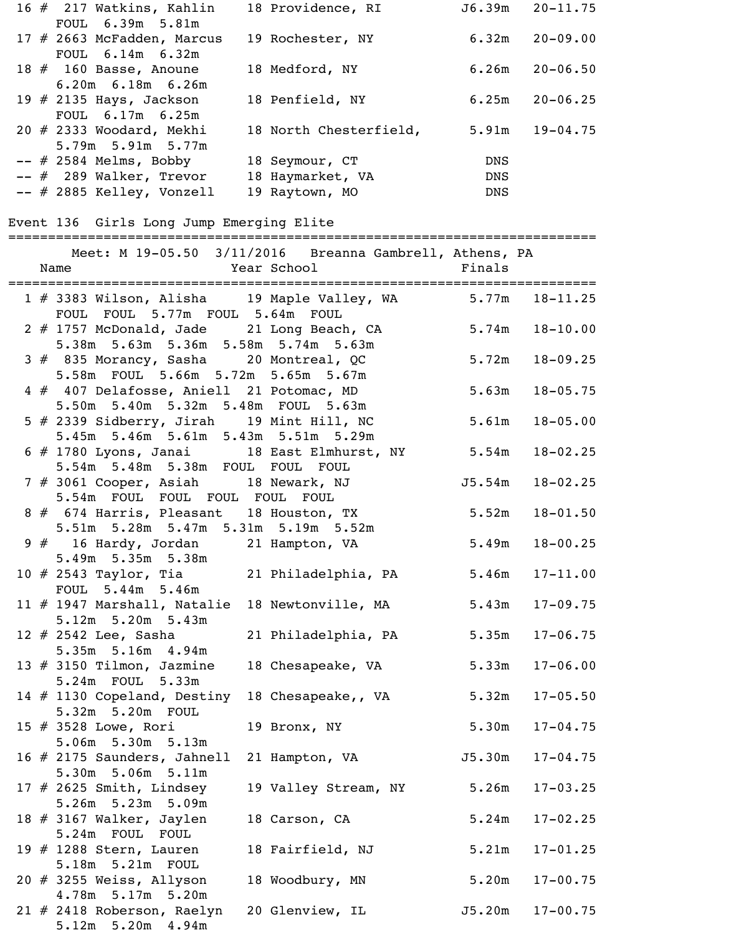| 16 # 217 Watkins, Kahlin    | 18 Providence, RI      | J6.39m     | $20 - 11.75$ |
|-----------------------------|------------------------|------------|--------------|
| FOUL 6.39m 5.81m            |                        |            |              |
| 17 # 2663 McFadden, Marcus  | 19 Rochester, NY       | 6.32m      | $20 - 09.00$ |
| FOUL 6.14m 6.32m            |                        |            |              |
| 18 $#$ 160 Basse, Anoune    | 18 Medford, NY         | 6.26m      | $20 - 06.50$ |
| $6.20m$ $6.18m$ $6.26m$     |                        |            |              |
| 19 $\#$ 2135 Hays, Jackson  | 18 Penfield, NY        | 6.25m      | $20 - 06.25$ |
| FOUL 6.17m 6.25m            |                        |            |              |
| $20$ # 2333 Woodard, Mekhi  | 18 North Chesterfield, | 5.91m      | $19 - 04.75$ |
| 5.79m 5.91m 5.77m           |                        |            |              |
| $--$ # 2584 Melms, Bobby    | 18 Seymour, CT         | <b>DNS</b> |              |
| $--$ # 289 Walker, Trevor   | 18 Haymarket, VA       | DNS        |              |
| $--$ # 2885 Kelley, Vonzell | 19 Raytown, MO         | DNS        |              |

#### Event 136 Girls Long Jump Emerging Elite

========================================================================== Meet: M 19-05.50 3/11/2016 Breanna Gambrell, Athens, PA

|  | 1 # 3383 Wilson, Alisha 19 Maple Valley, WA 5.77m 18-11.25<br>FOUL FOUL 5.77m FOUL 5.64m FOUL |                      |        |              |
|--|-----------------------------------------------------------------------------------------------|----------------------|--------|--------------|
|  | 2 # 1757 McDonald, Jade 21 Long Beach, CA<br>5.38m 5.63m 5.36m 5.58m 5.74m 5.63m              |                      | 5.74m  | $18 - 10.00$ |
|  | 3 # 835 Morancy, Sasha 20 Montreal, QC<br>5.58m FOUL 5.66m 5.72m 5.65m 5.67m                  |                      | 5.72m  | $18 - 09.25$ |
|  | 4 # 407 Delafosse, Aniell 21 Potomac, MD<br>5.50m 5.40m 5.32m 5.48m FOUL 5.63m                |                      | 5.63m  | $18 - 05.75$ |
|  | 5 # 2339 Sidberry, Jirah 19 Mint Hill, NC<br>5.45m 5.46m 5.61m 5.43m 5.51m 5.29m              |                      | 5.61m  | $18 - 05.00$ |
|  | 6 # 1780 Lyons, Janai 18 East Elmhurst, NY 5.54m<br>5.54m 5.48m 5.38m FOUL FOUL FOUL          |                      |        | $18 - 02.25$ |
|  | 7 # 3061 Cooper, Asiah 18 Newark, NJ 5.54m<br>5.54m FOUL FOUL FOUL FOUL FOUL                  |                      |        | $18 - 02.25$ |
|  | 8 # 674 Harris, Pleasant 18 Houston, TX<br>5.51m 5.28m 5.47m 5.31m 5.19m 5.52m                |                      | 5.52m  | $18 - 01.50$ |
|  | 9 # 16 Hardy, Jordan 21 Hampton, VA<br>$5.49m$ $5.35m$ $5.38m$                                |                      | 5.49m  | $18 - 00.25$ |
|  | 10 # 2543 Taylor, Tia and 21 Philadelphia, PA<br>FOUL 5.44m 5.46m                             |                      | 5.46m  | $17 - 11.00$ |
|  | $11$ # 1947 Marshall, Natalie<br>5.12m 5.20m 5.43m                                            | 18 Newtonville, MA   | 5.43m  | $17 - 09.75$ |
|  | 12 # 2542 Lee, Sasha and 21 Philadelphia, PA<br>5.35m 5.16m 4.94m                             |                      | 5.35m  | $17 - 06.75$ |
|  | 13 $#$ 3150 Tilmon, Jazmine<br>5.24m FOUL 5.33m                                               | 18 Chesapeake, VA    | 5.33m  | $17 - 06.00$ |
|  | 14 # 1130 Copeland, Destiny 18 Chesapeake,, VA<br>5.32m 5.20m FOUL                            |                      | 5.32m  | $17 - 05.50$ |
|  | 15 # 3528 Lowe, Rori<br>5.06m 5.30m 5.13m                                                     | 19 Bronx, NY         | 5.30m  | $17 - 04.75$ |
|  | 16 $\#$ 2175 Saunders, Jahnell<br>5.30m 5.06m 5.11m                                           | 21 Hampton, VA       | J5.30m | $17 - 04.75$ |
|  | 17 $#$ 2625 Smith, Lindsey<br>5.26m 5.23m 5.09m                                               | 19 Valley Stream, NY | 5.26m  | $17 - 03.25$ |
|  | 18 $#$ 3167 Walker, Jaylen<br>5.24m FOUL FOUL                                                 | 18 Carson, CA        | 5.24m  | $17 - 02.25$ |
|  | 19 $\#$ 1288 Stern, Lauren<br>5.18m 5.21m FOUL                                                | 18 Fairfield, NJ     | 5.21m  | $17 - 01.25$ |
|  | 20 $\#$ 3255 Weiss, Allyson<br>4.78m 5.17m 5.20m                                              | 18 Woodbury, MN      | 5.20m  | $17 - 00.75$ |
|  | 21 # 2418 Roberson, Raelyn<br>$5.12m$ $5.20m$ $4.94m$                                         | 20 Glenview, IL      | J5.20m | $17 - 00.75$ |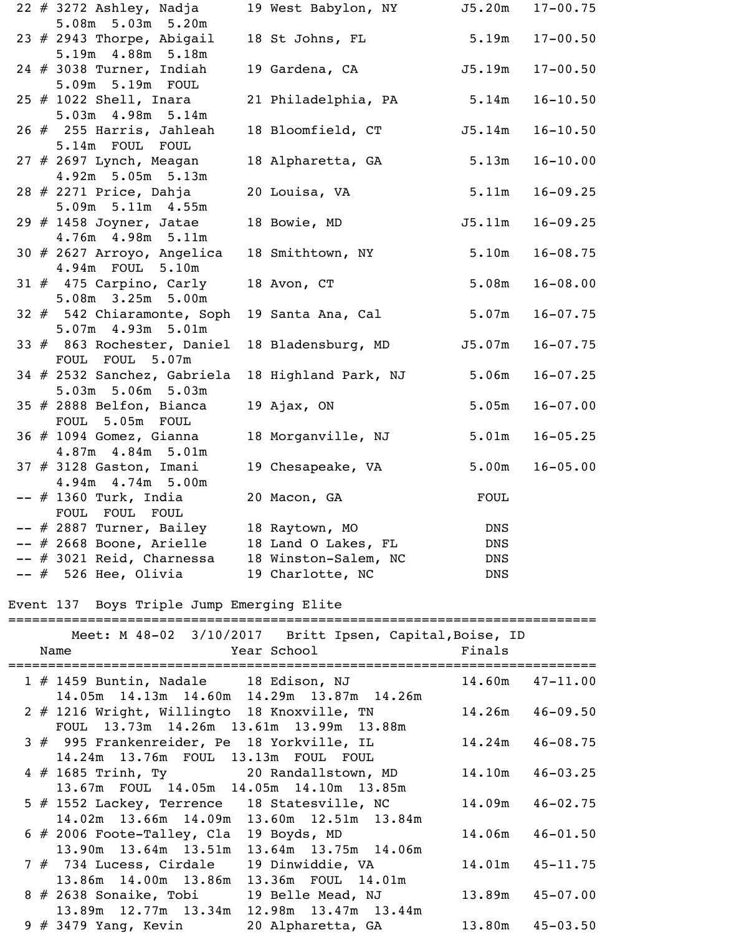|  | $22 \# 3272$ Ashley, Nadja                                                              | 19 West Babylon, NY J5.20m 17-00.75                     |            |                     |
|--|-----------------------------------------------------------------------------------------|---------------------------------------------------------|------------|---------------------|
|  | 5.08m 5.03m 5.20m<br>23 $#$ 2943 Thorpe, Abigail<br>5.19m  4.88m  5.18m                 | 18 St Johns, FL                                         | 5.19m      | $17 - 00.50$        |
|  | $24$ # 3038 Turner, Indiah<br>5.09m 5.19m FOUL                                          | 19 Gardena, CA 55.19m                                   |            | $17 - 00.50$        |
|  | $25$ # 1022 Shell, Inara<br>5.03m 4.98m 5.14m                                           | 21 Philadelphia, PA                                     | 5.14m      | $16 - 10.50$        |
|  | $26$ $#$ 255 Harris, Jahleah<br>5.14m FOUL FOUL                                         | 18 Bloomfield, CT                                       | J5.14m     | $16 - 10.50$        |
|  | $27$ # 2697 Lynch, Meagan<br>4.92m 5.05m 5.13m                                          | 18 Alpharetta, GA                                       | 5.13m      | $16 - 10.00$        |
|  | 28 # 2271 Price, Dahja<br>5.09m 5.11m 4.55m                                             | 20 Louisa, VA                                           | 5.11m      | $16 - 09.25$        |
|  | 29 $\#$ 1458 Joyner, Jatae<br>4.76m  4.98m  5.11m                                       | 18 Bowie, MD                                            | J5.11m     | $16 - 09.25$        |
|  | 30 # 2627 Arroyo, Angelica<br>4.94m FOUL 5.10m                                          | 18 Smithtown, NY                                        | 5.10m      | $16 - 08.75$        |
|  | $31 \# 475$ Carpino, Carly<br>5.08m 3.25m 5.00m                                         | 18 Avon, CT                                             | 5.08m      | $16 - 08.00$        |
|  | 32 # 542 Chiaramonte, Soph<br>5.07m 4.93m 5.01m                                         | 19 Santa Ana, Cal                                       | 5.07m      | $16 - 07.75$        |
|  | 33 # 863 Rochester, Daniel<br>FOUL FOUL 5.07m                                           | 18 Bladensburg, MD                                      | J5.07m     | $16 - 07.75$        |
|  | 34 # 2532 Sanchez, Gabriela<br>5.03m 5.06m 5.03m                                        | 18 Highland Park, NJ                                    | 5.06m      | $16 - 07.25$        |
|  | $35$ # 2888 Belfon, Bianca<br>5.05m FOUL<br>FOUL                                        | 19 Ajax, ON                                             | 5.05m      | $16 - 07.00$        |
|  | $36$ $#$ 1094 Gomez, Gianna<br>4.87m  4.84m  5.01m                                      | 18 Morganville, NJ                                      | 5.01m      | $16 - 05.25$        |
|  | $37$ $\#$ 3128 Gaston, Imani<br>4.94m 4.74m 5.00m                                       | 19 Chesapeake, VA                                       |            | $5.00m$ $16-05.00$  |
|  | -- # 1360 Turk, India<br>FOUL FOUL FOUL                                                 | 20 Macon, GA                                            | FOUL       |                     |
|  | -- # 2887 Turner, Bailey<br>-- # 2668 Boone, Arielle                                    | 18 Raytown, MO<br>18 Land O Lakes, FL                   | DNS<br>DNS |                     |
|  | -- # 3021 Reid, Charnessa                                                               | 18 Winston-Salem, NC                                    | DNS        |                     |
|  | -- # 526 Hee, Olivia                                                                    | 19 Charlotte, NC                                        | DNS        |                     |
|  | Event 137 Boys Triple Jump Emerging Elite<br>=============================              |                                                         |            |                     |
|  |                                                                                         | Meet: M 48-02 3/10/2017 Britt Ipsen, Capital, Boise, ID |            |                     |
|  | Name<br>;==============================                                                 | Year School                                             | Finals     |                     |
|  | 1 # 1459 Buntin, Nadale 18 Edison, NJ<br>14.05m  14.13m  14.60m  14.29m  13.87m  14.26m |                                                         |            | $14.60m$ $47-11.00$ |
|  | 2 # 1216 Wright, Willingto 18 Knoxville, TN<br>FOUL 13.73m 14.26m 13.61m 13.99m 13.88m  |                                                         |            | $14.26m$ $46-09.50$ |
|  | 3 # 995 Frankenreider, Pe 18 Yorkville, IL<br>14.24m 13.76m FOUL 13.13m FOUL FOUL       |                                                         |            | $14.24m$ $46-08.75$ |
|  | 4 # 1685 Trinh. Tv             20 Randallstown. MD           14.10m     46-03.25        |                                                         |            |                     |

| 2 # 1216 Wright, Willingto 18 Knoxville, TN  |                                   | 14.26m              | $46 - 09.50$        |
|----------------------------------------------|-----------------------------------|---------------------|---------------------|
| FOUL 13.73m 14.26m 13.61m 13.99m 13.88m      |                                   |                     |                     |
| 3 # 995 Frankenreider, Pe 18 Yorkville, IL   |                                   |                     | $14.24m$ $46-08.75$ |
| 14.24m 13.76m FOUL 13.13m FOUL FOUL          |                                   |                     |                     |
| 4 # 1685 Trinh, Ty 20 Randallstown, MD       |                                   |                     | $14.10m$ $46-03.25$ |
| 13.67m FOUL 14.05m 14.05m 14.10m 13.85m      |                                   |                     |                     |
| 5 # 1552 Lackey, Terrence 18 Statesville, NC |                                   | $14.09m$ $46-02.75$ |                     |
| $14.02m$ $13.66m$ $14.09m$                   | 13.60m 12.51m 13.84m              |                     |                     |
| $6 \# 2006$ Foote-Talley, Cla                | 19 Boyds, MD                      |                     | $14.06m$ $46-01.50$ |
| $13.90m$ $13.64m$ $13.51m$                   | 13.64m 13.75m 14.06m              |                     |                     |
| 7 # 734 Lucess, Cirdale                      | 19 Dinwiddie, VA                  |                     | $14.01m$ $45-11.75$ |
| 13.86m 14.00m 13.86m                         | 13.36m FOUL 14.01m                |                     |                     |
| $8$ $\#$ 2638 Sonaike, Tobi                  | 19 Belle Mead, NJ                 | $13.89m$ $45-07.00$ |                     |
| 13.89m 12.77m 13.34m                         | 12.98m  13.47m  13.44m            |                     |                     |
| 9 # 3479 Yang, Kevin                         | 20 Alpharetta, GA 13.80m 45-03.50 |                     |                     |
|                                              |                                   |                     |                     |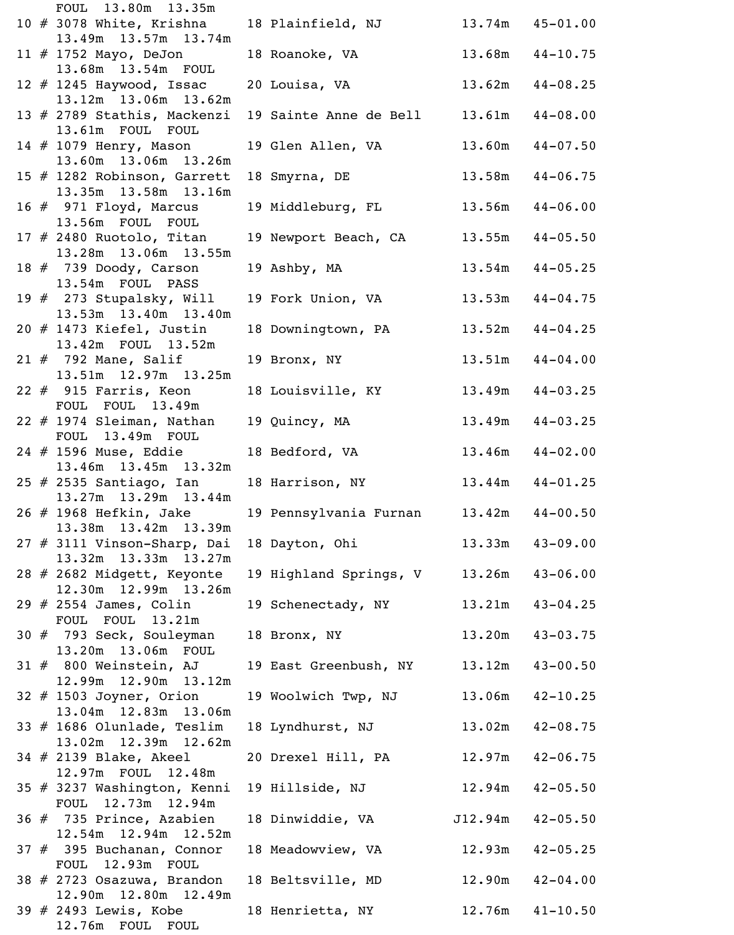|  | FOUL 13.80m 13.35m                                                      |                                        |                     |                     |
|--|-------------------------------------------------------------------------|----------------------------------------|---------------------|---------------------|
|  | $10$ $\#$ 3078 White, Krishna<br>13.49m 13.57m 13.74m                   | 18 Plainfield, NJ 13.74m 45-01.00      |                     |                     |
|  | 11 # 1752 Mayo, DeJon                                                   | 18 Roanoke, VA 13.68m 44-10.75         |                     |                     |
|  | 13.68m 13.54m FOUL<br>12 $#$ 1245 Haywood, Issac                        | 20 Louisa, VA                          |                     | $13.62m$ $44-08.25$ |
|  | 13.12m 13.06m 13.62m<br>13 # 2789 Stathis, Mackenzi<br>13.61m FOUL FOUL | 19 Sainte Anne de Bell 13.61m 44-08.00 |                     |                     |
|  | 14 # 1079 Henry, Mason<br>13.60m 13.06m 13.26m                          | 19 Glen Allen, VA                      |                     | $13.60m$ $44-07.50$ |
|  | 15 # 1282 Robinson, Garrett<br>13.35m 13.58m 13.16m                     | 18 Smyrna, DE                          |                     | $13.58m$ $44-06.75$ |
|  | 16 # 971 Floyd, Marcus<br>13.56m FOUL FOUL                              | 19 Middleburg, FL                      |                     | $13.56m$ $44-06.00$ |
|  | $17$ # 2480 Ruotolo, Titan<br>13.28m 13.06m 13.55m                      | 19 Newport Beach, CA 13.55m 44-05.50   |                     |                     |
|  | 18 # 739 Doody, Carson<br>13.54m FOUL PASS                              | 19 Ashby, MA                           |                     | $13.54m$ $44-05.25$ |
|  | 19 $#$ 273 Stupalsky, Will<br>13.53m 13.40m 13.40m                      | 19 Fork Union, VA                      |                     | $13.53m$ $44-04.75$ |
|  | $20$ $#$ 1473 Kiefel, Justin<br>13.42m FOUL 13.52m                      | 18 Downingtown, PA                     |                     | $13.52m$ $44-04.25$ |
|  | 21 # 792 Mane, Salif<br>13.51m  12.97m  13.25m                          | 19 Bronx, NY                           |                     | $13.51m$ $44-04.00$ |
|  | $22$ $\#$ 915 Farris, Keon<br>FOUL FOUL 13.49m                          | 18 Louisville, KY 13.49m 44-03.25      |                     |                     |
|  | $22$ # 1974 Sleiman, Nathan<br>FOUL 13.49m FOUL                         | 19 Quincy, MA                          | $13.49m$ $44-03.25$ |                     |
|  | 24 # 1596 Muse, Eddie<br>13.46m 13.45m 13.32m                           | 18 Bedford, VA                         | $13.46m$ $44-02.00$ |                     |
|  | 25 # 2535 Santiago, Ian<br>13.27m 13.29m 13.44m                         | 18 Harrison, NY 13.44m 44-01.25        |                     |                     |
|  | 26 # 1968 Hefkin, Jake<br>13.38m  13.42m  13.39m                        | 19 Pennsylvania Furnan 13.42m 44-00.50 |                     |                     |
|  | 27 # 3111 Vinson-Sharp, Dai<br>13.32m 13.33m 13.27m                     | 18 Dayton, Ohi                         |                     | $13.33m$ $43-09.00$ |
|  | 28 # 2682 Midgett, Keyonte<br>12.30m 12.99m 13.26m                      | 19 Highland Springs, V                 |                     | $13.26m$ $43-06.00$ |
|  | 29 # 2554 James, Colin<br>FOUL FOUL 13.21m                              | 19 Schenectady, NY                     |                     | $13.21m$ $43-04.25$ |
|  | 30 # 793 Seck, Souleyman<br>13.20m 13.06m FOUL                          | 18 Bronx, NY                           |                     | $13.20m$ $43-03.75$ |
|  | $31$ $#$ 800 Weinstein, AJ<br>12.99m 12.90m 13.12m                      | 19 East Greenbush, NY                  |                     | $13.12m$ $43-00.50$ |
|  | 32 # 1503 Joyner, Orion<br>13.04m 12.83m 13.06m                         | 19 Woolwich Twp, NJ 13.06m 42-10.25    |                     |                     |
|  | 33 # 1686 Olunlade, Teslim<br>13.02m  12.39m  12.62m                    | 18 Lyndhurst, NJ                       | 13.02m              | $42 - 08.75$        |
|  | 34 # 2139 Blake, Akeel<br>12.97m FOUL 12.48m                            | 20 Drexel Hill, PA 12.97m 42-06.75     |                     |                     |
|  | 35 # 3237 Washington, Kenni<br>FOUL 12.73m 12.94m                       | 19 Hillside, NJ 12.94m                 |                     | $42 - 05.50$        |
|  | 36 # 735 Prince, Azabien<br>12.54m 12.94m 12.52m                        | 18 Dinwiddie, VA                       | J12.94m             | $42 - 05.50$        |
|  | 37 # 395 Buchanan, Connor<br>FOUL 12.93m FOUL                           | 18 Meadowview, VA 12.93m               |                     | $42 - 05.25$        |
|  | 38 # 2723 Osazuwa, Brandon<br>12.90m  12.80m  12.49m                    | 18 Beltsville, MD 12.90m 42-04.00      |                     |                     |
|  | 39 # 2493 Lewis, Kobe<br>12.76m<br>FOUL<br>FOUL                         | 18 Henrietta, NY                       |                     | $12.76m$ $41-10.50$ |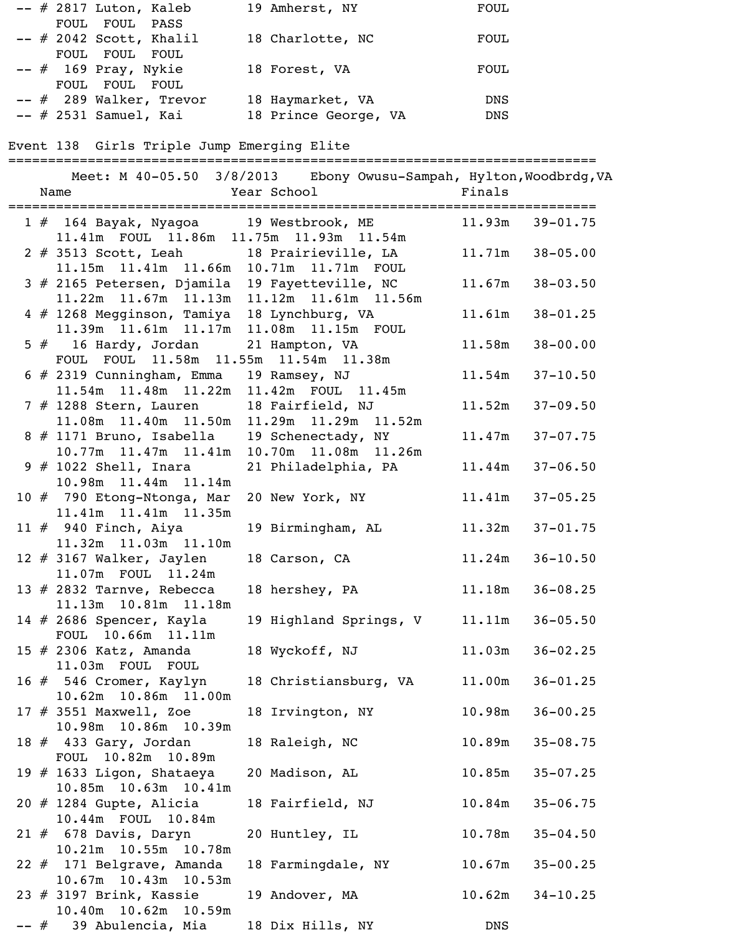| $--$ # 2817 Luton, Kaleb  | 19 Amherst, NY       | <b>FOUL</b> |
|---------------------------|----------------------|-------------|
| FOUL FOUL PASS            |                      |             |
| $--$ # 2042 Scott, Khalil | 18 Charlotte, NC     | FOUL        |
| FOUL FOUL FOUL            |                      |             |
| $--$ # 169 Pray, Nykie    | 18 Forest, VA        | FOUL        |
| FOUL FOUL FOUL            |                      |             |
| $--$ # 289 Walker, Trevor | 18 Haymarket, VA     | <b>DNS</b>  |
| $--$ # 2531 Samuel, Kai   | 18 Prince George, VA | <b>DNS</b>  |

Event 138 Girls Triple Jump Emerging Elite

==========================================================================

|  | Meet: M 40-05.50 3/8/2013 Ebony Owusu-Sampah, Hylton, Woodbrdg, VA<br><b>Example 2</b> Year School<br>Name |                    | <b>Example 18</b> Finals               |                     |              |
|--|------------------------------------------------------------------------------------------------------------|--------------------|----------------------------------------|---------------------|--------------|
|  | 1 # 164 Bayak, Nyagoa 19 Westbrook, ME 11.93m 39-01.75<br>11.41m FOUL 11.86m 11.75m 11.93m 11.54m          |                    |                                        |                     |              |
|  | 2 # 3513 Scott, Leah 18 Prairieville, LA<br>11.15m  11.41m  11.66m  10.71m  11.71m  FOUL                   |                    |                                        | $11.71m$ $38-05.00$ |              |
|  | 3 # 2165 Petersen, Djamila 19 Fayetteville, NC<br>11.22m 11.67m 11.13m 11.12m 11.61m 11.56m                |                    |                                        | 11.67m              | $38 - 03.50$ |
|  | 4 # 1268 Megginson, Tamiya 18 Lynchburg, VA<br>11.39m  11.61m  11.17m  11.08m  11.15m  FOUL                |                    |                                        | 11.61m              | $38 - 01.25$ |
|  | 5 # 16 Hardy, Jordan<br>FOUL FOUL 11.58m 11.55m 11.54m 11.38m                                              | 21 Hampton, VA     |                                        | 11.58m              | $38 - 00.00$ |
|  | 6 # 2319 Cunningham, Emma 19 Ramsey, NJ<br>11.54m  11.48m  11.22m  11.42m  FOUL  11.45m                    |                    |                                        | 11.54m              | $37 - 10.50$ |
|  | 7 # 1288 Stern, Lauren 18 Fairfield, NJ<br>11.08m  11.40m  11.50m  11.29m  11.29m  11.52m                  |                    |                                        | 11.52m              | $37 - 09.50$ |
|  | 8 # 1171 Bruno, Isabella 19 Schenectady, NY<br>10.77m 11.47m 11.41m 10.70m 11.08m 11.26m                   |                    |                                        | 11.47m              | $37 - 07.75$ |
|  | 9 # 1022 Shell, Inara<br>10.98m  11.44m  11.14m                                                            |                    | 21 Philadelphia, PA                    | 11.44m              | $37 - 06.50$ |
|  | 10 # 790 Etong-Ntonga, Mar<br>11.41m  11.41m  11.35m                                                       |                    | 20 New York, NY                        | 11.41m              | $37 - 05.25$ |
|  | $11$ $\#$ 940 Finch, Aiya<br>11.32m 11.03m 11.10m                                                          |                    | 19 Birmingham, AL                      | 11.32m              | $37 - 01.75$ |
|  | $12$ # 3167 Walker, Jaylen<br>11.07m FOUL 11.24m                                                           | 18 Carson, CA      |                                        | 11.24m              | $36 - 10.50$ |
|  | 13 $\#$ 2832 Tarnve, Rebecca<br>11.13m  10.81m  11.18m<br>14 # 2686 Spencer, Kayla                         | 18 hershey, PA     | 19 Highland Springs, V 11.11m 36-05.50 | 11.18m              | $36 - 08.25$ |
|  | FOUL 10.66m 11.11m<br>15 # 2306 Katz, Amanda                                                               |                    | 18 Wyckoff, NJ                         | $11.03m$ $36-02.25$ |              |
|  | 11.03m FOUL FOUL<br>16 # 546 Cromer, Kaylyn                                                                |                    | 18 Christiansburg, VA                  | 11.00m              | $36 - 01.25$ |
|  | 10.62m 10.86m 11.00m<br>17 $\#$ 3551 Maxwell, Zoe                                                          | 18 Irvington, NY   |                                        | 10.98m              | $36 - 00.25$ |
|  | 10.98m 10.86m 10.39m<br>18 # 433 Gary, Jordan                                                              | 18 Raleigh, NC     |                                        | 10.89m              | $35 - 08.75$ |
|  | FOUL 10.82m 10.89m<br>19 # 1633 Ligon, Shataeya                                                            | 20 Madison, AL     |                                        | 10.85m              | $35 - 07.25$ |
|  | 10.85m  10.63m  10.41m<br>20 # 1284 Gupte, Alicia                                                          | 18 Fairfield, NJ   |                                        | 10.84m              | $35 - 06.75$ |
|  | 10.44m FOUL 10.84m<br>$21$ $\#$ 678 Davis, Daryn                                                           | 20 Huntley, IL     |                                        | 10.78m              | $35 - 04.50$ |
|  | 10.21m  10.55m  10.78m<br>22 # 171 Belgrave, Amanda<br>10.67m  10.43m  10.53m                              | 18 Farmingdale, NY |                                        | 10.67m              | $35 - 00.25$ |
|  | 23 # 3197 Brink, Kassie<br>10.40m  10.62m  10.59m                                                          | 19 Andover, MA     |                                        | 10.62m              | $34 - 10.25$ |
|  | -- # 39 Abulencia, Mia                                                                                     | 18 Dix Hills, NY   |                                        | DNS                 |              |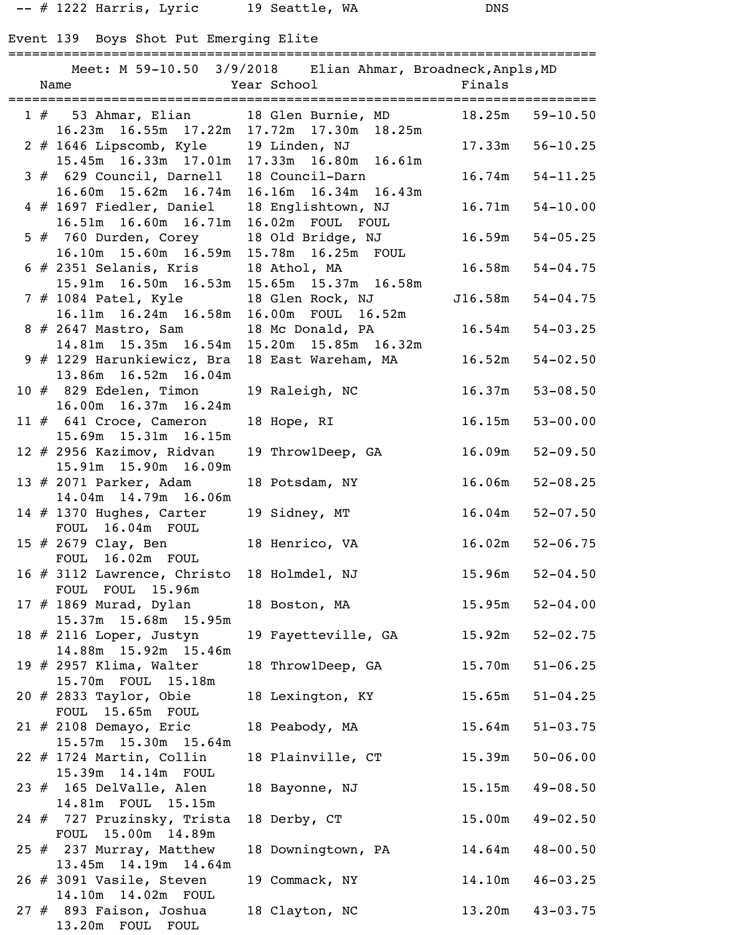-- # 1222 Harris, Lyric 19 Seattle, WA DNS

# Event 139 Boys Shot Put Emerging Elite

|  | Meet: M 59-10.50 3/9/2018 Elian Ahmar, Broadneck, Anpls, MD                                              |                                               |                      |                     |
|--|----------------------------------------------------------------------------------------------------------|-----------------------------------------------|----------------------|---------------------|
|  |                                                                                                          |                                               |                      |                     |
|  | 1 # 53 Ahmar, Elian 18 Glen Burnie, MD 18.25m 59-10.50<br>16.23m  16.55m  17.22m  17.72m  17.30m  18.25m |                                               |                      |                     |
|  | 2 # 1646 Lipscomb, Kyle 19 Linden, NJ<br>15.45m 16.33m 17.01m 17.33m 16.80m 16.61m                       |                                               | $17.33m$ $56-10.25$  |                     |
|  | 3 # 629 Council, Darnell 18 Council-Darn                                                                 |                                               | $16.74m$ $54-11.25$  |                     |
|  | 16.60m 15.62m 16.74m 16.16m 16.34m 16.43m<br>4 # 1697 Fiedler, Daniel<br>$16.51m$ $16.60m$ $16.71m$      | 18 Englishtown, NJ 16.71m<br>16.02m FOUL FOUL |                      | $54 - 10.00$        |
|  | 5 # 760 Durden, Corey<br>16.10m  15.60m  16.59m  15.78m  16.25m  FOUL                                    | 18 Old Bridge, NJ 16.59m 54-05.25             |                      |                     |
|  | $6$ # 2351 Selanis, Kris<br>$15.91m$ $16.50m$ $16.53m$                                                   | 18 Athol, MA<br>15.65m 15.37m 16.58m          | 16.58m               | $54 - 04.75$        |
|  | 7 # 1084 Patel, Kyle<br>$16.11m$ $16.24m$ $16.58m$                                                       | 18 Glen Rock, NJ<br>16.00m FOUL 16.52m        | $J16.58m$ $54-04.75$ |                     |
|  | 8 # 2647 Mastro, Sam<br>$14.81m$ $15.35m$ $16.54m$                                                       | 18 Mc Donald, PA<br>15.20m  15.85m  16.32m    | 16.54m               | $54 - 03.25$        |
|  | 9 # 1229 Harunkiewicz, Bra<br>13.86m 16.52m 16.04m                                                       | 18 East Wareham, MA 16.52m                    |                      | $54 - 02.50$        |
|  | 10 # 829 Edelen, Timon<br>16.00m  16.37m  16.24m                                                         | 19 Raleigh, NC                                | 16.37m               | $53 - 08.50$        |
|  | $11 \# 641$ Croce, Cameron<br>15.69m  15.31m  16.15m                                                     | 18 Hope, RI 16.15m                            |                      | $53 - 00.00$        |
|  | 12 # 2956 Kazimov, Ridvan<br>15.91m 15.90m 16.09m                                                        | 19 Throw1Deep, GA                             | 16.09m               | $52 - 09.50$        |
|  | 13 # 2071 Parker, Adam<br>14.04m  14.79m  16.06m                                                         | 18 Potsdam, NY 16.06m                         |                      | $52 - 08.25$        |
|  | 14 # 1370 Hughes, Carter<br>FOUL 16.04m FOUL                                                             | 19 Sidney, MT                                 | 16.04m               | $52 - 07.50$        |
|  | 15 # 2679 Clay, Ben<br>FOUL 16.02m FOUL                                                                  | 18 Henrico, VA                                | 16.02m               | $52 - 06.75$        |
|  | 16 # 3112 Lawrence, Christo<br>FOUL FOUL 15.96m                                                          | 18 Holmdel, NJ                                | 15.96m               | $52 - 04.50$        |
|  | 17 # 1869 Murad, Dylan<br>15.37m 15.68m 15.95m                                                           | 18 Boston, MA                                 | 15.95m               | $52 - 04.00$        |
|  | 18 $#$ 2116 Loper, Justyn<br>14.88m 15.92m 15.46m                                                        | 19 Fayetteville, GA                           | 15.92m               | $52 - 02.75$        |
|  | 19 $#$ 2957 Klima, Walter<br>15.70m FOUL 15.18m                                                          | 18 Throw1Deep, GA                             | 15.70m               | $51 - 06.25$        |
|  | $20$ # 2833 Taylor, Obie<br>FOUL 15.65m FOUL                                                             | 18 Lexington, KY                              | 15.65m               | $51 - 04.25$        |
|  | $21$ # 2108 Demayo, Eric<br>15.57m 15.30m 15.64m                                                         | 18 Peabody, MA                                | 15.64m               | $51 - 03.75$        |
|  | $22$ # 1724 Martin, Collin<br>15.39m  14.14m  FOUL                                                       | 18 Plainville, CT                             | 15.39m               | $50 - 06.00$        |
|  | 23 # 165 DelValle, Alen<br>14.81m FOUL 15.15m                                                            | 18 Bayonne, NJ                                | 15.15m               | $49 - 08.50$        |
|  | 24 # 727 Pruzinsky, Trista<br>FOUL 15.00m 14.89m                                                         | 18 Derby, CT                                  | 15.00m               | $49 - 02.50$        |
|  | 25 $#$ 237 Murray, Matthew<br>13.45m 14.19m 14.64m                                                       | 18 Downingtown, PA                            | 14.64m               | $48 - 00.50$        |
|  | $26$ # 3091 Vasile, Steven<br>14.10m  14.02m  FOUL                                                       | 19 Commack, NY                                | 14.10m               | $46 - 03.25$        |
|  | $27$ $\#$ 893 Faison, Joshua<br>13.20m FOUL FOUL                                                         | 18 Clayton, NC                                |                      | $13.20m$ $43-03.75$ |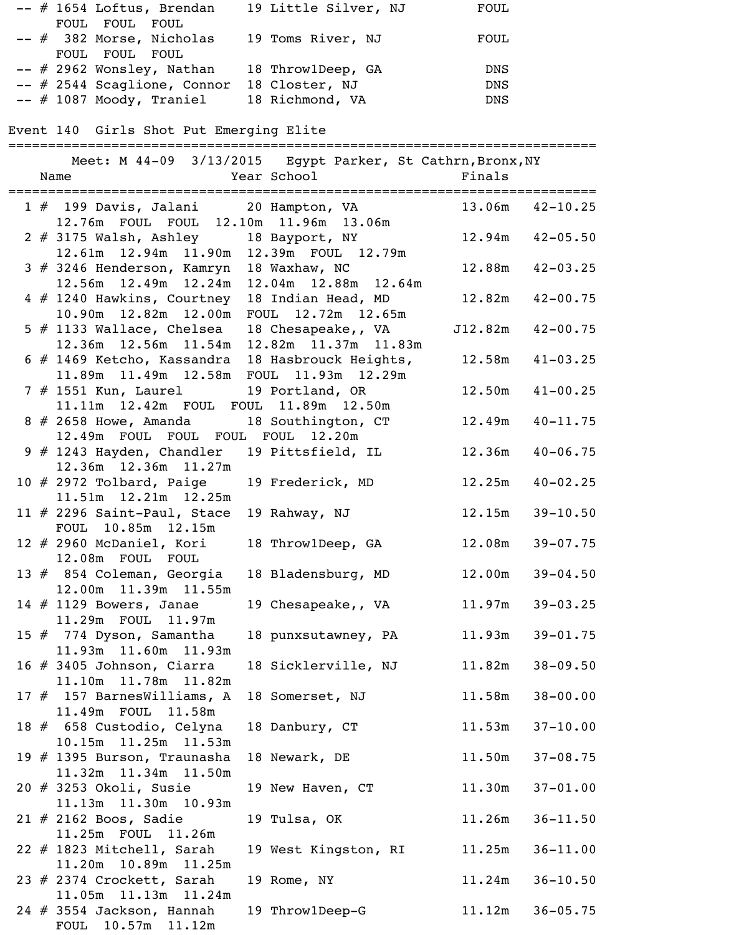|  | -- # 1654 Loftus, Brendan 19 Little Silver, NJ FOUL<br>FOUL FOUL FOUL                                 |                                                            |                      |                     |
|--|-------------------------------------------------------------------------------------------------------|------------------------------------------------------------|----------------------|---------------------|
|  | -- # 382 Morse, Nicholas                                                                              | 19 Toms River, NJ                                          | FOUL                 |                     |
|  | FOUL FOUL FOUL                                                                                        |                                                            |                      |                     |
|  | -- # 2962 Wonsley, Nathan 18 ThrowlDeep, GA DNS                                                       |                                                            |                      |                     |
|  | -- # 2544 Scaglione, Connor 18 Closter, NJ<br>-- # 1087 Moody, Traniel                                | 18 Richmond, VA                                            | DNS<br>DNS           |                     |
|  |                                                                                                       |                                                            |                      |                     |
|  | Event 140 Girls Shot Put Emerging Elite<br>======================================                     |                                                            |                      |                     |
|  |                                                                                                       | Meet: M 44-09 3/13/2015 Egypt Parker, St Cathrn, Bronx, NY |                      |                     |
|  |                                                                                                       |                                                            |                      |                     |
|  | 1 # 199 Davis, Jalani 20 Hampton, VA 13.06m 42-10.25                                                  |                                                            |                      |                     |
|  | 12.76m FOUL FOUL 12.10m 11.96m 13.06m                                                                 |                                                            |                      |                     |
|  | 2 # 3175 Walsh, Ashley 18 Bayport, NY 12.94m 42-05.50<br>12.61m  12.94m  11.90m  12.39m  FOUL  12.79m |                                                            |                      |                     |
|  | 3 # 3246 Henderson, Kamryn 18 Waxhaw, NC                                                              |                                                            |                      | $12.88m$ $42-03.25$ |
|  | $12.56m$ $12.49m$ $12.24m$                                                                            | 12.04m  12.88m  12.64m                                     |                      |                     |
|  | 4 # 1240 Hawkins, Courtney                                                                            | 18 Indian Head, MD 12.82m 42-00.75                         |                      |                     |
|  | 10.90m  12.82m  12.00m  FOUL  12.72m  12.65m<br>5 # 1133 Wallace, Chelsea 18 Chesapeake,, VA          |                                                            | $J12.82m$ $42-00.75$ |                     |
|  | $12.36m$ $12.56m$ $11.54m$                                                                            | 12.82m  11.37m  11.83m                                     |                      |                     |
|  | 6 # 1469 Ketcho, Kassandra 18 Hasbrouck Heights, 12.58m 41-03.25                                      |                                                            |                      |                     |
|  | 11.89m  11.49m  12.58m  FOUL  11.93m  12.29m                                                          |                                                            |                      |                     |
|  | 7 # 1551 Kun, Laurel 19 Portland, OR<br>11.11m  12.42m  FOUL  FOUL  11.89m  12.50m                    |                                                            |                      | $12.50m$ $41-00.25$ |
|  | 8 # 2658 Howe, Amanda 18 Southington, CT 12.49m 40-11.75                                              |                                                            |                      |                     |
|  | 12.49m FOUL FOUL FOUL FOUL 12.20m                                                                     |                                                            |                      |                     |
|  | 9 # 1243 Hayden, Chandler 19 Pittsfield, IL                                                           |                                                            |                      | $12.36m$ $40-06.75$ |
|  | 12.36m 12.36m 11.27m<br>$10$ # 2972 Tolbard, Paige                                                    | 19 Frederick, MD 12.25m 40-02.25                           |                      |                     |
|  | 11.51m  12.21m  12.25m                                                                                |                                                            |                      |                     |
|  | 11 $#$ 2296 Saint-Paul, Stace                                                                         | 19 Rahway, NJ 12.15m 39-10.50                              |                      |                     |
|  | FOUL 10.85m 12.15m                                                                                    |                                                            |                      |                     |
|  | 12 # 2960 McDaniel, Kori<br>12.08m FOUL FOUL                                                          | 18 Throw1Deep, GA 12.08m                                   |                      | $39 - 07.75$        |
|  | 13 # 854 Coleman, Georgia                                                                             | 18 Bladensburg, MD 12.00m 39-04.50                         |                      |                     |
|  | 12.00m  11.39m  11.55m                                                                                |                                                            |                      |                     |
|  | 14 # 1129 Bowers, Janae                                                                               | 19 Chesapeake,, VA                                         | 11.97m               | $39 - 03.25$        |
|  | 11.29m FOUL 11.97m<br>15 $#$ 774 Dyson, Samantha                                                      | 18 punxsutawney, PA 11.93m 39-01.75                        |                      |                     |
|  | 11.93m  11.60m  11.93m                                                                                |                                                            |                      |                     |
|  | $16$ # 3405 Johnson, Ciarra                                                                           | 18 Sicklerville, NJ                                        | 11.82m               | $38 - 09.50$        |
|  | 11.10m  11.78m  11.82m                                                                                |                                                            |                      |                     |
|  | 17 # 157 BarnesWilliams, A<br>11.49m FOUL 11.58m                                                      | 18 Somerset, NJ                                            |                      | $11.58m$ $38-00.00$ |
|  | 18 # 658 Custodio, Celyna                                                                             | 18 Danbury, CT                                             | 11.53m               | $37 - 10.00$        |
|  | 10.15m  11.25m  11.53m                                                                                |                                                            |                      |                     |
|  | 19 # 1395 Burson, Traunasha                                                                           | 18 Newark, DE                                              |                      | $11.50m$ $37-08.75$ |
|  | 11.32m  11.34m  11.50m<br>20 # 3253 Okoli, Susie                                                      | 19 New Haven, CT                                           | 11.30m               | $37 - 01.00$        |
|  | 11.13m  11.30m  10.93m                                                                                |                                                            |                      |                     |
|  | $21$ $\#$ 2162 Boos, Sadie                                                                            | 19 Tulsa, OK                                               |                      | $11.26m$ $36-11.50$ |
|  | 11.25m FOUL 11.26m                                                                                    |                                                            |                      |                     |
|  | 22 # 1823 Mitchell, Sarah<br>11.20m  10.89m  11.25m                                                   | 19 West Kingston, RI 11.25m                                |                      | $36 - 11.00$        |
|  | 23 $#$ 2374 Crockett, Sarah                                                                           | 19 Rome, NY                                                |                      | $11.24m$ $36-10.50$ |
|  | 11.05m  11.13m  11.24m                                                                                |                                                            |                      |                     |
|  | $24$ $\#$ 3554 Jackson, Hannah<br>10.57m<br>11.12m<br><b>FOUL</b>                                     | 19 Throw1Deep-G                                            |                      | $11.12m$ $36-05.75$ |
|  |                                                                                                       |                                                            |                      |                     |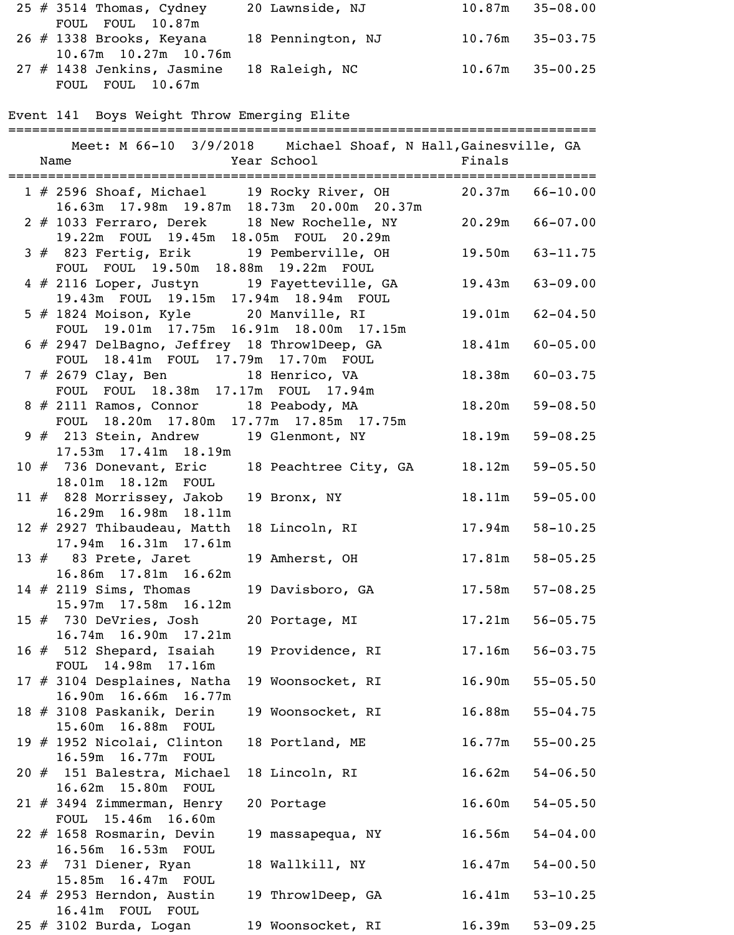| 25 $#$ 3514 Thomas, Cydney                  | 20 Lawnside, NJ   | $10.87m$ $35-08.00$ |
|---------------------------------------------|-------------------|---------------------|
| FOUL FOUL 10.87m                            |                   |                     |
| 26 # 1338 Brooks, Keyana                    | 18 Pennington, NJ | $10.76m$ $35-03.75$ |
| $10.67m$ $10.27m$ $10.76m$                  |                   |                     |
| $27$ # 1438 Jenkins, Jasmine 18 Raleigh, NC |                   | $10.67m$ $35-00.25$ |
| FOUL FOUL 10.67m                            |                   |                     |

Event 141 Boys Weight Throw Emerging Elite

|  |                                                             | Meet: M 66-10 3/9/2018 Michael Shoaf, N Hall, Gainesville, GA |        |                     |
|--|-------------------------------------------------------------|---------------------------------------------------------------|--------|---------------------|
|  | Name Year School Finals                                     |                                                               |        |                     |
|  |                                                             |                                                               |        |                     |
|  | 1 # 2596 Shoaf, Michael 19 Rocky River, OH 20.37m 66-10.00  |                                                               |        |                     |
|  | 16.63m 17.98m 19.87m 18.73m 20.00m 20.37m                   |                                                               |        |                     |
|  | 2 # 1033 Ferraro, Derek 18 New Rochelle, NY 20.29m 66-07.00 |                                                               |        |                     |
|  | 19.22m FOUL 19.45m 18.05m FOUL 20.29m                       |                                                               |        |                     |
|  | 3 # 823 Fertig, Erik 19 Pemberville, OH 19.50m 63-11.75     |                                                               |        |                     |
|  | FOUL FOUL 19.50m 18.88m 19.22m FOUL                         |                                                               |        |                     |
|  | 4 # 2116 Loper, Justyn 19 Fayetteville, GA 19.43m 63-09.00  |                                                               |        |                     |
|  | 19.43m FOUL 19.15m 17.94m 18.94m FOUL                       |                                                               |        |                     |
|  | 5 # 1824 Moison, Kyle 20 Manville, RI                       |                                                               |        | $19.01m$ $62-04.50$ |
|  | FOUL 19.01m 17.75m 16.91m 18.00m 17.15m                     |                                                               |        |                     |
|  | 6 # 2947 DelBagno, Jeffrey 18 Throw1Deep, GA                |                                                               |        | $18.41m$ $60-05.00$ |
|  | FOUL 18.41m FOUL 17.79m 17.70m FOUL                         |                                                               |        |                     |
|  | 7 # 2679 Clay, Ben 18 Henrico, VA 18.38m 60-03.75           |                                                               |        |                     |
|  | FOUL FOUL 18.38m 17.17m FOUL 17.94m                         |                                                               |        |                     |
|  | 8 # 2111 Ramos, Connor 18 Peabody, MA                       |                                                               | 18.20m | $59 - 08.50$        |
|  | FOUL 18.20m 17.80m 17.77m 17.85m 17.75m                     |                                                               |        |                     |
|  | 9 # 213 Stein, Andrew 19 Glenmont, NY                       |                                                               | 18.19m | $59 - 08.25$        |
|  | 17.53m  17.41m  18.19m                                      |                                                               |        |                     |
|  | 10 # 736 Donevant, Eric 18 Peachtree City, GA 18.12m        |                                                               |        | $59 - 05.50$        |
|  | 18.01m  18.12m  FOUL                                        |                                                               |        |                     |
|  | 11 # 828 Morrissey, Jakob 19 Bronx, NY                      |                                                               | 18.11m | $59 - 05.00$        |
|  | 16.29m  16.98m  18.11m                                      |                                                               |        |                     |
|  | 12 # 2927 Thibaudeau, Matth                                 | 17.94m<br>18 Lincoln, RI                                      |        | $58 - 10.25$        |
|  | 17.94m 16.31m 17.61m                                        |                                                               |        |                     |
|  | $13 \#$ 83 Prete, Jaret                                     | 19 Amherst, OH                                                |        | $17.81m$ $58-05.25$ |
|  | 16.86m 17.81m 16.62m                                        |                                                               |        |                     |
|  | $14 \# 2119$ Sims, Thomas                                   | 19 Davisboro, GA                                              | 17.58m | $57 - 08.25$        |
|  | 15.97m 17.58m 16.12m                                        |                                                               |        |                     |
|  | 15 # 730 DeVries, Josh                                      | 20 Portage, MI 17.21m                                         |        | $56 - 05.75$        |
|  | $16.74m$ $16.90m$ $17.21m$                                  |                                                               |        |                     |
|  | 16 # 512 Shepard, Isaiah                                    | 19 Providence, RI                                             | 17.16m | $56 - 03.75$        |
|  | FOUL 14.98m 17.16m                                          |                                                               |        |                     |
|  | 17 # 3104 Desplaines, Natha                                 | 19 Woonsocket, RI                                             | 16.90m | $55 - 05.50$        |
|  | 16.90m 16.66m 16.77m                                        |                                                               |        |                     |
|  | 18 # 3108 Paskanik, Derin                                   | 19 Woonsocket, RI                                             | 16.88m | $55 - 04.75$        |
|  | 15.60m  16.88m  FOUL                                        |                                                               |        |                     |
|  | 19 # 1952 Nicolai, Clinton                                  | 18 Portland, ME                                               | 16.77m | $55 - 00.25$        |
|  | 16.59m  16.77m  FOUL                                        |                                                               |        |                     |
|  | 20 # 151 Balestra, Michael                                  | 18 Lincoln, RI                                                | 16.62m | $54 - 06.50$        |
|  | 16.62m 15.80m FOUL                                          |                                                               |        |                     |
|  | $21$ # 3494 Zimmerman, Henry                                | 20 Portage                                                    | 16.60m | $54 - 05.50$        |
|  | FOUL 15.46m 16.60m                                          |                                                               |        |                     |
|  | $22$ # 1658 Rosmarin, Devin                                 | 19 massapequa, NY                                             | 16.56m | $54 - 04.00$        |
|  | 16.56m  16.53m  FOUL                                        |                                                               |        |                     |
|  | 23 # 731 Diener, Ryan                                       | 18 Wallkill, NY                                               | 16.47m | $54 - 00.50$        |
|  | 15.85m  16.47m  FOUL                                        |                                                               |        |                     |
|  | $24$ # 2953 Herndon, Austin                                 | 19 Throw1Deep, GA                                             | 16.41m | $53 - 10.25$        |
|  | 16.41m FOUL FOUL                                            |                                                               |        |                     |

25 # 3102 Burda, Logan 19 Woonsocket, RI 16.39m 53-09.25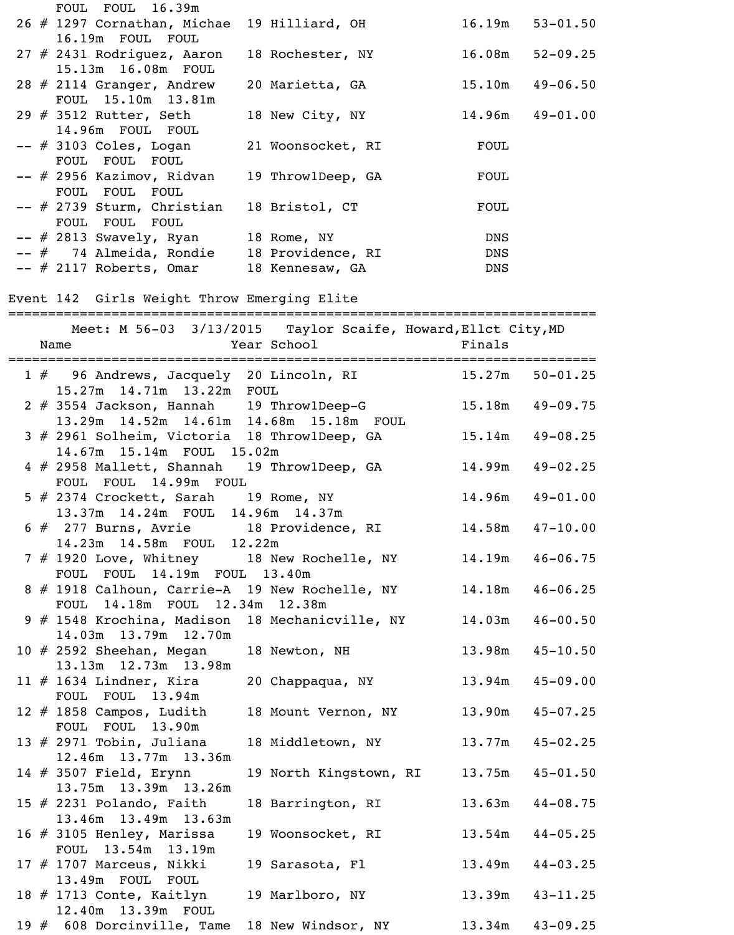|     | FOUL FOUL 16.39m                                                                                 |                                                               |             |                     |
|-----|--------------------------------------------------------------------------------------------------|---------------------------------------------------------------|-------------|---------------------|
|     | 26 # 1297 Cornathan, Michae<br>16.19m FOUL FOUL                                                  | 19 Hilliard, OH                                               |             | $16.19m$ $53-01.50$ |
|     | 27 # 2431 Rodriguez, Aaron<br>15.13m  16.08m  FOUL                                               | 18 Rochester, NY 16.08m 52-09.25                              |             |                     |
|     | 28 $#$ 2114 Granger, Andrew<br>FOUL 15.10m 13.81m                                                | 20 Marietta, GA                                               |             | $15.10m$ $49-06.50$ |
|     | 29 # 3512 Rutter, Seth<br>14.96m FOUL FOUL                                                       | 18 New City, NY                                               |             | $14.96m$ $49-01.00$ |
|     | -- # 3103 Coles, Logan<br>FOUL FOUL FOUL                                                         | 21 Woonsocket, RI                                             | <b>FOUL</b> |                     |
|     | -- # 2956 Kazimov, Ridvan<br>FOUL FOUL FOUL                                                      | 19 Throw1Deep, GA                                             | FOUL        |                     |
|     | -- # 2739 Sturm, Christian<br>FOUL FOUL FOUL                                                     | 18 Bristol, CT                                                | <b>FOUL</b> |                     |
|     | $--$ # 2813 Swavely, Ryan 18 Rome, NY                                                            |                                                               | <b>DNS</b>  |                     |
|     | -- # 74 Almeida, Rondie 18 Providence, RI                                                        |                                                               | <b>DNS</b>  |                     |
|     |                                                                                                  |                                                               |             |                     |
|     | $--$ # 2117 Roberts, Omar 18 Kennesaw, GA                                                        |                                                               | DNS         |                     |
|     | Event 142 Girls Weight Throw Emerging Elite                                                      | Meet: M 56-03 3/13/2015 Taylor Scaife, Howard, Ellct City, MD |             |                     |
|     | Name                                                                                             | Year School Finals                                            |             |                     |
|     |                                                                                                  |                                                               |             |                     |
|     | 1 # 96 Andrews, Jacquely 20 Lincoln, RI 15.27m 50-01.25<br>15.27m  14.71m  13.22m  FOUL          |                                                               |             |                     |
|     | 2 # 3554 Jackson, Hannah 19 Throw1Deep-G<br>13.29m  14.52m  14.61m  14.68m  15.18m  FOUL         |                                                               | 15.18m      | $49 - 09.75$        |
|     | 3 # 2961 Solheim, Victoria 18 Throw1Deep, GA<br>14.67m 15.14m FOUL 15.02m                        |                                                               |             | $15.14m$ $49-08.25$ |
|     | 4 # 2958 Mallett, Shannah 19 Throw1Deep, GA<br>FOUL FOUL 14.99m FOUL                             |                                                               |             | $14.99m$ $49-02.25$ |
|     | 5 # 2374 Crockett, Sarah 19 Rome, NY 14.96m 49-01.00<br>13.37m 14.24m FOUL 14.96m 14.37m         |                                                               |             |                     |
|     | 6 # 277 Burns, Avrie 18 Providence, RI 14.58m 47-10.00<br>14.23m  14.58m  FOUL  12.22m           |                                                               |             |                     |
|     | 7 # 1920 Love, Whitney 18 New Rochelle, NY 14.19m<br>FOUL FOUL 14.19m FOUL 13.40m                |                                                               |             | $46 - 06.75$        |
|     | 8 # 1918 Calhoun, Carrie-A 19 New Rochelle, NY 14.18m 46-06.25<br>FOUL 14.18m FOUL 12.34m 12.38m |                                                               |             |                     |
|     | 9 # 1548 Krochina, Madison 18 Mechanicville, NY 14.03m<br>14.03m  13.79m  12.70m                 |                                                               |             | $46 - 00.50$        |
|     | $10$ # 2592 Sheehan, Megan<br>13.13m  12.73m  13.98m                                             | 18 Newton, NH 13.98m 45-10.50                                 |             |                     |
|     | $11$ # 1634 Lindner, Kira<br>FOUL FOUL 13.94m                                                    | 20 Chappaqua, NY 13.94m 45-09.00                              |             |                     |
|     | 12 $#$ 1858 Campos, Ludith<br>FOUL FOUL 13.90m                                                   | 18 Mount Vernon, NY 13.90m 45-07.25                           |             |                     |
|     | 13 $#$ 2971 Tobin, Juliana<br>12.46m 13.77m 13.36m                                               | 18 Middletown, NY 13.77m 45-02.25                             |             |                     |
|     | 14 $#$ 3507 Field, Erynn<br>13.75m 13.39m 13.26m                                                 | 19 North Kingstown, RI 13.75m 45-01.50                        |             |                     |
|     | 15 $#$ 2231 Polando, Faith<br>13.46m 13.49m 13.63m                                               | 18 Barrington, RI                                             | 13.63m      | $44 - 08.75$        |
|     | 16 $#$ 3105 Henley, Marissa<br>FOUL 13.54m 13.19m                                                | 19 Woonsocket, RI 13.54m 44-05.25                             |             |                     |
|     | 17 # 1707 Marceus, Nikki<br>13.49m FOUL FOUL                                                     | 19 Sarasota, Fl 13.49m                                        |             | $44 - 03.25$        |
|     | 18 # 1713 Conte, Kaitlyn<br>12.40m  13.39m  FOUL                                                 | 19 Marlboro, NY 13.39m 43-11.25                               |             |                     |
| 19# | 608 Dorcinville, Tame                                                                            | 18 New Windsor, NY                                            | 13.34m      | $43 - 09.25$        |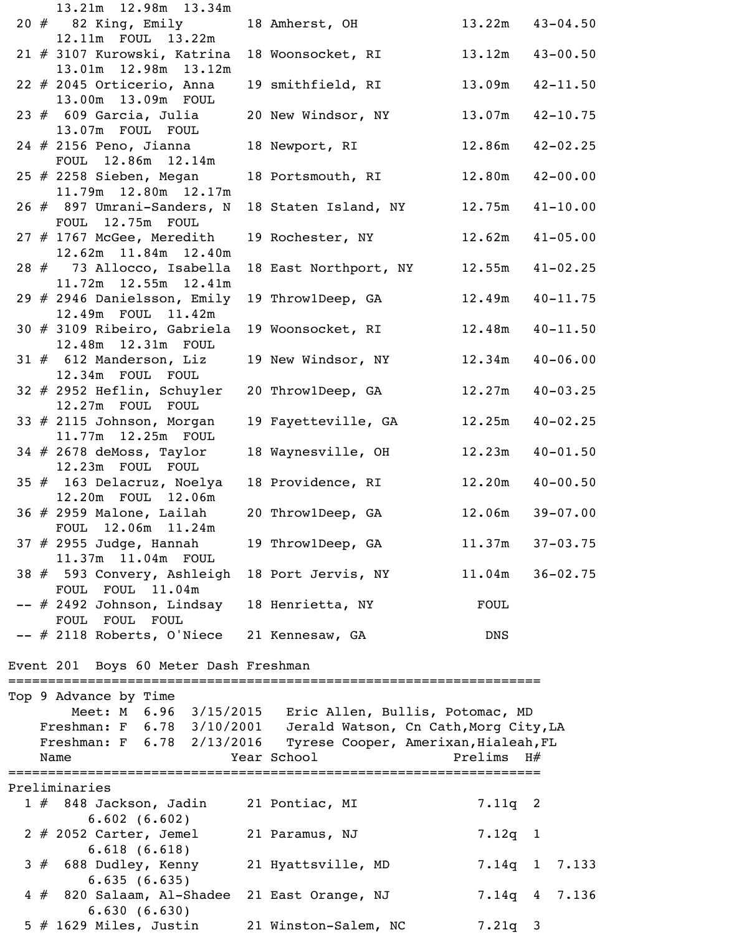|  | 13.21m 12.98m 13.34m                                                  |                                                        |              |                     |
|--|-----------------------------------------------------------------------|--------------------------------------------------------|--------------|---------------------|
|  | 20 # 82 King, Emily<br>12.11m FOUL 13.22m                             | 18 Amherst, OH 13.22m 43-04.50                         |              |                     |
|  | 21 # 3107 Kurowski, Katrina                                           | 18 Woonsocket, RI 13.12m 43-00.50                      |              |                     |
|  | 13.01m  12.98m  13.12m<br>22 # 2045 Orticerio, Anna                   | 19 smithfield, RI                                      |              | $13.09m$ $42-11.50$ |
|  | 13.00m  13.09m  FOUL<br>$23$ $\#$ 609 Garcia, Julia                   | 20 New Windsor, NY 13.07m 42-10.75                     |              |                     |
|  | 13.07m FOUL FOUL                                                      |                                                        |              |                     |
|  | $24$ $\#$ 2156 Peno, Jianna<br>FOUL 12.86m 12.14m                     | 18 Newport, RI                                         |              | $12.86m$ $42-02.25$ |
|  | 25 # 2258 Sieben, Megan<br>11.79m  12.80m  12.17m                     | 18 Portsmouth, RI 12.80m 42-00.00                      |              |                     |
|  | 26 # 897 Umrani-Sanders, N<br>FOUL 12.75m FOUL                        | 18 Staten Island, NY                                   |              | $12.75m$ $41-10.00$ |
|  | $27$ $\#$ 1767 McGee, Meredith                                        | 19 Rochester, NY 12.62m 41-05.00                       |              |                     |
|  | 12.62m  11.84m  12.40m<br>28 # 73 Allocco, Isabella                   | 18 East Northport, NY                                  |              | $12.55m$ $41-02.25$ |
|  | 11.72m  12.55m  12.41m<br>29 # 2946 Danielsson, Emily                 | 19 Throw1Deep, GA 12.49m 40-11.75                      |              |                     |
|  | 12.49m FOUL 11.42m<br>30 # 3109 Ribeiro, Gabriela                     | 19 Woonsocket, RI                                      |              | $12.48m$ $40-11.50$ |
|  | 12.48m  12.31m  FOUL<br>$31$ $#$ 612 Manderson, Liz                   | 19 New Windsor, NY 12.34m 40-06.00                     |              |                     |
|  | 12.34m FOUL FOUL                                                      |                                                        |              |                     |
|  | $32$ # 2952 Heflin, Schuyler<br>12.27m FOUL FOUL                      | 20 ThrowlDeep, GA                                      |              | $12.27m$ $40-03.25$ |
|  | $33 \# 2115$ Johnson, Morgan<br>11.77m  12.25m  FOUL                  | 19 Fayetteville, GA 12.25m 40-02.25                    |              |                     |
|  | $34$ # 2678 deMoss, Taylor<br>12.23m FOUL FOUL                        | 18 Waynesville, OH 12.23m 40-01.50                     |              |                     |
|  | 35 # 163 Delacruz, Noelya<br>12.20m FOUL 12.06m                       | 18 Providence, RI                                      |              | $12.20m$ $40-00.50$ |
|  | $36$ $#$ 2959 Malone, Lailah<br>FOUL 12.06m 11.24m                    | 20 ThrowlDeep, GA                                      | 12.06m       | $39 - 07.00$        |
|  | $37$ $#$ 2955 Judge, Hannah                                           | 19 Throw1Deep, GA                                      | 11.37m       | $37 - 03.75$        |
|  | 11.37m 11.04m FOUL<br>38 # 593 Convery, Ashleigh                      | 18 Port Jervis, NY                                     |              | $11.04m$ $36-02.75$ |
|  | FOUL FOUL 11.04m<br>-- # 2492 Johnson, Lindsay                        | 18 Henrietta, NY                                       | <b>FOUL</b>  |                     |
|  | FOUL FOUL FOUL                                                        |                                                        |              |                     |
|  | -- # 2118 Roberts, O'Niece 21 Kennesaw, GA                            |                                                        | <b>DNS</b>   |                     |
|  | Event 201 Boys 60 Meter Dash Freshman<br>============================ |                                                        |              |                     |
|  | Top 9 Advance by Time                                                 |                                                        |              |                     |
|  |                                                                       | Meet: M 6.96 3/15/2015 Eric Allen, Bullis, Potomac, MD |              |                     |
|  | Freshman: F 6.78 3/10/2001 Jerald Watson, Cn Cath, Morg City, LA      |                                                        |              |                     |
|  | Freshman: F 6.78 2/13/2016<br>Name                                    | Tyrese Cooper, Amerixan, Hialeah, FL<br>Year School    | Prelims $H#$ |                     |
|  |                                                                       |                                                        |              |                     |
|  | Preliminaries                                                         |                                                        |              |                     |
|  | $1 \#$ 848 Jackson, Jadin<br>6.602(6.602)                             | 21 Pontiac, MI                                         | $7.11q$ 2    |                     |
|  | $2$ $#$ 2052 Carter, Jemel<br>6.618(6.618)                            | 21 Paramus, NJ                                         | 7.12q 1      |                     |
|  | 3 # 688 Dudley, Kenny<br>6.635(6.635)                                 | 21 Hyattsville, MD                                     |              | $7.14q$ 1 $7.133$   |
|  | 4 # 820 Salaam, Al-Shadee<br>6.630(6.630)                             | 21 East Orange, NJ                                     |              | 7.14q 4 7.136       |
|  | $5$ # 1629 Miles, Justin                                              | 21 Winston-Salem, NC                                   | $7.21q$ 3    |                     |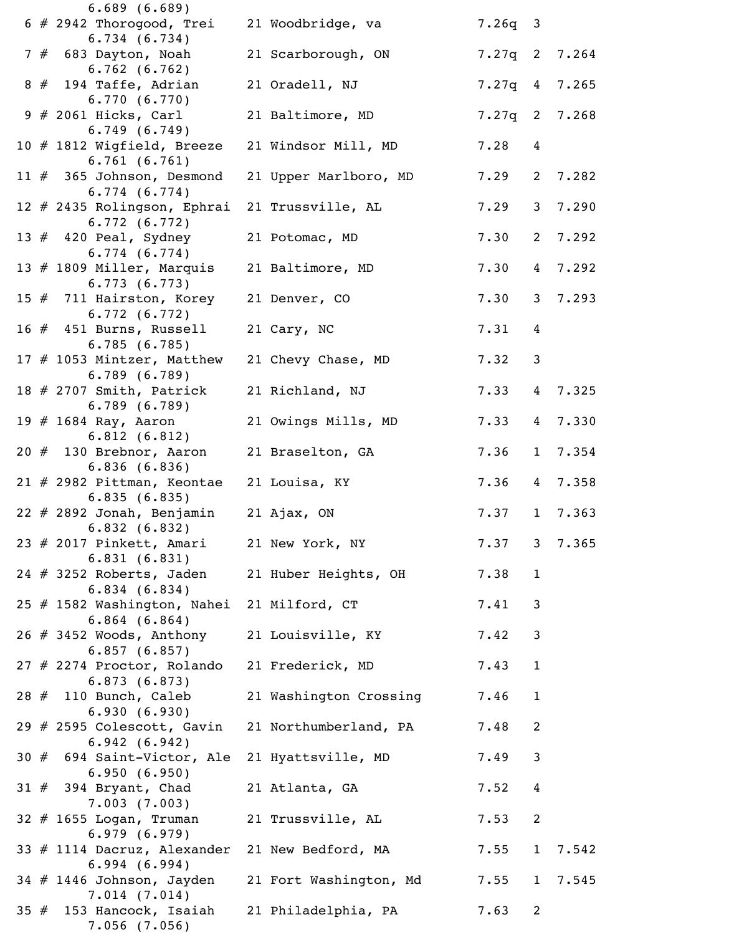|  | 6.689(6.689)                                                 |                        |                 |                 |                 |
|--|--------------------------------------------------------------|------------------------|-----------------|-----------------|-----------------|
|  | $6$ # 2942 Thorogood, Trei<br>6.734(6.734)                   | 21 Woodbridge, va      | $7.26q$ 3       |                 |                 |
|  | 7 # 683 Dayton, Noah<br>6.762(6.762)                         | 21 Scarborough, ON     |                 |                 | $7.27q$ 2 7.264 |
|  | $8#194$ Taffe, Adrian<br>6.770(6.770)                        | 21 Oradell, NJ         |                 |                 | $7.27q$ 4 7.265 |
|  | $9$ # 2061 Hicks, Carl                                       | 21 Baltimore, MD       | $7.27q$ 2 7.268 |                 |                 |
|  | 6.749(6.749)<br>10 $#$ 1812 Wigfield, Breeze<br>6.761(6.761) | 21 Windsor Mill, MD    | 7.28            | 4               |                 |
|  | 11 $#$ 365 Johnson, Desmond<br>6.774(6.774)                  | 21 Upper Marlboro, MD  | 7.29            |                 | 2 7.282         |
|  | 12 # 2435 Rolingson, Ephrai<br>6.772(6.772)                  | 21 Trussville, AL      | 7.29            | 3 <sup>7</sup>  | 7.290           |
|  | 13 $#$ 420 Peal, Sydney<br>6.774(6.774)                      | 21 Potomac, MD         | 7.30            | $2^{\circ}$     | 7.292           |
|  | 13 $#$ 1809 Miller, Marquis<br>6.773(6.773)                  | 21 Baltimore, MD       | 7.30            | $4\overline{ }$ | 7.292           |
|  | 15 $#$ 711 Hairston, Korey<br>6.772(6.772)                   | 21 Denver, CO          | 7.30            | 3 <sup>1</sup>  | 7.293           |
|  | 16 $#$ 451 Burns, Russell<br>6.785(6.785)                    | 21 Cary, NC            | 7.31            | 4               |                 |
|  | 17 # 1053 Mintzer, Matthew<br>6.789(6.789)                   | 21 Chevy Chase, MD     | 7.32            | 3               |                 |
|  | 18 $#$ 2707 Smith, Patrick<br>6.789(6.789)                   | 21 Richland, NJ        | 7.33            | 4               | 7.325           |
|  | 19 # 1684 Ray, Aaron<br>6.812(6.812)                         | 21 Owings Mills, MD    | 7.33            | $4\overline{ }$ | 7.330           |
|  | $20$ # 130 Brebnor, Aaron<br>6.836(6.836)                    | 21 Braselton, GA       | 7.36            | $\mathbf{1}$    | 7.354           |
|  | $21$ # 2982 Pittman, Keontae<br>6.835(6.835)                 | 21 Louisa, KY          | 7.36            |                 | 4 7.358         |
|  | $22 \# 2892$ Jonah, Benjamin<br>6.832(6.832)                 | 21 Ajax, ON            | 7.37            | 1               | 7.363           |
|  | 23 # 2017 Pinkett, Amari<br>6.831(6.831)                     | 21 New York, NY        | 7.37            | 3               | 7.365           |
|  | $24$ # 3252 Roberts, Jaden<br>6.834(6.834)                   | 21 Huber Heights, OH   | 7.38            | $\mathbf{1}$    |                 |
|  | 25 # 1582 Washington, Nahei<br>$6.864$ $(6.864)$             | 21 Milford, CT         | 7.41            | 3               |                 |
|  | 26 # 3452 Woods, Anthony<br>6.857(6.857)                     | 21 Louisville, KY      | 7.42            | 3               |                 |
|  | 27 # 2274 Proctor, Rolando<br>6.873(6.873)                   | 21 Frederick, MD       | 7.43            | $\mathbf{1}$    |                 |
|  | $28$ $\#$ 110 Bunch, Caleb<br>6.930(6.930)                   | 21 Washington Crossing | 7.46            | $\mathbf{1}$    |                 |
|  | 29 $#$ 2595 Colescott, Gavin<br>6.942(6.942)                 | 21 Northumberland, PA  | 7.48            | $\overline{2}$  |                 |
|  | 30 # 694 Saint-Victor, Ale<br>6.950(6.950)                   | 21 Hyattsville, MD     | 7.49            | 3               |                 |
|  | $31$ $#$ 394 Bryant, Chad<br>7.003(7.003)                    | 21 Atlanta, GA         | 7.52            | 4               |                 |
|  | $32 \# 1655$ Logan, Truman<br>6.979(6.979)                   | 21 Trussville, AL      | 7.53            | 2               |                 |
|  | 33 # 1114 Dacruz, Alexander<br>6.994(6.994)                  | 21 New Bedford, MA     | 7.55            | $\mathbf{1}$    | 7.542           |
|  | $34$ # 1446 Johnson, Jayden<br>7.014(7.014)                  | 21 Fort Washington, Md | 7.55            | $\mathbf{1}$    | 7.545           |
|  | 35 # 153 Hancock, Isaiah<br>$7.056$ $(7.056)$                | 21 Philadelphia, PA    | 7.63            | $\overline{2}$  |                 |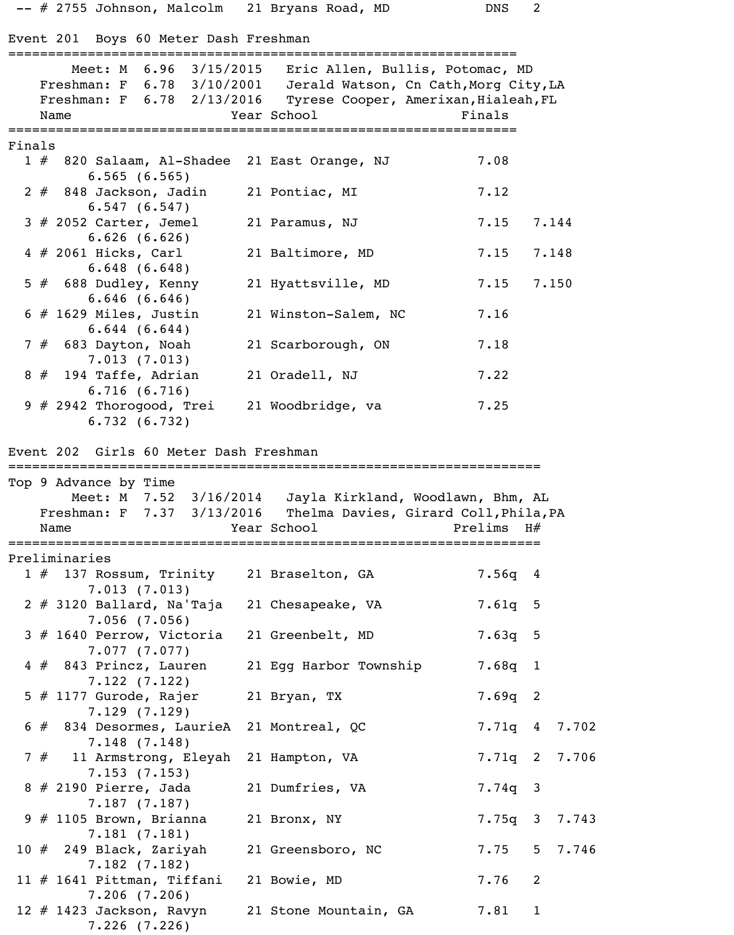-- # 2755 Johnson, Malcolm 21 Bryans Road, MD DNS 2

Event 201 Boys 60 Meter Dash Freshman

|        | Event 201 BOYS 60 Meter Dasn Freshman                                                                                        |                                                                                                                |            |               |
|--------|------------------------------------------------------------------------------------------------------------------------------|----------------------------------------------------------------------------------------------------------------|------------|---------------|
|        | Freshman: F 6.78 3/10/2001<br>Freshman: F 6.78 2/13/2016 Tyrese Cooper, Amerixan, Hialeah, FL<br>Name                        | Meet: M 6.96 3/15/2015 Eric Allen, Bullis, Potomac, MD<br>Jerald Watson, Cn Cath, Morg City, LA<br>Year School | Finals     |               |
| Finals |                                                                                                                              |                                                                                                                |            |               |
|        | 1 # 820 Salaam, Al-Shadee 21 East Orange, NJ<br>6.565(6.565)                                                                 |                                                                                                                | 7.08       |               |
|        | $2$ # 848 Jackson, Jadin<br>6.547(6.547)                                                                                     | 21 Pontiac, MI                                                                                                 | 7.12       |               |
|        | $3$ # 2052 Carter, Jemel<br>6.626(6.626)                                                                                     | 21 Paramus, NJ                                                                                                 | 7.15       | 7.144         |
|        | $4$ # 2061 Hicks, Carl<br>6.648(6.648)                                                                                       | 21 Baltimore, MD                                                                                               | 7.15       | 7.148         |
|        | $5$ # 688 Dudley, Kenny<br>6.646(6.646)                                                                                      | 21 Hyattsville, MD                                                                                             | 7.15       | 7.150         |
|        | $6$ # 1629 Miles, Justin<br>6.644(6.644)                                                                                     | 21 Winston-Salem, NC                                                                                           | 7.16       |               |
|        | $7# 683$ Dayton, Noah<br>7.013(7.013)                                                                                        | 21 Scarborough, ON                                                                                             | 7.18       |               |
|        | $8 \# 194$ Taffe, Adrian<br>6.716(6.716)                                                                                     | 21 Oradell, NJ                                                                                                 | 7.22       |               |
|        | $9$ # 2942 Thorogood, Trei<br>6.732(6.732)                                                                                   | 21 Woodbridge, va                                                                                              | 7.25       |               |
|        | Event 202 Girls 60 Meter Dash Freshman                                                                                       |                                                                                                                |            |               |
|        | ===============================                                                                                              |                                                                                                                |            |               |
|        | Top 9 Advance by Time                                                                                                        |                                                                                                                |            |               |
|        | Meet: M 7.52 3/16/2014 Jayla Kirkland, Woodlawn, Bhm, AL<br>Freshman: F 7.37 3/13/2016 Thelma Davies, Girard Coll, Phila, PA |                                                                                                                |            |               |
|        | Name                                                                                                                         | Year School                                                                                                    | Prelims H# |               |
|        |                                                                                                                              |                                                                                                                |            |               |
|        | Preliminaries                                                                                                                |                                                                                                                |            |               |
|        | 1 # 137 Rossum, Trinity 21 Braselton, GA<br>7.013(7.013)                                                                     |                                                                                                                | 7.56q 4    |               |
|        | $2 \# 3120$ Ballard, Na'Taja<br>$7.056$ $(7.056)$                                                                            | 21 Chesapeake, VA                                                                                              | $7.61q$ 5  |               |
|        | 3 # 1640 Perrow, Victoria<br>7.077(7.077)                                                                                    | 21 Greenbelt, MD                                                                                               | $7.63q$ 5  |               |
|        | $4#843$ Princz, Lauren<br>7.122(7.122)                                                                                       | 21 Egg Harbor Township                                                                                         | $7.68q$ 1  |               |
|        | $5$ # 1177 Gurode, Rajer<br>7.129(7.129)                                                                                     | 21 Bryan, TX                                                                                                   | $7.69q$ 2  |               |
|        | $6 \# 834$ Desormes, LaurieA<br>7.148(7.148)                                                                                 | 21 Montreal, QC                                                                                                |            | 7.71q 4 7.702 |
|        | 7 # 11 Armstrong, Eleyah<br>7.153(7.153)                                                                                     | 21 Hampton, VA                                                                                                 |            | 7.71q 2 7.706 |
|        | 8 # 2190 Pierre, Jada<br>7.187(7.187)                                                                                        | 21 Dumfries, VA                                                                                                | $7.74q$ 3  |               |
|        | $9 \# 1105$ Brown, Brianna<br>7.181(7.181)                                                                                   | 21 Bronx, NY                                                                                                   |            | 7.75q 3 7.743 |
|        | $10$ $#$ 249 Black, Zariyah<br>7.182(7.182)                                                                                  | 21 Greensboro, NC                                                                                              | 7.75       | 5 7.746       |
|        | 11 $#$ 1641 Pittman, Tiffani<br>7.206(7.206)                                                                                 | 21 Bowie, MD                                                                                                   | 7.76       | 2             |
|        | 12 # 1423 Jackson, Ravyn<br>$7.226$ $(7.226)$                                                                                | 21 Stone Mountain, GA                                                                                          | 7.81       | $\mathbf 1$   |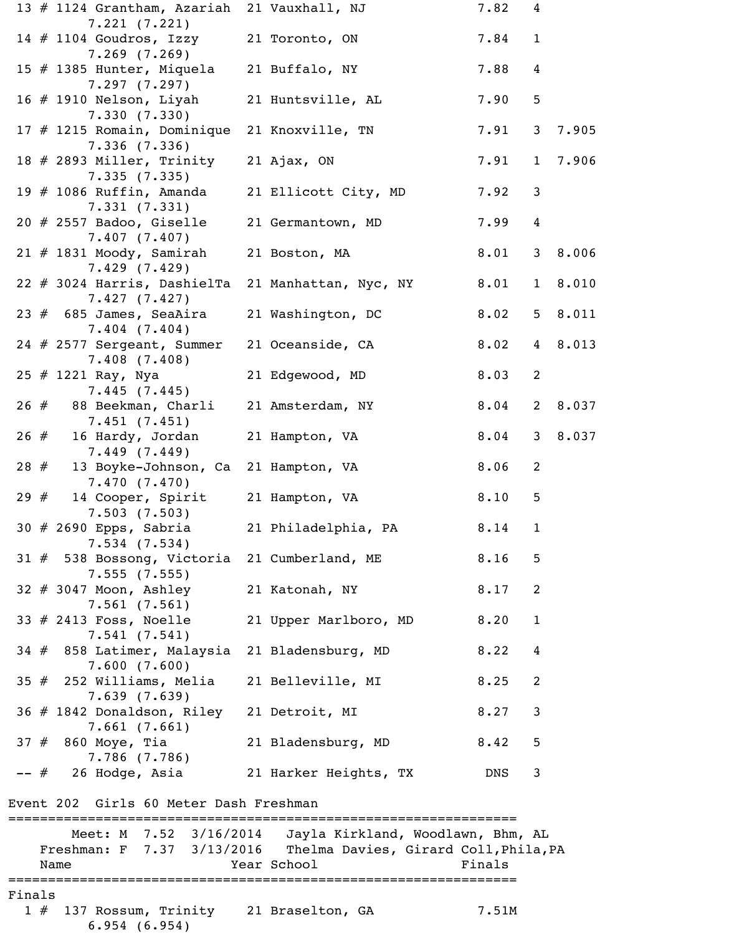|        | 13 # 1124 Grantham, Azariah 21 Vauxhall, NJ                                            |                                                                  | 7.82   | 4                 |         |
|--------|----------------------------------------------------------------------------------------|------------------------------------------------------------------|--------|-------------------|---------|
|        | 7.221(7.221)<br>14 # 1104 Goudros, Izzy                                                | 21 Toronto, ON                                                   | 7.84   | $\mathbf{1}$      |         |
|        | $7.269$ $(7.269)$<br>15 # 1385 Hunter, Miquela<br>7.297(7.297)                         | 21 Buffalo, NY                                                   | 7.88   | 4                 |         |
|        | 16 $#$ 1910 Nelson, Liyah<br>7.330(7.330)                                              | 21 Huntsville, AL                                                | 7.90   | 5                 |         |
|        | 17 # 1215 Romain, Dominique<br>7.336(7.336)                                            | 21 Knoxville, TN                                                 | 7.91   | 3 <sup>7</sup>    | 7.905   |
|        | 18 # 2893 Miller, Trinity<br>7.335(7.335)                                              | 21 Ajax, ON                                                      | 7.91   | $\mathbf{1}$      | 7.906   |
|        | 19 $#$ 1086 Ruffin, Amanda<br>7.331(7.331)                                             | 21 Ellicott City, MD                                             | 7.92   | 3                 |         |
|        | $20$ # 2557 Badoo, Giselle<br>7.407(7.407)                                             | 21 Germantown, MD                                                | 7.99   | 4                 |         |
|        | $21$ # 1831 Moody, Samirah<br>7.429(7.429)                                             | 21 Boston, MA                                                    | 8.01   | 3 <sup>7</sup>    | 8.006   |
|        | 22 # 3024 Harris, DashielTa<br>7.427(7.427)                                            | 21 Manhattan, Nyc, NY                                            | 8.01   | $\mathbf{1}$      | 8.010   |
|        | $23$ $#$ 685 James, SeaAira<br>$7.404$ $(7.404)$                                       | 21 Washington, DC                                                | 8.02   |                   | 5 8.011 |
|        | 24 # 2577 Sergeant, Summer<br>7.408(7.408)                                             | 21 Oceanside, CA                                                 | 8.02   | $4\overline{ }$   | 8.013   |
|        | $25$ # 1221 Ray, Nya<br>7.445(7.445)                                                   | 21 Edgewood, MD                                                  | 8.03   | 2                 |         |
|        | 26 # 88 Beekman, Charli<br>7.451(7.451)                                                | 21 Amsterdam, NY                                                 | 8.04   | $2^{\circ}$       | 8.037   |
| 26#    | 16 Hardy, Jordan<br>7.449(7.449)                                                       | 21 Hampton, VA                                                   | 8.04   | 3 <sup>7</sup>    | 8.037   |
|        | 28 # 13 Boyke-Johnson, Ca 21 Hampton, VA<br>7.470 (7.470)                              |                                                                  | 8.06   | 2                 |         |
|        | 29 # 14 Cooper, Spirit 21 Hampton, VA<br>7.503(7.503)                                  |                                                                  | 8.10   | 5                 |         |
|        | $7.534$ $(7.534)$                                                                      | 30 # 2690 Epps, Sabria 21 Philadelphia, PA 8.14                  | 8.16   | $\mathbf{1}$<br>5 |         |
|        | 31 # 538 Bossong, Victoria 21 Cumberland, ME<br>7.555(7.555)<br>32 # 3047 Moon, Ashley |                                                                  | 8.17   | 2                 |         |
|        | 7.561(7.561)<br>33 # 2413 Foss, Noelle                                                 | 21 Katonah, NY<br>21 Upper Marlboro, MD                          | 8.20   | $\mathbf{1}$      |         |
|        | 7.541(7.541)<br>34 # 858 Latimer, Malaysia                                             | 21 Bladensburg, MD                                               | 8.22   | 4                 |         |
|        | 7.600(7.600)<br>$35$ $\#$ 252 Williams, Melia                                          | 21 Belleville, MI                                                | 8.25   | 2                 |         |
|        | 7.639(7.639)<br>36 # 1842 Donaldson, Riley 21 Detroit, MI                              |                                                                  | 8.27   | 3                 |         |
|        | 7.661(7.661)<br>37 # 860 Moye, Tia                                                     | 21 Bladensburg, MD                                               | 8.42   | 5                 |         |
|        | 7.786 (7.786)<br>-- # 26 Hodge, Asia 21 Harker Heights, TX                             |                                                                  | DNS    | 3                 |         |
|        | Event 202 Girls 60 Meter Dash Freshman                                                 |                                                                  |        |                   |         |
|        |                                                                                        | Meet: M 7.52 3/16/2014 Jayla Kirkland, Woodlawn, Bhm, AL         |        |                   |         |
|        |                                                                                        | Freshman: F 7.37 3/13/2016 Thelma Davies, Girard Coll, Phila, PA |        |                   |         |
|        | Name                                                                                   | Year School and the School                                       | Finals |                   |         |
| Finals |                                                                                        |                                                                  |        |                   |         |
|        | 1 # 137 Rossum, Trinity 21 Braselton, GA<br>6.954(6.954)                               |                                                                  | 7.51M  |                   |         |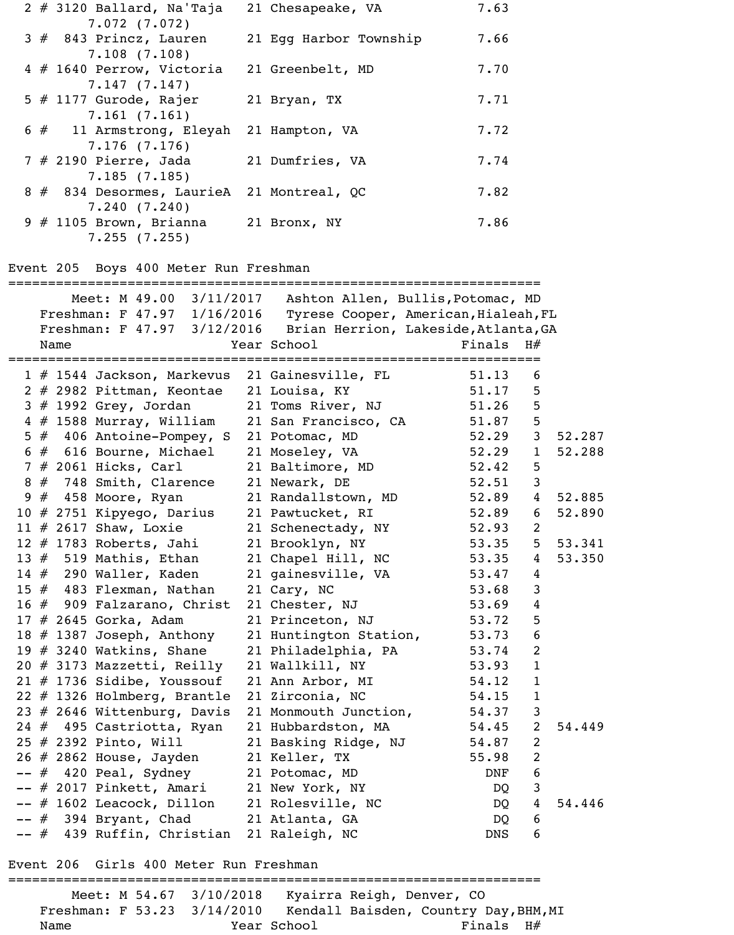| $2$ # 3120 Ballard, Na'Taja                             | 21 Chesapeake, VA      | 7.63 |
|---------------------------------------------------------|------------------------|------|
| 7.072(7.072)<br>$3# 843$ Princz, Lauren<br>7.108(7.108) | 21 Egg Harbor Township | 7.66 |
| 4 # 1640 Perrow, Victoria<br>7.147(7.147)               | 21 Greenbelt, MD       | 7.70 |
| $5$ # 1177 Gurode, Rajer<br>7.161(7.161)                | 21 Bryan, TX           | 7.71 |
| $6 \neq 11$ Armstrong, Eleyah<br>7.176(7.176)           | 21 Hampton, VA         | 7.72 |
| $7$ # 2190 Pierre, Jada<br>7.185(7.185)                 | 21 Dumfries, VA        | 7.74 |
| 8 # 834 Desormes, LaurieA<br>7.240(7.240)               | 21 Montreal, QC        | 7.82 |
| $9$ # 1105 Brown, Brianna<br>7.255(7.255)               | 21 Bronx, NY           | 7.86 |

#### Event 205 Boys 400 Meter Run Freshman

|      |      | Meet: M 49.00 3/11/2017 Ashton Allen, Bullis, Potomac, MD        |                        |             |                |        |
|------|------|------------------------------------------------------------------|------------------------|-------------|----------------|--------|
|      |      | Freshman: F 47.97 1/16/2016 Tyrese Cooper, American, Hialeah, FL |                        |             |                |        |
|      |      | Freshman: F 47.97 3/12/2016 Brian Herrion, Lakeside, Atlanta, GA |                        |             |                |        |
|      | Name |                                                                  | Year School            | Finals $H#$ |                |        |
|      |      |                                                                  |                        |             |                |        |
|      |      | 1 # 1544 Jackson, Markevus 21 Gainesville, FL                    |                        | 51.13       | 6              |        |
|      |      | 2 # 2982 Pittman, Keontae 21 Louisa, KY                          |                        | 51.17       | 5              |        |
|      |      | 3 # 1992 Grey, Jordan 21 Toms River, NJ                          |                        | 51.26       | 5              |        |
|      |      | 4 # 1588 Murray, William 21 San Francisco, CA                    |                        | 51.87       | 5              |        |
|      |      | 5 # 406 Antoine-Pompey, S 21 Potomac, MD                         |                        | 52.29       | 3 <sup>7</sup> | 52.287 |
|      |      | $6 \# 616$ Bourne, Michael                                       | 21 Moseley, VA         | 52.29       | $\mathbf{1}$   | 52.288 |
|      |      | 7 # 2061 Hicks, Carl                                             | 21 Baltimore, MD       | 52.42       | 5              |        |
|      |      | 8 # 748 Smith, Clarence                                          | 21 Newark, DE          | 52.51       | 3              |        |
|      |      | $9$ # 458 Moore, Ryan                                            | 21 Randallstown, MD    | 52.89       | $\overline{4}$ | 52.885 |
|      |      | 10 $#$ 2751 Kipyego, Darius                                      | 21 Pawtucket, RI       | 52.89       | 6              | 52.890 |
|      |      | 11 $#$ 2617 Shaw, Loxie                                          | 21 Schenectady, NY     | 52.93       | $\overline{2}$ |        |
|      |      | $12$ $\#$ 1783 Roberts, Jahi                                     | 21 Brooklyn, NY        | 53.35       | 5 <sub>1</sub> | 53.341 |
|      |      | 13 $#$ 519 Mathis, Ethan                                         | 21 Chapel Hill, NC     | 53.35       | $\overline{4}$ | 53.350 |
|      |      | 14 $\#$ 290 Waller, Kaden                                        | 21 gainesville, VA     | 53.47       | $\overline{4}$ |        |
|      |      | 15 $#$ 483 Flexman, Nathan                                       | 21 Cary, NC            | 53.68       | $\mathsf{3}$   |        |
|      |      | 16 # 909 Falzarano, Christ                                       | 21 Chester, NJ         | 53.69       | $\overline{4}$ |        |
|      |      | 17 # 2645 Gorka, Adam                                            | 21 Princeton, NJ       | 53.72       | 5              |        |
|      |      | $18$ # 1387 Joseph, Anthony                                      | 21 Huntington Station, | 53.73       | 6              |        |
|      |      | 19 $\#$ 3240 Watkins, Shane                                      | 21 Philadelphia, PA    | 53.74       | 2              |        |
|      |      | 20 # 3173 Mazzetti, Reilly                                       | 21 Wallkill, NY        | 53.93       | $\mathbf{1}$   |        |
|      |      | $21$ # 1736 Sidibe, Youssouf                                     | 21 Ann Arbor, MI       | 54.12       | $\mathbf{1}$   |        |
|      |      | 22 # 1326 Holmberg, Brantle                                      | 21 Zirconia, NC        | 54.15       | $\mathbf{1}$   |        |
|      |      | 23 # 2646 Wittenburg, Davis                                      | 21 Monmouth Junction,  | 54.37       | $\mathsf{3}$   |        |
|      |      | 24 # 495 Castriotta, Ryan                                        | 21 Hubbardston, MA     | 54.45       | $\overline{2}$ | 54.449 |
|      |      | 25 # 2392 Pinto, Will                                            | 21 Basking Ridge, NJ   | 54.87       | 2              |        |
|      |      | 26 $\#$ 2862 House, Jayden                                       | 21 Keller, TX          | 55.98       | $\overline{c}$ |        |
|      |      | $--$ # 420 Peal, Sydney                                          | 21 Potomac, MD         | DNF         | 6              |        |
|      |      | # 2017 Pinkett, Amari                                            | 21 New York, NY        | DQ          | 3              |        |
|      |      | # 1602 Leacock, Dillon                                           | 21 Rolesville, NC      | DQ          | 4              | 54.446 |
| #    |      | 394 Bryant, Chad                                                 | 21 Atlanta, GA         | DQ          | 6              |        |
| -- # |      | 439 Ruffin, Christian                                            | 21 Raleigh, NC         | <b>DNS</b>  | 6              |        |

Event 206 Girls 400 Meter Run Freshman

=================================================================== Meet: M 54.67 3/10/2018 Kyairra Reigh, Denver, CO Freshman: F 53.23 3/14/2010 Kendall Baisden, Country Day, BHM, MI Name Year School Finals H#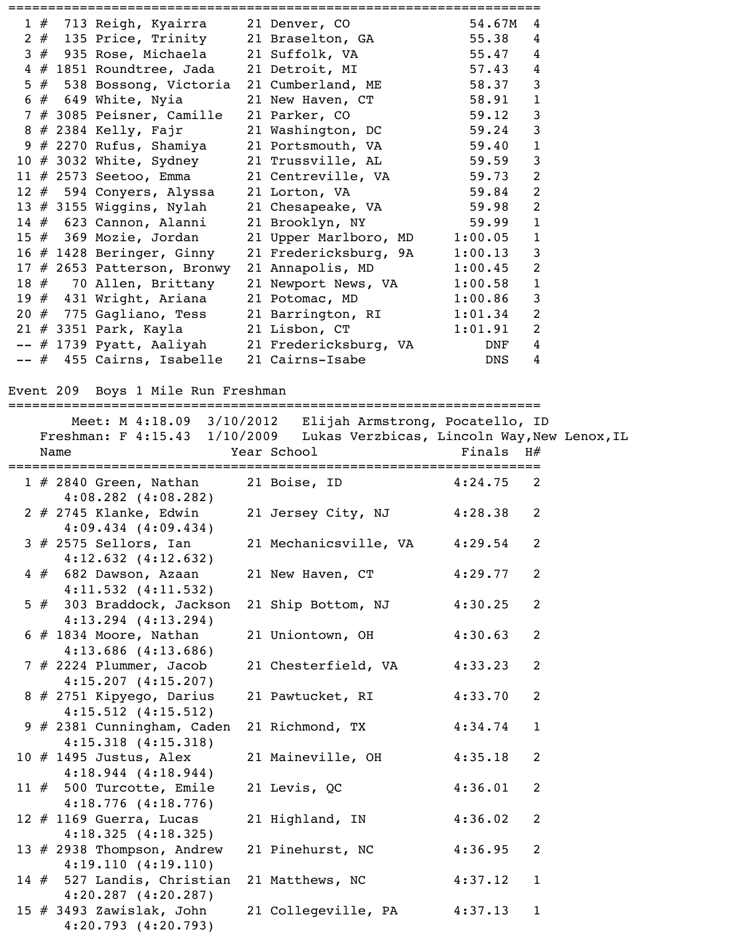|  | 1 # 713 Reigh, Kyairra 21 Denver, CO            |                                                | 54.67M     | 4              |
|--|-------------------------------------------------|------------------------------------------------|------------|----------------|
|  | 2 # 135 Price, Trinity 21 Braselton, GA         |                                                | 55.38      | 4              |
|  | 3 # 935 Rose, Michaela 21 Suffolk, VA           |                                                | 55.47      | $\overline{4}$ |
|  | 4 # 1851 Roundtree, Jada                        | 21 Detroit, MI                                 | 57.43      | $\overline{4}$ |
|  | 5 # 538 Bossong, Victoria                       | 21 Cumberland, ME                              | 58.37      | $\mathsf{3}$   |
|  | $6 \neq 649$ White, Nyia                        | 21 New Haven, CT                               | 58.91      | $\mathbf{1}$   |
|  | 7 # 3085 Peisner, Camille                       | 21 Parker, CO                                  | 59.12      | $\mathbf{3}$   |
|  | $8$ # 2384 Kelly, Fajr                          | 21 Washington, DC                              | 59.24      | $\mathbf{3}$   |
|  | 9 # 2270 Rufus, Shamiya                         | 21 Portsmouth, VA                              | 59.40      | $\mathbf{1}$   |
|  | 10 # 3032 White, Sydney 21 Trussville, AL       |                                                | 59.59      | $\mathbf{3}$   |
|  | 11 # 2573 Seetoo, Emma 21 Centreville, VA       |                                                | 59.73      | $\overline{2}$ |
|  | 12 # 594 Conyers, Alyssa                        | 21 Lorton, VA                                  | 59.84      | $\overline{2}$ |
|  | 13 # 3155 Wiggins, Nylah                        | 21 Chesapeake, VA                              | 59.98      | $\overline{2}$ |
|  | 14 # 623 Cannon, Alanni                         | 21 Brooklyn, NY                                | 59.99      | $\mathbf{1}$   |
|  | $15$ $\#$ 369 Mozie, Jordan                     | 21 Upper Marlboro, MD                          | 1:00.05    | $\mathbf{1}$   |
|  | $16$ $\#$ 1428 Beringer, Ginny                  | 21 Fredericksburg, 9A                          | 1:00.13    | $\mathbf{3}$   |
|  | 17 # 2653 Patterson, Bronwy                     | 21 Annapolis, MD                               | 1:00.45    | $\overline{2}$ |
|  | 18 # 70 Allen, Brittany                         | 21 Newport News, VA                            | 1:00.58    | $\mathbf{1}$   |
|  | 19 # 431 Wright, Ariana 21 Potomac, MD          |                                                | 1:00.86    | $\mathsf{3}$   |
|  | 20 # 775 Gagliano, Tess 21 Barrington, RI       |                                                | 1:01.34    | $\overline{2}$ |
|  | 21 # 3351 Park, Kayla             21 Lisbon, CT |                                                | 1:01.91    | $\overline{2}$ |
|  |                                                 | -- # 1739 Pyatt, Aaliyah 21 Fredericksburg, VA | DNF        | $\overline{4}$ |
|  | -- # 455 Cairns, Isabelle                       | 21 Cairns-Isabe                                | <b>DNS</b> | $\overline{4}$ |

Event 209 Boys 1 Mile Run Freshman

===================================================================

|                                                       | Meet: M 4:18.09 3/10/2012 Elijah Armstrong, Pocatello, ID                 |                |
|-------------------------------------------------------|---------------------------------------------------------------------------|----------------|
|                                                       | Freshman: F 4:15.43 1/10/2009 Lukas Verzbicas, Lincoln Way, New Lenox, IL |                |
| Name                                                  | Year School                                                               | Finals $H#$    |
|                                                       |                                                                           |                |
| $1 \# 2840$ Green, Nathan                             | 21 Boise, ID<br>$4:24.75$ 2                                               |                |
| $4:08.282$ $(4:08.282)$                               |                                                                           |                |
| $2 \# 2745$ Klanke, Edwin                             | 21 Jersey City, NJ 4:28.38                                                | 2              |
| $4:09.434$ $(4:09.434)$                               |                                                                           |                |
| $3$ # 2575 Sellors, Ian                               | 21 Mechanicsville, VA 4:29.54                                             | 2              |
| $4:12.632$ $(4:12.632)$<br>$4# 682$ Dawson, Azaan     | 4:29.77<br>21 New Haven, CT                                               | 2              |
| $4:11.532$ $(4:11.532)$                               |                                                                           |                |
| 5 # 303 Braddock, Jackson                             | 21 Ship Bottom, NJ<br>4:30.25                                             | 2              |
| $4:13.294$ $(4:13.294)$                               |                                                                           |                |
| $6$ # 1834 Moore, Nathan                              | 4:30.63<br>21 Uniontown, OH                                               | 2              |
| $4:13.686$ $(4:13.686)$                               |                                                                           |                |
| 7 # 2224 Plummer, Jacob                               | 21 Chesterfield, VA<br>4:33.23                                            | 2              |
| 4:15.207(4:15.207)                                    |                                                                           |                |
| 8 # 2751 Kipyego, Darius                              | 21 Pawtucket, RI 4:33.70                                                  | $\overline{2}$ |
| $4:15.512$ $(4:15.512)$                               |                                                                           |                |
| 9 # 2381 Cunningham, Caden                            | 21 Richmond, TX<br>4:34.74                                                | $\mathbf{1}$   |
| $4:15.318$ $(4:15.318)$                               |                                                                           |                |
| 10 $\#$ 1495 Justus, Alex                             | 21 Maineville, OH 4:35.18                                                 | $\overline{2}$ |
| $4:18.944$ $(4:18.944)$                               |                                                                           |                |
| 11 $#$ 500 Turcotte, Emile                            | 21 Levis, QC<br>4:36.01                                                   | $\overline{2}$ |
| $4:18.776$ $(4:18.776)$                               |                                                                           |                |
| 12 $#$ 1169 Guerra, Lucas                             | 21 Highland, IN<br>4:36.02                                                | 2              |
| 4:18.325(4:18.325)                                    |                                                                           |                |
| 13 # 2938 Thompson, Andrew                            | 21 Pinehurst, NC<br>4:36.95                                               | 2              |
| 4:19.110(4:19.110)                                    |                                                                           |                |
| 14 # 527 Landis, Christian<br>$4:20.287$ $(4:20.287)$ | 21 Matthews, NC<br>4:37.12                                                | $\mathbf{1}$   |
| 15 $#$ 3493 Zawislak, John                            | 21 Collegeville, PA<br>4:37.13                                            | $\mathbf{1}$   |
| 4:20.793(4:20.793)                                    |                                                                           |                |
|                                                       |                                                                           |                |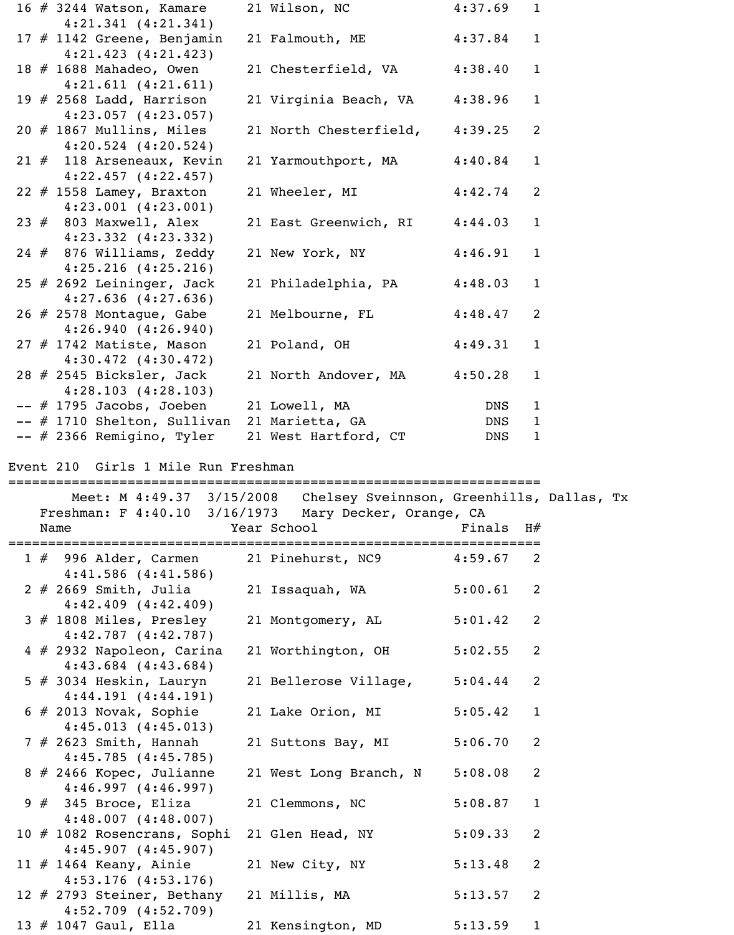|  | 16 $\#$ 3244 Watson, Kamare                           | 21 Wilson, NC                                                       | 4:37.69     | $\mathbf{1}$ |  |
|--|-------------------------------------------------------|---------------------------------------------------------------------|-------------|--------------|--|
|  | 4:21.341 (4:21.341)                                   |                                                                     |             |              |  |
|  | 17 $#$ 1142 Greene, Benjamin                          | 21 Falmouth, ME                                                     | 4:37.84     | $\mathbf{1}$ |  |
|  | $4:21.423$ $(4:21.423)$                               |                                                                     |             |              |  |
|  | 18 # 1688 Mahadeo, Owen                               | 21 Chesterfield, VA                                                 | 4:38.40     | $\mathbf{1}$ |  |
|  | $4:21.611$ $(4:21.611)$                               |                                                                     |             |              |  |
|  | 19 $\#$ 2568 Ladd, Harrison                           | 21 Virginia Beach, VA                                               | 4:38.96     | $\mathbf{1}$ |  |
|  | $4:23.057$ $(4:23.057)$                               |                                                                     |             |              |  |
|  | $20$ $#$ 1867 Mullins, Miles                          | 21 North Chesterfield,                                              | 4:39.25     | 2            |  |
|  | $4:20.524$ $(4:20.524)$                               |                                                                     |             |              |  |
|  | $21$ # 118 Arseneaux, Kevin                           | 21 Yarmouthport, MA                                                 | 4:40.84     | $\mathbf{1}$ |  |
|  | $4:22.457$ $(4:22.457)$                               |                                                                     |             |              |  |
|  | $22$ # 1558 Lamey, Braxton                            | 21 Wheeler, MI                                                      | 4:42.74     | 2            |  |
|  | $4:23.001$ $(4:23.001)$                               |                                                                     |             |              |  |
|  | $23$ $#$ 803 Maxwell, Alex                            | 21 East Greenwich, RI                                               | 4:44.03     | $\mathbf{1}$ |  |
|  | $4:23.332$ $(4:23.332)$                               |                                                                     |             |              |  |
|  | $24$ # 876 Williams, Zeddy                            | 21 New York, NY                                                     | 4:46.91     | $\mathbf{1}$ |  |
|  | $4:25.216$ $(4:25.216)$                               |                                                                     |             |              |  |
|  | 25 $#$ 2692 Leininger, Jack                           | 21 Philadelphia, PA                                                 | 4:48.03     | $\mathbf{1}$ |  |
|  | $4:27.636$ $(4:27.636)$                               |                                                                     |             |              |  |
|  | 26 # 2578 Montague, Gabe                              | 21 Melbourne, FL                                                    | 4:48.47     | 2            |  |
|  |                                                       |                                                                     |             |              |  |
|  | 4:26.940(4:26.940)                                    |                                                                     |             |              |  |
|  | $27$ # 1742 Matiste, Mason                            | 21 Poland, OH                                                       | 4:49.31     | $\mathbf{1}$ |  |
|  | $4:30.472$ $(4:30.472)$                               |                                                                     |             |              |  |
|  | $28$ # 2545 Bicksler, Jack                            | 21 North Andover, MA                                                | 4:50.28     | $\mathbf{1}$ |  |
|  | 4:28.103(4:28.103)                                    |                                                                     |             |              |  |
|  | $--$ # 1795 Jacobs, Joeben                            | 21 Lowell, MA                                                       | DNS         | 1            |  |
|  | -- # 1710 Shelton, Sullivan 21 Marietta, GA           |                                                                     | DNS         | $\mathbf{1}$ |  |
|  | $--$ # 2366 Remigino, Tyler                           | 21 West Hartford, CT                                                | DNS         | $\mathbf 1$  |  |
|  |                                                       |                                                                     |             |              |  |
|  | Event 210 Girls 1 Mile Run Freshman                   |                                                                     |             |              |  |
|  | ======================================                |                                                                     |             |              |  |
|  |                                                       | Meet: M 4:49.37 3/15/2008 Chelsey Sveinnson, Greenhills, Dallas, Tx |             |              |  |
|  | Freshman: F 4:40.10 3/16/1973 Mary Decker, Orange, CA |                                                                     |             |              |  |
|  | Name                                                  | Year School                                                         | Finals $H#$ |              |  |
|  |                                                       |                                                                     |             |              |  |
|  | $1 \# 996$ Alder, Carmen                              | 21 Pinehurst, NC9                                                   | 4:59.67     | 2            |  |
|  | $4:41.586$ $(4:41.586)$                               |                                                                     |             |              |  |
|  | $2$ # 2669 Smith, Julia                               | 21 Issaquah, WA                                                     | 5:00.61     | 2            |  |
|  | $4:42.409$ $(4:42.409)$                               |                                                                     |             |              |  |
|  | $3$ # 1808 Miles, Presley                             | 21 Montgomery, AL                                                   | 5:01.42     | 2            |  |
|  | 4:42.787(4:42.787)                                    |                                                                     |             |              |  |
|  |                                                       |                                                                     |             | 2            |  |
|  | 4 # 2932 Napoleon, Carina                             | 21 Worthington, OH                                                  | 5:02.55     |              |  |
|  | $4:43.684$ $(4:43.684)$                               |                                                                     |             |              |  |
|  | $5$ # 3034 Heskin, Lauryn                             | 21 Bellerose Village,                                               | 5:04.44     | 2            |  |
|  | 4:44.191(4:44.191)                                    |                                                                     |             |              |  |
|  | $\#$ 2012 Novak Combio                                |                                                                     |             |              |  |

 6 # 2013 Novak, Sophie 21 Lake Orion, MI 5:05.42 1 4:45.013 (4:45.013) 7 # 2623 Smith, Hannah 21 Suttons Bay, MI 5:06.70 2 4:45.785 (4:45.785) 8 # 2466 Kopec, Julianne 21 West Long Branch, N 5:08.08 2 4:46.997 (4:46.997) 9 # 345 Broce, Eliza 21 Clemmons, NC 5:08.87 1 4:48.007 (4:48.007) 10 # 1082 Rosencrans, Sophi 21 Glen Head, NY 5:09.33 2 4:45.907 (4:45.907) 11 # 1464 Keany, Ainie 21 New City, NY 5:13.48 2 4:53.176 (4:53.176) 12 # 2793 Steiner, Bethany 21 Millis, MA 5:13.57 2 4:52.709 (4:52.709) 13 # 1047 Gaul, Ella 21 Kensington, MD 5:13.59 1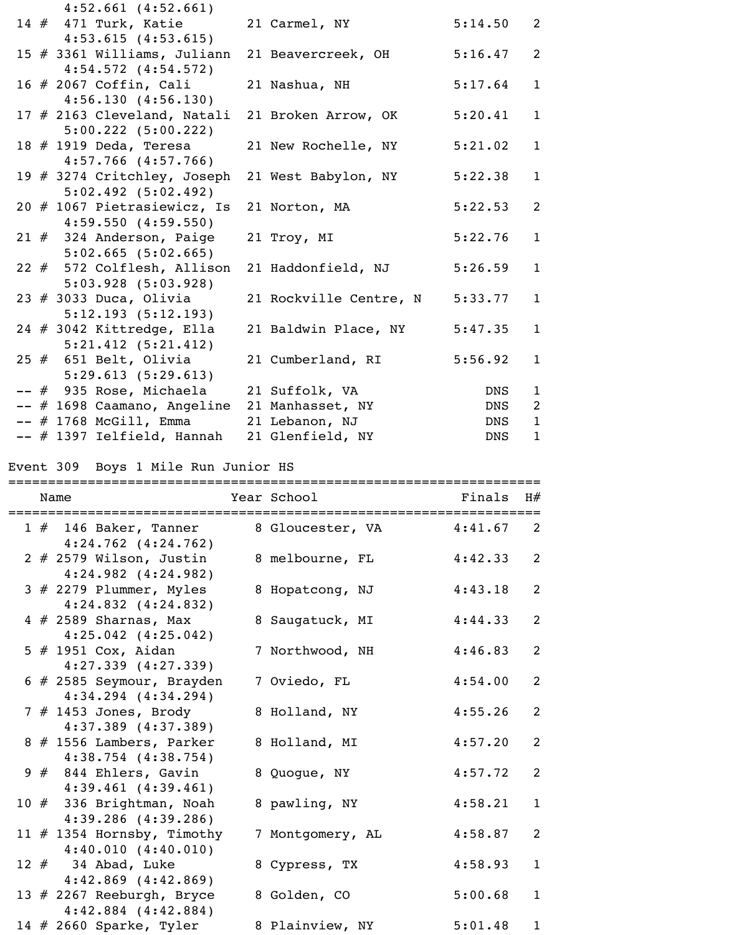| $4:52.661$ $(4:52.661)$                      |                        |         |                |
|----------------------------------------------|------------------------|---------|----------------|
| 14 # 471 Turk, Katie                         | 21 Carmel, NY          | 5:14.50 | $\overline{2}$ |
| $4:53.615$ $(4:53.615)$                      |                        |         |                |
| 15 # 3361 Williams, Juliann                  | 21 Beavercreek, OH     | 5:16.47 | 2              |
| $4:54.572$ $(4:54.572)$                      |                        |         |                |
| 16 # 2067 Coffin, Cali                       | 21 Nashua, NH          | 5:17.64 | $\mathbf{1}$   |
| 4:56.130(4:56.130)                           |                        |         |                |
| 17 # 2163 Cleveland, Natali                  | 21 Broken Arrow, OK    | 5:20.41 | $\mathbf{1}$   |
| $5:00.222$ $(5:00.222)$                      |                        |         |                |
| 18 # 1919 Deda, Teresa                       | 21 New Rochelle, NY    | 5:21.02 | $\mathbf{1}$   |
| $4:57.766$ $(4:57.766)$                      |                        |         |                |
| 19 # 3274 Critchley, Joseph                  | 21 West Babylon, NY    | 5:22.38 | $\mathbf{1}$   |
| $5:02.492$ $(5:02.492)$                      |                        |         |                |
| 20 # 1067 Pietrasiewicz, Is                  | 21 Norton, MA          | 5:22.53 | $\overline{2}$ |
| $4:59.550$ $(4:59.550)$                      |                        |         |                |
| 21 # 324 Anderson, Paige                     | 21 Troy, MI            | 5:22.76 | $\mathbf{1}$   |
| $5:02.665$ (5:02.665)                        |                        |         |                |
| 22 # 572 Colflesh, Allison                   | 21 Haddonfield, NJ     | 5:26.59 | $\mathbf{1}$   |
| $5:03.928$ $(5:03.928)$                      |                        |         |                |
| $23$ # 3033 Duca, Olivia                     | 21 Rockville Centre, N | 5:33.77 | $\mathbf{1}$   |
| 5:12.193(5:12.193)                           |                        |         |                |
| 24 # 3042 Kittredge, Ella                    | 21 Baldwin Place, NY   | 5:47.35 | $\mathbf{1}$   |
| $5:21.412$ $(5:21.412)$                      |                        |         |                |
| $25$ $#$ 651 Belt, Olivia                    | 21 Cumberland, RI      | 5:56.92 | $\mathbf{1}$   |
| 5:29.613(5:29.613)                           |                        |         |                |
| -- # 935 Rose, Michaela                      | 21 Suffolk, VA         | DNS     | $\mathbf{1}$   |
| -- # 1698 Caamano, Angeline 21 Manhasset, NY |                        | DNS     | 2              |
| $--$ # 1768 McGill, Emma                     | 21 Lebanon, NJ         | DNS     | $\overline{1}$ |
| -- # 1397 Ielfield, Hannah                   | 21 Glenfield, NY       | DNS     | $\mathbf{1}$   |
|                                              |                        |         |                |

# Event 309 Boys 1 Mile Run Junior HS

| -------<br>Name                                        | Year School      | Finals  | H#           |
|--------------------------------------------------------|------------------|---------|--------------|
| $1 \# 146$ Baker, Tanner<br>$4:24.762$ $(4:24.762)$    | 8 Gloucester, VA | 4:41.67 | 2            |
| $2$ # 2579 Wilson, Justin<br>$4:24.982$ $(4:24.982)$   | 8 melbourne, FL  | 4:42.33 | 2            |
| $3$ # 2279 Plummer, Myles<br>$4:24.832$ $(4:24.832)$   | 8 Hopatcong, NJ  | 4:43.18 | 2            |
| $4 \# 2589$ Sharnas, Max<br>$4:25.042$ $(4:25.042)$    | 8 Saugatuck, MI  | 4:44.33 | 2            |
| $5$ # 1951 Cox, Aidan<br>$4:27.339$ $(4:27.339)$       | 7 Northwood, NH  | 4:46.83 | 2            |
| $6$ # 2585 Seymour, Brayden<br>$4:34.294$ $(4:34.294)$ | 7 Oviedo, FL     | 4:54.00 | 2            |
| $7$ # 1453 Jones, Brody<br>$4:37.389$ $(4:37.389)$     | 8 Holland, NY    | 4:55.26 | 2            |
| 8 # 1556 Lambers, Parker<br>$4:38.754$ $(4:38.754)$    | 8 Holland, MI    | 4:57.20 | 2            |
| $9#844$ Ehlers, Gavin<br>$4:39.461$ $(4:39.461)$       | 8 Quogue, NY     | 4:57.72 | 2            |
| 10 # 336 Brightman, Noah<br>$4:39.286$ $(4:39.286)$    | 8 pawling, NY    | 4:58.21 | $\mathbf{1}$ |
| 11 $#$ 1354 Hornsby, Timothy<br>4:40.010(4:40.010)     | 7 Montgomery, AL | 4:58.87 | 2            |
| 12 $#$ 34 Abad, Luke<br>$4:42.869$ $(4:42.869)$        | 8 Cypress, TX    | 4:58.93 | $\mathbf{1}$ |
| 13 $#$ 2267 Reeburgh, Bryce<br>$4:42.884$ $(4:42.884)$ | 8 Golden, CO     | 5:00.68 | $\mathbf{1}$ |
| 14 $#$ 2660 Sparke, Tyler                              | 8 Plainview, NY  | 5:01.48 | $\mathbf{1}$ |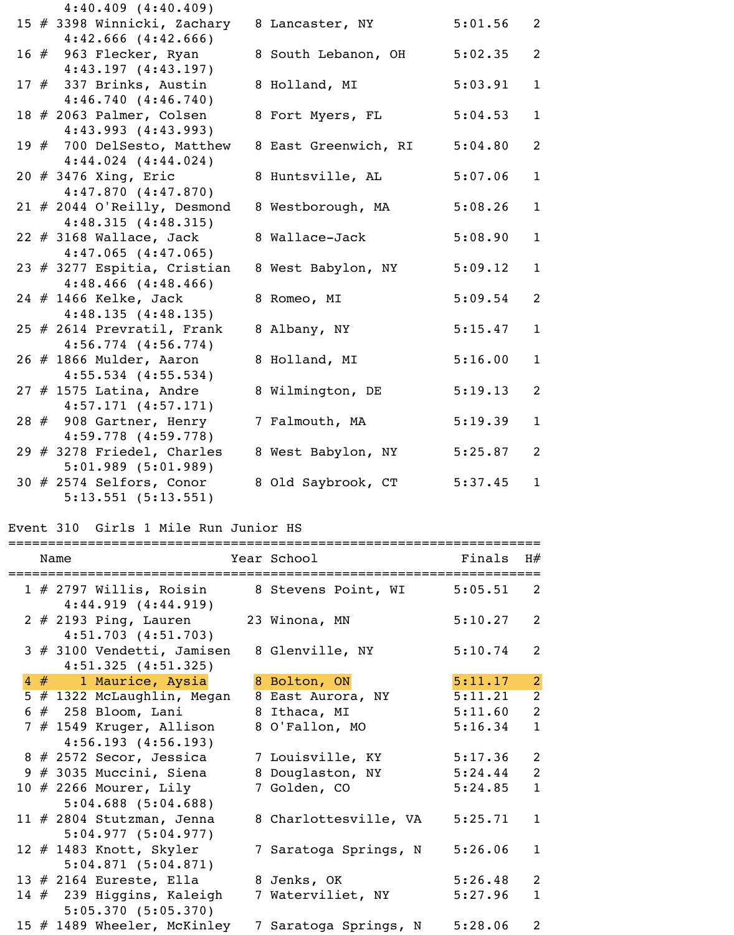| 4:43.993 (4:43.993)           |                      |         |              |
|-------------------------------|----------------------|---------|--------------|
| 19 # 700 DelSesto, Matthew    | 8 East Greenwich, RI | 5:04.80 | 2            |
| $4:44.024$ $(4:44.024)$       |                      |         |              |
| 20 # 3476 Xing, Eric          | 8 Huntsville, AL     | 5:07.06 | $\mathbf{1}$ |
| 4:47.870(4:47.870)            |                      |         |              |
| 21 $#$ 2044 O'Reilly, Desmond | 8 Westborough, MA    | 5:08.26 | $\mathbf{1}$ |
| 4:48.315(4:48.315)            |                      |         |              |
| $22$ # 3168 Wallace, Jack     | 8 Wallace-Jack       | 5:08.90 | $\mathbf{1}$ |
| $4:47.065$ $(4:47.065)$       |                      |         |              |
| 23 # 3277 Espitia, Cristian   | 8 West Babylon, NY   | 5:09.12 | $\mathbf{1}$ |
| $4:48.466$ $(4:48.466)$       |                      |         |              |
| 24 # 1466 Kelke, Jack         | 8 Romeo, MI          | 5:09.54 | 2            |
| 4:48.135(4:48.135)            |                      |         |              |
| 25 $#$ 2614 Prevratil, Frank  | 8 Albany, NY         | 5:15.47 | $\mathbf{1}$ |
|                               |                      |         |              |
| $4:56.774$ $(4:56.774)$       |                      |         |              |
| $26$ # 1866 Mulder, Aaron     | 8 Holland, MI        | 5:16.00 | $\mathbf{1}$ |
| $4:55.534$ $(4:55.534)$       |                      |         |              |
| $27$ # 1575 Latina, Andre     | 8 Wilmington, DE     | 5:19.13 | 2            |
| 4:57.171(4:57.171)            |                      |         |              |
| 28 # 908 Gartner, Henry       | 7 Falmouth, MA       | 5:19.39 | $\mathbf{1}$ |
| $4:59.778$ $(4:59.778)$       |                      |         |              |
| 29 $#$ 3278 Friedel, Charles  | 8 West Babylon, NY   | 5:25.87 | 2            |
| $5:01.989$ $(5:01.989)$       |                      |         |              |
| $30$ # 2574 Selfors, Conor    | 8 Old Saybrook, CT   | 5:37.45 | $\mathbf{1}$ |
| $5:13.551$ $(5:13.551)$       |                      |         |              |
|                               |                      |         |              |

Event 310 Girls 1 Mile Run Junior HS

| Name                                                | Year School           | Finals  | H#             |
|-----------------------------------------------------|-----------------------|---------|----------------|
| 1 # 2797 Willis, Roisin<br>4:44.919(4:44.919)       | 8 Stevens Point, WI   | 5:05.51 | 2              |
| $2 \# 2193$ Ping, Lauren<br>$4:51.703$ $(4:51.703)$ | 23 Winona, MN         | 5:10.27 | 2              |
| 3 # 3100 Vendetti, Jamisen<br>4:51.325(4:51.325)    | 8 Glenville, NY       | 5:10.74 | 2              |
| 4 # 1 Maurice, Aysia                                | 8 Bolton, ON          | 5:11.17 | $\overline{2}$ |
| 5 # 1322 McLaughlin, Megan                          | 8 East Aurora, NY     | 5:11.21 | $\overline{2}$ |
| $6 \# 258$ Bloom, Lani                              | 8 Ithaca, MI          | 5:11.60 | $\overline{2}$ |
| 7 # 1549 Kruger, Allison                            | 8 O'Fallon, MO        | 5:16.34 | $\mathbf{1}$   |
| $4:56.193$ $(4:56.193)$                             |                       |         |                |
| $8$ # 2572 Secor, Jessica                           | 7 Louisville, KY      | 5:17.36 | 2              |
| $9$ # 3035 Muccini, Siena                           | 8 Douglaston, NY      | 5:24.44 | $\overline{2}$ |
| 10 $#$ 2266 Mourer, Lily                            | 7 Golden, CO          | 5:24.85 | $\mathbf{1}$   |
| $5:04.688$ $(5:04.688)$                             |                       |         |                |
| 11 $#$ 2804 Stutzman, Jenna                         | 8 Charlottesville, VA | 5:25.71 | $\mathbf{1}$   |
| 5:04.977(5:04.977)                                  |                       |         |                |
| 12 # 1483 Knott, Skyler                             | 7 Saratoga Springs, N | 5:26.06 | $\mathbf 1$    |
| 5:04.871(5:04.871)                                  |                       |         |                |
| 13 $#$ 2164 Eureste, Ella                           | 8 Jenks, OK           | 5:26.48 | 2              |
| 14 # 239 Higgins, Kaleigh                           | 7 Waterviliet, NY     | 5:27.96 | 1              |
| 5:05.370(5:05.370)                                  |                       |         |                |
| 15 # 1489 Wheeler, McKinley                         | 7 Saratoga Springs, N | 5:28.06 | 2              |